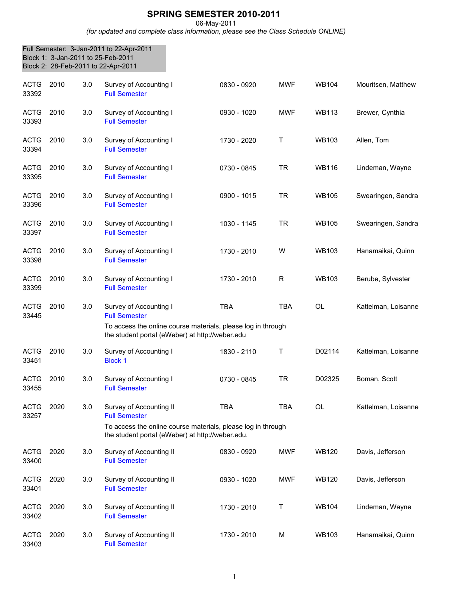## **SPRING SEMESTER 2010-2011**

06-May-2011

*(for updated and complete class information, please see the Class Schedule ONLINE)*

|                      | Block 1: 3-Jan-2011 to 25-Feb-2011 |     | Full Semester: 3-Jan-2011 to 22-Apr-2011<br>Block 2: 28-Feb-2011 to 22-Apr-2011                                                                                     |             |            |              |                     |
|----------------------|------------------------------------|-----|---------------------------------------------------------------------------------------------------------------------------------------------------------------------|-------------|------------|--------------|---------------------|
| <b>ACTG</b><br>33392 | 2010                               | 3.0 | Survey of Accounting I<br><b>Full Semester</b>                                                                                                                      | 0830 - 0920 | <b>MWF</b> | <b>WB104</b> | Mouritsen, Matthew  |
| <b>ACTG</b><br>33393 | 2010                               | 3.0 | Survey of Accounting I<br><b>Full Semester</b>                                                                                                                      | 0930 - 1020 | <b>MWF</b> | <b>WB113</b> | Brewer, Cynthia     |
| <b>ACTG</b><br>33394 | 2010                               | 3.0 | Survey of Accounting I<br><b>Full Semester</b>                                                                                                                      | 1730 - 2020 | т          | <b>WB103</b> | Allen, Tom          |
| <b>ACTG</b><br>33395 | 2010                               | 3.0 | Survey of Accounting I<br><b>Full Semester</b>                                                                                                                      | 0730 - 0845 | <b>TR</b>  | <b>WB116</b> | Lindeman, Wayne     |
| <b>ACTG</b><br>33396 | 2010                               | 3.0 | Survey of Accounting I<br><b>Full Semester</b>                                                                                                                      | 0900 - 1015 | <b>TR</b>  | <b>WB105</b> | Swearingen, Sandra  |
| <b>ACTG</b><br>33397 | 2010                               | 3.0 | Survey of Accounting I<br><b>Full Semester</b>                                                                                                                      | 1030 - 1145 | <b>TR</b>  | <b>WB105</b> | Swearingen, Sandra  |
| <b>ACTG</b><br>33398 | 2010                               | 3.0 | Survey of Accounting I<br><b>Full Semester</b>                                                                                                                      | 1730 - 2010 | W          | <b>WB103</b> | Hanamaikai, Quinn   |
| <b>ACTG</b><br>33399 | 2010                               | 3.0 | Survey of Accounting I<br><b>Full Semester</b>                                                                                                                      | 1730 - 2010 | R          | <b>WB103</b> | Berube, Sylvester   |
| <b>ACTG</b><br>33445 | 2010                               | 3.0 | Survey of Accounting I<br><b>Full Semester</b><br>To access the online course materials, please log in through<br>the student portal (eWeber) at http://weber.edu   | <b>TBA</b>  | <b>TBA</b> | <b>OL</b>    | Kattelman, Loisanne |
| <b>ACTG</b><br>33451 | 2010                               | 3.0 | Survey of Accounting I<br><b>Block 1</b>                                                                                                                            | 1830 - 2110 | Т          | D02114       | Kattelman, Loisanne |
| <b>ACTG</b><br>33455 | 2010                               | 3.0 | Survey of Accounting I<br><b>Full Semester</b>                                                                                                                      | 0730 - 0845 | <b>TR</b>  | D02325       | Boman, Scott        |
| <b>ACTG</b><br>33257 | 2020                               | 3.0 | Survey of Accounting II<br><b>Full Semester</b><br>To access the online course materials, please log in through<br>the student portal (eWeber) at http://weber.edu. | <b>TBA</b>  | <b>TBA</b> | <b>OL</b>    | Kattelman, Loisanne |
| <b>ACTG</b><br>33400 | 2020                               | 3.0 | Survey of Accounting II<br><b>Full Semester</b>                                                                                                                     | 0830 - 0920 | <b>MWF</b> | <b>WB120</b> | Davis, Jefferson    |
| <b>ACTG</b><br>33401 | 2020                               | 3.0 | Survey of Accounting II<br><b>Full Semester</b>                                                                                                                     | 0930 - 1020 | <b>MWF</b> | <b>WB120</b> | Davis, Jefferson    |
| <b>ACTG</b><br>33402 | 2020                               | 3.0 | Survey of Accounting II<br><b>Full Semester</b>                                                                                                                     | 1730 - 2010 | Τ          | <b>WB104</b> | Lindeman, Wayne     |
| <b>ACTG</b><br>33403 | 2020                               | 3.0 | Survey of Accounting II<br><b>Full Semester</b>                                                                                                                     | 1730 - 2010 | М          | <b>WB103</b> | Hanamaikai, Quinn   |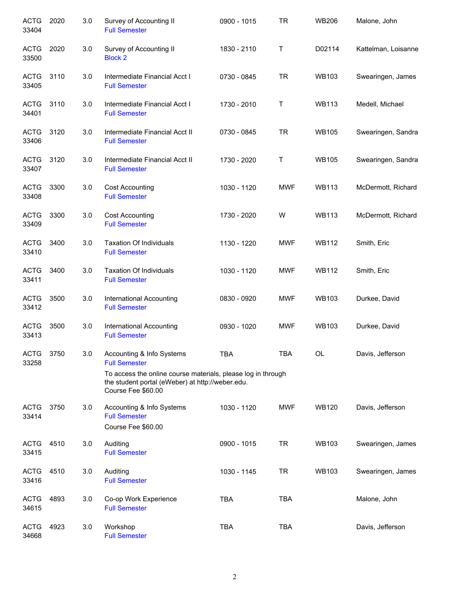| <b>ACTG</b><br>33404 | 2020 | 3.0 | Survey of Accounting II<br><b>Full Semester</b>                                                                                        | 0900 - 1015 | <b>TR</b>  | <b>WB206</b> | Malone, John        |
|----------------------|------|-----|----------------------------------------------------------------------------------------------------------------------------------------|-------------|------------|--------------|---------------------|
| <b>ACTG</b><br>33500 | 2020 | 3.0 | Survey of Accounting II<br><b>Block 2</b>                                                                                              | 1830 - 2110 | Т          | D02114       | Kattelman, Loisanne |
| <b>ACTG</b><br>33405 | 3110 | 3.0 | Intermediate Financial Acct I<br><b>Full Semester</b>                                                                                  | 0730 - 0845 | <b>TR</b>  | <b>WB103</b> | Swearingen, James   |
| <b>ACTG</b><br>34401 | 3110 | 3.0 | Intermediate Financial Acct I<br><b>Full Semester</b>                                                                                  | 1730 - 2010 | Т          | <b>WB113</b> | Medell, Michael     |
| <b>ACTG</b><br>33406 | 3120 | 3.0 | Intermediate Financial Acct II<br><b>Full Semester</b>                                                                                 | 0730 - 0845 | <b>TR</b>  | <b>WB105</b> | Swearingen, Sandra  |
| <b>ACTG</b><br>33407 | 3120 | 3.0 | Intermediate Financial Acct II<br><b>Full Semester</b>                                                                                 | 1730 - 2020 | Т          | <b>WB105</b> | Swearingen, Sandra  |
| <b>ACTG</b><br>33408 | 3300 | 3.0 | <b>Cost Accounting</b><br><b>Full Semester</b>                                                                                         | 1030 - 1120 | <b>MWF</b> | <b>WB113</b> | McDermott, Richard  |
| <b>ACTG</b><br>33409 | 3300 | 3.0 | <b>Cost Accounting</b><br><b>Full Semester</b>                                                                                         | 1730 - 2020 | W          | <b>WB113</b> | McDermott, Richard  |
| <b>ACTG</b><br>33410 | 3400 | 3.0 | <b>Taxation Of Individuals</b><br><b>Full Semester</b>                                                                                 | 1130 - 1220 | <b>MWF</b> | <b>WB112</b> | Smith, Eric         |
| <b>ACTG</b><br>33411 | 3400 | 3.0 | <b>Taxation Of Individuals</b><br><b>Full Semester</b>                                                                                 | 1030 - 1120 | <b>MWF</b> | <b>WB112</b> | Smith, Eric         |
| <b>ACTG</b><br>33412 | 3500 | 3.0 | International Accounting<br><b>Full Semester</b>                                                                                       | 0830 - 0920 | <b>MWF</b> | <b>WB103</b> | Durkee, David       |
| <b>ACTG</b><br>33413 | 3500 | 3.0 | <b>International Accounting</b><br><b>Full Semester</b>                                                                                | 0930 - 1020 | MWF        | <b>WB103</b> | Durkee, David       |
| <b>ACTG</b><br>33258 | 3750 | 3.0 | Accounting & Info Systems<br><b>Full Semester</b>                                                                                      | TBA         | <b>TBA</b> | OL           | Davis, Jefferson    |
|                      |      |     | To access the online course materials, please log in through<br>the student portal (eWeber) at http://weber.edu.<br>Course Fee \$60.00 |             |            |              |                     |
| <b>ACTG</b><br>33414 | 3750 | 3.0 | Accounting & Info Systems<br><b>Full Semester</b><br>Course Fee \$60.00                                                                | 1030 - 1120 | <b>MWF</b> | <b>WB120</b> | Davis, Jefferson    |
| <b>ACTG</b><br>33415 | 4510 | 3.0 | Auditing<br><b>Full Semester</b>                                                                                                       | 0900 - 1015 | <b>TR</b>  | <b>WB103</b> | Swearingen, James   |
| <b>ACTG</b><br>33416 | 4510 | 3.0 | Auditing<br><b>Full Semester</b>                                                                                                       | 1030 - 1145 | <b>TR</b>  | <b>WB103</b> | Swearingen, James   |
| <b>ACTG</b><br>34615 | 4893 | 3.0 | Co-op Work Experience<br><b>Full Semester</b>                                                                                          | <b>TBA</b>  | <b>TBA</b> |              | Malone, John        |
| <b>ACTG</b><br>34668 | 4923 | 3.0 | Workshop<br><b>Full Semester</b>                                                                                                       | <b>TBA</b>  | <b>TBA</b> |              | Davis, Jefferson    |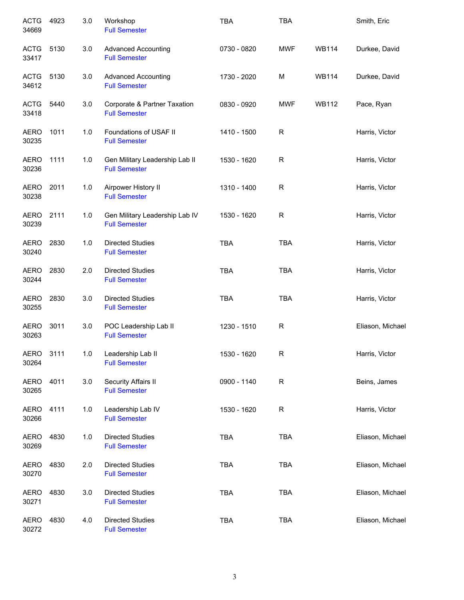| <b>ACTG</b><br>34669 | 4923 | 3.0 | Workshop<br><b>Full Semester</b>                       | <b>TBA</b>  | <b>TBA</b> |              | Smith, Eric      |
|----------------------|------|-----|--------------------------------------------------------|-------------|------------|--------------|------------------|
| <b>ACTG</b><br>33417 | 5130 | 3.0 | <b>Advanced Accounting</b><br><b>Full Semester</b>     | 0730 - 0820 | <b>MWF</b> | <b>WB114</b> | Durkee, David    |
| <b>ACTG</b><br>34612 | 5130 | 3.0 | <b>Advanced Accounting</b><br><b>Full Semester</b>     | 1730 - 2020 | M          | <b>WB114</b> | Durkee, David    |
| <b>ACTG</b><br>33418 | 5440 | 3.0 | Corporate & Partner Taxation<br><b>Full Semester</b>   | 0830 - 0920 | <b>MWF</b> | <b>WB112</b> | Pace, Ryan       |
| AERO<br>30235        | 1011 | 1.0 | Foundations of USAF II<br><b>Full Semester</b>         | 1410 - 1500 | R          |              | Harris, Victor   |
| AERO<br>30236        | 1111 | 1.0 | Gen Military Leadership Lab II<br><b>Full Semester</b> | 1530 - 1620 | R          |              | Harris, Victor   |
| AERO<br>30238        | 2011 | 1.0 | Airpower History II<br><b>Full Semester</b>            | 1310 - 1400 | R          |              | Harris, Victor   |
| <b>AERO</b><br>30239 | 2111 | 1.0 | Gen Military Leadership Lab IV<br><b>Full Semester</b> | 1530 - 1620 | R          |              | Harris, Victor   |
| <b>AERO</b><br>30240 | 2830 | 1.0 | <b>Directed Studies</b><br><b>Full Semester</b>        | <b>TBA</b>  | <b>TBA</b> |              | Harris, Victor   |
| <b>AERO</b><br>30244 | 2830 | 2.0 | <b>Directed Studies</b><br><b>Full Semester</b>        | <b>TBA</b>  | <b>TBA</b> |              | Harris, Victor   |
| <b>AERO</b><br>30255 | 2830 | 3.0 | <b>Directed Studies</b><br><b>Full Semester</b>        | <b>TBA</b>  | <b>TBA</b> |              | Harris, Victor   |
| <b>AERO</b><br>30263 | 3011 | 3.0 | POC Leadership Lab II<br><b>Full Semester</b>          | 1230 - 1510 | R          |              | Eliason, Michael |
| AERO<br>30264        | 3111 | 1.0 | Leadership Lab II<br><b>Full Semester</b>              | 1530 - 1620 | R          |              | Harris, Victor   |
| <b>AERO</b><br>30265 | 4011 | 3.0 | Security Affairs II<br><b>Full Semester</b>            | 0900 - 1140 | R          |              | Beins, James     |
| AERO<br>30266        | 4111 | 1.0 | Leadership Lab IV<br><b>Full Semester</b>              | 1530 - 1620 | R          |              | Harris, Victor   |
| AERO<br>30269        | 4830 | 1.0 | <b>Directed Studies</b><br><b>Full Semester</b>        | <b>TBA</b>  | <b>TBA</b> |              | Eliason, Michael |
| AERO<br>30270        | 4830 | 2.0 | <b>Directed Studies</b><br><b>Full Semester</b>        | <b>TBA</b>  | <b>TBA</b> |              | Eliason, Michael |
| <b>AERO</b><br>30271 | 4830 | 3.0 | <b>Directed Studies</b><br><b>Full Semester</b>        | <b>TBA</b>  | <b>TBA</b> |              | Eliason, Michael |
| <b>AERO</b><br>30272 | 4830 | 4.0 | <b>Directed Studies</b><br><b>Full Semester</b>        | <b>TBA</b>  | <b>TBA</b> |              | Eliason, Michael |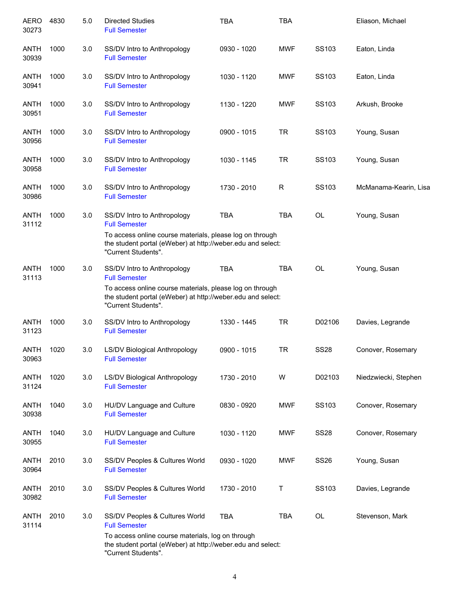| AERO<br>30273        | 4830 | 5.0 | <b>Directed Studies</b><br><b>Full Semester</b>                                                                                                | <b>TBA</b>  | <b>TBA</b> |             | Eliason, Michael      |
|----------------------|------|-----|------------------------------------------------------------------------------------------------------------------------------------------------|-------------|------------|-------------|-----------------------|
| <b>ANTH</b><br>30939 | 1000 | 3.0 | SS/DV Intro to Anthropology<br><b>Full Semester</b>                                                                                            | 0930 - 1020 | <b>MWF</b> | SS103       | Eaton, Linda          |
| <b>ANTH</b><br>30941 | 1000 | 3.0 | SS/DV Intro to Anthropology<br><b>Full Semester</b>                                                                                            | 1030 - 1120 | <b>MWF</b> | SS103       | Eaton, Linda          |
| <b>ANTH</b><br>30951 | 1000 | 3.0 | SS/DV Intro to Anthropology<br><b>Full Semester</b>                                                                                            | 1130 - 1220 | <b>MWF</b> | SS103       | Arkush, Brooke        |
| <b>ANTH</b><br>30956 | 1000 | 3.0 | SS/DV Intro to Anthropology<br><b>Full Semester</b>                                                                                            | 0900 - 1015 | <b>TR</b>  | SS103       | Young, Susan          |
| <b>ANTH</b><br>30958 | 1000 | 3.0 | SS/DV Intro to Anthropology<br><b>Full Semester</b>                                                                                            | 1030 - 1145 | <b>TR</b>  | SS103       | Young, Susan          |
| <b>ANTH</b><br>30986 | 1000 | 3.0 | SS/DV Intro to Anthropology<br><b>Full Semester</b>                                                                                            | 1730 - 2010 | R          | SS103       | McManama-Kearin, Lisa |
| <b>ANTH</b><br>31112 | 1000 | 3.0 | SS/DV Intro to Anthropology<br><b>Full Semester</b>                                                                                            | <b>TBA</b>  | <b>TBA</b> | OL          | Young, Susan          |
|                      |      |     | To access online course materials, please log on through<br>the student portal (eWeber) at http://weber.edu and select:<br>"Current Students". |             |            |             |                       |
| <b>ANTH</b><br>31113 | 1000 | 3.0 | SS/DV Intro to Anthropology<br><b>Full Semester</b>                                                                                            | <b>TBA</b>  | <b>TBA</b> | OL          | Young, Susan          |
|                      |      |     | To access online course materials, please log on through<br>the student portal (eWeber) at http://weber.edu and select:<br>"Current Students". |             |            |             |                       |
| <b>ANTH</b><br>31123 | 1000 | 3.0 | SS/DV Intro to Anthropology<br><b>Full Semester</b>                                                                                            | 1330 - 1445 | <b>TR</b>  | D02106      | Davies, Legrande      |
| ANTH<br>30963        | 1020 | 3.0 | LS/DV Biological Anthropology<br><b>Full Semester</b>                                                                                          | 0900 - 1015 | <b>TR</b>  | <b>SS28</b> | Conover, Rosemary     |
| <b>ANTH</b><br>31124 | 1020 | 3.0 | LS/DV Biological Anthropology<br><b>Full Semester</b>                                                                                          | 1730 - 2010 | W          | D02103      | Niedzwiecki, Stephen  |
| <b>ANTH</b><br>30938 | 1040 | 3.0 | HU/DV Language and Culture<br><b>Full Semester</b>                                                                                             | 0830 - 0920 | <b>MWF</b> | SS103       | Conover, Rosemary     |
| <b>ANTH</b><br>30955 | 1040 | 3.0 | HU/DV Language and Culture<br><b>Full Semester</b>                                                                                             | 1030 - 1120 | <b>MWF</b> | <b>SS28</b> | Conover, Rosemary     |
| <b>ANTH</b><br>30964 | 2010 | 3.0 | SS/DV Peoples & Cultures World<br><b>Full Semester</b>                                                                                         | 0930 - 1020 | <b>MWF</b> | <b>SS26</b> | Young, Susan          |
| <b>ANTH</b><br>30982 | 2010 | 3.0 | SS/DV Peoples & Cultures World<br><b>Full Semester</b>                                                                                         | 1730 - 2010 | т          | SS103       | Davies, Legrande      |
| <b>ANTH</b><br>31114 | 2010 | 3.0 | SS/DV Peoples & Cultures World<br><b>Full Semester</b>                                                                                         | <b>TBA</b>  | <b>TBA</b> | OL          | Stevenson, Mark       |
|                      |      |     | To access online course materials, log on through<br>the student portal (eWeber) at http://weber.edu and select:<br>"Current Students".        |             |            |             |                       |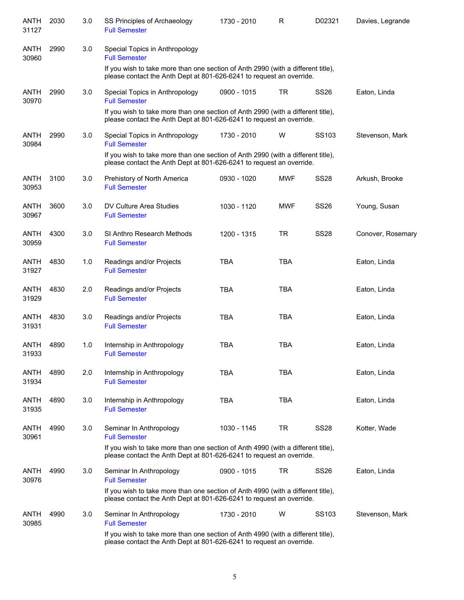| ANTH<br>31127        | 2030 | 3.0 | SS Principles of Archaeology<br><b>Full Semester</b>                                                                                                     | 1730 - 2010 | R          | D02321            | Davies, Legrande  |
|----------------------|------|-----|----------------------------------------------------------------------------------------------------------------------------------------------------------|-------------|------------|-------------------|-------------------|
| <b>ANTH</b><br>30960 | 2990 | 3.0 | Special Topics in Anthropology<br><b>Full Semester</b>                                                                                                   |             |            |                   |                   |
|                      |      |     | If you wish to take more than one section of Anth 2990 (with a different title),<br>please contact the Anth Dept at 801-626-6241 to request an override. |             |            |                   |                   |
| <b>ANTH</b><br>30970 | 2990 | 3.0 | Special Topics in Anthropology<br><b>Full Semester</b>                                                                                                   | 0900 - 1015 | <b>TR</b>  | <b>SS26</b>       | Eaton, Linda      |
|                      |      |     | If you wish to take more than one section of Anth 2990 (with a different title),<br>please contact the Anth Dept at 801-626-6241 to request an override. |             |            |                   |                   |
| <b>ANTH</b><br>30984 | 2990 | 3.0 | Special Topics in Anthropology<br><b>Full Semester</b>                                                                                                   | 1730 - 2010 | W          | SS <sub>103</sub> | Stevenson, Mark   |
|                      |      |     | If you wish to take more than one section of Anth 2990 (with a different title),<br>please contact the Anth Dept at 801-626-6241 to request an override. |             |            |                   |                   |
| <b>ANTH</b><br>30953 | 3100 | 3.0 | Prehistory of North America<br><b>Full Semester</b>                                                                                                      | 0930 - 1020 | <b>MWF</b> | <b>SS28</b>       | Arkush, Brooke    |
| <b>ANTH</b><br>30967 | 3600 | 3.0 | DV Culture Area Studies<br><b>Full Semester</b>                                                                                                          | 1030 - 1120 | <b>MWF</b> | <b>SS26</b>       | Young, Susan      |
| <b>ANTH</b><br>30959 | 4300 | 3.0 | SI Anthro Research Methods<br><b>Full Semester</b>                                                                                                       | 1200 - 1315 | <b>TR</b>  | <b>SS28</b>       | Conover, Rosemary |
| <b>ANTH</b><br>31927 | 4830 | 1.0 | Readings and/or Projects<br><b>Full Semester</b>                                                                                                         | <b>TBA</b>  | <b>TBA</b> |                   | Eaton, Linda      |
| <b>ANTH</b><br>31929 | 4830 | 2.0 | Readings and/or Projects<br><b>Full Semester</b>                                                                                                         | <b>TBA</b>  | <b>TBA</b> |                   | Eaton, Linda      |
| <b>ANTH</b><br>31931 | 4830 | 3.0 | Readings and/or Projects<br><b>Full Semester</b>                                                                                                         | <b>TBA</b>  | <b>TBA</b> |                   | Eaton, Linda      |
| <b>ANTH</b><br>31933 | 4890 | 1.0 | Internship in Anthropology<br><b>Full Semester</b>                                                                                                       | <b>TBA</b>  | <b>TBA</b> |                   | Eaton, Linda      |
| <b>ANTH</b><br>31934 | 4890 | 2.0 | Internship in Anthropology<br><b>Full Semester</b>                                                                                                       | TBA         | TBA        |                   | Eaton, Linda      |
| <b>ANTH</b><br>31935 | 4890 | 3.0 | Internship in Anthropology<br><b>Full Semester</b>                                                                                                       | <b>TBA</b>  | <b>TBA</b> |                   | Eaton, Linda      |
| ANTH<br>30961        | 4990 | 3.0 | Seminar In Anthropology<br><b>Full Semester</b>                                                                                                          | 1030 - 1145 | TR         | <b>SS28</b>       | Kotter, Wade      |
|                      |      |     | If you wish to take more than one section of Anth 4990 (with a different title),<br>please contact the Anth Dept at 801-626-6241 to request an override. |             |            |                   |                   |
| <b>ANTH</b><br>30976 | 4990 | 3.0 | Seminar In Anthropology<br><b>Full Semester</b>                                                                                                          | 0900 - 1015 | TR         | <b>SS26</b>       | Eaton, Linda      |
|                      |      |     | If you wish to take more than one section of Anth 4990 (with a different title),<br>please contact the Anth Dept at 801-626-6241 to request an override. |             |            |                   |                   |
| <b>ANTH</b><br>30985 | 4990 | 3.0 | Seminar In Anthropology<br><b>Full Semester</b>                                                                                                          | 1730 - 2010 | W          | SS <sub>103</sub> | Stevenson, Mark   |
|                      |      |     | If you wish to take more than one section of Anth 4990 (with a different title),<br>please contact the Anth Dept at 801-626-6241 to request an override. |             |            |                   |                   |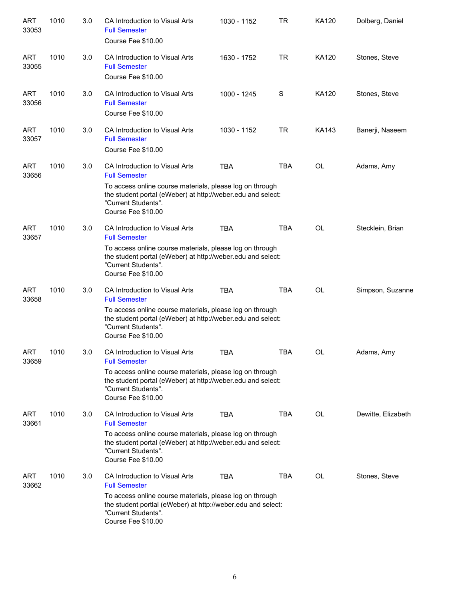| <b>ART</b><br>33053 | 1010 | 3.0 | CA Introduction to Visual Arts<br><b>Full Semester</b><br>Course Fee \$10.00                                                                                                                                                    | 1030 - 1152 | TR         | KA120     | Dolberg, Daniel    |
|---------------------|------|-----|---------------------------------------------------------------------------------------------------------------------------------------------------------------------------------------------------------------------------------|-------------|------------|-----------|--------------------|
| <b>ART</b><br>33055 | 1010 | 3.0 | CA Introduction to Visual Arts<br><b>Full Semester</b><br>Course Fee \$10.00                                                                                                                                                    | 1630 - 1752 | <b>TR</b>  | KA120     | Stones, Steve      |
| <b>ART</b><br>33056 | 1010 | 3.0 | CA Introduction to Visual Arts<br><b>Full Semester</b><br>Course Fee \$10.00                                                                                                                                                    | 1000 - 1245 | S          | KA120     | Stones, Steve      |
| <b>ART</b><br>33057 | 1010 | 3.0 | CA Introduction to Visual Arts<br><b>Full Semester</b><br>Course Fee \$10.00                                                                                                                                                    | 1030 - 1152 | <b>TR</b>  | KA143     | Banerji, Naseem    |
| <b>ART</b><br>33656 | 1010 | 3.0 | CA Introduction to Visual Arts<br><b>Full Semester</b><br>To access online course materials, please log on through<br>the student portal (eWeber) at http://weber.edu and select:<br>"Current Students".<br>Course Fee \$10.00  | <b>TBA</b>  | <b>TBA</b> | <b>OL</b> | Adams, Amy         |
| <b>ART</b><br>33657 | 1010 | 3.0 | CA Introduction to Visual Arts<br><b>Full Semester</b><br>To access online course materials, please log on through<br>the student portal (eWeber) at http://weber.edu and select:<br>"Current Students".<br>Course Fee \$10.00  | <b>TBA</b>  | <b>TBA</b> | <b>OL</b> | Stecklein, Brian   |
| <b>ART</b><br>33658 | 1010 | 3.0 | CA Introduction to Visual Arts<br><b>Full Semester</b><br>To access online course materials, please log on through<br>the student portal (eWeber) at http://weber.edu and select:<br>"Current Students".<br>Course Fee \$10.00  | <b>TBA</b>  | <b>TBA</b> | <b>OL</b> | Simpson, Suzanne   |
| ART<br>33659        | 1010 | 3.0 | CA Introduction to Visual Arts<br><b>Full Semester</b><br>To access online course materials, please log on through<br>the student portal (eWeber) at http://weber.edu and select:<br>"Current Students".<br>Course Fee \$10.00  | <b>TBA</b>  | <b>TBA</b> | OL        | Adams, Amy         |
| ART<br>33661        | 1010 | 3.0 | CA Introduction to Visual Arts<br><b>Full Semester</b><br>To access online course materials, please log on through<br>the student portal (eWeber) at http://weber.edu and select:<br>"Current Students".<br>Course Fee \$10.00  | <b>TBA</b>  | <b>TBA</b> | OL        | Dewitte, Elizabeth |
| ART<br>33662        | 1010 | 3.0 | CA Introduction to Visual Arts<br><b>Full Semester</b><br>To access online course materials, please log on through<br>the student portlal (eWeber) at http://weber.edu and select:<br>"Current Students".<br>Course Fee \$10.00 | <b>TBA</b>  | <b>TBA</b> | OL        | Stones, Steve      |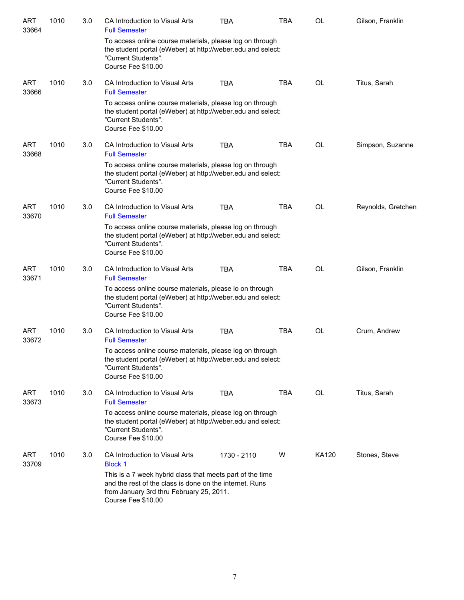| <b>ART</b><br>33664 | 1010 | 3.0 | CA Introduction to Visual Arts<br><b>Full Semester</b>                                                                                                                                 | <b>TBA</b>  | TBA        | <b>OL</b> | Gilson, Franklin   |
|---------------------|------|-----|----------------------------------------------------------------------------------------------------------------------------------------------------------------------------------------|-------------|------------|-----------|--------------------|
|                     |      |     | To access online course materials, please log on through<br>the student portal (eWeber) at http://weber.edu and select:<br>"Current Students".<br>Course Fee \$10.00                   |             |            |           |                    |
| <b>ART</b><br>33666 | 1010 | 3.0 | CA Introduction to Visual Arts<br><b>Full Semester</b>                                                                                                                                 | <b>TBA</b>  | <b>TBA</b> | OL        | Titus, Sarah       |
|                     |      |     | To access online course materials, please log on through<br>the student portal (eWeber) at http://weber.edu and select:<br>"Current Students".<br>Course Fee \$10.00                   |             |            |           |                    |
| <b>ART</b><br>33668 | 1010 | 3.0 | CA Introduction to Visual Arts<br><b>Full Semester</b>                                                                                                                                 | <b>TBA</b>  | <b>TBA</b> | OL        | Simpson, Suzanne   |
|                     |      |     | To access online course materials, please log on through<br>the student portal (eWeber) at http://weber.edu and select:<br>"Current Students".<br>Course Fee \$10.00                   |             |            |           |                    |
| <b>ART</b><br>33670 | 1010 | 3.0 | CA Introduction to Visual Arts<br><b>Full Semester</b>                                                                                                                                 | <b>TBA</b>  | <b>TBA</b> | <b>OL</b> | Reynolds, Gretchen |
|                     |      |     | To access online course materials, please log on through<br>the student portal (eWeber) at http://weber.edu and select:<br>"Current Students".<br>Course Fee \$10.00                   |             |            |           |                    |
| <b>ART</b><br>33671 | 1010 | 3.0 | CA Introduction to Visual Arts<br><b>Full Semester</b>                                                                                                                                 | <b>TBA</b>  | <b>TBA</b> | OL        | Gilson, Franklin   |
|                     |      |     | To access online course materials, please lo on through<br>the student portal (eWeber) at http://weber.edu and select:<br>"Current Students".<br>Course Fee \$10.00                    |             |            |           |                    |
| <b>ART</b><br>33672 | 1010 | 3.0 | CA Introduction to Visual Arts<br><b>Full Semester</b>                                                                                                                                 | <b>TBA</b>  | <b>TBA</b> | OL        | Crum, Andrew       |
|                     |      |     | To access online course materials, please log on through<br>the student portal (eWeber) at http://weber.edu and select:<br>"Current Students".<br>Course Fee \$10.00                   |             |            |           |                    |
| <b>ART</b><br>33673 | 1010 | 3.0 | CA Introduction to Visual Arts<br><b>Full Semester</b>                                                                                                                                 | <b>TBA</b>  | <b>TBA</b> | <b>OL</b> | Titus, Sarah       |
|                     |      |     | To access online course materials, please log on through<br>the student portal (eWeber) at http://weber.edu and select:<br>"Current Students".<br>Course Fee \$10.00                   |             |            |           |                    |
| <b>ART</b><br>33709 | 1010 | 3.0 | CA Introduction to Visual Arts<br><b>Block 1</b>                                                                                                                                       | 1730 - 2110 | W          | KA120     | Stones, Steve      |
|                     |      |     | This is a 7 week hybrid class that meets part of the time<br>and the rest of the class is done on the internet. Runs<br>from January 3rd thru February 25, 2011.<br>Course Fee \$10.00 |             |            |           |                    |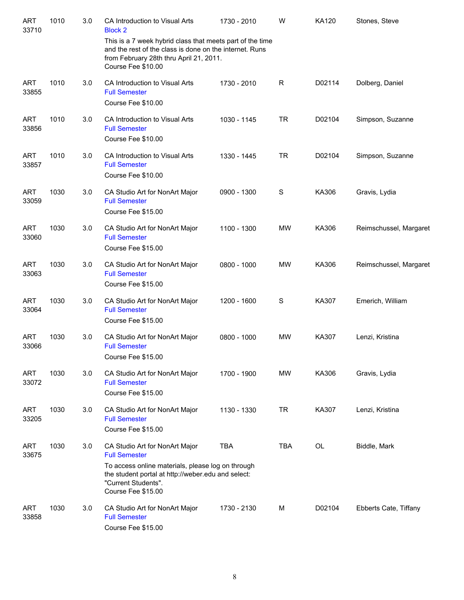| <b>ART</b><br>33710 | 1010 | 3.0 | CA Introduction to Visual Arts<br><b>Block 2</b>                                                                                                                                                               | 1730 - 2010 | W           | KA120        | Stones, Steve          |
|---------------------|------|-----|----------------------------------------------------------------------------------------------------------------------------------------------------------------------------------------------------------------|-------------|-------------|--------------|------------------------|
|                     |      |     | This is a 7 week hybrid class that meets part of the time<br>and the rest of the class is done on the internet. Runs<br>from February 28th thru April 21, 2011.<br>Course Fee \$10.00                          |             |             |              |                        |
| <b>ART</b><br>33855 | 1010 | 3.0 | CA Introduction to Visual Arts<br><b>Full Semester</b><br>Course Fee \$10.00                                                                                                                                   | 1730 - 2010 | $\mathsf R$ | D02114       | Dolberg, Daniel        |
| <b>ART</b><br>33856 | 1010 | 3.0 | CA Introduction to Visual Arts<br><b>Full Semester</b><br>Course Fee \$10.00                                                                                                                                   | 1030 - 1145 | <b>TR</b>   | D02104       | Simpson, Suzanne       |
| <b>ART</b><br>33857 | 1010 | 3.0 | CA Introduction to Visual Arts<br><b>Full Semester</b><br>Course Fee \$10.00                                                                                                                                   | 1330 - 1445 | <b>TR</b>   | D02104       | Simpson, Suzanne       |
| <b>ART</b><br>33059 | 1030 | 3.0 | CA Studio Art for NonArt Major<br><b>Full Semester</b><br>Course Fee \$15.00                                                                                                                                   | 0900 - 1300 | S           | KA306        | Gravis, Lydia          |
| <b>ART</b><br>33060 | 1030 | 3.0 | CA Studio Art for NonArt Major<br><b>Full Semester</b><br>Course Fee \$15.00                                                                                                                                   | 1100 - 1300 | <b>MW</b>   | KA306        | Reimschussel, Margaret |
| <b>ART</b><br>33063 | 1030 | 3.0 | CA Studio Art for NonArt Major<br><b>Full Semester</b><br>Course Fee \$15.00                                                                                                                                   | 0800 - 1000 | <b>MW</b>   | KA306        | Reimschussel, Margaret |
| <b>ART</b><br>33064 | 1030 | 3.0 | CA Studio Art for NonArt Major<br><b>Full Semester</b><br>Course Fee \$15.00                                                                                                                                   | 1200 - 1600 | S           | <b>KA307</b> | Emerich, William       |
| <b>ART</b><br>33066 | 1030 | 3.0 | CA Studio Art for NonArt Major<br><b>Full Semester</b><br>Course Fee \$15.00                                                                                                                                   | 0800 - 1000 | <b>MW</b>   | KA307        | Lenzi, Kristina        |
| <b>ART</b><br>33072 | 1030 | 3.0 | CA Studio Art for NonArt Major<br><b>Full Semester</b><br>Course Fee \$15.00                                                                                                                                   | 1700 - 1900 | MW          | KA306        | Gravis, Lydia          |
| <b>ART</b><br>33205 | 1030 | 3.0 | CA Studio Art for NonArt Major<br><b>Full Semester</b><br>Course Fee \$15.00                                                                                                                                   | 1130 - 1330 | <b>TR</b>   | KA307        | Lenzi, Kristina        |
| <b>ART</b><br>33675 | 1030 | 3.0 | CA Studio Art for NonArt Major<br><b>Full Semester</b><br>To access online materials, please log on through<br>the student portal at http://weber.edu and select:<br>"Current Students".<br>Course Fee \$15.00 | <b>TBA</b>  | <b>TBA</b>  | OL           | Biddle, Mark           |
| ART<br>33858        | 1030 | 3.0 | CA Studio Art for NonArt Major<br><b>Full Semester</b><br>Course Fee \$15.00                                                                                                                                   | 1730 - 2130 | M           | D02104       | Ebberts Cate, Tiffany  |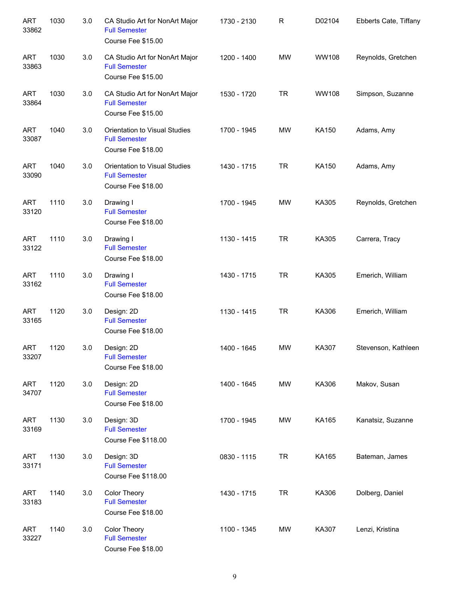| <b>ART</b><br>33862 | 1030 | 3.0 | CA Studio Art for NonArt Major<br><b>Full Semester</b><br>Course Fee \$15.00 | 1730 - 2130 | R         | D02104       | Ebberts Cate, Tiffany |
|---------------------|------|-----|------------------------------------------------------------------------------|-------------|-----------|--------------|-----------------------|
| <b>ART</b><br>33863 | 1030 | 3.0 | CA Studio Art for NonArt Major<br><b>Full Semester</b><br>Course Fee \$15.00 | 1200 - 1400 | <b>MW</b> | <b>WW108</b> | Reynolds, Gretchen    |
| <b>ART</b><br>33864 | 1030 | 3.0 | CA Studio Art for NonArt Major<br><b>Full Semester</b><br>Course Fee \$15.00 | 1530 - 1720 | <b>TR</b> | <b>WW108</b> | Simpson, Suzanne      |
| <b>ART</b><br>33087 | 1040 | 3.0 | Orientation to Visual Studies<br><b>Full Semester</b><br>Course Fee \$18.00  | 1700 - 1945 | <b>MW</b> | KA150        | Adams, Amy            |
| <b>ART</b><br>33090 | 1040 | 3.0 | Orientation to Visual Studies<br><b>Full Semester</b><br>Course Fee \$18.00  | 1430 - 1715 | <b>TR</b> | KA150        | Adams, Amy            |
| <b>ART</b><br>33120 | 1110 | 3.0 | Drawing I<br><b>Full Semester</b><br>Course Fee \$18.00                      | 1700 - 1945 | <b>MW</b> | KA305        | Reynolds, Gretchen    |
| <b>ART</b><br>33122 | 1110 | 3.0 | Drawing I<br><b>Full Semester</b><br>Course Fee \$18.00                      | 1130 - 1415 | <b>TR</b> | KA305        | Carrera, Tracy        |
| <b>ART</b><br>33162 | 1110 | 3.0 | Drawing I<br><b>Full Semester</b><br>Course Fee \$18.00                      | 1430 - 1715 | <b>TR</b> | KA305        | Emerich, William      |
| <b>ART</b><br>33165 | 1120 | 3.0 | Design: 2D<br><b>Full Semester</b><br>Course Fee \$18.00                     | 1130 - 1415 | <b>TR</b> | KA306        | Emerich, William      |
| <b>ART</b><br>33207 | 1120 | 3.0 | Design: 2D<br><b>Full Semester</b><br>Course Fee \$18.00                     | 1400 - 1645 | <b>MW</b> | KA307        | Stevenson, Kathleen   |
| <b>ART</b><br>34707 | 1120 | 3.0 | Design: 2D<br><b>Full Semester</b><br>Course Fee \$18.00                     | 1400 - 1645 | MW        | KA306        | Makov, Susan          |
| <b>ART</b><br>33169 | 1130 | 3.0 | Design: 3D<br><b>Full Semester</b><br>Course Fee \$118.00                    | 1700 - 1945 | MW        | KA165        | Kanatsiz, Suzanne     |
| <b>ART</b><br>33171 | 1130 | 3.0 | Design: 3D<br><b>Full Semester</b><br>Course Fee \$118.00                    | 0830 - 1115 | <b>TR</b> | KA165        | Bateman, James        |
| <b>ART</b><br>33183 | 1140 | 3.0 | Color Theory<br><b>Full Semester</b><br>Course Fee \$18.00                   | 1430 - 1715 | <b>TR</b> | KA306        | Dolberg, Daniel       |
| <b>ART</b><br>33227 | 1140 | 3.0 | Color Theory<br><b>Full Semester</b><br>Course Fee \$18.00                   | 1100 - 1345 | MW        | KA307        | Lenzi, Kristina       |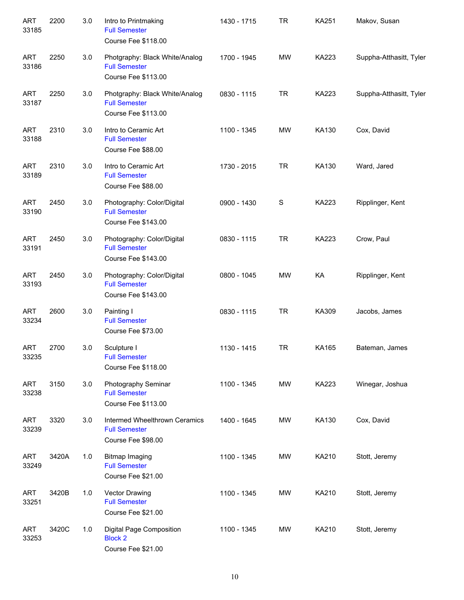| <b>ART</b><br>33185 | 2200  | 3.0 | Intro to Printmaking<br><b>Full Semester</b><br>Course Fee \$118.00           | 1430 - 1715 | <b>TR</b>   | <b>KA251</b> | Makov, Susan            |
|---------------------|-------|-----|-------------------------------------------------------------------------------|-------------|-------------|--------------|-------------------------|
| <b>ART</b><br>33186 | 2250  | 3.0 | Photgraphy: Black White/Analog<br><b>Full Semester</b><br>Course Fee \$113.00 | 1700 - 1945 | <b>MW</b>   | <b>KA223</b> | Suppha-Atthasitt, Tyler |
| <b>ART</b><br>33187 | 2250  | 3.0 | Photgraphy: Black White/Analog<br><b>Full Semester</b><br>Course Fee \$113.00 | 0830 - 1115 | <b>TR</b>   | <b>KA223</b> | Suppha-Atthasitt, Tyler |
| <b>ART</b><br>33188 | 2310  | 3.0 | Intro to Ceramic Art<br><b>Full Semester</b><br>Course Fee \$88.00            | 1100 - 1345 | <b>MW</b>   | KA130        | Cox, David              |
| <b>ART</b><br>33189 | 2310  | 3.0 | Intro to Ceramic Art<br><b>Full Semester</b><br>Course Fee \$88.00            | 1730 - 2015 | <b>TR</b>   | KA130        | Ward, Jared             |
| <b>ART</b><br>33190 | 2450  | 3.0 | Photography: Color/Digital<br><b>Full Semester</b><br>Course Fee \$143.00     | 0900 - 1430 | $\mathbf S$ | <b>KA223</b> | Ripplinger, Kent        |
| <b>ART</b><br>33191 | 2450  | 3.0 | Photography: Color/Digital<br><b>Full Semester</b><br>Course Fee \$143.00     | 0830 - 1115 | <b>TR</b>   | <b>KA223</b> | Crow, Paul              |
| <b>ART</b><br>33193 | 2450  | 3.0 | Photography: Color/Digital<br><b>Full Semester</b><br>Course Fee \$143.00     | 0800 - 1045 | <b>MW</b>   | KA           | Ripplinger, Kent        |
| <b>ART</b><br>33234 | 2600  | 3.0 | Painting I<br><b>Full Semester</b><br>Course Fee \$73.00                      | 0830 - 1115 | <b>TR</b>   | KA309        | Jacobs, James           |
| <b>ART</b><br>33235 | 2700  | 3.0 | Sculpture I<br><b>Full Semester</b><br>Course Fee \$118.00                    | 1130 - 1415 | <b>TR</b>   | KA165        | Bateman, James          |
| <b>ART</b><br>33238 | 3150  | 3.0 | Photography Seminar<br><b>Full Semester</b><br>Course Fee \$113.00            | 1100 - 1345 | MW          | KA223        | Winegar, Joshua         |
| <b>ART</b><br>33239 | 3320  | 3.0 | Intermed Wheelthrown Ceramics<br><b>Full Semester</b><br>Course Fee \$98.00   | 1400 - 1645 | MW          | KA130        | Cox, David              |
| <b>ART</b><br>33249 | 3420A | 1.0 | <b>Bitmap Imaging</b><br><b>Full Semester</b><br>Course Fee \$21.00           | 1100 - 1345 | MW          | KA210        | Stott, Jeremy           |
| <b>ART</b><br>33251 | 3420B | 1.0 | Vector Drawing<br><b>Full Semester</b><br>Course Fee \$21.00                  | 1100 - 1345 | MW          | KA210        | Stott, Jeremy           |
| <b>ART</b><br>33253 | 3420C | 1.0 | Digital Page Composition<br><b>Block 2</b><br>Course Fee \$21.00              | 1100 - 1345 | MW          | KA210        | Stott, Jeremy           |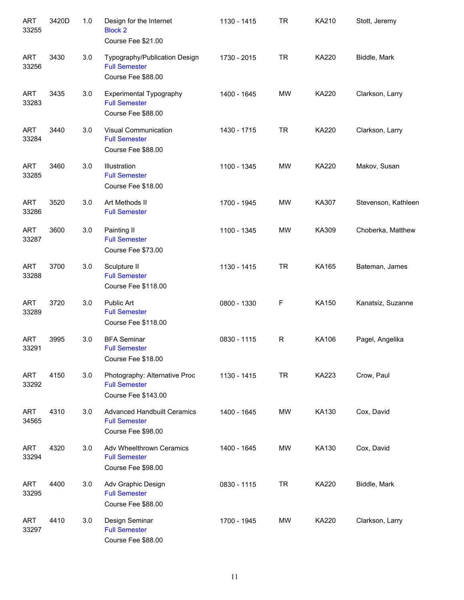| <b>ART</b><br>33255 | 3420D | 1.0 | Design for the Internet<br><b>Block 2</b><br>Course Fee \$21.00                  | 1130 - 1415 | <b>TR</b> | <b>KA210</b> | Stott, Jeremy       |
|---------------------|-------|-----|----------------------------------------------------------------------------------|-------------|-----------|--------------|---------------------|
| <b>ART</b><br>33256 | 3430  | 3.0 | Typography/Publication Design<br><b>Full Semester</b><br>Course Fee \$88.00      | 1730 - 2015 | <b>TR</b> | <b>KA220</b> | Biddle, Mark        |
| <b>ART</b><br>33283 | 3435  | 3.0 | <b>Experimental Typography</b><br><b>Full Semester</b><br>Course Fee \$88.00     | 1400 - 1645 | <b>MW</b> | <b>KA220</b> | Clarkson, Larry     |
| <b>ART</b><br>33284 | 3440  | 3.0 | Visual Communication<br><b>Full Semester</b><br>Course Fee \$88.00               | 1430 - 1715 | <b>TR</b> | <b>KA220</b> | Clarkson, Larry     |
| <b>ART</b><br>33285 | 3460  | 3.0 | Illustration<br><b>Full Semester</b><br>Course Fee \$18.00                       | 1100 - 1345 | <b>MW</b> | <b>KA220</b> | Makov, Susan        |
| <b>ART</b><br>33286 | 3520  | 3.0 | Art Methods II<br><b>Full Semester</b>                                           | 1700 - 1945 | <b>MW</b> | KA307        | Stevenson, Kathleen |
| <b>ART</b><br>33287 | 3600  | 3.0 | Painting II<br><b>Full Semester</b><br>Course Fee \$73.00                        | 1100 - 1345 | <b>MW</b> | KA309        | Choberka, Matthew   |
| <b>ART</b><br>33288 | 3700  | 3.0 | Sculpture II<br><b>Full Semester</b><br>Course Fee \$118.00                      | 1130 - 1415 | <b>TR</b> | KA165        | Bateman, James      |
| <b>ART</b><br>33289 | 3720  | 3.0 | Public Art<br><b>Full Semester</b><br>Course Fee \$118.00                        | 0800 - 1330 | F         | KA150        | Kanatsiz, Suzanne   |
| <b>ART</b><br>33291 | 3995  | 3.0 | <b>BFA Seminar</b><br><b>Full Semester</b><br>Course Fee \$18.00                 | 0830 - 1115 | R         | <b>KA106</b> | Pagel, Angelika     |
| <b>ART</b><br>33292 | 4150  | 3.0 | Photography: Alternative Proc<br><b>Full Semester</b><br>Course Fee \$143.00     | 1130 - 1415 | <b>TR</b> | KA223        | Crow, Paul          |
| <b>ART</b><br>34565 | 4310  | 3.0 | <b>Advanced Handbuilt Ceramics</b><br><b>Full Semester</b><br>Course Fee \$98.00 | 1400 - 1645 | MW        | KA130        | Cox, David          |
| <b>ART</b><br>33294 | 4320  | 3.0 | Adv Wheelthrown Ceramics<br><b>Full Semester</b><br>Course Fee \$98.00           | 1400 - 1645 | MW        | KA130        | Cox, David          |
| <b>ART</b><br>33295 | 4400  | 3.0 | Adv Graphic Design<br><b>Full Semester</b><br>Course Fee \$88.00                 | 0830 - 1115 | <b>TR</b> | KA220        | Biddle, Mark        |
| <b>ART</b><br>33297 | 4410  | 3.0 | Design Seminar<br><b>Full Semester</b><br>Course Fee \$88.00                     | 1700 - 1945 | MW        | KA220        | Clarkson, Larry     |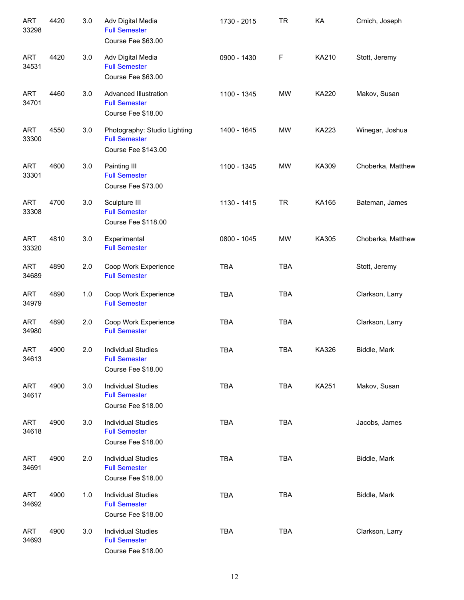| <b>ART</b><br>33298 | 4420 | 3.0 | Adv Digital Media<br><b>Full Semester</b><br>Course Fee \$63.00                    | 1730 - 2015 | <b>TR</b>  | KA           | Crnich, Joseph    |
|---------------------|------|-----|------------------------------------------------------------------------------------|-------------|------------|--------------|-------------------|
| <b>ART</b><br>34531 | 4420 | 3.0 | Adv Digital Media<br><b>Full Semester</b><br>Course Fee \$63.00                    | 0900 - 1430 | F          | KA210        | Stott, Jeremy     |
| <b>ART</b><br>34701 | 4460 | 3.0 | Advanced Illustration<br><b>Full Semester</b><br>Course Fee \$18.00                | 1100 - 1345 | <b>MW</b>  | KA220        | Makov, Susan      |
| <b>ART</b><br>33300 | 4550 | 3.0 | Photography: Studio Lighting<br><b>Full Semester</b><br><b>Course Fee \$143.00</b> | 1400 - 1645 | <b>MW</b>  | <b>KA223</b> | Winegar, Joshua   |
| <b>ART</b><br>33301 | 4600 | 3.0 | Painting III<br><b>Full Semester</b><br>Course Fee \$73.00                         | 1100 - 1345 | <b>MW</b>  | KA309        | Choberka, Matthew |
| <b>ART</b><br>33308 | 4700 | 3.0 | Sculpture III<br><b>Full Semester</b><br>Course Fee \$118.00                       | 1130 - 1415 | <b>TR</b>  | KA165        | Bateman, James    |
| <b>ART</b><br>33320 | 4810 | 3.0 | Experimental<br><b>Full Semester</b>                                               | 0800 - 1045 | <b>MW</b>  | KA305        | Choberka, Matthew |
| <b>ART</b><br>34689 | 4890 | 2.0 | Coop Work Experience<br><b>Full Semester</b>                                       | <b>TBA</b>  | <b>TBA</b> |              | Stott, Jeremy     |
| <b>ART</b><br>34979 | 4890 | 1.0 | Coop Work Experience<br><b>Full Semester</b>                                       | <b>TBA</b>  | <b>TBA</b> |              | Clarkson, Larry   |
| <b>ART</b><br>34980 | 4890 | 2.0 | Coop Work Experience<br><b>Full Semester</b>                                       | <b>TBA</b>  | <b>TBA</b> |              | Clarkson, Larry   |
| <b>ART</b><br>34613 | 4900 | 2.0 | <b>Individual Studies</b><br><b>Full Semester</b><br>Course Fee \$18.00            | <b>TBA</b>  | <b>TBA</b> | KA326        | Biddle, Mark      |
| <b>ART</b><br>34617 | 4900 | 3.0 | <b>Individual Studies</b><br><b>Full Semester</b><br>Course Fee \$18.00            | <b>TBA</b>  | TBA        | KA251        | Makov, Susan      |
| <b>ART</b><br>34618 | 4900 | 3.0 | <b>Individual Studies</b><br><b>Full Semester</b><br>Course Fee \$18.00            | <b>TBA</b>  | <b>TBA</b> |              | Jacobs, James     |
| <b>ART</b><br>34691 | 4900 | 2.0 | <b>Individual Studies</b><br><b>Full Semester</b><br>Course Fee \$18.00            | <b>TBA</b>  | <b>TBA</b> |              | Biddle, Mark      |
| <b>ART</b><br>34692 | 4900 | 1.0 | <b>Individual Studies</b><br><b>Full Semester</b><br>Course Fee \$18.00            | <b>TBA</b>  | <b>TBA</b> |              | Biddle, Mark      |
| <b>ART</b><br>34693 | 4900 | 3.0 | <b>Individual Studies</b><br><b>Full Semester</b><br>Course Fee \$18.00            | <b>TBA</b>  | <b>TBA</b> |              | Clarkson, Larry   |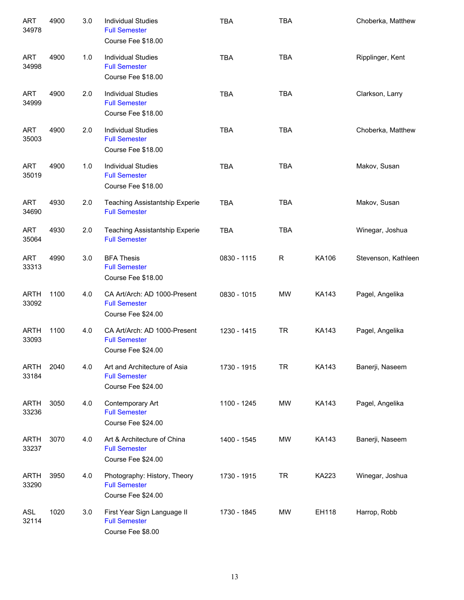| <b>ART</b><br>34978  | 4900 | 3.0 | <b>Individual Studies</b><br><b>Full Semester</b><br>Course Fee \$18.00    | <b>TBA</b>  | <b>TBA</b>   |              | Choberka, Matthew   |
|----------------------|------|-----|----------------------------------------------------------------------------|-------------|--------------|--------------|---------------------|
| <b>ART</b><br>34998  | 4900 | 1.0 | <b>Individual Studies</b><br><b>Full Semester</b><br>Course Fee \$18.00    | <b>TBA</b>  | <b>TBA</b>   |              | Ripplinger, Kent    |
| <b>ART</b><br>34999  | 4900 | 2.0 | <b>Individual Studies</b><br><b>Full Semester</b><br>Course Fee \$18.00    | <b>TBA</b>  | <b>TBA</b>   |              | Clarkson, Larry     |
| <b>ART</b><br>35003  | 4900 | 2.0 | <b>Individual Studies</b><br><b>Full Semester</b><br>Course Fee \$18.00    | <b>TBA</b>  | <b>TBA</b>   |              | Choberka, Matthew   |
| <b>ART</b><br>35019  | 4900 | 1.0 | <b>Individual Studies</b><br><b>Full Semester</b><br>Course Fee \$18.00    | <b>TBA</b>  | <b>TBA</b>   |              | Makov, Susan        |
| <b>ART</b><br>34690  | 4930 | 2.0 | <b>Teaching Assistantship Experie</b><br><b>Full Semester</b>              | <b>TBA</b>  | <b>TBA</b>   |              | Makov, Susan        |
| <b>ART</b><br>35064  | 4930 | 2.0 | <b>Teaching Assistantship Experie</b><br><b>Full Semester</b>              | <b>TBA</b>  | <b>TBA</b>   |              | Winegar, Joshua     |
| <b>ART</b><br>33313  | 4990 | 3.0 | <b>BFA Thesis</b><br><b>Full Semester</b><br>Course Fee \$18.00            | 0830 - 1115 | $\mathsf{R}$ | KA106        | Stevenson, Kathleen |
| <b>ARTH</b><br>33092 | 1100 | 4.0 | CA Art/Arch: AD 1000-Present<br><b>Full Semester</b><br>Course Fee \$24.00 | 0830 - 1015 | <b>MW</b>    | <b>KA143</b> | Pagel, Angelika     |
| <b>ARTH</b><br>33093 | 1100 | 4.0 | CA Art/Arch: AD 1000-Present<br><b>Full Semester</b><br>Course Fee \$24.00 | 1230 - 1415 | <b>TR</b>    | <b>KA143</b> | Pagel, Angelika     |
| <b>ARTH</b><br>33184 | 2040 | 4.0 | Art and Architecture of Asia<br><b>Full Semester</b><br>Course Fee \$24.00 | 1730 - 1915 | <b>TR</b>    | <b>KA143</b> | Banerji, Naseem     |
| <b>ARTH</b><br>33236 | 3050 | 4.0 | Contemporary Art<br><b>Full Semester</b><br>Course Fee \$24.00             | 1100 - 1245 | MW           | KA143        | Pagel, Angelika     |
| ARTH<br>33237        | 3070 | 4.0 | Art & Architecture of China<br><b>Full Semester</b><br>Course Fee \$24.00  | 1400 - 1545 | MW           | KA143        | Banerji, Naseem     |
| <b>ARTH</b><br>33290 | 3950 | 4.0 | Photography: History, Theory<br><b>Full Semester</b><br>Course Fee \$24.00 | 1730 - 1915 | <b>TR</b>    | KA223        | Winegar, Joshua     |
| <b>ASL</b><br>32114  | 1020 | 3.0 | First Year Sign Language II<br><b>Full Semester</b><br>Course Fee \$8.00   | 1730 - 1845 | MW           | EH118        | Harrop, Robb        |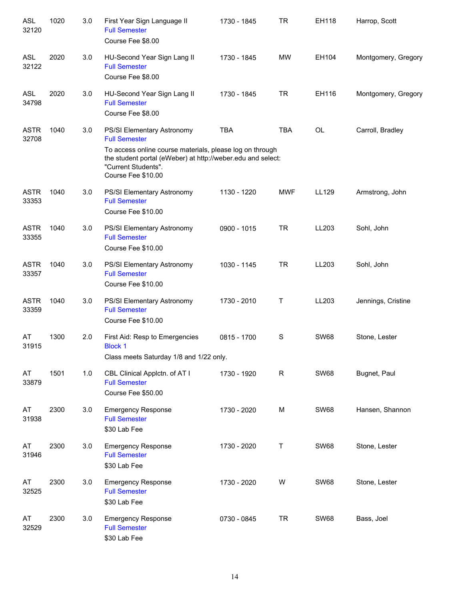| <b>ASL</b><br>32120  | 1020 | 3.0 | First Year Sign Language II<br><b>Full Semester</b><br>Course Fee \$8.00                                                                                                                                                   | 1730 - 1845 | <b>TR</b>    | EH118       | Harrop, Scott       |
|----------------------|------|-----|----------------------------------------------------------------------------------------------------------------------------------------------------------------------------------------------------------------------------|-------------|--------------|-------------|---------------------|
| <b>ASL</b><br>32122  | 2020 | 3.0 | HU-Second Year Sign Lang II<br><b>Full Semester</b><br>Course Fee \$8.00                                                                                                                                                   | 1730 - 1845 | MW           | EH104       | Montgomery, Gregory |
| <b>ASL</b><br>34798  | 2020 | 3.0 | HU-Second Year Sign Lang II<br><b>Full Semester</b><br>Course Fee \$8.00                                                                                                                                                   | 1730 - 1845 | <b>TR</b>    | EH116       | Montgomery, Gregory |
| <b>ASTR</b><br>32708 | 1040 | 3.0 | PS/SI Elementary Astronomy<br><b>Full Semester</b><br>To access online course materials, please log on through<br>the student portal (eWeber) at http://weber.edu and select:<br>"Current Students".<br>Course Fee \$10.00 | <b>TBA</b>  | <b>TBA</b>   | OL          | Carroll, Bradley    |
| <b>ASTR</b><br>33353 | 1040 | 3.0 | PS/SI Elementary Astronomy<br><b>Full Semester</b><br>Course Fee \$10.00                                                                                                                                                   | 1130 - 1220 | <b>MWF</b>   | LL129       | Armstrong, John     |
| <b>ASTR</b><br>33355 | 1040 | 3.0 | PS/SI Elementary Astronomy<br><b>Full Semester</b><br>Course Fee \$10.00                                                                                                                                                   | 0900 - 1015 | <b>TR</b>    | LL203       | Sohl, John          |
| <b>ASTR</b><br>33357 | 1040 | 3.0 | PS/SI Elementary Astronomy<br><b>Full Semester</b><br>Course Fee \$10.00                                                                                                                                                   | 1030 - 1145 | <b>TR</b>    | LL203       | Sohl, John          |
| <b>ASTR</b><br>33359 | 1040 | 3.0 | PS/SI Elementary Astronomy<br><b>Full Semester</b><br>Course Fee \$10.00                                                                                                                                                   | 1730 - 2010 | Τ            | LL203       | Jennings, Cristine  |
| AT<br>31915          | 1300 | 2.0 | First Aid: Resp to Emergencies<br><b>Block 1</b><br>Class meets Saturday 1/8 and 1/22 only.                                                                                                                                | 0815 - 1700 | $\mathbf S$  | <b>SW68</b> | Stone, Lester       |
| AT<br>33879          | 1501 | 1.0 | CBL Clinical Applctn. of AT I<br><b>Full Semester</b><br>Course Fee \$50.00                                                                                                                                                | 1730 - 1920 | $\mathsf{R}$ | <b>SW68</b> | Bugnet, Paul        |
| AT<br>31938          | 2300 | 3.0 | <b>Emergency Response</b><br><b>Full Semester</b><br>\$30 Lab Fee                                                                                                                                                          | 1730 - 2020 | M            | <b>SW68</b> | Hansen, Shannon     |
| AT<br>31946          | 2300 | 3.0 | <b>Emergency Response</b><br><b>Full Semester</b><br>\$30 Lab Fee                                                                                                                                                          | 1730 - 2020 | Τ            | <b>SW68</b> | Stone, Lester       |
| AT<br>32525          | 2300 | 3.0 | <b>Emergency Response</b><br><b>Full Semester</b><br>\$30 Lab Fee                                                                                                                                                          | 1730 - 2020 | W            | <b>SW68</b> | Stone, Lester       |
| AT<br>32529          | 2300 | 3.0 | <b>Emergency Response</b><br><b>Full Semester</b><br>\$30 Lab Fee                                                                                                                                                          | 0730 - 0845 | <b>TR</b>    | <b>SW68</b> | Bass, Joel          |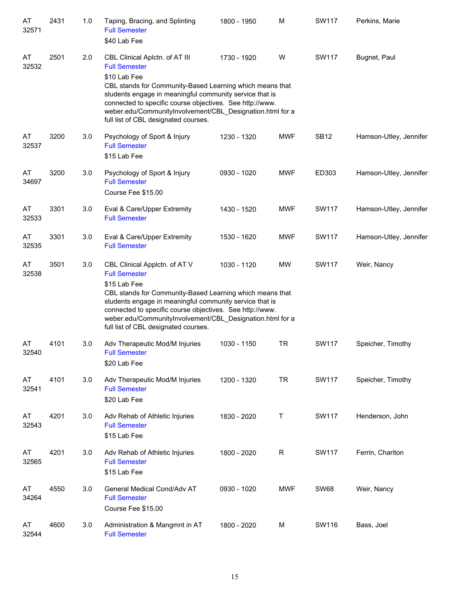| AT<br>32571 | 2431 | 1.0 | Taping, Bracing, and Splinting<br><b>Full Semester</b><br>\$40 Lab Fee                                                                                                                                                                                                                                                                                         | 1800 - 1950 | M          | <b>SW117</b> | Perkins, Marie         |
|-------------|------|-----|----------------------------------------------------------------------------------------------------------------------------------------------------------------------------------------------------------------------------------------------------------------------------------------------------------------------------------------------------------------|-------------|------------|--------------|------------------------|
| AT<br>32532 | 2501 | 2.0 | CBL Clinical Aplctn. of AT III<br><b>Full Semester</b><br>\$10 Lab Fee<br>CBL stands for Community-Based Learning which means that<br>students engage in meaningful community service that is<br>connected to specific course objectives. See http://www.<br>weber.edu/CommunityInvolvement/CBL_Designation.html for a<br>full list of CBL designated courses. | 1730 - 1920 | W          | <b>SW117</b> | Bugnet, Paul           |
| AT<br>32537 | 3200 | 3.0 | Psychology of Sport & Injury<br><b>Full Semester</b><br>\$15 Lab Fee                                                                                                                                                                                                                                                                                           | 1230 - 1320 | <b>MWF</b> | <b>SB12</b>  | Hamson-Utley, Jennifer |
| AT<br>34697 | 3200 | 3.0 | Psychology of Sport & Injury<br><b>Full Semester</b><br>Course Fee \$15.00                                                                                                                                                                                                                                                                                     | 0930 - 1020 | <b>MWF</b> | ED303        | Hamson-Utley, Jennifer |
| AT<br>32533 | 3301 | 3.0 | Eval & Care/Upper Extremity<br><b>Full Semester</b>                                                                                                                                                                                                                                                                                                            | 1430 - 1520 | <b>MWF</b> | <b>SW117</b> | Hamson-Utley, Jennifer |
| AT<br>32535 | 3301 | 3.0 | Eval & Care/Upper Extremity<br><b>Full Semester</b>                                                                                                                                                                                                                                                                                                            | 1530 - 1620 | <b>MWF</b> | <b>SW117</b> | Hamson-Utley, Jennifer |
| AT<br>32538 | 3501 | 3.0 | CBL Clinical Applctn. of AT V<br><b>Full Semester</b><br>\$15 Lab Fee<br>CBL stands for Community-Based Learning which means that<br>students engage in meaningful community service that is<br>connected to specific course objectives. See http://www.<br>weber.edu/CommunityInvolvement/CBL_Designation.html for a<br>full list of CBL designated courses.  | 1030 - 1120 | <b>MW</b>  | SW117        | Weir, Nancy            |
| AT<br>32540 | 4101 | 3.0 | Adv Therapeutic Mod/M Injuries<br><b>Full Semester</b><br>\$20 Lab Fee                                                                                                                                                                                                                                                                                         | 1030 - 1150 | TR         | SW117        | Speicher, Timothy      |
| AT<br>32541 | 4101 | 3.0 | Adv Therapeutic Mod/M Injuries<br><b>Full Semester</b><br>\$20 Lab Fee                                                                                                                                                                                                                                                                                         | 1200 - 1320 | <b>TR</b>  | <b>SW117</b> | Speicher, Timothy      |
| AT<br>32543 | 4201 | 3.0 | Adv Rehab of Athletic Injuries<br><b>Full Semester</b><br>\$15 Lab Fee                                                                                                                                                                                                                                                                                         | 1830 - 2020 | Τ          | SW117        | Henderson, John        |
| AT<br>32565 | 4201 | 3.0 | Adv Rehab of Athletic Injuries<br><b>Full Semester</b><br>\$15 Lab Fee                                                                                                                                                                                                                                                                                         | 1800 - 2020 | R          | <b>SW117</b> | Ferrin, Chariton       |
| AT<br>34264 | 4550 | 3.0 | General Medical Cond/Adv AT<br><b>Full Semester</b><br>Course Fee \$15.00                                                                                                                                                                                                                                                                                      | 0930 - 1020 | <b>MWF</b> | <b>SW68</b>  | Weir, Nancy            |
| AT<br>32544 | 4600 | 3.0 | Administration & Mangmnt in AT<br><b>Full Semester</b>                                                                                                                                                                                                                                                                                                         | 1800 - 2020 | M          | SW116        | Bass, Joel             |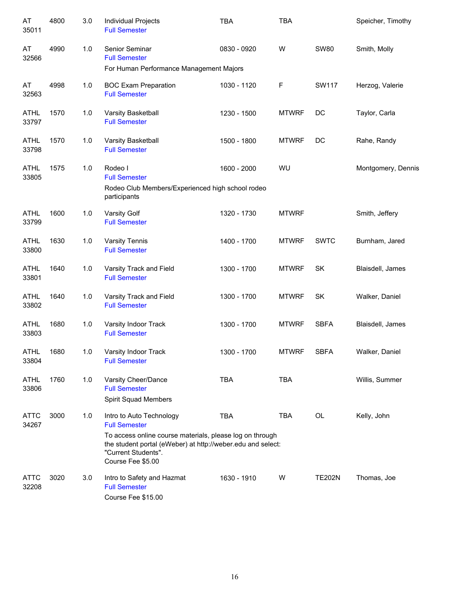| AT<br>35011          | 4800 | 3.0 | Individual Projects<br><b>Full Semester</b>                                                                                                                         | <b>TBA</b>  | <b>TBA</b>   |               | Speicher, Timothy  |
|----------------------|------|-----|---------------------------------------------------------------------------------------------------------------------------------------------------------------------|-------------|--------------|---------------|--------------------|
| AT<br>32566          | 4990 | 1.0 | Senior Seminar<br><b>Full Semester</b>                                                                                                                              | 0830 - 0920 | W            | <b>SW80</b>   | Smith, Molly       |
|                      |      |     | For Human Performance Management Majors                                                                                                                             |             |              |               |                    |
| AT<br>32563          | 4998 | 1.0 | <b>BOC Exam Preparation</b><br><b>Full Semester</b>                                                                                                                 | 1030 - 1120 | F            | <b>SW117</b>  | Herzog, Valerie    |
| ATHL<br>33797        | 1570 | 1.0 | Varsity Basketball<br><b>Full Semester</b>                                                                                                                          | 1230 - 1500 | <b>MTWRF</b> | DC            | Taylor, Carla      |
| ATHL<br>33798        | 1570 | 1.0 | Varsity Basketball<br><b>Full Semester</b>                                                                                                                          | 1500 - 1800 | <b>MTWRF</b> | DC            | Rahe, Randy        |
| ATHL<br>33805        | 1575 | 1.0 | Rodeo I<br><b>Full Semester</b>                                                                                                                                     | 1600 - 2000 | WU           |               | Montgomery, Dennis |
|                      |      |     | Rodeo Club Members/Experienced high school rodeo<br>participants                                                                                                    |             |              |               |                    |
| <b>ATHL</b><br>33799 | 1600 | 1.0 | Varsity Golf<br><b>Full Semester</b>                                                                                                                                | 1320 - 1730 | <b>MTWRF</b> |               | Smith, Jeffery     |
| ATHL<br>33800        | 1630 | 1.0 | Varsity Tennis<br><b>Full Semester</b>                                                                                                                              | 1400 - 1700 | <b>MTWRF</b> | <b>SWTC</b>   | Burnham, Jared     |
| <b>ATHL</b><br>33801 | 1640 | 1.0 | Varsity Track and Field<br><b>Full Semester</b>                                                                                                                     | 1300 - 1700 | <b>MTWRF</b> | SK            | Blaisdell, James   |
| <b>ATHL</b><br>33802 | 1640 | 1.0 | Varsity Track and Field<br><b>Full Semester</b>                                                                                                                     | 1300 - 1700 | <b>MTWRF</b> | SK            | Walker, Daniel     |
| <b>ATHL</b><br>33803 | 1680 | 1.0 | Varsity Indoor Track<br><b>Full Semester</b>                                                                                                                        | 1300 - 1700 | <b>MTWRF</b> | <b>SBFA</b>   | Blaisdell, James   |
| <b>ATHL</b><br>33804 | 1680 | 1.0 | Varsity Indoor Track<br><b>Full Semester</b>                                                                                                                        | 1300 - 1700 | <b>MTWRF</b> | <b>SBFA</b>   | Walker, Daniel     |
| <b>ATHL</b><br>33806 | 1760 | 1.0 | Varsity Cheer/Dance<br><b>Full Semester</b><br>Spirit Squad Members                                                                                                 | <b>TBA</b>  | <b>TBA</b>   |               | Willis, Summer     |
| ATTC<br>34267        | 3000 | 1.0 | Intro to Auto Technology<br><b>Full Semester</b>                                                                                                                    | <b>TBA</b>  | <b>TBA</b>   | OL            | Kelly, John        |
|                      |      |     | To access online course materials, please log on through<br>the student portal (eWeber) at http://weber.edu and select:<br>"Current Students".<br>Course Fee \$5.00 |             |              |               |                    |
| ATTC<br>32208        | 3020 | 3.0 | Intro to Safety and Hazmat<br><b>Full Semester</b><br>Course Fee \$15.00                                                                                            | 1630 - 1910 | W            | <b>TE202N</b> | Thomas, Joe        |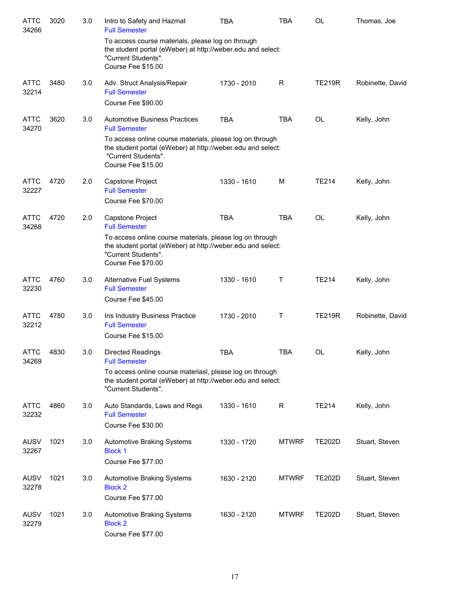| <b>ATTC</b><br>34266 | 3020 | 3.0 | Intro to Safety and Hazmat<br><b>Full Semester</b>                                                                                                                   | <b>TBA</b>  | TBA          | OL            | Thomas, Joe      |
|----------------------|------|-----|----------------------------------------------------------------------------------------------------------------------------------------------------------------------|-------------|--------------|---------------|------------------|
|                      |      |     | To access course materials, please log on through<br>the student portal (eWeber) at http://weber.edu and select:<br>"Current Students".<br>Course Fee \$15.00        |             |              |               |                  |
| <b>ATTC</b><br>32214 | 3480 | 3.0 | Adv. Struct Analysis/Repair<br><b>Full Semester</b><br>Course Fee \$90.00                                                                                            | 1730 - 2010 | R            | <b>TE219R</b> | Robinette, David |
| <b>ATTC</b><br>34270 | 3620 | 3.0 | <b>Automotive Business Practices</b><br><b>Full Semester</b><br>To access online course materials, please log on through                                             | <b>TBA</b>  | <b>TBA</b>   | OL            | Kelly, John      |
|                      |      |     | the student portal (eWeber) at http://weber.edu and select:<br>"Current Students".<br>Course Fee \$15.00                                                             |             |              |               |                  |
| <b>ATTC</b><br>32227 | 4720 | 2.0 | Capstone Project<br><b>Full Semester</b><br>Course Fee \$70.00                                                                                                       | 1330 - 1610 | M            | <b>TE214</b>  | Kelly, John      |
| <b>ATTC</b>          |      |     |                                                                                                                                                                      |             |              |               |                  |
| 34268                | 4720 | 2.0 | Capstone Project<br><b>Full Semester</b>                                                                                                                             | <b>TBA</b>  | <b>TBA</b>   | OL            | Kelly, John      |
|                      |      |     | To access online course materials, please log on through<br>the student portal (eWeber) at http://weber.edu and select:<br>"Current Students".<br>Course Fee \$70.00 |             |              |               |                  |
| <b>ATTC</b><br>32230 | 4760 | 3.0 | Alternative Fuel Systems<br><b>Full Semester</b>                                                                                                                     | 1330 - 1610 | T            | <b>TE214</b>  | Kelly, John      |
|                      |      |     | Course Fee \$45.00                                                                                                                                                   |             |              |               |                  |
| <b>ATTC</b><br>32212 | 4780 | 3.0 | Ins Industry Business Practice<br><b>Full Semester</b>                                                                                                               | 1730 - 2010 | T            | <b>TE219R</b> | Robinette, David |
|                      |      |     | Course Fee \$15.00                                                                                                                                                   |             |              |               |                  |
| <b>ATTC</b><br>34269 | 4830 | 3.0 | Directed Readings<br><b>Full Semester</b>                                                                                                                            | <b>TBA</b>  | <b>TBA</b>   | OL            | Kelly, John      |
|                      |      |     | To access online course materiasl, please log on through<br>the student portal (eWeber) at http://weber.edu and select:<br>"Current Students".                       |             |              |               |                  |
| <b>ATTC</b><br>32232 | 4860 | 3.0 | Auto Standards, Laws and Regs<br><b>Full Semester</b><br>Course Fee \$30.00                                                                                          | 1330 - 1610 | R            | <b>TE214</b>  | Kelly, John      |
| <b>AUSV</b><br>32267 | 1021 | 3.0 | <b>Automotive Braking Systems</b><br><b>Block 1</b><br>Course Fee \$77.00                                                                                            | 1330 - 1720 | <b>MTWRF</b> | <b>TE202D</b> | Stuart, Steven   |
| <b>AUSV</b><br>32278 | 1021 | 3.0 | <b>Automotive Braking Systems</b><br><b>Block 2</b><br>Course Fee \$77.00                                                                                            | 1630 - 2120 | <b>MTWRF</b> | <b>TE202D</b> | Stuart, Steven   |
| <b>AUSV</b><br>32279 | 1021 | 3.0 | <b>Automotive Braking Systems</b><br><b>Block 2</b><br>Course Fee \$77.00                                                                                            | 1630 - 2120 | <b>MTWRF</b> | <b>TE202D</b> | Stuart, Steven   |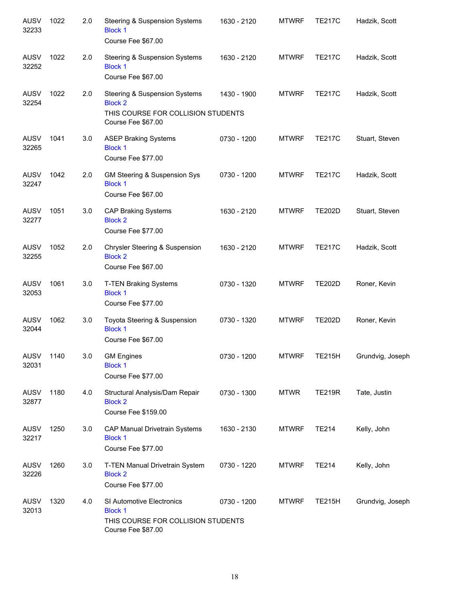| <b>AUSV</b><br>32233 | 1022 | 2.0 | <b>Steering &amp; Suspension Systems</b><br><b>Block 1</b><br>Course Fee \$67.00                            | 1630 - 2120 | <b>MTWRF</b> | <b>TE217C</b> | Hadzik, Scott    |
|----------------------|------|-----|-------------------------------------------------------------------------------------------------------------|-------------|--------------|---------------|------------------|
| AUSV<br>32252        | 1022 | 2.0 | <b>Steering &amp; Suspension Systems</b><br><b>Block 1</b><br>Course Fee \$67.00                            | 1630 - 2120 | <b>MTWRF</b> | <b>TE217C</b> | Hadzik, Scott    |
| <b>AUSV</b><br>32254 | 1022 | 2.0 | Steering & Suspension Systems<br><b>Block 2</b><br>THIS COURSE FOR COLLISION STUDENTS<br>Course Fee \$67.00 | 1430 - 1900 | <b>MTWRF</b> | <b>TE217C</b> | Hadzik, Scott    |
| <b>AUSV</b><br>32265 | 1041 | 3.0 | <b>ASEP Braking Systems</b><br><b>Block 1</b><br>Course Fee \$77.00                                         | 0730 - 1200 | <b>MTWRF</b> | <b>TE217C</b> | Stuart, Steven   |
| <b>AUSV</b><br>32247 | 1042 | 2.0 | GM Steering & Suspension Sys<br><b>Block 1</b><br>Course Fee \$67.00                                        | 0730 - 1200 | <b>MTWRF</b> | <b>TE217C</b> | Hadzik, Scott    |
| <b>AUSV</b><br>32277 | 1051 | 3.0 | <b>CAP Braking Systems</b><br><b>Block 2</b><br>Course Fee \$77.00                                          | 1630 - 2120 | <b>MTWRF</b> | <b>TE202D</b> | Stuart, Steven   |
| <b>AUSV</b><br>32255 | 1052 | 2.0 | Chrysler Steering & Suspension<br><b>Block 2</b><br>Course Fee \$67.00                                      | 1630 - 2120 | <b>MTWRF</b> | <b>TE217C</b> | Hadzik, Scott    |
| <b>AUSV</b><br>32053 | 1061 | 3.0 | <b>T-TEN Braking Systems</b><br><b>Block 1</b><br>Course Fee \$77.00                                        | 0730 - 1320 | <b>MTWRF</b> | <b>TE202D</b> | Roner, Kevin     |
| <b>AUSV</b><br>32044 | 1062 | 3.0 | Toyota Steering & Suspension<br><b>Block 1</b><br>Course Fee \$67.00                                        | 0730 - 1320 | <b>MTWRF</b> | <b>TE202D</b> | Roner, Kevin     |
| AUSV 1140<br>32031   |      | 3.0 | <b>GM Engines</b><br><b>Block 1</b><br>Course Fee \$77.00                                                   | 0730 - 1200 |              | MTWRF TE215H  | Grundvig, Joseph |
| AUSV<br>32877        | 1180 | 4.0 | Structural Analysis/Dam Repair<br><b>Block 2</b><br>Course Fee \$159.00                                     | 0730 - 1300 | <b>MTWR</b>  | <b>TE219R</b> | Tate, Justin     |
| AUSV<br>32217        | 1250 | 3.0 | CAP Manual Drivetrain Systems<br><b>Block 1</b><br>Course Fee \$77.00                                       | 1630 - 2130 | <b>MTWRF</b> | <b>TE214</b>  | Kelly, John      |
| <b>AUSV</b><br>32226 | 1260 | 3.0 | T-TEN Manual Drivetrain System<br><b>Block 2</b><br>Course Fee \$77.00                                      | 0730 - 1220 | <b>MTWRF</b> | <b>TE214</b>  | Kelly, John      |
| AUSV<br>32013        | 1320 | 4.0 | SI Automotive Electronics<br><b>Block 1</b><br>THIS COURSE FOR COLLISION STUDENTS<br>Course Fee \$87.00     | 0730 - 1200 | <b>MTWRF</b> | <b>TE215H</b> | Grundvig, Joseph |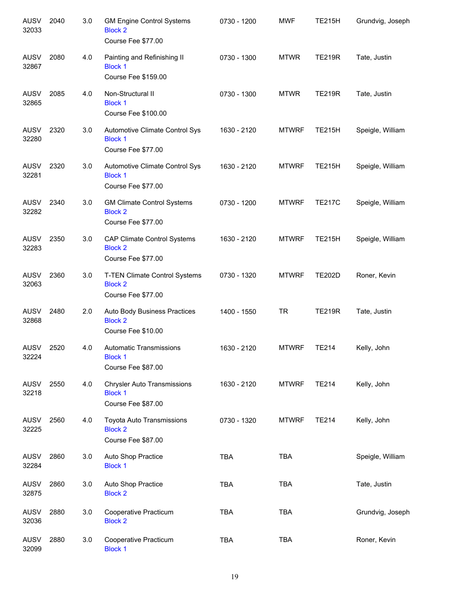| <b>AUSV</b><br>32033 | 2040 | 3.0 | <b>GM Engine Control Systems</b><br><b>Block 2</b><br>Course Fee \$77.00   | 0730 - 1200 | <b>MWF</b>   | <b>TE215H</b> | Grundvig, Joseph |
|----------------------|------|-----|----------------------------------------------------------------------------|-------------|--------------|---------------|------------------|
| <b>AUSV</b><br>32867 | 2080 | 4.0 | Painting and Refinishing II<br><b>Block 1</b><br>Course Fee \$159.00       | 0730 - 1300 | <b>MTWR</b>  | <b>TE219R</b> | Tate, Justin     |
| <b>AUSV</b><br>32865 | 2085 | 4.0 | Non-Structural II<br><b>Block 1</b><br>Course Fee \$100.00                 | 0730 - 1300 | <b>MTWR</b>  | <b>TE219R</b> | Tate, Justin     |
| <b>AUSV</b><br>32280 | 2320 | 3.0 | Automotive Climate Control Sys<br><b>Block 1</b><br>Course Fee \$77.00     | 1630 - 2120 | <b>MTWRF</b> | <b>TE215H</b> | Speigle, William |
| <b>AUSV</b><br>32281 | 2320 | 3.0 | Automotive Climate Control Sys<br><b>Block 1</b><br>Course Fee \$77.00     | 1630 - 2120 | <b>MTWRF</b> | <b>TE215H</b> | Speigle, William |
| <b>AUSV</b><br>32282 | 2340 | 3.0 | <b>GM Climate Control Systems</b><br><b>Block 2</b><br>Course Fee \$77.00  | 0730 - 1200 | <b>MTWRF</b> | <b>TE217C</b> | Speigle, William |
| <b>AUSV</b><br>32283 | 2350 | 3.0 | <b>CAP Climate Control Systems</b><br><b>Block 2</b><br>Course Fee \$77.00 | 1630 - 2120 | <b>MTWRF</b> | <b>TE215H</b> | Speigle, William |
| <b>AUSV</b><br>32063 | 2360 | 3.0 | T-TEN Climate Control Systems<br><b>Block 2</b><br>Course Fee \$77.00      | 0730 - 1320 | <b>MTWRF</b> | <b>TE202D</b> | Roner, Kevin     |
| AUSV<br>32868        | 2480 | 2.0 | Auto Body Business Practices<br><b>Block 2</b><br>Course Fee \$10.00       | 1400 - 1550 | <b>TR</b>    | <b>TE219R</b> | Tate, Justin     |
| AUSV<br>32224        | 2520 | 4.0 | <b>Automatic Transmissions</b><br><b>Block 1</b><br>Course Fee \$87.00     | 1630 - 2120 | <b>MTWRF</b> | <b>TE214</b>  | Kelly, John      |
| <b>AUSV</b><br>32218 | 2550 | 4.0 | <b>Chrysler Auto Transmissions</b><br><b>Block 1</b><br>Course Fee \$87.00 | 1630 - 2120 | <b>MTWRF</b> | <b>TE214</b>  | Kelly, John      |
| <b>AUSV</b><br>32225 | 2560 | 4.0 | Toyota Auto Transmissions<br><b>Block 2</b><br>Course Fee \$87.00          | 0730 - 1320 | <b>MTWRF</b> | <b>TE214</b>  | Kelly, John      |
| <b>AUSV</b><br>32284 | 2860 | 3.0 | Auto Shop Practice<br><b>Block 1</b>                                       | <b>TBA</b>  | <b>TBA</b>   |               | Speigle, William |
| <b>AUSV</b><br>32875 | 2860 | 3.0 | Auto Shop Practice<br><b>Block 2</b>                                       | <b>TBA</b>  | TBA          |               | Tate, Justin     |
| <b>AUSV</b><br>32036 | 2880 | 3.0 | Cooperative Practicum<br><b>Block 2</b>                                    | <b>TBA</b>  | <b>TBA</b>   |               | Grundvig, Joseph |
| <b>AUSV</b><br>32099 | 2880 | 3.0 | Cooperative Practicum<br><b>Block 1</b>                                    | <b>TBA</b>  | <b>TBA</b>   |               | Roner, Kevin     |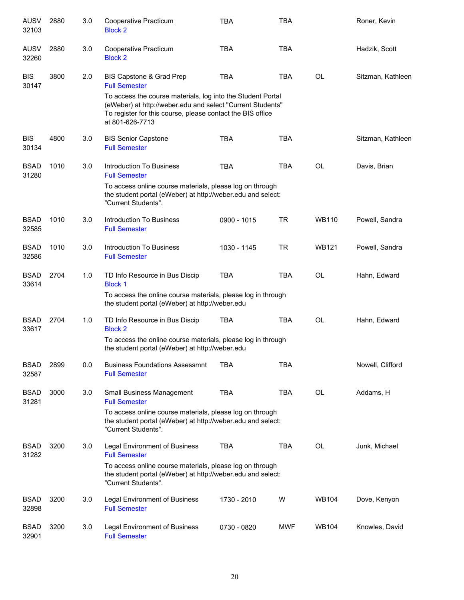| <b>AUSV</b><br>32103 | 2880 | 3.0 | Cooperative Practicum<br><b>Block 2</b>                                                                                                                                                                    | <b>TBA</b>    | <b>TBA</b> |              | Roner, Kevin      |
|----------------------|------|-----|------------------------------------------------------------------------------------------------------------------------------------------------------------------------------------------------------------|---------------|------------|--------------|-------------------|
| <b>AUSV</b><br>32260 | 2880 | 3.0 | Cooperative Practicum<br><b>Block 2</b>                                                                                                                                                                    | <b>TBA</b>    | <b>TBA</b> |              | Hadzik, Scott     |
| <b>BIS</b><br>30147  | 3800 | 2.0 | BIS Capstone & Grad Prep<br><b>Full Semester</b>                                                                                                                                                           | <b>TBA</b>    | <b>TBA</b> | <b>OL</b>    | Sitzman, Kathleen |
|                      |      |     | To access the course materials, log into the Student Portal<br>(eWeber) at http://weber.edu and select "Current Students"<br>To register for this course, please contact the BIS office<br>at 801-626-7713 |               |            |              |                   |
| <b>BIS</b><br>30134  | 4800 | 3.0 | <b>BIS Senior Capstone</b><br><b>Full Semester</b>                                                                                                                                                         | <b>TBA</b>    | <b>TBA</b> |              | Sitzman, Kathleen |
| <b>BSAD</b><br>31280 | 1010 | 3.0 | Introduction To Business<br><b>Full Semester</b>                                                                                                                                                           | <b>TBA</b>    | <b>TBA</b> | <b>OL</b>    | Davis, Brian      |
|                      |      |     | To access online course materials, please log on through<br>the student portal (eWeber) at http://weber.edu and select:<br>"Current Students".                                                             |               |            |              |                   |
| <b>BSAD</b><br>32585 | 1010 | 3.0 | Introduction To Business<br><b>Full Semester</b>                                                                                                                                                           | $0900 - 1015$ | <b>TR</b>  | <b>WB110</b> | Powell, Sandra    |
| <b>BSAD</b><br>32586 | 1010 | 3.0 | Introduction To Business<br><b>Full Semester</b>                                                                                                                                                           | 1030 - 1145   | <b>TR</b>  | <b>WB121</b> | Powell, Sandra    |
| <b>BSAD</b><br>33614 | 2704 | 1.0 | TD Info Resource in Bus Discip<br><b>Block 1</b>                                                                                                                                                           | <b>TBA</b>    | <b>TBA</b> | <b>OL</b>    | Hahn, Edward      |
|                      |      |     | To access the online course materials, please log in through<br>the student portal (eWeber) at http://weber.edu                                                                                            |               |            |              |                   |
| <b>BSAD</b><br>33617 | 2704 | 1.0 | TD Info Resource in Bus Discip<br><b>Block 2</b>                                                                                                                                                           | <b>TBA</b>    | <b>TBA</b> | <b>OL</b>    | Hahn, Edward      |
|                      |      |     | To access the online course materials, please log in through<br>the student portal (eWeber) at http://weber.edu                                                                                            |               |            |              |                   |
| <b>BSAD</b><br>32587 | 2899 | 0.0 | <b>Business Foundations Assessmnt</b><br><b>Full Semester</b>                                                                                                                                              | <b>TBA</b>    | <b>TBA</b> |              | Nowell, Clifford  |
| <b>BSAD</b><br>31281 | 3000 | 3.0 | Small Business Management<br><b>Full Semester</b>                                                                                                                                                          | <b>TBA</b>    | <b>TBA</b> | <b>OL</b>    | Addams, H         |
|                      |      |     | To access online course materials, please log on through<br>the student portal (eWeber) at http://weber.edu and select:<br>"Current Students".                                                             |               |            |              |                   |
| <b>BSAD</b><br>31282 | 3200 | 3.0 | <b>Legal Environment of Business</b><br><b>Full Semester</b>                                                                                                                                               | <b>TBA</b>    | TBA        | OL           | Junk, Michael     |
|                      |      |     | To access online course materials, please log on through<br>the student portal (eWeber) at http://weber.edu and select:<br>"Current Students".                                                             |               |            |              |                   |
| <b>BSAD</b><br>32898 | 3200 | 3.0 | Legal Environment of Business<br><b>Full Semester</b>                                                                                                                                                      | 1730 - 2010   | W          | <b>WB104</b> | Dove, Kenyon      |
| <b>BSAD</b><br>32901 | 3200 | 3.0 | Legal Environment of Business<br><b>Full Semester</b>                                                                                                                                                      | 0730 - 0820   | MWF        | <b>WB104</b> | Knowles, David    |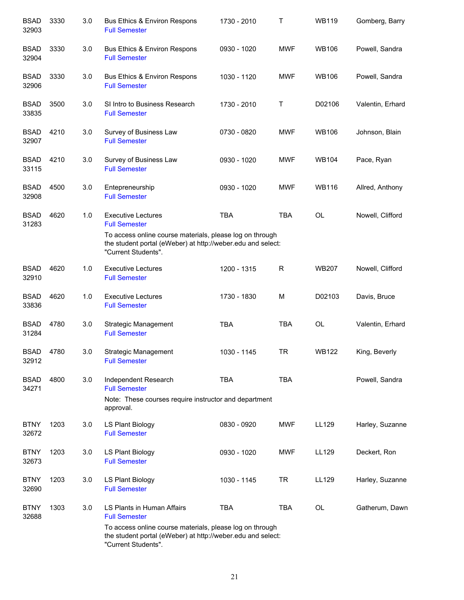| <b>BSAD</b><br>32903 | 3330 | 3.0 | <b>Bus Ethics &amp; Environ Respons</b><br><b>Full Semester</b>                                                                                | 1730 - 2010 | Τ          | <b>WB119</b> | Gomberg, Barry   |
|----------------------|------|-----|------------------------------------------------------------------------------------------------------------------------------------------------|-------------|------------|--------------|------------------|
| <b>BSAD</b><br>32904 | 3330 | 3.0 | Bus Ethics & Environ Respons<br><b>Full Semester</b>                                                                                           | 0930 - 1020 | <b>MWF</b> | WB106        | Powell, Sandra   |
| <b>BSAD</b><br>32906 | 3330 | 3.0 | Bus Ethics & Environ Respons<br><b>Full Semester</b>                                                                                           | 1030 - 1120 | <b>MWF</b> | <b>WB106</b> | Powell, Sandra   |
| <b>BSAD</b><br>33835 | 3500 | 3.0 | SI Intro to Business Research<br><b>Full Semester</b>                                                                                          | 1730 - 2010 | Т          | D02106       | Valentin, Erhard |
| <b>BSAD</b><br>32907 | 4210 | 3.0 | Survey of Business Law<br><b>Full Semester</b>                                                                                                 | 0730 - 0820 | <b>MWF</b> | <b>WB106</b> | Johnson, Blain   |
| <b>BSAD</b><br>33115 | 4210 | 3.0 | Survey of Business Law<br><b>Full Semester</b>                                                                                                 | 0930 - 1020 | <b>MWF</b> | <b>WB104</b> | Pace, Ryan       |
| <b>BSAD</b><br>32908 | 4500 | 3.0 | Entepreneurship<br><b>Full Semester</b>                                                                                                        | 0930 - 1020 | <b>MWF</b> | <b>WB116</b> | Allred, Anthony  |
| <b>BSAD</b><br>31283 | 4620 | 1.0 | <b>Executive Lectures</b><br><b>Full Semester</b>                                                                                              | <b>TBA</b>  | <b>TBA</b> | <b>OL</b>    | Nowell, Clifford |
|                      |      |     | To access online course materials, please log on through<br>the student portal (eWeber) at http://weber.edu and select:<br>"Current Students". |             |            |              |                  |
| <b>BSAD</b><br>32910 | 4620 | 1.0 | <b>Executive Lectures</b><br><b>Full Semester</b>                                                                                              | 1200 - 1315 | R          | <b>WB207</b> | Nowell, Clifford |
| <b>BSAD</b><br>33836 | 4620 | 1.0 | <b>Executive Lectures</b><br><b>Full Semester</b>                                                                                              | 1730 - 1830 | M          | D02103       | Davis, Bruce     |
| <b>BSAD</b><br>31284 | 4780 | 3.0 | <b>Strategic Management</b><br><b>Full Semester</b>                                                                                            | <b>TBA</b>  | <b>TBA</b> | <b>OL</b>    | Valentin, Erhard |
| <b>BSAD</b><br>32912 | 4780 | 3.0 | <b>Strategic Management</b><br><b>Full Semester</b>                                                                                            | 1030 - 1145 | <b>TR</b>  | <b>WB122</b> | King, Beverly    |
| <b>BSAD</b><br>34271 | 4800 | 3.0 | Independent Research<br><b>Full Semester</b>                                                                                                   | <b>TBA</b>  | <b>TBA</b> |              | Powell, Sandra   |
|                      |      |     | Note: These courses require instructor and department<br>approval.                                                                             |             |            |              |                  |
| <b>BTNY</b><br>32672 | 1203 | 3.0 | LS Plant Biology<br><b>Full Semester</b>                                                                                                       | 0830 - 0920 | <b>MWF</b> | LL129        | Harley, Suzanne  |
| <b>BTNY</b><br>32673 | 1203 | 3.0 | LS Plant Biology<br><b>Full Semester</b>                                                                                                       | 0930 - 1020 | <b>MWF</b> | LL129        | Deckert, Ron     |
| <b>BTNY</b><br>32690 | 1203 | 3.0 | LS Plant Biology<br><b>Full Semester</b>                                                                                                       | 1030 - 1145 | TR.        | LL129        | Harley, Suzanne  |
| <b>BTNY</b><br>32688 | 1303 | 3.0 | LS Plants in Human Affairs<br><b>Full Semester</b>                                                                                             | <b>TBA</b>  | <b>TBA</b> | OL           | Gatherum, Dawn   |
|                      |      |     | To access online course materials, please log on through<br>the student portal (eWeber) at http://weber.edu and select:<br>"Current Students". |             |            |              |                  |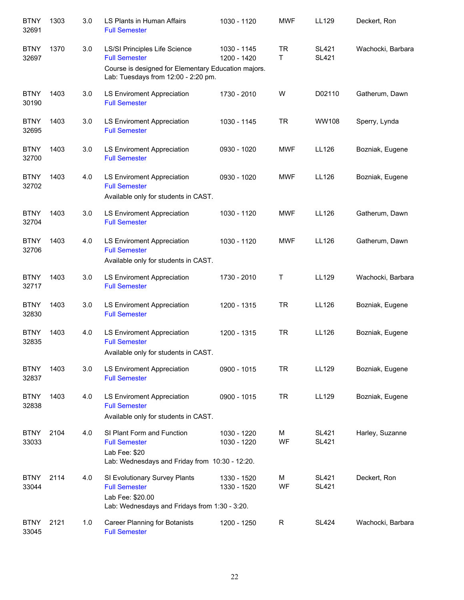| <b>BTNY</b><br>32691 | 1303 | 3.0 | LS Plants in Human Affairs<br><b>Full Semester</b>                                                                         | 1030 - 1120                | <b>MWF</b>     | LL129                        | Deckert, Ron      |
|----------------------|------|-----|----------------------------------------------------------------------------------------------------------------------------|----------------------------|----------------|------------------------------|-------------------|
| <b>BTNY</b><br>32697 | 1370 | 3.0 | LS/SI Principles Life Science<br><b>Full Semester</b>                                                                      | 1030 - 1145<br>1200 - 1420 | <b>TR</b><br>T | <b>SL421</b><br><b>SL421</b> | Wachocki, Barbara |
|                      |      |     | Course is designed for Elementary Education majors.<br>Lab: Tuesdays from 12:00 - 2:20 pm.                                 |                            |                |                              |                   |
| <b>BTNY</b><br>30190 | 1403 | 3.0 | <b>LS Enviroment Appreciation</b><br><b>Full Semester</b>                                                                  | 1730 - 2010                | W              | D02110                       | Gatherum, Dawn    |
| <b>BTNY</b><br>32695 | 1403 | 3.0 | LS Enviroment Appreciation<br><b>Full Semester</b>                                                                         | 1030 - 1145                | <b>TR</b>      | WW108                        | Sperry, Lynda     |
| <b>BTNY</b><br>32700 | 1403 | 3.0 | LS Enviroment Appreciation<br><b>Full Semester</b>                                                                         | 0930 - 1020                | <b>MWF</b>     | LL126                        | Bozniak, Eugene   |
| <b>BTNY</b><br>32702 | 1403 | 4.0 | LS Enviroment Appreciation<br><b>Full Semester</b><br>Available only for students in CAST.                                 | 0930 - 1020                | <b>MWF</b>     | LL126                        | Bozniak, Eugene   |
| <b>BTNY</b><br>32704 | 1403 | 3.0 | <b>LS Enviroment Appreciation</b><br><b>Full Semester</b>                                                                  | 1030 - 1120                | <b>MWF</b>     | LL126                        | Gatherum, Dawn    |
| <b>BTNY</b><br>32706 | 1403 | 4.0 | LS Enviroment Appreciation<br><b>Full Semester</b><br>Available only for students in CAST.                                 | 1030 - 1120                | <b>MWF</b>     | LL126                        | Gatherum, Dawn    |
| <b>BTNY</b><br>32717 | 1403 | 3.0 | LS Enviroment Appreciation<br><b>Full Semester</b>                                                                         | 1730 - 2010                | Τ              | LL129                        | Wachocki, Barbara |
| <b>BTNY</b><br>32830 | 1403 | 3.0 | LS Enviroment Appreciation<br><b>Full Semester</b>                                                                         | 1200 - 1315                | <b>TR</b>      | LL126                        | Bozniak, Eugene   |
| <b>BTNY</b><br>32835 | 1403 | 4.0 | <b>LS Enviroment Appreciation</b><br><b>Full Semester</b><br>Available only for students in CAST.                          | 1200 - 1315                | <b>TR</b>      | LL126                        | Bozniak, Eugene   |
| <b>BTNY</b><br>32837 | 1403 | 3.0 | <b>LS Enviroment Appreciation</b><br><b>Full Semester</b>                                                                  | 0900 - 1015                | <b>TR</b>      | LL129                        | Bozniak, Eugene   |
| <b>BTNY</b><br>32838 | 1403 | 4.0 | <b>LS Enviroment Appreciation</b><br><b>Full Semester</b><br>Available only for students in CAST.                          | 0900 - 1015                | <b>TR</b>      | LL129                        | Bozniak, Eugene   |
| <b>BTNY</b><br>33033 | 2104 | 4.0 | SI Plant Form and Function<br><b>Full Semester</b><br>Lab Fee: \$20<br>Lab: Wednesdays and Friday from 10:30 - 12:20.      | 1030 - 1220<br>1030 - 1220 | M<br>WF        | <b>SL421</b><br><b>SL421</b> | Harley, Suzanne   |
| <b>BTNY</b><br>33044 | 2114 | 4.0 | SI Evolutionary Survey Plants<br><b>Full Semester</b><br>Lab Fee: \$20.00<br>Lab: Wednesdays and Fridays from 1:30 - 3:20. | 1330 - 1520<br>1330 - 1520 | M<br>WF        | <b>SL421</b><br><b>SL421</b> | Deckert, Ron      |
| <b>BTNY</b><br>33045 | 2121 | 1.0 | <b>Career Planning for Botanists</b><br><b>Full Semester</b>                                                               | 1200 - 1250                | R              | SL424                        | Wachocki, Barbara |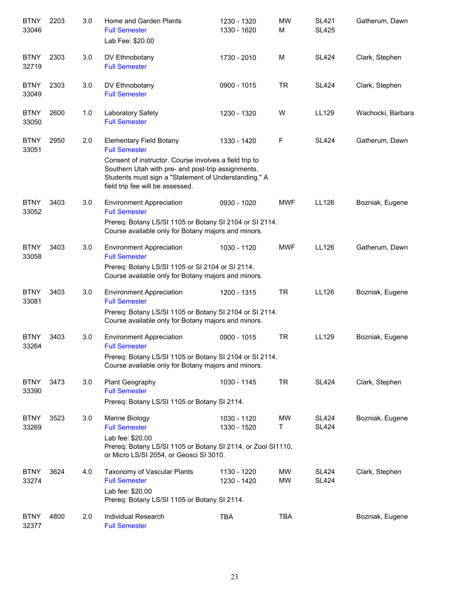| <b>BTNY</b><br>33046 | 2203 | 3.0 | Home and Garden Plants<br><b>Full Semester</b><br>Lab Fee: \$20.00                                                                                                                                       | 1230 - 1320<br>1330 - 1620 | <b>MW</b><br>М  | <b>SL421</b><br><b>SL425</b> | Gatherum, Dawn    |
|----------------------|------|-----|----------------------------------------------------------------------------------------------------------------------------------------------------------------------------------------------------------|----------------------------|-----------------|------------------------------|-------------------|
| <b>BTNY</b><br>32719 | 2303 | 3.0 | DV Ethnobotany<br><b>Full Semester</b>                                                                                                                                                                   | 1730 - 2010                | M               | <b>SL424</b>                 | Clark, Stephen    |
| <b>BTNY</b><br>33049 | 2303 | 3.0 | DV Ethnobotany<br><b>Full Semester</b>                                                                                                                                                                   | 0900 - 1015                | <b>TR</b>       | <b>SL424</b>                 | Clark, Stephen    |
| <b>BTNY</b><br>33050 | 2600 | 1.0 | Laboratory Safety<br><b>Full Semester</b>                                                                                                                                                                | 1230 - 1320                | W               | LL129                        | Wachocki, Barbara |
| <b>BTNY</b><br>33051 | 2950 | 2.0 | <b>Elementary Field Botany</b><br><b>Full Semester</b>                                                                                                                                                   | 1330 - 1420                | F               | <b>SL424</b>                 | Gatherum, Dawn    |
|                      |      |     | Consent of instructor. Course involves a field trip to<br>Southern Utah with pre- and post-trip assignments.<br>Students must sign a "Statement of Understanding." A<br>field trip fee will be assessed. |                            |                 |                              |                   |
| <b>BTNY</b><br>33052 | 3403 | 3.0 | <b>Environment Appreciation</b><br><b>Full Semester</b>                                                                                                                                                  | 0930 - 1020                | <b>MWF</b>      | LL126                        | Bozniak, Eugene   |
|                      |      |     | Prereq: Botany LS/SI 1105 or Botany SI 2104 or SI 2114.<br>Course available only for Botany majors and minors.                                                                                           |                            |                 |                              |                   |
| <b>BTNY</b><br>33058 | 3403 | 3.0 | <b>Environment Appreciation</b><br><b>Full Semester</b>                                                                                                                                                  | 1030 - 1120                | <b>MWF</b>      | LL126                        | Gatherum, Dawn    |
|                      |      |     | Prereq: Botany LS/SI 1105 or SI 2104 or SI 2114.<br>Course available only for Botany majors and minors.                                                                                                  |                            |                 |                              |                   |
| <b>BTNY</b><br>33081 | 3403 | 3.0 | <b>Environment Appreciation</b><br><b>Full Semester</b>                                                                                                                                                  | 1200 - 1315                | <b>TR</b>       | LL126                        | Bozniak, Eugene   |
|                      |      |     | Prereg: Botany LS/SI 1105 or Botany SI 2104 or SI 2114.<br>Course available only for Botany majors and minors.                                                                                           |                            |                 |                              |                   |
| <b>BTNY</b><br>33264 | 3403 | 3.0 | <b>Environment Appreciation</b><br><b>Full Semester</b>                                                                                                                                                  | 0900 - 1015                | <b>TR</b>       | LL129                        | Bozniak, Eugene   |
|                      |      |     | Prereq: Botany LS/SI 1105 or Botany SI 2104 or SI 2114.<br>Course available only for Botany majors and minors.                                                                                           |                            |                 |                              |                   |
| <b>BTNY</b><br>33390 | 3473 | 3.0 | Plant Geography<br><b>Full Semester</b>                                                                                                                                                                  | 1030 - 1145                | <b>TR</b>       | <b>SL424</b>                 | Clark, Stephen    |
|                      |      |     | Prereq: Botany LS/SI 1105 or Botany SI 2114.                                                                                                                                                             |                            |                 |                              |                   |
| <b>BTNY</b><br>33269 | 3523 | 3.0 | Marine Biology<br><b>Full Semester</b>                                                                                                                                                                   | 1030 - 1120<br>1330 - 1520 | <b>MW</b><br>T  | <b>SL424</b><br><b>SL424</b> | Bozniak, Eugene   |
|                      |      |     | Lab fee: \$20.00<br>Prereq: Botany LS/SI 1105 or Botany SI 2114, or Zool SI1110,<br>or Micro LS/SI 2054, or Geosci SI 3010.                                                                              |                            |                 |                              |                   |
| <b>BTNY</b><br>33274 | 3624 | 4.0 | Taxonomy of Vascular Plants<br><b>Full Semester</b>                                                                                                                                                      | 1130 - 1220<br>1230 - 1420 | MW<br><b>MW</b> | <b>SL424</b><br><b>SL424</b> | Clark, Stephen    |
|                      |      |     | Lab fee: \$20.00<br>Prereq: Botany LS/SI 1105 or Botany SI 2114.                                                                                                                                         |                            |                 |                              |                   |
| <b>BTNY</b><br>32377 | 4800 | 2.0 | Individual Research<br><b>Full Semester</b>                                                                                                                                                              | <b>TBA</b>                 | <b>TBA</b>      |                              | Bozniak, Eugene   |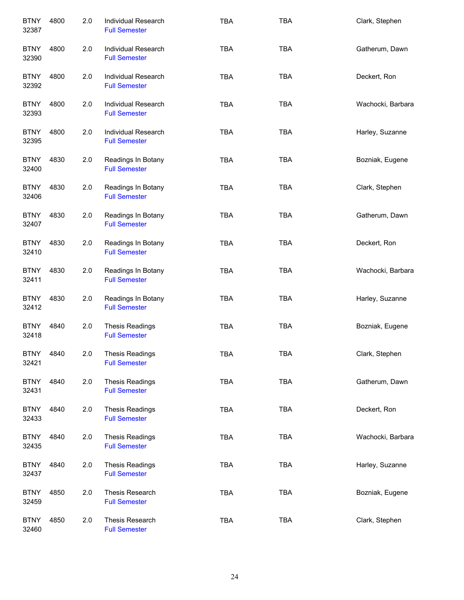| <b>BTNY</b><br>32387 | 4800 | 2.0 | Individual Research<br><b>Full Semester</b>    | <b>TBA</b> | <b>TBA</b> | Clark, Stephen    |
|----------------------|------|-----|------------------------------------------------|------------|------------|-------------------|
| <b>BTNY</b><br>32390 | 4800 | 2.0 | Individual Research<br><b>Full Semester</b>    | <b>TBA</b> | <b>TBA</b> | Gatherum, Dawn    |
| <b>BTNY</b><br>32392 | 4800 | 2.0 | Individual Research<br><b>Full Semester</b>    | <b>TBA</b> | <b>TBA</b> | Deckert, Ron      |
| <b>BTNY</b><br>32393 | 4800 | 2.0 | Individual Research<br><b>Full Semester</b>    | <b>TBA</b> | <b>TBA</b> | Wachocki, Barbara |
| <b>BTNY</b><br>32395 | 4800 | 2.0 | Individual Research<br><b>Full Semester</b>    | <b>TBA</b> | <b>TBA</b> | Harley, Suzanne   |
| <b>BTNY</b><br>32400 | 4830 | 2.0 | Readings In Botany<br><b>Full Semester</b>     | <b>TBA</b> | <b>TBA</b> | Bozniak, Eugene   |
| <b>BTNY</b><br>32406 | 4830 | 2.0 | Readings In Botany<br><b>Full Semester</b>     | <b>TBA</b> | <b>TBA</b> | Clark, Stephen    |
| <b>BTNY</b><br>32407 | 4830 | 2.0 | Readings In Botany<br><b>Full Semester</b>     | <b>TBA</b> | <b>TBA</b> | Gatherum, Dawn    |
| <b>BTNY</b><br>32410 | 4830 | 2.0 | Readings In Botany<br><b>Full Semester</b>     | <b>TBA</b> | <b>TBA</b> | Deckert, Ron      |
| <b>BTNY</b><br>32411 | 4830 | 2.0 | Readings In Botany<br><b>Full Semester</b>     | <b>TBA</b> | <b>TBA</b> | Wachocki, Barbara |
| <b>BTNY</b><br>32412 | 4830 | 2.0 | Readings In Botany<br><b>Full Semester</b>     | <b>TBA</b> | <b>TBA</b> | Harley, Suzanne   |
| <b>BTNY</b><br>32418 | 4840 | 2.0 | <b>Thesis Readings</b><br><b>Full Semester</b> | <b>TBA</b> | <b>TBA</b> | Bozniak, Eugene   |
| <b>BTNY</b><br>32421 | 4840 | 2.0 | <b>Thesis Readings</b><br><b>Full Semester</b> | <b>TBA</b> | <b>TBA</b> | Clark, Stephen    |
| <b>BTNY</b><br>32431 | 4840 | 2.0 | <b>Thesis Readings</b><br><b>Full Semester</b> | <b>TBA</b> | <b>TBA</b> | Gatherum, Dawn    |
| <b>BTNY</b><br>32433 | 4840 | 2.0 | <b>Thesis Readings</b><br><b>Full Semester</b> | <b>TBA</b> | <b>TBA</b> | Deckert, Ron      |
| <b>BTNY</b><br>32435 | 4840 | 2.0 | <b>Thesis Readings</b><br><b>Full Semester</b> | <b>TBA</b> | <b>TBA</b> | Wachocki, Barbara |
| <b>BTNY</b><br>32437 | 4840 | 2.0 | <b>Thesis Readings</b><br><b>Full Semester</b> | <b>TBA</b> | <b>TBA</b> | Harley, Suzanne   |
| <b>BTNY</b><br>32459 | 4850 | 2.0 | Thesis Research<br><b>Full Semester</b>        | <b>TBA</b> | <b>TBA</b> | Bozniak, Eugene   |
| <b>BTNY</b><br>32460 | 4850 | 2.0 | Thesis Research<br><b>Full Semester</b>        | TBA        | <b>TBA</b> | Clark, Stephen    |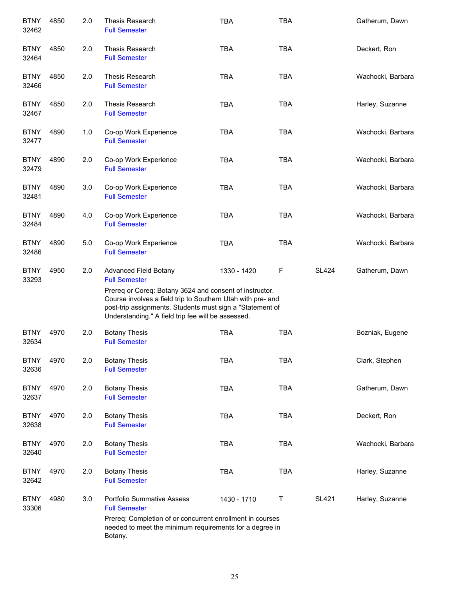| <b>BTNY</b><br>32462 | 4850 | 2.0 | Thesis Research<br><b>Full Semester</b>                                                                                                                                                                                                   | TBA         | <b>TBA</b> |              | Gatherum, Dawn    |
|----------------------|------|-----|-------------------------------------------------------------------------------------------------------------------------------------------------------------------------------------------------------------------------------------------|-------------|------------|--------------|-------------------|
| <b>BTNY</b><br>32464 | 4850 | 2.0 | Thesis Research<br><b>Full Semester</b>                                                                                                                                                                                                   | <b>TBA</b>  | <b>TBA</b> |              | Deckert, Ron      |
| <b>BTNY</b><br>32466 | 4850 | 2.0 | Thesis Research<br><b>Full Semester</b>                                                                                                                                                                                                   | <b>TBA</b>  | <b>TBA</b> |              | Wachocki, Barbara |
| <b>BTNY</b><br>32467 | 4850 | 2.0 | Thesis Research<br><b>Full Semester</b>                                                                                                                                                                                                   | <b>TBA</b>  | <b>TBA</b> |              | Harley, Suzanne   |
| <b>BTNY</b><br>32477 | 4890 | 1.0 | Co-op Work Experience<br><b>Full Semester</b>                                                                                                                                                                                             | <b>TBA</b>  | <b>TBA</b> |              | Wachocki, Barbara |
| <b>BTNY</b><br>32479 | 4890 | 2.0 | Co-op Work Experience<br><b>Full Semester</b>                                                                                                                                                                                             | <b>TBA</b>  | <b>TBA</b> |              | Wachocki, Barbara |
| <b>BTNY</b><br>32481 | 4890 | 3.0 | Co-op Work Experience<br><b>Full Semester</b>                                                                                                                                                                                             | <b>TBA</b>  | <b>TBA</b> |              | Wachocki, Barbara |
| <b>BTNY</b><br>32484 | 4890 | 4.0 | Co-op Work Experience<br><b>Full Semester</b>                                                                                                                                                                                             | <b>TBA</b>  | <b>TBA</b> |              | Wachocki, Barbara |
| <b>BTNY</b><br>32486 | 4890 | 5.0 | Co-op Work Experience<br><b>Full Semester</b>                                                                                                                                                                                             | <b>TBA</b>  | <b>TBA</b> |              | Wachocki, Barbara |
| <b>BTNY</b><br>33293 | 4950 | 2.0 | <b>Advanced Field Botany</b><br><b>Full Semester</b>                                                                                                                                                                                      | 1330 - 1420 | F          | <b>SL424</b> | Gatherum, Dawn    |
|                      |      |     | Prereq or Coreq: Botany 3624 and consent of instructor.<br>Course involves a field trip to Southern Utah with pre- and<br>post-trip assignments. Students must sign a "Statement of<br>Understanding." A field trip fee will be assessed. |             |            |              |                   |
| <b>BTNY</b><br>32634 | 4970 | 2.0 | <b>Botany Thesis</b><br><b>Full Semester</b>                                                                                                                                                                                              | <b>TBA</b>  | <b>TBA</b> |              | Bozniak, Eugene   |
| <b>BTNY</b><br>32636 | 4970 | 2.0 | <b>Botany Thesis</b><br><b>Full Semester</b>                                                                                                                                                                                              | TBA         | TBA        |              | Clark, Stephen    |
| <b>BTNY</b><br>32637 | 4970 | 2.0 | <b>Botany Thesis</b><br><b>Full Semester</b>                                                                                                                                                                                              | <b>TBA</b>  | <b>TBA</b> |              | Gatherum, Dawn    |
| <b>BTNY</b><br>32638 | 4970 | 2.0 | <b>Botany Thesis</b><br><b>Full Semester</b>                                                                                                                                                                                              | <b>TBA</b>  | <b>TBA</b> |              | Deckert, Ron      |
| <b>BTNY</b><br>32640 | 4970 | 2.0 | <b>Botany Thesis</b><br><b>Full Semester</b>                                                                                                                                                                                              | <b>TBA</b>  | <b>TBA</b> |              | Wachocki, Barbara |
| <b>BTNY</b><br>32642 | 4970 | 2.0 | <b>Botany Thesis</b><br><b>Full Semester</b>                                                                                                                                                                                              | <b>TBA</b>  | <b>TBA</b> |              | Harley, Suzanne   |
| <b>BTNY</b><br>33306 | 4980 | 3.0 | <b>Portfolio Summative Assess</b><br><b>Full Semester</b>                                                                                                                                                                                 | 1430 - 1710 | Τ          | <b>SL421</b> | Harley, Suzanne   |
|                      |      |     | Prereq: Completion of or concurrent enrollment in courses<br>needed to meet the minimum requirements for a degree in<br>Botany.                                                                                                           |             |            |              |                   |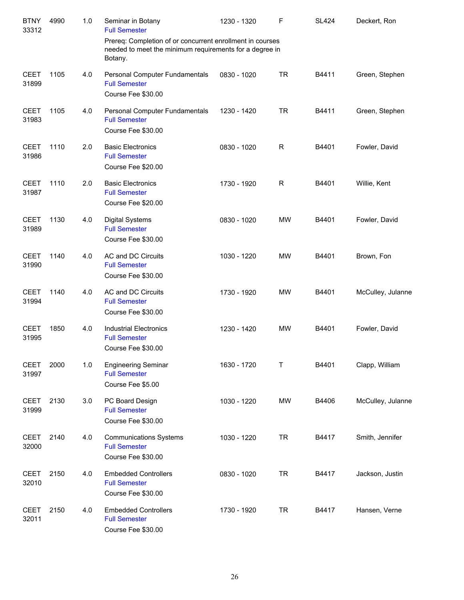| <b>BTNY</b><br>33312 | 4990 | 1.0 | Seminar in Botany<br><b>Full Semester</b><br>Prereq: Completion of or concurrent enrollment in courses | 1230 - 1320 | F         | <b>SL424</b> | Deckert, Ron      |
|----------------------|------|-----|--------------------------------------------------------------------------------------------------------|-------------|-----------|--------------|-------------------|
|                      |      |     | needed to meet the minimum requirements for a degree in<br>Botany.                                     |             |           |              |                   |
| <b>CEET</b><br>31899 | 1105 | 4.0 | Personal Computer Fundamentals<br><b>Full Semester</b><br>Course Fee \$30.00                           | 0830 - 1020 | <b>TR</b> | B4411        | Green, Stephen    |
| <b>CEET</b><br>31983 | 1105 | 4.0 | Personal Computer Fundamentals<br><b>Full Semester</b><br>Course Fee \$30.00                           | 1230 - 1420 | <b>TR</b> | B4411        | Green, Stephen    |
| <b>CEET</b><br>31986 | 1110 | 2.0 | <b>Basic Electronics</b><br><b>Full Semester</b><br>Course Fee \$20.00                                 | 0830 - 1020 | R         | B4401        | Fowler, David     |
| <b>CEET</b><br>31987 | 1110 | 2.0 | <b>Basic Electronics</b><br><b>Full Semester</b><br>Course Fee \$20.00                                 | 1730 - 1920 | R         | B4401        | Willie, Kent      |
| <b>CEET</b><br>31989 | 1130 | 4.0 | <b>Digital Systems</b><br><b>Full Semester</b><br>Course Fee \$30.00                                   | 0830 - 1020 | <b>MW</b> | B4401        | Fowler, David     |
| <b>CEET</b><br>31990 | 1140 | 4.0 | AC and DC Circuits<br><b>Full Semester</b><br>Course Fee \$30.00                                       | 1030 - 1220 | MW        | B4401        | Brown, Fon        |
| <b>CEET</b><br>31994 | 1140 | 4.0 | AC and DC Circuits<br><b>Full Semester</b><br>Course Fee \$30.00                                       | 1730 - 1920 | <b>MW</b> | B4401        | McCulley, Julanne |
| <b>CEET</b><br>31995 | 1850 | 4.0 | <b>Industrial Electronics</b><br><b>Full Semester</b><br>Course Fee \$30.00                            | 1230 - 1420 | MW        | B4401        | Fowler, David     |
| <b>CEET</b><br>31997 | 2000 | 1.0 | <b>Engineering Seminar</b><br><b>Full Semester</b><br>Course Fee \$5.00                                | 1630 - 1720 | Τ         | B4401        | Clapp, William    |
| <b>CEET</b><br>31999 | 2130 | 3.0 | PC Board Design<br><b>Full Semester</b><br>Course Fee \$30.00                                          | 1030 - 1220 | MW        | B4406        | McCulley, Julanne |
| <b>CEET</b><br>32000 | 2140 | 4.0 | <b>Communications Systems</b><br><b>Full Semester</b><br>Course Fee \$30.00                            | 1030 - 1220 | <b>TR</b> | B4417        | Smith, Jennifer   |
| <b>CEET</b><br>32010 | 2150 | 4.0 | <b>Embedded Controllers</b><br><b>Full Semester</b><br>Course Fee \$30.00                              | 0830 - 1020 | <b>TR</b> | B4417        | Jackson, Justin   |
| <b>CEET</b><br>32011 | 2150 | 4.0 | <b>Embedded Controllers</b><br><b>Full Semester</b><br>Course Fee \$30.00                              | 1730 - 1920 | <b>TR</b> | B4417        | Hansen, Verne     |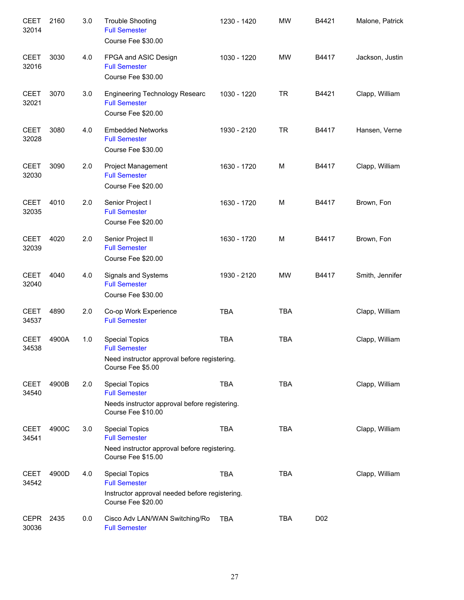| <b>CEET</b><br>32014 | 2160  | 3.0 | <b>Trouble Shooting</b><br><b>Full Semester</b><br>Course Fee \$30.00                         | 1230 - 1420 | <b>MW</b>  | B4421           | Malone, Patrick |
|----------------------|-------|-----|-----------------------------------------------------------------------------------------------|-------------|------------|-----------------|-----------------|
| <b>CEET</b><br>32016 | 3030  | 4.0 | FPGA and ASIC Design<br><b>Full Semester</b><br>Course Fee \$30.00                            | 1030 - 1220 | <b>MW</b>  | B4417           | Jackson, Justin |
| <b>CEET</b><br>32021 | 3070  | 3.0 | <b>Engineering Technology Researc</b><br><b>Full Semester</b><br>Course Fee \$20.00           | 1030 - 1220 | <b>TR</b>  | B4421           | Clapp, William  |
| <b>CEET</b><br>32028 | 3080  | 4.0 | <b>Embedded Networks</b><br><b>Full Semester</b><br>Course Fee \$30.00                        | 1930 - 2120 | <b>TR</b>  | B4417           | Hansen, Verne   |
| <b>CEET</b><br>32030 | 3090  | 2.0 | Project Management<br><b>Full Semester</b><br>Course Fee \$20.00                              | 1630 - 1720 | M          | B4417           | Clapp, William  |
| <b>CEET</b><br>32035 | 4010  | 2.0 | Senior Project I<br><b>Full Semester</b><br>Course Fee \$20.00                                | 1630 - 1720 | M          | B4417           | Brown, Fon      |
| <b>CEET</b><br>32039 | 4020  | 2.0 | Senior Project II<br><b>Full Semester</b><br>Course Fee \$20.00                               | 1630 - 1720 | M          | B4417           | Brown, Fon      |
| <b>CEET</b><br>32040 | 4040  | 4.0 | Signals and Systems<br><b>Full Semester</b><br>Course Fee \$30.00                             | 1930 - 2120 | <b>MW</b>  | B4417           | Smith, Jennifer |
| <b>CEET</b><br>34537 | 4890  | 2.0 | Co-op Work Experience<br><b>Full Semester</b>                                                 | <b>TBA</b>  | <b>TBA</b> |                 | Clapp, William  |
| <b>CEET</b><br>34538 | 4900A | 1.0 | <b>Special Topics</b><br><b>Full Semester</b><br>Need instructor approval before registering. | <b>TBA</b>  | <b>TBA</b> |                 | Clapp, William  |
|                      |       |     | Course Fee \$5.00                                                                             |             |            |                 |                 |
| <b>CEET</b><br>34540 | 4900B | 2.0 | <b>Special Topics</b><br><b>Full Semester</b>                                                 | <b>TBA</b>  | <b>TBA</b> |                 | Clapp, William  |
|                      |       |     | Needs instructor approval before registering.<br>Course Fee \$10.00                           |             |            |                 |                 |
| <b>CEET</b><br>34541 | 4900C | 3.0 | <b>Special Topics</b><br><b>Full Semester</b>                                                 | <b>TBA</b>  | <b>TBA</b> |                 | Clapp, William  |
|                      |       |     | Need instructor approval before registering.<br>Course Fee \$15.00                            |             |            |                 |                 |
| <b>CEET</b><br>34542 | 4900D | 4.0 | <b>Special Topics</b><br><b>Full Semester</b>                                                 | <b>TBA</b>  | <b>TBA</b> |                 | Clapp, William  |
|                      |       |     | Instructor approval needed before registering.<br>Course Fee \$20.00                          |             |            |                 |                 |
| <b>CEPR</b><br>30036 | 2435  | 0.0 | Cisco Adv LAN/WAN Switching/Ro<br><b>Full Semester</b>                                        | <b>TBA</b>  | <b>TBA</b> | D <sub>02</sub> |                 |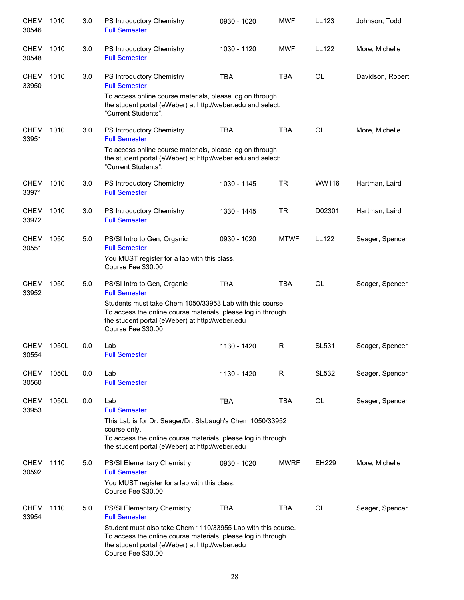| <b>CHEM</b><br>30546 | 1010  | 3.0 | PS Introductory Chemistry<br><b>Full Semester</b>                                                                                                                                                     | 0930 - 1020 | <b>MWF</b>  | LL123        | Johnson, Todd    |
|----------------------|-------|-----|-------------------------------------------------------------------------------------------------------------------------------------------------------------------------------------------------------|-------------|-------------|--------------|------------------|
| <b>CHEM</b><br>30548 | 1010  | 3.0 | PS Introductory Chemistry<br><b>Full Semester</b>                                                                                                                                                     | 1030 - 1120 | <b>MWF</b>  | <b>LL122</b> | More, Michelle   |
| <b>CHEM</b><br>33950 | 1010  | 3.0 | PS Introductory Chemistry<br><b>Full Semester</b>                                                                                                                                                     | <b>TBA</b>  | <b>TBA</b>  | <b>OL</b>    | Davidson, Robert |
|                      |       |     | To access online course materials, please log on through<br>the student portal (eWeber) at http://weber.edu and select:<br>"Current Students".                                                        |             |             |              |                  |
| <b>CHEM</b><br>33951 | 1010  | 3.0 | PS Introductory Chemistry<br><b>Full Semester</b>                                                                                                                                                     | <b>TBA</b>  | <b>TBA</b>  | <b>OL</b>    | More, Michelle   |
|                      |       |     | To access online course materials, please log on through<br>the student portal (eWeber) at http://weber.edu and select:<br>"Current Students".                                                        |             |             |              |                  |
| <b>CHEM</b><br>33971 | 1010  | 3.0 | PS Introductory Chemistry<br><b>Full Semester</b>                                                                                                                                                     | 1030 - 1145 | <b>TR</b>   | WW116        | Hartman, Laird   |
| <b>CHEM</b><br>33972 | 1010  | 3.0 | PS Introductory Chemistry<br><b>Full Semester</b>                                                                                                                                                     | 1330 - 1445 | <b>TR</b>   | D02301       | Hartman, Laird   |
| <b>CHEM</b><br>30551 | 1050  | 5.0 | PS/SI Intro to Gen, Organic<br><b>Full Semester</b>                                                                                                                                                   | 0930 - 1020 | <b>MTWF</b> | <b>LL122</b> | Seager, Spencer  |
|                      |       |     | You MUST register for a lab with this class.<br>Course Fee \$30.00                                                                                                                                    |             |             |              |                  |
| <b>CHEM</b><br>33952 | 1050  | 5.0 | PS/SI Intro to Gen, Organic<br><b>Full Semester</b>                                                                                                                                                   | <b>TBA</b>  | <b>TBA</b>  | <b>OL</b>    | Seager, Spencer  |
|                      |       |     | Students must take Chem 1050/33953 Lab with this course.<br>To access the online course materials, please log in through<br>the student portal (eWeber) at http://weber.edu<br>Course Fee \$30.00     |             |             |              |                  |
| <b>CHEM</b><br>30554 | 1050L | 0.0 | Lab<br><b>Full Semester</b>                                                                                                                                                                           | 1130 - 1420 | R           | <b>SL531</b> | Seager, Spencer  |
| <b>CHEM</b><br>30560 | 1050L | 0.0 | Lab<br><b>Full Semester</b>                                                                                                                                                                           | 1130 - 1420 | R.          | SL532        | Seager, Spencer  |
| <b>CHEM</b><br>33953 | 1050L | 0.0 | Lab<br><b>Full Semester</b>                                                                                                                                                                           | <b>TBA</b>  | TBA         | OL           | Seager, Spencer  |
|                      |       |     | This Lab is for Dr. Seager/Dr. Slabaugh's Chem 1050/33952<br>course only.<br>To access the online course materials, please log in through<br>the student portal (eWeber) at http://weber.edu          |             |             |              |                  |
| CHEM<br>30592        | 1110  | 5.0 | PS/SI Elementary Chemistry<br><b>Full Semester</b>                                                                                                                                                    | 0930 - 1020 | <b>MWRF</b> | EH229        | More, Michelle   |
|                      |       |     | You MUST register for a lab with this class.<br>Course Fee \$30.00                                                                                                                                    |             |             |              |                  |
| <b>CHEM</b><br>33954 | 1110  | 5.0 | PS/SI Elementary Chemistry<br><b>Full Semester</b>                                                                                                                                                    | <b>TBA</b>  | TBA         | OL           | Seager, Spencer  |
|                      |       |     | Student must also take Chem 1110/33955 Lab with this course.<br>To access the online course materials, please log in through<br>the student portal (eWeber) at http://weber.edu<br>Course Fee \$30.00 |             |             |              |                  |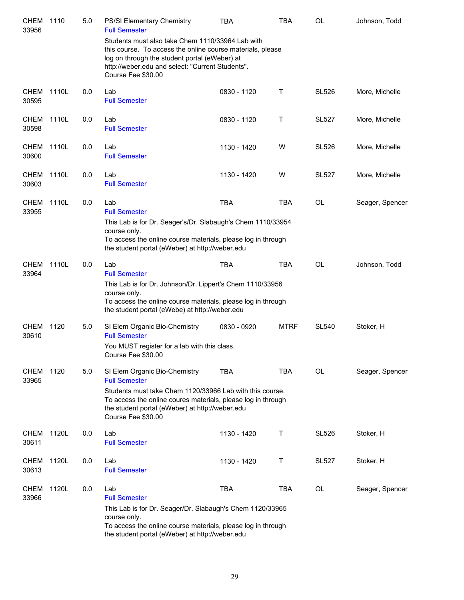| <b>CHEM</b><br>33956 | 1110  | 5.0 | PS/SI Elementary Chemistry<br><b>Full Semester</b>                                                                                                                                                                                                         | <b>TBA</b>  | TBA         | OL           | Johnson, Todd   |
|----------------------|-------|-----|------------------------------------------------------------------------------------------------------------------------------------------------------------------------------------------------------------------------------------------------------------|-------------|-------------|--------------|-----------------|
|                      |       |     | Students must also take Chem 1110/33964 Lab with<br>this course. To access the online course materials, please<br>log on through the student portal (eWeber) at<br>http://weber.edu and select: "Current Students".<br>Course Fee \$30.00                  |             |             |              |                 |
| <b>CHEM</b><br>30595 | 1110L | 0.0 | Lab<br><b>Full Semester</b>                                                                                                                                                                                                                                | 0830 - 1120 | т           | <b>SL526</b> | More, Michelle  |
| CHEM<br>30598        | 1110L | 0.0 | Lab<br><b>Full Semester</b>                                                                                                                                                                                                                                | 0830 - 1120 | Τ           | <b>SL527</b> | More, Michelle  |
| <b>CHEM</b><br>30600 | 1110L | 0.0 | Lab<br><b>Full Semester</b>                                                                                                                                                                                                                                | 1130 - 1420 | W           | <b>SL526</b> | More, Michelle  |
| CHEM<br>30603        | 1110L | 0.0 | Lab<br><b>Full Semester</b>                                                                                                                                                                                                                                | 1130 - 1420 | W           | <b>SL527</b> | More, Michelle  |
| <b>CHEM</b><br>33955 | 1110L | 0.0 | Lab<br><b>Full Semester</b>                                                                                                                                                                                                                                | <b>TBA</b>  | <b>TBA</b>  | <b>OL</b>    | Seager, Spencer |
|                      |       |     | This Lab is for Dr. Seager's/Dr. Slabaugh's Chem 1110/33954<br>course only.<br>To access the online course materials, please log in through<br>the student portal (eWeber) at http://weber.edu                                                             |             |             |              |                 |
| CHEM<br>33964        | 1110L | 0.0 | Lab<br><b>Full Semester</b><br>This Lab is for Dr. Johnson/Dr. Lippert's Chem 1110/33956<br>course only.<br>To access the online course materials, please log in through<br>the student portal (eWebe) at http://weber.edu                                 | <b>TBA</b>  | TBA         | <b>OL</b>    | Johnson, Todd   |
| CHEM<br>30610        | 1120  | 5.0 | SI Elem Organic Bio-Chemistry<br><b>Full Semester</b><br>You MUST register for a lab with this class.<br>Course Fee \$30.00                                                                                                                                | 0830 - 0920 | <b>MTRF</b> | <b>SL540</b> | Stoker, H       |
| <b>CHEM</b><br>33965 | 1120  | 5.0 | SI Elem Organic Bio-Chemistry<br><b>Full Semester</b><br>Students must take Chem 1120/33966 Lab with this course.<br>To access the online coures materials, please log in through<br>the student portal (eWeber) at http://weber.edu<br>Course Fee \$30.00 | <b>TBA</b>  | TBA         | <b>OL</b>    | Seager, Spencer |
| CHEM<br>30611        | 1120L | 0.0 | Lab<br><b>Full Semester</b>                                                                                                                                                                                                                                | 1130 - 1420 | т           | <b>SL526</b> | Stoker, H       |
| <b>CHEM</b><br>30613 | 1120L | 0.0 | Lab<br><b>Full Semester</b>                                                                                                                                                                                                                                | 1130 - 1420 | т           | <b>SL527</b> | Stoker, H       |
| <b>CHEM</b><br>33966 | 1120L | 0.0 | Lab<br><b>Full Semester</b><br>This Lab is for Dr. Seager/Dr. Slabaugh's Chem 1120/33965<br>course only.<br>To access the online course materials, please log in through<br>the student portal (eWeber) at http://weber.edu                                | <b>TBA</b>  | <b>TBA</b>  | <b>OL</b>    | Seager, Spencer |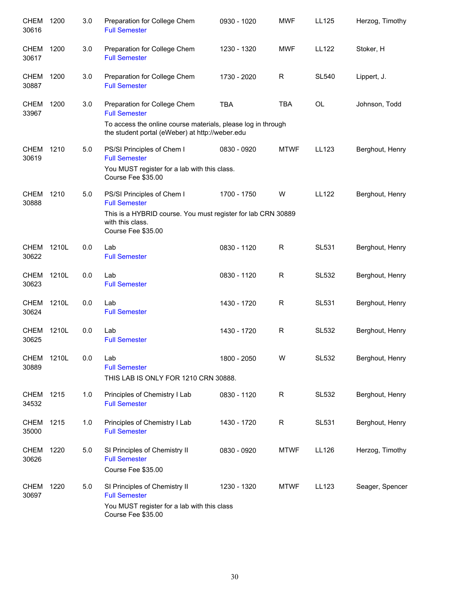| <b>CHEM</b><br>30616 | 1200  | 3.0 | Preparation for College Chem<br><b>Full Semester</b>                                                                                                                    | 0930 - 1020 | <b>MWF</b>   | LL125        | Herzog, Timothy |
|----------------------|-------|-----|-------------------------------------------------------------------------------------------------------------------------------------------------------------------------|-------------|--------------|--------------|-----------------|
| <b>CHEM</b><br>30617 | 1200  | 3.0 | Preparation for College Chem<br><b>Full Semester</b>                                                                                                                    | 1230 - 1320 | <b>MWF</b>   | <b>LL122</b> | Stoker, H       |
| CHEM<br>30887        | 1200  | 3.0 | Preparation for College Chem<br><b>Full Semester</b>                                                                                                                    | 1730 - 2020 | R            | <b>SL540</b> | Lippert, J.     |
| CHEM<br>33967        | 1200  | 3.0 | Preparation for College Chem<br><b>Full Semester</b><br>To access the online course materials, please log in through<br>the student portal (eWeber) at http://weber.edu | <b>TBA</b>  | <b>TBA</b>   | <b>OL</b>    | Johnson, Todd   |
| CHEM<br>30619        | 1210  | 5.0 | PS/SI Principles of Chem I<br><b>Full Semester</b><br>You MUST register for a lab with this class.<br>Course Fee \$35.00                                                | 0830 - 0920 | <b>MTWF</b>  | LL123        | Berghout, Henry |
| <b>CHEM</b><br>30888 | 1210  | 5.0 | PS/SI Principles of Chem I<br><b>Full Semester</b><br>This is a HYBRID course. You must register for lab CRN 30889<br>with this class.<br>Course Fee \$35.00            | 1700 - 1750 | W            | <b>LL122</b> | Berghout, Henry |
| CHEM<br>30622        | 1210L | 0.0 | Lab<br><b>Full Semester</b>                                                                                                                                             | 0830 - 1120 | R            | <b>SL531</b> | Berghout, Henry |
| <b>CHEM</b><br>30623 | 1210L | 0.0 | Lab<br><b>Full Semester</b>                                                                                                                                             | 0830 - 1120 | R            | <b>SL532</b> | Berghout, Henry |
| <b>CHEM</b><br>30624 | 1210L | 0.0 | Lab<br><b>Full Semester</b>                                                                                                                                             | 1430 - 1720 | $\mathsf{R}$ | <b>SL531</b> | Berghout, Henry |
| <b>CHEM</b><br>30625 | 1210L | 0.0 | Lab<br><b>Full Semester</b>                                                                                                                                             | 1430 - 1720 | $\mathsf{R}$ | <b>SL532</b> | Berghout, Henry |
| CHEM<br>30889        | 1210L | 0.0 | Lab<br><b>Full Semester</b><br>THIS LAB IS ONLY FOR 1210 CRN 30888.                                                                                                     | 1800 - 2050 | W            | SL532        | Berghout, Henry |
| CHEM<br>34532        | 1215  | 1.0 | Principles of Chemistry I Lab<br><b>Full Semester</b>                                                                                                                   | 0830 - 1120 | R            | SL532        | Berghout, Henry |
| <b>CHEM</b><br>35000 | 1215  | 1.0 | Principles of Chemistry I Lab<br><b>Full Semester</b>                                                                                                                   | 1430 - 1720 | R            | SL531        | Berghout, Henry |
| CHEM<br>30626        | 1220  | 5.0 | SI Principles of Chemistry II<br><b>Full Semester</b><br>Course Fee \$35.00                                                                                             | 0830 - 0920 | <b>MTWF</b>  | LL126        | Herzog, Timothy |
| CHEM<br>30697        | 1220  | 5.0 | SI Principles of Chemistry II<br><b>Full Semester</b><br>You MUST register for a lab with this class<br>Course Fee \$35.00                                              | 1230 - 1320 | <b>MTWF</b>  | LL123        | Seager, Spencer |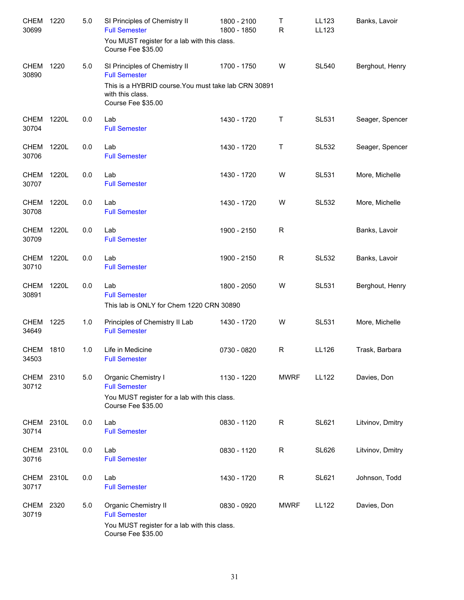| <b>CHEM</b><br>30699 | 1220  | 5.0 | SI Principles of Chemistry II<br><b>Full Semester</b><br>You MUST register for a lab with this class.<br>Course Fee \$35.00                             | 1800 - 2100<br>1800 - 1850 | Τ<br>$\mathsf{R}$ | LL123<br>LL123 | Banks, Lavoir    |
|----------------------|-------|-----|---------------------------------------------------------------------------------------------------------------------------------------------------------|----------------------------|-------------------|----------------|------------------|
| <b>CHEM</b><br>30890 | 1220  | 5.0 | SI Principles of Chemistry II<br><b>Full Semester</b><br>This is a HYBRID course. You must take lab CRN 30891<br>with this class.<br>Course Fee \$35.00 | 1700 - 1750                | W                 | <b>SL540</b>   | Berghout, Henry  |
| <b>CHEM</b><br>30704 | 1220L | 0.0 | Lab<br><b>Full Semester</b>                                                                                                                             | 1430 - 1720                | Т                 | <b>SL531</b>   | Seager, Spencer  |
| <b>CHEM</b><br>30706 | 1220L | 0.0 | Lab<br><b>Full Semester</b>                                                                                                                             | 1430 - 1720                | Τ                 | <b>SL532</b>   | Seager, Spencer  |
| <b>CHEM</b><br>30707 | 1220L | 0.0 | Lab<br><b>Full Semester</b>                                                                                                                             | 1430 - 1720                | W                 | <b>SL531</b>   | More, Michelle   |
| <b>CHEM</b><br>30708 | 1220L | 0.0 | Lab<br><b>Full Semester</b>                                                                                                                             | 1430 - 1720                | W                 | <b>SL532</b>   | More, Michelle   |
| <b>CHEM</b><br>30709 | 1220L | 0.0 | Lab<br><b>Full Semester</b>                                                                                                                             | 1900 - 2150                | R                 |                | Banks, Lavoir    |
| <b>CHEM</b><br>30710 | 1220L | 0.0 | Lab<br><b>Full Semester</b>                                                                                                                             | 1900 - 2150                | R                 | <b>SL532</b>   | Banks, Lavoir    |
| <b>CHEM</b><br>30891 | 1220L | 0.0 | Lab<br><b>Full Semester</b><br>This lab is ONLY for Chem 1220 CRN 30890                                                                                 | 1800 - 2050                | W                 | <b>SL531</b>   | Berghout, Henry  |
| CHEM<br>34649        | 1225  | 1.0 | Principles of Chemistry II Lab<br><b>Full Semester</b>                                                                                                  | 1430 - 1720                | W                 | <b>SL531</b>   | More, Michelle   |
| CHEM<br>34503        | 1810  | 1.0 | Life in Medicine<br><b>Full Semester</b>                                                                                                                | 0730 - 0820                | R                 | LL126          | Trask, Barbara   |
| CHEM<br>30712        | 2310  | 5.0 | Organic Chemistry I<br><b>Full Semester</b><br>You MUST register for a lab with this class.<br>Course Fee \$35.00                                       | 1130 - 1220                | <b>MWRF</b>       | <b>LL122</b>   | Davies, Don      |
| CHEM<br>30714        | 2310L | 0.0 | Lab<br><b>Full Semester</b>                                                                                                                             | 0830 - 1120                | R                 | <b>SL621</b>   | Litvinov, Dmitry |
| <b>CHEM</b><br>30716 | 2310L | 0.0 | Lab<br><b>Full Semester</b>                                                                                                                             | 0830 - 1120                | $\mathsf{R}$      | <b>SL626</b>   | Litvinov, Dmitry |
| <b>CHEM</b><br>30717 | 2310L | 0.0 | Lab<br><b>Full Semester</b>                                                                                                                             | 1430 - 1720                | R                 | <b>SL621</b>   | Johnson, Todd    |
| <b>CHEM</b><br>30719 | 2320  | 5.0 | Organic Chemistry II<br><b>Full Semester</b><br>You MUST register for a lab with this class.<br>Course Fee \$35.00                                      | 0830 - 0920                | <b>MWRF</b>       | <b>LL122</b>   | Davies, Don      |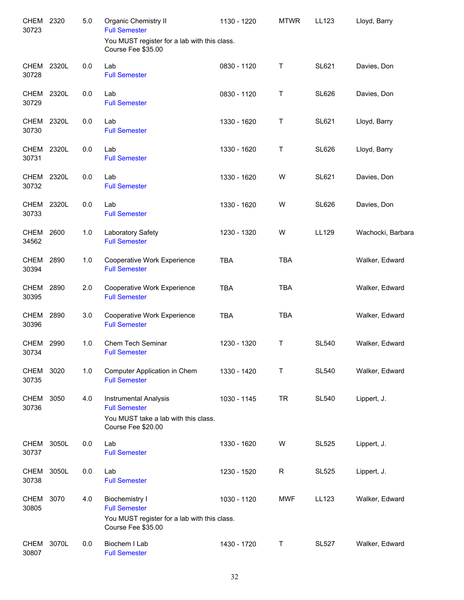| <b>CHEM</b><br>30723 | 2320  | 5.0 | <b>Organic Chemistry II</b><br><b>Full Semester</b>                                                                 | 1130 - 1220 | <b>MTWR</b> | LL123        | Lloyd, Barry      |
|----------------------|-------|-----|---------------------------------------------------------------------------------------------------------------------|-------------|-------------|--------------|-------------------|
|                      |       |     | You MUST register for a lab with this class.<br>Course Fee \$35.00                                                  |             |             |              |                   |
| <b>CHEM</b><br>30728 | 2320L | 0.0 | Lab<br><b>Full Semester</b>                                                                                         | 0830 - 1120 | $\sf T$     | <b>SL621</b> | Davies, Don       |
| <b>CHEM</b><br>30729 | 2320L | 0.0 | Lab<br><b>Full Semester</b>                                                                                         | 0830 - 1120 | T           | <b>SL626</b> | Davies, Don       |
| CHEM<br>30730        | 2320L | 0.0 | Lab<br><b>Full Semester</b>                                                                                         | 1330 - 1620 | Τ           | <b>SL621</b> | Lloyd, Barry      |
| CHEM<br>30731        | 2320L | 0.0 | Lab<br><b>Full Semester</b>                                                                                         | 1330 - 1620 | Τ           | <b>SL626</b> | Lloyd, Barry      |
| CHEM<br>30732        | 2320L | 0.0 | Lab<br><b>Full Semester</b>                                                                                         | 1330 - 1620 | W           | <b>SL621</b> | Davies, Don       |
| <b>CHEM</b><br>30733 | 2320L | 0.0 | Lab<br><b>Full Semester</b>                                                                                         | 1330 - 1620 | W           | <b>SL626</b> | Davies, Don       |
| <b>CHEM</b><br>34562 | 2600  | 1.0 | Laboratory Safety<br><b>Full Semester</b>                                                                           | 1230 - 1320 | W           | LL129        | Wachocki, Barbara |
| CHEM<br>30394        | 2890  | 1.0 | Cooperative Work Experience<br><b>Full Semester</b>                                                                 | <b>TBA</b>  | <b>TBA</b>  |              | Walker, Edward    |
| <b>CHEM</b><br>30395 | 2890  | 2.0 | Cooperative Work Experience<br><b>Full Semester</b>                                                                 | <b>TBA</b>  | <b>TBA</b>  |              | Walker, Edward    |
| <b>CHEM</b><br>30396 | 2890  | 3.0 | Cooperative Work Experience<br><b>Full Semester</b>                                                                 | <b>TBA</b>  | <b>TBA</b>  |              | Walker, Edward    |
| <b>CHEM</b><br>30734 | 2990  | 1.0 | Chem Tech Seminar<br><b>Full Semester</b>                                                                           | 1230 - 1320 | Τ           | <b>SL540</b> | Walker, Edward    |
| CHEM<br>30735        | 3020  | 1.0 | Computer Application in Chem<br><b>Full Semester</b>                                                                | 1330 - 1420 | т           | <b>SL540</b> | Walker, Edward    |
| CHEM<br>30736        | 3050  | 4.0 | <b>Instrumental Analysis</b><br><b>Full Semester</b><br>You MUST take a lab with this class.<br>Course Fee \$20.00  | 1030 - 1145 | <b>TR</b>   | <b>SL540</b> | Lippert, J.       |
| <b>CHEM</b><br>30737 | 3050L | 0.0 | Lab<br><b>Full Semester</b>                                                                                         | 1330 - 1620 | W           | <b>SL525</b> | Lippert, J.       |
| CHEM<br>30738        | 3050L | 0.0 | Lab<br><b>Full Semester</b>                                                                                         | 1230 - 1520 | R           | <b>SL525</b> | Lippert, J.       |
| <b>CHEM</b><br>30805 | 3070  | 4.0 | <b>Biochemistry I</b><br><b>Full Semester</b><br>You MUST register for a lab with this class.<br>Course Fee \$35.00 | 1030 - 1120 | <b>MWF</b>  | LL123        | Walker, Edward    |
| CHEM<br>30807        | 3070L | 0.0 | Biochem I Lab<br><b>Full Semester</b>                                                                               | 1430 - 1720 | Τ           | <b>SL527</b> | Walker, Edward    |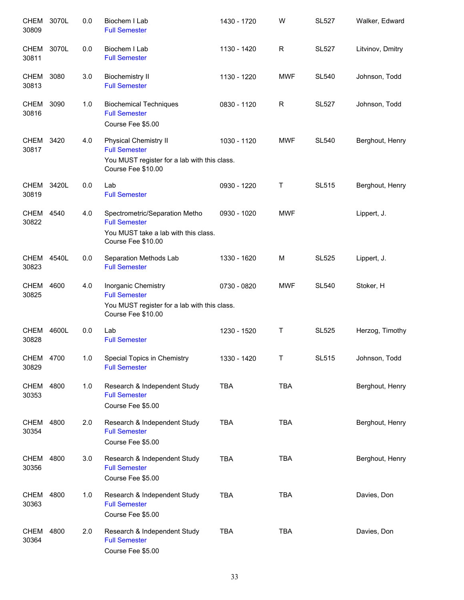| <b>CHEM</b><br>30809 | 3070L | 0.0 | Biochem I Lab<br><b>Full Semester</b>                                                                                      | 1430 - 1720 | W          | <b>SL527</b> | Walker, Edward   |
|----------------------|-------|-----|----------------------------------------------------------------------------------------------------------------------------|-------------|------------|--------------|------------------|
| <b>CHEM</b><br>30811 | 3070L | 0.0 | Biochem I Lab<br><b>Full Semester</b>                                                                                      | 1130 - 1420 | R          | <b>SL527</b> | Litvinov, Dmitry |
| <b>CHEM</b><br>30813 | 3080  | 3.0 | <b>Biochemistry II</b><br><b>Full Semester</b>                                                                             | 1130 - 1220 | <b>MWF</b> | <b>SL540</b> | Johnson, Todd    |
| <b>CHEM</b><br>30816 | 3090  | 1.0 | <b>Biochemical Techniques</b><br><b>Full Semester</b><br>Course Fee \$5.00                                                 | 0830 - 1120 | R          | <b>SL527</b> | Johnson, Todd    |
| CHEM<br>30817        | 3420  | 4.0 | <b>Physical Chemistry II</b><br><b>Full Semester</b><br>You MUST register for a lab with this class.<br>Course Fee \$10.00 | 1030 - 1120 | <b>MWF</b> | <b>SL540</b> | Berghout, Henry  |
| <b>CHEM</b><br>30819 | 3420L | 0.0 | Lab<br><b>Full Semester</b>                                                                                                | 0930 - 1220 | Τ          | <b>SL515</b> | Berghout, Henry  |
| <b>CHEM</b><br>30822 | 4540  | 4.0 | Spectrometric/Separation Metho<br><b>Full Semester</b><br>You MUST take a lab with this class.<br>Course Fee \$10.00       | 0930 - 1020 | <b>MWF</b> |              | Lippert, J.      |
| <b>CHEM</b><br>30823 | 4540L | 0.0 | Separation Methods Lab<br><b>Full Semester</b>                                                                             | 1330 - 1620 | M          | <b>SL525</b> | Lippert, J.      |
| <b>CHEM</b><br>30825 | 4600  | 4.0 | Inorganic Chemistry<br><b>Full Semester</b><br>You MUST register for a lab with this class.<br>Course Fee \$10.00          | 0730 - 0820 | <b>MWF</b> | <b>SL540</b> | Stoker, H        |
| CHEM<br>30828        | 4600L | 0.0 | Lab<br><b>Full Semester</b>                                                                                                | 1230 - 1520 | Τ          | <b>SL525</b> | Herzog, Timothy  |
| CHEM<br>30829        | 4700  | 1.0 | Special Topics in Chemistry<br><b>Full Semester</b>                                                                        | 1330 - 1420 | Τ          | <b>SL515</b> | Johnson, Todd    |
| <b>CHEM</b><br>30353 | 4800  | 1.0 | Research & Independent Study<br><b>Full Semester</b><br>Course Fee \$5.00                                                  | <b>TBA</b>  | <b>TBA</b> |              | Berghout, Henry  |
| <b>CHEM</b><br>30354 | 4800  | 2.0 | Research & Independent Study<br><b>Full Semester</b><br>Course Fee \$5.00                                                  | <b>TBA</b>  | <b>TBA</b> |              | Berghout, Henry  |
| <b>CHEM</b><br>30356 | 4800  | 3.0 | Research & Independent Study<br><b>Full Semester</b><br>Course Fee \$5.00                                                  | <b>TBA</b>  | <b>TBA</b> |              | Berghout, Henry  |
| <b>CHEM</b><br>30363 | 4800  | 1.0 | Research & Independent Study<br><b>Full Semester</b><br>Course Fee \$5.00                                                  | <b>TBA</b>  | <b>TBA</b> |              | Davies, Don      |
| <b>CHEM</b><br>30364 | 4800  | 2.0 | Research & Independent Study<br><b>Full Semester</b><br>Course Fee \$5.00                                                  | <b>TBA</b>  | <b>TBA</b> |              | Davies, Don      |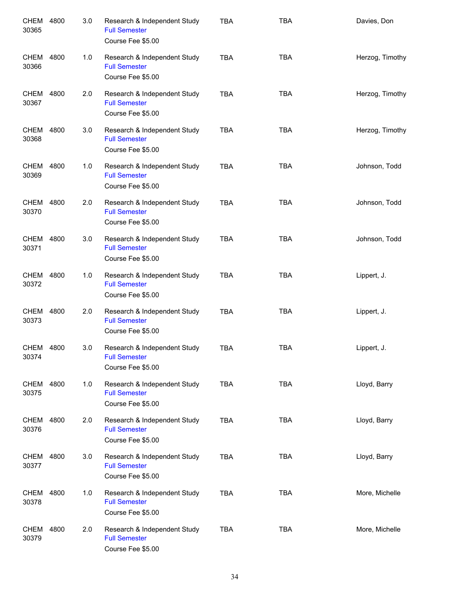| <b>CHEM</b><br>30365 | 4800 | 3.0 | Research & Independent Study<br><b>Full Semester</b><br>Course Fee \$5.00 | <b>TBA</b> | <b>TBA</b> | Davies, Don     |
|----------------------|------|-----|---------------------------------------------------------------------------|------------|------------|-----------------|
| CHEM<br>30366        | 4800 | 1.0 | Research & Independent Study<br><b>Full Semester</b><br>Course Fee \$5.00 | <b>TBA</b> | <b>TBA</b> | Herzog, Timothy |
| CHEM<br>30367        | 4800 | 2.0 | Research & Independent Study<br><b>Full Semester</b><br>Course Fee \$5.00 | <b>TBA</b> | <b>TBA</b> | Herzog, Timothy |
| CHEM<br>30368        | 4800 | 3.0 | Research & Independent Study<br><b>Full Semester</b><br>Course Fee \$5.00 | <b>TBA</b> | <b>TBA</b> | Herzog, Timothy |
| CHEM<br>30369        | 4800 | 1.0 | Research & Independent Study<br><b>Full Semester</b><br>Course Fee \$5.00 | <b>TBA</b> | <b>TBA</b> | Johnson, Todd   |
| CHEM<br>30370        | 4800 | 2.0 | Research & Independent Study<br><b>Full Semester</b><br>Course Fee \$5.00 | <b>TBA</b> | <b>TBA</b> | Johnson, Todd   |
| <b>CHEM</b><br>30371 | 4800 | 3.0 | Research & Independent Study<br><b>Full Semester</b><br>Course Fee \$5.00 | <b>TBA</b> | <b>TBA</b> | Johnson, Todd   |
| <b>CHEM</b><br>30372 | 4800 | 1.0 | Research & Independent Study<br><b>Full Semester</b><br>Course Fee \$5.00 | <b>TBA</b> | <b>TBA</b> | Lippert, J.     |
| <b>CHEM</b><br>30373 | 4800 | 2.0 | Research & Independent Study<br><b>Full Semester</b><br>Course Fee \$5.00 | <b>TBA</b> | <b>TBA</b> | Lippert, J.     |
| CHEM<br>30374        | 4800 | 3.0 | Research & Independent Study<br><b>Full Semester</b><br>Course Fee \$5.00 | <b>TBA</b> | <b>TBA</b> | Lippert, J.     |
| CHEM<br>30375        | 4800 | 1.0 | Research & Independent Study<br><b>Full Semester</b><br>Course Fee \$5.00 | <b>TBA</b> | <b>TBA</b> | Lloyd, Barry    |
| CHEM<br>30376        | 4800 | 2.0 | Research & Independent Study<br><b>Full Semester</b><br>Course Fee \$5.00 | <b>TBA</b> | <b>TBA</b> | Lloyd, Barry    |
| CHEM<br>30377        | 4800 | 3.0 | Research & Independent Study<br><b>Full Semester</b><br>Course Fee \$5.00 | <b>TBA</b> | <b>TBA</b> | Lloyd, Barry    |
| CHEM<br>30378        | 4800 | 1.0 | Research & Independent Study<br><b>Full Semester</b><br>Course Fee \$5.00 | <b>TBA</b> | <b>TBA</b> | More, Michelle  |
| CHEM<br>30379        | 4800 | 2.0 | Research & Independent Study<br><b>Full Semester</b><br>Course Fee \$5.00 | <b>TBA</b> | <b>TBA</b> | More, Michelle  |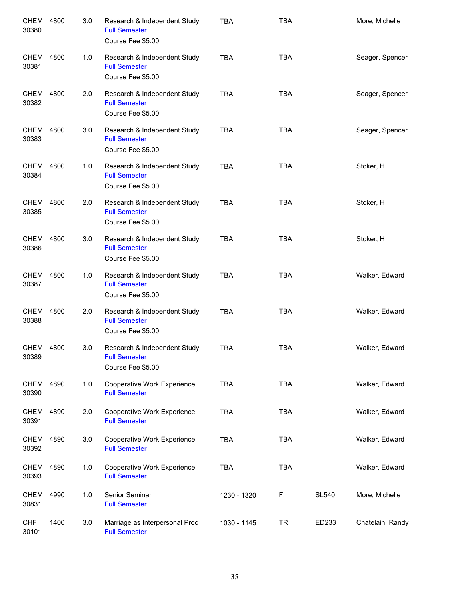| CHEM<br>30380        | 4800 | 3.0 | Research & Independent Study<br><b>Full Semester</b><br>Course Fee \$5.00 | <b>TBA</b>  | <b>TBA</b> |              | More, Michelle   |
|----------------------|------|-----|---------------------------------------------------------------------------|-------------|------------|--------------|------------------|
| <b>CHEM</b><br>30381 | 4800 | 1.0 | Research & Independent Study<br><b>Full Semester</b><br>Course Fee \$5.00 | <b>TBA</b>  | <b>TBA</b> |              | Seager, Spencer  |
| <b>CHEM</b><br>30382 | 4800 | 2.0 | Research & Independent Study<br><b>Full Semester</b><br>Course Fee \$5.00 | <b>TBA</b>  | <b>TBA</b> |              | Seager, Spencer  |
| CHEM<br>30383        | 4800 | 3.0 | Research & Independent Study<br><b>Full Semester</b><br>Course Fee \$5.00 | <b>TBA</b>  | <b>TBA</b> |              | Seager, Spencer  |
| <b>CHEM</b><br>30384 | 4800 | 1.0 | Research & Independent Study<br><b>Full Semester</b><br>Course Fee \$5.00 | <b>TBA</b>  | <b>TBA</b> |              | Stoker, H        |
| <b>CHEM</b><br>30385 | 4800 | 2.0 | Research & Independent Study<br><b>Full Semester</b><br>Course Fee \$5.00 | <b>TBA</b>  | <b>TBA</b> |              | Stoker, H        |
| <b>CHEM</b><br>30386 | 4800 | 3.0 | Research & Independent Study<br><b>Full Semester</b><br>Course Fee \$5.00 | <b>TBA</b>  | <b>TBA</b> |              | Stoker, H        |
| CHEM<br>30387        | 4800 | 1.0 | Research & Independent Study<br><b>Full Semester</b><br>Course Fee \$5.00 | <b>TBA</b>  | <b>TBA</b> |              | Walker, Edward   |
| CHEM<br>30388        | 4800 | 2.0 | Research & Independent Study<br><b>Full Semester</b><br>Course Fee \$5.00 | <b>TBA</b>  | <b>TBA</b> |              | Walker, Edward   |
| CHEM<br>30389        | 4800 | 3.0 | Research & Independent Study<br><b>Full Semester</b><br>Course Fee \$5.00 | <b>TBA</b>  | <b>TBA</b> |              | Walker, Edward   |
| CHEM 4890<br>30390   |      | 1.0 | Cooperative Work Experience<br><b>Full Semester</b>                       | TBA         | <b>TBA</b> |              | Walker, Edward   |
| CHEM<br>30391        | 4890 | 2.0 | Cooperative Work Experience<br><b>Full Semester</b>                       | <b>TBA</b>  | <b>TBA</b> |              | Walker, Edward   |
| <b>CHEM</b><br>30392 | 4890 | 3.0 | Cooperative Work Experience<br><b>Full Semester</b>                       | <b>TBA</b>  | <b>TBA</b> |              | Walker, Edward   |
| <b>CHEM</b><br>30393 | 4890 | 1.0 | Cooperative Work Experience<br><b>Full Semester</b>                       | <b>TBA</b>  | <b>TBA</b> |              | Walker, Edward   |
| <b>CHEM</b><br>30831 | 4990 | 1.0 | Senior Seminar<br><b>Full Semester</b>                                    | 1230 - 1320 | F          | <b>SL540</b> | More, Michelle   |
| <b>CHF</b><br>30101  | 1400 | 3.0 | Marriage as Interpersonal Proc<br><b>Full Semester</b>                    | 1030 - 1145 | <b>TR</b>  | ED233        | Chatelain, Randy |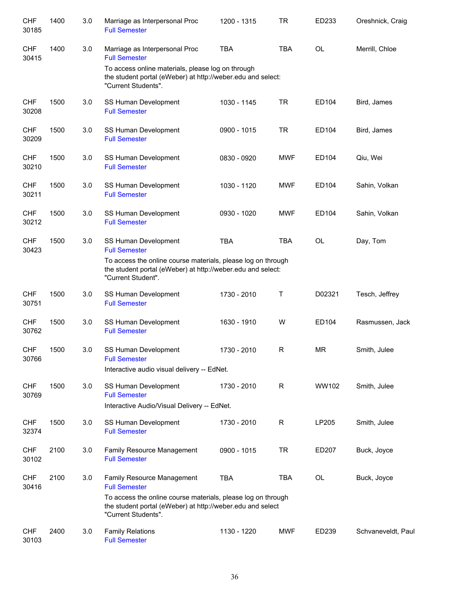| <b>CHF</b><br>30185 | 1400 | 3.0 | Marriage as Interpersonal Proc<br><b>Full Semester</b>                                                                                            | 1200 - 1315 | <b>TR</b>  | ED233     | Oreshnick, Craig   |
|---------------------|------|-----|---------------------------------------------------------------------------------------------------------------------------------------------------|-------------|------------|-----------|--------------------|
| <b>CHF</b><br>30415 | 1400 | 3.0 | Marriage as Interpersonal Proc<br><b>Full Semester</b>                                                                                            | <b>TBA</b>  | <b>TBA</b> | OL        | Merrill, Chloe     |
|                     |      |     | To access online materials, please log on through<br>the student portal (eWeber) at http://weber.edu and select:<br>"Current Students".           |             |            |           |                    |
| <b>CHF</b><br>30208 | 1500 | 3.0 | SS Human Development<br><b>Full Semester</b>                                                                                                      | 1030 - 1145 | <b>TR</b>  | ED104     | Bird, James        |
| <b>CHF</b><br>30209 | 1500 | 3.0 | SS Human Development<br><b>Full Semester</b>                                                                                                      | 0900 - 1015 | <b>TR</b>  | ED104     | Bird, James        |
| <b>CHF</b><br>30210 | 1500 | 3.0 | SS Human Development<br><b>Full Semester</b>                                                                                                      | 0830 - 0920 | <b>MWF</b> | ED104     | Qiu, Wei           |
| <b>CHF</b><br>30211 | 1500 | 3.0 | SS Human Development<br><b>Full Semester</b>                                                                                                      | 1030 - 1120 | <b>MWF</b> | ED104     | Sahin, Volkan      |
| <b>CHF</b><br>30212 | 1500 | 3.0 | SS Human Development<br><b>Full Semester</b>                                                                                                      | 0930 - 1020 | <b>MWF</b> | ED104     | Sahin, Volkan      |
| <b>CHF</b><br>30423 | 1500 | 3.0 | SS Human Development<br><b>Full Semester</b>                                                                                                      | <b>TBA</b>  | <b>TBA</b> | OL        | Day, Tom           |
|                     |      |     | To access the online course materials, please log on through<br>the student portal (eWeber) at http://weber.edu and select:<br>"Current Student". |             |            |           |                    |
| <b>CHF</b><br>30751 | 1500 | 3.0 | SS Human Development<br><b>Full Semester</b>                                                                                                      | 1730 - 2010 | Т          | D02321    | Tesch, Jeffrey     |
| <b>CHF</b><br>30762 | 1500 | 3.0 | SS Human Development<br><b>Full Semester</b>                                                                                                      | 1630 - 1910 | W          | ED104     | Rasmussen, Jack    |
| <b>CHF</b><br>30766 | 1500 | 3.0 | SS Human Development<br><b>Full Semester</b>                                                                                                      | 1730 - 2010 | R          | <b>MR</b> | Smith, Julee       |
|                     |      |     | Interactive audio visual delivery -- EdNet.                                                                                                       |             |            |           |                    |
| <b>CHF</b><br>30769 | 1500 | 3.0 | SS Human Development<br><b>Full Semester</b>                                                                                                      | 1730 - 2010 | ${\sf R}$  | WW102     | Smith, Julee       |
|                     |      |     | Interactive Audio/Visual Delivery -- EdNet.                                                                                                       |             |            |           |                    |
| <b>CHF</b><br>32374 | 1500 | 3.0 | SS Human Development<br><b>Full Semester</b>                                                                                                      | 1730 - 2010 | ${\sf R}$  | LP205     | Smith, Julee       |
| <b>CHF</b><br>30102 | 2100 | 3.0 | Family Resource Management<br><b>Full Semester</b>                                                                                                | 0900 - 1015 | <b>TR</b>  | ED207     | Buck, Joyce        |
| <b>CHF</b><br>30416 | 2100 | 3.0 | Family Resource Management<br><b>Full Semester</b>                                                                                                | <b>TBA</b>  | <b>TBA</b> | OL        | Buck, Joyce        |
|                     |      |     | To access the online course materials, please log on through<br>the student portal (eWeber) at http://weber.edu and select<br>"Current Students". |             |            |           |                    |
| <b>CHF</b><br>30103 | 2400 | 3.0 | <b>Family Relations</b><br><b>Full Semester</b>                                                                                                   | 1130 - 1220 | <b>MWF</b> | ED239     | Schvaneveldt, Paul |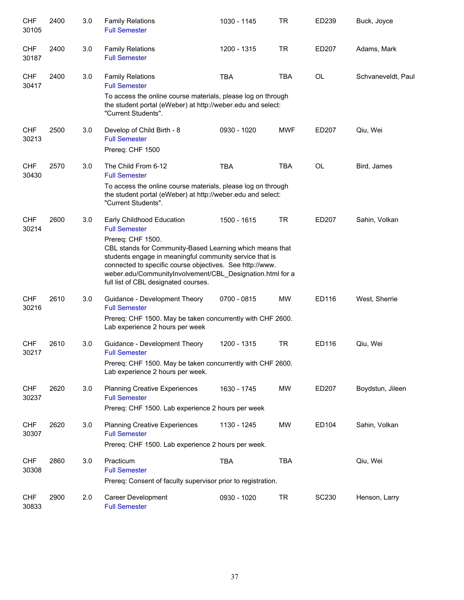| <b>CHF</b><br>30105 | 2400 | 3.0 | <b>Family Relations</b><br><b>Full Semester</b>                                                                                                                                                                                                                                                                                                                | 1030 - 1145 | <b>TR</b>  | ED239        | Buck, Joyce        |
|---------------------|------|-----|----------------------------------------------------------------------------------------------------------------------------------------------------------------------------------------------------------------------------------------------------------------------------------------------------------------------------------------------------------------|-------------|------------|--------------|--------------------|
| <b>CHF</b><br>30187 | 2400 | 3.0 | <b>Family Relations</b><br><b>Full Semester</b>                                                                                                                                                                                                                                                                                                                | 1200 - 1315 | <b>TR</b>  | ED207        | Adams, Mark        |
| <b>CHF</b><br>30417 | 2400 | 3.0 | <b>Family Relations</b><br><b>Full Semester</b>                                                                                                                                                                                                                                                                                                                | <b>TBA</b>  | <b>TBA</b> | OL           | Schvaneveldt, Paul |
|                     |      |     | To access the online course materials, please log on through<br>the student portal (eWeber) at http://weber.edu and select:<br>"Current Students".                                                                                                                                                                                                             |             |            |              |                    |
| <b>CHF</b><br>30213 | 2500 | 3.0 | Develop of Child Birth - 8<br><b>Full Semester</b><br>Prereq: CHF 1500                                                                                                                                                                                                                                                                                         | 0930 - 1020 | <b>MWF</b> | ED207        | Qiu, Wei           |
| <b>CHF</b><br>30430 | 2570 | 3.0 | The Child From 6-12<br><b>Full Semester</b>                                                                                                                                                                                                                                                                                                                    | <b>TBA</b>  | <b>TBA</b> | OL           | Bird, James        |
|                     |      |     | To access the online course materials, please log on through<br>the student portal (eWeber) at http://weber.edu and select:<br>"Current Students".                                                                                                                                                                                                             |             |            |              |                    |
| <b>CHF</b><br>30214 | 2600 | 3.0 | Early Childhood Education<br><b>Full Semester</b><br>Prereq: CHF 1500.<br>CBL stands for Community-Based Learning which means that<br>students engage in meaningful community service that is<br>connected to specific course objectives. See http://www.<br>weber.edu/CommunityInvolvement/CBL_Designation.html for a<br>full list of CBL designated courses. | 1500 - 1615 | <b>TR</b>  | ED207        | Sahin, Volkan      |
| <b>CHF</b><br>30216 | 2610 | 3.0 | Guidance - Development Theory<br><b>Full Semester</b><br>Prereq: CHF 1500. May be taken concurrently with CHF 2600.<br>Lab experience 2 hours per week                                                                                                                                                                                                         | 0700 - 0815 | MW         | ED116        | West, Sherrie      |
| <b>CHF</b><br>30217 | 2610 | 3.0 | Guidance - Development Theory<br><b>Full Semester</b><br>Prereq: CHF 1500. May be taken concurrently with CHF 2600.<br>Lab experience 2 hours per week.                                                                                                                                                                                                        | 1200 - 1315 | <b>TR</b>  | ED116        | Qiu, Wei           |
| <b>CHF</b><br>30237 | 2620 | 3.0 | <b>Planning Creative Experiences</b><br><b>Full Semester</b><br>Prereq: CHF 1500. Lab experience 2 hours per week                                                                                                                                                                                                                                              | 1630 - 1745 | <b>MW</b>  | ED207        | Boydstun, Jileen   |
| <b>CHF</b><br>30307 | 2620 | 3.0 | <b>Planning Creative Experiences</b><br><b>Full Semester</b><br>Prereq: CHF 1500. Lab experience 2 hours per week.                                                                                                                                                                                                                                             | 1130 - 1245 | <b>MW</b>  | ED104        | Sahin, Volkan      |
| <b>CHF</b><br>30308 | 2860 | 3.0 | Practicum<br><b>Full Semester</b><br>Prereq: Consent of faculty supervisor prior to registration.                                                                                                                                                                                                                                                              | <b>TBA</b>  | <b>TBA</b> |              | Qiu, Wei           |
| <b>CHF</b><br>30833 | 2900 | 2.0 | <b>Career Development</b><br><b>Full Semester</b>                                                                                                                                                                                                                                                                                                              | 0930 - 1020 | <b>TR</b>  | <b>SC230</b> | Henson, Larry      |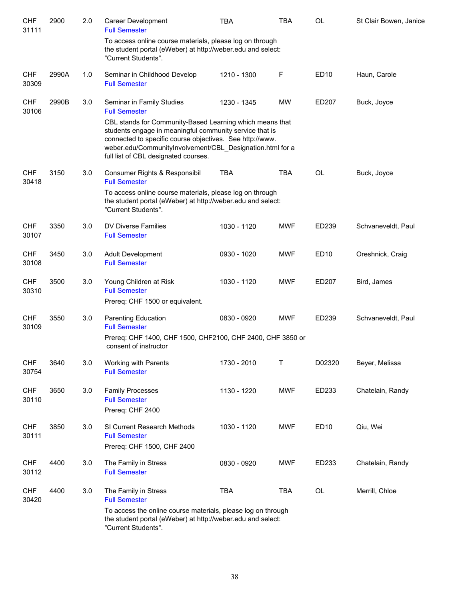| <b>CHF</b><br>31111 | 2900  | 2.0 | Career Development<br><b>Full Semester</b>                                                                                                                                                                                           | TBA         | TBA        | OL               | St Clair Bowen, Janice |
|---------------------|-------|-----|--------------------------------------------------------------------------------------------------------------------------------------------------------------------------------------------------------------------------------------|-------------|------------|------------------|------------------------|
|                     |       |     | To access online course materials, please log on through<br>the student portal (eWeber) at http://weber.edu and select:<br>"Current Students".                                                                                       |             |            |                  |                        |
| <b>CHF</b><br>30309 | 2990A | 1.0 | Seminar in Childhood Develop<br><b>Full Semester</b>                                                                                                                                                                                 | 1210 - 1300 | F          | <b>ED10</b>      | Haun, Carole           |
| <b>CHF</b><br>30106 | 2990B | 3.0 | Seminar in Family Studies<br><b>Full Semester</b><br>CBL stands for Community-Based Learning which means that<br>students engage in meaningful community service that is<br>connected to specific course objectives. See http://www. | 1230 - 1345 | <b>MW</b>  | ED207            | Buck, Joyce            |
|                     |       |     | weber.edu/CommunityInvolvement/CBL_Designation.html for a<br>full list of CBL designated courses.                                                                                                                                    |             |            |                  |                        |
| <b>CHF</b><br>30418 | 3150  | 3.0 | Consumer Rights & Responsibil<br><b>Full Semester</b><br>To access online course materials, please log on through<br>the student portal (eWeber) at http://weber.edu and select:<br>"Current Students".                              | <b>TBA</b>  | <b>TBA</b> | OL               | Buck, Joyce            |
| <b>CHF</b><br>30107 | 3350  | 3.0 | DV Diverse Families<br><b>Full Semester</b>                                                                                                                                                                                          | 1030 - 1120 | <b>MWF</b> | ED239            | Schvaneveldt, Paul     |
| <b>CHF</b><br>30108 | 3450  | 3.0 | Adult Development<br><b>Full Semester</b>                                                                                                                                                                                            | 0930 - 1020 | <b>MWF</b> | ED <sub>10</sub> | Oreshnick, Craig       |
| <b>CHF</b><br>30310 | 3500  | 3.0 | Young Children at Risk<br><b>Full Semester</b><br>Prereq: CHF 1500 or equivalent.                                                                                                                                                    | 1030 - 1120 | MWF        | ED207            | Bird, James            |
| <b>CHF</b><br>30109 | 3550  | 3.0 | Parenting Education<br><b>Full Semester</b><br>Prereq: CHF 1400, CHF 1500, CHF2100, CHF 2400, CHF 3850 or<br>consent of instructor                                                                                                   | 0830 - 0920 | MWF        | ED239            | Schvaneveldt, Paul     |
| <b>CHF</b><br>30754 | 3640  | 3.0 | Working with Parents<br><b>Full Semester</b>                                                                                                                                                                                         | 1730 - 2010 | Τ          | D02320           | Beyer, Melissa         |
| <b>CHF</b><br>30110 | 3650  | 3.0 | <b>Family Processes</b><br><b>Full Semester</b><br>Prereq: CHF 2400                                                                                                                                                                  | 1130 - 1220 | <b>MWF</b> | ED233            | Chatelain, Randy       |
| <b>CHF</b><br>30111 | 3850  | 3.0 | SI Current Research Methods<br><b>Full Semester</b><br>Prereq: CHF 1500, CHF 2400                                                                                                                                                    | 1030 - 1120 | <b>MWF</b> | <b>ED10</b>      | Qiu, Wei               |
| <b>CHF</b><br>30112 | 4400  | 3.0 | The Family in Stress<br><b>Full Semester</b>                                                                                                                                                                                         | 0830 - 0920 | <b>MWF</b> | ED233            | Chatelain, Randy       |
| <b>CHF</b><br>30420 | 4400  | 3.0 | The Family in Stress<br><b>Full Semester</b>                                                                                                                                                                                         | <b>TBA</b>  | <b>TBA</b> | OL               | Merrill, Chloe         |
|                     |       |     | To access the online course materials, please log on through<br>the student portal (eWeber) at http://weber.edu and select:<br>"Current Students".                                                                                   |             |            |                  |                        |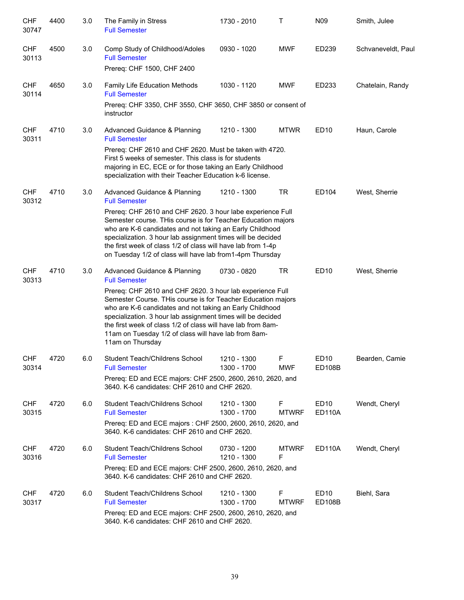| <b>CHF</b><br>30747 | 4400 | 3.0 | The Family in Stress<br><b>Full Semester</b>                                                                                                                                                                                                                                                                                                                                                                                                             | 1730 - 2010                | Τ                 | N09                               | Smith, Julee       |
|---------------------|------|-----|----------------------------------------------------------------------------------------------------------------------------------------------------------------------------------------------------------------------------------------------------------------------------------------------------------------------------------------------------------------------------------------------------------------------------------------------------------|----------------------------|-------------------|-----------------------------------|--------------------|
| <b>CHF</b><br>30113 | 4500 | 3.0 | Comp Study of Childhood/Adoles<br><b>Full Semester</b><br>Prereq: CHF 1500, CHF 2400                                                                                                                                                                                                                                                                                                                                                                     | 0930 - 1020                | <b>MWF</b>        | ED239                             | Schvaneveldt, Paul |
| <b>CHF</b><br>30114 | 4650 | 3.0 | <b>Family Life Education Methods</b><br><b>Full Semester</b><br>Prereq: CHF 3350, CHF 3550, CHF 3650, CHF 3850 or consent of<br>instructor                                                                                                                                                                                                                                                                                                               | 1030 - 1120                | <b>MWF</b>        | ED233                             | Chatelain, Randy   |
| <b>CHF</b><br>30311 | 4710 | 3.0 | Advanced Guidance & Planning<br><b>Full Semester</b><br>Prereq: CHF 2610 and CHF 2620. Must be taken with 4720.<br>First 5 weeks of semester. This class is for students<br>majoring in EC, ECE or for those taking an Early Childhood<br>specialization with their Teacher Education k-6 license.                                                                                                                                                       | 1210 - 1300                | <b>MTWR</b>       | ED10                              | Haun, Carole       |
| <b>CHF</b><br>30312 | 4710 | 3.0 | Advanced Guidance & Planning<br><b>Full Semester</b><br>Prereq: CHF 2610 and CHF 2620. 3 hour labe experience Full<br>Semester course. THis course is for Teacher Education majors<br>who are K-6 candidates and not taking an Early Childhood<br>specialization. 3 hour lab assignment times will be decided<br>the first week of class 1/2 of class will have lab from 1-4p<br>on Tuesday 1/2 of class will have lab from1-4pm Thursday                | 1210 - 1300                | <b>TR</b>         | ED104                             | West, Sherrie      |
| <b>CHF</b><br>30313 | 4710 | 3.0 | Advanced Guidance & Planning<br><b>Full Semester</b><br>Prereq: CHF 2610 and CHF 2620. 3 hour lab experience Full<br>Semester Course. THis course is for Teacher Education majors<br>who are K-6 candidates and not taking an Early Childhood<br>specialization. 3 hour lab assignment times will be decided<br>the first week of class 1/2 of class will have lab from 8am-<br>11am on Tuesday 1/2 of class will have lab from 8am-<br>11am on Thursday | 0730 - 0820                | <b>TR</b>         | ED <sub>10</sub>                  | West, Sherrie      |
| <b>CHF</b><br>30314 | 4720 | 6.0 | Student Teach/Childrens School<br><b>Full Semester</b><br>Prereq: ED and ECE majors: CHF 2500, 2600, 2610, 2620, and<br>3640. K-6 candidates: CHF 2610 and CHF 2620.                                                                                                                                                                                                                                                                                     | 1210 - 1300<br>1300 - 1700 | F<br><b>MWF</b>   | ED10<br><b>ED108B</b>             | Bearden, Camie     |
| <b>CHF</b><br>30315 | 4720 | 6.0 | Student Teach/Childrens School<br><b>Full Semester</b><br>Prereg: ED and ECE majors: CHF 2500, 2600, 2610, 2620, and<br>3640. K-6 candidates: CHF 2610 and CHF 2620.                                                                                                                                                                                                                                                                                     | 1210 - 1300<br>1300 - 1700 | F<br><b>MTWRF</b> | ED <sub>10</sub><br><b>ED110A</b> | Wendt, Cheryl      |
| <b>CHF</b><br>30316 | 4720 | 6.0 | Student Teach/Childrens School<br><b>Full Semester</b><br>Prereq: ED and ECE majors: CHF 2500, 2600, 2610, 2620, and<br>3640. K-6 candidates: CHF 2610 and CHF 2620.                                                                                                                                                                                                                                                                                     | 0730 - 1200<br>1210 - 1300 | <b>MTWRF</b><br>F | <b>ED110A</b>                     | Wendt, Cheryl      |
| <b>CHF</b><br>30317 | 4720 | 6.0 | Student Teach/Childrens School<br><b>Full Semester</b><br>Prereq: ED and ECE majors: CHF 2500, 2600, 2610, 2620, and<br>3640. K-6 candidates: CHF 2610 and CHF 2620.                                                                                                                                                                                                                                                                                     | 1210 - 1300<br>1300 - 1700 | F<br><b>MTWRF</b> | ED <sub>10</sub><br><b>ED108B</b> | Biehl, Sara        |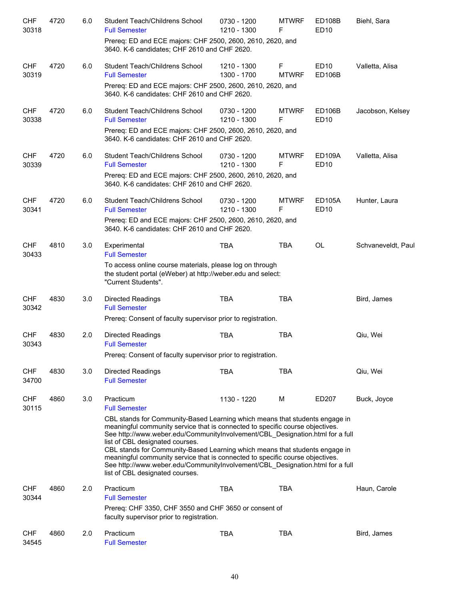| <b>CHF</b><br>30318 | 4720 | 6.0 | Student Teach/Childrens School<br><b>Full Semester</b>                                                                                                                                                                                                                                                                                                                                                                                                                                                                                                               | 0730 - 1200<br>1210 - 1300 | <b>MTWRF</b><br>F           | <b>ED108B</b><br><b>ED10</b> | Biehl, Sara        |
|---------------------|------|-----|----------------------------------------------------------------------------------------------------------------------------------------------------------------------------------------------------------------------------------------------------------------------------------------------------------------------------------------------------------------------------------------------------------------------------------------------------------------------------------------------------------------------------------------------------------------------|----------------------------|-----------------------------|------------------------------|--------------------|
|                     |      |     | Prereq: ED and ECE majors: CHF 2500, 2600, 2610, 2620, and<br>3640. K-6 candidates; CHF 2610 and CHF 2620.                                                                                                                                                                                                                                                                                                                                                                                                                                                           |                            |                             |                              |                    |
| <b>CHF</b><br>30319 | 4720 | 6.0 | Student Teach/Childrens School<br><b>Full Semester</b>                                                                                                                                                                                                                                                                                                                                                                                                                                                                                                               | 1210 - 1300<br>1300 - 1700 | $\mathsf F$<br><b>MTWRF</b> | ED10<br><b>ED106B</b>        | Valletta, Alisa    |
|                     |      |     | Prereq: ED and ECE majors: CHF 2500, 2600, 2610, 2620, and<br>3640. K-6 candidates: CHF 2610 and CHF 2620.                                                                                                                                                                                                                                                                                                                                                                                                                                                           |                            |                             |                              |                    |
| <b>CHF</b><br>30338 | 4720 | 6.0 | Student Teach/Childrens School<br><b>Full Semester</b>                                                                                                                                                                                                                                                                                                                                                                                                                                                                                                               | 0730 - 1200<br>1210 - 1300 | <b>MTWRF</b><br>F           | <b>ED106B</b><br><b>ED10</b> | Jacobson, Kelsey   |
|                     |      |     | Prereq: ED and ECE majors: CHF 2500, 2600, 2610, 2620, and<br>3640. K-6 candidates: CHF 2610 and CHF 2620.                                                                                                                                                                                                                                                                                                                                                                                                                                                           |                            |                             |                              |                    |
| <b>CHF</b><br>30339 | 4720 | 6.0 | Student Teach/Childrens School<br><b>Full Semester</b>                                                                                                                                                                                                                                                                                                                                                                                                                                                                                                               | 0730 - 1200<br>1210 - 1300 | <b>MTWRF</b><br>F           | <b>ED109A</b><br>ED10        | Valletta, Alisa    |
|                     |      |     | Prereq: ED and ECE majors: CHF 2500, 2600, 2610, 2620, and<br>3640. K-6 candidates: CHF 2610 and CHF 2620.                                                                                                                                                                                                                                                                                                                                                                                                                                                           |                            |                             |                              |                    |
| <b>CHF</b><br>30341 | 4720 | 6.0 | Student Teach/Childrens School<br><b>Full Semester</b>                                                                                                                                                                                                                                                                                                                                                                                                                                                                                                               | 0730 - 1200<br>1210 - 1300 | <b>MTWRF</b><br>F           | <b>ED105A</b><br><b>ED10</b> | Hunter, Laura      |
|                     |      |     | Prereq: ED and ECE majors: CHF 2500, 2600, 2610, 2620, and<br>3640. K-6 candidates: CHF 2610 and CHF 2620.                                                                                                                                                                                                                                                                                                                                                                                                                                                           |                            |                             |                              |                    |
| <b>CHF</b><br>30433 | 4810 | 3.0 | Experimental<br><b>Full Semester</b>                                                                                                                                                                                                                                                                                                                                                                                                                                                                                                                                 | <b>TBA</b>                 | <b>TBA</b>                  | <b>OL</b>                    | Schvaneveldt, Paul |
|                     |      |     | To access online course materials, please log on through<br>the student portal (eWeber) at http://weber.edu and select:<br>"Current Students".                                                                                                                                                                                                                                                                                                                                                                                                                       |                            |                             |                              |                    |
| <b>CHF</b><br>30342 | 4830 | 3.0 | <b>Directed Readings</b><br><b>Full Semester</b>                                                                                                                                                                                                                                                                                                                                                                                                                                                                                                                     | <b>TBA</b>                 | <b>TBA</b>                  |                              | Bird, James        |
|                     |      |     | Prereq: Consent of faculty supervisor prior to registration.                                                                                                                                                                                                                                                                                                                                                                                                                                                                                                         |                            |                             |                              |                    |
| <b>CHF</b><br>30343 | 4830 | 2.0 | <b>Directed Readings</b><br><b>Full Semester</b>                                                                                                                                                                                                                                                                                                                                                                                                                                                                                                                     | <b>TBA</b>                 | <b>TBA</b>                  |                              | Qiu, Wei           |
|                     |      |     | Prereq: Consent of faculty supervisor prior to registration.                                                                                                                                                                                                                                                                                                                                                                                                                                                                                                         |                            |                             |                              |                    |
| <b>CHF</b><br>34700 | 4830 | 3.0 | <b>Directed Readings</b><br><b>Full Semester</b>                                                                                                                                                                                                                                                                                                                                                                                                                                                                                                                     | <b>TBA</b>                 | <b>TBA</b>                  |                              | Qiu, Wei           |
| <b>CHF</b><br>30115 | 4860 | 3.0 | Practicum<br><b>Full Semester</b>                                                                                                                                                                                                                                                                                                                                                                                                                                                                                                                                    | 1130 - 1220                | М                           | ED207                        | Buck, Joyce        |
|                     |      |     | CBL stands for Community-Based Learning which means that students engage in<br>meaningful community service that is connected to specific course objectives.<br>See http://www.weber.edu/CommunityInvolvement/CBL_Designation.html for a full<br>list of CBL designated courses.<br>CBL stands for Community-Based Learning which means that students engage in<br>meaningful community service that is connected to specific course objectives.<br>See http://www.weber.edu/CommunityInvolvement/CBL_Designation.html for a full<br>list of CBL designated courses. |                            |                             |                              |                    |
| <b>CHF</b><br>30344 | 4860 | 2.0 | Practicum<br><b>Full Semester</b><br>Prereq: CHF 3350, CHF 3550 and CHF 3650 or consent of<br>faculty supervisor prior to registration.                                                                                                                                                                                                                                                                                                                                                                                                                              | <b>TBA</b>                 | <b>TBA</b>                  |                              | Haun, Carole       |
| <b>CHF</b><br>34545 | 4860 | 2.0 | Practicum<br><b>Full Semester</b>                                                                                                                                                                                                                                                                                                                                                                                                                                                                                                                                    | <b>TBA</b>                 | <b>TBA</b>                  |                              | Bird, James        |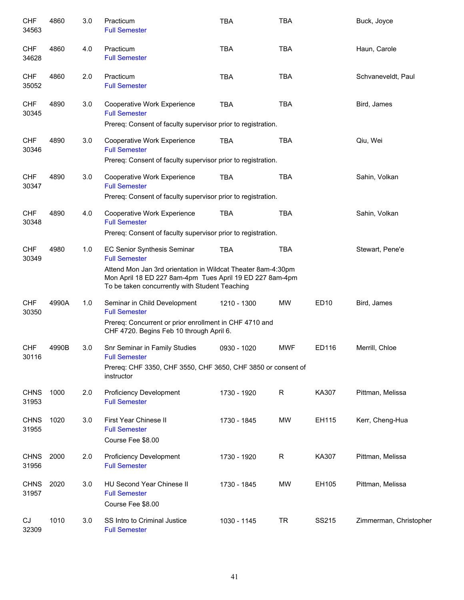| <b>CHF</b><br>34563  | 4860  | 3.0 | Practicum<br><b>Full Semester</b>                                                                                                                                          | <b>TBA</b>  | <b>TBA</b> |                  | Buck, Joyce            |
|----------------------|-------|-----|----------------------------------------------------------------------------------------------------------------------------------------------------------------------------|-------------|------------|------------------|------------------------|
| <b>CHF</b><br>34628  | 4860  | 4.0 | Practicum<br><b>Full Semester</b>                                                                                                                                          | <b>TBA</b>  | <b>TBA</b> |                  | Haun, Carole           |
| <b>CHF</b><br>35052  | 4860  | 2.0 | Practicum<br><b>Full Semester</b>                                                                                                                                          | <b>TBA</b>  | <b>TBA</b> |                  | Schvaneveldt, Paul     |
| <b>CHF</b><br>30345  | 4890  | 3.0 | Cooperative Work Experience<br><b>Full Semester</b>                                                                                                                        | <b>TBA</b>  | <b>TBA</b> |                  | Bird, James            |
|                      |       |     | Prereq: Consent of faculty supervisor prior to registration.                                                                                                               |             |            |                  |                        |
| <b>CHF</b><br>30346  | 4890  | 3.0 | Cooperative Work Experience<br><b>Full Semester</b>                                                                                                                        | <b>TBA</b>  | <b>TBA</b> |                  | Qiu, Wei               |
|                      |       |     | Prereq: Consent of faculty supervisor prior to registration.                                                                                                               |             |            |                  |                        |
| <b>CHF</b><br>30347  | 4890  | 3.0 | Cooperative Work Experience<br><b>Full Semester</b>                                                                                                                        | <b>TBA</b>  | <b>TBA</b> |                  | Sahin, Volkan          |
|                      |       |     | Prereq: Consent of faculty supervisor prior to registration.                                                                                                               |             |            |                  |                        |
| <b>CHF</b><br>30348  | 4890  | 4.0 | Cooperative Work Experience<br><b>Full Semester</b>                                                                                                                        | <b>TBA</b>  | <b>TBA</b> |                  | Sahin, Volkan          |
|                      |       |     | Prereq: Consent of faculty supervisor prior to registration.                                                                                                               |             |            |                  |                        |
| <b>CHF</b><br>30349  | 4980  | 1.0 | EC Senior Synthesis Seminar<br><b>Full Semester</b>                                                                                                                        | <b>TBA</b>  | <b>TBA</b> |                  | Stewart, Pene'e        |
|                      |       |     | Attend Mon Jan 3rd orientation in Wildcat Theater 8am-4:30pm<br>Mon April 18 ED 227 8am-4pm Tues April 19 ED 227 8am-4pm<br>To be taken concurrently with Student Teaching |             |            |                  |                        |
| <b>CHF</b><br>30350  | 4990A | 1.0 | Seminar in Child Development<br><b>Full Semester</b><br>Prereq: Concurrent or prior enrollment in CHF 4710 and                                                             | 1210 - 1300 | <b>MW</b>  | ED <sub>10</sub> | Bird, James            |
|                      |       |     | CHF 4720. Begins Feb 10 through April 6.                                                                                                                                   |             |            |                  |                        |
| <b>CHF</b><br>30116  | 4990B | 3.0 | Snr Seminar in Family Studies<br><b>Full Semester</b>                                                                                                                      | 0930 - 1020 | <b>MWF</b> | ED116            | Merrill, Chloe         |
|                      |       |     | Prereq: CHF 3350, CHF 3550, CHF 3650, CHF 3850 or consent of<br>instructor                                                                                                 |             |            |                  |                        |
| <b>CHNS</b><br>31953 | 1000  | 2.0 | <b>Proficiency Development</b><br><b>Full Semester</b>                                                                                                                     | 1730 - 1920 | R          | KA307            | Pittman, Melissa       |
| <b>CHNS</b><br>31955 | 1020  | 3.0 | First Year Chinese II<br><b>Full Semester</b><br>Course Fee \$8.00                                                                                                         | 1730 - 1845 | <b>MW</b>  | EH115            | Kerr, Cheng-Hua        |
| <b>CHNS</b><br>31956 | 2000  | 2.0 | <b>Proficiency Development</b><br><b>Full Semester</b>                                                                                                                     | 1730 - 1920 | R          | KA307            | Pittman, Melissa       |
| <b>CHNS</b><br>31957 | 2020  | 3.0 | HU Second Year Chinese II<br><b>Full Semester</b><br>Course Fee \$8.00                                                                                                     | 1730 - 1845 | <b>MW</b>  | EH105            | Pittman, Melissa       |
| CJ<br>32309          | 1010  | 3.0 | SS Intro to Criminal Justice<br><b>Full Semester</b>                                                                                                                       | 1030 - 1145 | <b>TR</b>  | SS215            | Zimmerman, Christopher |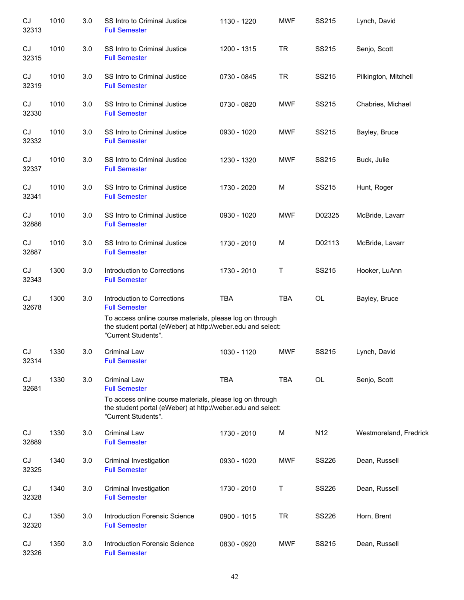| CJ<br>32313 | 1010 | 3.0 | SS Intro to Criminal Justice<br><b>Full Semester</b>                                                                                           | 1130 - 1220 | <b>MWF</b> | SS215           | Lynch, David           |
|-------------|------|-----|------------------------------------------------------------------------------------------------------------------------------------------------|-------------|------------|-----------------|------------------------|
| CJ<br>32315 | 1010 | 3.0 | SS Intro to Criminal Justice<br><b>Full Semester</b>                                                                                           | 1200 - 1315 | <b>TR</b>  | SS215           | Senjo, Scott           |
| CJ<br>32319 | 1010 | 3.0 | SS Intro to Criminal Justice<br><b>Full Semester</b>                                                                                           | 0730 - 0845 | <b>TR</b>  | SS215           | Pilkington, Mitchell   |
| CJ<br>32330 | 1010 | 3.0 | SS Intro to Criminal Justice<br><b>Full Semester</b>                                                                                           | 0730 - 0820 | <b>MWF</b> | SS215           | Chabries, Michael      |
| CJ<br>32332 | 1010 | 3.0 | SS Intro to Criminal Justice<br><b>Full Semester</b>                                                                                           | 0930 - 1020 | <b>MWF</b> | SS215           | Bayley, Bruce          |
| CJ<br>32337 | 1010 | 3.0 | SS Intro to Criminal Justice<br><b>Full Semester</b>                                                                                           | 1230 - 1320 | <b>MWF</b> | SS215           | Buck, Julie            |
| CJ<br>32341 | 1010 | 3.0 | SS Intro to Criminal Justice<br><b>Full Semester</b>                                                                                           | 1730 - 2020 | M          | SS215           | Hunt, Roger            |
| CJ<br>32886 | 1010 | 3.0 | SS Intro to Criminal Justice<br><b>Full Semester</b>                                                                                           | 0930 - 1020 | <b>MWF</b> | D02325          | McBride, Lavarr        |
| CJ<br>32887 | 1010 | 3.0 | SS Intro to Criminal Justice<br><b>Full Semester</b>                                                                                           | 1730 - 2010 | M          | D02113          | McBride, Lavarr        |
| CJ<br>32343 | 1300 | 3.0 | Introduction to Corrections<br><b>Full Semester</b>                                                                                            | 1730 - 2010 | Τ          | SS215           | Hooker, LuAnn          |
| CJ<br>32678 | 1300 | 3.0 | Introduction to Corrections<br><b>Full Semester</b>                                                                                            | <b>TBA</b>  | <b>TBA</b> | OL              | Bayley, Bruce          |
|             |      |     | To access online course materials, please log on through<br>the student portal (eWeber) at http://weber.edu and select:<br>"Current Students". |             |            |                 |                        |
| CJ<br>32314 | 1330 | 3.0 | <b>Criminal Law</b><br><b>Full Semester</b>                                                                                                    | 1030 - 1120 | <b>MWF</b> | SS215           | Lynch, David           |
| CJ<br>32681 | 1330 | 3.0 | <b>Criminal Law</b><br><b>Full Semester</b>                                                                                                    | <b>TBA</b>  | <b>TBA</b> | OL              | Senjo, Scott           |
|             |      |     | To access online course materials, please log on through<br>the student portal (eWeber) at http://weber.edu and select:<br>"Current Students". |             |            |                 |                        |
| CJ<br>32889 | 1330 | 3.0 | <b>Criminal Law</b><br><b>Full Semester</b>                                                                                                    | 1730 - 2010 | M          | N <sub>12</sub> | Westmoreland, Fredrick |
| CJ<br>32325 | 1340 | 3.0 | Criminal Investigation<br><b>Full Semester</b>                                                                                                 | 0930 - 1020 | <b>MWF</b> | <b>SS226</b>    | Dean, Russell          |
| CJ<br>32328 | 1340 | 3.0 | Criminal Investigation<br><b>Full Semester</b>                                                                                                 | 1730 - 2010 | Τ          | SS226           | Dean, Russell          |
| CJ<br>32320 | 1350 | 3.0 | <b>Introduction Forensic Science</b><br><b>Full Semester</b>                                                                                   | 0900 - 1015 | <b>TR</b>  | SS226           | Horn, Brent            |
| CJ<br>32326 | 1350 | 3.0 | <b>Introduction Forensic Science</b><br><b>Full Semester</b>                                                                                   | 0830 - 0920 | <b>MWF</b> | SS215           | Dean, Russell          |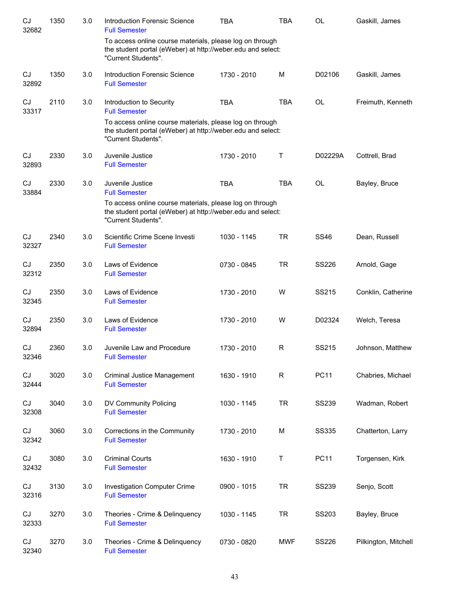| CJ<br>32682 | 1350 | 3.0 | <b>Introduction Forensic Science</b><br><b>Full Semester</b>                                                                                   | TBA         | <b>TBA</b>   | OL           | Gaskill, James       |
|-------------|------|-----|------------------------------------------------------------------------------------------------------------------------------------------------|-------------|--------------|--------------|----------------------|
|             |      |     | To access online course materials, please log on through<br>the student portal (eWeber) at http://weber.edu and select:<br>"Current Students". |             |              |              |                      |
| CJ<br>32892 | 1350 | 3.0 | Introduction Forensic Science<br><b>Full Semester</b>                                                                                          | 1730 - 2010 | M            | D02106       | Gaskill, James       |
| CJ<br>33317 | 2110 | 3.0 | Introduction to Security<br><b>Full Semester</b>                                                                                               | <b>TBA</b>  | <b>TBA</b>   | <b>OL</b>    | Freimuth, Kenneth    |
|             |      |     | To access online course materials, please log on through<br>the student portal (eWeber) at http://weber.edu and select:<br>"Current Students". |             |              |              |                      |
| CJ<br>32893 | 2330 | 3.0 | Juvenile Justice<br><b>Full Semester</b>                                                                                                       | 1730 - 2010 | Τ            | D02229A      | Cottrell, Brad       |
| CJ<br>33884 | 2330 | 3.0 | Juvenile Justice<br><b>Full Semester</b>                                                                                                       | <b>TBA</b>  | <b>TBA</b>   | <b>OL</b>    | Bayley, Bruce        |
|             |      |     | To access online course materials, please log on through<br>the student portal (eWeber) at http://weber.edu and select:<br>"Current Students". |             |              |              |                      |
| CJ<br>32327 | 2340 | 3.0 | Scientific Crime Scene Investi<br><b>Full Semester</b>                                                                                         | 1030 - 1145 | <b>TR</b>    | <b>SS46</b>  | Dean, Russell        |
| CJ<br>32312 | 2350 | 3.0 | Laws of Evidence<br><b>Full Semester</b>                                                                                                       | 0730 - 0845 | <b>TR</b>    | <b>SS226</b> | Arnold, Gage         |
| CJ<br>32345 | 2350 | 3.0 | Laws of Evidence<br><b>Full Semester</b>                                                                                                       | 1730 - 2010 | W            | SS215        | Conklin, Catherine   |
| CJ<br>32894 | 2350 | 3.0 | Laws of Evidence<br><b>Full Semester</b>                                                                                                       | 1730 - 2010 | W            | D02324       | Welch, Teresa        |
| CJ<br>32346 | 2360 | 3.0 | Juvenile Law and Procedure<br><b>Full Semester</b>                                                                                             | 1730 - 2010 | R            | SS215        | Johnson, Matthew     |
| CJ<br>32444 | 3020 | 3.0 | <b>Criminal Justice Management</b><br><b>Full Semester</b>                                                                                     | 1630 - 1910 | $\mathsf{R}$ | <b>PC11</b>  | Chabries, Michael    |
| CJ<br>32308 | 3040 | 3.0 | DV Community Policing<br><b>Full Semester</b>                                                                                                  | 1030 - 1145 | <b>TR</b>    | <b>SS239</b> | Wadman, Robert       |
| CJ<br>32342 | 3060 | 3.0 | Corrections in the Community<br><b>Full Semester</b>                                                                                           | 1730 - 2010 | M            | <b>SS335</b> | Chatterton, Larry    |
| CJ<br>32432 | 3080 | 3.0 | <b>Criminal Courts</b><br><b>Full Semester</b>                                                                                                 | 1630 - 1910 | T            | <b>PC11</b>  | Torgensen, Kirk      |
| CJ<br>32316 | 3130 | 3.0 | <b>Investigation Computer Crime</b><br><b>Full Semester</b>                                                                                    | 0900 - 1015 | <b>TR</b>    | <b>SS239</b> | Senjo, Scott         |
| CJ<br>32333 | 3270 | 3.0 | Theories - Crime & Delinquency<br><b>Full Semester</b>                                                                                         | 1030 - 1145 | <b>TR</b>    | SS203        | Bayley, Bruce        |
| CJ<br>32340 | 3270 | 3.0 | Theories - Crime & Delinquency<br><b>Full Semester</b>                                                                                         | 0730 - 0820 | <b>MWF</b>   | SS226        | Pilkington, Mitchell |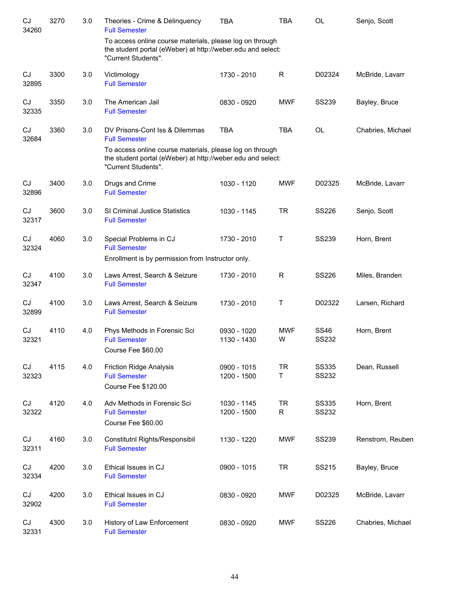| CJ<br>34260 | 3270 | 3.0 | Theories - Crime & Delinquency<br><b>Full Semester</b>                                                                                         | <b>TBA</b>                 | <b>TBA</b>      | OL                           | Senjo, Scott      |
|-------------|------|-----|------------------------------------------------------------------------------------------------------------------------------------------------|----------------------------|-----------------|------------------------------|-------------------|
|             |      |     | To access online course materials, please log on through<br>the student portal (eWeber) at http://weber.edu and select:<br>"Current Students". |                            |                 |                              |                   |
| CJ<br>32895 | 3300 | 3.0 | Victimology<br><b>Full Semester</b>                                                                                                            | 1730 - 2010                | R               | D02324                       | McBride, Lavarr   |
| CJ<br>32335 | 3350 | 3.0 | The American Jail<br><b>Full Semester</b>                                                                                                      | 0830 - 0920                | <b>MWF</b>      | <b>SS239</b>                 | Bayley, Bruce     |
| CJ<br>32684 | 3360 | 3.0 | DV Prisons-Cont Iss & Dilemmas<br><b>Full Semester</b>                                                                                         | <b>TBA</b>                 | <b>TBA</b>      | OL                           | Chabries, Michael |
|             |      |     | To access online course materials, please log on through<br>the student portal (eWeber) at http://weber.edu and select:<br>"Current Students". |                            |                 |                              |                   |
| CJ<br>32896 | 3400 | 3.0 | Drugs and Crime<br><b>Full Semester</b>                                                                                                        | 1030 - 1120                | <b>MWF</b>      | D02325                       | McBride, Lavarr   |
| CJ<br>32317 | 3600 | 3.0 | SI Criminal Justice Statistics<br><b>Full Semester</b>                                                                                         | 1030 - 1145                | <b>TR</b>       | <b>SS226</b>                 | Senjo, Scott      |
| CJ<br>32324 | 4060 | 3.0 | Special Problems in CJ<br><b>Full Semester</b>                                                                                                 | 1730 - 2010                | T               | <b>SS239</b>                 | Horn, Brent       |
|             |      |     | Enrollment is by permission from Instructor only.                                                                                              |                            |                 |                              |                   |
| CJ<br>32347 | 4100 | 3.0 | Laws Arrest, Search & Seizure<br><b>Full Semester</b>                                                                                          | 1730 - 2010                | $\mathsf{R}$    | <b>SS226</b>                 | Miles, Branden    |
| CJ<br>32899 | 4100 | 3.0 | Laws Arrest, Search & Seizure<br><b>Full Semester</b>                                                                                          | 1730 - 2010                | T               | D02322                       | Larsen, Richard   |
| CJ<br>32321 | 4110 | 4.0 | Phys Methods in Forensic Sci<br><b>Full Semester</b><br>Course Fee \$60.00                                                                     | 0930 - 1020<br>1130 - 1430 | <b>MWF</b><br>w | <b>SS46</b><br><b>SS232</b>  | Horn, Brent       |
| CJ<br>32323 | 4115 | 4.0 | <b>Friction Ridge Analysis</b><br><b>Full Semester</b><br>Course Fee \$120.00                                                                  | 0900 - 1015<br>1200 - 1500 | <b>TR</b><br>Τ  | <b>SS335</b><br>SS232        | Dean, Russell     |
| CJ<br>32322 | 4120 | 4.0 | Adv Methods in Forensic Sci<br><b>Full Semester</b><br>Course Fee \$60.00                                                                      | 1030 - 1145<br>1200 - 1500 | <b>TR</b><br>R  | <b>SS335</b><br><b>SS232</b> | Horn, Brent       |
| CJ<br>32311 | 4160 | 3.0 | Constitutnl Rights/Responsibil<br><b>Full Semester</b>                                                                                         | 1130 - 1220                | MWF             | <b>SS239</b>                 | Renstrom, Reuben  |
| CJ<br>32334 | 4200 | 3.0 | Ethical Issues in CJ<br><b>Full Semester</b>                                                                                                   | 0900 - 1015                | <b>TR</b>       | SS215                        | Bayley, Bruce     |
| CJ<br>32902 | 4200 | 3.0 | Ethical Issues in CJ<br><b>Full Semester</b>                                                                                                   | 0830 - 0920                | <b>MWF</b>      | D02325                       | McBride, Lavarr   |
| CJ<br>32331 | 4300 | 3.0 | History of Law Enforcement<br><b>Full Semester</b>                                                                                             | 0830 - 0920                | <b>MWF</b>      | SS226                        | Chabries, Michael |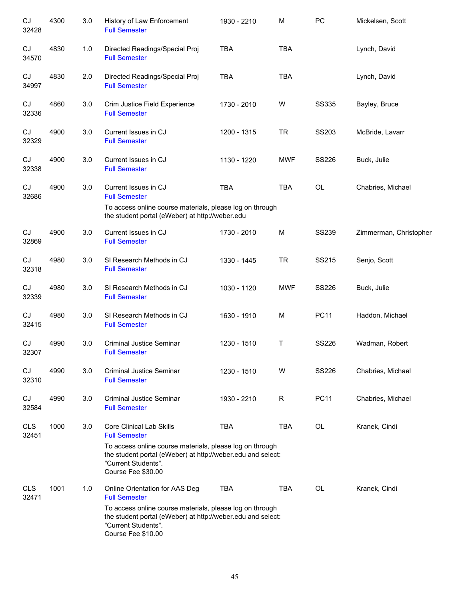| CJ<br>32428         | 4300 | 3.0 | History of Law Enforcement<br><b>Full Semester</b>                                                                                                                   | 1930 - 2210 | M          | PC           | Mickelsen, Scott       |
|---------------------|------|-----|----------------------------------------------------------------------------------------------------------------------------------------------------------------------|-------------|------------|--------------|------------------------|
| CJ<br>34570         | 4830 | 1.0 | Directed Readings/Special Proj<br><b>Full Semester</b>                                                                                                               | <b>TBA</b>  | <b>TBA</b> |              | Lynch, David           |
| CJ<br>34997         | 4830 | 2.0 | Directed Readings/Special Proj<br><b>Full Semester</b>                                                                                                               | <b>TBA</b>  | <b>TBA</b> |              | Lynch, David           |
| CJ<br>32336         | 4860 | 3.0 | Crim Justice Field Experience<br><b>Full Semester</b>                                                                                                                | 1730 - 2010 | W          | <b>SS335</b> | Bayley, Bruce          |
| CJ<br>32329         | 4900 | 3.0 | Current Issues in CJ<br><b>Full Semester</b>                                                                                                                         | 1200 - 1315 | <b>TR</b>  | SS203        | McBride, Lavarr        |
| CJ<br>32338         | 4900 | 3.0 | Current Issues in CJ<br><b>Full Semester</b>                                                                                                                         | 1130 - 1220 | <b>MWF</b> | <b>SS226</b> | Buck, Julie            |
| CJ<br>32686         | 4900 | 3.0 | Current Issues in CJ<br><b>Full Semester</b>                                                                                                                         | <b>TBA</b>  | <b>TBA</b> | OL           | Chabries, Michael      |
|                     |      |     | To access online course materials, please log on through<br>the student portal (eWeber) at http://weber.edu                                                          |             |            |              |                        |
| CJ<br>32869         | 4900 | 3.0 | Current Issues in CJ<br><b>Full Semester</b>                                                                                                                         | 1730 - 2010 | M          | <b>SS239</b> | Zimmerman, Christopher |
| CJ<br>32318         | 4980 | 3.0 | SI Research Methods in CJ<br><b>Full Semester</b>                                                                                                                    | 1330 - 1445 | <b>TR</b>  | SS215        | Senjo, Scott           |
| CJ<br>32339         | 4980 | 3.0 | SI Research Methods in CJ<br><b>Full Semester</b>                                                                                                                    | 1030 - 1120 | <b>MWF</b> | <b>SS226</b> | Buck, Julie            |
| CJ<br>32415         | 4980 | 3.0 | SI Research Methods in CJ<br><b>Full Semester</b>                                                                                                                    | 1630 - 1910 | M          | <b>PC11</b>  | Haddon, Michael        |
| CJ<br>32307         | 4990 | 3.0 | <b>Criminal Justice Seminar</b><br><b>Full Semester</b>                                                                                                              | 1230 - 1510 | Τ          | <b>SS226</b> | Wadman, Robert         |
| CJ<br>32310         | 4990 | 3.0 | <b>Criminal Justice Seminar</b><br><b>Full Semester</b>                                                                                                              | 1230 - 1510 | W          | <b>SS226</b> | Chabries, Michael      |
| CJ<br>32584         | 4990 | 3.0 | <b>Criminal Justice Seminar</b><br><b>Full Semester</b>                                                                                                              | 1930 - 2210 | R          | <b>PC11</b>  | Chabries, Michael      |
| <b>CLS</b><br>32451 | 1000 | 3.0 | <b>Core Clinical Lab Skills</b><br><b>Full Semester</b>                                                                                                              | <b>TBA</b>  | <b>TBA</b> | OL           | Kranek, Cindi          |
|                     |      |     | To access online course materials, please log on through<br>the student portal (eWeber) at http://weber.edu and select:<br>"Current Students".<br>Course Fee \$30.00 |             |            |              |                        |
| <b>CLS</b><br>32471 | 1001 | 1.0 | Online Orientation for AAS Deg<br><b>Full Semester</b>                                                                                                               | <b>TBA</b>  | TBA        | <b>OL</b>    | Kranek, Cindi          |
|                     |      |     | To access online course materials, please log on through<br>the student portal (eWeber) at http://weber.edu and select:<br>"Current Students".<br>Course Fee \$10.00 |             |            |              |                        |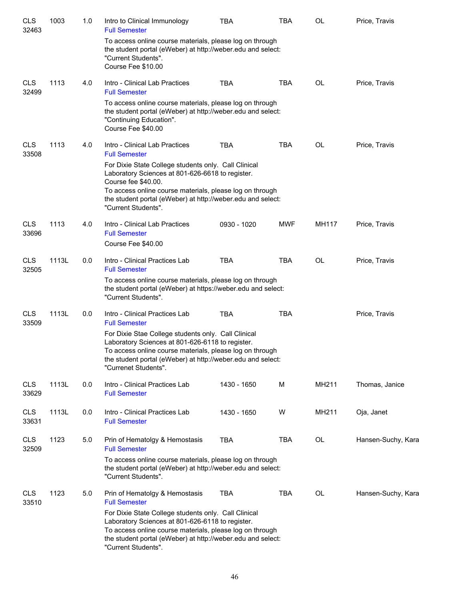| <b>CLS</b><br>32463 | 1003  | 1.0 | Intro to Clinical Immunology<br><b>Full Semester</b>                                                                                                                                                                                                       | <b>TBA</b>  | <b>TBA</b> | <b>OL</b> | Price, Travis      |
|---------------------|-------|-----|------------------------------------------------------------------------------------------------------------------------------------------------------------------------------------------------------------------------------------------------------------|-------------|------------|-----------|--------------------|
|                     |       |     | To access online course materials, please log on through<br>the student portal (eWeber) at http://weber.edu and select:<br>"Current Students".<br>Course Fee \$10.00                                                                                       |             |            |           |                    |
| <b>CLS</b><br>32499 | 1113  | 4.0 | Intro - Clinical Lab Practices<br><b>Full Semester</b>                                                                                                                                                                                                     | <b>TBA</b>  | <b>TBA</b> | <b>OL</b> | Price, Travis      |
|                     |       |     | To access online course materials, please log on through<br>the student portal (eWeber) at http://weber.edu and select:<br>"Continuing Education".<br>Course Fee \$40.00                                                                                   |             |            |           |                    |
| <b>CLS</b><br>33508 | 1113  | 4.0 | Intro - Clinical Lab Practices<br><b>Full Semester</b>                                                                                                                                                                                                     | <b>TBA</b>  | <b>TBA</b> | OL        | Price, Travis      |
|                     |       |     | For Dixie State College students only. Call Clinical<br>Laboratory Sciences at 801-626-6618 to register.<br>Course fee \$40.00.<br>To access online course materials, please log on through                                                                |             |            |           |                    |
|                     |       |     | the student portal (eWeber) at http://weber.edu and select:<br>"Current Students".                                                                                                                                                                         |             |            |           |                    |
| <b>CLS</b><br>33696 | 1113  | 4.0 | Intro - Clinical Lab Practices<br><b>Full Semester</b><br>Course Fee \$40.00                                                                                                                                                                               | 0930 - 1020 | <b>MWF</b> | MH117     | Price, Travis      |
| <b>CLS</b><br>32505 | 1113L | 0.0 | Intro - Clinical Practices Lab<br><b>Full Semester</b>                                                                                                                                                                                                     | <b>TBA</b>  | <b>TBA</b> | <b>OL</b> | Price, Travis      |
|                     |       |     | To access online course materials, please log on through<br>the student portal (eWeber) at https://weber.edu and select:<br>"Current Students".                                                                                                            |             |            |           |                    |
| <b>CLS</b><br>33509 | 1113L | 0.0 | Intro - Clinical Practices Lab<br><b>Full Semester</b>                                                                                                                                                                                                     | <b>TBA</b>  | <b>TBA</b> |           | Price, Travis      |
|                     |       |     | For Dixie Stae College students only. Call Clinical<br>Laboratory Sciences at 801-626-6118 to register.<br>To access online course materials, please log on through<br>the student portal (eWeber) at http://weber.edu and select:<br>"Currenet Students". |             |            |           |                    |
| <b>CLS</b><br>33629 | 1113L | 0.0 | Intro - Clinical Practices Lab<br><b>Full Semester</b>                                                                                                                                                                                                     | 1430 - 1650 | M          | MH211     | Thomas, Janice     |
| <b>CLS</b><br>33631 | 1113L | 0.0 | Intro - Clinical Practices Lab<br><b>Full Semester</b>                                                                                                                                                                                                     | 1430 - 1650 | W          | MH211     | Oja, Janet         |
| <b>CLS</b><br>32509 | 1123  | 5.0 | Prin of Hematolgy & Hemostasis<br><b>Full Semester</b>                                                                                                                                                                                                     | <b>TBA</b>  | TBA        | OL        | Hansen-Suchy, Kara |
|                     |       |     | To access online course materials, please log on through<br>the student portal (eWeber) at http://weber.edu and select:<br>"Current Students".                                                                                                             |             |            |           |                    |
| <b>CLS</b><br>33510 | 1123  | 5.0 | Prin of Hematolgy & Hemostasis<br><b>Full Semester</b>                                                                                                                                                                                                     | <b>TBA</b>  | <b>TBA</b> | OL        | Hansen-Suchy, Kara |
|                     |       |     | For Dixie State College students only. Call Clinical<br>Laboratory Sciences at 801-626-6118 to register.<br>To access online course materials, please log on through<br>the student portal (eWeber) at http://weber.edu and select:<br>"Current Students". |             |            |           |                    |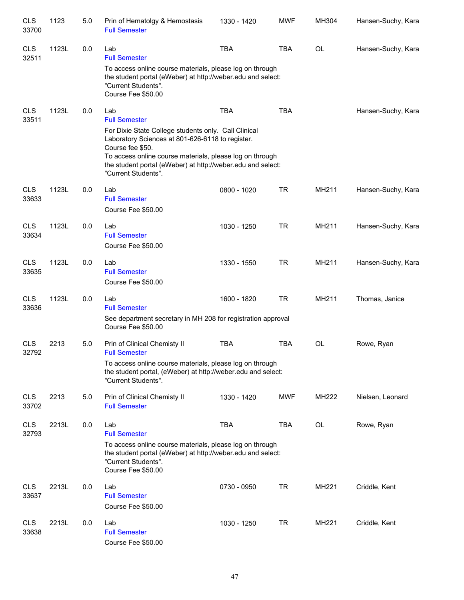| <b>CLS</b><br>33700 | 1123  | 5.0 | Prin of Hematolgy & Hemostasis<br><b>Full Semester</b>                                                                                                                                                                                                                         | 1330 - 1420 | <b>MWF</b> | MH304 | Hansen-Suchy, Kara |
|---------------------|-------|-----|--------------------------------------------------------------------------------------------------------------------------------------------------------------------------------------------------------------------------------------------------------------------------------|-------------|------------|-------|--------------------|
| <b>CLS</b><br>32511 | 1123L | 0.0 | Lab<br><b>Full Semester</b>                                                                                                                                                                                                                                                    | <b>TBA</b>  | <b>TBA</b> | OL    | Hansen-Suchy, Kara |
|                     |       |     | To access online course materials, please log on through<br>the student portal (eWeber) at http://weber.edu and select:<br>"Current Students".<br>Course Fee \$50.00                                                                                                           |             |            |       |                    |
| <b>CLS</b><br>33511 | 1123L | 0.0 | Lab<br><b>Full Semester</b>                                                                                                                                                                                                                                                    | <b>TBA</b>  | <b>TBA</b> |       | Hansen-Suchy, Kara |
|                     |       |     | For Dixie State College students only. Call Clinical<br>Laboratory Sciences at 801-626-6118 to register.<br>Course fee \$50.<br>To access online course materials, please log on through<br>the student portal (eWeber) at http://weber.edu and select:<br>"Current Students". |             |            |       |                    |
| <b>CLS</b><br>33633 | 1123L | 0.0 | Lab<br><b>Full Semester</b><br>Course Fee \$50.00                                                                                                                                                                                                                              | 0800 - 1020 | <b>TR</b>  | MH211 | Hansen-Suchy, Kara |
| <b>CLS</b><br>33634 | 1123L | 0.0 | Lab<br><b>Full Semester</b><br>Course Fee \$50.00                                                                                                                                                                                                                              | 1030 - 1250 | <b>TR</b>  | MH211 | Hansen-Suchy, Kara |
| <b>CLS</b><br>33635 | 1123L | 0.0 | Lab<br><b>Full Semester</b><br>Course Fee \$50.00                                                                                                                                                                                                                              | 1330 - 1550 | <b>TR</b>  | MH211 | Hansen-Suchy, Kara |
| <b>CLS</b><br>33636 | 1123L | 0.0 | Lab<br><b>Full Semester</b>                                                                                                                                                                                                                                                    | 1600 - 1820 | TR         | MH211 | Thomas, Janice     |
|                     |       |     | See department secretary in MH 208 for registration approval<br>Course Fee \$50.00                                                                                                                                                                                             |             |            |       |                    |
| <b>CLS</b><br>32792 | 2213  | 5.0 | Prin of Clinical Chemisty II<br><b>Full Semester</b>                                                                                                                                                                                                                           | <b>TBA</b>  | <b>TBA</b> | OL    | Rowe, Ryan         |
|                     |       |     | To access online course materials, please log on through<br>the student portal, (eWeber) at http://weber.edu and select:<br>"Current Students".                                                                                                                                |             |            |       |                    |
| <b>CLS</b><br>33702 | 2213  | 5.0 | Prin of Clinical Chemisty II<br><b>Full Semester</b>                                                                                                                                                                                                                           | 1330 - 1420 | <b>MWF</b> | MH222 | Nielsen, Leonard   |
| <b>CLS</b><br>32793 | 2213L | 0.0 | Lab<br><b>Full Semester</b>                                                                                                                                                                                                                                                    | <b>TBA</b>  | <b>TBA</b> | OL    | Rowe, Ryan         |
|                     |       |     | To access online course materials, please log on through<br>the student portal (eWeber) at http://weber.edu and select:<br>"Current Students".<br>Course Fee \$50.00                                                                                                           |             |            |       |                    |
| <b>CLS</b><br>33637 | 2213L | 0.0 | Lab<br><b>Full Semester</b><br>Course Fee \$50.00                                                                                                                                                                                                                              | 0730 - 0950 | <b>TR</b>  | MH221 | Criddle, Kent      |
| <b>CLS</b><br>33638 | 2213L | 0.0 | Lab<br><b>Full Semester</b><br>Course Fee \$50.00                                                                                                                                                                                                                              | 1030 - 1250 | <b>TR</b>  | MH221 | Criddle, Kent      |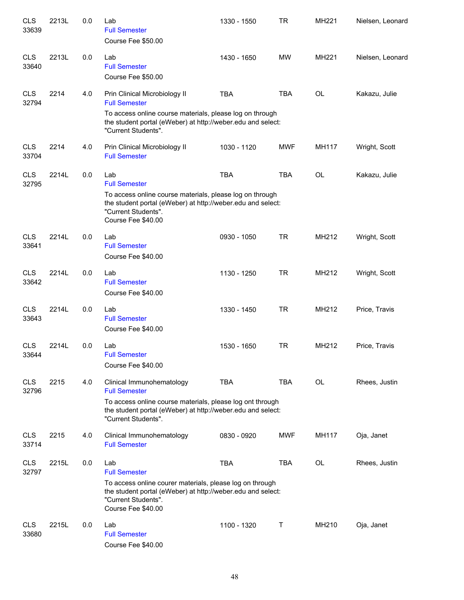| <b>CLS</b><br>33639 | 2213L | 0.0 | Lab<br><b>Full Semester</b><br>Course Fee \$50.00                                                                                                                                                    | 1330 - 1550 | <b>TR</b>  | MH221     | Nielsen, Leonard |
|---------------------|-------|-----|------------------------------------------------------------------------------------------------------------------------------------------------------------------------------------------------------|-------------|------------|-----------|------------------|
| <b>CLS</b><br>33640 | 2213L | 0.0 | Lab<br><b>Full Semester</b><br>Course Fee \$50.00                                                                                                                                                    | 1430 - 1650 | <b>MW</b>  | MH221     | Nielsen, Leonard |
| <b>CLS</b><br>32794 | 2214  | 4.0 | Prin Clinical Microbiology II<br><b>Full Semester</b><br>To access online course materials, please log on through<br>the student portal (eWeber) at http://weber.edu and select:                     | <b>TBA</b>  | <b>TBA</b> | <b>OL</b> | Kakazu, Julie    |
| <b>CLS</b><br>33704 | 2214  | 4.0 | "Current Students".<br>Prin Clinical Microbiology II<br><b>Full Semester</b>                                                                                                                         | 1030 - 1120 | <b>MWF</b> | MH117     | Wright, Scott    |
| <b>CLS</b><br>32795 | 2214L | 0.0 | Lab<br><b>Full Semester</b><br>To access online course materials, please log on through<br>the student portal (eWeber) at http://weber.edu and select:                                               | <b>TBA</b>  | <b>TBA</b> | <b>OL</b> | Kakazu, Julie    |
|                     |       |     | "Current Students".<br>Course Fee \$40.00                                                                                                                                                            |             |            |           |                  |
| <b>CLS</b><br>33641 | 2214L | 0.0 | Lab<br><b>Full Semester</b><br>Course Fee \$40.00                                                                                                                                                    | 0930 - 1050 | <b>TR</b>  | MH212     | Wright, Scott    |
| <b>CLS</b><br>33642 | 2214L | 0.0 | Lab<br><b>Full Semester</b><br>Course Fee \$40.00                                                                                                                                                    | 1130 - 1250 | <b>TR</b>  | MH212     | Wright, Scott    |
| <b>CLS</b><br>33643 | 2214L | 0.0 | Lab<br><b>Full Semester</b><br>Course Fee \$40.00                                                                                                                                                    | 1330 - 1450 | <b>TR</b>  | MH212     | Price, Travis    |
| <b>CLS</b><br>33644 | 2214L | 0.0 | Lab<br><b>Full Semester</b><br>Course Fee \$40.00                                                                                                                                                    | 1530 - 1650 | <b>TR</b>  | MH212     | Price, Travis    |
| <b>CLS</b><br>32796 | 2215  | 4.0 | Clinical Immunohematology<br><b>Full Semester</b><br>To access online course materials, please log ont through<br>the student portal (eWeber) at http://weber.edu and select:<br>"Current Students". | <b>TBA</b>  | <b>TBA</b> | <b>OL</b> | Rhees, Justin    |
| <b>CLS</b><br>33714 | 2215  | 4.0 | Clinical Immunohematology<br><b>Full Semester</b>                                                                                                                                                    | 0830 - 0920 | <b>MWF</b> | MH117     | Oja, Janet       |
| <b>CLS</b><br>32797 | 2215L | 0.0 | Lab<br><b>Full Semester</b><br>To access online courer materials, please log on through<br>the student portal (eWeber) at http://weber.edu and select:<br>"Current Students".<br>Course Fee \$40.00  | <b>TBA</b>  | <b>TBA</b> | OL        | Rhees, Justin    |
| <b>CLS</b><br>33680 | 2215L | 0.0 | Lab<br><b>Full Semester</b><br>Course Fee \$40.00                                                                                                                                                    | 1100 - 1320 | Т          | MH210     | Oja, Janet       |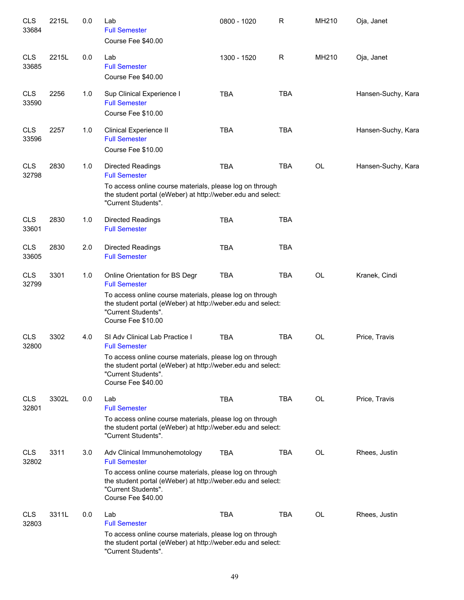| <b>CLS</b><br>33684 | 2215L | 0.0 | Lab<br><b>Full Semester</b><br>Course Fee \$40.00                                                                                                                           | 0800 - 1020 | $\mathsf R$ | MH210     | Oja, Janet         |
|---------------------|-------|-----|-----------------------------------------------------------------------------------------------------------------------------------------------------------------------------|-------------|-------------|-----------|--------------------|
| <b>CLS</b><br>33685 | 2215L | 0.0 | Lab<br><b>Full Semester</b><br>Course Fee \$40.00                                                                                                                           | 1300 - 1520 | R           | MH210     | Oja, Janet         |
| <b>CLS</b><br>33590 | 2256  | 1.0 | Sup Clinical Experience I<br><b>Full Semester</b><br>Course Fee \$10.00                                                                                                     | <b>TBA</b>  | <b>TBA</b>  |           | Hansen-Suchy, Kara |
| <b>CLS</b><br>33596 | 2257  | 1.0 | Clinical Experience II<br><b>Full Semester</b><br>Course Fee \$10.00                                                                                                        | <b>TBA</b>  | <b>TBA</b>  |           | Hansen-Suchy, Kara |
| <b>CLS</b><br>32798 | 2830  | 1.0 | <b>Directed Readings</b><br><b>Full Semester</b><br>To access online course materials, please log on through<br>the student portal (eWeber) at http://weber.edu and select: | <b>TBA</b>  | <b>TBA</b>  | <b>OL</b> | Hansen-Suchy, Kara |
|                     |       |     | "Current Students".                                                                                                                                                         |             |             |           |                    |
| <b>CLS</b><br>33601 | 2830  | 1.0 | <b>Directed Readings</b><br><b>Full Semester</b>                                                                                                                            | <b>TBA</b>  | <b>TBA</b>  |           |                    |
| <b>CLS</b><br>33605 | 2830  | 2.0 | <b>Directed Readings</b><br><b>Full Semester</b>                                                                                                                            | <b>TBA</b>  | <b>TBA</b>  |           |                    |
| <b>CLS</b><br>32799 | 3301  | 1.0 | Online Orientation for BS Degr<br><b>Full Semester</b>                                                                                                                      | <b>TBA</b>  | <b>TBA</b>  | OL        | Kranek, Cindi      |
|                     |       |     | To access online course materials, please log on through<br>the student portal (eWeber) at http://weber.edu and select:<br>"Current Students".<br>Course Fee \$10.00        |             |             |           |                    |
| <b>CLS</b><br>32800 | 3302  | 4.0 | SI Adv Clinical Lab Practice I<br><b>Full Semester</b>                                                                                                                      | <b>TBA</b>  | <b>TBA</b>  | OL        | Price, Travis      |
|                     |       |     | To access online course materials, please log on through<br>the student portal (eWeber) at http://weber.edu and select:<br>"Current Students".<br>Course Fee \$40.00        |             |             |           |                    |
| <b>CLS</b><br>32801 | 3302L | 0.0 | Lab<br><b>Full Semester</b>                                                                                                                                                 | <b>TBA</b>  | <b>TBA</b>  | OL        | Price, Travis      |
|                     |       |     | To access online course materials, please log on through<br>the student portal (eWeber) at http://weber.edu and select:<br>"Current Students".                              |             |             |           |                    |
| <b>CLS</b><br>32802 | 3311  | 3.0 | Adv Clinical Immunohemotology<br><b>Full Semester</b>                                                                                                                       | <b>TBA</b>  | <b>TBA</b>  | OL        | Rhees, Justin      |
|                     |       |     | To access online course materials, please log on through<br>the student portal (eWeber) at http://weber.edu and select:<br>"Current Students".<br>Course Fee \$40.00        |             |             |           |                    |
| <b>CLS</b><br>32803 | 3311L | 0.0 | Lab<br><b>Full Semester</b>                                                                                                                                                 | <b>TBA</b>  | <b>TBA</b>  | OL        | Rhees, Justin      |
|                     |       |     | To access online course materials, please log on through<br>the student portal (eWeber) at http://weber.edu and select:<br>"Current Students".                              |             |             |           |                    |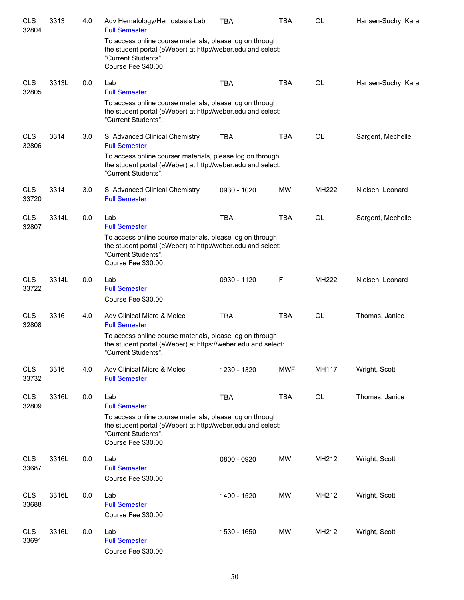| <b>CLS</b><br>32804 | 3313  | 4.0 | Adv Hematology/Hemostasis Lab<br><b>Full Semester</b>                                                                                                                | <b>TBA</b>  | <b>TBA</b> | OL        | Hansen-Suchy, Kara |
|---------------------|-------|-----|----------------------------------------------------------------------------------------------------------------------------------------------------------------------|-------------|------------|-----------|--------------------|
|                     |       |     | To access online course materials, please log on through<br>the student portal (eWeber) at http://weber.edu and select:<br>"Current Students".<br>Course Fee \$40.00 |             |            |           |                    |
| <b>CLS</b><br>32805 | 3313L | 0.0 | Lab<br><b>Full Semester</b>                                                                                                                                          | <b>TBA</b>  | <b>TBA</b> | <b>OL</b> | Hansen-Suchy, Kara |
|                     |       |     | To access online course materials, please log on through<br>the student portal (eWeber) at http://weber.edu and select:<br>"Current Students".                       |             |            |           |                    |
| <b>CLS</b><br>32806 | 3314  | 3.0 | SI Advanced Clinical Chemistry<br><b>Full Semester</b>                                                                                                               | <b>TBA</b>  | <b>TBA</b> | OL        | Sargent, Mechelle  |
|                     |       |     | To access online courser materials, please log on through<br>the student portal (eWeber) at http://weber.edu and select:<br>"Current Students".                      |             |            |           |                    |
| <b>CLS</b><br>33720 | 3314  | 3.0 | SI Advanced Clinical Chemistry<br><b>Full Semester</b>                                                                                                               | 0930 - 1020 | <b>MW</b>  | MH222     | Nielsen, Leonard   |
| <b>CLS</b><br>32807 | 3314L | 0.0 | Lab<br><b>Full Semester</b>                                                                                                                                          | <b>TBA</b>  | <b>TBA</b> | OL        | Sargent, Mechelle  |
|                     |       |     | To access online course materials, please log on through<br>the student portal (eWeber) at http://weber.edu and select:<br>"Current Students".<br>Course Fee \$30.00 |             |            |           |                    |
| <b>CLS</b><br>33722 | 3314L | 0.0 | Lab<br><b>Full Semester</b>                                                                                                                                          | 0930 - 1120 | F          | MH222     | Nielsen, Leonard   |
|                     |       |     | Course Fee \$30.00                                                                                                                                                   |             |            |           |                    |
| <b>CLS</b><br>32808 | 3316  | 4.0 | Adv Clinical Micro & Molec<br><b>Full Semester</b>                                                                                                                   | <b>TBA</b>  | <b>TBA</b> | <b>OL</b> | Thomas, Janice     |
|                     |       |     | To access online course materials, please log on through<br>the student portal (eWeber) at https://weber.edu and select:<br>"Current Students".                      |             |            |           |                    |
| <b>CLS</b><br>33732 | 3316  | 4.0 | Adv Clinical Micro & Molec<br><b>Full Semester</b>                                                                                                                   | 1230 - 1320 | <b>MWF</b> | MH117     | Wright, Scott      |
| <b>CLS</b><br>32809 | 3316L | 0.0 | Lab<br><b>Full Semester</b>                                                                                                                                          | <b>TBA</b>  | <b>TBA</b> | <b>OL</b> | Thomas, Janice     |
|                     |       |     | To access online course materials, please log on through<br>the student portal (eWeber) at http://weber.edu and select:<br>"Current Students".<br>Course Fee \$30.00 |             |            |           |                    |
| <b>CLS</b><br>33687 | 3316L | 0.0 | Lab<br><b>Full Semester</b>                                                                                                                                          | 0800 - 0920 | <b>MW</b>  | MH212     | Wright, Scott      |
|                     |       |     | Course Fee \$30.00                                                                                                                                                   |             |            |           |                    |
| <b>CLS</b><br>33688 | 3316L | 0.0 | Lab<br><b>Full Semester</b><br>Course Fee \$30.00                                                                                                                    | 1400 - 1520 | <b>MW</b>  | MH212     | Wright, Scott      |
| <b>CLS</b><br>33691 | 3316L | 0.0 | Lab<br><b>Full Semester</b><br>Course Fee \$30.00                                                                                                                    | 1530 - 1650 | <b>MW</b>  | MH212     | Wright, Scott      |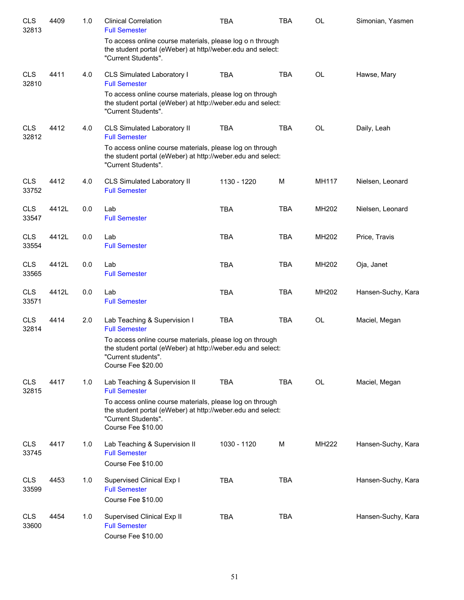| <b>CLS</b><br>32813 | 4409  | 1.0 | <b>Clinical Correlation</b><br><b>Full Semester</b>                                                                                                                  | TBA         | TBA        | OL        | Simonian, Yasmen   |
|---------------------|-------|-----|----------------------------------------------------------------------------------------------------------------------------------------------------------------------|-------------|------------|-----------|--------------------|
|                     |       |     | To access online course materials, please log o n through<br>the student portal (eWeber) at http//weber.edu and select:<br>"Current Students".                       |             |            |           |                    |
| <b>CLS</b><br>32810 | 4411  | 4.0 | CLS Simulated Laboratory I<br><b>Full Semester</b>                                                                                                                   | <b>TBA</b>  | <b>TBA</b> | <b>OL</b> | Hawse, Mary        |
|                     |       |     | To access online course materials, please log on through<br>the student portal (eWeber) at http://weber.edu and select:<br>"Current Students".                       |             |            |           |                    |
| <b>CLS</b><br>32812 | 4412  | 4.0 | CLS Simulated Laboratory II<br><b>Full Semester</b>                                                                                                                  | <b>TBA</b>  | <b>TBA</b> | <b>OL</b> | Daily, Leah        |
|                     |       |     | To access online course materials, please log on through<br>the student portal (eWeber) at http://weber.edu and select:<br>"Current Students".                       |             |            |           |                    |
| <b>CLS</b><br>33752 | 4412  | 4.0 | CLS Simulated Laboratory II<br><b>Full Semester</b>                                                                                                                  | 1130 - 1220 | M          | MH117     | Nielsen, Leonard   |
| <b>CLS</b><br>33547 | 4412L | 0.0 | Lab<br><b>Full Semester</b>                                                                                                                                          | <b>TBA</b>  | <b>TBA</b> | MH202     | Nielsen, Leonard   |
| <b>CLS</b><br>33554 | 4412L | 0.0 | Lab<br><b>Full Semester</b>                                                                                                                                          | <b>TBA</b>  | <b>TBA</b> | MH202     | Price, Travis      |
| <b>CLS</b><br>33565 | 4412L | 0.0 | Lab<br><b>Full Semester</b>                                                                                                                                          | <b>TBA</b>  | <b>TBA</b> | MH202     | Oja, Janet         |
| <b>CLS</b><br>33571 | 4412L | 0.0 | Lab<br><b>Full Semester</b>                                                                                                                                          | <b>TBA</b>  | <b>TBA</b> | MH202     | Hansen-Suchy, Kara |
| <b>CLS</b><br>32814 | 4414  | 2.0 | Lab Teaching & Supervision I<br><b>Full Semester</b>                                                                                                                 | <b>TBA</b>  | <b>TBA</b> | <b>OL</b> | Maciel, Megan      |
|                     |       |     | To access online course materials, please log on through<br>the student portal (eWeber) at http://weber.edu and select:<br>"Current students".<br>Course Fee \$20.00 |             |            |           |                    |
| <b>CLS</b><br>32815 | 4417  | 1.0 | Lab Teaching & Supervision II<br><b>Full Semester</b>                                                                                                                | <b>TBA</b>  | <b>TBA</b> | OL        | Maciel, Megan      |
|                     |       |     | To access online course materials, please log on through<br>the student portal (eWeber) at http://weber.edu and select:<br>"Current Students".<br>Course Fee \$10.00 |             |            |           |                    |
| <b>CLS</b><br>33745 | 4417  | 1.0 | Lab Teaching & Supervision II<br><b>Full Semester</b>                                                                                                                | 1030 - 1120 | M          | MH222     | Hansen-Suchy, Kara |
|                     |       |     | Course Fee \$10.00                                                                                                                                                   |             |            |           |                    |
| <b>CLS</b><br>33599 | 4453  | 1.0 | Supervised Clinical Exp I<br><b>Full Semester</b><br>Course Fee \$10.00                                                                                              | <b>TBA</b>  | <b>TBA</b> |           | Hansen-Suchy, Kara |
| <b>CLS</b><br>33600 | 4454  | 1.0 | Supervised Clinical Exp II<br><b>Full Semester</b><br>Course Fee \$10.00                                                                                             | <b>TBA</b>  | <b>TBA</b> |           | Hansen-Suchy, Kara |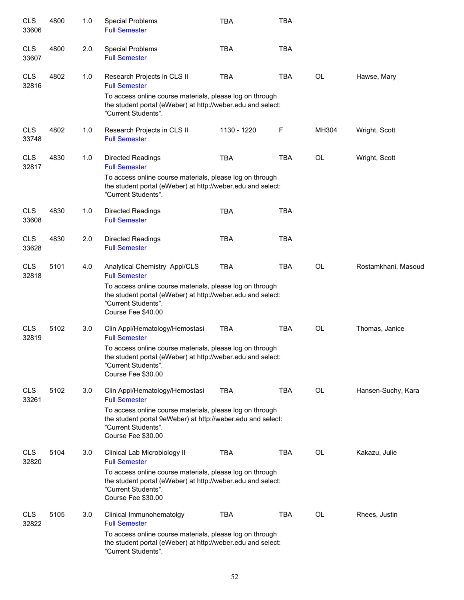| <b>CLS</b><br>33606 | 4800 | 1.0 | <b>Special Problems</b><br><b>Full Semester</b>                                                                                                                      | <b>TBA</b>  | TBA        |           |                     |
|---------------------|------|-----|----------------------------------------------------------------------------------------------------------------------------------------------------------------------|-------------|------------|-----------|---------------------|
| <b>CLS</b><br>33607 | 4800 | 2.0 | <b>Special Problems</b><br><b>Full Semester</b>                                                                                                                      | <b>TBA</b>  | <b>TBA</b> |           |                     |
| <b>CLS</b><br>32816 | 4802 | 1.0 | Research Projects in CLS II<br><b>Full Semester</b>                                                                                                                  | <b>TBA</b>  | <b>TBA</b> | <b>OL</b> | Hawse, Mary         |
|                     |      |     | To access online course materials, please log on through<br>the student portal (eWeber) at http://weber.edu and select:<br>"Current Students".                       |             |            |           |                     |
| <b>CLS</b><br>33748 | 4802 | 1.0 | Research Projects in CLS II<br><b>Full Semester</b>                                                                                                                  | 1130 - 1220 | F          | MH304     | Wright, Scott       |
| <b>CLS</b><br>32817 | 4830 | 1.0 | <b>Directed Readings</b><br><b>Full Semester</b>                                                                                                                     | <b>TBA</b>  | <b>TBA</b> | OL        | Wright, Scott       |
|                     |      |     | To access online course materials, please log on through<br>the student portal (eWeber) at http://weber.edu and select:<br>"Current Students".                       |             |            |           |                     |
| <b>CLS</b><br>33608 | 4830 | 1.0 | <b>Directed Readings</b><br><b>Full Semester</b>                                                                                                                     | <b>TBA</b>  | <b>TBA</b> |           |                     |
| <b>CLS</b><br>33628 | 4830 | 2.0 | <b>Directed Readings</b><br><b>Full Semester</b>                                                                                                                     | <b>TBA</b>  | <b>TBA</b> |           |                     |
| <b>CLS</b><br>32818 | 5101 | 4.0 | Analytical Chemistry Appl/CLS<br><b>Full Semester</b>                                                                                                                | <b>TBA</b>  | <b>TBA</b> | <b>OL</b> | Rostamkhani, Masoud |
|                     |      |     | To access online course materials, please log on through<br>the student portal (eWeber) at http://weber.edu and select:<br>"Current Students".<br>Course Fee \$40.00 |             |            |           |                     |
| <b>CLS</b><br>32819 | 5102 | 3.0 | Clin Appl/Hematology/Hemostasi<br><b>Full Semester</b>                                                                                                               | <b>TBA</b>  | <b>TBA</b> | <b>OL</b> | Thomas, Janice      |
|                     |      |     | To access online course materials, please log on through<br>the student portal (eWeber) at http://weber.edu and select:<br>"Current Students".<br>Course Fee \$30.00 |             |            |           |                     |
| <b>CLS</b><br>33261 | 5102 | 3.0 | Clin Appl/Hematology/Hemostasi<br><b>Full Semester</b>                                                                                                               | <b>TBA</b>  | <b>TBA</b> | <b>OL</b> | Hansen-Suchy, Kara  |
|                     |      |     | To access online course materials, please log on through<br>the student portal 9eWeber) at http://weber.edu and select:<br>"Current Students".<br>Course Fee \$30.00 |             |            |           |                     |
| <b>CLS</b><br>32820 | 5104 | 3.0 | Clinical Lab Microbiology II<br><b>Full Semester</b>                                                                                                                 | <b>TBA</b>  | <b>TBA</b> | OL        | Kakazu, Julie       |
|                     |      |     | To access online course materials, please log on through<br>the student portal (eWeber) at http://weber.edu and select:<br>"Current Students".<br>Course Fee \$30.00 |             |            |           |                     |
| <b>CLS</b><br>32822 | 5105 | 3.0 | Clinical Immunohematolgy<br><b>Full Semester</b>                                                                                                                     | <b>TBA</b>  | <b>TBA</b> | <b>OL</b> | Rhees, Justin       |
|                     |      |     | To access online course materials, please log on through<br>the student portal (eWeber) at http://weber.edu and select:<br>"Current Students".                       |             |            |           |                     |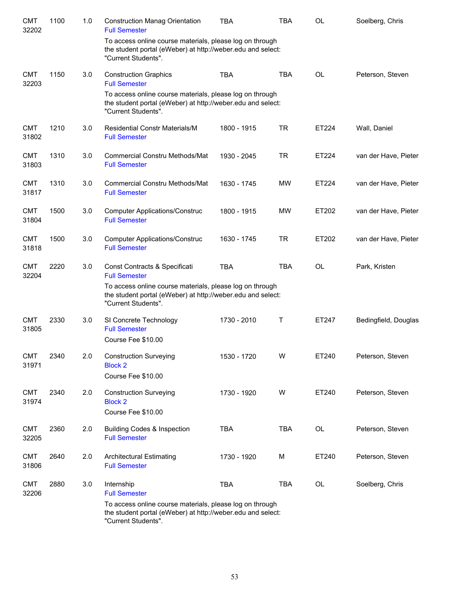| <b>CMT</b><br>32202 | 1100 | 1.0 | <b>Construction Manag Orientation</b><br><b>Full Semester</b>                                                                                  | <b>TBA</b>  | <b>TBA</b> | OL        | Soelberg, Chris      |
|---------------------|------|-----|------------------------------------------------------------------------------------------------------------------------------------------------|-------------|------------|-----------|----------------------|
|                     |      |     | To access online course materials, please log on through<br>the student portal (eWeber) at http://weber.edu and select:<br>"Current Students". |             |            |           |                      |
| <b>CMT</b><br>32203 | 1150 | 3.0 | <b>Construction Graphics</b><br><b>Full Semester</b>                                                                                           | <b>TBA</b>  | <b>TBA</b> | OL        | Peterson, Steven     |
|                     |      |     | To access online course materials, please log on through<br>the student portal (eWeber) at http://weber.edu and select:<br>"Current Students". |             |            |           |                      |
| <b>CMT</b><br>31802 | 1210 | 3.0 | <b>Residential Constr Materials/M</b><br><b>Full Semester</b>                                                                                  | 1800 - 1915 | <b>TR</b>  | ET224     | Wall, Daniel         |
| <b>CMT</b><br>31803 | 1310 | 3.0 | Commercial Constru Methods/Mat<br><b>Full Semester</b>                                                                                         | 1930 - 2045 | <b>TR</b>  | ET224     | van der Have, Pieter |
| <b>CMT</b><br>31817 | 1310 | 3.0 | <b>Commercial Constru Methods/Mat</b><br><b>Full Semester</b>                                                                                  | 1630 - 1745 | MW         | ET224     | van der Have, Pieter |
| <b>CMT</b><br>31804 | 1500 | 3.0 | <b>Computer Applications/Construc</b><br><b>Full Semester</b>                                                                                  | 1800 - 1915 | <b>MW</b>  | ET202     | van der Have, Pieter |
| <b>CMT</b><br>31818 | 1500 | 3.0 | <b>Computer Applications/Construc</b><br><b>Full Semester</b>                                                                                  | 1630 - 1745 | <b>TR</b>  | ET202     | van der Have, Pieter |
| <b>CMT</b><br>32204 | 2220 | 3.0 | Const Contracts & Specificati<br><b>Full Semester</b>                                                                                          | <b>TBA</b>  | <b>TBA</b> | <b>OL</b> | Park, Kristen        |
|                     |      |     | To access online course materials, please log on through<br>the student portal (eWeber) at http://weber.edu and select:<br>"Current Students". |             |            |           |                      |
| <b>CMT</b><br>31805 | 2330 | 3.0 | SI Concrete Technology<br><b>Full Semester</b><br>Course Fee \$10.00                                                                           | 1730 - 2010 | Τ          | ET247     | Bedingfield, Douglas |
| <b>CMT</b><br>31971 | 2340 | 2.0 | <b>Construction Surveying</b><br><b>Block 2</b><br>Course Fee \$10.00                                                                          | 1530 - 1720 | W          | ET240     | Peterson, Steven     |
| <b>CMT</b>          | 2340 | 2.0 | <b>Construction Surveying</b>                                                                                                                  | 1730 - 1920 | W          | ET240     | Peterson, Steven     |
| 31974               |      |     | <b>Block 2</b><br>Course Fee \$10.00                                                                                                           |             |            |           |                      |
| <b>CMT</b><br>32205 | 2360 | 2.0 | <b>Building Codes &amp; Inspection</b><br><b>Full Semester</b>                                                                                 | <b>TBA</b>  | <b>TBA</b> | OL        | Peterson, Steven     |
| <b>CMT</b><br>31806 | 2640 | 2.0 | <b>Architectural Estimating</b><br><b>Full Semester</b>                                                                                        | 1730 - 1920 | М          | ET240     | Peterson, Steven     |
| <b>CMT</b><br>32206 | 2880 | 3.0 | Internship<br><b>Full Semester</b>                                                                                                             | <b>TBA</b>  | <b>TBA</b> | OL        | Soelberg, Chris      |
|                     |      |     | To access online course materials, please log on through<br>the student portal (eWeber) at http://weber.edu and select:<br>"Current Students". |             |            |           |                      |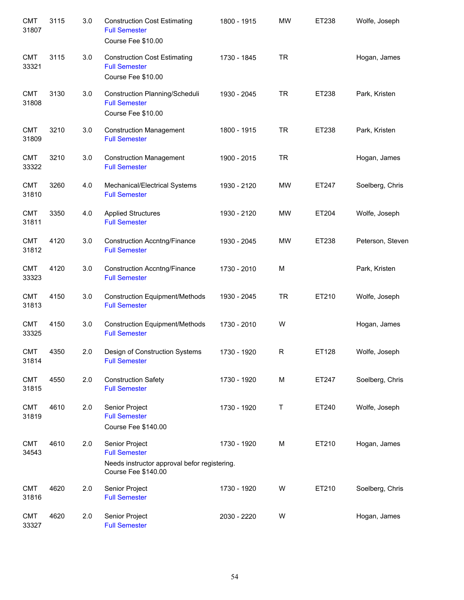| <b>CMT</b><br>31807 | 3115 | 3.0 | <b>Construction Cost Estimating</b><br><b>Full Semester</b><br>Course Fee \$10.00                             | 1800 - 1915 | <b>MW</b> | ET238 | Wolfe, Joseph    |
|---------------------|------|-----|---------------------------------------------------------------------------------------------------------------|-------------|-----------|-------|------------------|
| <b>CMT</b><br>33321 | 3115 | 3.0 | <b>Construction Cost Estimating</b><br><b>Full Semester</b><br>Course Fee \$10.00                             | 1730 - 1845 | <b>TR</b> |       | Hogan, James     |
| <b>CMT</b><br>31808 | 3130 | 3.0 | Construction Planning/Scheduli<br><b>Full Semester</b><br>Course Fee \$10.00                                  | 1930 - 2045 | <b>TR</b> | ET238 | Park, Kristen    |
| <b>CMT</b><br>31809 | 3210 | 3.0 | <b>Construction Management</b><br><b>Full Semester</b>                                                        | 1800 - 1915 | <b>TR</b> | ET238 | Park, Kristen    |
| <b>CMT</b><br>33322 | 3210 | 3.0 | <b>Construction Management</b><br><b>Full Semester</b>                                                        | 1900 - 2015 | <b>TR</b> |       | Hogan, James     |
| <b>CMT</b><br>31810 | 3260 | 4.0 | Mechanical/Electrical Systems<br><b>Full Semester</b>                                                         | 1930 - 2120 | MW        | ET247 | Soelberg, Chris  |
| <b>CMT</b><br>31811 | 3350 | 4.0 | <b>Applied Structures</b><br><b>Full Semester</b>                                                             | 1930 - 2120 | <b>MW</b> | ET204 | Wolfe, Joseph    |
| <b>CMT</b><br>31812 | 4120 | 3.0 | <b>Construction Accntng/Finance</b><br><b>Full Semester</b>                                                   | 1930 - 2045 | <b>MW</b> | ET238 | Peterson, Steven |
| <b>CMT</b><br>33323 | 4120 | 3.0 | <b>Construction Accntng/Finance</b><br><b>Full Semester</b>                                                   | 1730 - 2010 | M         |       | Park, Kristen    |
| <b>CMT</b><br>31813 | 4150 | 3.0 | <b>Construction Equipment/Methods</b><br><b>Full Semester</b>                                                 | 1930 - 2045 | <b>TR</b> | ET210 | Wolfe, Joseph    |
| <b>CMT</b><br>33325 | 4150 | 3.0 | <b>Construction Equipment/Methods</b><br><b>Full Semester</b>                                                 | 1730 - 2010 | W         |       | Hogan, James     |
| <b>CMT</b><br>31814 | 4350 | 2.0 | Design of Construction Systems<br><b>Full Semester</b>                                                        | 1730 - 1920 | R         | ET128 | Wolfe, Joseph    |
| <b>CMT</b><br>31815 | 4550 | 2.0 | <b>Construction Safety</b><br><b>Full Semester</b>                                                            | 1730 - 1920 | M         | ET247 | Soelberg, Chris  |
| <b>CMT</b><br>31819 | 4610 | 2.0 | Senior Project<br><b>Full Semester</b><br>Course Fee \$140.00                                                 | 1730 - 1920 | T         | ET240 | Wolfe, Joseph    |
| <b>CMT</b><br>34543 | 4610 | 2.0 | Senior Project<br><b>Full Semester</b><br>Needs instructor approval befor registering.<br>Course Fee \$140.00 | 1730 - 1920 | M         | ET210 | Hogan, James     |
| <b>CMT</b><br>31816 | 4620 | 2.0 | Senior Project<br><b>Full Semester</b>                                                                        | 1730 - 1920 | W         | ET210 | Soelberg, Chris  |
| <b>CMT</b><br>33327 | 4620 | 2.0 | Senior Project<br><b>Full Semester</b>                                                                        | 2030 - 2220 | W         |       | Hogan, James     |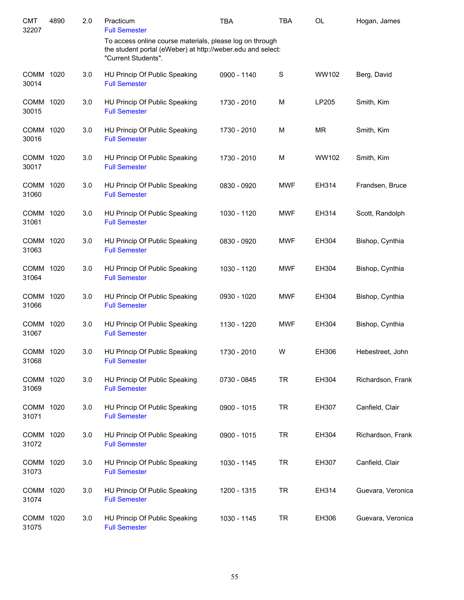| <b>CMT</b><br>32207 | 4890 | 2.0 | Practicum<br><b>Full Semester</b>                                                                                                              | <b>TBA</b>  | TBA        | <b>OL</b> | Hogan, James      |
|---------------------|------|-----|------------------------------------------------------------------------------------------------------------------------------------------------|-------------|------------|-----------|-------------------|
|                     |      |     | To access online course materials, please log on through<br>the student portal (eWeber) at http://weber.edu and select:<br>"Current Students". |             |            |           |                   |
| COMM 1020<br>30014  |      | 3.0 | HU Princip Of Public Speaking<br><b>Full Semester</b>                                                                                          | 0900 - 1140 | S          | WW102     | Berg, David       |
| COMM 1020<br>30015  |      | 3.0 | HU Princip Of Public Speaking<br><b>Full Semester</b>                                                                                          | 1730 - 2010 | M          | LP205     | Smith, Kim        |
| COMM 1020<br>30016  |      | 3.0 | HU Princip Of Public Speaking<br><b>Full Semester</b>                                                                                          | 1730 - 2010 | M          | <b>MR</b> | Smith, Kim        |
| COMM 1020<br>30017  |      | 3.0 | HU Princip Of Public Speaking<br><b>Full Semester</b>                                                                                          | 1730 - 2010 | M          | WW102     | Smith, Kim        |
| COMM 1020<br>31060  |      | 3.0 | HU Princip Of Public Speaking<br><b>Full Semester</b>                                                                                          | 0830 - 0920 | <b>MWF</b> | EH314     | Frandsen, Bruce   |
| COMM 1020<br>31061  |      | 3.0 | HU Princip Of Public Speaking<br><b>Full Semester</b>                                                                                          | 1030 - 1120 | <b>MWF</b> | EH314     | Scott, Randolph   |
| COMM 1020<br>31063  |      | 3.0 | HU Princip Of Public Speaking<br><b>Full Semester</b>                                                                                          | 0830 - 0920 | <b>MWF</b> | EH304     | Bishop, Cynthia   |
| COMM 1020<br>31064  |      | 3.0 | HU Princip Of Public Speaking<br><b>Full Semester</b>                                                                                          | 1030 - 1120 | <b>MWF</b> | EH304     | Bishop, Cynthia   |
| COMM 1020<br>31066  |      | 3.0 | HU Princip Of Public Speaking<br><b>Full Semester</b>                                                                                          | 0930 - 1020 | <b>MWF</b> | EH304     | Bishop, Cynthia   |
| COMM 1020<br>31067  |      | 3.0 | HU Princip Of Public Speaking<br><b>Full Semester</b>                                                                                          | 1130 - 1220 | <b>MWF</b> | EH304     | Bishop, Cynthia   |
| COMM 1020<br>31068  |      | 3.0 | HU Princip Of Public Speaking<br><b>Full Semester</b>                                                                                          | 1730 - 2010 | W          | EH306     | Hebestreet, John  |
| COMM<br>31069       | 1020 | 3.0 | HU Princip Of Public Speaking<br><b>Full Semester</b>                                                                                          | 0730 - 0845 | <b>TR</b>  | EH304     | Richardson, Frank |
| COMM 1020<br>31071  |      | 3.0 | HU Princip Of Public Speaking<br><b>Full Semester</b>                                                                                          | 0900 - 1015 | <b>TR</b>  | EH307     | Canfield, Clair   |
| COMM 1020<br>31072  |      | 3.0 | HU Princip Of Public Speaking<br><b>Full Semester</b>                                                                                          | 0900 - 1015 | <b>TR</b>  | EH304     | Richardson, Frank |
| COMM 1020<br>31073  |      | 3.0 | HU Princip Of Public Speaking<br><b>Full Semester</b>                                                                                          | 1030 - 1145 | <b>TR</b>  | EH307     | Canfield, Clair   |
| COMM 1020<br>31074  |      | 3.0 | HU Princip Of Public Speaking<br><b>Full Semester</b>                                                                                          | 1200 - 1315 | TR         | EH314     | Guevara, Veronica |
| COMM 1020<br>31075  |      | 3.0 | HU Princip Of Public Speaking<br><b>Full Semester</b>                                                                                          | 1030 - 1145 | <b>TR</b>  | EH306     | Guevara, Veronica |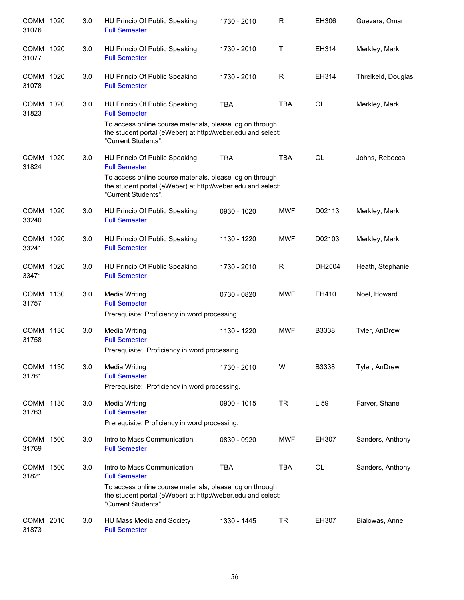| COMM 1020<br>31076   |      | 3.0 | HU Princip Of Public Speaking<br><b>Full Semester</b>                                                                                                                                                   | 1730 - 2010 | R            | EH306     | Guevara, Omar      |
|----------------------|------|-----|---------------------------------------------------------------------------------------------------------------------------------------------------------------------------------------------------------|-------------|--------------|-----------|--------------------|
| COMM 1020<br>31077   |      | 3.0 | HU Princip Of Public Speaking<br><b>Full Semester</b>                                                                                                                                                   | 1730 - 2010 | $\mathsf{T}$ | EH314     | Merkley, Mark      |
| <b>COMM</b><br>31078 | 1020 | 3.0 | HU Princip Of Public Speaking<br><b>Full Semester</b>                                                                                                                                                   | 1730 - 2010 | R            | EH314     | Threlkeld, Douglas |
| COMM 1020<br>31823   |      | 3.0 | HU Princip Of Public Speaking<br><b>Full Semester</b><br>To access online course materials, please log on through<br>the student portal (eWeber) at http://weber.edu and select:<br>"Current Students". | <b>TBA</b>  | <b>TBA</b>   | <b>OL</b> | Merkley, Mark      |
| COMM 1020<br>31824   |      | 3.0 | HU Princip Of Public Speaking<br><b>Full Semester</b><br>To access online course materials, please log on through<br>the student portal (eWeber) at http://weber.edu and select:<br>"Current Students". | <b>TBA</b>  | <b>TBA</b>   | <b>OL</b> | Johns, Rebecca     |
| COMM 1020<br>33240   |      | 3.0 | HU Princip Of Public Speaking<br><b>Full Semester</b>                                                                                                                                                   | 0930 - 1020 | <b>MWF</b>   | D02113    | Merkley, Mark      |
| COMM 1020<br>33241   |      | 3.0 | HU Princip Of Public Speaking<br><b>Full Semester</b>                                                                                                                                                   | 1130 - 1220 | <b>MWF</b>   | D02103    | Merkley, Mark      |
| COMM 1020<br>33471   |      | 3.0 | HU Princip Of Public Speaking<br><b>Full Semester</b>                                                                                                                                                   | 1730 - 2010 | R            | DH2504    | Heath, Stephanie   |
| COMM 1130<br>31757   |      | 3.0 | <b>Media Writing</b><br><b>Full Semester</b><br>Prerequisite: Proficiency in word processing.                                                                                                           | 0730 - 0820 | <b>MWF</b>   | EH410     | Noel, Howard       |
| COMM 1130<br>31758   |      | 3.0 | <b>Media Writing</b><br><b>Full Semester</b><br>Prerequisite: Proficiency in word processing.                                                                                                           | 1130 - 1220 | <b>MWF</b>   | B3338     | Tyler, AnDrew      |
| COMM 1130<br>31761   |      | 3.0 | <b>Media Writing</b><br><b>Full Semester</b><br>Prerequisite: Proficiency in word processing.                                                                                                           | 1730 - 2010 | W            | B3338     | Tyler, AnDrew      |
| COMM 1130<br>31763   |      | 3.0 | <b>Media Writing</b><br><b>Full Semester</b><br>Prerequisite: Proficiency in word processing.                                                                                                           | 0900 - 1015 | <b>TR</b>    | LI59      | Farver, Shane      |
| COMM 1500<br>31769   |      | 3.0 | Intro to Mass Communication<br><b>Full Semester</b>                                                                                                                                                     | 0830 - 0920 | <b>MWF</b>   | EH307     | Sanders, Anthony   |
| COMM<br>31821        | 1500 | 3.0 | Intro to Mass Communication<br><b>Full Semester</b><br>To access online course materials, please log on through<br>the student portal (eWeber) at http://weber.edu and select:<br>"Current Students".   | <b>TBA</b>  | <b>TBA</b>   | OL        | Sanders, Anthony   |
| COMM 2010<br>31873   |      | 3.0 | HU Mass Media and Society<br><b>Full Semester</b>                                                                                                                                                       | 1330 - 1445 | TR           | EH307     | Bialowas, Anne     |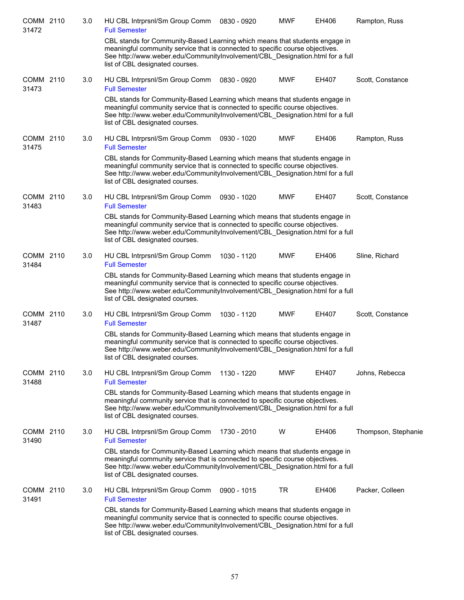| COMM 2110<br>31472 | 3.0 | <b>Full Semester</b> | HU CBL Intrprsnl/Sm Group Comm                                                                                                                                                                                                                                                   | 0830 - 0920 | <b>MWF</b> | EH406 | Rampton, Russ       |
|--------------------|-----|----------------------|----------------------------------------------------------------------------------------------------------------------------------------------------------------------------------------------------------------------------------------------------------------------------------|-------------|------------|-------|---------------------|
|                    |     |                      | CBL stands for Community-Based Learning which means that students engage in<br>meaningful community service that is connected to specific course objectives.<br>See http://www.weber.edu/CommunityInvolvement/CBL Designation.html for a full<br>list of CBL designated courses. |             |            |       |                     |
| COMM 2110<br>31473 | 3.0 | <b>Full Semester</b> | HU CBL Intrprsnl/Sm Group Comm                                                                                                                                                                                                                                                   | 0830 - 0920 | <b>MWF</b> | EH407 | Scott, Constance    |
|                    |     |                      | CBL stands for Community-Based Learning which means that students engage in<br>meaningful community service that is connected to specific course objectives.<br>See http://www.weber.edu/CommunityInvolvement/CBL Designation.html for a full<br>list of CBL designated courses. |             |            |       |                     |
| COMM 2110<br>31475 | 3.0 | <b>Full Semester</b> | HU CBL Intrprsnl/Sm Group Comm                                                                                                                                                                                                                                                   | 0930 - 1020 | <b>MWF</b> | EH406 | Rampton, Russ       |
|                    |     |                      | CBL stands for Community-Based Learning which means that students engage in<br>meaningful community service that is connected to specific course objectives.<br>See http://www.weber.edu/CommunityInvolvement/CBL_Designation.html for a full<br>list of CBL designated courses. |             |            |       |                     |
| COMM 2110<br>31483 | 3.0 | <b>Full Semester</b> | HU CBL Intrprsnl/Sm Group Comm                                                                                                                                                                                                                                                   | 0930 - 1020 | <b>MWF</b> | EH407 | Scott, Constance    |
|                    |     |                      | CBL stands for Community-Based Learning which means that students engage in<br>meaningful community service that is connected to specific course objectives.<br>See http://www.weber.edu/CommunityInvolvement/CBL_Designation.html for a full<br>list of CBL designated courses. |             |            |       |                     |
| COMM 2110<br>31484 | 3.0 | <b>Full Semester</b> | HU CBL Intrprsnl/Sm Group Comm                                                                                                                                                                                                                                                   | 1030 - 1120 | <b>MWF</b> | EH406 | Sline, Richard      |
|                    |     |                      | CBL stands for Community-Based Learning which means that students engage in<br>meaningful community service that is connected to specific course objectives.<br>See http://www.weber.edu/CommunityInvolvement/CBL_Designation.html for a full<br>list of CBL designated courses. |             |            |       |                     |
| COMM 2110<br>31487 | 3.0 | <b>Full Semester</b> | HU CBL Intrprsnl/Sm Group Comm                                                                                                                                                                                                                                                   | 1030 - 1120 | <b>MWF</b> | EH407 | Scott, Constance    |
|                    |     |                      | CBL stands for Community-Based Learning which means that students engage in<br>meaningful community service that is connected to specific course objectives.<br>See http://www.weber.edu/CommunityInvolvement/CBL Designation.html for a full<br>list of CBL designated courses. |             |            |       |                     |
| COMM 2110<br>31488 | 3.0 | <b>Full Semester</b> | HU CBL Intrprsnl/Sm Group Comm                                                                                                                                                                                                                                                   | 1130 - 1220 | <b>MWF</b> | EH407 | Johns, Rebecca      |
|                    |     |                      | CBL stands for Community-Based Learning which means that students engage in<br>meaningful community service that is connected to specific course objectives.<br>See http://www.weber.edu/CommunityInvolvement/CBL_Designation.html for a full<br>list of CBL designated courses. |             |            |       |                     |
| COMM 2110<br>31490 | 3.0 | <b>Full Semester</b> | HU CBL Intrprsnl/Sm Group Comm                                                                                                                                                                                                                                                   | 1730 - 2010 | W          | EH406 | Thompson, Stephanie |
|                    |     |                      | CBL stands for Community-Based Learning which means that students engage in<br>meaningful community service that is connected to specific course objectives.<br>See http://www.weber.edu/CommunityInvolvement/CBL_Designation.html for a full<br>list of CBL designated courses. |             |            |       |                     |
| COMM 2110<br>31491 | 3.0 | <b>Full Semester</b> | HU CBL Intrprsnl/Sm Group Comm                                                                                                                                                                                                                                                   | 0900 - 1015 | TR         | EH406 | Packer, Colleen     |
|                    |     |                      | CBL stands for Community-Based Learning which means that students engage in<br>meaningful community service that is connected to specific course objectives.<br>See http://www.weber.edu/CommunityInvolvement/CBL_Designation.html for a full<br>list of CBL designated courses. |             |            |       |                     |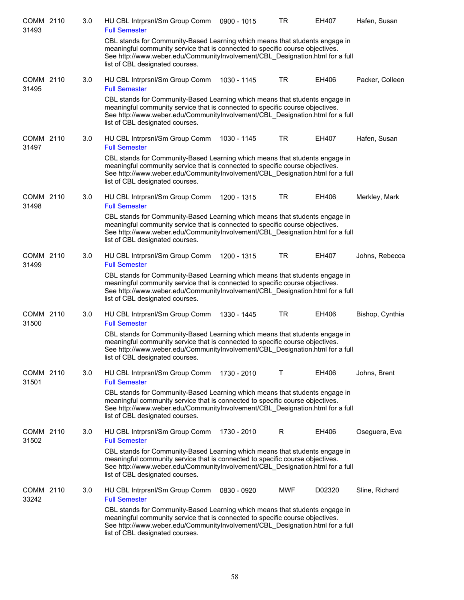| COMM 2110<br>31493 | 3.0 | HU CBL Intrprsnl/Sm Group Comm<br><b>Full Semester</b>                                                                                                                                                                                                                           | 0900 - 1015 | TR         | <b>EH407</b> | Hafen, Susan    |
|--------------------|-----|----------------------------------------------------------------------------------------------------------------------------------------------------------------------------------------------------------------------------------------------------------------------------------|-------------|------------|--------------|-----------------|
|                    |     | CBL stands for Community-Based Learning which means that students engage in<br>meaningful community service that is connected to specific course objectives.<br>See http://www.weber.edu/CommunityInvolvement/CBL Designation.html for a full<br>list of CBL designated courses. |             |            |              |                 |
| COMM 2110<br>31495 | 3.0 | HU CBL Intrprsnl/Sm Group Comm<br><b>Full Semester</b>                                                                                                                                                                                                                           | 1030 - 1145 | TR         | EH406        | Packer, Colleen |
|                    |     | CBL stands for Community-Based Learning which means that students engage in<br>meaningful community service that is connected to specific course objectives.<br>See http://www.weber.edu/CommunityInvolvement/CBL_Designation.html for a full<br>list of CBL designated courses. |             |            |              |                 |
| COMM 2110<br>31497 | 3.0 | HU CBL Intrprsnl/Sm Group Comm<br><b>Full Semester</b>                                                                                                                                                                                                                           | 1030 - 1145 | TR         | EH407        | Hafen, Susan    |
|                    |     | CBL stands for Community-Based Learning which means that students engage in<br>meaningful community service that is connected to specific course objectives.<br>See http://www.weber.edu/CommunityInvolvement/CBL_Designation.html for a full<br>list of CBL designated courses. |             |            |              |                 |
| COMM 2110<br>31498 | 3.0 | HU CBL Intrprsnl/Sm Group Comm<br><b>Full Semester</b>                                                                                                                                                                                                                           | 1200 - 1315 | TR         | EH406        | Merkley, Mark   |
|                    |     | CBL stands for Community-Based Learning which means that students engage in<br>meaningful community service that is connected to specific course objectives.<br>See http://www.weber.edu/CommunityInvolvement/CBL_Designation.html for a full<br>list of CBL designated courses. |             |            |              |                 |
| COMM 2110<br>31499 | 3.0 | HU CBL Intrprsnl/Sm Group Comm<br><b>Full Semester</b>                                                                                                                                                                                                                           | 1200 - 1315 | <b>TR</b>  | EH407        | Johns, Rebecca  |
|                    |     | CBL stands for Community-Based Learning which means that students engage in<br>meaningful community service that is connected to specific course objectives.<br>See http://www.weber.edu/CommunityInvolvement/CBL_Designation.html for a full<br>list of CBL designated courses. |             |            |              |                 |
| COMM 2110<br>31500 | 3.0 | HU CBL Intrprsnl/Sm Group Comm<br><b>Full Semester</b>                                                                                                                                                                                                                           | 1330 - 1445 | <b>TR</b>  | EH406        | Bishop, Cynthia |
|                    |     | CBL stands for Community-Based Learning which means that students engage in<br>meaningful community service that is connected to specific course objectives.<br>See http://www.weber.edu/CommunityInvolvement/CBL Designation.html for a full<br>list of CBL designated courses. |             |            |              |                 |
| COMM 2110<br>31501 | 3.0 | HU CBL Intrprsnl/Sm Group Comm<br><b>Full Semester</b>                                                                                                                                                                                                                           | 1730 - 2010 | Т          | EH406        | Johns, Brent    |
|                    |     | CBL stands for Community-Based Learning which means that students engage in<br>meaningful community service that is connected to specific course objectives.<br>See http://www.weber.edu/CommunityInvolvement/CBL Designation.html for a full<br>list of CBL designated courses. |             |            |              |                 |
| COMM 2110<br>31502 | 3.0 | HU CBL Intrprsnl/Sm Group Comm<br><b>Full Semester</b>                                                                                                                                                                                                                           | 1730 - 2010 | R          | EH406        | Oseguera, Eva   |
|                    |     | CBL stands for Community-Based Learning which means that students engage in<br>meaningful community service that is connected to specific course objectives.<br>See http://www.weber.edu/CommunityInvolvement/CBL_Designation.html for a full<br>list of CBL designated courses. |             |            |              |                 |
| COMM 2110<br>33242 | 3.0 | HU CBL Intrprsnl/Sm Group Comm<br><b>Full Semester</b>                                                                                                                                                                                                                           | 0830 - 0920 | <b>MWF</b> | D02320       | Sline, Richard  |
|                    |     | CBL stands for Community-Based Learning which means that students engage in<br>meaningful community service that is connected to specific course objectives.<br>See http://www.weber.edu/CommunityInvolvement/CBL_Designation.html for a full<br>list of CBL designated courses. |             |            |              |                 |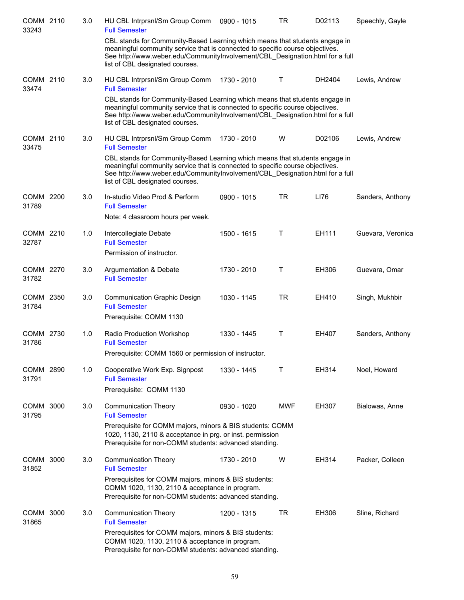| COMM 2110<br>33243 |      | 3.0 | HU CBL Intrprsnl/Sm Group Comm<br><b>Full Semester</b>                                                                                                                                                                                                                           | 0900 - 1015 | <b>TR</b>  | D02113 | Speechly, Gayle   |
|--------------------|------|-----|----------------------------------------------------------------------------------------------------------------------------------------------------------------------------------------------------------------------------------------------------------------------------------|-------------|------------|--------|-------------------|
|                    |      |     | CBL stands for Community-Based Learning which means that students engage in<br>meaningful community service that is connected to specific course objectives.<br>See http://www.weber.edu/CommunityInvolvement/CBL_Designation.html for a full<br>list of CBL designated courses. |             |            |        |                   |
| COMM 2110<br>33474 |      | 3.0 | HU CBL Intrprsnl/Sm Group Comm<br><b>Full Semester</b>                                                                                                                                                                                                                           | 1730 - 2010 | Τ          | DH2404 | Lewis, Andrew     |
|                    |      |     | CBL stands for Community-Based Learning which means that students engage in<br>meaningful community service that is connected to specific course objectives.<br>See http://www.weber.edu/CommunityInvolvement/CBL_Designation.html for a full<br>list of CBL designated courses. |             |            |        |                   |
| COMM 2110<br>33475 |      | 3.0 | HU CBL Intrprsnl/Sm Group Comm<br><b>Full Semester</b>                                                                                                                                                                                                                           | 1730 - 2010 | W          | D02106 | Lewis, Andrew     |
|                    |      |     | CBL stands for Community-Based Learning which means that students engage in<br>meaningful community service that is connected to specific course objectives.<br>See http://www.weber.edu/CommunityInvolvement/CBL_Designation.html for a full<br>list of CBL designated courses. |             |            |        |                   |
| COMM 2200<br>31789 |      | 3.0 | In-studio Video Prod & Perform<br><b>Full Semester</b><br>Note: 4 classroom hours per week.                                                                                                                                                                                      | 0900 - 1015 | <b>TR</b>  | LI76   | Sanders, Anthony  |
| COMM 2210<br>32787 |      | 1.0 | Intercollegiate Debate<br><b>Full Semester</b><br>Permission of instructor.                                                                                                                                                                                                      | 1500 - 1615 | T          | EH111  | Guevara, Veronica |
| COMM 2270<br>31782 |      | 3.0 | Argumentation & Debate<br><b>Full Semester</b>                                                                                                                                                                                                                                   | 1730 - 2010 | T          | EH306  | Guevara, Omar     |
| COMM 2350<br>31784 |      | 3.0 | <b>Communication Graphic Design</b><br><b>Full Semester</b><br>Prerequisite: COMM 1130                                                                                                                                                                                           | 1030 - 1145 | <b>TR</b>  | EH410  | Singh, Mukhbir    |
| COMM 2730<br>31786 |      | 1.0 | Radio Production Workshop<br><b>Full Semester</b><br>Prerequisite: COMM 1560 or permission of instructor.                                                                                                                                                                        | 1330 - 1445 | T          | EH407  | Sanders, Anthony  |
| COMM 2890<br>31791 |      | 1.0 | Cooperative Work Exp. Signpost<br><b>Full Semester</b><br>Prerequisite: COMM 1130                                                                                                                                                                                                | 1330 - 1445 | т          | EH314  | Noel, Howard      |
| COMM 3000<br>31795 |      | 3.0 | <b>Communication Theory</b><br><b>Full Semester</b>                                                                                                                                                                                                                              | 0930 - 1020 | <b>MWF</b> | EH307  | Bialowas, Anne    |
|                    |      |     | Prerequisite for COMM majors, minors & BIS students: COMM<br>1020, 1130, 2110 & acceptance in prg. or inst. permission<br>Prerequisite for non-COMM students: advanced standing.                                                                                                 |             |            |        |                   |
| COMM 3000<br>31852 |      | 3.0 | <b>Communication Theory</b><br><b>Full Semester</b>                                                                                                                                                                                                                              | 1730 - 2010 | W          | EH314  | Packer, Colleen   |
|                    |      |     | Prerequisites for COMM majors, minors & BIS students:<br>COMM 1020, 1130, 2110 & acceptance in program.<br>Prerequisite for non-COMM students: advanced standing.                                                                                                                |             |            |        |                   |
| COMM<br>31865      | 3000 | 3.0 | <b>Communication Theory</b><br><b>Full Semester</b>                                                                                                                                                                                                                              | 1200 - 1315 | TR         | EH306  | Sline, Richard    |
|                    |      |     | Prerequisites for COMM majors, minors & BIS students:<br>COMM 1020, 1130, 2110 & acceptance in program.<br>Prerequisite for non-COMM students: advanced standing.                                                                                                                |             |            |        |                   |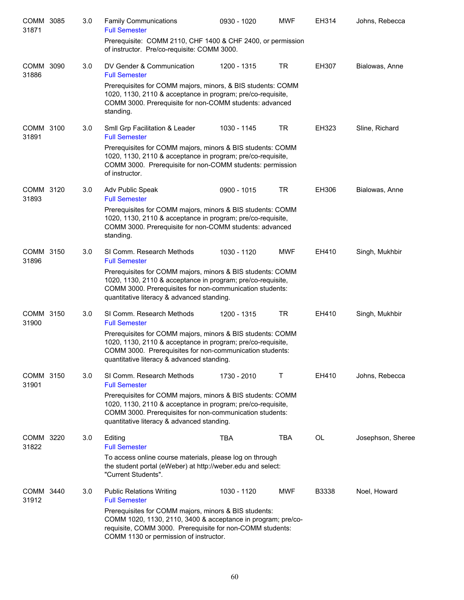| COMM 3085<br>31871 | 3.0 | <b>Family Communications</b><br><b>Full Semester</b>                                                                                                                                                                                | 0930 - 1020 | <b>MWF</b> | EH314 | Johns, Rebecca    |
|--------------------|-----|-------------------------------------------------------------------------------------------------------------------------------------------------------------------------------------------------------------------------------------|-------------|------------|-------|-------------------|
|                    |     | Prerequisite: COMM 2110, CHF 1400 & CHF 2400, or permission<br>of instructor. Pre/co-requisite: COMM 3000.                                                                                                                          |             |            |       |                   |
| COMM 3090<br>31886 | 3.0 | DV Gender & Communication<br><b>Full Semester</b>                                                                                                                                                                                   | 1200 - 1315 | <b>TR</b>  | EH307 | Bialowas, Anne    |
|                    |     | Prerequisites for COMM majors, minors, & BIS students: COMM<br>1020, 1130, 2110 & acceptance in program; pre/co-requisite,<br>COMM 3000. Prerequisite for non-COMM students: advanced<br>standing.                                  |             |            |       |                   |
| COMM 3100<br>31891 | 3.0 | Smll Grp Facilitation & Leader<br><b>Full Semester</b>                                                                                                                                                                              | 1030 - 1145 | TR         | EH323 | Sline, Richard    |
|                    |     | Prerequisites for COMM majors, minors & BIS students: COMM<br>1020, 1130, 2110 & acceptance in program; pre/co-requisite,<br>COMM 3000. Prerequisite for non-COMM students: permission<br>of instructor.                            |             |            |       |                   |
| COMM 3120<br>31893 | 3.0 | Adv Public Speak<br><b>Full Semester</b>                                                                                                                                                                                            | 0900 - 1015 | <b>TR</b>  | EH306 | Bialowas, Anne    |
|                    |     | Prerequisites for COMM majors, minors & BIS students: COMM<br>1020, 1130, 2110 & acceptance in program; pre/co-requisite,<br>COMM 3000. Prerequisite for non-COMM students: advanced<br>standing.                                   |             |            |       |                   |
| COMM 3150<br>31896 | 3.0 | SI Comm. Research Methods<br><b>Full Semester</b>                                                                                                                                                                                   | 1030 - 1120 | <b>MWF</b> | EH410 | Singh, Mukhbir    |
|                    |     | Prerequisites for COMM majors, minors & BIS students: COMM<br>1020, 1130, 2110 & acceptance in program; pre/co-requisite,<br>COMM 3000. Prerequisites for non-communication students:<br>quantitative literacy & advanced standing. |             |            |       |                   |
| COMM 3150<br>31900 | 3.0 | SI Comm. Research Methods<br><b>Full Semester</b>                                                                                                                                                                                   | 1200 - 1315 | <b>TR</b>  | EH410 | Singh, Mukhbir    |
|                    |     | Prerequisites for COMM majors, minors & BIS students: COMM<br>1020, 1130, 2110 & acceptance in program; pre/co-requisite,<br>COMM 3000. Prerequisites for non-communication students:<br>quantitative literacy & advanced standing. |             |            |       |                   |
| COMM 3150<br>31901 | 3.0 | SI Comm. Research Methods<br><b>Full Semester</b>                                                                                                                                                                                   | 1730 - 2010 | Τ          | EH410 | Johns, Rebecca    |
|                    |     | Prerequisites for COMM majors, minors & BIS students: COMM<br>1020, 1130, 2110 & acceptance in program; pre/co-requisite,<br>COMM 3000. Prerequisites for non-communication students:<br>quantitative literacy & advanced standing. |             |            |       |                   |
| COMM 3220<br>31822 | 3.0 | Editing<br><b>Full Semester</b>                                                                                                                                                                                                     | <b>TBA</b>  | <b>TBA</b> | OL    | Josephson, Sheree |
|                    |     | To access online course materials, please log on through<br>the student portal (eWeber) at http://weber.edu and select:<br>"Current Students".                                                                                      |             |            |       |                   |
| COMM 3440<br>31912 | 3.0 | <b>Public Relations Writing</b><br><b>Full Semester</b>                                                                                                                                                                             | 1030 - 1120 | <b>MWF</b> | B3338 | Noel, Howard      |
|                    |     | Prerequisites for COMM majors, minors & BIS students:<br>COMM 1020, 1130, 2110, 3400 & acceptance in program; pre/co-<br>requisite, COMM 3000. Prerequisite for non-COMM students:<br>COMM 1130 or permission of instructor.        |             |            |       |                   |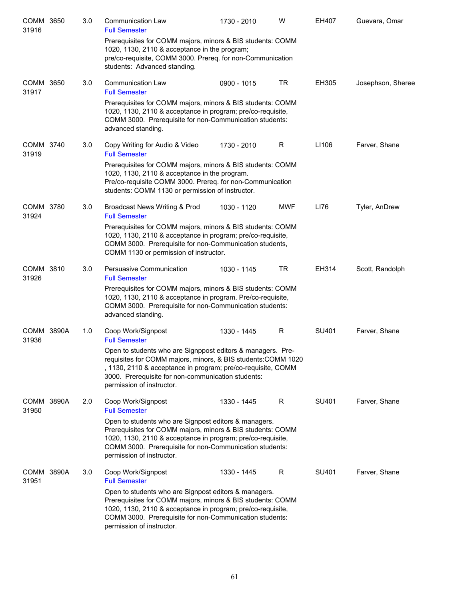| COMM 3650<br>31916  | 3.0 | <b>Communication Law</b><br><b>Full Semester</b>                                                                                                                                                                                                                                | 1730 - 2010 | W          | EH407 | Guevara, Omar     |
|---------------------|-----|---------------------------------------------------------------------------------------------------------------------------------------------------------------------------------------------------------------------------------------------------------------------------------|-------------|------------|-------|-------------------|
|                     |     | Prerequisites for COMM majors, minors & BIS students: COMM<br>1020, 1130, 2110 & acceptance in the program;<br>pre/co-requisite, COMM 3000. Prereq. for non-Communication<br>students: Advanced standing.                                                                       |             |            |       |                   |
| COMM 3650<br>31917  | 3.0 | <b>Communication Law</b><br><b>Full Semester</b>                                                                                                                                                                                                                                | 0900 - 1015 | <b>TR</b>  | EH305 | Josephson, Sheree |
|                     |     | Prerequisites for COMM majors, minors & BIS students: COMM<br>1020, 1130, 2110 & acceptance in program; pre/co-requisite,<br>COMM 3000. Prerequisite for non-Communication students:<br>advanced standing.                                                                      |             |            |       |                   |
| COMM 3740<br>31919  | 3.0 | Copy Writing for Audio & Video<br><b>Full Semester</b>                                                                                                                                                                                                                          | 1730 - 2010 | R          | LI106 | Farver, Shane     |
|                     |     | Prerequisites for COMM majors, minors & BIS students: COMM<br>1020, 1130, 2110 & acceptance in the program.<br>Pre/co-requisite COMM 3000. Prereq. for non-Communication<br>students: COMM 1130 or permission of instructor.                                                    |             |            |       |                   |
| COMM 3780<br>31924  | 3.0 | Broadcast News Writing & Prod<br><b>Full Semester</b>                                                                                                                                                                                                                           | 1030 - 1120 | <b>MWF</b> | LI76  | Tyler, AnDrew     |
|                     |     | Prerequisites for COMM majors, minors & BIS students: COMM<br>1020, 1130, 2110 & acceptance in program; pre/co-requisite,<br>COMM 3000. Prerequisite for non-Communication students,<br>COMM 1130 or permission of instructor.                                                  |             |            |       |                   |
| COMM 3810<br>31926  | 3.0 | Persuasive Communication<br><b>Full Semester</b>                                                                                                                                                                                                                                | 1030 - 1145 | <b>TR</b>  | EH314 | Scott, Randolph   |
|                     |     | Prerequisites for COMM majors, minors & BIS students: COMM<br>1020, 1130, 2110 & acceptance in program. Pre/co-requisite,<br>COMM 3000. Prerequisite for non-Communication students:<br>advanced standing.                                                                      |             |            |       |                   |
| COMM 3890A<br>31936 | 1.0 | Coop Work/Signpost<br><b>Full Semester</b>                                                                                                                                                                                                                                      | 1330 - 1445 | R          | SU401 | Farver, Shane     |
|                     |     | Open to students who are Signppost editors & managers. Pre-<br>requisites for COMM majors, minors, & BIS students: COMM 1020<br>, 1130, 2110 & acceptance in program; pre/co-requisite, COMM<br>3000. Prerequisite for non-communication students:<br>permission of instructor. |             |            |       |                   |
| COMM 3890A<br>31950 | 2.0 | Coop Work/Signpost<br><b>Full Semester</b>                                                                                                                                                                                                                                      | 1330 - 1445 | R          | SU401 | Farver, Shane     |
|                     |     | Open to students who are Signpost editors & managers.<br>Prerequisites for COMM majors, minors & BIS students: COMM<br>1020, 1130, 2110 & acceptance in program; pre/co-requisite,<br>COMM 3000. Prerequisite for non-Communication students:<br>permission of instructor.      |             |            |       |                   |
| COMM 3890A<br>31951 | 3.0 | Coop Work/Signpost<br><b>Full Semester</b>                                                                                                                                                                                                                                      | 1330 - 1445 | R          | SU401 | Farver, Shane     |
|                     |     | Open to students who are Signpost editors & managers.<br>Prerequisites for COMM majors, minors & BIS students: COMM<br>1020, 1130, 2110 & acceptance in program; pre/co-requisite,<br>COMM 3000. Prerequisite for non-Communication students:<br>permission of instructor.      |             |            |       |                   |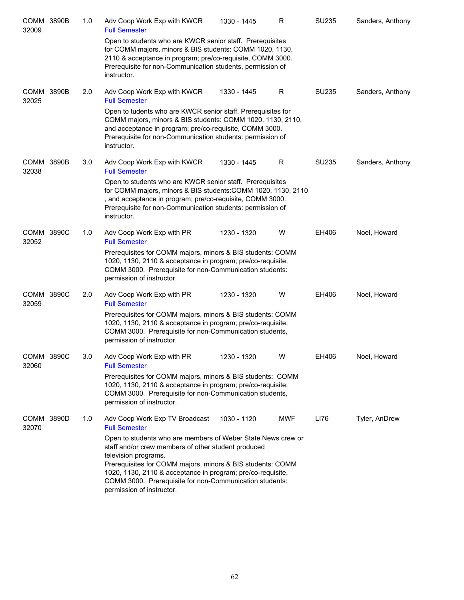| <b>COMM 3890B</b><br>32009 | 1.0 | Adv Coop Work Exp with KWCR<br><b>Full Semester</b>                                                                                                                                                                                                                                                                                 | 1330 - 1445 | R   | SU235 | Sanders, Anthony |
|----------------------------|-----|-------------------------------------------------------------------------------------------------------------------------------------------------------------------------------------------------------------------------------------------------------------------------------------------------------------------------------------|-------------|-----|-------|------------------|
|                            |     | Open to students who are KWCR senior staff. Prerequisites<br>for COMM majors, minors & BIS students: COMM 1020, 1130,<br>2110 & acceptance in program; pre/co-requisite, COMM 3000.<br>Prerequisite for non-Communication students, permission of<br>instructor.                                                                    |             |     |       |                  |
| <b>COMM 3890B</b><br>32025 | 2.0 | Adv Coop Work Exp with KWCR<br><b>Full Semester</b><br>Open to tudents who are KWCR senior staff. Prerequisites for                                                                                                                                                                                                                 | 1330 - 1445 | R   | SU235 | Sanders, Anthony |
|                            |     | COMM majors, minors & BIS students: COMM 1020, 1130, 2110,<br>and acceptance in program; pre/co-requisite, COMM 3000.<br>Prerequisite for non-Communication students: permission of<br>instructor.                                                                                                                                  |             |     |       |                  |
| COMM 3890B<br>32038        | 3.0 | Adv Coop Work Exp with KWCR<br><b>Full Semester</b>                                                                                                                                                                                                                                                                                 | 1330 - 1445 | R   | SU235 | Sanders, Anthony |
|                            |     | Open to students who are KWCR senior staff. Prerequisites<br>for COMM majors, minors & BIS students: COMM 1020, 1130, 2110<br>, and acceptance in program; pre/co-requisite, COMM 3000.<br>Prerequisite for non-Communication students: permission of<br>instructor.                                                                |             |     |       |                  |
| COMM 3890C<br>32052        | 1.0 | Adv Coop Work Exp with PR<br><b>Full Semester</b>                                                                                                                                                                                                                                                                                   | 1230 - 1320 | W   | EH406 | Noel, Howard     |
|                            |     | Prerequisites for COMM majors, minors & BIS students: COMM<br>1020, 1130, 2110 & acceptance in program; pre/co-requisite,<br>COMM 3000. Prerequisite for non-Communication students:<br>permission of instructor.                                                                                                                   |             |     |       |                  |
| COMM 3890C<br>32059        | 2.0 | Adv Coop Work Exp with PR<br><b>Full Semester</b>                                                                                                                                                                                                                                                                                   | 1230 - 1320 | W   | EH406 | Noel, Howard     |
|                            |     | Prerequisites for COMM majors, minors & BIS students: COMM<br>1020, 1130, 2110 & acceptance in program; pre/co-requisite,<br>COMM 3000. Prerequisite for non-Communication students,<br>permission of instructor.                                                                                                                   |             |     |       |                  |
| COMM 3890C<br>32060        | 3.0 | Adv Coop Work Exp with PR<br><b>Full Semester</b>                                                                                                                                                                                                                                                                                   | 1230 - 1320 | W   | EH406 | Noel, Howard     |
|                            |     | Prerequisites for COMM majors, minors & BIS students: COMM<br>1020, 1130, 2110 & acceptance in program; pre/co-requisite,<br>COMM 3000. Prerequisite for non-Communication students,<br>permission of instructor.                                                                                                                   |             |     |       |                  |
| COMM 3890D<br>32070        | 1.0 | Adv Coop Work Exp TV Broadcast<br><b>Full Semester</b>                                                                                                                                                                                                                                                                              | 1030 - 1120 | MWF | LI76  | Tyler, AnDrew    |
|                            |     | Open to students who are members of Weber State News crew or<br>staff and/or crew members of other student produced<br>television programs.<br>Prerequisites for COMM majors, minors & BIS students: COMM<br>1020, 1130, 2110 & acceptance in program; pre/co-requisite,<br>COMM 3000. Prerequisite for non-Communication students: |             |     |       |                  |
|                            |     | permission of instructor.                                                                                                                                                                                                                                                                                                           |             |     |       |                  |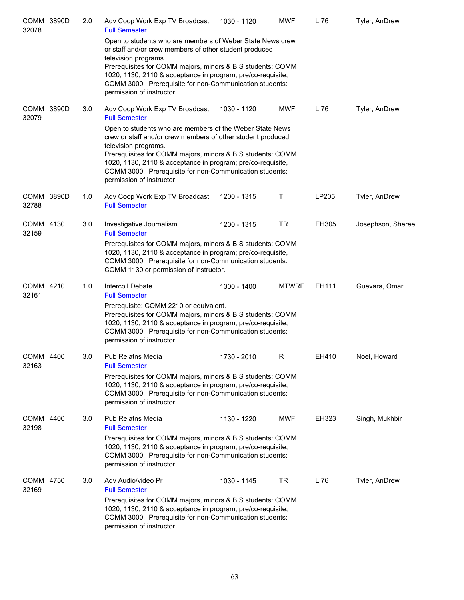| COMM 3890D<br>32078 | 2.0 | Adv Coop Work Exp TV Broadcast<br><b>Full Semester</b>                                                                                                                                                                                                                                                                                                               | 1030 - 1120 | <b>MWF</b>   | LI76  | Tyler, AnDrew     |
|---------------------|-----|----------------------------------------------------------------------------------------------------------------------------------------------------------------------------------------------------------------------------------------------------------------------------------------------------------------------------------------------------------------------|-------------|--------------|-------|-------------------|
|                     |     | Open to students who are members of Weber State News crew<br>or staff and/or crew members of other student produced<br>television programs.<br>Prerequisites for COMM majors, minors & BIS students: COMM<br>1020, 1130, 2110 & acceptance in program; pre/co-requisite,<br>COMM 3000. Prerequisite for non-Communication students:<br>permission of instructor.     |             |              |       |                   |
| COMM 3890D<br>32079 | 3.0 | Adv Coop Work Exp TV Broadcast<br><b>Full Semester</b>                                                                                                                                                                                                                                                                                                               | 1030 - 1120 | <b>MWF</b>   | LI76  | Tyler, AnDrew     |
|                     |     | Open to students who are members of the Weber State News<br>crew or staff and/or crew members of other student produced<br>television programs.<br>Prerequisites for COMM majors, minors & BIS students: COMM<br>1020, 1130, 2110 & acceptance in program; pre/co-requisite,<br>COMM 3000. Prerequisite for non-Communication students:<br>permission of instructor. |             |              |       |                   |
| COMM 3890D<br>32788 | 1.0 | Adv Coop Work Exp TV Broadcast<br><b>Full Semester</b>                                                                                                                                                                                                                                                                                                               | 1200 - 1315 | т            | LP205 | Tyler, AnDrew     |
| COMM 4130<br>32159  | 3.0 | Investigative Journalism<br><b>Full Semester</b>                                                                                                                                                                                                                                                                                                                     | 1200 - 1315 | TR           | EH305 | Josephson, Sheree |
|                     |     | Prerequisites for COMM majors, minors & BIS students: COMM<br>1020, 1130, 2110 & acceptance in program; pre/co-requisite,<br>COMM 3000. Prerequisite for non-Communication students:<br>COMM 1130 or permission of instructor.                                                                                                                                       |             |              |       |                   |
| COMM 4210<br>32161  | 1.0 | Intercoll Debate<br><b>Full Semester</b>                                                                                                                                                                                                                                                                                                                             | 1300 - 1400 | <b>MTWRF</b> | EH111 | Guevara, Omar     |
|                     |     | Prerequisite: COMM 2210 or equivalent.<br>Prerequisites for COMM majors, minors & BIS students: COMM<br>1020, 1130, 2110 & acceptance in program; pre/co-requisite,<br>COMM 3000. Prerequisite for non-Communication students:<br>permission of instructor.                                                                                                          |             |              |       |                   |
| COMM 4400<br>32163  | 3.0 | Pub Relatns Media<br><b>Full Semester</b>                                                                                                                                                                                                                                                                                                                            | 1730 - 2010 | R            | EH410 | Noel, Howard      |
|                     |     | Prerequisites for COMM majors, minors & BIS students: COMM<br>1020, 1130, 2110 & acceptance in program; pre/co-requisite,<br>COMM 3000. Prerequisite for non-Communication students:<br>permission of instructor.                                                                                                                                                    |             |              |       |                   |
| COMM 4400<br>32198  | 3.0 | <b>Pub Relatns Media</b><br><b>Full Semester</b>                                                                                                                                                                                                                                                                                                                     | 1130 - 1220 | <b>MWF</b>   | EH323 | Singh, Mukhbir    |
|                     |     | Prerequisites for COMM majors, minors & BIS students: COMM<br>1020, 1130, 2110 & acceptance in program; pre/co-requisite,<br>COMM 3000. Prerequisite for non-Communication students:<br>permission of instructor.                                                                                                                                                    |             |              |       |                   |
| COMM 4750<br>32169  | 3.0 | Adv Audio/video Pr<br><b>Full Semester</b>                                                                                                                                                                                                                                                                                                                           | 1030 - 1145 | <b>TR</b>    | LI76  | Tyler, AnDrew     |
|                     |     | Prerequisites for COMM majors, minors & BIS students: COMM<br>1020, 1130, 2110 & acceptance in program; pre/co-requisite,<br>COMM 3000. Prerequisite for non-Communication students:<br>permission of instructor.                                                                                                                                                    |             |              |       |                   |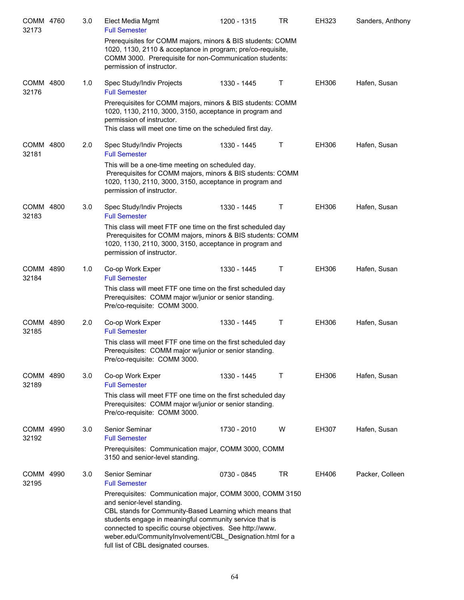| COMM 4760<br>32173 | 3.0 | Elect Media Mgmt<br><b>Full Semester</b>                                                                                                                                                                                                                                                                                                                                       | 1200 - 1315 | TR | EH323        | Sanders, Anthony |
|--------------------|-----|--------------------------------------------------------------------------------------------------------------------------------------------------------------------------------------------------------------------------------------------------------------------------------------------------------------------------------------------------------------------------------|-------------|----|--------------|------------------|
|                    |     | Prerequisites for COMM majors, minors & BIS students: COMM<br>1020, 1130, 2110 & acceptance in program; pre/co-requisite,<br>COMM 3000. Prerequisite for non-Communication students:<br>permission of instructor.                                                                                                                                                              |             |    |              |                  |
| COMM 4800<br>32176 | 1.0 | Spec Study/Indiv Projects<br><b>Full Semester</b>                                                                                                                                                                                                                                                                                                                              | 1330 - 1445 | Τ  | EH306        | Hafen, Susan     |
|                    |     | Prerequisites for COMM majors, minors & BIS students: COMM<br>1020, 1130, 2110, 3000, 3150, acceptance in program and<br>permission of instructor.<br>This class will meet one time on the scheduled first day.                                                                                                                                                                |             |    |              |                  |
| COMM 4800<br>32181 | 2.0 | Spec Study/Indiv Projects<br><b>Full Semester</b>                                                                                                                                                                                                                                                                                                                              | 1330 - 1445 | Τ  | EH306        | Hafen, Susan     |
|                    |     | This will be a one-time meeting on scheduled day.<br>Prerequisites for COMM majors, minors & BIS students: COMM<br>1020, 1130, 2110, 3000, 3150, acceptance in program and<br>permission of instructor.                                                                                                                                                                        |             |    |              |                  |
| COMM 4800<br>32183 | 3.0 | Spec Study/Indiv Projects<br><b>Full Semester</b>                                                                                                                                                                                                                                                                                                                              | 1330 - 1445 | Τ  | EH306        | Hafen, Susan     |
|                    |     | This class will meet FTF one time on the first scheduled day<br>Prerequisites for COMM majors, minors & BIS students: COMM<br>1020, 1130, 2110, 3000, 3150, acceptance in program and<br>permission of instructor.                                                                                                                                                             |             |    |              |                  |
| COMM 4890<br>32184 | 1.0 | Co-op Work Exper<br><b>Full Semester</b>                                                                                                                                                                                                                                                                                                                                       | 1330 - 1445 | Τ  | EH306        | Hafen, Susan     |
|                    |     | This class will meet FTF one time on the first scheduled day<br>Prerequisites: COMM major w/junior or senior standing.<br>Pre/co-requisite: COMM 3000.                                                                                                                                                                                                                         |             |    |              |                  |
| COMM 4890<br>32185 | 2.0 | Co-op Work Exper<br><b>Full Semester</b>                                                                                                                                                                                                                                                                                                                                       | 1330 - 1445 | Τ  | EH306        | Hafen, Susan     |
|                    |     | This class will meet FTF one time on the first scheduled day<br>Prerequisites: COMM major w/junior or senior standing.<br>Pre/co-requisite: COMM 3000.                                                                                                                                                                                                                         |             |    |              |                  |
| COMM 4890<br>32189 | 3.0 | Co-op Work Exper<br><b>Full Semester</b>                                                                                                                                                                                                                                                                                                                                       | 1330 - 1445 | Τ  | EH306        | Hafen, Susan     |
|                    |     | This class will meet FTF one time on the first scheduled day<br>Prerequisites: COMM major w/junior or senior standing.<br>Pre/co-requisite: COMM 3000.                                                                                                                                                                                                                         |             |    |              |                  |
| COMM 4990<br>32192 | 3.0 | Senior Seminar<br><b>Full Semester</b>                                                                                                                                                                                                                                                                                                                                         | 1730 - 2010 | W  | <b>EH307</b> | Hafen, Susan     |
|                    |     | Prerequisites: Communication major, COMM 3000, COMM<br>3150 and senior-level standing.                                                                                                                                                                                                                                                                                         |             |    |              |                  |
| COMM 4990<br>32195 | 3.0 | Senior Seminar<br><b>Full Semester</b>                                                                                                                                                                                                                                                                                                                                         | 0730 - 0845 | TR | EH406        | Packer, Colleen  |
|                    |     | Prerequisites: Communication major, COMM 3000, COMM 3150<br>and senior-level standing.<br>CBL stands for Community-Based Learning which means that<br>students engage in meaningful community service that is<br>connected to specific course objectives. See http://www.<br>weber.edu/CommunityInvolvement/CBL_Designation.html for a<br>full list of CBL designated courses. |             |    |              |                  |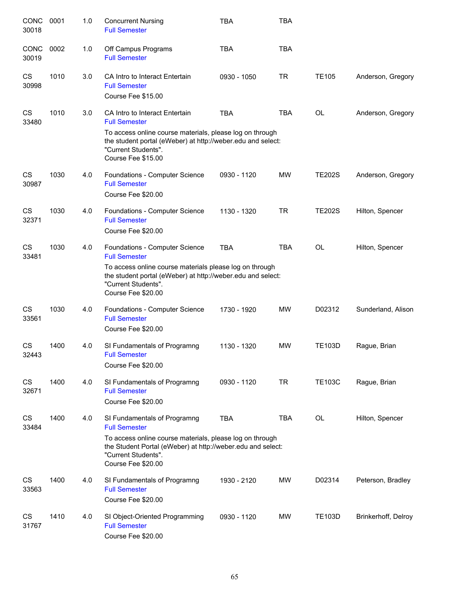| CONC<br>30018        | 0001 | 1.0 | <b>Concurrent Nursing</b><br><b>Full Semester</b>                                                                                                                                                                              | TBA         | <b>TBA</b> |               |                     |
|----------------------|------|-----|--------------------------------------------------------------------------------------------------------------------------------------------------------------------------------------------------------------------------------|-------------|------------|---------------|---------------------|
| <b>CONC</b><br>30019 | 0002 | 1.0 | Off Campus Programs<br><b>Full Semester</b>                                                                                                                                                                                    | <b>TBA</b>  | <b>TBA</b> |               |                     |
| CS<br>30998          | 1010 | 3.0 | CA Intro to Interact Entertain<br><b>Full Semester</b><br>Course Fee \$15.00                                                                                                                                                   | 0930 - 1050 | <b>TR</b>  | <b>TE105</b>  | Anderson, Gregory   |
| CS<br>33480          | 1010 | 3.0 | CA Intro to Interact Entertain<br><b>Full Semester</b><br>To access online course materials, please log on through<br>the student portal (eWeber) at http://weber.edu and select:<br>"Current Students".<br>Course Fee \$15.00 | <b>TBA</b>  | <b>TBA</b> | <b>OL</b>     | Anderson, Gregory   |
| CS<br>30987          | 1030 | 4.0 | Foundations - Computer Science<br><b>Full Semester</b><br>Course Fee \$20.00                                                                                                                                                   | 0930 - 1120 | <b>MW</b>  | <b>TE202S</b> | Anderson, Gregory   |
| CS<br>32371          | 1030 | 4.0 | Foundations - Computer Science<br><b>Full Semester</b><br>Course Fee \$20.00                                                                                                                                                   | 1130 - 1320 | <b>TR</b>  | <b>TE202S</b> | Hilton, Spencer     |
| <b>CS</b><br>33481   | 1030 | 4.0 | Foundations - Computer Science<br><b>Full Semester</b><br>To access online course materials please log on through<br>the student portal (eWeber) at http://weber.edu and select:<br>"Current Students".<br>Course Fee \$20.00  | <b>TBA</b>  | <b>TBA</b> | <b>OL</b>     | Hilton, Spencer     |
| CS<br>33561          | 1030 | 4.0 | Foundations - Computer Science<br><b>Full Semester</b><br>Course Fee \$20.00                                                                                                                                                   | 1730 - 1920 | <b>MW</b>  | D02312        | Sunderland, Alison  |
| CS<br>32443          | 1400 | 4.0 | SI Fundamentals of Programng<br><b>Full Semester</b><br>Course Fee \$20.00                                                                                                                                                     | 1130 - 1320 | <b>MW</b>  | <b>TE103D</b> | Rague, Brian        |
| CS<br>32671          | 1400 | 4.0 | SI Fundamentals of Programng<br><b>Full Semester</b><br>Course Fee \$20.00                                                                                                                                                     | 0930 - 1120 | TR         | <b>TE103C</b> | Rague, Brian        |
| CS<br>33484          | 1400 | 4.0 | SI Fundamentals of Programng<br><b>Full Semester</b><br>To access online course materials, please log on through<br>the Student Portal (eWeber) at http://weber.edu and select:<br>"Current Students".<br>Course Fee \$20.00   | <b>TBA</b>  | TBA        | OL            | Hilton, Spencer     |
| CS<br>33563          | 1400 | 4.0 | SI Fundamentals of Programng<br><b>Full Semester</b><br>Course Fee \$20.00                                                                                                                                                     | 1930 - 2120 | <b>MW</b>  | D02314        | Peterson, Bradley   |
| CS<br>31767          | 1410 | 4.0 | SI Object-Oriented Programming<br><b>Full Semester</b><br>Course Fee \$20.00                                                                                                                                                   | 0930 - 1120 | <b>MW</b>  | <b>TE103D</b> | Brinkerhoff, Delroy |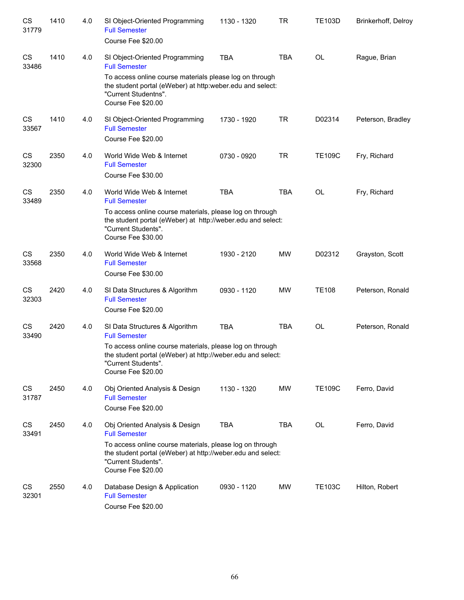| CS<br>31779 | 1410 | 4.0 | SI Object-Oriented Programming<br><b>Full Semester</b><br>Course Fee \$20.00                                                                                         | 1130 - 1320 | <b>TR</b>  | <b>TE103D</b> | Brinkerhoff, Delroy |
|-------------|------|-----|----------------------------------------------------------------------------------------------------------------------------------------------------------------------|-------------|------------|---------------|---------------------|
| CS<br>33486 | 1410 | 4.0 | SI Object-Oriented Programming<br><b>Full Semester</b>                                                                                                               | TBA         | <b>TBA</b> | <b>OL</b>     | Rague, Brian        |
|             |      |     | To access online course materials please log on through<br>the student portal (eWeber) at http:weber.edu and select:<br>"Current Studentns".<br>Course Fee \$20.00   |             |            |               |                     |
| CS<br>33567 | 1410 | 4.0 | SI Object-Oriented Programming<br><b>Full Semester</b><br>Course Fee \$20.00                                                                                         | 1730 - 1920 | TR         | D02314        | Peterson, Bradley   |
|             |      |     |                                                                                                                                                                      |             |            |               |                     |
| CS<br>32300 | 2350 | 4.0 | World Wide Web & Internet<br><b>Full Semester</b><br>Course Fee \$30.00                                                                                              | 0730 - 0920 | <b>TR</b>  | <b>TE109C</b> | Fry, Richard        |
|             |      |     |                                                                                                                                                                      |             |            |               |                     |
| CS<br>33489 | 2350 | 4.0 | World Wide Web & Internet<br><b>Full Semester</b>                                                                                                                    | <b>TBA</b>  | <b>TBA</b> | OL            | Fry, Richard        |
|             |      |     | To access online course materials, please log on through<br>the student portal (eWeber) at http://weber.edu and select:<br>"Current Students".<br>Course Fee \$30.00 |             |            |               |                     |
| CS<br>33568 | 2350 | 4.0 | World Wide Web & Internet<br><b>Full Semester</b>                                                                                                                    | 1930 - 2120 | <b>MW</b>  | D02312        | Grayston, Scott     |
|             |      |     | Course Fee \$30.00                                                                                                                                                   |             |            |               |                     |
| CS<br>32303 | 2420 | 4.0 | SI Data Structures & Algorithm<br><b>Full Semester</b>                                                                                                               | 0930 - 1120 | <b>MW</b>  | <b>TE108</b>  | Peterson, Ronald    |
|             |      |     | Course Fee \$20.00                                                                                                                                                   |             |            |               |                     |
| CS<br>33490 | 2420 | 4.0 | SI Data Structures & Algorithm<br><b>Full Semester</b>                                                                                                               | <b>TBA</b>  | <b>TBA</b> | <b>OL</b>     | Peterson, Ronald    |
|             |      |     | To access online course materials, please log on through<br>the student portal (eWeber) at http://weber.edu and select:<br>"Current Students".<br>Course Fee \$20.00 |             |            |               |                     |
| CS<br>31787 | 2450 | 4.0 | Obj Oriented Analysis & Design<br><b>Full Semester</b>                                                                                                               | 1130 - 1320 | <b>MW</b>  | <b>TE109C</b> | Ferro, David        |
|             |      |     | Course Fee \$20.00                                                                                                                                                   |             |            |               |                     |
| CS<br>33491 | 2450 | 4.0 | Obj Oriented Analysis & Design<br><b>Full Semester</b>                                                                                                               | <b>TBA</b>  | <b>TBA</b> | OL            | Ferro, David        |
|             |      |     | To access online course materials, please log on through<br>the student portal (eWeber) at http://weber.edu and select:<br>"Current Students".<br>Course Fee \$20.00 |             |            |               |                     |
| CS<br>32301 | 2550 | 4.0 | Database Design & Application<br><b>Full Semester</b><br>Course Fee \$20.00                                                                                          | 0930 - 1120 | <b>MW</b>  | <b>TE103C</b> | Hilton, Robert      |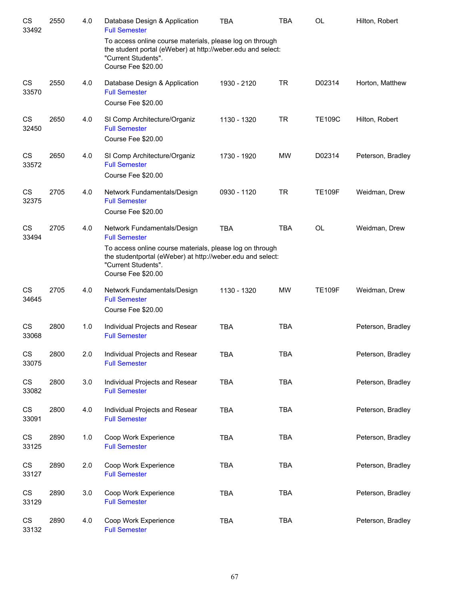| CS<br>33492 | 2550 | 4.0 | Database Design & Application<br><b>Full Semester</b>                                                                                                                                                                      | <b>TBA</b>  | <b>TBA</b> | OL            | Hilton, Robert    |
|-------------|------|-----|----------------------------------------------------------------------------------------------------------------------------------------------------------------------------------------------------------------------------|-------------|------------|---------------|-------------------|
|             |      |     | To access online course materials, please log on through<br>the student portal (eWeber) at http://weber.edu and select:<br>"Current Students".<br>Course Fee \$20.00                                                       |             |            |               |                   |
| CS<br>33570 | 2550 | 4.0 | Database Design & Application<br><b>Full Semester</b><br>Course Fee \$20.00                                                                                                                                                | 1930 - 2120 | <b>TR</b>  | D02314        | Horton, Matthew   |
| CS<br>32450 | 2650 | 4.0 | SI Comp Architecture/Organiz<br><b>Full Semester</b><br>Course Fee \$20.00                                                                                                                                                 | 1130 - 1320 | <b>TR</b>  | <b>TE109C</b> | Hilton, Robert    |
| CS<br>33572 | 2650 | 4.0 | SI Comp Architecture/Organiz<br><b>Full Semester</b><br>Course Fee \$20.00                                                                                                                                                 | 1730 - 1920 | MW         | D02314        | Peterson, Bradley |
| CS<br>32375 | 2705 | 4.0 | Network Fundamentals/Design<br><b>Full Semester</b><br>Course Fee \$20.00                                                                                                                                                  | 0930 - 1120 | <b>TR</b>  | <b>TE109F</b> | Weidman, Drew     |
| CS<br>33494 | 2705 | 4.0 | Network Fundamentals/Design<br><b>Full Semester</b><br>To access online course materials, please log on through<br>the studentportal (eWeber) at http://weber.edu and select:<br>"Current Students".<br>Course Fee \$20.00 | <b>TBA</b>  | <b>TBA</b> | <b>OL</b>     | Weidman, Drew     |
| CS<br>34645 | 2705 | 4.0 | Network Fundamentals/Design<br><b>Full Semester</b><br>Course Fee \$20.00                                                                                                                                                  | 1130 - 1320 | <b>MW</b>  | <b>TE109F</b> | Weidman, Drew     |
| CS<br>33068 | 2800 | 1.0 | Individual Projects and Resear<br><b>Full Semester</b>                                                                                                                                                                     | <b>TBA</b>  | <b>TBA</b> |               | Peterson, Bradley |
| CS<br>33075 | 2800 | 2.0 | Individual Projects and Resear<br><b>Full Semester</b>                                                                                                                                                                     | TBA         | <b>TBA</b> |               | Peterson, Bradley |
| CS<br>33082 | 2800 | 3.0 | Individual Projects and Resear<br><b>Full Semester</b>                                                                                                                                                                     | <b>TBA</b>  | <b>TBA</b> |               | Peterson, Bradley |
| CS<br>33091 | 2800 | 4.0 | Individual Projects and Resear<br><b>Full Semester</b>                                                                                                                                                                     | TBA         | <b>TBA</b> |               | Peterson, Bradley |
| CS<br>33125 | 2890 | 1.0 | Coop Work Experience<br><b>Full Semester</b>                                                                                                                                                                               | TBA         | <b>TBA</b> |               | Peterson, Bradley |
| CS<br>33127 | 2890 | 2.0 | Coop Work Experience<br><b>Full Semester</b>                                                                                                                                                                               | TBA         | <b>TBA</b> |               | Peterson, Bradley |
| CS<br>33129 | 2890 | 3.0 | Coop Work Experience<br><b>Full Semester</b>                                                                                                                                                                               | TBA         | <b>TBA</b> |               | Peterson, Bradley |
| CS<br>33132 | 2890 | 4.0 | Coop Work Experience<br><b>Full Semester</b>                                                                                                                                                                               | <b>TBA</b>  | <b>TBA</b> |               | Peterson, Bradley |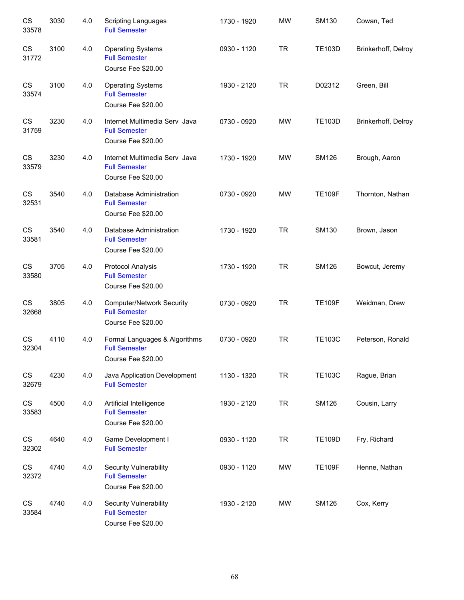| CS<br>33578 | 3030 | 4.0 | <b>Scripting Languages</b><br><b>Full Semester</b>                             | 1730 - 1920 | <b>MW</b> | <b>SM130</b>  | Cowan, Ted          |
|-------------|------|-----|--------------------------------------------------------------------------------|-------------|-----------|---------------|---------------------|
| CS<br>31772 | 3100 | 4.0 | <b>Operating Systems</b><br><b>Full Semester</b><br>Course Fee \$20.00         | 0930 - 1120 | <b>TR</b> | <b>TE103D</b> | Brinkerhoff, Delroy |
| CS<br>33574 | 3100 | 4.0 | <b>Operating Systems</b><br><b>Full Semester</b><br>Course Fee \$20.00         | 1930 - 2120 | <b>TR</b> | D02312        | Green, Bill         |
| CS<br>31759 | 3230 | 4.0 | Internet Multimedia Serv Java<br><b>Full Semester</b><br>Course Fee \$20.00    | 0730 - 0920 | MW        | <b>TE103D</b> | Brinkerhoff, Delroy |
| CS<br>33579 | 3230 | 4.0 | Internet Multimedia Serv Java<br><b>Full Semester</b><br>Course Fee \$20.00    | 1730 - 1920 | <b>MW</b> | <b>SM126</b>  | Brough, Aaron       |
| CS<br>32531 | 3540 | 4.0 | Database Administration<br><b>Full Semester</b><br>Course Fee \$20.00          | 0730 - 0920 | <b>MW</b> | <b>TE109F</b> | Thornton, Nathan    |
| CS<br>33581 | 3540 | 4.0 | Database Administration<br><b>Full Semester</b><br>Course Fee \$20.00          | 1730 - 1920 | <b>TR</b> | SM130         | Brown, Jason        |
| CS<br>33580 | 3705 | 4.0 | <b>Protocol Analysis</b><br><b>Full Semester</b><br>Course Fee \$20.00         | 1730 - 1920 | <b>TR</b> | <b>SM126</b>  | Bowcut, Jeremy      |
| CS<br>32668 | 3805 | 4.0 | <b>Computer/Network Security</b><br><b>Full Semester</b><br>Course Fee \$20.00 | 0730 - 0920 | <b>TR</b> | <b>TE109F</b> | Weidman, Drew       |
| CS<br>32304 | 4110 | 4.0 | Formal Languages & Algorithms<br><b>Full Semester</b><br>Course Fee \$20.00    | 0730 - 0920 | <b>TR</b> | <b>TE103C</b> | Peterson, Ronald    |
| CS<br>32679 | 4230 | 4.0 | Java Application Development<br><b>Full Semester</b>                           | 1130 - 1320 | <b>TR</b> | <b>TE103C</b> | Rague, Brian        |
| CS<br>33583 | 4500 | 4.0 | Artificial Intelligence<br><b>Full Semester</b><br>Course Fee \$20.00          | 1930 - 2120 | <b>TR</b> | <b>SM126</b>  | Cousin, Larry       |
| CS<br>32302 | 4640 | 4.0 | Game Development I<br><b>Full Semester</b>                                     | 0930 - 1120 | <b>TR</b> | <b>TE109D</b> | Fry, Richard        |
| CS<br>32372 | 4740 | 4.0 | <b>Security Vulnerability</b><br><b>Full Semester</b><br>Course Fee \$20.00    | 0930 - 1120 | MW        | <b>TE109F</b> | Henne, Nathan       |
| CS<br>33584 | 4740 | 4.0 | <b>Security Vulnerability</b><br><b>Full Semester</b><br>Course Fee \$20.00    | 1930 - 2120 | <b>MW</b> | <b>SM126</b>  | Cox, Kerry          |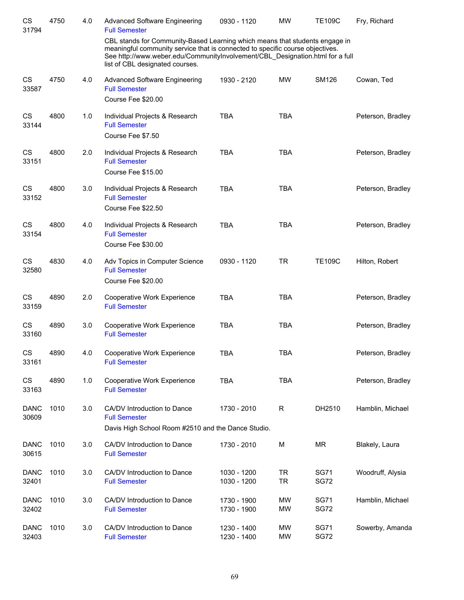| CS<br>31794          | 4750 | 4.0 | <b>Advanced Software Engineering</b><br><b>Full Semester</b>                                                                                                                                                                                                                     | 0930 - 1120                | <b>MW</b>              | <b>TE109C</b>              | Fry, Richard      |
|----------------------|------|-----|----------------------------------------------------------------------------------------------------------------------------------------------------------------------------------------------------------------------------------------------------------------------------------|----------------------------|------------------------|----------------------------|-------------------|
|                      |      |     | CBL stands for Community-Based Learning which means that students engage in<br>meaningful community service that is connected to specific course objectives.<br>See http://www.weber.edu/CommunityInvolvement/CBL_Designation.html for a full<br>list of CBL designated courses. |                            |                        |                            |                   |
| <b>CS</b><br>33587   | 4750 | 4.0 | <b>Advanced Software Engineering</b><br><b>Full Semester</b><br>Course Fee \$20.00                                                                                                                                                                                               | 1930 - 2120                | <b>MW</b>              | SM126                      | Cowan, Ted        |
| CS<br>33144          | 4800 | 1.0 | Individual Projects & Research<br><b>Full Semester</b><br>Course Fee \$7.50                                                                                                                                                                                                      | <b>TBA</b>                 | <b>TBA</b>             |                            | Peterson, Bradley |
| <b>CS</b><br>33151   | 4800 | 2.0 | Individual Projects & Research<br><b>Full Semester</b><br>Course Fee \$15.00                                                                                                                                                                                                     | <b>TBA</b>                 | <b>TBA</b>             |                            | Peterson, Bradley |
| <b>CS</b><br>33152   | 4800 | 3.0 | Individual Projects & Research<br><b>Full Semester</b><br>Course Fee \$22.50                                                                                                                                                                                                     | <b>TBA</b>                 | <b>TBA</b>             |                            | Peterson, Bradley |
| <b>CS</b><br>33154   | 4800 | 4.0 | Individual Projects & Research<br><b>Full Semester</b><br>Course Fee \$30.00                                                                                                                                                                                                     | <b>TBA</b>                 | <b>TBA</b>             |                            | Peterson, Bradley |
| <b>CS</b><br>32580   | 4830 | 4.0 | Adv Topics in Computer Science<br><b>Full Semester</b><br>Course Fee \$20.00                                                                                                                                                                                                     | 0930 - 1120                | <b>TR</b>              | <b>TE109C</b>              | Hilton, Robert    |
| <b>CS</b><br>33159   | 4890 | 2.0 | Cooperative Work Experience<br><b>Full Semester</b>                                                                                                                                                                                                                              | <b>TBA</b>                 | <b>TBA</b>             |                            | Peterson, Bradley |
| CS<br>33160          | 4890 | 3.0 | Cooperative Work Experience<br><b>Full Semester</b>                                                                                                                                                                                                                              | <b>TBA</b>                 | <b>TBA</b>             |                            | Peterson, Bradley |
| CS<br>33161          | 4890 | 4.0 | Cooperative Work Experience<br><b>Full Semester</b>                                                                                                                                                                                                                              | <b>TBA</b>                 | <b>TBA</b>             |                            | Peterson, Bradley |
| CS<br>33163          | 4890 | 1.0 | Cooperative Work Experience<br><b>Full Semester</b>                                                                                                                                                                                                                              | <b>TBA</b>                 | <b>TBA</b>             |                            | Peterson, Bradley |
| <b>DANC</b><br>30609 | 1010 | 3.0 | CA/DV Introduction to Dance<br><b>Full Semester</b><br>Davis High School Room #2510 and the Dance Studio.                                                                                                                                                                        | 1730 - 2010                | $\mathsf R$            | DH2510                     | Hamblin, Michael  |
| <b>DANC</b><br>30615 | 1010 | 3.0 | CA/DV Introduction to Dance<br><b>Full Semester</b>                                                                                                                                                                                                                              | 1730 - 2010                | M                      | <b>MR</b>                  | Blakely, Laura    |
| <b>DANC</b><br>32401 | 1010 | 3.0 | CA/DV Introduction to Dance<br><b>Full Semester</b>                                                                                                                                                                                                                              | 1030 - 1200<br>1030 - 1200 | <b>TR</b><br><b>TR</b> | <b>SG71</b><br><b>SG72</b> | Woodruff, Alysia  |
| <b>DANC</b><br>32402 | 1010 | 3.0 | CA/DV Introduction to Dance<br><b>Full Semester</b>                                                                                                                                                                                                                              | 1730 - 1900<br>1730 - 1900 | <b>MW</b><br><b>MW</b> | <b>SG71</b><br><b>SG72</b> | Hamblin, Michael  |
| <b>DANC</b><br>32403 | 1010 | 3.0 | CA/DV Introduction to Dance<br><b>Full Semester</b>                                                                                                                                                                                                                              | 1230 - 1400<br>1230 - 1400 | <b>MW</b><br><b>MW</b> | <b>SG71</b><br><b>SG72</b> | Sowerby, Amanda   |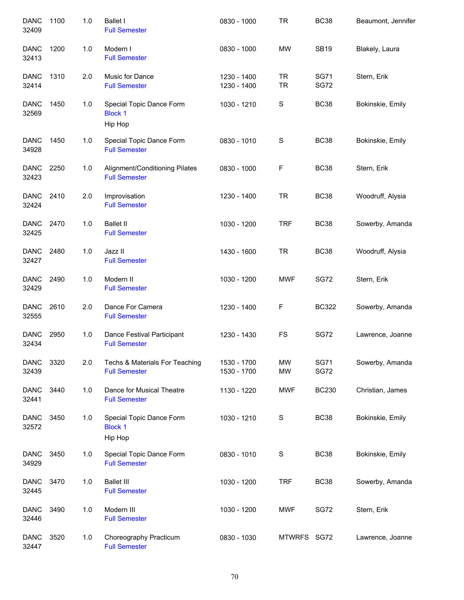| <b>DANC</b><br>32409 | 1100 | 1.0   | <b>Ballet I</b><br><b>Full Semester</b>                | 0830 - 1000                | <b>TR</b>              | <b>BC38</b>                | Beaumont, Jennifer |
|----------------------|------|-------|--------------------------------------------------------|----------------------------|------------------------|----------------------------|--------------------|
| <b>DANC</b><br>32413 | 1200 | 1.0   | Modern I<br><b>Full Semester</b>                       | 0830 - 1000                | <b>MW</b>              | <b>SB19</b>                | Blakely, Laura     |
| <b>DANC</b><br>32414 | 1310 | 2.0   | Music for Dance<br><b>Full Semester</b>                | 1230 - 1400<br>1230 - 1400 | <b>TR</b><br><b>TR</b> | <b>SG71</b><br><b>SG72</b> | Stern, Erik        |
| <b>DANC</b><br>32569 | 1450 | 1.0   | Special Topic Dance Form<br><b>Block 1</b><br>Hip Hop  | 1030 - 1210                | S                      | <b>BC38</b>                | Bokinskie, Emily   |
| <b>DANC</b><br>34928 | 1450 | 1.0   | Special Topic Dance Form<br><b>Full Semester</b>       | 0830 - 1010                | S                      | <b>BC38</b>                | Bokinskie, Emily   |
| <b>DANC</b><br>32423 | 2250 | 1.0   | Alignment/Conditioning Pilates<br><b>Full Semester</b> | 0830 - 1000                | F                      | <b>BC38</b>                | Stern, Erik        |
| <b>DANC</b><br>32424 | 2410 | 2.0   | Improvisation<br><b>Full Semester</b>                  | 1230 - 1400                | <b>TR</b>              | <b>BC38</b>                | Woodruff, Alysia   |
| <b>DANC</b><br>32425 | 2470 | 1.0   | <b>Ballet II</b><br><b>Full Semester</b>               | 1030 - 1200                | <b>TRF</b>             | <b>BC38</b>                | Sowerby, Amanda    |
| <b>DANC</b><br>32427 | 2480 | 1.0   | Jazz II<br><b>Full Semester</b>                        | 1430 - 1600                | <b>TR</b>              | <b>BC38</b>                | Woodruff, Alysia   |
| <b>DANC</b><br>32429 | 2490 | 1.0   | Modern II<br><b>Full Semester</b>                      | 1030 - 1200                | <b>MWF</b>             | <b>SG72</b>                | Stern, Erik        |
| <b>DANC</b><br>32555 | 2610 | 2.0   | Dance For Camera<br><b>Full Semester</b>               | 1230 - 1400                | F                      | <b>BC322</b>               | Sowerby, Amanda    |
| <b>DANC</b><br>32434 | 2950 | 1.0   | Dance Festival Participant<br><b>Full Semester</b>     | 1230 - 1430                | <b>FS</b>              | <b>SG72</b>                | Lawrence, Joanne   |
| <b>DANC</b><br>32439 | 3320 | 2.0   | Techs & Materials For Teaching<br><b>Full Semester</b> | 1530 - 1700<br>1530 - 1700 | <b>MW</b><br><b>MW</b> | <b>SG71</b><br><b>SG72</b> | Sowerby, Amanda    |
| <b>DANC</b><br>32441 | 3440 | 1.0   | Dance for Musical Theatre<br><b>Full Semester</b>      | 1130 - 1220                | <b>MWF</b>             | <b>BC230</b>               | Christian, James   |
| <b>DANC</b><br>32572 | 3450 | $1.0$ | Special Topic Dance Form<br><b>Block 1</b><br>Hip Hop  | 1030 - 1210                | $\mathbf S$            | <b>BC38</b>                | Bokinskie, Emily   |
| <b>DANC</b><br>34929 | 3450 | 1.0   | Special Topic Dance Form<br><b>Full Semester</b>       | 0830 - 1010                | $\mathbf S$            | <b>BC38</b>                | Bokinskie, Emily   |
| <b>DANC</b><br>32445 | 3470 | 1.0   | <b>Ballet III</b><br><b>Full Semester</b>              | 1030 - 1200                | <b>TRF</b>             | <b>BC38</b>                | Sowerby, Amanda    |
| <b>DANC</b><br>32446 | 3490 | 1.0   | Modern III<br><b>Full Semester</b>                     | 1030 - 1200                | <b>MWF</b>             | <b>SG72</b>                | Stern, Erik        |
| <b>DANC</b><br>32447 | 3520 | 1.0   | Choreography Practicum<br><b>Full Semester</b>         | 0830 - 1030                | MTWRFS SG72            |                            | Lawrence, Joanne   |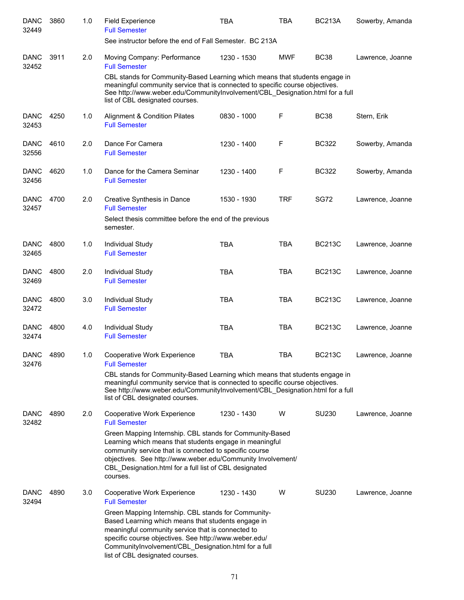| <b>DANC</b><br>32449 | 3860 | 1.0 | Field Experience<br><b>Full Semester</b>                                                                                                                                                                                                                                                                           | <b>TBA</b>  | <b>TBA</b>  | <b>BC213A</b> | Sowerby, Amanda  |
|----------------------|------|-----|--------------------------------------------------------------------------------------------------------------------------------------------------------------------------------------------------------------------------------------------------------------------------------------------------------------------|-------------|-------------|---------------|------------------|
|                      |      |     | See instructor before the end of Fall Semester. BC 213A                                                                                                                                                                                                                                                            |             |             |               |                  |
| <b>DANC</b>          | 3911 | 2.0 | Moving Company: Performance                                                                                                                                                                                                                                                                                        | 1230 - 1530 | <b>MWF</b>  | <b>BC38</b>   | Lawrence, Joanne |
| 32452                |      |     | <b>Full Semester</b><br>CBL stands for Community-Based Learning which means that students engage in                                                                                                                                                                                                                |             |             |               |                  |
|                      |      |     | meaningful community service that is connected to specific course objectives.<br>See http://www.weber.edu/CommunityInvolvement/CBL_Designation.html for a full<br>list of CBL designated courses.                                                                                                                  |             |             |               |                  |
| <b>DANC</b><br>32453 | 4250 | 1.0 | Alignment & Condition Pilates<br><b>Full Semester</b>                                                                                                                                                                                                                                                              | 0830 - 1000 | F           | <b>BC38</b>   | Stern, Erik      |
| <b>DANC</b><br>32556 | 4610 | 2.0 | Dance For Camera<br><b>Full Semester</b>                                                                                                                                                                                                                                                                           | 1230 - 1400 | F           | <b>BC322</b>  | Sowerby, Amanda  |
| <b>DANC</b><br>32456 | 4620 | 1.0 | Dance for the Camera Seminar<br><b>Full Semester</b>                                                                                                                                                                                                                                                               | 1230 - 1400 | $\mathsf F$ | <b>BC322</b>  | Sowerby, Amanda  |
| <b>DANC</b><br>32457 | 4700 | 2.0 | Creative Synthesis in Dance<br><b>Full Semester</b>                                                                                                                                                                                                                                                                | 1530 - 1930 | <b>TRF</b>  | <b>SG72</b>   | Lawrence, Joanne |
|                      |      |     | Select thesis committee before the end of the previous<br>semester.                                                                                                                                                                                                                                                |             |             |               |                  |
| <b>DANC</b><br>32465 | 4800 | 1.0 | Individual Study<br><b>Full Semester</b>                                                                                                                                                                                                                                                                           | <b>TBA</b>  | <b>TBA</b>  | <b>BC213C</b> | Lawrence, Joanne |
| <b>DANC</b>          | 4800 | 2.0 | Individual Study                                                                                                                                                                                                                                                                                                   | <b>TBA</b>  | <b>TBA</b>  | <b>BC213C</b> | Lawrence, Joanne |
| 32469                |      |     | <b>Full Semester</b>                                                                                                                                                                                                                                                                                               |             |             |               |                  |
| <b>DANC</b><br>32472 | 4800 | 3.0 | Individual Study<br><b>Full Semester</b>                                                                                                                                                                                                                                                                           | <b>TBA</b>  | <b>TBA</b>  | <b>BC213C</b> | Lawrence, Joanne |
| <b>DANC</b><br>32474 | 4800 | 4.0 | <b>Individual Study</b><br><b>Full Semester</b>                                                                                                                                                                                                                                                                    | <b>TBA</b>  | <b>TBA</b>  | <b>BC213C</b> | Lawrence, Joanne |
| <b>DANC</b><br>32476 | 4890 | 1.0 | Cooperative Work Experience<br><b>Full Semester</b>                                                                                                                                                                                                                                                                | <b>TBA</b>  | <b>TBA</b>  | <b>BC213C</b> | Lawrence, Joanne |
|                      |      |     | CBL stands for Community-Based Learning which means that students engage in<br>meaningful community service that is connected to specific course objectives.<br>See http://www.weber.edu/CommunityInvolvement/CBL Designation.html for a full<br>list of CBL designated courses.                                   |             |             |               |                  |
| <b>DANC</b><br>32482 | 4890 | 2.0 | Cooperative Work Experience<br><b>Full Semester</b>                                                                                                                                                                                                                                                                | 1230 - 1430 | W           | SU230         | Lawrence, Joanne |
|                      |      |     | Green Mapping Internship. CBL stands for Community-Based<br>Learning which means that students engage in meaningful<br>community service that is connected to specific course<br>objectives. See http://www.weber.edu/Community Involvement/<br>CBL Designation.html for a full list of CBL designated<br>courses. |             |             |               |                  |
| DANC<br>32494        | 4890 | 3.0 | Cooperative Work Experience<br><b>Full Semester</b>                                                                                                                                                                                                                                                                | 1230 - 1430 | W           | SU230         | Lawrence, Joanne |
|                      |      |     | Green Mapping Internship. CBL stands for Community-<br>Based Learning which means that students engage in<br>meaningful community service that is connected to<br>specific course objectives. See http://www.weber.edu/<br>CommunityInvolvement/CBL_Designation.html for a full<br>list of CBL designated courses. |             |             |               |                  |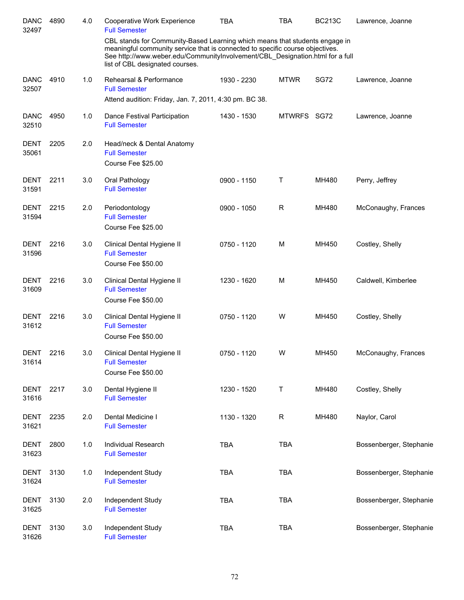| <b>DANC</b><br>32497 | 4890 | 4.0 | Cooperative Work Experience<br><b>Full Semester</b>                                                                                                                                                                                                                              | <b>TBA</b>  | <b>TBA</b>  | <b>BC213C</b> | Lawrence, Joanne        |
|----------------------|------|-----|----------------------------------------------------------------------------------------------------------------------------------------------------------------------------------------------------------------------------------------------------------------------------------|-------------|-------------|---------------|-------------------------|
|                      |      |     | CBL stands for Community-Based Learning which means that students engage in<br>meaningful community service that is connected to specific course objectives.<br>See http://www.weber.edu/CommunityInvolvement/CBL_Designation.html for a full<br>list of CBL designated courses. |             |             |               |                         |
| <b>DANC</b><br>32507 | 4910 | 1.0 | Rehearsal & Performance<br><b>Full Semester</b><br>Attend audition: Friday, Jan. 7, 2011, 4:30 pm. BC 38.                                                                                                                                                                        | 1930 - 2230 | <b>MTWR</b> | <b>SG72</b>   | Lawrence, Joanne        |
| <b>DANC</b><br>32510 | 4950 | 1.0 | Dance Festival Participation<br><b>Full Semester</b>                                                                                                                                                                                                                             | 1430 - 1530 | MTWRFS SG72 |               | Lawrence, Joanne        |
| <b>DENT</b><br>35061 | 2205 | 2.0 | Head/neck & Dental Anatomy<br><b>Full Semester</b><br>Course Fee \$25.00                                                                                                                                                                                                         |             |             |               |                         |
| <b>DENT</b><br>31591 | 2211 | 3.0 | Oral Pathology<br><b>Full Semester</b>                                                                                                                                                                                                                                           | 0900 - 1150 | Т           | MH480         | Perry, Jeffrey          |
| <b>DENT</b><br>31594 | 2215 | 2.0 | Periodontology<br><b>Full Semester</b><br>Course Fee \$25.00                                                                                                                                                                                                                     | 0900 - 1050 | R           | MH480         | McConaughy, Frances     |
| <b>DENT</b><br>31596 | 2216 | 3.0 | Clinical Dental Hygiene II<br><b>Full Semester</b><br>Course Fee \$50.00                                                                                                                                                                                                         | 0750 - 1120 | M           | MH450         | Costley, Shelly         |
| <b>DENT</b><br>31609 | 2216 | 3.0 | Clinical Dental Hygiene II<br><b>Full Semester</b><br>Course Fee \$50.00                                                                                                                                                                                                         | 1230 - 1620 | M           | MH450         | Caldwell, Kimberlee     |
| <b>DENT</b><br>31612 | 2216 | 3.0 | Clinical Dental Hygiene II<br><b>Full Semester</b><br>Course Fee \$50.00                                                                                                                                                                                                         | 0750 - 1120 | W           | MH450         | Costley, Shelly         |
| DENT<br>31614        | 2216 | 3.0 | Clinical Dental Hygiene II<br><b>Full Semester</b><br>Course Fee \$50.00                                                                                                                                                                                                         | 0750 - 1120 | W           | MH450         | McConaughy, Frances     |
| DENT<br>31616        | 2217 | 3.0 | Dental Hygiene II<br><b>Full Semester</b>                                                                                                                                                                                                                                        | 1230 - 1520 | Τ           | MH480         | Costley, Shelly         |
| DENT<br>31621        | 2235 | 2.0 | Dental Medicine I<br><b>Full Semester</b>                                                                                                                                                                                                                                        | 1130 - 1320 | R           | MH480         | Naylor, Carol           |
| <b>DENT</b><br>31623 | 2800 | 1.0 | Individual Research<br><b>Full Semester</b>                                                                                                                                                                                                                                      | <b>TBA</b>  | <b>TBA</b>  |               | Bossenberger, Stephanie |
| <b>DENT</b><br>31624 | 3130 | 1.0 | Independent Study<br><b>Full Semester</b>                                                                                                                                                                                                                                        | <b>TBA</b>  | <b>TBA</b>  |               | Bossenberger, Stephanie |
| DENT<br>31625        | 3130 | 2.0 | Independent Study<br><b>Full Semester</b>                                                                                                                                                                                                                                        | <b>TBA</b>  | <b>TBA</b>  |               | Bossenberger, Stephanie |
| <b>DENT</b><br>31626 | 3130 | 3.0 | Independent Study<br><b>Full Semester</b>                                                                                                                                                                                                                                        | <b>TBA</b>  | <b>TBA</b>  |               | Bossenberger, Stephanie |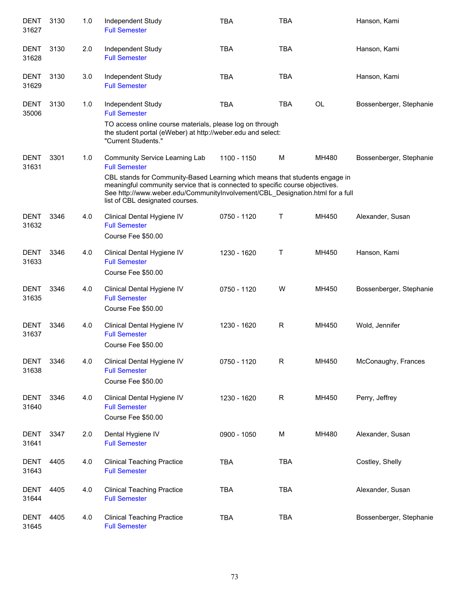| <b>DENT</b><br>31627 | 3130 | 1.0 | Independent Study<br><b>Full Semester</b>                                                                                                                                                                                                                                        | <b>TBA</b>  | <b>TBA</b> |           | Hanson, Kami            |
|----------------------|------|-----|----------------------------------------------------------------------------------------------------------------------------------------------------------------------------------------------------------------------------------------------------------------------------------|-------------|------------|-----------|-------------------------|
| <b>DENT</b><br>31628 | 3130 | 2.0 | Independent Study<br><b>Full Semester</b>                                                                                                                                                                                                                                        | <b>TBA</b>  | <b>TBA</b> |           | Hanson, Kami            |
| DENT<br>31629        | 3130 | 3.0 | Independent Study<br><b>Full Semester</b>                                                                                                                                                                                                                                        | <b>TBA</b>  | <b>TBA</b> |           | Hanson, Kami            |
| DENT<br>35006        | 3130 | 1.0 | Independent Study<br><b>Full Semester</b>                                                                                                                                                                                                                                        | <b>TBA</b>  | <b>TBA</b> | <b>OL</b> | Bossenberger, Stephanie |
|                      |      |     | TO access online course materials, please log on through<br>the student portal (eWeber) at http://weber.edu and select:<br>"Current Students."                                                                                                                                   |             |            |           |                         |
| <b>DENT</b><br>31631 | 3301 | 1.0 | Community Service Learning Lab<br><b>Full Semester</b>                                                                                                                                                                                                                           | 1100 - 1150 | M          | MH480     | Bossenberger, Stephanie |
|                      |      |     | CBL stands for Community-Based Learning which means that students engage in<br>meaningful community service that is connected to specific course objectives.<br>See http://www.weber.edu/CommunityInvolvement/CBL_Designation.html for a full<br>list of CBL designated courses. |             |            |           |                         |
| <b>DENT</b><br>31632 | 3346 | 4.0 | Clinical Dental Hygiene IV<br><b>Full Semester</b><br>Course Fee \$50.00                                                                                                                                                                                                         | 0750 - 1120 | т          | MH450     | Alexander, Susan        |
| <b>DENT</b><br>31633 | 3346 | 4.0 | Clinical Dental Hygiene IV<br><b>Full Semester</b><br>Course Fee \$50.00                                                                                                                                                                                                         | 1230 - 1620 | т          | MH450     | Hanson, Kami            |
| <b>DENT</b><br>31635 | 3346 | 4.0 | Clinical Dental Hygiene IV<br><b>Full Semester</b><br>Course Fee \$50.00                                                                                                                                                                                                         | 0750 - 1120 | W          | MH450     | Bossenberger, Stephanie |
| <b>DENT</b><br>31637 | 3346 | 4.0 | Clinical Dental Hygiene IV<br><b>Full Semester</b><br>Course Fee \$50.00                                                                                                                                                                                                         | 1230 - 1620 | R          | MH450     | Wold, Jennifer          |
| <b>DENT</b><br>31638 | 3346 | 4.0 | Clinical Dental Hygiene IV<br><b>Full Semester</b><br>Course Fee \$50.00                                                                                                                                                                                                         | 0750 - 1120 | R          | MH450     | McConaughy, Frances     |
| DENT<br>31640        | 3346 | 4.0 | Clinical Dental Hygiene IV<br><b>Full Semester</b><br>Course Fee \$50.00                                                                                                                                                                                                         | 1230 - 1620 | R          | MH450     | Perry, Jeffrey          |
| DENT<br>31641        | 3347 | 2.0 | Dental Hygiene IV<br><b>Full Semester</b>                                                                                                                                                                                                                                        | 0900 - 1050 | M          | MH480     | Alexander, Susan        |
| <b>DENT</b><br>31643 | 4405 | 4.0 | <b>Clinical Teaching Practice</b><br><b>Full Semester</b>                                                                                                                                                                                                                        | <b>TBA</b>  | <b>TBA</b> |           | Costley, Shelly         |
| DENT<br>31644        | 4405 | 4.0 | <b>Clinical Teaching Practice</b><br><b>Full Semester</b>                                                                                                                                                                                                                        | <b>TBA</b>  | <b>TBA</b> |           | Alexander, Susan        |
| <b>DENT</b><br>31645 | 4405 | 4.0 | <b>Clinical Teaching Practice</b><br><b>Full Semester</b>                                                                                                                                                                                                                        | <b>TBA</b>  | <b>TBA</b> |           | Bossenberger, Stephanie |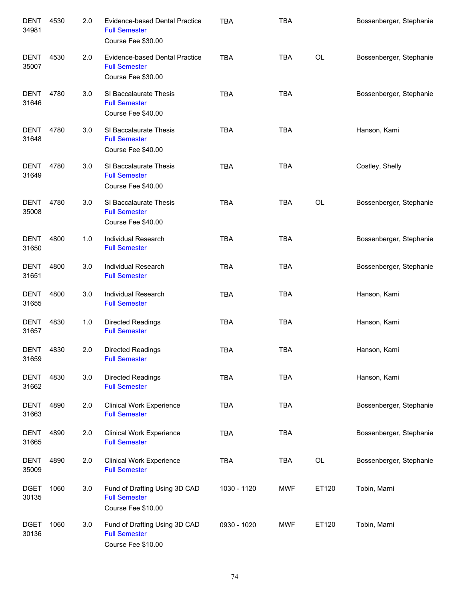| <b>DENT</b><br>34981 | 4530 | 2.0 | Evidence-based Dental Practice<br><b>Full Semester</b><br>Course Fee \$30.00 | <b>TBA</b>  | <b>TBA</b> |       | Bossenberger, Stephanie |
|----------------------|------|-----|------------------------------------------------------------------------------|-------------|------------|-------|-------------------------|
| <b>DENT</b><br>35007 | 4530 | 2.0 | Evidence-based Dental Practice<br><b>Full Semester</b><br>Course Fee \$30.00 | <b>TBA</b>  | <b>TBA</b> | OL    | Bossenberger, Stephanie |
| <b>DENT</b><br>31646 | 4780 | 3.0 | SI Baccalaurate Thesis<br><b>Full Semester</b><br>Course Fee \$40.00         | <b>TBA</b>  | <b>TBA</b> |       | Bossenberger, Stephanie |
| <b>DENT</b><br>31648 | 4780 | 3.0 | SI Baccalaurate Thesis<br><b>Full Semester</b><br>Course Fee \$40.00         | <b>TBA</b>  | <b>TBA</b> |       | Hanson, Kami            |
| <b>DENT</b><br>31649 | 4780 | 3.0 | SI Baccalaurate Thesis<br><b>Full Semester</b><br>Course Fee \$40.00         | <b>TBA</b>  | <b>TBA</b> |       | Costley, Shelly         |
| <b>DENT</b><br>35008 | 4780 | 3.0 | SI Baccalaurate Thesis<br><b>Full Semester</b><br>Course Fee \$40.00         | <b>TBA</b>  | <b>TBA</b> | OL    | Bossenberger, Stephanie |
| <b>DENT</b><br>31650 | 4800 | 1.0 | <b>Individual Research</b><br><b>Full Semester</b>                           | <b>TBA</b>  | <b>TBA</b> |       | Bossenberger, Stephanie |
| <b>DENT</b><br>31651 | 4800 | 3.0 | Individual Research<br><b>Full Semester</b>                                  | <b>TBA</b>  | <b>TBA</b> |       | Bossenberger, Stephanie |
| <b>DENT</b><br>31655 | 4800 | 3.0 | Individual Research<br><b>Full Semester</b>                                  | <b>TBA</b>  | <b>TBA</b> |       | Hanson, Kami            |
| <b>DENT</b><br>31657 | 4830 | 1.0 | <b>Directed Readings</b><br><b>Full Semester</b>                             | <b>TBA</b>  | <b>TBA</b> |       | Hanson, Kami            |
| <b>DENT</b><br>31659 | 4830 | 2.0 | <b>Directed Readings</b><br><b>Full Semester</b>                             | <b>TBA</b>  | <b>TBA</b> |       | Hanson, Kami            |
| <b>DENT</b><br>31662 | 4830 | 3.0 | <b>Directed Readings</b><br><b>Full Semester</b>                             | <b>TBA</b>  | <b>TBA</b> |       | Hanson, Kami            |
| <b>DENT</b><br>31663 | 4890 | 2.0 | <b>Clinical Work Experience</b><br><b>Full Semester</b>                      | <b>TBA</b>  | <b>TBA</b> |       | Bossenberger, Stephanie |
| <b>DENT</b><br>31665 | 4890 | 2.0 | <b>Clinical Work Experience</b><br><b>Full Semester</b>                      | <b>TBA</b>  | <b>TBA</b> |       | Bossenberger, Stephanie |
| <b>DENT</b><br>35009 | 4890 | 2.0 | <b>Clinical Work Experience</b><br><b>Full Semester</b>                      | <b>TBA</b>  | <b>TBA</b> | OL    | Bossenberger, Stephanie |
| <b>DGET</b><br>30135 | 1060 | 3.0 | Fund of Drafting Using 3D CAD<br><b>Full Semester</b><br>Course Fee \$10.00  | 1030 - 1120 | <b>MWF</b> | ET120 | Tobin, Marni            |
| <b>DGET</b><br>30136 | 1060 | 3.0 | Fund of Drafting Using 3D CAD<br><b>Full Semester</b><br>Course Fee \$10.00  | 0930 - 1020 | <b>MWF</b> | ET120 | Tobin, Marni            |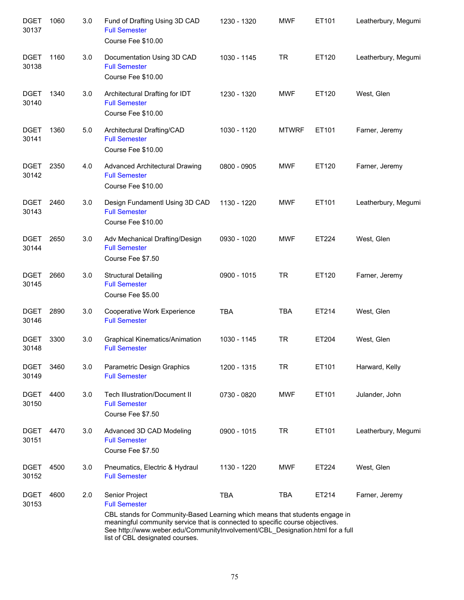| <b>DGET</b><br>30137 | 1060 | 3.0 | Fund of Drafting Using 3D CAD<br><b>Full Semester</b><br>Course Fee \$10.00                                                                                                                                                                                                      | 1230 - 1320 | <b>MWF</b>   | ET101 | Leatherbury, Megumi |
|----------------------|------|-----|----------------------------------------------------------------------------------------------------------------------------------------------------------------------------------------------------------------------------------------------------------------------------------|-------------|--------------|-------|---------------------|
| <b>DGET</b><br>30138 | 1160 | 3.0 | Documentation Using 3D CAD<br><b>Full Semester</b><br>Course Fee \$10.00                                                                                                                                                                                                         | 1030 - 1145 | <b>TR</b>    | ET120 | Leatherbury, Megumi |
| <b>DGET</b><br>30140 | 1340 | 3.0 | Architectural Drafting for IDT<br><b>Full Semester</b><br>Course Fee \$10.00                                                                                                                                                                                                     | 1230 - 1320 | <b>MWF</b>   | ET120 | West, Glen          |
| <b>DGET</b><br>30141 | 1360 | 5.0 | Architectural Drafting/CAD<br><b>Full Semester</b><br>Course Fee \$10.00                                                                                                                                                                                                         | 1030 - 1120 | <b>MTWRF</b> | ET101 | Farner, Jeremy      |
| <b>DGET</b><br>30142 | 2350 | 4.0 | <b>Advanced Architectural Drawing</b><br><b>Full Semester</b><br>Course Fee \$10.00                                                                                                                                                                                              | 0800 - 0905 | <b>MWF</b>   | ET120 | Farner, Jeremy      |
| <b>DGET</b><br>30143 | 2460 | 3.0 | Design Fundamentl Using 3D CAD<br><b>Full Semester</b><br>Course Fee \$10.00                                                                                                                                                                                                     | 1130 - 1220 | <b>MWF</b>   | ET101 | Leatherbury, Megumi |
| <b>DGET</b><br>30144 | 2650 | 3.0 | Adv Mechanical Drafting/Design<br><b>Full Semester</b><br>Course Fee \$7.50                                                                                                                                                                                                      | 0930 - 1020 | <b>MWF</b>   | ET224 | West, Glen          |
| <b>DGET</b><br>30145 | 2660 | 3.0 | <b>Structural Detailing</b><br><b>Full Semester</b><br>Course Fee \$5.00                                                                                                                                                                                                         | 0900 - 1015 | <b>TR</b>    | ET120 | Farner, Jeremy      |
| <b>DGET</b><br>30146 | 2890 | 3.0 | Cooperative Work Experience<br><b>Full Semester</b>                                                                                                                                                                                                                              | <b>TBA</b>  | <b>TBA</b>   | ET214 | West, Glen          |
| <b>DGET</b><br>30148 | 3300 | 3.0 | <b>Graphical Kinematics/Animation</b><br><b>Full Semester</b>                                                                                                                                                                                                                    | 1030 - 1145 | <b>TR</b>    | ET204 | West, Glen          |
| <b>DGET</b><br>30149 | 3460 | 3.0 | Parametric Design Graphics<br><b>Full Semester</b>                                                                                                                                                                                                                               | 1200 - 1315 | <b>TR</b>    | ET101 | Harward, Kelly      |
| <b>DGET</b><br>30150 | 4400 | 3.0 | <b>Tech Illustration/Document II</b><br><b>Full Semester</b><br>Course Fee \$7.50                                                                                                                                                                                                | 0730 - 0820 | <b>MWF</b>   | ET101 | Julander, John      |
| <b>DGET</b><br>30151 | 4470 | 3.0 | Advanced 3D CAD Modeling<br><b>Full Semester</b><br>Course Fee \$7.50                                                                                                                                                                                                            | 0900 - 1015 | <b>TR</b>    | ET101 | Leatherbury, Megumi |
| <b>DGET</b><br>30152 | 4500 | 3.0 | Pneumatics, Electric & Hydraul<br><b>Full Semester</b>                                                                                                                                                                                                                           | 1130 - 1220 | <b>MWF</b>   | ET224 | West, Glen          |
| <b>DGET</b><br>30153 | 4600 | 2.0 | Senior Project<br><b>Full Semester</b>                                                                                                                                                                                                                                           | <b>TBA</b>  | <b>TBA</b>   | ET214 | Farner, Jeremy      |
|                      |      |     | CBL stands for Community-Based Learning which means that students engage in<br>meaningful community service that is connected to specific course objectives.<br>See http://www.weber.edu/CommunityInvolvement/CBL_Designation.html for a full<br>list of CBL designated courses. |             |              |       |                     |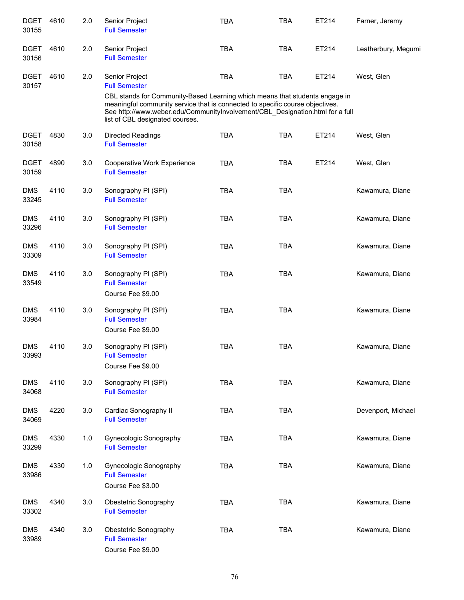| <b>DGET</b><br>30155 | 4610 | 2.0 | Senior Project<br><b>Full Semester</b>                                                                                                                                                                                                                                           | <b>TBA</b> | <b>TBA</b> | ET214 | Farner, Jeremy      |
|----------------------|------|-----|----------------------------------------------------------------------------------------------------------------------------------------------------------------------------------------------------------------------------------------------------------------------------------|------------|------------|-------|---------------------|
| <b>DGET</b><br>30156 | 4610 | 2.0 | Senior Project<br><b>Full Semester</b>                                                                                                                                                                                                                                           | <b>TBA</b> | <b>TBA</b> | ET214 | Leatherbury, Megumi |
| <b>DGET</b><br>30157 | 4610 | 2.0 | Senior Project<br><b>Full Semester</b>                                                                                                                                                                                                                                           | <b>TBA</b> | <b>TBA</b> | ET214 | West, Glen          |
|                      |      |     | CBL stands for Community-Based Learning which means that students engage in<br>meaningful community service that is connected to specific course objectives.<br>See http://www.weber.edu/CommunityInvolvement/CBL_Designation.html for a full<br>list of CBL designated courses. |            |            |       |                     |
| <b>DGET</b><br>30158 | 4830 | 3.0 | <b>Directed Readings</b><br><b>Full Semester</b>                                                                                                                                                                                                                                 | <b>TBA</b> | <b>TBA</b> | ET214 | West, Glen          |
| <b>DGET</b><br>30159 | 4890 | 3.0 | Cooperative Work Experience<br><b>Full Semester</b>                                                                                                                                                                                                                              | <b>TBA</b> | <b>TBA</b> | ET214 | West, Glen          |
| <b>DMS</b><br>33245  | 4110 | 3.0 | Sonography PI (SPI)<br><b>Full Semester</b>                                                                                                                                                                                                                                      | <b>TBA</b> | <b>TBA</b> |       | Kawamura, Diane     |
| <b>DMS</b><br>33296  | 4110 | 3.0 | Sonography PI (SPI)<br><b>Full Semester</b>                                                                                                                                                                                                                                      | <b>TBA</b> | <b>TBA</b> |       | Kawamura, Diane     |
| <b>DMS</b><br>33309  | 4110 | 3.0 | Sonography PI (SPI)<br><b>Full Semester</b>                                                                                                                                                                                                                                      | <b>TBA</b> | <b>TBA</b> |       | Kawamura, Diane     |
| <b>DMS</b><br>33549  | 4110 | 3.0 | Sonography PI (SPI)<br><b>Full Semester</b><br>Course Fee \$9.00                                                                                                                                                                                                                 | <b>TBA</b> | <b>TBA</b> |       | Kawamura, Diane     |
| <b>DMS</b><br>33984  | 4110 | 3.0 | Sonography PI (SPI)<br><b>Full Semester</b>                                                                                                                                                                                                                                      | <b>TBA</b> | <b>TBA</b> |       | Kawamura, Diane     |
|                      |      |     | Course Fee \$9.00                                                                                                                                                                                                                                                                |            |            |       |                     |
| <b>DMS</b><br>33993  | 4110 | 3.0 | Sonography PI (SPI)<br><b>Full Semester</b><br>Course Fee \$9.00                                                                                                                                                                                                                 | <b>TBA</b> | <b>TBA</b> |       | Kawamura, Diane     |
| <b>DMS</b><br>34068  | 4110 | 3.0 | Sonography PI (SPI)<br><b>Full Semester</b>                                                                                                                                                                                                                                      | <b>TBA</b> | TBA        |       | Kawamura, Diane     |
| <b>DMS</b><br>34069  | 4220 | 3.0 | Cardiac Sonography II<br><b>Full Semester</b>                                                                                                                                                                                                                                    | <b>TBA</b> | <b>TBA</b> |       | Devenport, Michael  |
| <b>DMS</b><br>33299  | 4330 | 1.0 | Gynecologic Sonography<br><b>Full Semester</b>                                                                                                                                                                                                                                   | <b>TBA</b> | <b>TBA</b> |       | Kawamura, Diane     |
| <b>DMS</b><br>33986  | 4330 | 1.0 | Gynecologic Sonography<br><b>Full Semester</b><br>Course Fee \$3.00                                                                                                                                                                                                              | <b>TBA</b> | <b>TBA</b> |       | Kawamura, Diane     |
| <b>DMS</b><br>33302  | 4340 | 3.0 | Obestetric Sonography<br><b>Full Semester</b>                                                                                                                                                                                                                                    | <b>TBA</b> | <b>TBA</b> |       | Kawamura, Diane     |
| <b>DMS</b><br>33989  | 4340 | 3.0 | Obestetric Sonography<br><b>Full Semester</b><br>Course Fee \$9.00                                                                                                                                                                                                               | <b>TBA</b> | <b>TBA</b> |       | Kawamura, Diane     |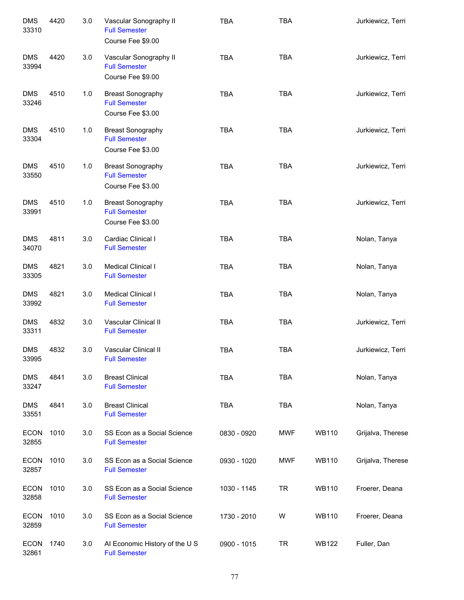| <b>DMS</b><br>33310  | 4420 | 3.0 | Vascular Sonography II<br><b>Full Semester</b><br>Course Fee \$9.00   | <b>TBA</b>  | <b>TBA</b> |              | Jurkiewicz, Terri |
|----------------------|------|-----|-----------------------------------------------------------------------|-------------|------------|--------------|-------------------|
| <b>DMS</b><br>33994  | 4420 | 3.0 | Vascular Sonography II<br><b>Full Semester</b><br>Course Fee \$9.00   | <b>TBA</b>  | <b>TBA</b> |              | Jurkiewicz, Terri |
| <b>DMS</b><br>33246  | 4510 | 1.0 | <b>Breast Sonography</b><br><b>Full Semester</b><br>Course Fee \$3.00 | <b>TBA</b>  | <b>TBA</b> |              | Jurkiewicz, Terri |
| <b>DMS</b><br>33304  | 4510 | 1.0 | <b>Breast Sonography</b><br><b>Full Semester</b><br>Course Fee \$3.00 | <b>TBA</b>  | <b>TBA</b> |              | Jurkiewicz, Terri |
| <b>DMS</b><br>33550  | 4510 | 1.0 | <b>Breast Sonography</b><br><b>Full Semester</b><br>Course Fee \$3.00 | <b>TBA</b>  | <b>TBA</b> |              | Jurkiewicz, Terri |
| <b>DMS</b><br>33991  | 4510 | 1.0 | <b>Breast Sonography</b><br><b>Full Semester</b><br>Course Fee \$3.00 | <b>TBA</b>  | <b>TBA</b> |              | Jurkiewicz, Terri |
| <b>DMS</b><br>34070  | 4811 | 3.0 | Cardiac Clinical I<br><b>Full Semester</b>                            | <b>TBA</b>  | <b>TBA</b> |              | Nolan, Tanya      |
| <b>DMS</b><br>33305  | 4821 | 3.0 | Medical Clinical I<br><b>Full Semester</b>                            | <b>TBA</b>  | <b>TBA</b> |              | Nolan, Tanya      |
| <b>DMS</b><br>33992  | 4821 | 3.0 | Medical Clinical I<br><b>Full Semester</b>                            | <b>TBA</b>  | <b>TBA</b> |              | Nolan, Tanya      |
| <b>DMS</b><br>33311  | 4832 | 3.0 | Vascular Clinical II<br><b>Full Semester</b>                          | <b>TBA</b>  | <b>TBA</b> |              | Jurkiewicz, Terri |
| <b>DMS</b><br>33995  | 4832 | 3.0 | Vascular Clinical II<br><b>Full Semester</b>                          | <b>TBA</b>  | <b>TBA</b> |              | Jurkiewicz, Terri |
| <b>DMS</b><br>33247  | 4841 | 3.0 | <b>Breast Clinical</b><br><b>Full Semester</b>                        | <b>TBA</b>  | <b>TBA</b> |              | Nolan, Tanya      |
| <b>DMS</b><br>33551  | 4841 | 3.0 | <b>Breast Clinical</b><br><b>Full Semester</b>                        | <b>TBA</b>  | <b>TBA</b> |              | Nolan, Tanya      |
| <b>ECON</b><br>32855 | 1010 | 3.0 | SS Econ as a Social Science<br><b>Full Semester</b>                   | 0830 - 0920 | <b>MWF</b> | <b>WB110</b> | Grijalva, Therese |
| <b>ECON</b><br>32857 | 1010 | 3.0 | SS Econ as a Social Science<br><b>Full Semester</b>                   | 0930 - 1020 | <b>MWF</b> | <b>WB110</b> | Grijalva, Therese |
| <b>ECON</b><br>32858 | 1010 | 3.0 | SS Econ as a Social Science<br><b>Full Semester</b>                   | 1030 - 1145 | <b>TR</b>  | <b>WB110</b> | Froerer, Deana    |
| <b>ECON</b><br>32859 | 1010 | 3.0 | SS Econ as a Social Science<br><b>Full Semester</b>                   | 1730 - 2010 | W          | <b>WB110</b> | Froerer, Deana    |
| <b>ECON</b><br>32861 | 1740 | 3.0 | Al Economic History of the U S<br><b>Full Semester</b>                | 0900 - 1015 | <b>TR</b>  | <b>WB122</b> | Fuller, Dan       |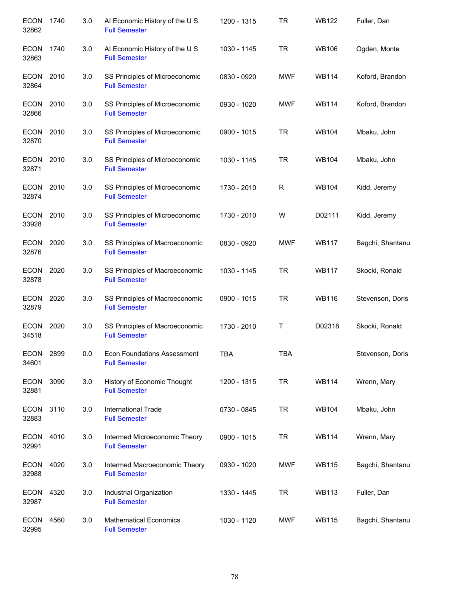| <b>ECON</b><br>32862 | 1740 | 3.0 | AI Economic History of the U S<br><b>Full Semester</b>     | 1200 - 1315 | <b>TR</b>  | <b>WB122</b> | Fuller, Dan      |
|----------------------|------|-----|------------------------------------------------------------|-------------|------------|--------------|------------------|
| <b>ECON</b><br>32863 | 1740 | 3.0 | AI Economic History of the U S<br><b>Full Semester</b>     | 1030 - 1145 | <b>TR</b>  | <b>WB106</b> | Ogden, Monte     |
| <b>ECON</b><br>32864 | 2010 | 3.0 | SS Principles of Microeconomic<br><b>Full Semester</b>     | 0830 - 0920 | <b>MWF</b> | <b>WB114</b> | Koford, Brandon  |
| <b>ECON</b><br>32866 | 2010 | 3.0 | SS Principles of Microeconomic<br><b>Full Semester</b>     | 0930 - 1020 | <b>MWF</b> | <b>WB114</b> | Koford, Brandon  |
| ECON 2010<br>32870   |      | 3.0 | SS Principles of Microeconomic<br><b>Full Semester</b>     | 0900 - 1015 | <b>TR</b>  | <b>WB104</b> | Mbaku, John      |
| ECON 2010<br>32871   |      | 3.0 | SS Principles of Microeconomic<br><b>Full Semester</b>     | 1030 - 1145 | <b>TR</b>  | <b>WB104</b> | Mbaku, John      |
| ECON<br>32874        | 2010 | 3.0 | SS Principles of Microeconomic<br><b>Full Semester</b>     | 1730 - 2010 | R          | <b>WB104</b> | Kidd, Jeremy     |
| <b>ECON</b><br>33928 | 2010 | 3.0 | SS Principles of Microeconomic<br><b>Full Semester</b>     | 1730 - 2010 | W          | D02111       | Kidd, Jeremy     |
| <b>ECON</b><br>32876 | 2020 | 3.0 | SS Principles of Macroeconomic<br><b>Full Semester</b>     | 0830 - 0920 | <b>MWF</b> | <b>WB117</b> | Bagchi, Shantanu |
| ECON<br>32878        | 2020 | 3.0 | SS Principles of Macroeconomic<br><b>Full Semester</b>     | 1030 - 1145 | <b>TR</b>  | <b>WB117</b> | Skocki, Ronald   |
| <b>ECON</b><br>32879 | 2020 | 3.0 | SS Principles of Macroeconomic<br><b>Full Semester</b>     | 0900 - 1015 | <b>TR</b>  | <b>WB116</b> | Stevenson, Doris |
| <b>ECON</b><br>34518 | 2020 | 3.0 | SS Principles of Macroeconomic<br><b>Full Semester</b>     | 1730 - 2010 | Τ          | D02318       | Skocki, Ronald   |
| <b>ECON</b><br>34601 | 2899 | 0.0 | <b>Econ Foundations Assessment</b><br><b>Full Semester</b> | <b>TBA</b>  | <b>TBA</b> |              | Stevenson, Doris |
| <b>ECON</b><br>32881 | 3090 | 3.0 | History of Economic Thought<br><b>Full Semester</b>        | 1200 - 1315 | <b>TR</b>  | <b>WB114</b> | Wrenn, Mary      |
| ECON<br>32883        | 3110 | 3.0 | International Trade<br><b>Full Semester</b>                | 0730 - 0845 | <b>TR</b>  | <b>WB104</b> | Mbaku, John      |
| ECON<br>32991        | 4010 | 3.0 | Intermed Microeconomic Theory<br><b>Full Semester</b>      | 0900 - 1015 | <b>TR</b>  | <b>WB114</b> | Wrenn, Mary      |
| <b>ECON</b><br>32988 | 4020 | 3.0 | Intermed Macroeconomic Theory<br><b>Full Semester</b>      | 0930 - 1020 | <b>MWF</b> | <b>WB115</b> | Bagchi, Shantanu |
| ECON<br>32987        | 4320 | 3.0 | Industrial Organization<br><b>Full Semester</b>            | 1330 - 1445 | <b>TR</b>  | <b>WB113</b> | Fuller, Dan      |
| <b>ECON</b><br>32995 | 4560 | 3.0 | <b>Mathematical Economics</b><br><b>Full Semester</b>      | 1030 - 1120 | <b>MWF</b> | <b>WB115</b> | Bagchi, Shantanu |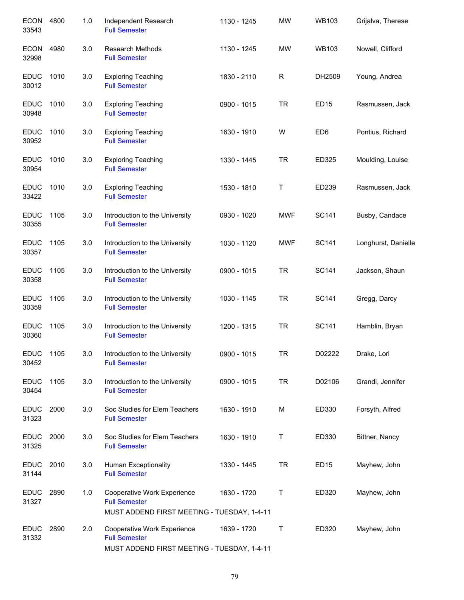| <b>ECON</b><br>33543 | 4800 | 1.0 | Independent Research<br><b>Full Semester</b>                                                       | 1130 - 1245 | <b>MW</b>    | <b>WB103</b>     | Grijalva, Therese   |
|----------------------|------|-----|----------------------------------------------------------------------------------------------------|-------------|--------------|------------------|---------------------|
| <b>ECON</b><br>32998 | 4980 | 3.0 | <b>Research Methods</b><br><b>Full Semester</b>                                                    | 1130 - 1245 | <b>MW</b>    | <b>WB103</b>     | Nowell, Clifford    |
| <b>EDUC</b><br>30012 | 1010 | 3.0 | <b>Exploring Teaching</b><br><b>Full Semester</b>                                                  | 1830 - 2110 | $\mathsf{R}$ | DH2509           | Young, Andrea       |
| <b>EDUC</b><br>30948 | 1010 | 3.0 | <b>Exploring Teaching</b><br><b>Full Semester</b>                                                  | 0900 - 1015 | <b>TR</b>    | ED <sub>15</sub> | Rasmussen, Jack     |
| <b>EDUC</b><br>30952 | 1010 | 3.0 | <b>Exploring Teaching</b><br><b>Full Semester</b>                                                  | 1630 - 1910 | W            | ED <sub>6</sub>  | Pontius, Richard    |
| <b>EDUC</b><br>30954 | 1010 | 3.0 | <b>Exploring Teaching</b><br><b>Full Semester</b>                                                  | 1330 - 1445 | <b>TR</b>    | ED325            | Moulding, Louise    |
| <b>EDUC</b><br>33422 | 1010 | 3.0 | <b>Exploring Teaching</b><br><b>Full Semester</b>                                                  | 1530 - 1810 | Τ            | ED239            | Rasmussen, Jack     |
| <b>EDUC</b><br>30355 | 1105 | 3.0 | Introduction to the University<br><b>Full Semester</b>                                             | 0930 - 1020 | <b>MWF</b>   | SC141            | Busby, Candace      |
| <b>EDUC</b><br>30357 | 1105 | 3.0 | Introduction to the University<br><b>Full Semester</b>                                             | 1030 - 1120 | <b>MWF</b>   | SC141            | Longhurst, Danielle |
| <b>EDUC</b><br>30358 | 1105 | 3.0 | Introduction to the University<br><b>Full Semester</b>                                             | 0900 - 1015 | <b>TR</b>    | SC141            | Jackson, Shaun      |
| <b>EDUC</b><br>30359 | 1105 | 3.0 | Introduction to the University<br><b>Full Semester</b>                                             | 1030 - 1145 | <b>TR</b>    | <b>SC141</b>     | Gregg, Darcy        |
| <b>EDUC</b><br>30360 | 1105 | 3.0 | Introduction to the University<br><b>Full Semester</b>                                             | 1200 - 1315 | <b>TR</b>    | <b>SC141</b>     | Hamblin, Bryan      |
| <b>EDUC</b><br>30452 | 1105 | 3.0 | Introduction to the University<br><b>Full Semester</b>                                             | 0900 - 1015 | <b>TR</b>    | D02222           | Drake, Lori         |
| <b>EDUC</b><br>30454 | 1105 | 3.0 | Introduction to the University<br><b>Full Semester</b>                                             | 0900 - 1015 | <b>TR</b>    | D02106           | Grandi, Jennifer    |
| <b>EDUC</b><br>31323 | 2000 | 3.0 | Soc Studies for Elem Teachers<br><b>Full Semester</b>                                              | 1630 - 1910 | M            | ED330            | Forsyth, Alfred     |
| <b>EDUC</b><br>31325 | 2000 | 3.0 | Soc Studies for Elem Teachers<br><b>Full Semester</b>                                              | 1630 - 1910 | Τ            | ED330            | Bittner, Nancy      |
| <b>EDUC</b><br>31144 | 2010 | 3.0 | Human Exceptionality<br><b>Full Semester</b>                                                       | 1330 - 1445 | <b>TR</b>    | ED <sub>15</sub> | Mayhew, John        |
| <b>EDUC</b><br>31327 | 2890 | 1.0 | Cooperative Work Experience<br><b>Full Semester</b><br>MUST ADDEND FIRST MEETING - TUESDAY, 1-4-11 | 1630 - 1720 | Τ            | ED320            | Mayhew, John        |
| <b>EDUC</b><br>31332 | 2890 | 2.0 | Cooperative Work Experience<br><b>Full Semester</b><br>MUST ADDEND FIRST MEETING - TUESDAY, 1-4-11 | 1639 - 1720 | Т            | ED320            | Mayhew, John        |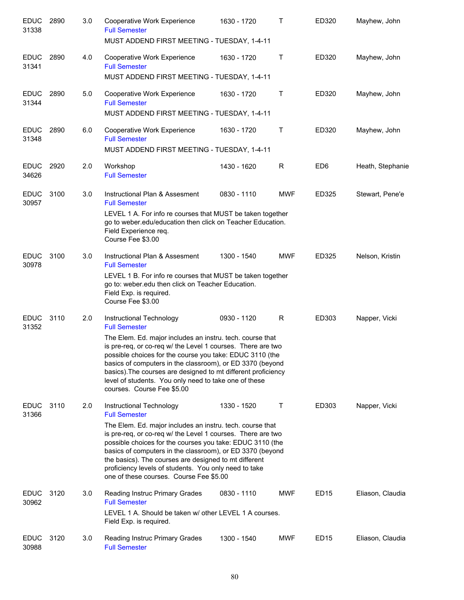| <b>EDUC</b><br>31338 | 2890 | 3.0 | Cooperative Work Experience<br><b>Full Semester</b><br>MUST ADDEND FIRST MEETING - TUESDAY, 1-4-11                                                                                                                                                                                                                                                                                                                                                                  | 1630 - 1720 | T          | ED320            | Mayhew, John     |
|----------------------|------|-----|---------------------------------------------------------------------------------------------------------------------------------------------------------------------------------------------------------------------------------------------------------------------------------------------------------------------------------------------------------------------------------------------------------------------------------------------------------------------|-------------|------------|------------------|------------------|
| <b>EDUC</b><br>31341 | 2890 | 4.0 | Cooperative Work Experience<br><b>Full Semester</b><br>MUST ADDEND FIRST MEETING - TUESDAY, 1-4-11                                                                                                                                                                                                                                                                                                                                                                  | 1630 - 1720 | Τ          | ED320            | Mayhew, John     |
| <b>EDUC</b><br>31344 | 2890 | 5.0 | Cooperative Work Experience<br><b>Full Semester</b><br>MUST ADDEND FIRST MEETING - TUESDAY, 1-4-11                                                                                                                                                                                                                                                                                                                                                                  | 1630 - 1720 | Τ          | ED320            | Mayhew, John     |
| <b>EDUC</b><br>31348 | 2890 | 6.0 | Cooperative Work Experience<br><b>Full Semester</b><br>MUST ADDEND FIRST MEETING - TUESDAY, 1-4-11                                                                                                                                                                                                                                                                                                                                                                  | 1630 - 1720 | Τ          | ED320            | Mayhew, John     |
| <b>EDUC</b><br>34626 | 2920 | 2.0 | Workshop<br><b>Full Semester</b>                                                                                                                                                                                                                                                                                                                                                                                                                                    | 1430 - 1620 | R          | ED <sub>6</sub>  | Heath, Stephanie |
| <b>EDUC</b><br>30957 | 3100 | 3.0 | Instructional Plan & Assesment<br><b>Full Semester</b><br>LEVEL 1 A. For info re courses that MUST be taken together<br>go to weber.edu/education then click on Teacher Education.<br>Field Experience req.<br>Course Fee \$3.00                                                                                                                                                                                                                                    | 0830 - 1110 | <b>MWF</b> | ED325            | Stewart, Pene'e  |
| <b>EDUC</b><br>30978 | 3100 | 3.0 | Instructional Plan & Assesment<br><b>Full Semester</b><br>LEVEL 1 B. For info re courses that MUST be taken together<br>go to: weber.edu then click on Teacher Education.<br>Field Exp. is required.<br>Course Fee \$3.00                                                                                                                                                                                                                                           | 1300 - 1540 | <b>MWF</b> | ED325            | Nelson, Kristin  |
| <b>EDUC</b><br>31352 | 3110 | 2.0 | Instructional Technology<br><b>Full Semester</b><br>The Elem. Ed. major includes an instru. tech. course that<br>is pre-req, or co-req w/ the Level 1 courses. There are two<br>possible choices for the course you take: EDUC 3110 (the<br>basics of computers in the classroom), or ED 3370 (beyond<br>basics). The courses are designed to mt different proficiency<br>level of students. You only need to take one of these<br>courses. Course Fee \$5.00       | 0930 - 1120 | R          | ED303            | Napper, Vicki    |
| <b>EDUC</b><br>31366 | 3110 | 2.0 | Instructional Technology<br><b>Full Semester</b><br>The Elem. Ed. major includes an instru. tech. course that<br>is pre-req, or co-req w/ the Level 1 courses. There are two<br>possible choices for the courses you take: EDUC 3110 (the<br>basics of computers in the classroom), or ED 3370 (beyond<br>the basics). The courses are designed to mt different<br>proficiency levels of students. You only need to take<br>one of these courses. Course Fee \$5.00 | 1330 - 1520 | Τ          | ED303            | Napper, Vicki    |
| <b>EDUC</b><br>30962 | 3120 | 3.0 | Reading Instruc Primary Grades<br><b>Full Semester</b><br>LEVEL 1 A. Should be taken w/ other LEVEL 1 A courses.<br>Field Exp. is required.                                                                                                                                                                                                                                                                                                                         | 0830 - 1110 | <b>MWF</b> | ED <sub>15</sub> | Eliason, Claudia |
| <b>EDUC</b><br>30988 | 3120 | 3.0 | Reading Instruc Primary Grades<br><b>Full Semester</b>                                                                                                                                                                                                                                                                                                                                                                                                              | 1300 - 1540 | <b>MWF</b> | ED <sub>15</sub> | Eliason, Claudia |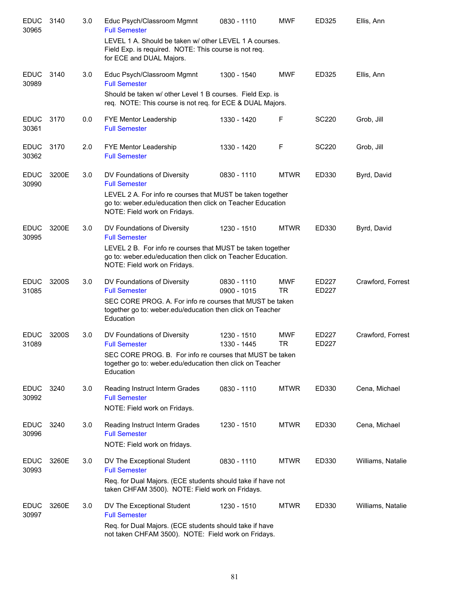| <b>EDUC</b><br>30965 | 3140  | 3.0 | Educ Psych/Classroom Mgmnt<br><b>Full Semester</b>                                                                                                        | 0830 - 1110                  | <b>MWF</b>              | ED325          | Ellis, Ann        |
|----------------------|-------|-----|-----------------------------------------------------------------------------------------------------------------------------------------------------------|------------------------------|-------------------------|----------------|-------------------|
|                      |       |     | LEVEL 1 A. Should be taken w/ other LEVEL 1 A courses.<br>Field Exp. is required. NOTE: This course is not req.<br>for ECE and DUAL Majors.               |                              |                         |                |                   |
| <b>EDUC</b><br>30989 | 3140  | 3.0 | Educ Psych/Classroom Mgmnt<br><b>Full Semester</b>                                                                                                        | 1300 - 1540                  | <b>MWF</b>              | ED325          | Ellis, Ann        |
|                      |       |     | Should be taken w/ other Level 1 B courses. Field Exp. is<br>req. NOTE: This course is not req. for ECE & DUAL Majors.                                    |                              |                         |                |                   |
| <b>EDUC</b><br>30361 | 3170  | 0.0 | FYE Mentor Leadership<br><b>Full Semester</b>                                                                                                             | 1330 - 1420                  | F                       | SC220          | Grob, Jill        |
| <b>EDUC</b><br>30362 | 3170  | 2.0 | FYE Mentor Leadership<br><b>Full Semester</b>                                                                                                             | 1330 - 1420                  | F                       | <b>SC220</b>   | Grob, Jill        |
| <b>EDUC</b><br>30990 | 3200E | 3.0 | DV Foundations of Diversity<br><b>Full Semester</b>                                                                                                       | 0830 - 1110                  | <b>MTWR</b>             | ED330          | Byrd, David       |
|                      |       |     | LEVEL 2 A. For info re courses that MUST be taken together<br>go to: weber.edu/education then click on Teacher Education<br>NOTE: Field work on Fridays.  |                              |                         |                |                   |
| <b>EDUC</b><br>30995 | 3200E | 3.0 | DV Foundations of Diversity<br><b>Full Semester</b>                                                                                                       | 1230 - 1510                  | <b>MTWR</b>             | ED330          | Byrd, David       |
|                      |       |     | LEVEL 2 B. For info re courses that MUST be taken together<br>go to: weber.edu/education then click on Teacher Education.<br>NOTE: Field work on Fridays. |                              |                         |                |                   |
| <b>EDUC</b><br>31085 | 3200S | 3.0 | DV Foundations of Diversity<br><b>Full Semester</b>                                                                                                       | 0830 - 1110<br>$0900 - 1015$ | <b>MWF</b><br><b>TR</b> | ED227<br>ED227 | Crawford, Forrest |
|                      |       |     | SEC CORE PROG. A. For info re courses that MUST be taken<br>together go to: weber.edu/education then click on Teacher<br>Education                        |                              |                         |                |                   |
| <b>EDUC</b><br>31089 | 3200S | 3.0 | DV Foundations of Diversity<br><b>Full Semester</b>                                                                                                       | 1230 - 1510<br>1330 - 1445   | <b>MWF</b><br><b>TR</b> | ED227<br>ED227 | Crawford, Forrest |
|                      |       |     | SEC CORE PROG. B. For info re courses that MUST be taken<br>together go to: weber.edu/education then click on Teacher<br>Education                        |                              |                         |                |                   |
| <b>EDUC</b><br>30992 | 3240  | 3.0 | Reading Instruct Interm Grades<br><b>Full Semester</b><br>NOTE: Field work on Fridays.                                                                    | 0830 - 1110                  | <b>MTWR</b>             | ED330          | Cena, Michael     |
| <b>EDUC</b>          | 3240  | 3.0 | Reading Instruct Interm Grades                                                                                                                            | 1230 - 1510                  | <b>MTWR</b>             | ED330          | Cena, Michael     |
| 30996                |       |     | <b>Full Semester</b><br>NOTE: Field work on fridays.                                                                                                      |                              |                         |                |                   |
| <b>EDUC</b><br>30993 | 3260E | 3.0 | DV The Exceptional Student<br><b>Full Semester</b>                                                                                                        | 0830 - 1110                  | <b>MTWR</b>             | ED330          | Williams, Natalie |
|                      |       |     | Req. for Dual Majors. (ECE students should take if have not<br>taken CHFAM 3500). NOTE: Field work on Fridays.                                            |                              |                         |                |                   |
| <b>EDUC</b><br>30997 | 3260E | 3.0 | DV The Exceptional Student<br><b>Full Semester</b>                                                                                                        | 1230 - 1510                  | <b>MTWR</b>             | ED330          | Williams, Natalie |
|                      |       |     | Req. for Dual Majors. (ECE students should take if have<br>not taken CHFAM 3500). NOTE: Field work on Fridays.                                            |                              |                         |                |                   |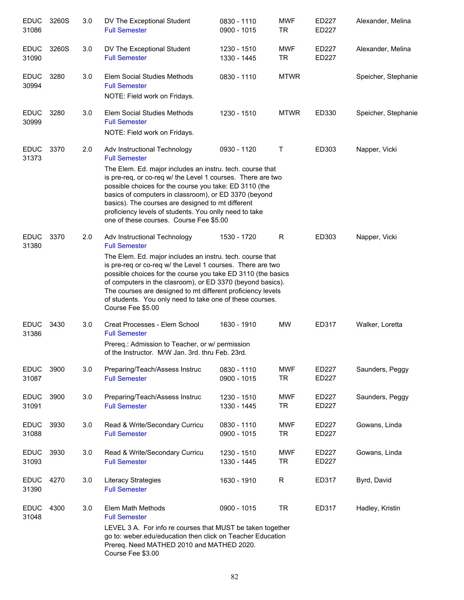| <b>EDUC</b><br>31086 | 3260S | 3.0 | DV The Exceptional Student<br><b>Full Semester</b>                                                                                                                                                                                                                                                                                                                                                                                                            | 0830 - 1110<br>0900 - 1015 | <b>MWF</b><br><b>TR</b> | ED227<br><b>ED227</b> | Alexander, Melina   |
|----------------------|-------|-----|---------------------------------------------------------------------------------------------------------------------------------------------------------------------------------------------------------------------------------------------------------------------------------------------------------------------------------------------------------------------------------------------------------------------------------------------------------------|----------------------------|-------------------------|-----------------------|---------------------|
| <b>EDUC</b><br>31090 | 3260S | 3.0 | DV The Exceptional Student<br><b>Full Semester</b>                                                                                                                                                                                                                                                                                                                                                                                                            | 1230 - 1510<br>1330 - 1445 | <b>MWF</b><br><b>TR</b> | ED227<br>ED227        | Alexander, Melina   |
| <b>EDUC</b><br>30994 | 3280  | 3.0 | Elem Social Studies Methods<br><b>Full Semester</b><br>NOTE: Field work on Fridays.                                                                                                                                                                                                                                                                                                                                                                           | 0830 - 1110                | <b>MTWR</b>             |                       | Speicher, Stephanie |
| <b>EDUC</b><br>30999 | 3280  | 3.0 | Elem Social Studies Methods<br><b>Full Semester</b><br>NOTE: Field work on Fridays.                                                                                                                                                                                                                                                                                                                                                                           | 1230 - 1510                | <b>MTWR</b>             | ED330                 | Speicher, Stephanie |
| <b>EDUC</b><br>31373 | 3370  | 2.0 | Adv Instructional Technology<br><b>Full Semester</b><br>The Elem. Ed. major includes an instru. tech. course that<br>is pre-req, or co-req w/ the Level 1 courses. There are two<br>possible choices for the course you take: ED 3110 (the<br>basics of computers in classroom), or ED 3370 (beyond<br>basics). The courses are designed to mt different<br>proficiency levels of students. You onlly need to take<br>one of these courses. Course Fee \$5.00 | 0930 - 1120                | Τ                       | ED303                 | Napper, Vicki       |
| <b>EDUC</b><br>31380 | 3370  | 2.0 | Adv Instructional Technology<br><b>Full Semester</b><br>The Elem. Ed. major includes an instru. tech. course that<br>is pre-req or co-req w/ the Level 1 courses. There are two<br>possible choices for the course you take ED 3110 (the basics<br>of computers in the clasroom), or ED 3370 (beyond basics).<br>The courses are designed to mt different proficiency levels<br>of students. You only need to take one of these courses.<br>Course Fee \$5.00 | 1530 - 1720                | R                       | ED303                 | Napper, Vicki       |
| <b>EDUC</b><br>31386 | 3430  | 3.0 | Creat Processes - Elem School<br><b>Full Semester</b><br>Prereq.: Admission to Teacher, or w/ permission<br>of the Instructor. M/W Jan. 3rd. thru Feb. 23rd.                                                                                                                                                                                                                                                                                                  | 1630 - 1910                | <b>MW</b>               | ED317                 | Walker, Loretta     |
| <b>EDUC</b><br>31087 | 3900  | 3.0 | Preparing/Teach/Assess Instruc<br><b>Full Semester</b>                                                                                                                                                                                                                                                                                                                                                                                                        | 0830 - 1110<br>0900 - 1015 | <b>MWF</b><br><b>TR</b> | ED227<br>ED227        | Saunders, Peggy     |
| <b>EDUC</b><br>31091 | 3900  | 3.0 | Preparing/Teach/Assess Instruc<br><b>Full Semester</b>                                                                                                                                                                                                                                                                                                                                                                                                        | 1230 - 1510<br>1330 - 1445 | <b>MWF</b><br><b>TR</b> | ED227<br>ED227        | Saunders, Peggy     |
| <b>EDUC</b><br>31088 | 3930  | 3.0 | Read & Write/Secondary Curricu<br><b>Full Semester</b>                                                                                                                                                                                                                                                                                                                                                                                                        | 0830 - 1110<br>0900 - 1015 | <b>MWF</b><br><b>TR</b> | ED227<br>ED227        | Gowans, Linda       |
| <b>EDUC</b><br>31093 | 3930  | 3.0 | Read & Write/Secondary Curricu<br><b>Full Semester</b>                                                                                                                                                                                                                                                                                                                                                                                                        | 1230 - 1510<br>1330 - 1445 | <b>MWF</b><br><b>TR</b> | ED227<br>ED227        | Gowans, Linda       |
| <b>EDUC</b><br>31390 | 4270  | 3.0 | Literacy Strategies<br><b>Full Semester</b>                                                                                                                                                                                                                                                                                                                                                                                                                   | 1630 - 1910                | R                       | ED317                 | Byrd, David         |
| <b>EDUC</b><br>31048 | 4300  | 3.0 | Elem Math Methods<br><b>Full Semester</b><br>LEVEL 3 A. For info re courses that MUST be taken together<br>go to: weber.edu/education then click on Teacher Education<br>Prereq. Need MATHED 2010 and MATHED 2020.<br>Course Fee \$3.00                                                                                                                                                                                                                       | 0900 - 1015                | <b>TR</b>               | ED317                 | Hadley, Kristin     |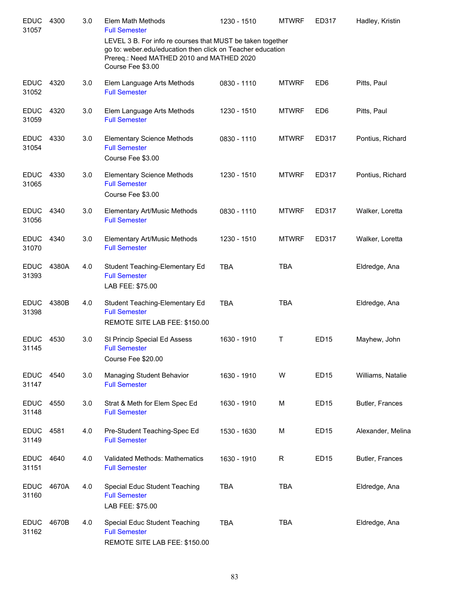| <b>EDUC</b><br>31057 | 4300  | 3.0 | Elem Math Methods<br><b>Full Semester</b>                                                                                                                                                  | 1230 - 1510 | <b>MTWRF</b> | ED317           | Hadley, Kristin   |
|----------------------|-------|-----|--------------------------------------------------------------------------------------------------------------------------------------------------------------------------------------------|-------------|--------------|-----------------|-------------------|
|                      |       |     | LEVEL 3 B. For info re courses that MUST be taken together<br>go to: weber.edu/education then click on Teacher education<br>Prereq.: Need MATHED 2010 and MATHED 2020<br>Course Fee \$3.00 |             |              |                 |                   |
| <b>EDUC</b><br>31052 | 4320  | 3.0 | Elem Language Arts Methods<br><b>Full Semester</b>                                                                                                                                         | 0830 - 1110 | <b>MTWRF</b> | ED <sub>6</sub> | Pitts, Paul       |
| <b>EDUC</b><br>31059 | 4320  | 3.0 | Elem Language Arts Methods<br><b>Full Semester</b>                                                                                                                                         | 1230 - 1510 | <b>MTWRF</b> | ED <sub>6</sub> | Pitts, Paul       |
| <b>EDUC</b><br>31054 | 4330  | 3.0 | <b>Elementary Science Methods</b><br><b>Full Semester</b><br>Course Fee \$3.00                                                                                                             | 0830 - 1110 | <b>MTWRF</b> | ED317           | Pontius, Richard  |
| <b>EDUC</b><br>31065 | 4330  | 3.0 | <b>Elementary Science Methods</b><br><b>Full Semester</b><br>Course Fee \$3.00                                                                                                             | 1230 - 1510 | <b>MTWRF</b> | ED317           | Pontius, Richard  |
| <b>EDUC</b><br>31056 | 4340  | 3.0 | Elementary Art/Music Methods<br><b>Full Semester</b>                                                                                                                                       | 0830 - 1110 | <b>MTWRF</b> | ED317           | Walker, Loretta   |
| <b>EDUC</b><br>31070 | 4340  | 3.0 | Elementary Art/Music Methods<br><b>Full Semester</b>                                                                                                                                       | 1230 - 1510 | <b>MTWRF</b> | ED317           | Walker, Loretta   |
| <b>EDUC</b><br>31393 | 4380A | 4.0 | Student Teaching-Elementary Ed<br><b>Full Semester</b><br>LAB FEE: \$75.00                                                                                                                 | <b>TBA</b>  | <b>TBA</b>   |                 | Eldredge, Ana     |
| <b>EDUC</b><br>31398 | 4380B | 4.0 | Student Teaching-Elementary Ed<br><b>Full Semester</b><br>REMOTE SITE LAB FEE: \$150.00                                                                                                    | <b>TBA</b>  | <b>TBA</b>   |                 | Eldredge, Ana     |
| <b>EDUC</b><br>31145 | 4530  | 3.0 | SI Princip Special Ed Assess<br><b>Full Semester</b><br>Course Fee \$20.00                                                                                                                 | 1630 - 1910 | Τ            | <b>ED15</b>     | Mayhew, John      |
| <b>EDUC</b><br>31147 | 4540  | 3.0 | Managing Student Behavior<br><b>Full Semester</b>                                                                                                                                          | 1630 - 1910 | W            | <b>ED15</b>     | Williams, Natalie |
| <b>EDUC</b><br>31148 | 4550  | 3.0 | Strat & Meth for Elem Spec Ed<br><b>Full Semester</b>                                                                                                                                      | 1630 - 1910 | M            | <b>ED15</b>     | Butler, Frances   |
| <b>EDUC</b><br>31149 | 4581  | 4.0 | Pre-Student Teaching-Spec Ed<br><b>Full Semester</b>                                                                                                                                       | 1530 - 1630 | M            | <b>ED15</b>     | Alexander, Melina |
| <b>EDUC</b><br>31151 | 4640  | 4.0 | Validated Methods: Mathematics<br><b>Full Semester</b>                                                                                                                                     | 1630 - 1910 | R            | <b>ED15</b>     | Butler, Frances   |
| <b>EDUC</b><br>31160 | 4670A | 4.0 | Special Educ Student Teaching<br><b>Full Semester</b><br>LAB FEE: \$75.00                                                                                                                  | <b>TBA</b>  | <b>TBA</b>   |                 | Eldredge, Ana     |
| <b>EDUC</b><br>31162 | 4670B | 4.0 | Special Educ Student Teaching<br><b>Full Semester</b><br>REMOTE SITE LAB FEE: \$150.00                                                                                                     | <b>TBA</b>  | <b>TBA</b>   |                 | Eldredge, Ana     |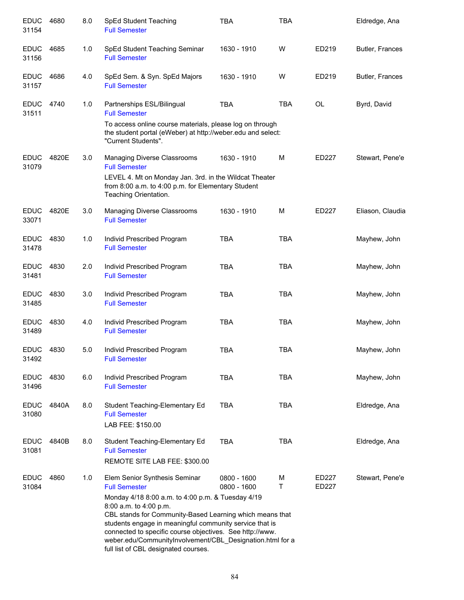| <b>EDUC</b><br>31154 | 4680  | 8.0 | SpEd Student Teaching<br><b>Full Semester</b>                                                                                                                                                                                                                                                                                                                                                                                | TBA                        | TBA        |                | Eldredge, Ana    |
|----------------------|-------|-----|------------------------------------------------------------------------------------------------------------------------------------------------------------------------------------------------------------------------------------------------------------------------------------------------------------------------------------------------------------------------------------------------------------------------------|----------------------------|------------|----------------|------------------|
| <b>EDUC</b><br>31156 | 4685  | 1.0 | SpEd Student Teaching Seminar<br><b>Full Semester</b>                                                                                                                                                                                                                                                                                                                                                                        | 1630 - 1910                | W          | ED219          | Butler, Frances  |
| <b>EDUC</b><br>31157 | 4686  | 4.0 | SpEd Sem. & Syn. SpEd Majors<br><b>Full Semester</b>                                                                                                                                                                                                                                                                                                                                                                         | 1630 - 1910                | W          | ED219          | Butler, Frances  |
| <b>EDUC</b><br>31511 | 4740  | 1.0 | Partnerships ESL/Bilingual<br><b>Full Semester</b><br>To access online course materials, please log on through<br>the student portal (eWeber) at http://weber.edu and select:<br>"Current Students".                                                                                                                                                                                                                         | <b>TBA</b>                 | <b>TBA</b> | OL             | Byrd, David      |
| <b>EDUC</b><br>31079 | 4820E | 3.0 | Managing Diverse Classrooms<br><b>Full Semester</b><br>LEVEL 4. Mt on Monday Jan. 3rd. in the Wildcat Theater<br>from 8:00 a.m. to 4:00 p.m. for Elementary Student<br>Teaching Orientation.                                                                                                                                                                                                                                 | 1630 - 1910                | M          | ED227          | Stewart, Pene'e  |
| <b>EDUC</b><br>33071 | 4820E | 3.0 | Managing Diverse Classrooms<br><b>Full Semester</b>                                                                                                                                                                                                                                                                                                                                                                          | 1630 - 1910                | M          | ED227          | Eliason, Claudia |
| <b>EDUC</b><br>31478 | 4830  | 1.0 | Individ Prescribed Program<br><b>Full Semester</b>                                                                                                                                                                                                                                                                                                                                                                           | <b>TBA</b>                 | <b>TBA</b> |                | Mayhew, John     |
| <b>EDUC</b><br>31481 | 4830  | 2.0 | Individ Prescribed Program<br><b>Full Semester</b>                                                                                                                                                                                                                                                                                                                                                                           | <b>TBA</b>                 | <b>TBA</b> |                | Mayhew, John     |
| <b>EDUC</b><br>31485 | 4830  | 3.0 | Individ Prescribed Program<br><b>Full Semester</b>                                                                                                                                                                                                                                                                                                                                                                           | <b>TBA</b>                 | <b>TBA</b> |                | Mayhew, John     |
| <b>EDUC</b><br>31489 | 4830  | 4.0 | Individ Prescribed Program<br><b>Full Semester</b>                                                                                                                                                                                                                                                                                                                                                                           | <b>TBA</b>                 | <b>TBA</b> |                | Mayhew, John     |
| <b>EDUC</b><br>31492 | 4830  | 5.0 | Individ Prescribed Program<br><b>Full Semester</b>                                                                                                                                                                                                                                                                                                                                                                           | <b>TBA</b>                 | <b>TBA</b> |                | Mayhew, John     |
| <b>EDUC</b><br>31496 | 4830  | 6.0 | Individ Prescribed Program<br><b>Full Semester</b>                                                                                                                                                                                                                                                                                                                                                                           | <b>TBA</b>                 | <b>TBA</b> |                | Mayhew, John     |
| <b>EDUC</b><br>31080 | 4840A | 8.0 | Student Teaching-Elementary Ed<br><b>Full Semester</b><br>LAB FEE: \$150.00                                                                                                                                                                                                                                                                                                                                                  | <b>TBA</b>                 | <b>TBA</b> |                | Eldredge, Ana    |
| <b>EDUC</b><br>31081 | 4840B | 8.0 | Student Teaching-Elementary Ed<br><b>Full Semester</b><br>REMOTE SITE LAB FEE: \$300.00                                                                                                                                                                                                                                                                                                                                      | <b>TBA</b>                 | <b>TBA</b> |                | Eldredge, Ana    |
| <b>EDUC</b><br>31084 | 4860  | 1.0 | Elem Senior Synthesis Seminar<br><b>Full Semester</b><br>Monday 4/18 8:00 a.m. to 4:00 p.m. & Tuesday 4/19<br>8:00 a.m. to 4:00 p.m.<br>CBL stands for Community-Based Learning which means that<br>students engage in meaningful community service that is<br>connected to specific course objectives. See http://www.<br>weber.edu/CommunityInvolvement/CBL_Designation.html for a<br>full list of CBL designated courses. | 0800 - 1600<br>0800 - 1600 | M<br>T.    | ED227<br>ED227 | Stewart, Pene'e  |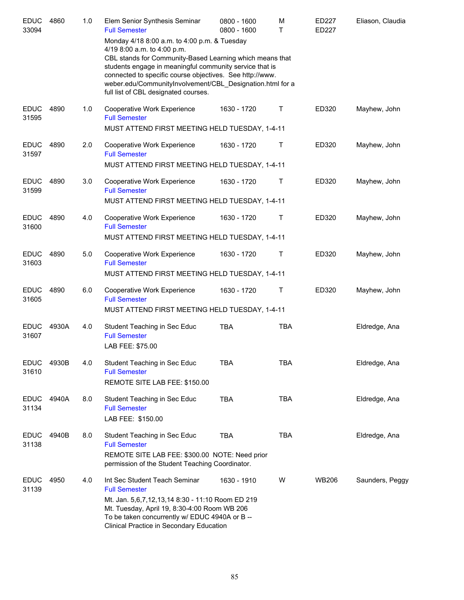| <b>EDUC</b><br>33094 | 4860  | 1.0 | Elem Senior Synthesis Seminar<br><b>Full Semester</b><br>Monday 4/18 8:00 a.m. to 4:00 p.m. & Tuesday                                                                                                                                                                                                               | $0800 - 1600$<br>0800 - 1600 | M<br>т      | ED227<br>ED227 | Eliason, Claudia |
|----------------------|-------|-----|---------------------------------------------------------------------------------------------------------------------------------------------------------------------------------------------------------------------------------------------------------------------------------------------------------------------|------------------------------|-------------|----------------|------------------|
|                      |       |     | 4/19 8:00 a.m. to 4:00 p.m.<br>CBL stands for Community-Based Learning which means that<br>students engage in meaningful community service that is<br>connected to specific course objectives. See http://www.<br>weber.edu/CommunityInvolvement/CBL_Designation.html for a<br>full list of CBL designated courses. |                              |             |                |                  |
| <b>EDUC</b><br>31595 | 4890  | 1.0 | Cooperative Work Experience<br><b>Full Semester</b><br>MUST ATTEND FIRST MEETING HELD TUESDAY, 1-4-11                                                                                                                                                                                                               | 1630 - 1720                  | Τ           | ED320          | Mayhew, John     |
| <b>EDUC</b><br>31597 | 4890  | 2.0 | Cooperative Work Experience<br><b>Full Semester</b><br>MUST ATTEND FIRST MEETING HELD TUESDAY, 1-4-11                                                                                                                                                                                                               | 1630 - 1720                  | Τ           | ED320          | Mayhew, John     |
| <b>EDUC</b><br>31599 | 4890  | 3.0 | Cooperative Work Experience<br><b>Full Semester</b><br>MUST ATTEND FIRST MEETING HELD TUESDAY, 1-4-11                                                                                                                                                                                                               | 1630 - 1720                  | Τ           | ED320          | Mayhew, John     |
| <b>EDUC</b><br>31600 | 4890  | 4.0 | Cooperative Work Experience<br><b>Full Semester</b><br>MUST ATTEND FIRST MEETING HELD TUESDAY, 1-4-11                                                                                                                                                                                                               | 1630 - 1720                  | Τ           | ED320          | Mayhew, John     |
| <b>EDUC</b><br>31603 | 4890  | 5.0 | Cooperative Work Experience<br><b>Full Semester</b><br>MUST ATTEND FIRST MEETING HELD TUESDAY, 1-4-11                                                                                                                                                                                                               | 1630 - 1720                  | $\mathsf T$ | ED320          | Mayhew, John     |
| <b>EDUC</b><br>31605 | 4890  | 6.0 | Cooperative Work Experience<br><b>Full Semester</b><br>MUST ATTEND FIRST MEETING HELD TUESDAY, 1-4-11                                                                                                                                                                                                               | 1630 - 1720                  | Τ           | ED320          | Mayhew, John     |
| <b>EDUC</b><br>31607 | 4930A | 4.0 | Student Teaching in Sec Educ<br><b>Full Semester</b><br>LAB FEE: \$75.00                                                                                                                                                                                                                                            | <b>TBA</b>                   | <b>TBA</b>  |                | Eldredge, Ana    |
| <b>EDUC</b><br>31610 | 4930B | 4.0 | Student Teaching in Sec Educ<br><b>Full Semester</b><br>REMOTE SITE LAB FEE: \$150.00                                                                                                                                                                                                                               | TBA                          | <b>TBA</b>  |                | Eldredge, Ana    |
| <b>EDUC</b><br>31134 | 4940A | 8.0 | Student Teaching in Sec Educ<br><b>Full Semester</b><br>LAB FEE: \$150.00                                                                                                                                                                                                                                           | <b>TBA</b>                   | <b>TBA</b>  |                | Eldredge, Ana    |
| <b>EDUC</b><br>31138 | 4940B | 8.0 | Student Teaching in Sec Educ<br><b>Full Semester</b><br>REMOTE SITE LAB FEE: \$300.00 NOTE: Need prior<br>permission of the Student Teaching Coordinator.                                                                                                                                                           | <b>TBA</b>                   | <b>TBA</b>  |                | Eldredge, Ana    |
| <b>EDUC</b><br>31139 | 4950  | 4.0 | Int Sec Student Teach Seminar<br><b>Full Semester</b><br>Mt. Jan. 5,6,7,12,13,14 8:30 - 11:10 Room ED 219<br>Mt. Tuesday, April 19, 8:30-4:00 Room WB 206<br>To be taken concurrently w/ EDUC 4940A or B --<br>Clinical Practice in Secondary Education                                                             | 1630 - 1910                  | W           | <b>WB206</b>   | Saunders, Peggy  |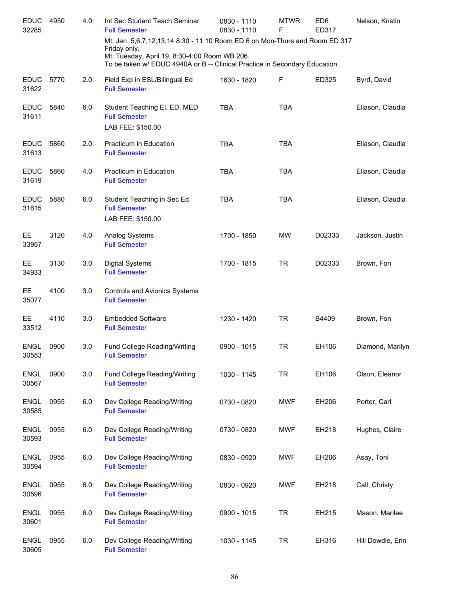| <b>EDUC</b><br>32285 | 4950 | 4.0 | Int Sec Student Teach Seminar<br><b>Full Semester</b>                                                                                                                                                                      | 0830 - 1110<br>0830 - 1110 | <b>MTWR</b><br>F | ED <sub>6</sub><br>ED317 | Nelson, Kristin   |
|----------------------|------|-----|----------------------------------------------------------------------------------------------------------------------------------------------------------------------------------------------------------------------------|----------------------------|------------------|--------------------------|-------------------|
|                      |      |     | Mt. Jan. 5,6,7,12,13,14 8:30 - 11:10 Room ED 6 on Mon-Thurs and Room ED 317<br>Friday only.<br>Mt. Tuesday, April 19, 8:30-4:00 Room WB 206.<br>To be taken w/ EDUC 4940A or B -- Clinical Practice in Secondary Education |                            |                  |                          |                   |
| <b>EDUC</b><br>31622 | 5770 | 2.0 | Field Exp in ESL/Bilingual Ed<br><b>Full Semester</b>                                                                                                                                                                      | 1630 - 1820                | F                | ED325                    | Byrd, David       |
| <b>EDUC</b><br>31611 | 5840 | 6.0 | Student Teaching El. ED. MED<br><b>Full Semester</b><br>LAB FEE: \$150.00                                                                                                                                                  | <b>TBA</b>                 | <b>TBA</b>       |                          | Eliason, Claudia  |
| <b>EDUC</b><br>31613 | 5860 | 2.0 | Practicum in Education<br><b>Full Semester</b>                                                                                                                                                                             | <b>TBA</b>                 | <b>TBA</b>       |                          | Eliason, Claudia  |
| <b>EDUC</b><br>31619 | 5860 | 4.0 | Practicum in Education<br><b>Full Semester</b>                                                                                                                                                                             | <b>TBA</b>                 | <b>TBA</b>       |                          | Eliason, Claudia  |
| <b>EDUC</b><br>31615 | 5880 | 6.0 | Student Teaching in Sec Ed<br><b>Full Semester</b><br>LAB FEE: \$150.00                                                                                                                                                    | <b>TBA</b>                 | <b>TBA</b>       |                          | Eliason, Claudia  |
| EE<br>33957          | 3120 | 4.0 | Analog Systems<br><b>Full Semester</b>                                                                                                                                                                                     | 1700 - 1850                | MW               | D02333                   | Jackson, Justin   |
| EE<br>34933          | 3130 | 3.0 | <b>Digital Systems</b><br><b>Full Semester</b>                                                                                                                                                                             | 1700 - 1815                | <b>TR</b>        | D02333                   | Brown, Fon        |
| EE<br>35077          | 4100 | 3.0 | Controls and Avionics Systems<br><b>Full Semester</b>                                                                                                                                                                      |                            |                  |                          |                   |
| EE<br>33512          | 4110 | 3.0 | <b>Embedded Software</b><br><b>Full Semester</b>                                                                                                                                                                           | 1230 - 1420                | <b>TR</b>        | B4409                    | Brown, Fon        |
| <b>ENGL</b><br>30553 | 0900 | 3.0 | Fund College Reading/Writing<br><b>Full Semester</b>                                                                                                                                                                       | 0900 - 1015                | <b>TR</b>        | EH106                    | Diamond, Marilyn  |
| <b>ENGL</b><br>30567 | 0900 | 3.0 | Fund College Reading/Writing<br><b>Full Semester</b>                                                                                                                                                                       | 1030 - 1145                | <b>TR</b>        | EH106                    | Olson, Eleanor    |
| <b>ENGL</b><br>30585 | 0955 | 6.0 | Dev College Reading/Writing<br><b>Full Semester</b>                                                                                                                                                                        | 0730 - 0820                | <b>MWF</b>       | EH206                    | Porter, Carl      |
| <b>ENGL</b><br>30593 | 0955 | 6.0 | Dev College Reading/Writing<br><b>Full Semester</b>                                                                                                                                                                        | 0730 - 0820                | <b>MWF</b>       | EH218                    | Hughes, Claire    |
| <b>ENGL</b><br>30594 | 0955 | 6.0 | Dev College Reading/Writing<br><b>Full Semester</b>                                                                                                                                                                        | 0830 - 0920                | <b>MWF</b>       | EH206                    | Asay, Toni        |
| <b>ENGL</b><br>30596 | 0955 | 6.0 | Dev College Reading/Writing<br><b>Full Semester</b>                                                                                                                                                                        | 0830 - 0920                | <b>MWF</b>       | EH218                    | Call, Christy     |
| <b>ENGL</b><br>30601 | 0955 | 6.0 | Dev College Reading/Writing<br><b>Full Semester</b>                                                                                                                                                                        | 0900 - 1015                | <b>TR</b>        | EH215                    | Mason, Marilee    |
| <b>ENGL</b><br>30605 | 0955 | 6.0 | Dev College Reading/Writing<br><b>Full Semester</b>                                                                                                                                                                        | 1030 - 1145                | <b>TR</b>        | EH316                    | Hill Dowdle, Erin |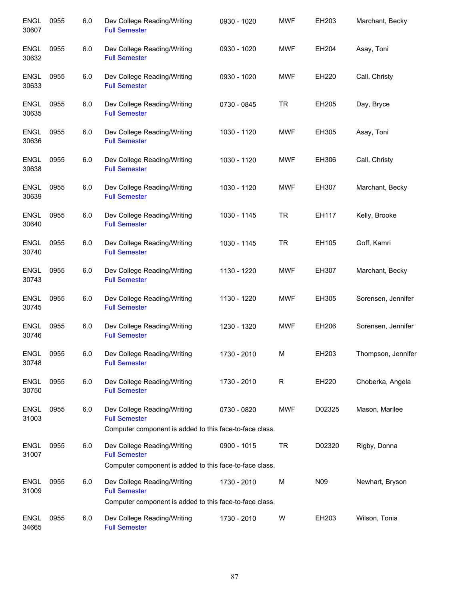| <b>ENGL</b><br>30607 | 0955 | 6.0 | Dev College Reading/Writing<br><b>Full Semester</b>                                                            | 0930 - 1020 | <b>MWF</b> | EH203  | Marchant, Becky    |
|----------------------|------|-----|----------------------------------------------------------------------------------------------------------------|-------------|------------|--------|--------------------|
| <b>ENGL</b><br>30632 | 0955 | 6.0 | Dev College Reading/Writing<br><b>Full Semester</b>                                                            | 0930 - 1020 | <b>MWF</b> | EH204  | Asay, Toni         |
| <b>ENGL</b><br>30633 | 0955 | 6.0 | Dev College Reading/Writing<br><b>Full Semester</b>                                                            | 0930 - 1020 | <b>MWF</b> | EH220  | Call, Christy      |
| <b>ENGL</b><br>30635 | 0955 | 6.0 | Dev College Reading/Writing<br><b>Full Semester</b>                                                            | 0730 - 0845 | <b>TR</b>  | EH205  | Day, Bryce         |
| <b>ENGL</b><br>30636 | 0955 | 6.0 | Dev College Reading/Writing<br><b>Full Semester</b>                                                            | 1030 - 1120 | <b>MWF</b> | EH305  | Asay, Toni         |
| <b>ENGL</b><br>30638 | 0955 | 6.0 | Dev College Reading/Writing<br><b>Full Semester</b>                                                            | 1030 - 1120 | <b>MWF</b> | EH306  | Call, Christy      |
| <b>ENGL</b><br>30639 | 0955 | 6.0 | Dev College Reading/Writing<br><b>Full Semester</b>                                                            | 1030 - 1120 | <b>MWF</b> | EH307  | Marchant, Becky    |
| <b>ENGL</b><br>30640 | 0955 | 6.0 | Dev College Reading/Writing<br><b>Full Semester</b>                                                            | 1030 - 1145 | <b>TR</b>  | EH117  | Kelly, Brooke      |
| <b>ENGL</b><br>30740 | 0955 | 6.0 | Dev College Reading/Writing<br><b>Full Semester</b>                                                            | 1030 - 1145 | <b>TR</b>  | EH105  | Goff, Kamri        |
| <b>ENGL</b><br>30743 | 0955 | 6.0 | Dev College Reading/Writing<br><b>Full Semester</b>                                                            | 1130 - 1220 | <b>MWF</b> | EH307  | Marchant, Becky    |
| <b>ENGL</b><br>30745 | 0955 | 6.0 | Dev College Reading/Writing<br><b>Full Semester</b>                                                            | 1130 - 1220 | <b>MWF</b> | EH305  | Sorensen, Jennifer |
| <b>ENGL</b><br>30746 | 0955 | 6.0 | Dev College Reading/Writing<br><b>Full Semester</b>                                                            | 1230 - 1320 | <b>MWF</b> | EH206  | Sorensen, Jennifer |
| <b>ENGL</b><br>30748 | 0955 | 6.0 | Dev College Reading/Writing<br><b>Full Semester</b>                                                            | 1730 - 2010 | М          | EH203  | Thompson, Jennifer |
| <b>ENGL</b><br>30750 | 0955 | 6.0 | Dev College Reading/Writing<br><b>Full Semester</b>                                                            | 1730 - 2010 | R          | EH220  | Choberka, Angela   |
| <b>ENGL</b><br>31003 | 0955 | 6.0 | Dev College Reading/Writing<br><b>Full Semester</b><br>Computer component is added to this face-to-face class. | 0730 - 0820 | <b>MWF</b> | D02325 | Mason, Marilee     |
| <b>ENGL</b>          | 0955 | 6.0 | Dev College Reading/Writing                                                                                    | 0900 - 1015 | <b>TR</b>  | D02320 | Rigby, Donna       |
| 31007                |      |     | <b>Full Semester</b><br>Computer component is added to this face-to-face class.                                |             |            |        |                    |
| <b>ENGL</b><br>31009 | 0955 | 6.0 | Dev College Reading/Writing<br><b>Full Semester</b>                                                            | 1730 - 2010 | М          | N09    | Newhart, Bryson    |
|                      |      |     | Computer component is added to this face-to-face class.                                                        |             |            |        |                    |
| <b>ENGL</b><br>34665 | 0955 | 6.0 | Dev College Reading/Writing<br><b>Full Semester</b>                                                            | 1730 - 2010 | W          | EH203  | Wilson, Tonia      |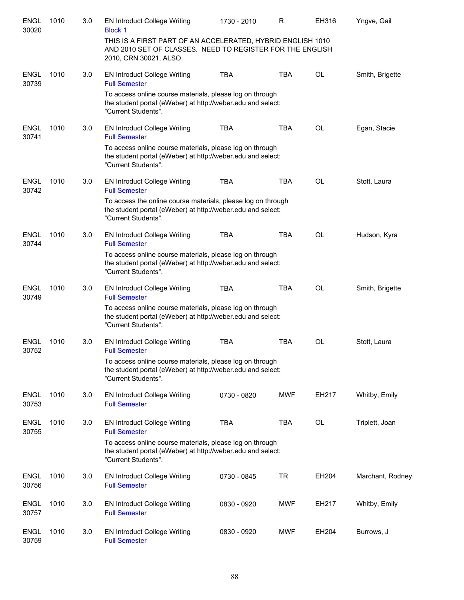| <b>ENGL</b><br>30020 | 1010 | 3.0 | <b>EN Introduct College Writing</b><br><b>Block 1</b>                                                                                              | 1730 - 2010 | R          | EH316     | Yngve, Gail      |
|----------------------|------|-----|----------------------------------------------------------------------------------------------------------------------------------------------------|-------------|------------|-----------|------------------|
|                      |      |     | THIS IS A FIRST PART OF AN ACCELERATED, HYBRID ENGLISH 1010<br>AND 2010 SET OF CLASSES. NEED TO REGISTER FOR THE ENGLISH<br>2010, CRN 30021, ALSO. |             |            |           |                  |
| <b>ENGL</b><br>30739 | 1010 | 3.0 | <b>EN Introduct College Writing</b><br><b>Full Semester</b>                                                                                        | <b>TBA</b>  | <b>TBA</b> | <b>OL</b> | Smith, Brigette  |
|                      |      |     | To access online course materials, please log on through<br>the student portal (eWeber) at http://weber.edu and select:<br>"Current Students".     |             |            |           |                  |
| <b>ENGL</b><br>30741 | 1010 | 3.0 | <b>EN Introduct College Writing</b><br><b>Full Semester</b>                                                                                        | <b>TBA</b>  | <b>TBA</b> | <b>OL</b> | Egan, Stacie     |
|                      |      |     | To access online course materials, please log on through<br>the student portal (eWeber) at http://weber.edu and select:<br>"Current Students".     |             |            |           |                  |
| <b>ENGL</b><br>30742 | 1010 | 3.0 | <b>EN Introduct College Writing</b><br><b>Full Semester</b>                                                                                        | <b>TBA</b>  | <b>TBA</b> | OL        | Stott, Laura     |
|                      |      |     | To access the online course materials, please log on through<br>the student portal (eWeber) at http://weber.edu and select:<br>"Current Students". |             |            |           |                  |
| <b>ENGL</b><br>30744 | 1010 | 3.0 | <b>EN Introduct College Writing</b><br><b>Full Semester</b>                                                                                        | <b>TBA</b>  | <b>TBA</b> | <b>OL</b> | Hudson, Kyra     |
|                      |      |     | To access online course materials, please log on through<br>the student portal (eWeber) at http://weber.edu and select:<br>"Current Students".     |             |            |           |                  |
| <b>ENGL</b><br>30749 | 1010 | 3.0 | <b>EN Introduct College Writing</b><br><b>Full Semester</b>                                                                                        | <b>TBA</b>  | <b>TBA</b> | <b>OL</b> | Smith, Brigette  |
|                      |      |     | To access online course materials, please log on through<br>the student portal (eWeber) at http://weber.edu and select:<br>"Current Students".     |             |            |           |                  |
| <b>ENGL</b><br>30752 | 1010 | 3.0 | <b>EN Introduct College Writing</b><br><b>Full Semester</b>                                                                                        | <b>TBA</b>  | <b>TBA</b> | OL        | Stott, Laura     |
|                      |      |     | To access online course materials, please log on through<br>the student portal (eWeber) at http://weber.edu and select:<br>"Current Students".     |             |            |           |                  |
| <b>ENGL</b><br>30753 | 1010 | 3.0 | <b>EN Introduct College Writing</b><br><b>Full Semester</b>                                                                                        | 0730 - 0820 | <b>MWF</b> | EH217     | Whitby, Emily    |
| <b>ENGL</b><br>30755 | 1010 | 3.0 | <b>EN Introduct College Writing</b><br><b>Full Semester</b>                                                                                        | <b>TBA</b>  | <b>TBA</b> | OL        | Triplett, Joan   |
|                      |      |     | To access online course materials, please log on through<br>the student portal (eWeber) at http://weber.edu and select:<br>"Current Students".     |             |            |           |                  |
| <b>ENGL</b><br>30756 | 1010 | 3.0 | <b>EN Introduct College Writing</b><br><b>Full Semester</b>                                                                                        | 0730 - 0845 | <b>TR</b>  | EH204     | Marchant, Rodney |
| <b>ENGL</b><br>30757 | 1010 | 3.0 | <b>EN Introduct College Writing</b><br><b>Full Semester</b>                                                                                        | 0830 - 0920 | MWF        | EH217     | Whitby, Emily    |
| <b>ENGL</b><br>30759 | 1010 | 3.0 | <b>EN Introduct College Writing</b><br><b>Full Semester</b>                                                                                        | 0830 - 0920 | MWF        | EH204     | Burrows, J       |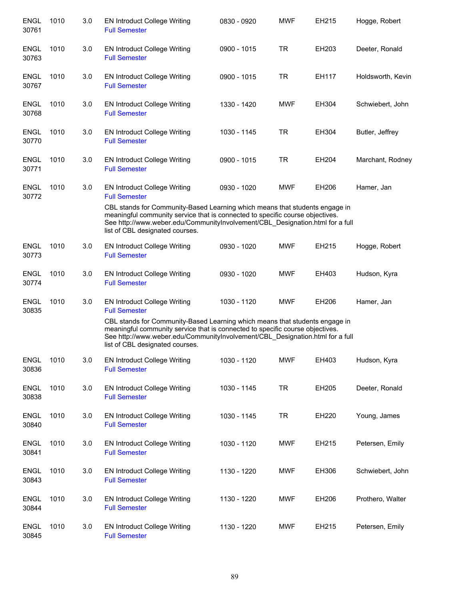| <b>ENGL</b><br>30761 | 1010 | 3.0 | <b>EN Introduct College Writing</b><br><b>Full Semester</b>                                                                                                                                                                                                                      | 0830 - 0920 | <b>MWF</b> | EH215 | Hogge, Robert     |
|----------------------|------|-----|----------------------------------------------------------------------------------------------------------------------------------------------------------------------------------------------------------------------------------------------------------------------------------|-------------|------------|-------|-------------------|
| <b>ENGL</b><br>30763 | 1010 | 3.0 | <b>EN Introduct College Writing</b><br><b>Full Semester</b>                                                                                                                                                                                                                      | 0900 - 1015 | <b>TR</b>  | EH203 | Deeter, Ronald    |
| <b>ENGL</b><br>30767 | 1010 | 3.0 | <b>EN Introduct College Writing</b><br><b>Full Semester</b>                                                                                                                                                                                                                      | 0900 - 1015 | <b>TR</b>  | EH117 | Holdsworth, Kevin |
| <b>ENGL</b><br>30768 | 1010 | 3.0 | <b>EN Introduct College Writing</b><br><b>Full Semester</b>                                                                                                                                                                                                                      | 1330 - 1420 | <b>MWF</b> | EH304 | Schwiebert, John  |
| <b>ENGL</b><br>30770 | 1010 | 3.0 | <b>EN Introduct College Writing</b><br><b>Full Semester</b>                                                                                                                                                                                                                      | 1030 - 1145 | <b>TR</b>  | EH304 | Butler, Jeffrey   |
| <b>ENGL</b><br>30771 | 1010 | 3.0 | <b>EN Introduct College Writing</b><br><b>Full Semester</b>                                                                                                                                                                                                                      | 0900 - 1015 | <b>TR</b>  | EH204 | Marchant, Rodney  |
| <b>ENGL</b><br>30772 | 1010 | 3.0 | <b>EN Introduct College Writing</b><br><b>Full Semester</b>                                                                                                                                                                                                                      | 0930 - 1020 | <b>MWF</b> | EH206 | Hamer, Jan        |
|                      |      |     | CBL stands for Community-Based Learning which means that students engage in<br>meaningful community service that is connected to specific course objectives.<br>See http://www.weber.edu/CommunityInvolvement/CBL Designation.html for a full<br>list of CBL designated courses. |             |            |       |                   |
| <b>ENGL</b><br>30773 | 1010 | 3.0 | <b>EN Introduct College Writing</b><br><b>Full Semester</b>                                                                                                                                                                                                                      | 0930 - 1020 | <b>MWF</b> | EH215 | Hogge, Robert     |
| <b>ENGL</b><br>30774 | 1010 | 3.0 | <b>EN Introduct College Writing</b><br><b>Full Semester</b>                                                                                                                                                                                                                      | 0930 - 1020 | <b>MWF</b> | EH403 | Hudson, Kyra      |
| <b>ENGL</b><br>30835 | 1010 | 3.0 | <b>EN Introduct College Writing</b><br><b>Full Semester</b>                                                                                                                                                                                                                      | 1030 - 1120 | <b>MWF</b> | EH206 | Hamer, Jan        |
|                      |      |     | CBL stands for Community-Based Learning which means that students engage in<br>meaningful community service that is connected to specific course objectives.<br>See http://www.weber.edu/CommunityInvolvement/CBL_Designation.html for a full<br>list of CBL designated courses. |             |            |       |                   |
| <b>ENGL</b><br>30836 | 1010 | 3.0 | <b>EN Introduct College Writing</b><br><b>Full Semester</b>                                                                                                                                                                                                                      | 1030 - 1120 | <b>MWF</b> | EH403 | Hudson, Kyra      |
| <b>ENGL</b><br>30838 | 1010 | 3.0 | <b>EN Introduct College Writing</b><br><b>Full Semester</b>                                                                                                                                                                                                                      | 1030 - 1145 | <b>TR</b>  | EH205 | Deeter, Ronald    |
| <b>ENGL</b><br>30840 | 1010 | 3.0 | <b>EN Introduct College Writing</b><br><b>Full Semester</b>                                                                                                                                                                                                                      | 1030 - 1145 | <b>TR</b>  | EH220 | Young, James      |
| <b>ENGL</b><br>30841 | 1010 | 3.0 | <b>EN Introduct College Writing</b><br><b>Full Semester</b>                                                                                                                                                                                                                      | 1030 - 1120 | <b>MWF</b> | EH215 | Petersen, Emily   |
| <b>ENGL</b><br>30843 | 1010 | 3.0 | <b>EN Introduct College Writing</b><br><b>Full Semester</b>                                                                                                                                                                                                                      | 1130 - 1220 | <b>MWF</b> | EH306 | Schwiebert, John  |
| <b>ENGL</b><br>30844 | 1010 | 3.0 | <b>EN Introduct College Writing</b><br><b>Full Semester</b>                                                                                                                                                                                                                      | 1130 - 1220 | <b>MWF</b> | EH206 | Prothero, Walter  |
| <b>ENGL</b><br>30845 | 1010 | 3.0 | <b>EN Introduct College Writing</b><br><b>Full Semester</b>                                                                                                                                                                                                                      | 1130 - 1220 | <b>MWF</b> | EH215 | Petersen, Emily   |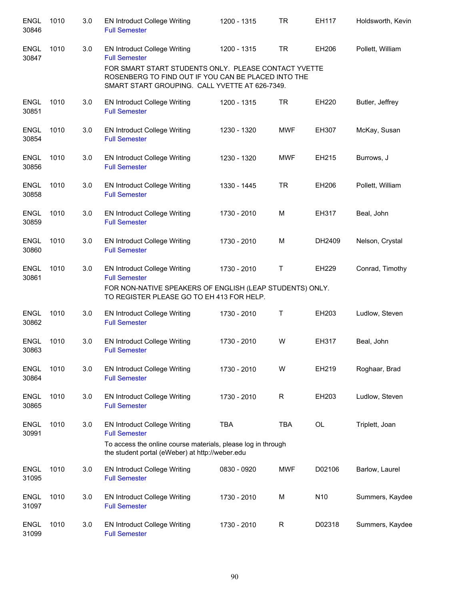| <b>ENGL</b><br>30846 | 1010 | 3.0 | <b>EN Introduct College Writing</b><br><b>Full Semester</b>                                                                                                   | 1200 - 1315 | <b>TR</b>   | EH117           | Holdsworth, Kevin |
|----------------------|------|-----|---------------------------------------------------------------------------------------------------------------------------------------------------------------|-------------|-------------|-----------------|-------------------|
| <b>ENGL</b><br>30847 | 1010 | 3.0 | <b>EN Introduct College Writing</b><br><b>Full Semester</b>                                                                                                   | 1200 - 1315 | <b>TR</b>   | EH206           | Pollett, William  |
|                      |      |     | FOR SMART START STUDENTS ONLY. PLEASE CONTACT YVETTE<br>ROSENBERG TO FIND OUT IF YOU CAN BE PLACED INTO THE<br>SMART START GROUPING. CALL YVETTE AT 626-7349. |             |             |                 |                   |
| <b>ENGL</b><br>30851 | 1010 | 3.0 | <b>EN Introduct College Writing</b><br><b>Full Semester</b>                                                                                                   | 1200 - 1315 | <b>TR</b>   | EH220           | Butler, Jeffrey   |
| <b>ENGL</b><br>30854 | 1010 | 3.0 | <b>EN Introduct College Writing</b><br><b>Full Semester</b>                                                                                                   | 1230 - 1320 | <b>MWF</b>  | EH307           | McKay, Susan      |
| <b>ENGL</b><br>30856 | 1010 | 3.0 | <b>EN Introduct College Writing</b><br><b>Full Semester</b>                                                                                                   | 1230 - 1320 | <b>MWF</b>  | EH215           | Burrows, J        |
| <b>ENGL</b><br>30858 | 1010 | 3.0 | <b>EN Introduct College Writing</b><br><b>Full Semester</b>                                                                                                   | 1330 - 1445 | <b>TR</b>   | EH206           | Pollett, William  |
| <b>ENGL</b><br>30859 | 1010 | 3.0 | <b>EN Introduct College Writing</b><br><b>Full Semester</b>                                                                                                   | 1730 - 2010 | M           | EH317           | Beal, John        |
| <b>ENGL</b><br>30860 | 1010 | 3.0 | <b>EN Introduct College Writing</b><br><b>Full Semester</b>                                                                                                   | 1730 - 2010 | M           | DH2409          | Nelson, Crystal   |
| <b>ENGL</b><br>30861 | 1010 | 3.0 | <b>EN Introduct College Writing</b><br><b>Full Semester</b><br>FOR NON-NATIVE SPEAKERS OF ENGLISH (LEAP STUDENTS) ONLY.                                       | 1730 - 2010 | Τ           | EH229           | Conrad, Timothy   |
|                      |      |     | TO REGISTER PLEASE GO TO EH 413 FOR HELP.                                                                                                                     |             |             |                 |                   |
| <b>ENGL</b><br>30862 | 1010 | 3.0 | <b>EN Introduct College Writing</b><br><b>Full Semester</b>                                                                                                   | 1730 - 2010 | Τ           | EH203           | Ludlow, Steven    |
| <b>ENGL</b><br>30863 | 1010 | 3.0 | <b>EN Introduct College Writing</b><br><b>Full Semester</b>                                                                                                   | 1730 - 2010 | W           | EH317           | Beal, John        |
| <b>ENGL</b><br>30864 | 1010 | 3.0 | <b>EN Introduct College Writing</b><br><b>Full Semester</b>                                                                                                   | 1730 - 2010 | W           | EH219           | Roghaar, Brad     |
| <b>ENGL</b><br>30865 | 1010 | 3.0 | <b>EN Introduct College Writing</b><br><b>Full Semester</b>                                                                                                   | 1730 - 2010 | $\mathsf R$ | EH203           | Ludlow, Steven    |
| <b>ENGL</b><br>30991 | 1010 | 3.0 | <b>EN Introduct College Writing</b><br><b>Full Semester</b>                                                                                                   | <b>TBA</b>  | <b>TBA</b>  | <b>OL</b>       | Triplett, Joan    |
|                      |      |     | To access the online course materials, please log in through<br>the student portal (eWeber) at http://weber.edu                                               |             |             |                 |                   |
| ENGL<br>31095        | 1010 | 3.0 | <b>EN Introduct College Writing</b><br><b>Full Semester</b>                                                                                                   | 0830 - 0920 | <b>MWF</b>  | D02106          | Barlow, Laurel    |
| <b>ENGL</b><br>31097 | 1010 | 3.0 | <b>EN Introduct College Writing</b><br><b>Full Semester</b>                                                                                                   | 1730 - 2010 | M           | N <sub>10</sub> | Summers, Kaydee   |
| <b>ENGL</b><br>31099 | 1010 | 3.0 | <b>EN Introduct College Writing</b><br><b>Full Semester</b>                                                                                                   | 1730 - 2010 | $\mathsf R$ | D02318          | Summers, Kaydee   |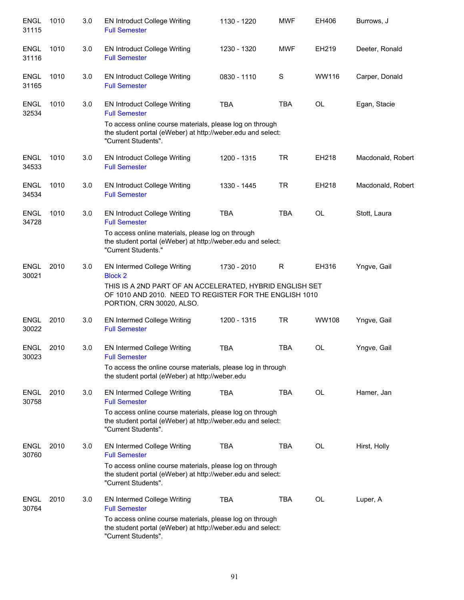| <b>ENGL</b><br>31115 | 1010 | 3.0 | <b>EN Introduct College Writing</b><br><b>Full Semester</b>                                                                                      | 1130 - 1220 | <b>MWF</b> | EH406     | Burrows, J        |
|----------------------|------|-----|--------------------------------------------------------------------------------------------------------------------------------------------------|-------------|------------|-----------|-------------------|
| <b>ENGL</b><br>31116 | 1010 | 3.0 | <b>EN Introduct College Writing</b><br><b>Full Semester</b>                                                                                      | 1230 - 1320 | <b>MWF</b> | EH219     | Deeter, Ronald    |
| <b>ENGL</b><br>31165 | 1010 | 3.0 | <b>EN Introduct College Writing</b><br><b>Full Semester</b>                                                                                      | 0830 - 1110 | S          | WW116     | Carper, Donald    |
| <b>ENGL</b><br>32534 | 1010 | 3.0 | <b>EN Introduct College Writing</b><br><b>Full Semester</b>                                                                                      | <b>TBA</b>  | <b>TBA</b> | <b>OL</b> | Egan, Stacie      |
|                      |      |     | To access online course materials, please log on through<br>the student portal (eWeber) at http://weber.edu and select:<br>"Current Students".   |             |            |           |                   |
| <b>ENGL</b><br>34533 | 1010 | 3.0 | <b>EN Introduct College Writing</b><br><b>Full Semester</b>                                                                                      | 1200 - 1315 | <b>TR</b>  | EH218     | Macdonald, Robert |
| <b>ENGL</b><br>34534 | 1010 | 3.0 | <b>EN Introduct College Writing</b><br><b>Full Semester</b>                                                                                      | 1330 - 1445 | <b>TR</b>  | EH218     | Macdonald, Robert |
| <b>ENGL</b><br>34728 | 1010 | 3.0 | <b>EN Introduct College Writing</b><br><b>Full Semester</b>                                                                                      | <b>TBA</b>  | <b>TBA</b> | <b>OL</b> | Stott, Laura      |
|                      |      |     | To access online materials, please log on through<br>the student portal (eWeber) at http://weber.edu and select:<br>"Current Students."          |             |            |           |                   |
| <b>ENGL</b><br>30021 | 2010 | 3.0 | <b>EN Intermed College Writing</b><br><b>Block 2</b>                                                                                             | 1730 - 2010 | R          | EH316     | Yngve, Gail       |
|                      |      |     | THIS IS A 2ND PART OF AN ACCELERATED, HYBRID ENGLISH SET<br>OF 1010 AND 2010. NEED TO REGISTER FOR THE ENGLISH 1010<br>PORTION, CRN 30020, ALSO. |             |            |           |                   |
| <b>ENGL</b><br>30022 | 2010 | 3.0 | EN Intermed College Writing<br><b>Full Semester</b>                                                                                              | 1200 - 1315 | <b>TR</b>  | WW108     | Yngve, Gail       |
| <b>ENGL</b><br>30023 | 2010 | 3.0 | EN Intermed College Writing<br><b>Full Semester</b>                                                                                              | <b>TBA</b>  | <b>TBA</b> | <b>OL</b> | Yngve, Gail       |
|                      |      |     | To access the online course materials, please log in through<br>the student portal (eWeber) at http://weber.edu                                  |             |            |           |                   |
| <b>ENGL</b><br>30758 | 2010 | 3.0 | EN Intermed College Writing<br><b>Full Semester</b>                                                                                              | <b>TBA</b>  | <b>TBA</b> | OL        | Hamer, Jan        |
|                      |      |     | To access online course materials, please log on through<br>the student portal (eWeber) at http://weber.edu and select:<br>"Current Students".   |             |            |           |                   |
| <b>ENGL</b><br>30760 | 2010 | 3.0 | EN Intermed College Writing<br><b>Full Semester</b>                                                                                              | <b>TBA</b>  | TBA        | OL        | Hirst, Holly      |
|                      |      |     | To access online course materials, please log on through<br>the student portal (eWeber) at http://weber.edu and select:<br>"Current Students".   |             |            |           |                   |
| ENGL<br>30764        | 2010 | 3.0 | EN Intermed College Writing<br><b>Full Semester</b>                                                                                              | <b>TBA</b>  | <b>TBA</b> | OL        | Luper, A          |
|                      |      |     | To access online course materials, please log on through<br>the student portal (eWeber) at http://weber.edu and select:<br>"Current Students".   |             |            |           |                   |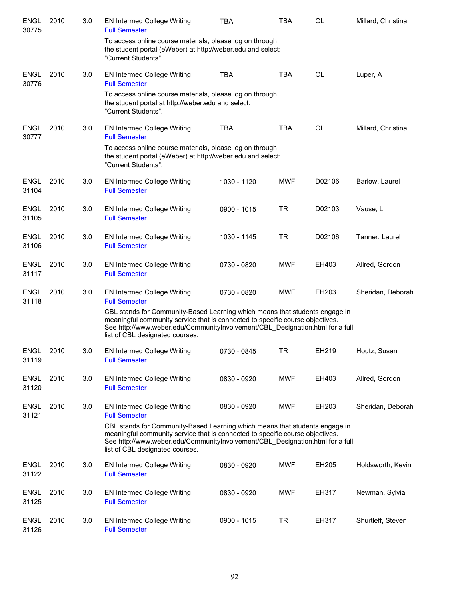| <b>ENGL</b><br>30775 | 2010 | 3.0 | <b>EN Intermed College Writing</b><br><b>Full Semester</b>                                                                                                                                                                                                                       | TBA         | TBA        | OL     | Millard, Christina |
|----------------------|------|-----|----------------------------------------------------------------------------------------------------------------------------------------------------------------------------------------------------------------------------------------------------------------------------------|-------------|------------|--------|--------------------|
|                      |      |     | To access online course materials, please log on through<br>the student portal (eWeber) at http://weber.edu and select:<br>"Current Students".                                                                                                                                   |             |            |        |                    |
| <b>ENGL</b><br>30776 | 2010 | 3.0 | <b>EN Intermed College Writing</b><br><b>Full Semester</b>                                                                                                                                                                                                                       | <b>TBA</b>  | <b>TBA</b> | OL     | Luper, A           |
|                      |      |     | To access online course materials, please log on through<br>the student portal at http://weber.edu and select:<br>"Current Students".                                                                                                                                            |             |            |        |                    |
| <b>ENGL</b><br>30777 | 2010 | 3.0 | EN Intermed College Writing<br><b>Full Semester</b>                                                                                                                                                                                                                              | <b>TBA</b>  | <b>TBA</b> | OL     | Millard, Christina |
|                      |      |     | To access online course materials, please log on through<br>the student portal (eWeber) at http://weber.edu and select:<br>"Current Students".                                                                                                                                   |             |            |        |                    |
| <b>ENGL</b><br>31104 | 2010 | 3.0 | EN Intermed College Writing<br><b>Full Semester</b>                                                                                                                                                                                                                              | 1030 - 1120 | <b>MWF</b> | D02106 | Barlow, Laurel     |
| <b>ENGL</b><br>31105 | 2010 | 3.0 | <b>EN Intermed College Writing</b><br><b>Full Semester</b>                                                                                                                                                                                                                       | 0900 - 1015 | <b>TR</b>  | D02103 | Vause, L           |
| <b>ENGL</b><br>31106 | 2010 | 3.0 | <b>EN Intermed College Writing</b><br><b>Full Semester</b>                                                                                                                                                                                                                       | 1030 - 1145 | <b>TR</b>  | D02106 | Tanner, Laurel     |
| <b>ENGL</b><br>31117 | 2010 | 3.0 | EN Intermed College Writing<br><b>Full Semester</b>                                                                                                                                                                                                                              | 0730 - 0820 | <b>MWF</b> | EH403  | Allred, Gordon     |
| <b>ENGL</b><br>31118 | 2010 | 3.0 | <b>EN Intermed College Writing</b><br><b>Full Semester</b>                                                                                                                                                                                                                       | 0730 - 0820 | <b>MWF</b> | EH203  | Sheridan, Deborah  |
|                      |      |     | CBL stands for Community-Based Learning which means that students engage in<br>meaningful community service that is connected to specific course objectives.<br>See http://www.weber.edu/CommunityInvolvement/CBL Designation.html for a full<br>list of CBL designated courses. |             |            |        |                    |
| <b>ENGL</b><br>31119 | 2010 | 3.0 | <b>EN Intermed College Writing</b><br><b>Full Semester</b>                                                                                                                                                                                                                       | 0730 - 0845 | TR         | EH219  | Houtz, Susan       |
| <b>ENGL</b><br>31120 | 2010 | 3.0 | <b>EN Intermed College Writing</b><br><b>Full Semester</b>                                                                                                                                                                                                                       | 0830 - 0920 | <b>MWF</b> | EH403  | Allred, Gordon     |
| <b>ENGL</b><br>31121 | 2010 | 3.0 | <b>EN Intermed College Writing</b><br><b>Full Semester</b>                                                                                                                                                                                                                       | 0830 - 0920 | <b>MWF</b> | EH203  | Sheridan, Deborah  |
|                      |      |     | CBL stands for Community-Based Learning which means that students engage in<br>meaningful community service that is connected to specific course objectives.<br>See http://www.weber.edu/CommunityInvolvement/CBL_Designation.html for a full<br>list of CBL designated courses. |             |            |        |                    |
| ENGL<br>31122        | 2010 | 3.0 | <b>EN Intermed College Writing</b><br><b>Full Semester</b>                                                                                                                                                                                                                       | 0830 - 0920 | <b>MWF</b> | EH205  | Holdsworth, Kevin  |
| <b>ENGL</b><br>31125 | 2010 | 3.0 | <b>EN Intermed College Writing</b><br><b>Full Semester</b>                                                                                                                                                                                                                       | 0830 - 0920 | <b>MWF</b> | EH317  | Newman, Sylvia     |
| ENGL<br>31126        | 2010 | 3.0 | <b>EN Intermed College Writing</b><br><b>Full Semester</b>                                                                                                                                                                                                                       | 0900 - 1015 | <b>TR</b>  | EH317  | Shurtleff, Steven  |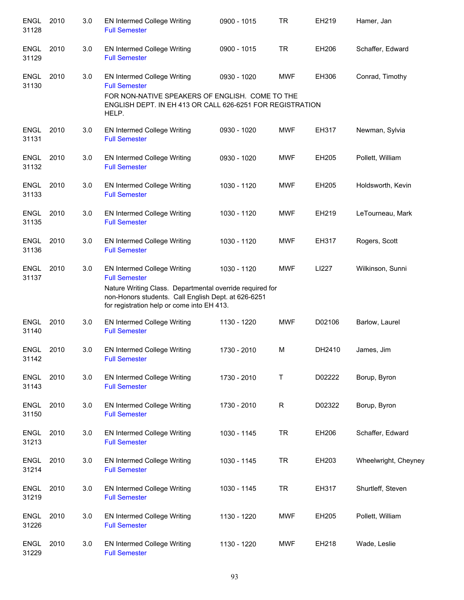| <b>ENGL</b><br>31128 | 2010 | 3.0 | <b>EN Intermed College Writing</b><br><b>Full Semester</b>                                                                                                    | 0900 - 1015 | <b>TR</b>   | EH219  | Hamer, Jan           |
|----------------------|------|-----|---------------------------------------------------------------------------------------------------------------------------------------------------------------|-------------|-------------|--------|----------------------|
| <b>ENGL</b><br>31129 | 2010 | 3.0 | <b>EN Intermed College Writing</b><br><b>Full Semester</b>                                                                                                    | 0900 - 1015 | <b>TR</b>   | EH206  | Schaffer, Edward     |
| <b>ENGL</b><br>31130 | 2010 | 3.0 | <b>EN Intermed College Writing</b><br><b>Full Semester</b>                                                                                                    | 0930 - 1020 | <b>MWF</b>  | EH306  | Conrad, Timothy      |
|                      |      |     | FOR NON-NATIVE SPEAKERS OF ENGLISH. COME TO THE<br>ENGLISH DEPT. IN EH 413 OR CALL 626-6251 FOR REGISTRATION<br>HELP.                                         |             |             |        |                      |
| <b>ENGL</b><br>31131 | 2010 | 3.0 | <b>EN Intermed College Writing</b><br><b>Full Semester</b>                                                                                                    | 0930 - 1020 | <b>MWF</b>  | EH317  | Newman, Sylvia       |
| <b>ENGL</b><br>31132 | 2010 | 3.0 | <b>EN Intermed College Writing</b><br><b>Full Semester</b>                                                                                                    | 0930 - 1020 | MWF         | EH205  | Pollett, William     |
| <b>ENGL</b><br>31133 | 2010 | 3.0 | <b>EN Intermed College Writing</b><br><b>Full Semester</b>                                                                                                    | 1030 - 1120 | <b>MWF</b>  | EH205  | Holdsworth, Kevin    |
| <b>ENGL</b><br>31135 | 2010 | 3.0 | <b>EN Intermed College Writing</b><br><b>Full Semester</b>                                                                                                    | 1030 - 1120 | <b>MWF</b>  | EH219  | LeTourneau, Mark     |
| <b>ENGL</b><br>31136 | 2010 | 3.0 | EN Intermed College Writing<br><b>Full Semester</b>                                                                                                           | 1030 - 1120 | <b>MWF</b>  | EH317  | Rogers, Scott        |
| <b>ENGL</b><br>31137 | 2010 | 3.0 | EN Intermed College Writing<br><b>Full Semester</b>                                                                                                           | 1030 - 1120 | <b>MWF</b>  | LI227  | Wilkinson, Sunni     |
|                      |      |     | Nature Writing Class. Departmental override required for<br>non-Honors students. Call English Dept. at 626-6251<br>for registration help or come into EH 413. |             |             |        |                      |
| <b>ENGL</b><br>31140 | 2010 | 3.0 | EN Intermed College Writing<br><b>Full Semester</b>                                                                                                           | 1130 - 1220 | MWF         | D02106 | Barlow, Laurel       |
| <b>ENGL</b><br>31142 | 2010 | 3.0 | <b>EN Intermed College Writing</b><br><b>Full Semester</b>                                                                                                    | 1730 - 2010 | M           | DH2410 | James, Jim           |
| <b>ENGL</b><br>31143 | 2010 | 3.0 | <b>EN Intermed College Writing</b><br><b>Full Semester</b>                                                                                                    | 1730 - 2010 | Τ           | D02222 | Borup, Byron         |
| <b>ENGL</b><br>31150 | 2010 | 3.0 | <b>EN Intermed College Writing</b><br><b>Full Semester</b>                                                                                                    | 1730 - 2010 | $\mathsf R$ | D02322 | Borup, Byron         |
| <b>ENGL</b><br>31213 | 2010 | 3.0 | <b>EN Intermed College Writing</b><br><b>Full Semester</b>                                                                                                    | 1030 - 1145 | <b>TR</b>   | EH206  | Schaffer, Edward     |
| <b>ENGL</b><br>31214 | 2010 | 3.0 | <b>EN Intermed College Writing</b><br><b>Full Semester</b>                                                                                                    | 1030 - 1145 | <b>TR</b>   | EH203  | Wheelwright, Cheyney |
| <b>ENGL</b><br>31219 | 2010 | 3.0 | <b>EN Intermed College Writing</b><br><b>Full Semester</b>                                                                                                    | 1030 - 1145 | <b>TR</b>   | EH317  | Shurtleff, Steven    |
| <b>ENGL</b><br>31226 | 2010 | 3.0 | <b>EN Intermed College Writing</b><br><b>Full Semester</b>                                                                                                    | 1130 - 1220 | <b>MWF</b>  | EH205  | Pollett, William     |
| <b>ENGL</b><br>31229 | 2010 | 3.0 | <b>EN Intermed College Writing</b><br><b>Full Semester</b>                                                                                                    | 1130 - 1220 | <b>MWF</b>  | EH218  | Wade, Leslie         |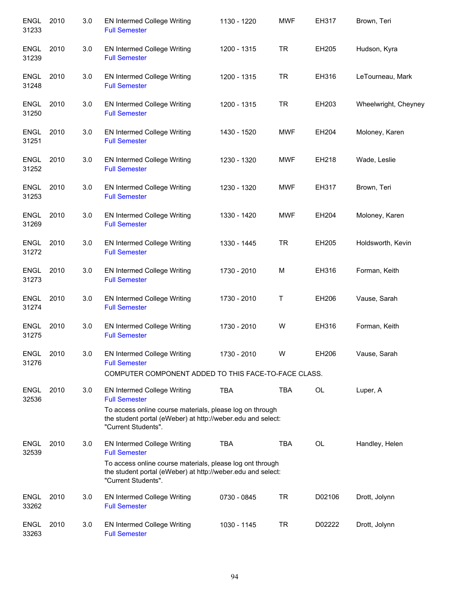| <b>ENGL</b><br>31233 | 2010 | 3.0 | EN Intermed College Writing<br><b>Full Semester</b>                                                                                             | 1130 - 1220 | <b>MWF</b> | EH317     | Brown, Teri          |
|----------------------|------|-----|-------------------------------------------------------------------------------------------------------------------------------------------------|-------------|------------|-----------|----------------------|
| <b>ENGL</b><br>31239 | 2010 | 3.0 | EN Intermed College Writing<br><b>Full Semester</b>                                                                                             | 1200 - 1315 | <b>TR</b>  | EH205     | Hudson, Kyra         |
| <b>ENGL</b><br>31248 | 2010 | 3.0 | EN Intermed College Writing<br><b>Full Semester</b>                                                                                             | 1200 - 1315 | <b>TR</b>  | EH316     | LeTourneau, Mark     |
| <b>ENGL</b><br>31250 | 2010 | 3.0 | EN Intermed College Writing<br><b>Full Semester</b>                                                                                             | 1200 - 1315 | <b>TR</b>  | EH203     | Wheelwright, Cheyney |
| <b>ENGL</b><br>31251 | 2010 | 3.0 | EN Intermed College Writing<br><b>Full Semester</b>                                                                                             | 1430 - 1520 | <b>MWF</b> | EH204     | Moloney, Karen       |
| ENGL<br>31252        | 2010 | 3.0 | EN Intermed College Writing<br><b>Full Semester</b>                                                                                             | 1230 - 1320 | <b>MWF</b> | EH218     | Wade, Leslie         |
| ENGL<br>31253        | 2010 | 3.0 | <b>EN Intermed College Writing</b><br><b>Full Semester</b>                                                                                      | 1230 - 1320 | MWF        | EH317     | Brown, Teri          |
| <b>ENGL</b><br>31269 | 2010 | 3.0 | <b>EN Intermed College Writing</b><br><b>Full Semester</b>                                                                                      | 1330 - 1420 | <b>MWF</b> | EH204     | Moloney, Karen       |
| <b>ENGL</b><br>31272 | 2010 | 3.0 | EN Intermed College Writing<br><b>Full Semester</b>                                                                                             | 1330 - 1445 | <b>TR</b>  | EH205     | Holdsworth, Kevin    |
| <b>ENGL</b><br>31273 | 2010 | 3.0 | EN Intermed College Writing<br><b>Full Semester</b>                                                                                             | 1730 - 2010 | м          | EH316     | Forman, Keith        |
| <b>ENGL</b><br>31274 | 2010 | 3.0 | <b>EN Intermed College Writing</b><br><b>Full Semester</b>                                                                                      | 1730 - 2010 | Τ          | EH206     | Vause, Sarah         |
| <b>ENGL</b><br>31275 | 2010 | 3.0 | EN Intermed College Writing<br><b>Full Semester</b>                                                                                             | 1730 - 2010 | W          | EH316     | Forman, Keith        |
| <b>ENGL</b><br>31276 | 2010 | 3.0 | <b>EN Intermed College Writing</b><br><b>Full Semester</b>                                                                                      | 1730 - 2010 | W          | EH206     | Vause, Sarah         |
|                      |      |     | COMPUTER COMPONENT ADDED TO THIS FACE-TO-FACE CLASS.                                                                                            |             |            |           |                      |
| <b>ENGL</b><br>32536 | 2010 | 3.0 | <b>EN Intermed College Writing</b><br><b>Full Semester</b>                                                                                      | <b>TBA</b>  | <b>TBA</b> | OL        | Luper, A             |
|                      |      |     | To access online course materials, please log on through<br>the student portal (eWeber) at http://weber.edu and select:<br>"Current Students".  |             |            |           |                      |
| <b>ENGL</b><br>32539 | 2010 | 3.0 | <b>EN Intermed College Writing</b><br><b>Full Semester</b>                                                                                      | <b>TBA</b>  | <b>TBA</b> | <b>OL</b> | Handley, Helen       |
|                      |      |     | To access online course materials, please log ont through<br>the student portal (eWeber) at http://weber.edu and select:<br>"Current Students". |             |            |           |                      |
| <b>ENGL</b><br>33262 | 2010 | 3.0 | <b>EN Intermed College Writing</b><br><b>Full Semester</b>                                                                                      | 0730 - 0845 | <b>TR</b>  | D02106    | Drott, Jolynn        |
| <b>ENGL</b><br>33263 | 2010 | 3.0 | <b>EN Intermed College Writing</b><br><b>Full Semester</b>                                                                                      | 1030 - 1145 | <b>TR</b>  | D02222    | Drott, Jolynn        |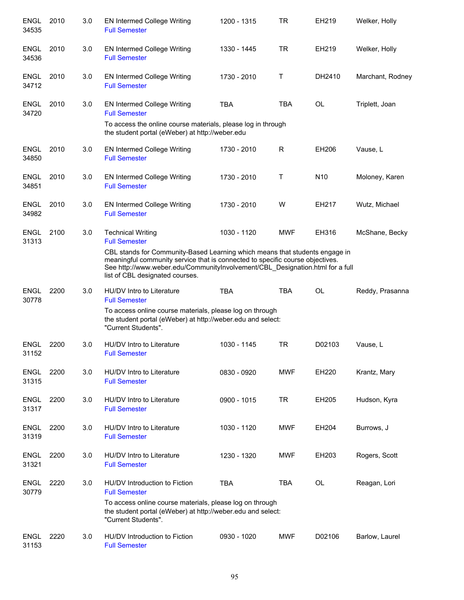| <b>ENGL</b><br>34535 | 2010 | 3.0 | <b>EN Intermed College Writing</b><br><b>Full Semester</b>                                                                                                                                                       | 1200 - 1315 | <b>TR</b>  | EH219           | Welker, Holly    |
|----------------------|------|-----|------------------------------------------------------------------------------------------------------------------------------------------------------------------------------------------------------------------|-------------|------------|-----------------|------------------|
| <b>ENGL</b><br>34536 | 2010 | 3.0 | <b>EN Intermed College Writing</b><br><b>Full Semester</b>                                                                                                                                                       | 1330 - 1445 | <b>TR</b>  | EH219           | Welker, Holly    |
| ENGL<br>34712        | 2010 | 3.0 | <b>EN Intermed College Writing</b><br><b>Full Semester</b>                                                                                                                                                       | 1730 - 2010 | т          | DH2410          | Marchant, Rodney |
| <b>ENGL</b><br>34720 | 2010 | 3.0 | <b>EN Intermed College Writing</b><br><b>Full Semester</b><br>To access the online course materials, please log in through<br>the student portal (eWeber) at http://weber.edu                                    | <b>TBA</b>  | <b>TBA</b> | <b>OL</b>       | Triplett, Joan   |
| <b>ENGL</b><br>34850 | 2010 | 3.0 | <b>EN Intermed College Writing</b><br><b>Full Semester</b>                                                                                                                                                       | 1730 - 2010 | R          | EH206           | Vause, L         |
| <b>ENGL</b><br>34851 | 2010 | 3.0 | <b>EN Intermed College Writing</b><br><b>Full Semester</b>                                                                                                                                                       | 1730 - 2010 | т          | N <sub>10</sub> | Moloney, Karen   |
| <b>ENGL</b><br>34982 | 2010 | 3.0 | <b>EN Intermed College Writing</b><br><b>Full Semester</b>                                                                                                                                                       | 1730 - 2010 | W          | EH217           | Wutz, Michael    |
| <b>ENGL</b><br>31313 | 2100 | 3.0 | <b>Technical Writing</b><br><b>Full Semester</b><br>CBL stands for Community-Based Learning which means that students engage in<br>meaningful community service that is connected to specific course objectives. | 1030 - 1120 | <b>MWF</b> | EH316           | McShane, Becky   |
|                      |      |     | See http://www.weber.edu/CommunityInvolvement/CBL_Designation.html for a full<br>list of CBL designated courses.                                                                                                 |             |            |                 |                  |
| <b>ENGL</b><br>30778 | 2200 | 3.0 | HU/DV Intro to Literature<br><b>Full Semester</b><br>To access online course materials, please log on through<br>the student portal (eWeber) at http://weber.edu and select:<br>"Current Students".              | <b>TBA</b>  | <b>TBA</b> | <b>OL</b>       | Reddy, Prasanna  |
| <b>ENGL</b><br>31152 | 2200 | 3.0 | HU/DV Intro to Literature<br><b>Full Semester</b>                                                                                                                                                                | 1030 - 1145 | <b>TR</b>  | D02103          | Vause, L         |
| <b>ENGL</b><br>31315 | 2200 | 3.0 | <b>HU/DV</b> Intro to Literature<br><b>Full Semester</b>                                                                                                                                                         | 0830 - 0920 | <b>MWF</b> | EH220           | Krantz, Mary     |
| <b>ENGL</b><br>31317 | 2200 | 3.0 | <b>HU/DV</b> Intro to Literature<br><b>Full Semester</b>                                                                                                                                                         | 0900 - 1015 | TR         | EH205           | Hudson, Kyra     |
| ENGL<br>31319        | 2200 | 3.0 | HU/DV Intro to Literature<br><b>Full Semester</b>                                                                                                                                                                | 1030 - 1120 | <b>MWF</b> | EH204           | Burrows, J       |
| ENGL<br>31321        | 2200 | 3.0 | HU/DV Intro to Literature<br><b>Full Semester</b>                                                                                                                                                                | 1230 - 1320 | <b>MWF</b> | EH203           | Rogers, Scott    |
| <b>ENGL</b><br>30779 | 2220 | 3.0 | HU/DV Introduction to Fiction<br><b>Full Semester</b><br>To access online course materials, please log on through<br>the student portal (eWeber) at http://weber.edu and select:<br>"Current Students".          | <b>TBA</b>  | <b>TBA</b> | <b>OL</b>       | Reagan, Lori     |
| ENGL<br>31153        | 2220 | 3.0 | HU/DV Introduction to Fiction<br><b>Full Semester</b>                                                                                                                                                            | 0930 - 1020 | <b>MWF</b> | D02106          | Barlow, Laurel   |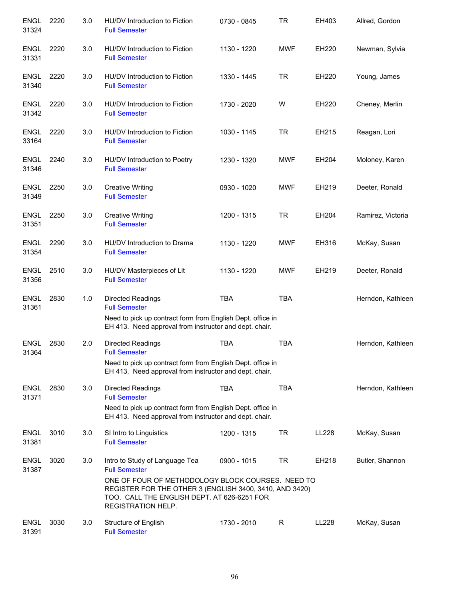| <b>ENGL</b><br>31324 | 2220 | 3.0 | HU/DV Introduction to Fiction<br><b>Full Semester</b>                                                                                                                                                                                       | 0730 - 0845 | <b>TR</b>  | EH403 | Allred, Gordon    |
|----------------------|------|-----|---------------------------------------------------------------------------------------------------------------------------------------------------------------------------------------------------------------------------------------------|-------------|------------|-------|-------------------|
| <b>ENGL</b><br>31331 | 2220 | 3.0 | HU/DV Introduction to Fiction<br><b>Full Semester</b>                                                                                                                                                                                       | 1130 - 1220 | <b>MWF</b> | EH220 | Newman, Sylvia    |
| <b>ENGL</b><br>31340 | 2220 | 3.0 | HU/DV Introduction to Fiction<br><b>Full Semester</b>                                                                                                                                                                                       | 1330 - 1445 | <b>TR</b>  | EH220 | Young, James      |
| ENGL<br>31342        | 2220 | 3.0 | HU/DV Introduction to Fiction<br><b>Full Semester</b>                                                                                                                                                                                       | 1730 - 2020 | W          | EH220 | Cheney, Merlin    |
| <b>ENGL</b><br>33164 | 2220 | 3.0 | HU/DV Introduction to Fiction<br><b>Full Semester</b>                                                                                                                                                                                       | 1030 - 1145 | <b>TR</b>  | EH215 | Reagan, Lori      |
| <b>ENGL</b><br>31346 | 2240 | 3.0 | HU/DV Introduction to Poetry<br><b>Full Semester</b>                                                                                                                                                                                        | 1230 - 1320 | <b>MWF</b> | EH204 | Moloney, Karen    |
| <b>ENGL</b><br>31349 | 2250 | 3.0 | <b>Creative Writing</b><br><b>Full Semester</b>                                                                                                                                                                                             | 0930 - 1020 | <b>MWF</b> | EH219 | Deeter, Ronald    |
| <b>ENGL</b><br>31351 | 2250 | 3.0 | <b>Creative Writing</b><br><b>Full Semester</b>                                                                                                                                                                                             | 1200 - 1315 | <b>TR</b>  | EH204 | Ramirez, Victoria |
| <b>ENGL</b><br>31354 | 2290 | 3.0 | HU/DV Introduction to Drama<br><b>Full Semester</b>                                                                                                                                                                                         | 1130 - 1220 | <b>MWF</b> | EH316 | McKay, Susan      |
| <b>ENGL</b><br>31356 | 2510 | 3.0 | HU/DV Masterpieces of Lit<br><b>Full Semester</b>                                                                                                                                                                                           | 1130 - 1220 | <b>MWF</b> | EH219 | Deeter, Ronald    |
| <b>ENGL</b><br>31361 | 2830 | 1.0 | <b>Directed Readings</b><br><b>Full Semester</b><br>Need to pick up contract form from English Dept. office in<br>EH 413. Need approval from instructor and dept. chair.                                                                    | <b>TBA</b>  | <b>TBA</b> |       | Herndon, Kathleen |
| <b>ENGL</b><br>31364 | 2830 | 2.0 | Directed Readings<br><b>Full Semester</b><br>Need to pick up contract form from English Dept. office in<br>EH 413. Need approval from instructor and dept. chair.                                                                           | <b>TBA</b>  | <b>TBA</b> |       | Herndon, Kathleen |
| <b>ENGL</b><br>31371 | 2830 | 3.0 | Directed Readings<br><b>Full Semester</b><br>Need to pick up contract form from English Dept. office in<br>EH 413. Need approval from instructor and dept. chair.                                                                           | <b>TBA</b>  | <b>TBA</b> |       | Herndon, Kathleen |
| <b>ENGL</b><br>31381 | 3010 | 3.0 | SI Intro to Linguistics<br><b>Full Semester</b>                                                                                                                                                                                             | 1200 - 1315 | <b>TR</b>  | LL228 | McKay, Susan      |
| <b>ENGL</b><br>31387 | 3020 | 3.0 | Intro to Study of Language Tea<br><b>Full Semester</b><br>ONE OF FOUR OF METHODOLOGY BLOCK COURSES. NEED TO<br>REGISTER FOR THE OTHER 3 (ENGLISH 3400, 3410, AND 3420)<br>TOO. CALL THE ENGLISH DEPT. AT 626-6251 FOR<br>REGISTRATION HELP. | 0900 - 1015 | <b>TR</b>  | EH218 | Butler, Shannon   |
| <b>ENGL</b><br>31391 | 3030 | 3.0 | Structure of English<br><b>Full Semester</b>                                                                                                                                                                                                | 1730 - 2010 | R          | LL228 | McKay, Susan      |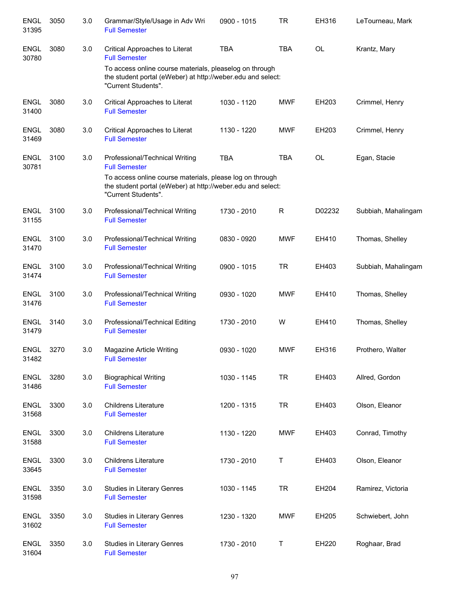| <b>ENGL</b><br>31395 | 3050 | 3.0 | Grammar/Style/Usage in Adv Wri<br><b>Full Semester</b>                                                                                         | $0900 - 1015$ | TR          | EH316     | LeTourneau, Mark    |
|----------------------|------|-----|------------------------------------------------------------------------------------------------------------------------------------------------|---------------|-------------|-----------|---------------------|
| <b>ENGL</b><br>30780 | 3080 | 3.0 | Critical Approaches to Literat<br><b>Full Semester</b>                                                                                         | <b>TBA</b>    | <b>TBA</b>  | OL        | Krantz, Mary        |
|                      |      |     | To access online course materials, pleaselog on through<br>the student portal (eWeber) at http://weber.edu and select:<br>"Current Students".  |               |             |           |                     |
| <b>ENGL</b><br>31400 | 3080 | 3.0 | Critical Approaches to Literat<br><b>Full Semester</b>                                                                                         | 1030 - 1120   | <b>MWF</b>  | EH203     | Crimmel, Henry      |
| <b>ENGL</b><br>31469 | 3080 | 3.0 | Critical Approaches to Literat<br><b>Full Semester</b>                                                                                         | 1130 - 1220   | <b>MWF</b>  | EH203     | Crimmel, Henry      |
| <b>ENGL</b><br>30781 | 3100 | 3.0 | Professional/Technical Writing<br><b>Full Semester</b>                                                                                         | <b>TBA</b>    | <b>TBA</b>  | <b>OL</b> | Egan, Stacie        |
|                      |      |     | To access online course materials, please log on through<br>the student portal (eWeber) at http://weber.edu and select:<br>"Current Students". |               |             |           |                     |
| <b>ENGL</b><br>31155 | 3100 | 3.0 | Professional/Technical Writing<br><b>Full Semester</b>                                                                                         | 1730 - 2010   | $\mathsf R$ | D02232    | Subbiah, Mahalingam |
| <b>ENGL</b><br>31470 | 3100 | 3.0 | Professional/Technical Writing<br><b>Full Semester</b>                                                                                         | 0830 - 0920   | <b>MWF</b>  | EH410     | Thomas, Shelley     |
| <b>ENGL</b><br>31474 | 3100 | 3.0 | Professional/Technical Writing<br><b>Full Semester</b>                                                                                         | 0900 - 1015   | <b>TR</b>   | EH403     | Subbiah, Mahalingam |
| <b>ENGL</b><br>31476 | 3100 | 3.0 | Professional/Technical Writing<br><b>Full Semester</b>                                                                                         | 0930 - 1020   | <b>MWF</b>  | EH410     | Thomas, Shelley     |
| ENGL<br>31479        | 3140 | 3.0 | Professional/Technical Editing<br><b>Full Semester</b>                                                                                         | 1730 - 2010   | W           | EH410     | Thomas, Shelley     |
| <b>ENGL</b><br>31482 | 3270 | 3.0 | Magazine Article Writing<br><b>Full Semester</b>                                                                                               | 0930 - 1020   | <b>MWF</b>  | EH316     | Prothero, Walter    |
| <b>ENGL</b><br>31486 | 3280 | 3.0 | <b>Biographical Writing</b><br><b>Full Semester</b>                                                                                            | 1030 - 1145   | <b>TR</b>   | EH403     | Allred, Gordon      |
| <b>ENGL</b><br>31568 | 3300 | 3.0 | <b>Childrens Literature</b><br><b>Full Semester</b>                                                                                            | 1200 - 1315   | <b>TR</b>   | EH403     | Olson, Eleanor      |
| <b>ENGL</b><br>31588 | 3300 | 3.0 | <b>Childrens Literature</b><br><b>Full Semester</b>                                                                                            | 1130 - 1220   | <b>MWF</b>  | EH403     | Conrad, Timothy     |
| <b>ENGL</b><br>33645 | 3300 | 3.0 | <b>Childrens Literature</b><br><b>Full Semester</b>                                                                                            | 1730 - 2010   | T           | EH403     | Olson, Eleanor      |
| <b>ENGL</b><br>31598 | 3350 | 3.0 | <b>Studies in Literary Genres</b><br><b>Full Semester</b>                                                                                      | 1030 - 1145   | <b>TR</b>   | EH204     | Ramirez, Victoria   |
| <b>ENGL</b><br>31602 | 3350 | 3.0 | Studies in Literary Genres<br><b>Full Semester</b>                                                                                             | 1230 - 1320   | <b>MWF</b>  | EH205     | Schwiebert, John    |
| <b>ENGL</b><br>31604 | 3350 | 3.0 | <b>Studies in Literary Genres</b><br><b>Full Semester</b>                                                                                      | 1730 - 2010   | $\mathsf T$ | EH220     | Roghaar, Brad       |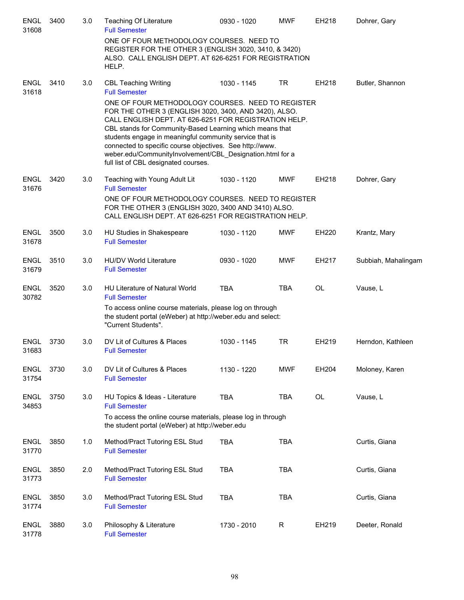| <b>ENGL</b><br>31608 | 3400 | 3.0 | <b>Teaching Of Literature</b><br><b>Full Semester</b>                                                                                                                                                                                                                                                                                                                                                                                                       | 0930 - 1020 | <b>MWF</b>   | EH218     | Dohrer, Gary        |
|----------------------|------|-----|-------------------------------------------------------------------------------------------------------------------------------------------------------------------------------------------------------------------------------------------------------------------------------------------------------------------------------------------------------------------------------------------------------------------------------------------------------------|-------------|--------------|-----------|---------------------|
|                      |      |     | ONE OF FOUR METHODOLOGY COURSES. NEED TO<br>REGISTER FOR THE OTHER 3 (ENGLISH 3020, 3410, & 3420)<br>ALSO. CALL ENGLISH DEPT. AT 626-6251 FOR REGISTRATION<br>HELP.                                                                                                                                                                                                                                                                                         |             |              |           |                     |
| <b>ENGL</b><br>31618 | 3410 | 3.0 | <b>CBL Teaching Writing</b><br><b>Full Semester</b>                                                                                                                                                                                                                                                                                                                                                                                                         | 1030 - 1145 | <b>TR</b>    | EH218     | Butler, Shannon     |
|                      |      |     | ONE OF FOUR METHODOLOGY COURSES. NEED TO REGISTER<br>FOR THE OTHER 3 (ENGLISH 3020, 3400, AND 3420), ALSO.<br>CALL ENGLISH DEPT. AT 626-6251 FOR REGISTRATION HELP.<br>CBL stands for Community-Based Learning which means that<br>students engage in meaningful community service that is<br>connected to specific course objectives. See http://www.<br>weber.edu/CommunityInvolvement/CBL_Designation.html for a<br>full list of CBL designated courses. |             |              |           |                     |
| <b>ENGL</b><br>31676 | 3420 | 3.0 | Teaching with Young Adult Lit<br><b>Full Semester</b>                                                                                                                                                                                                                                                                                                                                                                                                       | 1030 - 1120 | <b>MWF</b>   | EH218     | Dohrer, Gary        |
|                      |      |     | ONE OF FOUR METHODOLOGY COURSES. NEED TO REGISTER<br>FOR THE OTHER 3 (ENGLISH 3020, 3400 AND 3410) ALSO.<br>CALL ENGLISH DEPT. AT 626-6251 FOR REGISTRATION HELP.                                                                                                                                                                                                                                                                                           |             |              |           |                     |
| <b>ENGL</b><br>31678 | 3500 | 3.0 | HU Studies in Shakespeare<br><b>Full Semester</b>                                                                                                                                                                                                                                                                                                                                                                                                           | 1030 - 1120 | <b>MWF</b>   | EH220     | Krantz, Mary        |
| <b>ENGL</b><br>31679 | 3510 | 3.0 | <b>HU/DV World Literature</b><br><b>Full Semester</b>                                                                                                                                                                                                                                                                                                                                                                                                       | 0930 - 1020 | <b>MWF</b>   | EH217     | Subbiah, Mahalingam |
| <b>ENGL</b><br>30782 | 3520 | 3.0 | HU Literature of Natural World<br><b>Full Semester</b>                                                                                                                                                                                                                                                                                                                                                                                                      | <b>TBA</b>  | <b>TBA</b>   | <b>OL</b> | Vause, L            |
|                      |      |     | To access online course materials, please log on through<br>the student portal (eWeber) at http://weber.edu and select:<br>"Current Students".                                                                                                                                                                                                                                                                                                              |             |              |           |                     |
| <b>ENGL</b><br>31683 | 3730 | 3.0 | DV Lit of Cultures & Places<br><b>Full Semester</b>                                                                                                                                                                                                                                                                                                                                                                                                         | 1030 - 1145 | TR           | EH219     | Herndon, Kathleen   |
| <b>ENGL</b><br>31754 | 3730 | 3.0 | DV Lit of Cultures & Places<br><b>Full Semester</b>                                                                                                                                                                                                                                                                                                                                                                                                         | 1130 - 1220 | <b>MWF</b>   | EH204     | Moloney, Karen      |
| <b>ENGL</b><br>34853 | 3750 | 3.0 | HU Topics & Ideas - Literature<br><b>Full Semester</b>                                                                                                                                                                                                                                                                                                                                                                                                      | <b>TBA</b>  | <b>TBA</b>   | OL        | Vause, L            |
|                      |      |     | To access the online course materials, please log in through<br>the student portal (eWeber) at http://weber.edu                                                                                                                                                                                                                                                                                                                                             |             |              |           |                     |
| <b>ENGL</b><br>31770 | 3850 | 1.0 | Method/Pract Tutoring ESL Stud<br><b>Full Semester</b>                                                                                                                                                                                                                                                                                                                                                                                                      | <b>TBA</b>  | <b>TBA</b>   |           | Curtis, Giana       |
| <b>ENGL</b><br>31773 | 3850 | 2.0 | Method/Pract Tutoring ESL Stud<br><b>Full Semester</b>                                                                                                                                                                                                                                                                                                                                                                                                      | <b>TBA</b>  | <b>TBA</b>   |           | Curtis, Giana       |
| <b>ENGL</b><br>31774 | 3850 | 3.0 | Method/Pract Tutoring ESL Stud<br><b>Full Semester</b>                                                                                                                                                                                                                                                                                                                                                                                                      | <b>TBA</b>  | <b>TBA</b>   |           | Curtis, Giana       |
| <b>ENGL</b><br>31778 | 3880 | 3.0 | Philosophy & Literature<br><b>Full Semester</b>                                                                                                                                                                                                                                                                                                                                                                                                             | 1730 - 2010 | $\mathsf{R}$ | EH219     | Deeter, Ronald      |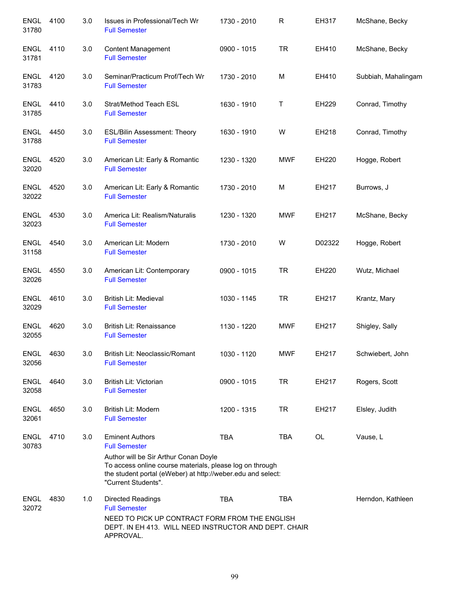| <b>ENGL</b><br>31780 | 4100 | 3.0 | Issues in Professional/Tech Wr<br><b>Full Semester</b>                                                                                                                                                                                    | 1730 - 2010 | R          | EH317  | McShane, Becky      |
|----------------------|------|-----|-------------------------------------------------------------------------------------------------------------------------------------------------------------------------------------------------------------------------------------------|-------------|------------|--------|---------------------|
| <b>ENGL</b><br>31781 | 4110 | 3.0 | <b>Content Management</b><br><b>Full Semester</b>                                                                                                                                                                                         | 0900 - 1015 | <b>TR</b>  | EH410  | McShane, Becky      |
| <b>ENGL</b><br>31783 | 4120 | 3.0 | Seminar/Practicum Prof/Tech Wr<br><b>Full Semester</b>                                                                                                                                                                                    | 1730 - 2010 | M          | EH410  | Subbiah, Mahalingam |
| <b>ENGL</b><br>31785 | 4410 | 3.0 | Strat/Method Teach ESL<br><b>Full Semester</b>                                                                                                                                                                                            | 1630 - 1910 | Τ          | EH229  | Conrad, Timothy     |
| <b>ENGL</b><br>31788 | 4450 | 3.0 | ESL/Bilin Assessment: Theory<br><b>Full Semester</b>                                                                                                                                                                                      | 1630 - 1910 | W          | EH218  | Conrad, Timothy     |
| <b>ENGL</b><br>32020 | 4520 | 3.0 | American Lit: Early & Romantic<br><b>Full Semester</b>                                                                                                                                                                                    | 1230 - 1320 | <b>MWF</b> | EH220  | Hogge, Robert       |
| <b>ENGL</b><br>32022 | 4520 | 3.0 | American Lit: Early & Romantic<br><b>Full Semester</b>                                                                                                                                                                                    | 1730 - 2010 | M          | EH217  | Burrows, J          |
| <b>ENGL</b><br>32023 | 4530 | 3.0 | America Lit: Realism/Naturalis<br><b>Full Semester</b>                                                                                                                                                                                    | 1230 - 1320 | <b>MWF</b> | EH217  | McShane, Becky      |
| <b>ENGL</b><br>31158 | 4540 | 3.0 | American Lit: Modern<br><b>Full Semester</b>                                                                                                                                                                                              | 1730 - 2010 | W          | D02322 | Hogge, Robert       |
| <b>ENGL</b><br>32026 | 4550 | 3.0 | American Lit: Contemporary<br><b>Full Semester</b>                                                                                                                                                                                        | 0900 - 1015 | <b>TR</b>  | EH220  | Wutz, Michael       |
| <b>ENGL</b><br>32029 | 4610 | 3.0 | British Lit: Medieval<br><b>Full Semester</b>                                                                                                                                                                                             | 1030 - 1145 | <b>TR</b>  | EH217  | Krantz, Mary        |
| <b>ENGL</b><br>32055 | 4620 | 3.0 | British Lit: Renaissance<br><b>Full Semester</b>                                                                                                                                                                                          | 1130 - 1220 | <b>MWF</b> | EH217  | Shigley, Sally      |
| ENGL<br>32056        | 4630 | 3.0 | British Lit: Neoclassic/Romant<br><b>Full Semester</b>                                                                                                                                                                                    | 1030 - 1120 | <b>MWF</b> | EH217  | Schwiebert, John    |
| <b>ENGL</b><br>32058 | 4640 | 3.0 | <b>British Lit: Victorian</b><br><b>Full Semester</b>                                                                                                                                                                                     | 0900 - 1015 | <b>TR</b>  | EH217  | Rogers, Scott       |
| <b>ENGL</b><br>32061 | 4650 | 3.0 | British Lit: Modern<br><b>Full Semester</b>                                                                                                                                                                                               | 1200 - 1315 | <b>TR</b>  | EH217  | Elsley, Judith      |
| <b>ENGL</b><br>30783 | 4710 | 3.0 | <b>Eminent Authors</b><br><b>Full Semester</b><br>Author will be Sir Arthur Conan Doyle<br>To access online course materials, please log on through<br>the student portal (eWeber) at http://weber.edu and select:<br>"Current Students". | <b>TBA</b>  | <b>TBA</b> | OL     | Vause, L            |
| <b>ENGL</b><br>32072 | 4830 | 1.0 | <b>Directed Readings</b><br><b>Full Semester</b><br>NEED TO PICK UP CONTRACT FORM FROM THE ENGLISH<br>DEPT. IN EH 413. WILL NEED INSTRUCTOR AND DEPT. CHAIR<br>APPROVAL.                                                                  | <b>TBA</b>  | <b>TBA</b> |        | Herndon, Kathleen   |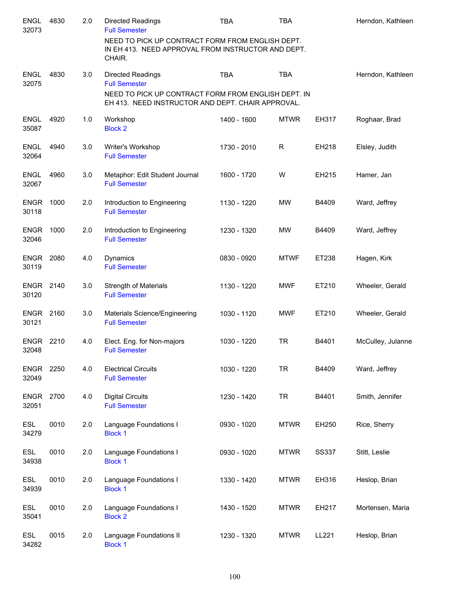| <b>ENGL</b><br>32073 | 4830 | 2.0 | Directed Readings<br><b>Full Semester</b>                                                                        | <b>TBA</b>  | <b>TBA</b>  |              | Herndon, Kathleen |
|----------------------|------|-----|------------------------------------------------------------------------------------------------------------------|-------------|-------------|--------------|-------------------|
|                      |      |     | NEED TO PICK UP CONTRACT FORM FROM ENGLISH DEPT.<br>IN EH 413. NEED APPROVAL FROM INSTRUCTOR AND DEPT.<br>CHAIR. |             |             |              |                   |
| <b>ENGL</b><br>32075 | 4830 | 3.0 | Directed Readings<br><b>Full Semester</b>                                                                        | <b>TBA</b>  | <b>TBA</b>  |              | Herndon, Kathleen |
|                      |      |     | NEED TO PICK UP CONTRACT FORM FROM ENGLISH DEPT. IN<br>EH 413. NEED INSTRUCTOR AND DEPT. CHAIR APPROVAL.         |             |             |              |                   |
| <b>ENGL</b><br>35087 | 4920 | 1.0 | Workshop<br><b>Block 2</b>                                                                                       | 1400 - 1600 | <b>MTWR</b> | EH317        | Roghaar, Brad     |
| <b>ENGL</b><br>32064 | 4940 | 3.0 | Writer's Workshop<br><b>Full Semester</b>                                                                        | 1730 - 2010 | R           | EH218        | Elsley, Judith    |
| <b>ENGL</b><br>32067 | 4960 | 3.0 | Metaphor: Edit Student Journal<br><b>Full Semester</b>                                                           | 1600 - 1720 | W           | EH215        | Hamer, Jan        |
| <b>ENGR</b><br>30118 | 1000 | 2.0 | Introduction to Engineering<br><b>Full Semester</b>                                                              | 1130 - 1220 | <b>MW</b>   | B4409        | Ward, Jeffrey     |
| <b>ENGR</b><br>32046 | 1000 | 2.0 | Introduction to Engineering<br><b>Full Semester</b>                                                              | 1230 - 1320 | <b>MW</b>   | B4409        | Ward, Jeffrey     |
| <b>ENGR</b><br>30119 | 2080 | 4.0 | Dynamics<br><b>Full Semester</b>                                                                                 | 0830 - 0920 | <b>MTWF</b> | ET238        | Hagen, Kirk       |
| <b>ENGR</b><br>30120 | 2140 | 3.0 | <b>Strength of Materials</b><br><b>Full Semester</b>                                                             | 1130 - 1220 | <b>MWF</b>  | ET210        | Wheeler, Gerald   |
| <b>ENGR</b><br>30121 | 2160 | 3.0 | Materials Science/Engineering<br><b>Full Semester</b>                                                            | 1030 - 1120 | <b>MWF</b>  | ET210        | Wheeler, Gerald   |
| <b>ENGR</b><br>32048 | 2210 | 4.0 | Elect. Eng. for Non-majors<br><b>Full Semester</b>                                                               | 1030 - 1220 | <b>TR</b>   | B4401        | McCulley, Julanne |
| <b>ENGR</b><br>32049 | 2250 | 4.0 | <b>Electrical Circuits</b><br><b>Full Semester</b>                                                               | 1030 - 1220 | <b>TR</b>   | B4409        | Ward, Jeffrey     |
| <b>ENGR</b><br>32051 | 2700 | 4.0 | <b>Digital Circuits</b><br><b>Full Semester</b>                                                                  | 1230 - 1420 | <b>TR</b>   | B4401        | Smith, Jennifer   |
| ESL<br>34279         | 0010 | 2.0 | Language Foundations I<br><b>Block 1</b>                                                                         | 0930 - 1020 | <b>MTWR</b> | EH250        | Rice, Sherry      |
| <b>ESL</b><br>34938  | 0010 | 2.0 | Language Foundations I<br><b>Block 1</b>                                                                         | 0930 - 1020 | <b>MTWR</b> | <b>SS337</b> | Stitt, Leslie     |
| <b>ESL</b><br>34939  | 0010 | 2.0 | Language Foundations I<br><b>Block 1</b>                                                                         | 1330 - 1420 | <b>MTWR</b> | EH316        | Heslop, Brian     |
| <b>ESL</b><br>35041  | 0010 | 2.0 | Language Foundations I<br><b>Block 2</b>                                                                         | 1430 - 1520 | <b>MTWR</b> | EH217        | Mortensen, Maria  |
| ESL<br>34282         | 0015 | 2.0 | Language Foundations II<br><b>Block 1</b>                                                                        | 1230 - 1320 | <b>MTWR</b> | LL221        | Heslop, Brian     |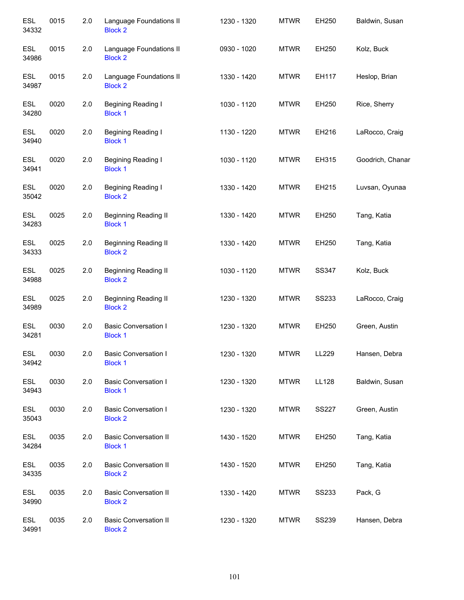| <b>ESL</b><br>34332 | 0015 | 2.0 | Language Foundations II<br><b>Block 2</b>      | 1230 - 1320 | <b>MTWR</b> | EH250        | Baldwin, Susan   |
|---------------------|------|-----|------------------------------------------------|-------------|-------------|--------------|------------------|
| <b>ESL</b><br>34986 | 0015 | 2.0 | Language Foundations II<br><b>Block 2</b>      | 0930 - 1020 | <b>MTWR</b> | EH250        | Kolz, Buck       |
| <b>ESL</b><br>34987 | 0015 | 2.0 | Language Foundations II<br><b>Block 2</b>      | 1330 - 1420 | <b>MTWR</b> | EH117        | Heslop, Brian    |
| <b>ESL</b><br>34280 | 0020 | 2.0 | Begining Reading I<br><b>Block 1</b>           | 1030 - 1120 | <b>MTWR</b> | EH250        | Rice, Sherry     |
| <b>ESL</b><br>34940 | 0020 | 2.0 | Begining Reading I<br><b>Block 1</b>           | 1130 - 1220 | <b>MTWR</b> | EH216        | LaRocco, Craig   |
| <b>ESL</b><br>34941 | 0020 | 2.0 | Begining Reading I<br><b>Block 1</b>           | 1030 - 1120 | <b>MTWR</b> | EH315        | Goodrich, Chanar |
| <b>ESL</b><br>35042 | 0020 | 2.0 | Begining Reading I<br><b>Block 2</b>           | 1330 - 1420 | <b>MTWR</b> | EH215        | Luvsan, Oyunaa   |
| <b>ESL</b><br>34283 | 0025 | 2.0 | <b>Beginning Reading II</b><br><b>Block 1</b>  | 1330 - 1420 | <b>MTWR</b> | EH250        | Tang, Katia      |
| <b>ESL</b><br>34333 | 0025 | 2.0 | <b>Beginning Reading II</b><br><b>Block 2</b>  | 1330 - 1420 | <b>MTWR</b> | EH250        | Tang, Katia      |
| <b>ESL</b><br>34988 | 0025 | 2.0 | <b>Beginning Reading II</b><br><b>Block 2</b>  | 1030 - 1120 | <b>MTWR</b> | SS347        | Kolz, Buck       |
| <b>ESL</b><br>34989 | 0025 | 2.0 | <b>Beginning Reading II</b><br><b>Block 2</b>  | 1230 - 1320 | <b>MTWR</b> | <b>SS233</b> | LaRocco, Craig   |
| <b>ESL</b><br>34281 | 0030 | 2.0 | <b>Basic Conversation I</b><br><b>Block 1</b>  | 1230 - 1320 | <b>MTWR</b> | EH250        | Green, Austin    |
| <b>ESL</b><br>34942 | 0030 | 2.0 | <b>Basic Conversation I</b><br><b>Block 1</b>  | 1230 - 1320 | <b>MTWR</b> | LL229        | Hansen, Debra    |
| <b>ESL</b><br>34943 | 0030 | 2.0 | <b>Basic Conversation I</b><br><b>Block 1</b>  | 1230 - 1320 | <b>MTWR</b> | LL128        | Baldwin, Susan   |
| <b>ESL</b><br>35043 | 0030 | 2.0 | <b>Basic Conversation I</b><br><b>Block 2</b>  | 1230 - 1320 | <b>MTWR</b> | <b>SS227</b> | Green, Austin    |
| <b>ESL</b><br>34284 | 0035 | 2.0 | <b>Basic Conversation II</b><br><b>Block 1</b> | 1430 - 1520 | <b>MTWR</b> | EH250        | Tang, Katia      |
| <b>ESL</b><br>34335 | 0035 | 2.0 | <b>Basic Conversation II</b><br><b>Block 2</b> | 1430 - 1520 | <b>MTWR</b> | EH250        | Tang, Katia      |
| <b>ESL</b><br>34990 | 0035 | 2.0 | <b>Basic Conversation II</b><br><b>Block 2</b> | 1330 - 1420 | <b>MTWR</b> | <b>SS233</b> | Pack, G          |
| ESL<br>34991        | 0035 | 2.0 | <b>Basic Conversation II</b><br><b>Block 2</b> | 1230 - 1320 | <b>MTWR</b> | <b>SS239</b> | Hansen, Debra    |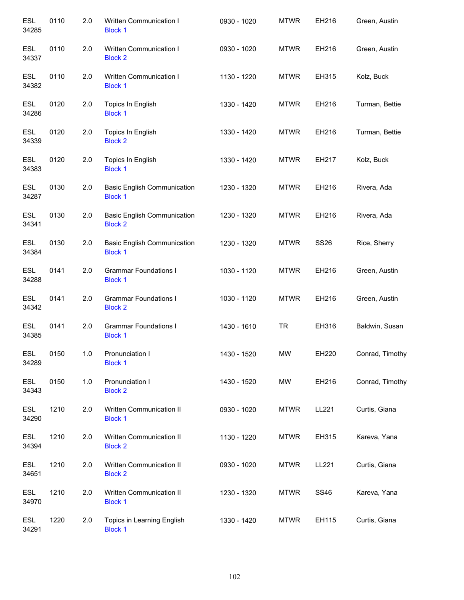| <b>ESL</b><br>34285 | 0110 | 2.0 | Written Communication I<br><b>Block 1</b>            | 0930 - 1020 | <b>MTWR</b> | EH216       | Green, Austin   |
|---------------------|------|-----|------------------------------------------------------|-------------|-------------|-------------|-----------------|
| <b>ESL</b><br>34337 | 0110 | 2.0 | Written Communication I<br><b>Block 2</b>            | 0930 - 1020 | <b>MTWR</b> | EH216       | Green, Austin   |
| <b>ESL</b><br>34382 | 0110 | 2.0 | Written Communication I<br><b>Block 1</b>            | 1130 - 1220 | <b>MTWR</b> | EH315       | Kolz, Buck      |
| <b>ESL</b><br>34286 | 0120 | 2.0 | Topics In English<br><b>Block 1</b>                  | 1330 - 1420 | <b>MTWR</b> | EH216       | Turman, Bettie  |
| <b>ESL</b><br>34339 | 0120 | 2.0 | Topics In English<br><b>Block 2</b>                  | 1330 - 1420 | <b>MTWR</b> | EH216       | Turman, Bettie  |
| <b>ESL</b><br>34383 | 0120 | 2.0 | Topics In English<br><b>Block 1</b>                  | 1330 - 1420 | <b>MTWR</b> | EH217       | Kolz, Buck      |
| <b>ESL</b><br>34287 | 0130 | 2.0 | <b>Basic English Communication</b><br><b>Block 1</b> | 1230 - 1320 | <b>MTWR</b> | EH216       | Rivera, Ada     |
| <b>ESL</b><br>34341 | 0130 | 2.0 | <b>Basic English Communication</b><br><b>Block 2</b> | 1230 - 1320 | <b>MTWR</b> | EH216       | Rivera, Ada     |
| <b>ESL</b><br>34384 | 0130 | 2.0 | <b>Basic English Communication</b><br><b>Block 1</b> | 1230 - 1320 | <b>MTWR</b> | <b>SS26</b> | Rice, Sherry    |
| <b>ESL</b><br>34288 | 0141 | 2.0 | <b>Grammar Foundations I</b><br><b>Block 1</b>       | 1030 - 1120 | <b>MTWR</b> | EH216       | Green, Austin   |
| <b>ESL</b><br>34342 | 0141 | 2.0 | <b>Grammar Foundations I</b><br><b>Block 2</b>       | 1030 - 1120 | <b>MTWR</b> | EH216       | Green, Austin   |
| <b>ESL</b><br>34385 | 0141 | 2.0 | <b>Grammar Foundations I</b><br><b>Block 1</b>       | 1430 - 1610 | <b>TR</b>   | EH316       | Baldwin, Susan  |
| <b>ESL</b><br>34289 | 0150 | 1.0 | Pronunciation I<br><b>Block 1</b>                    | 1430 - 1520 | <b>MW</b>   | EH220       | Conrad, Timothy |
| ESL<br>34343        | 0150 | 1.0 | Pronunciation I<br><b>Block 2</b>                    | 1430 - 1520 | <b>MW</b>   | EH216       | Conrad, Timothy |
| ESL<br>34290        | 1210 | 2.0 | Written Communication II<br><b>Block 1</b>           | 0930 - 1020 | <b>MTWR</b> | LL221       | Curtis, Giana   |
| <b>ESL</b><br>34394 | 1210 | 2.0 | Written Communication II<br><b>Block 2</b>           | 1130 - 1220 | <b>MTWR</b> | EH315       | Kareva, Yana    |
| ESL<br>34651        | 1210 | 2.0 | Written Communication II<br><b>Block 2</b>           | 0930 - 1020 | <b>MTWR</b> | LL221       | Curtis, Giana   |
| ESL<br>34970        | 1210 | 2.0 | Written Communication II<br><b>Block 1</b>           | 1230 - 1320 | <b>MTWR</b> | <b>SS46</b> | Kareva, Yana    |
| ESL<br>34291        | 1220 | 2.0 | Topics in Learning English<br><b>Block 1</b>         | 1330 - 1420 | <b>MTWR</b> | EH115       | Curtis, Giana   |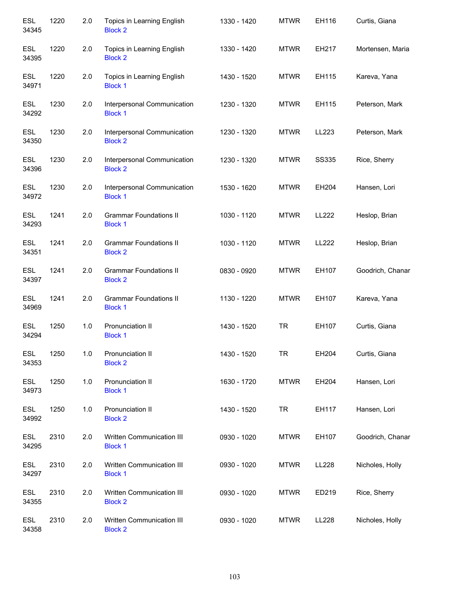| <b>ESL</b><br>34345 | 1220 | 2.0 | Topics in Learning English<br><b>Block 2</b>    | 1330 - 1420 | <b>MTWR</b> | EH116        | Curtis, Giana    |
|---------------------|------|-----|-------------------------------------------------|-------------|-------------|--------------|------------------|
| <b>ESL</b><br>34395 | 1220 | 2.0 | Topics in Learning English<br><b>Block 2</b>    | 1330 - 1420 | <b>MTWR</b> | EH217        | Mortensen, Maria |
| <b>ESL</b><br>34971 | 1220 | 2.0 | Topics in Learning English<br><b>Block 1</b>    | 1430 - 1520 | <b>MTWR</b> | EH115        | Kareva, Yana     |
| <b>ESL</b><br>34292 | 1230 | 2.0 | Interpersonal Communication<br><b>Block 1</b>   | 1230 - 1320 | <b>MTWR</b> | EH115        | Peterson, Mark   |
| <b>ESL</b><br>34350 | 1230 | 2.0 | Interpersonal Communication<br><b>Block 2</b>   | 1230 - 1320 | <b>MTWR</b> | LL223        | Peterson, Mark   |
| <b>ESL</b><br>34396 | 1230 | 2.0 | Interpersonal Communication<br><b>Block 2</b>   | 1230 - 1320 | <b>MTWR</b> | <b>SS335</b> | Rice, Sherry     |
| <b>ESL</b><br>34972 | 1230 | 2.0 | Interpersonal Communication<br><b>Block 1</b>   | 1530 - 1620 | <b>MTWR</b> | EH204        | Hansen, Lori     |
| <b>ESL</b><br>34293 | 1241 | 2.0 | <b>Grammar Foundations II</b><br><b>Block 1</b> | 1030 - 1120 | <b>MTWR</b> | LL222        | Heslop, Brian    |
| <b>ESL</b><br>34351 | 1241 | 2.0 | <b>Grammar Foundations II</b><br><b>Block 2</b> | 1030 - 1120 | <b>MTWR</b> | <b>LL222</b> | Heslop, Brian    |
| <b>ESL</b><br>34397 | 1241 | 2.0 | <b>Grammar Foundations II</b><br><b>Block 2</b> | 0830 - 0920 | <b>MTWR</b> | EH107        | Goodrich, Chanar |
| <b>ESL</b><br>34969 | 1241 | 2.0 | <b>Grammar Foundations II</b><br><b>Block 1</b> | 1130 - 1220 | <b>MTWR</b> | EH107        | Kareva, Yana     |
| <b>ESL</b><br>34294 | 1250 | 1.0 | Pronunciation II<br><b>Block 1</b>              | 1430 - 1520 | <b>TR</b>   | EH107        | Curtis, Giana    |
| <b>ESL</b><br>34353 | 1250 | 1.0 | Pronunciation II<br><b>Block 2</b>              | 1430 - 1520 | <b>TR</b>   | EH204        | Curtis, Giana    |
| <b>ESL</b><br>34973 | 1250 | 1.0 | Pronunciation II<br><b>Block 1</b>              | 1630 - 1720 | <b>MTWR</b> | EH204        | Hansen, Lori     |
| <b>ESL</b><br>34992 | 1250 | 1.0 | Pronunciation II<br><b>Block 2</b>              | 1430 - 1520 | <b>TR</b>   | EH117        | Hansen, Lori     |
| <b>ESL</b><br>34295 | 2310 | 2.0 | Written Communication III<br><b>Block 1</b>     | 0930 - 1020 | <b>MTWR</b> | EH107        | Goodrich, Chanar |
| <b>ESL</b><br>34297 | 2310 | 2.0 | Written Communication III<br><b>Block 1</b>     | 0930 - 1020 | <b>MTWR</b> | LL228        | Nicholes, Holly  |
| <b>ESL</b><br>34355 | 2310 | 2.0 | Written Communication III<br><b>Block 2</b>     | 0930 - 1020 | <b>MTWR</b> | ED219        | Rice, Sherry     |
| ESL<br>34358        | 2310 | 2.0 | Written Communication III<br><b>Block 2</b>     | 0930 - 1020 | <b>MTWR</b> | LL228        | Nicholes, Holly  |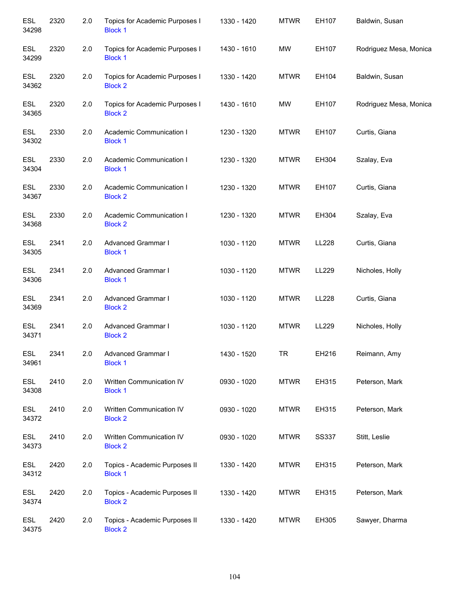| <b>ESL</b><br>34298 | 2320 | 2.0 | Topics for Academic Purposes I<br><b>Block 1</b> | 1330 - 1420 | <b>MTWR</b> | EH107        | Baldwin, Susan         |
|---------------------|------|-----|--------------------------------------------------|-------------|-------------|--------------|------------------------|
| <b>ESL</b><br>34299 | 2320 | 2.0 | Topics for Academic Purposes I<br><b>Block 1</b> | 1430 - 1610 | <b>MW</b>   | EH107        | Rodriguez Mesa, Monica |
| <b>ESL</b><br>34362 | 2320 | 2.0 | Topics for Academic Purposes I<br><b>Block 2</b> | 1330 - 1420 | <b>MTWR</b> | EH104        | Baldwin, Susan         |
| <b>ESL</b><br>34365 | 2320 | 2.0 | Topics for Academic Purposes I<br><b>Block 2</b> | 1430 - 1610 | <b>MW</b>   | EH107        | Rodriguez Mesa, Monica |
| <b>ESL</b><br>34302 | 2330 | 2.0 | Academic Communication I<br><b>Block 1</b>       | 1230 - 1320 | <b>MTWR</b> | EH107        | Curtis, Giana          |
| <b>ESL</b><br>34304 | 2330 | 2.0 | Academic Communication I<br><b>Block 1</b>       | 1230 - 1320 | <b>MTWR</b> | EH304        | Szalay, Eva            |
| <b>ESL</b><br>34367 | 2330 | 2.0 | Academic Communication I<br><b>Block 2</b>       | 1230 - 1320 | <b>MTWR</b> | EH107        | Curtis, Giana          |
| <b>ESL</b><br>34368 | 2330 | 2.0 | Academic Communication I<br><b>Block 2</b>       | 1230 - 1320 | <b>MTWR</b> | EH304        | Szalay, Eva            |
| <b>ESL</b><br>34305 | 2341 | 2.0 | Advanced Grammar I<br><b>Block 1</b>             | 1030 - 1120 | <b>MTWR</b> | LL228        | Curtis, Giana          |
| <b>ESL</b><br>34306 | 2341 | 2.0 | Advanced Grammar I<br><b>Block 1</b>             | 1030 - 1120 | <b>MTWR</b> | LL229        | Nicholes, Holly        |
| <b>ESL</b><br>34369 | 2341 | 2.0 | Advanced Grammar I<br><b>Block 2</b>             | 1030 - 1120 | <b>MTWR</b> | LL228        | Curtis, Giana          |
| <b>ESL</b><br>34371 | 2341 | 2.0 | Advanced Grammar I<br><b>Block 2</b>             | 1030 - 1120 | <b>MTWR</b> | LL229        | Nicholes, Holly        |
| <b>ESL</b><br>34961 | 2341 | 2.0 | Advanced Grammar I<br><b>Block 1</b>             | 1430 - 1520 | TR          | EH216        | Reimann, Amy           |
| <b>ESL</b><br>34308 | 2410 | 2.0 | Written Communication IV<br><b>Block 1</b>       | 0930 - 1020 | <b>MTWR</b> | EH315        | Peterson, Mark         |
| <b>ESL</b><br>34372 | 2410 | 2.0 | Written Communication IV<br><b>Block 2</b>       | 0930 - 1020 | <b>MTWR</b> | EH315        | Peterson, Mark         |
| <b>ESL</b><br>34373 | 2410 | 2.0 | Written Communication IV<br><b>Block 2</b>       | 0930 - 1020 | <b>MTWR</b> | <b>SS337</b> | Stitt, Leslie          |
| <b>ESL</b><br>34312 | 2420 | 2.0 | Topics - Academic Purposes II<br><b>Block 1</b>  | 1330 - 1420 | <b>MTWR</b> | EH315        | Peterson, Mark         |
| <b>ESL</b><br>34374 | 2420 | 2.0 | Topics - Academic Purposes II<br><b>Block 2</b>  | 1330 - 1420 | <b>MTWR</b> | EH315        | Peterson, Mark         |
| ESL<br>34375        | 2420 | 2.0 | Topics - Academic Purposes II<br><b>Block 2</b>  | 1330 - 1420 | <b>MTWR</b> | EH305        | Sawyer, Dharma         |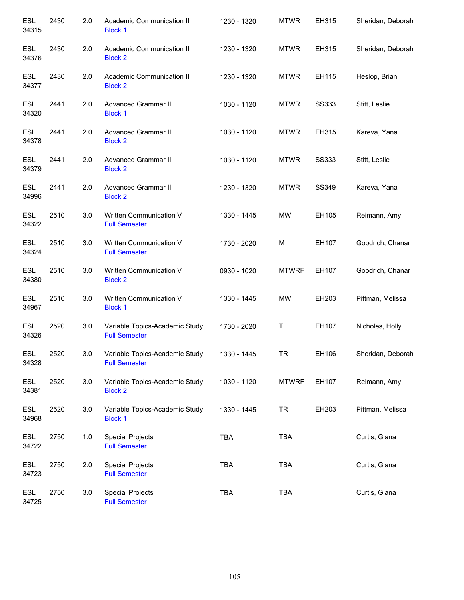| <b>ESL</b><br>34315 | 2430 | 2.0   | Academic Communication II<br><b>Block 1</b>            | 1230 - 1320 | <b>MTWR</b>  | EH315        | Sheridan, Deborah |
|---------------------|------|-------|--------------------------------------------------------|-------------|--------------|--------------|-------------------|
| <b>ESL</b><br>34376 | 2430 | 2.0   | Academic Communication II<br><b>Block 2</b>            | 1230 - 1320 | <b>MTWR</b>  | EH315        | Sheridan, Deborah |
| <b>ESL</b><br>34377 | 2430 | 2.0   | Academic Communication II<br><b>Block 2</b>            | 1230 - 1320 | <b>MTWR</b>  | EH115        | Heslop, Brian     |
| ESL<br>34320        | 2441 | 2.0   | <b>Advanced Grammar II</b><br><b>Block 1</b>           | 1030 - 1120 | <b>MTWR</b>  | <b>SS333</b> | Stitt, Leslie     |
| ESL<br>34378        | 2441 | 2.0   | <b>Advanced Grammar II</b><br><b>Block 2</b>           | 1030 - 1120 | <b>MTWR</b>  | EH315        | Kareva, Yana      |
| ESL<br>34379        | 2441 | 2.0   | <b>Advanced Grammar II</b><br><b>Block 2</b>           | 1030 - 1120 | <b>MTWR</b>  | <b>SS333</b> | Stitt, Leslie     |
| ESL<br>34996        | 2441 | 2.0   | <b>Advanced Grammar II</b><br><b>Block 2</b>           | 1230 - 1320 | <b>MTWR</b>  | SS349        | Kareva, Yana      |
| ESL<br>34322        | 2510 | 3.0   | Written Communication V<br><b>Full Semester</b>        | 1330 - 1445 | <b>MW</b>    | EH105        | Reimann, Amy      |
| ESL<br>34324        | 2510 | 3.0   | Written Communication V<br><b>Full Semester</b>        | 1730 - 2020 | M            | EH107        | Goodrich, Chanar  |
| <b>ESL</b><br>34380 | 2510 | 3.0   | Written Communication V<br><b>Block 2</b>              | 0930 - 1020 | <b>MTWRF</b> | EH107        | Goodrich, Chanar  |
| <b>ESL</b><br>34967 | 2510 | 3.0   | Written Communication V<br><b>Block 1</b>              | 1330 - 1445 | MW           | EH203        | Pittman, Melissa  |
| <b>ESL</b><br>34326 | 2520 | 3.0   | Variable Topics-Academic Study<br><b>Full Semester</b> | 1730 - 2020 | Τ            | EH107        | Nicholes, Holly   |
| <b>ESL</b><br>34328 | 2520 | 3.0   | Variable Topics-Academic Study<br><b>Full Semester</b> | 1330 - 1445 | TR           | EH106        | Sheridan, Deborah |
| ESL<br>34381        | 2520 | 3.0   | Variable Topics-Academic Study<br><b>Block 2</b>       | 1030 - 1120 | <b>MTWRF</b> | EH107        | Reimann, Amy      |
| ESL<br>34968        | 2520 | 3.0   | Variable Topics-Academic Study<br><b>Block 1</b>       | 1330 - 1445 | <b>TR</b>    | EH203        | Pittman, Melissa  |
| ESL<br>34722        | 2750 | $1.0$ | <b>Special Projects</b><br><b>Full Semester</b>        | <b>TBA</b>  | <b>TBA</b>   |              | Curtis, Giana     |
| ESL<br>34723        | 2750 | 2.0   | <b>Special Projects</b><br><b>Full Semester</b>        | <b>TBA</b>  | TBA          |              | Curtis, Giana     |
| ESL<br>34725        | 2750 | 3.0   | <b>Special Projects</b><br><b>Full Semester</b>        | <b>TBA</b>  | TBA          |              | Curtis, Giana     |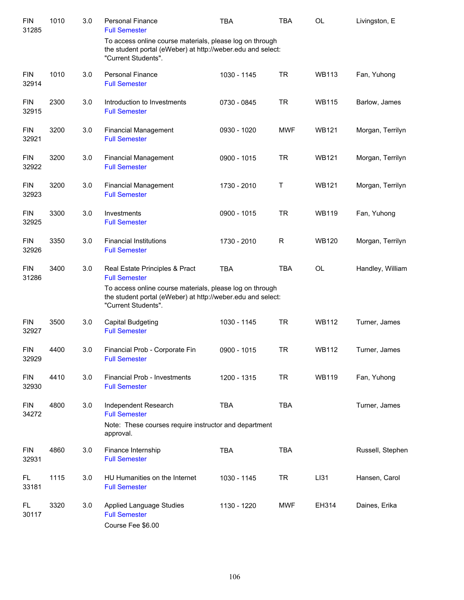| <b>FIN</b><br>31285 | 1010 | 3.0 | <b>Personal Finance</b><br><b>Full Semester</b>                                                                                                | <b>TBA</b>  | <b>TBA</b> | <b>OL</b>    | Livingston, E    |
|---------------------|------|-----|------------------------------------------------------------------------------------------------------------------------------------------------|-------------|------------|--------------|------------------|
|                     |      |     | To access online course materials, please log on through<br>the student portal (eWeber) at http://weber.edu and select:<br>"Current Students". |             |            |              |                  |
| <b>FIN</b><br>32914 | 1010 | 3.0 | <b>Personal Finance</b><br><b>Full Semester</b>                                                                                                | 1030 - 1145 | <b>TR</b>  | <b>WB113</b> | Fan, Yuhong      |
| <b>FIN</b><br>32915 | 2300 | 3.0 | Introduction to Investments<br><b>Full Semester</b>                                                                                            | 0730 - 0845 | <b>TR</b>  | <b>WB115</b> | Barlow, James    |
| <b>FIN</b><br>32921 | 3200 | 3.0 | <b>Financial Management</b><br><b>Full Semester</b>                                                                                            | 0930 - 1020 | <b>MWF</b> | <b>WB121</b> | Morgan, Terrilyn |
| <b>FIN</b><br>32922 | 3200 | 3.0 | <b>Financial Management</b><br><b>Full Semester</b>                                                                                            | 0900 - 1015 | <b>TR</b>  | <b>WB121</b> | Morgan, Terrilyn |
| <b>FIN</b><br>32923 | 3200 | 3.0 | <b>Financial Management</b><br><b>Full Semester</b>                                                                                            | 1730 - 2010 | Τ          | <b>WB121</b> | Morgan, Terrilyn |
| <b>FIN</b><br>32925 | 3300 | 3.0 | Investments<br><b>Full Semester</b>                                                                                                            | 0900 - 1015 | <b>TR</b>  | <b>WB119</b> | Fan, Yuhong      |
| <b>FIN</b><br>32926 | 3350 | 3.0 | <b>Financial Institutions</b><br><b>Full Semester</b>                                                                                          | 1730 - 2010 | R          | <b>WB120</b> | Morgan, Terrilyn |
| <b>FIN</b><br>31286 | 3400 | 3.0 | Real Estate Principles & Pract<br><b>Full Semester</b>                                                                                         | <b>TBA</b>  | <b>TBA</b> | <b>OL</b>    | Handley, William |
|                     |      |     | To access online course materials, please log on through<br>the student portal (eWeber) at http://weber.edu and select:<br>"Current Students". |             |            |              |                  |
| <b>FIN</b><br>32927 | 3500 | 3.0 | Capital Budgeting<br><b>Full Semester</b>                                                                                                      | 1030 - 1145 | <b>TR</b>  | <b>WB112</b> | Turner, James    |
| <b>FIN</b><br>32929 | 4400 | 3.0 | Financial Prob - Corporate Fin<br><b>Full Semester</b>                                                                                         | 0900 - 1015 | <b>TR</b>  | <b>WB112</b> | Turner, James    |
| <b>FIN</b><br>32930 | 4410 | 3.0 | Financial Prob - Investments<br><b>Full Semester</b>                                                                                           | 1200 - 1315 | <b>TR</b>  | <b>WB119</b> | Fan, Yuhong      |
| <b>FIN</b><br>34272 | 4800 | 3.0 | Independent Research<br><b>Full Semester</b><br>Note: These courses require instructor and department<br>approval.                             | <b>TBA</b>  | <b>TBA</b> |              | Turner, James    |
| <b>FIN</b><br>32931 | 4860 | 3.0 | Finance Internship<br><b>Full Semester</b>                                                                                                     | <b>TBA</b>  | <b>TBA</b> |              | Russell, Stephen |
| FL<br>33181         | 1115 | 3.0 | HU Humanities on the Internet<br><b>Full Semester</b>                                                                                          | 1030 - 1145 | <b>TR</b>  | LI31         | Hansen, Carol    |
| FL<br>30117         | 3320 | 3.0 | Applied Language Studies<br><b>Full Semester</b><br>Course Fee \$6.00                                                                          | 1130 - 1220 | <b>MWF</b> | EH314        | Daines, Erika    |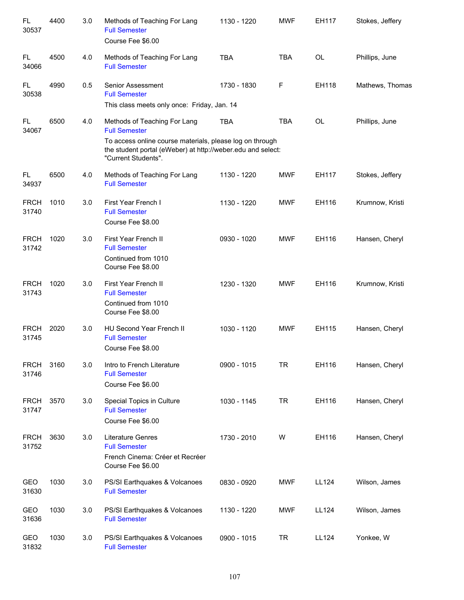| FL<br>30537          | 4400 | 3.0 | Methods of Teaching For Lang<br><b>Full Semester</b><br>Course Fee \$6.00                                                                      | 1130 - 1220 | <b>MWF</b> | EH117        | Stokes, Jeffery |
|----------------------|------|-----|------------------------------------------------------------------------------------------------------------------------------------------------|-------------|------------|--------------|-----------------|
| FL.<br>34066         | 4500 | 4.0 | Methods of Teaching For Lang<br><b>Full Semester</b>                                                                                           | <b>TBA</b>  | <b>TBA</b> | <b>OL</b>    | Phillips, June  |
| FL.<br>30538         | 4990 | 0.5 | Senior Assessment<br><b>Full Semester</b>                                                                                                      | 1730 - 1830 | F          | EH118        | Mathews, Thomas |
|                      |      |     | This class meets only once: Friday, Jan. 14                                                                                                    |             |            |              |                 |
| FL<br>34067          | 6500 | 4.0 | Methods of Teaching For Lang<br><b>Full Semester</b>                                                                                           | <b>TBA</b>  | <b>TBA</b> | <b>OL</b>    | Phillips, June  |
|                      |      |     | To access online course materials, please log on through<br>the student portal (eWeber) at http://weber.edu and select:<br>"Current Students". |             |            |              |                 |
| FL.<br>34937         | 6500 | 4.0 | Methods of Teaching For Lang<br><b>Full Semester</b>                                                                                           | 1130 - 1220 | <b>MWF</b> | EH117        | Stokes, Jeffery |
| <b>FRCH</b><br>31740 | 1010 | 3.0 | First Year French I<br><b>Full Semester</b><br>Course Fee \$8.00                                                                               | 1130 - 1220 | <b>MWF</b> | EH116        | Krumnow, Kristi |
| <b>FRCH</b><br>31742 | 1020 | 3.0 | First Year French II<br><b>Full Semester</b><br>Continued from 1010<br>Course Fee \$8.00                                                       | 0930 - 1020 | <b>MWF</b> | EH116        | Hansen, Cheryl  |
| <b>FRCH</b><br>31743 | 1020 | 3.0 | First Year French II<br><b>Full Semester</b><br>Continued from 1010<br>Course Fee \$8.00                                                       | 1230 - 1320 | <b>MWF</b> | EH116        | Krumnow, Kristi |
| <b>FRCH</b><br>31745 | 2020 | 3.0 | HU Second Year French II<br><b>Full Semester</b><br>Course Fee \$8.00                                                                          | 1030 - 1120 | <b>MWF</b> | EH115        | Hansen, Cheryl  |
| <b>FRCH</b><br>31746 | 3160 | 3.0 | Intro to French Literature<br><b>Full Semester</b><br>Course Fee \$6.00                                                                        | 0900 - 1015 | <b>TR</b>  | EH116        | Hansen, Cheryl  |
| <b>FRCH</b><br>31747 | 3570 | 3.0 | Special Topics in Culture<br><b>Full Semester</b><br>Course Fee \$6.00                                                                         | 1030 - 1145 | <b>TR</b>  | EH116        | Hansen, Cheryl  |
| <b>FRCH</b><br>31752 | 3630 | 3.0 | Literature Genres<br><b>Full Semester</b><br>French Cinema: Créer et Recréer<br>Course Fee \$6.00                                              | 1730 - 2010 | W          | EH116        | Hansen, Cheryl  |
| GEO<br>31630         | 1030 | 3.0 | PS/SI Earthquakes & Volcanoes<br><b>Full Semester</b>                                                                                          | 0830 - 0920 | MWF        | <b>LL124</b> | Wilson, James   |
| GEO<br>31636         | 1030 | 3.0 | PS/SI Earthquakes & Volcanoes<br><b>Full Semester</b>                                                                                          | 1130 - 1220 | <b>MWF</b> | LL124        | Wilson, James   |
| GEO<br>31832         | 1030 | 3.0 | PS/SI Earthquakes & Volcanoes<br><b>Full Semester</b>                                                                                          | 0900 - 1015 | <b>TR</b>  | <b>LL124</b> | Yonkee, W       |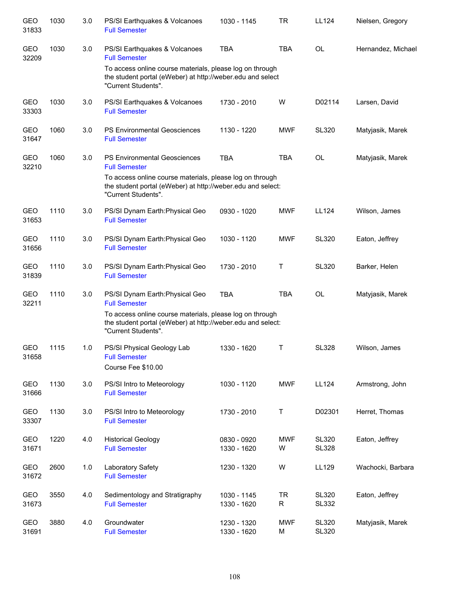| GEO<br>31833        | 1030 | 3.0 | PS/SI Earthquakes & Volcanoes<br><b>Full Semester</b>                                                                                          | 1030 - 1145                | TR              | LL124                        | Nielsen, Gregory   |
|---------------------|------|-----|------------------------------------------------------------------------------------------------------------------------------------------------|----------------------------|-----------------|------------------------------|--------------------|
| GEO<br>32209        | 1030 | 3.0 | PS/SI Earthquakes & Volcanoes<br><b>Full Semester</b>                                                                                          | <b>TBA</b>                 | <b>TBA</b>      | <b>OL</b>                    | Hernandez, Michael |
|                     |      |     | To access online course materials, please log on through<br>the student portal (eWeber) at http://weber.edu and select<br>"Current Students".  |                            |                 |                              |                    |
| GEO<br>33303        | 1030 | 3.0 | PS/SI Earthquakes & Volcanoes<br><b>Full Semester</b>                                                                                          | 1730 - 2010                | W               | D02114                       | Larsen, David      |
| GEO<br>31647        | 1060 | 3.0 | <b>PS Environmental Geosciences</b><br><b>Full Semester</b>                                                                                    | 1130 - 1220                | <b>MWF</b>      | <b>SL320</b>                 | Matyjasik, Marek   |
| GEO<br>32210        | 1060 | 3.0 | <b>PS Environmental Geosciences</b><br><b>Full Semester</b>                                                                                    | <b>TBA</b>                 | <b>TBA</b>      | <b>OL</b>                    | Matyjasik, Marek   |
|                     |      |     | To access online course materials, please log on through<br>the student portal (eWeber) at http://weber.edu and select:<br>"Current Students". |                            |                 |                              |                    |
| <b>GEO</b><br>31653 | 1110 | 3.0 | PS/SI Dynam Earth: Physical Geo<br><b>Full Semester</b>                                                                                        | 0930 - 1020                | <b>MWF</b>      | <b>LL124</b>                 | Wilson, James      |
| <b>GEO</b><br>31656 | 1110 | 3.0 | PS/SI Dynam Earth: Physical Geo<br><b>Full Semester</b>                                                                                        | 1030 - 1120                | <b>MWF</b>      | <b>SL320</b>                 | Eaton, Jeffrey     |
| GEO<br>31839        | 1110 | 3.0 | PS/SI Dynam Earth: Physical Geo<br><b>Full Semester</b>                                                                                        | 1730 - 2010                | Т               | <b>SL320</b>                 | Barker, Helen      |
| GEO<br>32211        | 1110 | 3.0 | PS/SI Dynam Earth: Physical Geo<br><b>Full Semester</b>                                                                                        | <b>TBA</b>                 | <b>TBA</b>      | <b>OL</b>                    | Matyjasik, Marek   |
|                     |      |     | To access online course materials, please log on through<br>the student portal (eWeber) at http://weber.edu and select:<br>"Current Students". |                            |                 |                              |                    |
| GEO<br>31658        | 1115 | 1.0 | PS/SI Physical Geology Lab<br><b>Full Semester</b><br>Course Fee \$10.00                                                                       | 1330 - 1620                | Т               | <b>SL328</b>                 | Wilson, James      |
| GEO<br>31666        | 1130 | 3.0 | PS/SI Intro to Meteorology<br><b>Full Semester</b>                                                                                             | 1030 - 1120                | <b>MWF</b>      | LL124                        | Armstrong, John    |
| GEO<br>33307        | 1130 | 3.0 | PS/SI Intro to Meteorology<br><b>Full Semester</b>                                                                                             | 1730 - 2010                | Τ               | D02301                       | Herret, Thomas     |
| <b>GEO</b><br>31671 | 1220 | 4.0 | <b>Historical Geology</b><br><b>Full Semester</b>                                                                                              | 0830 - 0920<br>1330 - 1620 | <b>MWF</b><br>W | <b>SL320</b><br><b>SL328</b> | Eaton, Jeffrey     |
| GEO<br>31672        | 2600 | 1.0 | Laboratory Safety<br><b>Full Semester</b>                                                                                                      | 1230 - 1320                | W               | LL129                        | Wachocki, Barbara  |
| GEO<br>31673        | 3550 | 4.0 | Sedimentology and Stratigraphy<br><b>Full Semester</b>                                                                                         | 1030 - 1145<br>1330 - 1620 | <b>TR</b><br>R  | <b>SL320</b><br>SL332        | Eaton, Jeffrey     |
| GEO<br>31691        | 3880 | 4.0 | Groundwater<br><b>Full Semester</b>                                                                                                            | 1230 - 1320<br>1330 - 1620 | <b>MWF</b><br>M | <b>SL320</b><br><b>SL320</b> | Matyjasik, Marek   |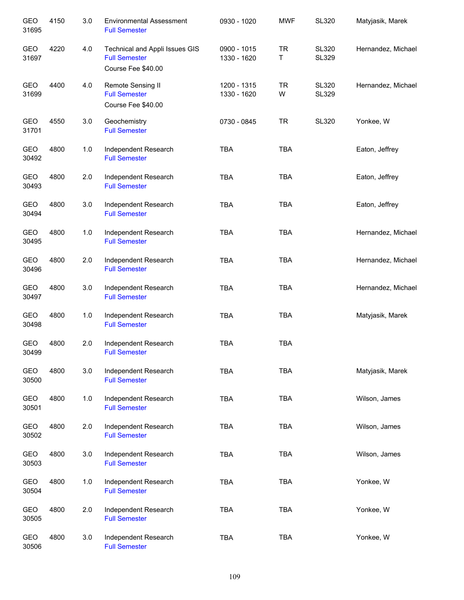| <b>GEO</b><br>31695 | 4150 | 3.0   | <b>Environmental Assessment</b><br><b>Full Semester</b>                      | 0930 - 1020                | <b>MWF</b>     | <b>SL320</b>                 | Matyjasik, Marek   |
|---------------------|------|-------|------------------------------------------------------------------------------|----------------------------|----------------|------------------------------|--------------------|
| <b>GEO</b><br>31697 | 4220 | 4.0   | Technical and Appli Issues GIS<br><b>Full Semester</b><br>Course Fee \$40.00 | 0900 - 1015<br>1330 - 1620 | <b>TR</b><br>T | <b>SL320</b><br><b>SL329</b> | Hernandez, Michael |
| GEO<br>31699        | 4400 | 4.0   | Remote Sensing II<br><b>Full Semester</b><br>Course Fee \$40.00              | 1200 - 1315<br>1330 - 1620 | <b>TR</b><br>W | <b>SL320</b><br><b>SL329</b> | Hernandez, Michael |
| GEO<br>31701        | 4550 | 3.0   | Geochemistry<br><b>Full Semester</b>                                         | 0730 - 0845                | <b>TR</b>      | <b>SL320</b>                 | Yonkee, W          |
| GEO<br>30492        | 4800 | $1.0$ | Independent Research<br><b>Full Semester</b>                                 | <b>TBA</b>                 | <b>TBA</b>     |                              | Eaton, Jeffrey     |
| GEO<br>30493        | 4800 | 2.0   | Independent Research<br><b>Full Semester</b>                                 | <b>TBA</b>                 | <b>TBA</b>     |                              | Eaton, Jeffrey     |
| GEO<br>30494        | 4800 | 3.0   | Independent Research<br><b>Full Semester</b>                                 | <b>TBA</b>                 | <b>TBA</b>     |                              | Eaton, Jeffrey     |
| <b>GEO</b><br>30495 | 4800 | 1.0   | Independent Research<br><b>Full Semester</b>                                 | <b>TBA</b>                 | <b>TBA</b>     |                              | Hernandez, Michael |
| GEO<br>30496        | 4800 | 2.0   | Independent Research<br><b>Full Semester</b>                                 | <b>TBA</b>                 | <b>TBA</b>     |                              | Hernandez, Michael |
| GEO<br>30497        | 4800 | 3.0   | Independent Research<br><b>Full Semester</b>                                 | <b>TBA</b>                 | <b>TBA</b>     |                              | Hernandez, Michael |
| GEO<br>30498        | 4800 | 1.0   | Independent Research<br><b>Full Semester</b>                                 | <b>TBA</b>                 | <b>TBA</b>     |                              | Matyjasik, Marek   |
| GEO<br>30499        | 4800 | 2.0   | Independent Research<br><b>Full Semester</b>                                 | <b>TBA</b>                 | <b>TBA</b>     |                              |                    |
| GEO<br>30500        | 4800 | 3.0   | Independent Research<br><b>Full Semester</b>                                 | <b>TBA</b>                 | <b>TBA</b>     |                              | Matyjasik, Marek   |
| GEO<br>30501        | 4800 | 1.0   | Independent Research<br><b>Full Semester</b>                                 | <b>TBA</b>                 | <b>TBA</b>     |                              | Wilson, James      |
| GEO<br>30502        | 4800 | 2.0   | Independent Research<br><b>Full Semester</b>                                 | <b>TBA</b>                 | <b>TBA</b>     |                              | Wilson, James      |
| GEO<br>30503        | 4800 | 3.0   | Independent Research<br><b>Full Semester</b>                                 | TBA                        | TBA            |                              | Wilson, James      |
| GEO<br>30504        | 4800 | 1.0   | Independent Research<br><b>Full Semester</b>                                 | <b>TBA</b>                 | <b>TBA</b>     |                              | Yonkee, W          |
| GEO<br>30505        | 4800 | 2.0   | Independent Research<br><b>Full Semester</b>                                 | <b>TBA</b>                 | <b>TBA</b>     |                              | Yonkee, W          |
| GEO<br>30506        | 4800 | 3.0   | Independent Research<br><b>Full Semester</b>                                 | <b>TBA</b>                 | <b>TBA</b>     |                              | Yonkee, W          |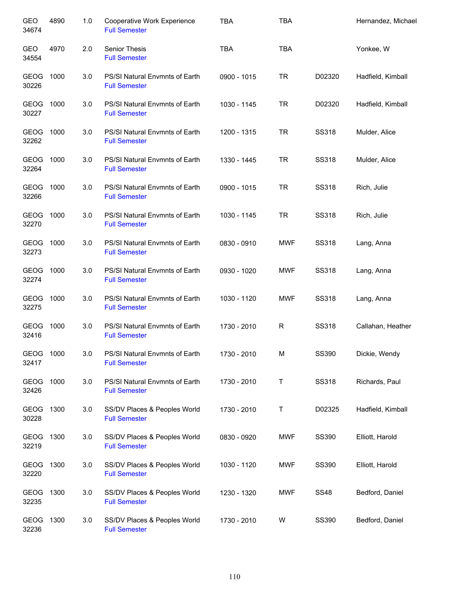| GEO<br>34674         | 4890 | 1.0 | Cooperative Work Experience<br><b>Full Semester</b>    | <b>TBA</b>    | <b>TBA</b> |              | Hernandez, Michael |
|----------------------|------|-----|--------------------------------------------------------|---------------|------------|--------------|--------------------|
| GEO<br>34554         | 4970 | 2.0 | Senior Thesis<br><b>Full Semester</b>                  | <b>TBA</b>    | <b>TBA</b> |              | Yonkee, W          |
| GEOG<br>30226        | 1000 | 3.0 | PS/SI Natural Envmnts of Earth<br><b>Full Semester</b> | 0900 - 1015   | <b>TR</b>  | D02320       | Hadfield, Kimball  |
| GEOG<br>30227        | 1000 | 3.0 | PS/SI Natural Envmnts of Earth<br><b>Full Semester</b> | 1030 - 1145   | <b>TR</b>  | D02320       | Hadfield, Kimball  |
| GEOG<br>32262        | 1000 | 3.0 | PS/SI Natural Envmnts of Earth<br><b>Full Semester</b> | 1200 - 1315   | <b>TR</b>  | <b>SS318</b> | Mulder, Alice      |
| GEOG<br>32264        | 1000 | 3.0 | PS/SI Natural Envmnts of Earth<br><b>Full Semester</b> | 1330 - 1445   | <b>TR</b>  | SS318        | Mulder, Alice      |
| GEOG 1000<br>32266   |      | 3.0 | PS/SI Natural Envmnts of Earth<br><b>Full Semester</b> | $0900 - 1015$ | <b>TR</b>  | <b>SS318</b> | Rich, Julie        |
| GEOG 1000<br>32270   |      | 3.0 | PS/SI Natural Envmnts of Earth<br><b>Full Semester</b> | 1030 - 1145   | <b>TR</b>  | <b>SS318</b> | Rich, Julie        |
| GEOG<br>32273        | 1000 | 3.0 | PS/SI Natural Envmnts of Earth<br><b>Full Semester</b> | 0830 - 0910   | <b>MWF</b> | <b>SS318</b> | Lang, Anna         |
| GEOG<br>32274        | 1000 | 3.0 | PS/SI Natural Envmnts of Earth<br><b>Full Semester</b> | 0930 - 1020   | <b>MWF</b> | <b>SS318</b> | Lang, Anna         |
| <b>GEOG</b><br>32275 | 1000 | 3.0 | PS/SI Natural Envmnts of Earth<br><b>Full Semester</b> | 1030 - 1120   | <b>MWF</b> | SS318        | Lang, Anna         |
| GEOG<br>32416        | 1000 | 3.0 | PS/SI Natural Envmnts of Earth<br><b>Full Semester</b> | 1730 - 2010   | R          | SS318        | Callahan, Heather  |
| <b>GEOG</b><br>32417 | 1000 | 3.0 | PS/SI Natural Envmnts of Earth<br><b>Full Semester</b> | 1730 - 2010   | M          | <b>SS390</b> | Dickie, Wendy      |
| GEOG<br>32426        | 1000 | 3.0 | PS/SI Natural Envmnts of Earth<br><b>Full Semester</b> | 1730 - 2010   | Τ          | <b>SS318</b> | Richards, Paul     |
| GEOG<br>30228        | 1300 | 3.0 | SS/DV Places & Peoples World<br><b>Full Semester</b>   | 1730 - 2010   | Τ          | D02325       | Hadfield, Kimball  |
| GEOG<br>32219        | 1300 | 3.0 | SS/DV Places & Peoples World<br><b>Full Semester</b>   | 0830 - 0920   | <b>MWF</b> | SS390        | Elliott, Harold    |
| GEOG<br>32220        | 1300 | 3.0 | SS/DV Places & Peoples World<br><b>Full Semester</b>   | 1030 - 1120   | <b>MWF</b> | SS390        | Elliott, Harold    |
| GEOG<br>32235        | 1300 | 3.0 | SS/DV Places & Peoples World<br><b>Full Semester</b>   | 1230 - 1320   | <b>MWF</b> | <b>SS48</b>  | Bedford, Daniel    |
| GEOG<br>32236        | 1300 | 3.0 | SS/DV Places & Peoples World<br><b>Full Semester</b>   | 1730 - 2010   | W          | SS390        | Bedford, Daniel    |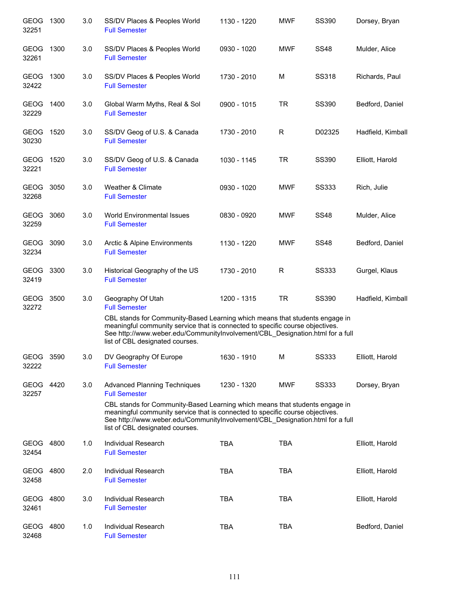| <b>GEOG</b><br>32251 | 1300 | 3.0 | SS/DV Places & Peoples World<br><b>Full Semester</b>                                                                                                                                                                                                                                                                                            | 1130 - 1220 | <b>MWF</b> | SS390        | Dorsey, Bryan     |
|----------------------|------|-----|-------------------------------------------------------------------------------------------------------------------------------------------------------------------------------------------------------------------------------------------------------------------------------------------------------------------------------------------------|-------------|------------|--------------|-------------------|
| <b>GEOG</b><br>32261 | 1300 | 3.0 | SS/DV Places & Peoples World<br><b>Full Semester</b>                                                                                                                                                                                                                                                                                            | 0930 - 1020 | <b>MWF</b> | <b>SS48</b>  | Mulder, Alice     |
| <b>GEOG</b><br>32422 | 1300 | 3.0 | SS/DV Places & Peoples World<br><b>Full Semester</b>                                                                                                                                                                                                                                                                                            | 1730 - 2010 | M          | <b>SS318</b> | Richards, Paul    |
| <b>GEOG</b><br>32229 | 1400 | 3.0 | Global Warm Myths, Real & Sol<br><b>Full Semester</b>                                                                                                                                                                                                                                                                                           | 0900 - 1015 | TR         | SS390        | Bedford, Daniel   |
| GEOG 1520<br>30230   |      | 3.0 | SS/DV Geog of U.S. & Canada<br><b>Full Semester</b>                                                                                                                                                                                                                                                                                             | 1730 - 2010 | R          | D02325       | Hadfield, Kimball |
| GEOG 1520<br>32221   |      | 3.0 | SS/DV Geog of U.S. & Canada<br><b>Full Semester</b>                                                                                                                                                                                                                                                                                             | 1030 - 1145 | TR         | <b>SS390</b> | Elliott, Harold   |
| GEOG<br>32268        | 3050 | 3.0 | Weather & Climate<br><b>Full Semester</b>                                                                                                                                                                                                                                                                                                       | 0930 - 1020 | <b>MWF</b> | <b>SS333</b> | Rich, Julie       |
| GEOG<br>32259        | 3060 | 3.0 | World Environmental Issues<br><b>Full Semester</b>                                                                                                                                                                                                                                                                                              | 0830 - 0920 | <b>MWF</b> | <b>SS48</b>  | Mulder, Alice     |
| GEOG<br>32234        | 3090 | 3.0 | Arctic & Alpine Environments<br><b>Full Semester</b>                                                                                                                                                                                                                                                                                            | 1130 - 1220 | <b>MWF</b> | <b>SS48</b>  | Bedford, Daniel   |
| GEOG 3300<br>32419   |      | 3.0 | Historical Geography of the US<br><b>Full Semester</b>                                                                                                                                                                                                                                                                                          | 1730 - 2010 | R          | <b>SS333</b> | Gurgel, Klaus     |
| GEOG<br>32272        | 3500 | 3.0 | Geography Of Utah<br><b>Full Semester</b><br>CBL stands for Community-Based Learning which means that students engage in<br>meaningful community service that is connected to specific course objectives.<br>See http://www.weber.edu/CommunityInvolvement/CBL_Designation.html for a full<br>list of CBL designated courses.                   | 1200 - 1315 | <b>TR</b>  | <b>SS390</b> | Hadfield, Kimball |
| GEOG 3590<br>32222   |      | 3.0 | DV Geography Of Europe<br><b>Full Semester</b>                                                                                                                                                                                                                                                                                                  | 1630 - 1910 | М          | <b>SS333</b> | Elliott, Harold   |
| GEOG 4420<br>32257   |      | 3.0 | <b>Advanced Planning Techniques</b><br><b>Full Semester</b><br>CBL stands for Community-Based Learning which means that students engage in<br>meaningful community service that is connected to specific course objectives.<br>See http://www.weber.edu/CommunityInvolvement/CBL_Designation.html for a full<br>list of CBL designated courses. | 1230 - 1320 | <b>MWF</b> | SS333        | Dorsey, Bryan     |
| GEOG 4800<br>32454   |      | 1.0 | Individual Research<br><b>Full Semester</b>                                                                                                                                                                                                                                                                                                     | <b>TBA</b>  | <b>TBA</b> |              | Elliott, Harold   |
| GEOG<br>32458        | 4800 | 2.0 | Individual Research<br><b>Full Semester</b>                                                                                                                                                                                                                                                                                                     | <b>TBA</b>  | <b>TBA</b> |              | Elliott, Harold   |
| <b>GEOG</b><br>32461 | 4800 | 3.0 | Individual Research<br><b>Full Semester</b>                                                                                                                                                                                                                                                                                                     | <b>TBA</b>  | <b>TBA</b> |              | Elliott, Harold   |
| GEOG<br>32468        | 4800 | 1.0 | Individual Research<br><b>Full Semester</b>                                                                                                                                                                                                                                                                                                     | <b>TBA</b>  | <b>TBA</b> |              | Bedford, Daniel   |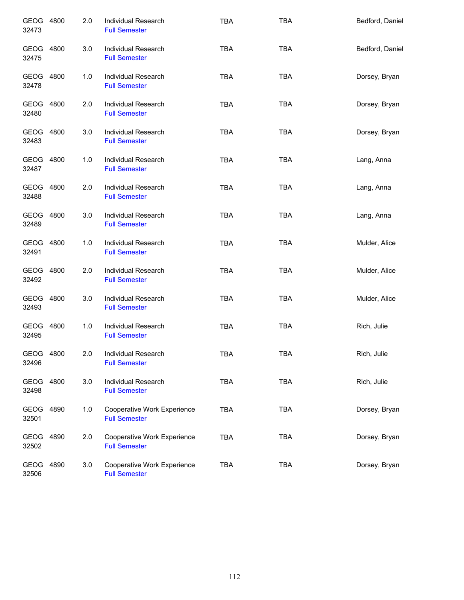| GEOG 4800<br>32473 |      | 2.0 | Individual Research<br><b>Full Semester</b>         | <b>TBA</b> | <b>TBA</b> | Bedford, Daniel |
|--------------------|------|-----|-----------------------------------------------------|------------|------------|-----------------|
| GEOG 4800<br>32475 |      | 3.0 | Individual Research<br><b>Full Semester</b>         | <b>TBA</b> | <b>TBA</b> | Bedford, Daniel |
| GEOG 4800<br>32478 |      | 1.0 | Individual Research<br><b>Full Semester</b>         | <b>TBA</b> | <b>TBA</b> | Dorsey, Bryan   |
| GEOG 4800<br>32480 |      | 2.0 | <b>Individual Research</b><br><b>Full Semester</b>  | <b>TBA</b> | <b>TBA</b> | Dorsey, Bryan   |
| GEOG 4800<br>32483 |      | 3.0 | <b>Individual Research</b><br><b>Full Semester</b>  | <b>TBA</b> | <b>TBA</b> | Dorsey, Bryan   |
| GEOG 4800<br>32487 |      | 1.0 | Individual Research<br><b>Full Semester</b>         | <b>TBA</b> | <b>TBA</b> | Lang, Anna      |
| GEOG 4800<br>32488 |      | 2.0 | Individual Research<br><b>Full Semester</b>         | <b>TBA</b> | <b>TBA</b> | Lang, Anna      |
| GEOG 4800<br>32489 |      | 3.0 | Individual Research<br><b>Full Semester</b>         | <b>TBA</b> | <b>TBA</b> | Lang, Anna      |
| GEOG 4800<br>32491 |      | 1.0 | Individual Research<br><b>Full Semester</b>         | <b>TBA</b> | <b>TBA</b> | Mulder, Alice   |
| GEOG 4800<br>32492 |      | 2.0 | Individual Research<br><b>Full Semester</b>         | <b>TBA</b> | <b>TBA</b> | Mulder, Alice   |
| GEOG 4800<br>32493 |      | 3.0 | Individual Research<br><b>Full Semester</b>         | <b>TBA</b> | <b>TBA</b> | Mulder, Alice   |
| GEOG 4800<br>32495 |      | 1.0 | Individual Research<br><b>Full Semester</b>         | <b>TBA</b> | <b>TBA</b> | Rich, Julie     |
| GEOG 4800<br>32496 |      | 2.0 | Individual Research<br><b>Full Semester</b>         | <b>TBA</b> | <b>TBA</b> | Rich, Julie     |
| GEOG<br>32498      | 4800 | 3.0 | Individual Research<br><b>Full Semester</b>         | <b>TBA</b> | <b>TBA</b> | Rich, Julie     |
| GEOG 4890<br>32501 |      | 1.0 | Cooperative Work Experience<br><b>Full Semester</b> | TBA        | <b>TBA</b> | Dorsey, Bryan   |
| GEOG 4890<br>32502 |      | 2.0 | Cooperative Work Experience<br><b>Full Semester</b> | <b>TBA</b> | <b>TBA</b> | Dorsey, Bryan   |
| GEOG<br>32506      | 4890 | 3.0 | Cooperative Work Experience<br><b>Full Semester</b> | <b>TBA</b> | <b>TBA</b> | Dorsey, Bryan   |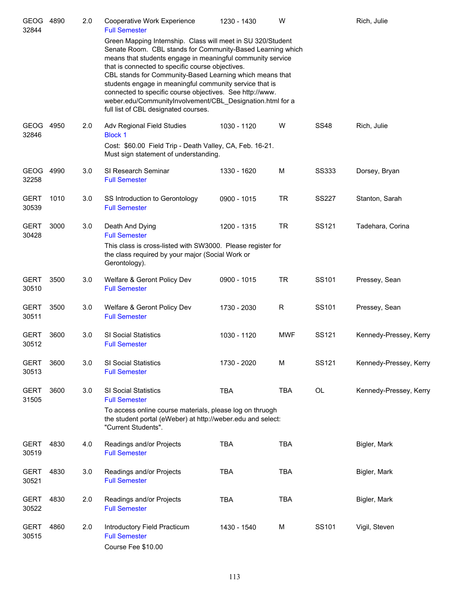| <b>GEOG</b><br>32844 | 4890 | 2.0 | Cooperative Work Experience<br><b>Full Semester</b>                                                                                                                                                                                                                                                                                                                                                                                                                                                                                 | 1230 - 1430 | W          |              | Rich, Julie            |
|----------------------|------|-----|-------------------------------------------------------------------------------------------------------------------------------------------------------------------------------------------------------------------------------------------------------------------------------------------------------------------------------------------------------------------------------------------------------------------------------------------------------------------------------------------------------------------------------------|-------------|------------|--------------|------------------------|
|                      |      |     | Green Mapping Internship. Class will meet in SU 320/Student<br>Senate Room. CBL stands for Community-Based Learning which<br>means that students engage in meaningful community service<br>that is connected to specific course objectives.<br>CBL stands for Community-Based Learning which means that<br>students engage in meaningful community service that is<br>connected to specific course objectives. See http://www.<br>weber.edu/CommunityInvolvement/CBL Designation.html for a<br>full list of CBL designated courses. |             |            |              |                        |
| <b>GEOG</b><br>32846 | 4950 | 2.0 | Adv Regional Field Studies<br><b>Block 1</b><br>Cost: \$60.00 Field Trip - Death Valley, CA, Feb. 16-21.<br>Must sign statement of understanding.                                                                                                                                                                                                                                                                                                                                                                                   | 1030 - 1120 | W          | <b>SS48</b>  | Rich, Julie            |
| <b>GEOG</b><br>32258 | 4990 | 3.0 | SI Research Seminar<br><b>Full Semester</b>                                                                                                                                                                                                                                                                                                                                                                                                                                                                                         | 1330 - 1620 | M          | <b>SS333</b> | Dorsey, Bryan          |
| <b>GERT</b><br>30539 | 1010 | 3.0 | SS Introduction to Gerontology<br><b>Full Semester</b>                                                                                                                                                                                                                                                                                                                                                                                                                                                                              | 0900 - 1015 | <b>TR</b>  | <b>SS227</b> | Stanton, Sarah         |
| <b>GERT</b><br>30428 | 3000 | 3.0 | Death And Dying<br><b>Full Semester</b><br>This class is cross-listed with SW3000. Please register for<br>the class required by your major (Social Work or<br>Gerontology).                                                                                                                                                                                                                                                                                                                                                         | 1200 - 1315 | <b>TR</b>  | SS121        | Tadehara, Corina       |
| <b>GERT</b><br>30510 | 3500 | 3.0 | Welfare & Geront Policy Dev<br><b>Full Semester</b>                                                                                                                                                                                                                                                                                                                                                                                                                                                                                 | 0900 - 1015 | <b>TR</b>  | SS101        | Pressey, Sean          |
| <b>GERT</b><br>30511 | 3500 | 3.0 | Welfare & Geront Policy Dev<br><b>Full Semester</b>                                                                                                                                                                                                                                                                                                                                                                                                                                                                                 | 1730 - 2030 | R          | SS101        | Pressey, Sean          |
| <b>GERT</b><br>30512 | 3600 | 3.0 | <b>SI Social Statistics</b><br><b>Full Semester</b>                                                                                                                                                                                                                                                                                                                                                                                                                                                                                 | 1030 - 1120 | <b>MWF</b> | SS121        | Kennedy-Pressey, Kerry |
| <b>GERT</b><br>30513 | 3600 | 3.0 | SI Social Statistics<br><b>Full Semester</b>                                                                                                                                                                                                                                                                                                                                                                                                                                                                                        | 1730 - 2020 | М          | SS121        | Kennedy-Pressey, Kerry |
| <b>GERT</b><br>31505 | 3600 | 3.0 | <b>SI Social Statistics</b><br><b>Full Semester</b><br>To access online course materials, please log on thruogh<br>the student portal (eWeber) at http://weber.edu and select:<br>"Current Students".                                                                                                                                                                                                                                                                                                                               | TBA         | <b>TBA</b> | OL           | Kennedy-Pressey, Kerry |
| GERT<br>30519        | 4830 | 4.0 | Readings and/or Projects<br><b>Full Semester</b>                                                                                                                                                                                                                                                                                                                                                                                                                                                                                    | <b>TBA</b>  | <b>TBA</b> |              | Bigler, Mark           |
| <b>GERT</b><br>30521 | 4830 | 3.0 | Readings and/or Projects<br><b>Full Semester</b>                                                                                                                                                                                                                                                                                                                                                                                                                                                                                    | <b>TBA</b>  | <b>TBA</b> |              | Bigler, Mark           |
| GERT<br>30522        | 4830 | 2.0 | Readings and/or Projects<br><b>Full Semester</b>                                                                                                                                                                                                                                                                                                                                                                                                                                                                                    | <b>TBA</b>  | <b>TBA</b> |              | Bigler, Mark           |
| <b>GERT</b><br>30515 | 4860 | 2.0 | Introductory Field Practicum<br><b>Full Semester</b><br>Course Fee \$10.00                                                                                                                                                                                                                                                                                                                                                                                                                                                          | 1430 - 1540 | М          | SS101        | Vigil, Steven          |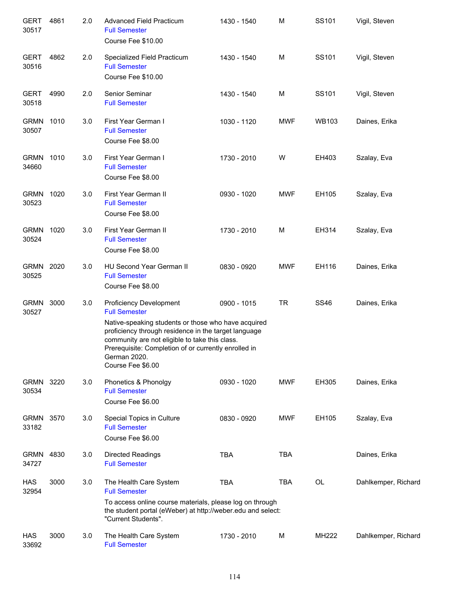| <b>GERT</b><br>30517 | 4861 | 2.0 | Advanced Field Practicum<br><b>Full Semester</b><br>Course Fee \$10.00                                                                                                                                                                                                                                               | 1430 - 1540 | M          | SS101        | Vigil, Steven       |
|----------------------|------|-----|----------------------------------------------------------------------------------------------------------------------------------------------------------------------------------------------------------------------------------------------------------------------------------------------------------------------|-------------|------------|--------------|---------------------|
| <b>GERT</b><br>30516 | 4862 | 2.0 | Specialized Field Practicum<br><b>Full Semester</b><br>Course Fee \$10.00                                                                                                                                                                                                                                            | 1430 - 1540 | M          | SS101        | Vigil, Steven       |
| <b>GERT</b><br>30518 | 4990 | 2.0 | Senior Seminar<br><b>Full Semester</b>                                                                                                                                                                                                                                                                               | 1430 - 1540 | M          | SS101        | Vigil, Steven       |
| <b>GRMN</b><br>30507 | 1010 | 3.0 | First Year German I<br><b>Full Semester</b><br>Course Fee \$8.00                                                                                                                                                                                                                                                     | 1030 - 1120 | <b>MWF</b> | <b>WB103</b> | Daines, Erika       |
| <b>GRMN</b><br>34660 | 1010 | 3.0 | First Year German I<br><b>Full Semester</b><br>Course Fee \$8.00                                                                                                                                                                                                                                                     | 1730 - 2010 | W          | EH403        | Szalay, Eva         |
| <b>GRMN</b><br>30523 | 1020 | 3.0 | First Year German II<br><b>Full Semester</b><br>Course Fee \$8.00                                                                                                                                                                                                                                                    | 0930 - 1020 | <b>MWF</b> | EH105        | Szalay, Eva         |
| <b>GRMN</b><br>30524 | 1020 | 3.0 | First Year German II<br><b>Full Semester</b><br>Course Fee \$8.00                                                                                                                                                                                                                                                    | 1730 - 2010 | M          | EH314        | Szalay, Eva         |
| <b>GRMN</b><br>30525 | 2020 | 3.0 | <b>HU Second Year German II</b><br><b>Full Semester</b><br>Course Fee \$8.00                                                                                                                                                                                                                                         | 0830 - 0920 | <b>MWF</b> | EH116        | Daines, Erika       |
| <b>GRMN</b><br>30527 | 3000 | 3.0 | <b>Proficiency Development</b><br><b>Full Semester</b><br>Native-speaking students or those who have acquired<br>proficiency through residence in the target language<br>community are not eligible to take this class.<br>Prerequisite: Completion of or currently enrolled in<br>German 2020.<br>Course Fee \$6.00 | 0900 - 1015 | <b>TR</b>  | <b>SS46</b>  | Daines, Erika       |
| GRMN 3220<br>30534   |      | 3.0 | Phonetics & Phonolgy<br><b>Full Semester</b><br>Course Fee \$6.00                                                                                                                                                                                                                                                    | 0930 - 1020 | <b>MWF</b> | EH305        | Daines, Erika       |
| <b>GRMN</b><br>33182 | 3570 | 3.0 | Special Topics in Culture<br><b>Full Semester</b><br>Course Fee \$6.00                                                                                                                                                                                                                                               | 0830 - 0920 | <b>MWF</b> | EH105        | Szalay, Eva         |
| GRMN<br>34727        | 4830 | 3.0 | Directed Readings<br><b>Full Semester</b>                                                                                                                                                                                                                                                                            | <b>TBA</b>  | <b>TBA</b> |              | Daines, Erika       |
| HAS<br>32954         | 3000 | 3.0 | The Health Care System<br><b>Full Semester</b><br>To access online course materials, please log on through<br>the student portal (eWeber) at http://weber.edu and select:<br>"Current Students".                                                                                                                     | <b>TBA</b>  | <b>TBA</b> | OL           | Dahlkemper, Richard |
| HAS<br>33692         | 3000 | 3.0 | The Health Care System<br><b>Full Semester</b>                                                                                                                                                                                                                                                                       | 1730 - 2010 | M          | MH222        | Dahlkemper, Richard |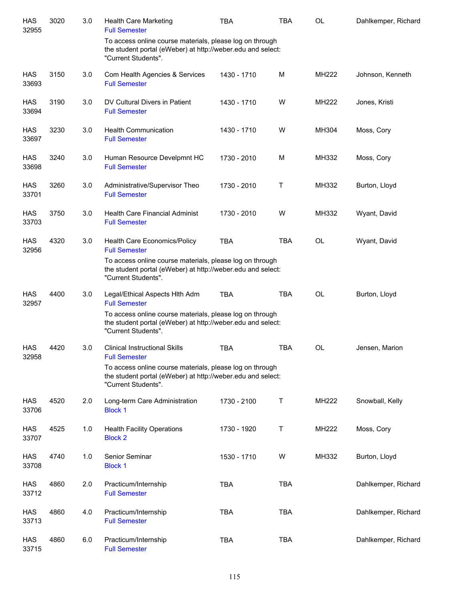| <b>HAS</b><br>32955 | 3020 | 3.0 | <b>Health Care Marketing</b><br><b>Full Semester</b>                                                                                           | <b>TBA</b>  | <b>TBA</b> | <b>OL</b>    | Dahlkemper, Richard |
|---------------------|------|-----|------------------------------------------------------------------------------------------------------------------------------------------------|-------------|------------|--------------|---------------------|
|                     |      |     | To access online course materials, please log on through<br>the student portal (eWeber) at http://weber.edu and select:<br>"Current Students". |             |            |              |                     |
| <b>HAS</b><br>33693 | 3150 | 3.0 | Com Health Agencies & Services<br><b>Full Semester</b>                                                                                         | 1430 - 1710 | M          | MH222        | Johnson, Kenneth    |
| <b>HAS</b><br>33694 | 3190 | 3.0 | DV Cultural Divers in Patient<br><b>Full Semester</b>                                                                                          | 1430 - 1710 | W          | <b>MH222</b> | Jones, Kristi       |
| HAS<br>33697        | 3230 | 3.0 | <b>Health Communication</b><br><b>Full Semester</b>                                                                                            | 1430 - 1710 | W          | MH304        | Moss, Cory          |
| <b>HAS</b><br>33698 | 3240 | 3.0 | Human Resource Develpmnt HC<br><b>Full Semester</b>                                                                                            | 1730 - 2010 | M          | MH332        | Moss, Cory          |
| HAS<br>33701        | 3260 | 3.0 | Administrative/Supervisor Theo<br><b>Full Semester</b>                                                                                         | 1730 - 2010 | Τ          | MH332        | Burton, Lloyd       |
| <b>HAS</b><br>33703 | 3750 | 3.0 | <b>Health Care Financial Administ</b><br><b>Full Semester</b>                                                                                  | 1730 - 2010 | W          | MH332        | Wyant, David        |
| <b>HAS</b><br>32956 | 4320 | 3.0 | Health Care Economics/Policy<br><b>Full Semester</b>                                                                                           | <b>TBA</b>  | <b>TBA</b> | <b>OL</b>    | Wyant, David        |
|                     |      |     | To access online course materials, please log on through<br>the student portal (eWeber) at http://weber.edu and select:<br>"Current Students". |             |            |              |                     |
| HAS<br>32957        | 4400 | 3.0 | Legal/Ethical Aspects Hith Adm<br><b>Full Semester</b>                                                                                         | <b>TBA</b>  | <b>TBA</b> | <b>OL</b>    | Burton, Lloyd       |
|                     |      |     | To access online course materials, please log on through<br>the student portal (eWeber) at http://weber.edu and select:<br>"Current Students". |             |            |              |                     |
| <b>HAS</b><br>32958 | 4420 | 3.0 | <b>Clinical Instructional Skills</b><br><b>Full Semester</b>                                                                                   | <b>TBA</b>  | <b>TBA</b> | <b>OL</b>    | Jensen, Marion      |
|                     |      |     | To access online course materials, please log on through<br>the student portal (eWeber) at http://weber.edu and select:<br>"Current Students". |             |            |              |                     |
| <b>HAS</b><br>33706 | 4520 | 2.0 | Long-term Care Administration<br><b>Block 1</b>                                                                                                | 1730 - 2100 | T          | <b>MH222</b> | Snowball, Kelly     |
| HAS<br>33707        | 4525 | 1.0 | <b>Health Facility Operations</b><br><b>Block 2</b>                                                                                            | 1730 - 1920 | Т          | MH222        | Moss, Cory          |
| HAS<br>33708        | 4740 | 1.0 | Senior Seminar<br><b>Block 1</b>                                                                                                               | 1530 - 1710 | W          | MH332        | Burton, Lloyd       |
| HAS<br>33712        | 4860 | 2.0 | Practicum/Internship<br><b>Full Semester</b>                                                                                                   | <b>TBA</b>  | <b>TBA</b> |              | Dahlkemper, Richard |
| HAS<br>33713        | 4860 | 4.0 | Practicum/Internship<br><b>Full Semester</b>                                                                                                   | <b>TBA</b>  | <b>TBA</b> |              | Dahlkemper, Richard |
| HAS<br>33715        | 4860 | 6.0 | Practicum/Internship<br><b>Full Semester</b>                                                                                                   | <b>TBA</b>  | <b>TBA</b> |              | Dahlkemper, Richard |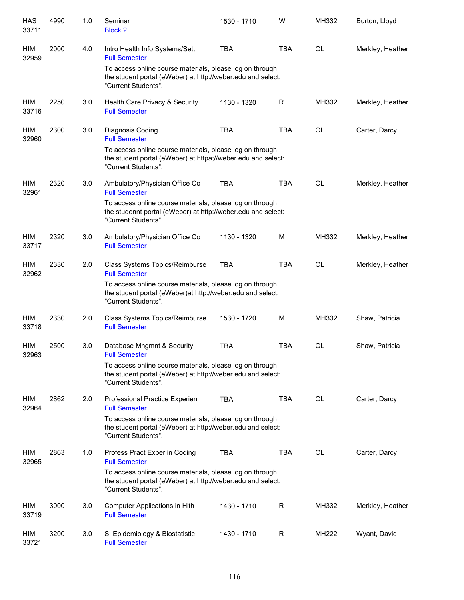| <b>HAS</b><br>33711 | 4990 | 1.0 | Seminar<br><b>Block 2</b>                                                                                                                       | 1530 - 1710 | W           | MH332     | Burton, Lloyd    |
|---------------------|------|-----|-------------------------------------------------------------------------------------------------------------------------------------------------|-------------|-------------|-----------|------------------|
| HIM<br>32959        | 2000 | 4.0 | Intro Health Info Systems/Sett<br><b>Full Semester</b>                                                                                          | <b>TBA</b>  | <b>TBA</b>  | OL        | Merkley, Heather |
|                     |      |     | To access online course materials, please log on through<br>the student portal (eWeber) at http://weber.edu and select:<br>"Current Students".  |             |             |           |                  |
| HIM<br>33716        | 2250 | 3.0 | Health Care Privacy & Security<br><b>Full Semester</b>                                                                                          | 1130 - 1320 | R           | MH332     | Merkley, Heather |
| HIM<br>32960        | 2300 | 3.0 | Diagnosis Coding<br><b>Full Semester</b>                                                                                                        | <b>TBA</b>  | <b>TBA</b>  | OL        | Carter, Darcy    |
|                     |      |     | To access online course materials, please log on through<br>the student portal (eWeber) at httpa;//weber.edu and select:<br>"Current Students". |             |             |           |                  |
| HIM<br>32961        | 2320 | 3.0 | Ambulatory/Physician Office Co<br><b>Full Semester</b>                                                                                          | <b>TBA</b>  | <b>TBA</b>  | <b>OL</b> | Merkley, Heather |
|                     |      |     | To access online course materials, please log on through<br>the studennt portal (eWeber) at http://weber.edu and select:<br>"Current Students". |             |             |           |                  |
| HIM<br>33717        | 2320 | 3.0 | Ambulatory/Physician Office Co<br><b>Full Semester</b>                                                                                          | 1130 - 1320 | M           | MH332     | Merkley, Heather |
| HIM<br>32962        | 2330 | 2.0 | Class Systems Topics/Reimburse<br><b>Full Semester</b>                                                                                          | <b>TBA</b>  | <b>TBA</b>  | <b>OL</b> | Merkley, Heather |
|                     |      |     | To access online course materials, please log on through<br>the student portal (eWeber) at http://weber.edu and select:<br>"Current Students".  |             |             |           |                  |
| HIM<br>33718        | 2330 | 2.0 | Class Systems Topics/Reimburse<br><b>Full Semester</b>                                                                                          | 1530 - 1720 | M           | MH332     | Shaw, Patricia   |
| <b>HIM</b><br>32963 | 2500 | 3.0 | Database Mngmnt & Security<br><b>Full Semester</b>                                                                                              | <b>TBA</b>  | <b>TBA</b>  | <b>OL</b> | Shaw, Patricia   |
|                     |      |     | To access online course materials, please log on through<br>the student portal (eWeber) at http://weber.edu and select:<br>"Current Students".  |             |             |           |                  |
| HIM<br>32964        | 2862 | 2.0 | Professional Practice Experien<br><b>Full Semester</b>                                                                                          | <b>TBA</b>  | <b>TBA</b>  | <b>OL</b> | Carter, Darcy    |
|                     |      |     | To access online course materials, please log on through<br>the student portal (eWeber) at http://weber.edu and select:<br>"Current Students".  |             |             |           |                  |
| HIM<br>32965        | 2863 | 1.0 | Profess Pract Exper in Coding<br><b>Full Semester</b>                                                                                           | <b>TBA</b>  | <b>TBA</b>  | <b>OL</b> | Carter, Darcy    |
|                     |      |     | To access online course materials, please log on through<br>the student portal (eWeber) at http://weber.edu and select:<br>"Current Students".  |             |             |           |                  |
| HIM<br>33719        | 3000 | 3.0 | Computer Applications in HIth<br><b>Full Semester</b>                                                                                           | 1430 - 1710 | R           | MH332     | Merkley, Heather |
| HIM<br>33721        | 3200 | 3.0 | SI Epidemiology & Biostatistic<br><b>Full Semester</b>                                                                                          | 1430 - 1710 | $\mathsf R$ | MH222     | Wyant, David     |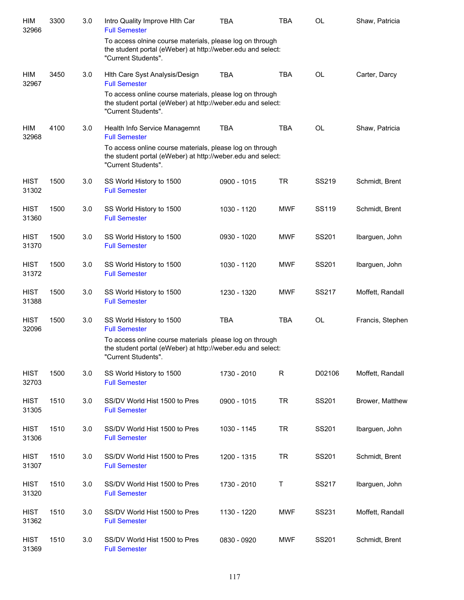| HIM<br>32966         | 3300 | 3.0 | Intro Quality Improve Hith Car<br><b>Full Semester</b>                                                                                         | <b>TBA</b>  | <b>TBA</b>  | <b>OL</b> | Shaw, Patricia   |
|----------------------|------|-----|------------------------------------------------------------------------------------------------------------------------------------------------|-------------|-------------|-----------|------------------|
|                      |      |     | To access olnine course materials, please log on through<br>the student portal (eWeber) at http://weber.edu and select:<br>"Current Students". |             |             |           |                  |
| HIM<br>32967         | 3450 | 3.0 | Hith Care Syst Analysis/Design<br><b>Full Semester</b>                                                                                         | <b>TBA</b>  | <b>TBA</b>  | <b>OL</b> | Carter, Darcy    |
|                      |      |     | To access online course materials, please log on through<br>the student portal (eWeber) at http://weber.edu and select:<br>"Current Students". |             |             |           |                  |
| HIM<br>32968         | 4100 | 3.0 | Health Info Service Managemnt<br><b>Full Semester</b>                                                                                          | <b>TBA</b>  | <b>TBA</b>  | <b>OL</b> | Shaw, Patricia   |
|                      |      |     | To access online course materials, please log on through<br>the student portal (eWeber) at http://weber.edu and select:<br>"Current Students". |             |             |           |                  |
| <b>HIST</b><br>31302 | 1500 | 3.0 | SS World History to 1500<br><b>Full Semester</b>                                                                                               | 0900 - 1015 | <b>TR</b>   | SS219     | Schmidt, Brent   |
| <b>HIST</b><br>31360 | 1500 | 3.0 | SS World History to 1500<br><b>Full Semester</b>                                                                                               | 1030 - 1120 | <b>MWF</b>  | SS119     | Schmidt, Brent   |
| <b>HIST</b><br>31370 | 1500 | 3.0 | SS World History to 1500<br><b>Full Semester</b>                                                                                               | 0930 - 1020 | <b>MWF</b>  | SS201     | Ibarguen, John   |
| <b>HIST</b><br>31372 | 1500 | 3.0 | SS World History to 1500<br><b>Full Semester</b>                                                                                               | 1030 - 1120 | <b>MWF</b>  | SS201     | Ibarguen, John   |
| <b>HIST</b><br>31388 | 1500 | 3.0 | SS World History to 1500<br><b>Full Semester</b>                                                                                               | 1230 - 1320 | <b>MWF</b>  | SS217     | Moffett, Randall |
| <b>HIST</b><br>32096 | 1500 | 3.0 | SS World History to 1500<br><b>Full Semester</b>                                                                                               | <b>TBA</b>  | <b>TBA</b>  | OL        | Francis, Stephen |
|                      |      |     | To access online course materials please log on through<br>the student portal (eWeber) at http://weber.edu and select:<br>"Current Students".  |             |             |           |                  |
| <b>HIST</b><br>32703 | 1500 | 3.0 | SS World History to 1500<br><b>Full Semester</b>                                                                                               | 1730 - 2010 | $\mathsf R$ | D02106    | Moffett, Randall |
| <b>HIST</b><br>31305 | 1510 | 3.0 | SS/DV World Hist 1500 to Pres<br><b>Full Semester</b>                                                                                          | 0900 - 1015 | <b>TR</b>   | SS201     | Brower, Matthew  |
| <b>HIST</b><br>31306 | 1510 | 3.0 | SS/DV World Hist 1500 to Pres<br><b>Full Semester</b>                                                                                          | 1030 - 1145 | TR          | SS201     | Ibarguen, John   |
| <b>HIST</b><br>31307 | 1510 | 3.0 | SS/DV World Hist 1500 to Pres<br><b>Full Semester</b>                                                                                          | 1200 - 1315 | <b>TR</b>   | SS201     | Schmidt, Brent   |
| <b>HIST</b><br>31320 | 1510 | 3.0 | SS/DV World Hist 1500 to Pres<br><b>Full Semester</b>                                                                                          | 1730 - 2010 | Τ           | SS217     | Ibarguen, John   |
| <b>HIST</b><br>31362 | 1510 | 3.0 | SS/DV World Hist 1500 to Pres<br><b>Full Semester</b>                                                                                          | 1130 - 1220 | <b>MWF</b>  | SS231     | Moffett, Randall |
| <b>HIST</b><br>31369 | 1510 | 3.0 | SS/DV World Hist 1500 to Pres<br><b>Full Semester</b>                                                                                          | 0830 - 0920 | <b>MWF</b>  | SS201     | Schmidt, Brent   |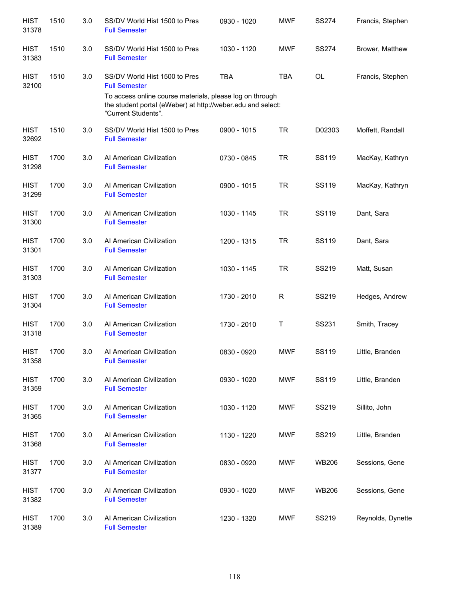| <b>HIST</b><br>31378 | 1510 | 3.0 | SS/DV World Hist 1500 to Pres<br><b>Full Semester</b>                                                                                          | 0930 - 1020 | <b>MWF</b> | <b>SS274</b> | Francis, Stephen  |
|----------------------|------|-----|------------------------------------------------------------------------------------------------------------------------------------------------|-------------|------------|--------------|-------------------|
| <b>HIST</b><br>31383 | 1510 | 3.0 | SS/DV World Hist 1500 to Pres<br><b>Full Semester</b>                                                                                          | 1030 - 1120 | <b>MWF</b> | <b>SS274</b> | Brower, Matthew   |
| <b>HIST</b><br>32100 | 1510 | 3.0 | SS/DV World Hist 1500 to Pres<br><b>Full Semester</b>                                                                                          | <b>TBA</b>  | <b>TBA</b> | <b>OL</b>    | Francis, Stephen  |
|                      |      |     | To access online course materials, please log on through<br>the student portal (eWeber) at http://weber.edu and select:<br>"Current Students". |             |            |              |                   |
| <b>HIST</b><br>32692 | 1510 | 3.0 | SS/DV World Hist 1500 to Pres<br><b>Full Semester</b>                                                                                          | 0900 - 1015 | <b>TR</b>  | D02303       | Moffett, Randall  |
| <b>HIST</b><br>31298 | 1700 | 3.0 | Al American Civilization<br><b>Full Semester</b>                                                                                               | 0730 - 0845 | <b>TR</b>  | SS119        | MacKay, Kathryn   |
| <b>HIST</b><br>31299 | 1700 | 3.0 | Al American Civilization<br><b>Full Semester</b>                                                                                               | 0900 - 1015 | <b>TR</b>  | SS119        | MacKay, Kathryn   |
| <b>HIST</b><br>31300 | 1700 | 3.0 | Al American Civilization<br><b>Full Semester</b>                                                                                               | 1030 - 1145 | <b>TR</b>  | SS119        | Dant, Sara        |
| <b>HIST</b><br>31301 | 1700 | 3.0 | Al American Civilization<br><b>Full Semester</b>                                                                                               | 1200 - 1315 | <b>TR</b>  | SS119        | Dant, Sara        |
| <b>HIST</b><br>31303 | 1700 | 3.0 | Al American Civilization<br><b>Full Semester</b>                                                                                               | 1030 - 1145 | <b>TR</b>  | SS219        | Matt, Susan       |
| <b>HIST</b><br>31304 | 1700 | 3.0 | Al American Civilization<br><b>Full Semester</b>                                                                                               | 1730 - 2010 | R          | SS219        | Hedges, Andrew    |
| <b>HIST</b><br>31318 | 1700 | 3.0 | Al American Civilization<br><b>Full Semester</b>                                                                                               | 1730 - 2010 | Т          | SS231        | Smith, Tracey     |
| <b>HIST</b><br>31358 | 1700 | 3.0 | Al American Civilization<br><b>Full Semester</b>                                                                                               | 0830 - 0920 | <b>MWF</b> | <b>SS119</b> | Little, Branden   |
| <b>HIST</b><br>31359 | 1700 | 3.0 | Al American Civilization<br><b>Full Semester</b>                                                                                               | 0930 - 1020 | MWF        | SS119        | Little, Branden   |
| <b>HIST</b><br>31365 | 1700 | 3.0 | Al American Civilization<br><b>Full Semester</b>                                                                                               | 1030 - 1120 | MWF        | SS219        | Sillito, John     |
| <b>HIST</b><br>31368 | 1700 | 3.0 | Al American Civilization<br><b>Full Semester</b>                                                                                               | 1130 - 1220 | MWF        | SS219        | Little, Branden   |
| <b>HIST</b><br>31377 | 1700 | 3.0 | Al American Civilization<br><b>Full Semester</b>                                                                                               | 0830 - 0920 | MWF        | WB206        | Sessions, Gene    |
| <b>HIST</b><br>31382 | 1700 | 3.0 | Al American Civilization<br><b>Full Semester</b>                                                                                               | 0930 - 1020 | MWF        | <b>WB206</b> | Sessions, Gene    |
| <b>HIST</b><br>31389 | 1700 | 3.0 | Al American Civilization<br><b>Full Semester</b>                                                                                               | 1230 - 1320 | MWF        | SS219        | Reynolds, Dynette |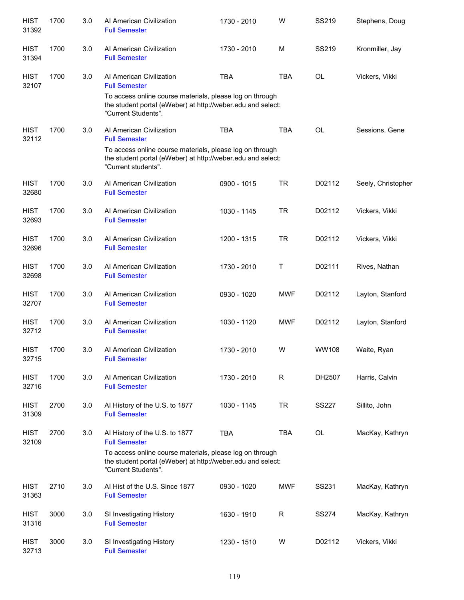| <b>HIST</b><br>31392 | 1700 | 3.0 | Al American Civilization<br><b>Full Semester</b>                                                                                               | 1730 - 2010 | W            | SS219        | Stephens, Doug     |
|----------------------|------|-----|------------------------------------------------------------------------------------------------------------------------------------------------|-------------|--------------|--------------|--------------------|
| <b>HIST</b><br>31394 | 1700 | 3.0 | Al American Civilization<br><b>Full Semester</b>                                                                                               | 1730 - 2010 | M            | SS219        | Kronmiller, Jay    |
| <b>HIST</b><br>32107 | 1700 | 3.0 | Al American Civilization<br><b>Full Semester</b>                                                                                               | <b>TBA</b>  | <b>TBA</b>   | <b>OL</b>    | Vickers, Vikki     |
|                      |      |     | To access online course materials, please log on through<br>the student portal (eWeber) at http://weber.edu and select:<br>"Current Students". |             |              |              |                    |
| <b>HIST</b><br>32112 | 1700 | 3.0 | Al American Civilization<br><b>Full Semester</b>                                                                                               | <b>TBA</b>  | <b>TBA</b>   | <b>OL</b>    | Sessions, Gene     |
|                      |      |     | To access online course materials, please log on through<br>the student portal (eWeber) at http://weber.edu and select:<br>"Current students". |             |              |              |                    |
| <b>HIST</b><br>32680 | 1700 | 3.0 | Al American Civilization<br><b>Full Semester</b>                                                                                               | 0900 - 1015 | <b>TR</b>    | D02112       | Seely, Christopher |
| <b>HIST</b><br>32693 | 1700 | 3.0 | Al American Civilization<br><b>Full Semester</b>                                                                                               | 1030 - 1145 | <b>TR</b>    | D02112       | Vickers, Vikki     |
| <b>HIST</b><br>32696 | 1700 | 3.0 | Al American Civilization<br><b>Full Semester</b>                                                                                               | 1200 - 1315 | <b>TR</b>    | D02112       | Vickers, Vikki     |
| <b>HIST</b><br>32698 | 1700 | 3.0 | AI American Civilization<br><b>Full Semester</b>                                                                                               | 1730 - 2010 | $\mathsf{T}$ | D02111       | Rives, Nathan      |
| <b>HIST</b><br>32707 | 1700 | 3.0 | Al American Civilization<br><b>Full Semester</b>                                                                                               | 0930 - 1020 | <b>MWF</b>   | D02112       | Layton, Stanford   |
| <b>HIST</b><br>32712 | 1700 | 3.0 | Al American Civilization<br><b>Full Semester</b>                                                                                               | 1030 - 1120 | <b>MWF</b>   | D02112       | Layton, Stanford   |
| <b>HIST</b><br>32715 | 1700 | 3.0 | Al American Civilization<br><b>Full Semester</b>                                                                                               | 1730 - 2010 | W            | WW108        | Waite, Ryan        |
| <b>HIST</b><br>32716 | 1700 | 3.0 | Al American Civilization<br><b>Full Semester</b>                                                                                               | 1730 - 2010 | R            | DH2507       | Harris, Calvin     |
| <b>HIST</b><br>31309 | 2700 | 3.0 | Al History of the U.S. to 1877<br><b>Full Semester</b>                                                                                         | 1030 - 1145 | <b>TR</b>    | <b>SS227</b> | Sillito, John      |
| <b>HIST</b><br>32109 | 2700 | 3.0 | Al History of the U.S. to 1877<br><b>Full Semester</b>                                                                                         | <b>TBA</b>  | <b>TBA</b>   | OL           | MacKay, Kathryn    |
|                      |      |     | To access online course materials, please log on through<br>the student portal (eWeber) at http://weber.edu and select:<br>"Current Students". |             |              |              |                    |
| <b>HIST</b><br>31363 | 2710 | 3.0 | Al Hist of the U.S. Since 1877<br><b>Full Semester</b>                                                                                         | 0930 - 1020 | <b>MWF</b>   | SS231        | MacKay, Kathryn    |
| <b>HIST</b><br>31316 | 3000 | 3.0 | SI Investigating History<br><b>Full Semester</b>                                                                                               | 1630 - 1910 | $\mathsf R$  | <b>SS274</b> | MacKay, Kathryn    |
| <b>HIST</b><br>32713 | 3000 | 3.0 | SI Investigating History<br><b>Full Semester</b>                                                                                               | 1230 - 1510 | W            | D02112       | Vickers, Vikki     |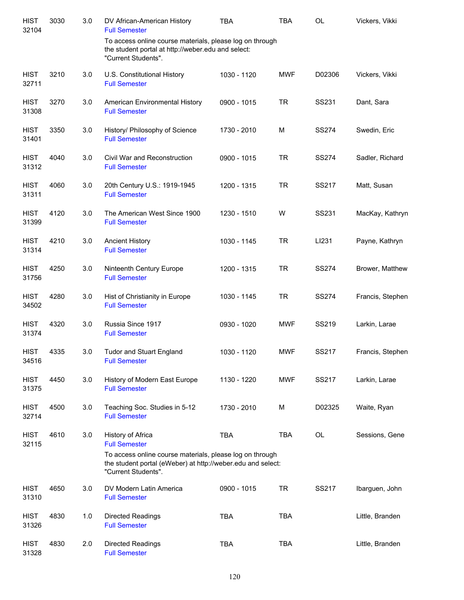| <b>HIST</b><br>32104 | 3030 | 3.0 | DV African-American History<br><b>Full Semester</b>                                                                                   | <b>TBA</b>  | <b>TBA</b> | <b>OL</b>    | Vickers, Vikki   |
|----------------------|------|-----|---------------------------------------------------------------------------------------------------------------------------------------|-------------|------------|--------------|------------------|
|                      |      |     | To access online course materials, please log on through<br>the student portal at http://weber.edu and select:<br>"Current Students". |             |            |              |                  |
| <b>HIST</b><br>32711 | 3210 | 3.0 | U.S. Constitutional History<br><b>Full Semester</b>                                                                                   | 1030 - 1120 | <b>MWF</b> | D02306       | Vickers, Vikki   |
| <b>HIST</b><br>31308 | 3270 | 3.0 | American Environmental History<br><b>Full Semester</b>                                                                                | 0900 - 1015 | <b>TR</b>  | SS231        | Dant, Sara       |
| <b>HIST</b><br>31401 | 3350 | 3.0 | History/ Philosophy of Science<br><b>Full Semester</b>                                                                                | 1730 - 2010 | M          | <b>SS274</b> | Swedin, Eric     |
| <b>HIST</b><br>31312 | 4040 | 3.0 | Civil War and Reconstruction<br><b>Full Semester</b>                                                                                  | 0900 - 1015 | <b>TR</b>  | <b>SS274</b> | Sadler, Richard  |
| <b>HIST</b><br>31311 | 4060 | 3.0 | 20th Century U.S.: 1919-1945<br><b>Full Semester</b>                                                                                  | 1200 - 1315 | <b>TR</b>  | SS217        | Matt, Susan      |
| <b>HIST</b><br>31399 | 4120 | 3.0 | The American West Since 1900<br><b>Full Semester</b>                                                                                  | 1230 - 1510 | W          | SS231        | MacKay, Kathryn  |
| <b>HIST</b><br>31314 | 4210 | 3.0 | <b>Ancient History</b><br><b>Full Semester</b>                                                                                        | 1030 - 1145 | <b>TR</b>  | LI231        | Payne, Kathryn   |
| <b>HIST</b><br>31756 | 4250 | 3.0 | Ninteenth Century Europe<br><b>Full Semester</b>                                                                                      | 1200 - 1315 | <b>TR</b>  | <b>SS274</b> | Brower, Matthew  |
| <b>HIST</b><br>34502 | 4280 | 3.0 | Hist of Christianity in Europe<br><b>Full Semester</b>                                                                                | 1030 - 1145 | <b>TR</b>  | <b>SS274</b> | Francis, Stephen |
| <b>HIST</b><br>31374 | 4320 | 3.0 | Russia Since 1917<br><b>Full Semester</b>                                                                                             | 0930 - 1020 | <b>MWF</b> | SS219        | Larkin, Larae    |
| <b>HIST</b><br>34516 | 4335 | 3.0 | <b>Tudor and Stuart England</b><br><b>Full Semester</b>                                                                               | 1030 - 1120 | <b>MWF</b> | <b>SS217</b> | Francis, Stephen |
| <b>HIST</b><br>31375 | 4450 | 3.0 | History of Modern East Europe<br><b>Full Semester</b>                                                                                 | 1130 - 1220 | <b>MWF</b> | SS217        | Larkin, Larae    |
| <b>HIST</b><br>32714 | 4500 | 3.0 | Teaching Soc. Studies in 5-12<br><b>Full Semester</b>                                                                                 | 1730 - 2010 | M          | D02325       | Waite, Ryan      |
| <b>HIST</b><br>32115 | 4610 | 3.0 | History of Africa<br><b>Full Semester</b><br>To access online course materials, please log on through                                 | <b>TBA</b>  | <b>TBA</b> | <b>OL</b>    | Sessions, Gene   |
|                      |      |     | the student portal (eWeber) at http://weber.edu and select:<br>"Current Students".                                                    |             |            |              |                  |
| <b>HIST</b><br>31310 | 4650 | 3.0 | DV Modern Latin America<br><b>Full Semester</b>                                                                                       | 0900 - 1015 | <b>TR</b>  | SS217        | Ibarguen, John   |
| <b>HIST</b><br>31326 | 4830 | 1.0 | Directed Readings<br><b>Full Semester</b>                                                                                             | <b>TBA</b>  | <b>TBA</b> |              | Little, Branden  |
| <b>HIST</b><br>31328 | 4830 | 2.0 | Directed Readings<br><b>Full Semester</b>                                                                                             | <b>TBA</b>  | <b>TBA</b> |              | Little, Branden  |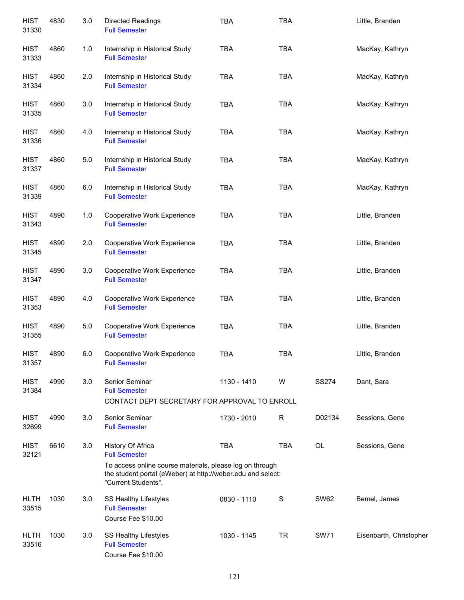| <b>HIST</b><br>31330 | 4830 | 3.0   | <b>Directed Readings</b><br><b>Full Semester</b>                                                                                               | <b>TBA</b>  | <b>TBA</b>  |              | Little, Branden         |
|----------------------|------|-------|------------------------------------------------------------------------------------------------------------------------------------------------|-------------|-------------|--------------|-------------------------|
| <b>HIST</b><br>31333 | 4860 | 1.0   | Internship in Historical Study<br><b>Full Semester</b>                                                                                         | <b>TBA</b>  | <b>TBA</b>  |              | MacKay, Kathryn         |
| <b>HIST</b><br>31334 | 4860 | 2.0   | Internship in Historical Study<br><b>Full Semester</b>                                                                                         | <b>TBA</b>  | <b>TBA</b>  |              | MacKay, Kathryn         |
| <b>HIST</b><br>31335 | 4860 | 3.0   | Internship in Historical Study<br><b>Full Semester</b>                                                                                         | <b>TBA</b>  | <b>TBA</b>  |              | MacKay, Kathryn         |
| <b>HIST</b><br>31336 | 4860 | 4.0   | Internship in Historical Study<br><b>Full Semester</b>                                                                                         | <b>TBA</b>  | <b>TBA</b>  |              | MacKay, Kathryn         |
| <b>HIST</b><br>31337 | 4860 | 5.0   | Internship in Historical Study<br><b>Full Semester</b>                                                                                         | <b>TBA</b>  | <b>TBA</b>  |              | MacKay, Kathryn         |
| <b>HIST</b><br>31339 | 4860 | 6.0   | Internship in Historical Study<br><b>Full Semester</b>                                                                                         | <b>TBA</b>  | <b>TBA</b>  |              | MacKay, Kathryn         |
| <b>HIST</b><br>31343 | 4890 | 1.0   | Cooperative Work Experience<br><b>Full Semester</b>                                                                                            | <b>TBA</b>  | <b>TBA</b>  |              | Little, Branden         |
| <b>HIST</b><br>31345 | 4890 | 2.0   | Cooperative Work Experience<br><b>Full Semester</b>                                                                                            | <b>TBA</b>  | <b>TBA</b>  |              | Little, Branden         |
| <b>HIST</b><br>31347 | 4890 | 3.0   | Cooperative Work Experience<br><b>Full Semester</b>                                                                                            | <b>TBA</b>  | <b>TBA</b>  |              | Little, Branden         |
| <b>HIST</b><br>31353 | 4890 | 4.0   | Cooperative Work Experience<br><b>Full Semester</b>                                                                                            | <b>TBA</b>  | <b>TBA</b>  |              | Little, Branden         |
| <b>HIST</b><br>31355 | 4890 | $5.0$ | Cooperative Work Experience<br><b>Full Semester</b>                                                                                            | <b>TBA</b>  | <b>TBA</b>  |              | Little, Branden         |
| <b>HIST</b><br>31357 | 4890 | 6.0   | Cooperative Work Experience<br><b>Full Semester</b>                                                                                            | <b>TBA</b>  | <b>TBA</b>  |              | Little, Branden         |
| <b>HIST</b><br>31384 | 4990 | 3.0   | Senior Seminar<br><b>Full Semester</b><br>CONTACT DEPT SECRETARY FOR APPROVAL TO ENROLL                                                        | 1130 - 1410 | W           | <b>SS274</b> | Dant, Sara              |
|                      |      |       |                                                                                                                                                |             |             |              |                         |
| <b>HIST</b><br>32699 | 4990 | 3.0   | Senior Seminar<br><b>Full Semester</b>                                                                                                         | 1730 - 2010 | $\mathsf R$ | D02134       | Sessions, Gene          |
| <b>HIST</b><br>32121 | 6610 | 3.0   | History Of Africa<br><b>Full Semester</b>                                                                                                      | <b>TBA</b>  | <b>TBA</b>  | OL           | Sessions, Gene          |
|                      |      |       | To access online course materials, please log on through<br>the student portal (eWeber) at http://weber.edu and select:<br>"Current Students". |             |             |              |                         |
| <b>HLTH</b><br>33515 | 1030 | 3.0   | SS Healthy Lifestyles<br><b>Full Semester</b><br>Course Fee \$10.00                                                                            | 0830 - 1110 | S           | <b>SW62</b>  | Bemel, James            |
| <b>HLTH</b><br>33516 | 1030 | 3.0   | SS Healthy Lifestyles<br><b>Full Semester</b><br>Course Fee \$10.00                                                                            | 1030 - 1145 | <b>TR</b>   | <b>SW71</b>  | Eisenbarth, Christopher |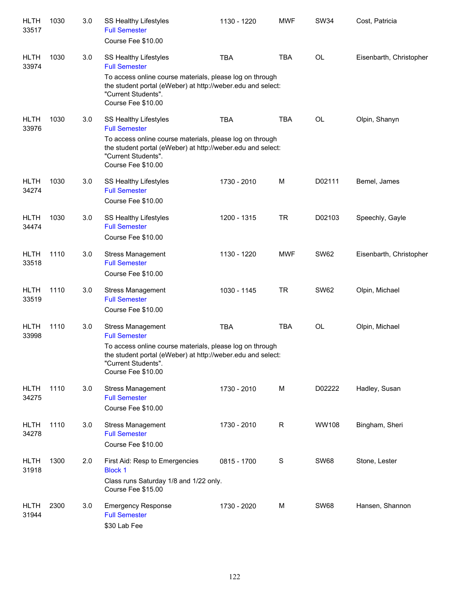| <b>HLTH</b><br>33517 | 1030 | 3.0 | SS Healthy Lifestyles<br><b>Full Semester</b><br>Course Fee \$10.00                                                                                                                                                      | 1130 - 1220 | <b>MWF</b>  | <b>SW34</b>  | Cost, Patricia          |
|----------------------|------|-----|--------------------------------------------------------------------------------------------------------------------------------------------------------------------------------------------------------------------------|-------------|-------------|--------------|-------------------------|
| <b>HLTH</b><br>33974 | 1030 | 3.0 | SS Healthy Lifestyles<br><b>Full Semester</b><br>To access online course materials, please log on through<br>the student portal (eWeber) at http://weber.edu and select:<br>"Current Students".<br>Course Fee \$10.00    | <b>TBA</b>  | <b>TBA</b>  | OL           | Eisenbarth, Christopher |
| <b>HLTH</b><br>33976 | 1030 | 3.0 | SS Healthy Lifestyles<br><b>Full Semester</b><br>To access online course materials, please log on through<br>the student portal (eWeber) at http://weber.edu and select:<br>"Current Students".<br>Course Fee \$10.00    | <b>TBA</b>  | <b>TBA</b>  | OL           | Olpin, Shanyn           |
| <b>HLTH</b><br>34274 | 1030 | 3.0 | SS Healthy Lifestyles<br><b>Full Semester</b><br>Course Fee \$10.00                                                                                                                                                      | 1730 - 2010 | M           | D02111       | Bemel, James            |
| <b>HLTH</b><br>34474 | 1030 | 3.0 | SS Healthy Lifestyles<br><b>Full Semester</b><br>Course Fee \$10.00                                                                                                                                                      | 1200 - 1315 | <b>TR</b>   | D02103       | Speechly, Gayle         |
| <b>HLTH</b><br>33518 | 1110 | 3.0 | <b>Stress Management</b><br><b>Full Semester</b><br>Course Fee \$10.00                                                                                                                                                   | 1130 - 1220 | <b>MWF</b>  | <b>SW62</b>  | Eisenbarth, Christopher |
| <b>HLTH</b><br>33519 | 1110 | 3.0 | <b>Stress Management</b><br><b>Full Semester</b><br>Course Fee \$10.00                                                                                                                                                   | 1030 - 1145 | <b>TR</b>   | <b>SW62</b>  | Olpin, Michael          |
| <b>HLTH</b><br>33998 | 1110 | 3.0 | <b>Stress Management</b><br><b>Full Semester</b><br>To access online course materials, please log on through<br>the student portal (eWeber) at http://weber.edu and select:<br>"Current Students".<br>Course Fee \$10.00 | <b>TBA</b>  | <b>TBA</b>  | OL           | Olpin, Michael          |
| <b>HLTH</b><br>34275 | 1110 | 3.0 | <b>Stress Management</b><br><b>Full Semester</b><br>Course Fee \$10.00                                                                                                                                                   | 1730 - 2010 | M           | D02222       | Hadley, Susan           |
| <b>HLTH</b><br>34278 | 1110 | 3.0 | <b>Stress Management</b><br><b>Full Semester</b><br>Course Fee \$10.00                                                                                                                                                   | 1730 - 2010 | R           | <b>WW108</b> | Bingham, Sheri          |
| <b>HLTH</b><br>31918 | 1300 | 2.0 | First Aid: Resp to Emergencies<br><b>Block 1</b><br>Class runs Saturday 1/8 and 1/22 only.<br>Course Fee \$15.00                                                                                                         | 0815 - 1700 | $\mathbf S$ | <b>SW68</b>  | Stone, Lester           |
| <b>HLTH</b><br>31944 | 2300 | 3.0 | <b>Emergency Response</b><br><b>Full Semester</b><br>\$30 Lab Fee                                                                                                                                                        | 1730 - 2020 | M           | <b>SW68</b>  | Hansen, Shannon         |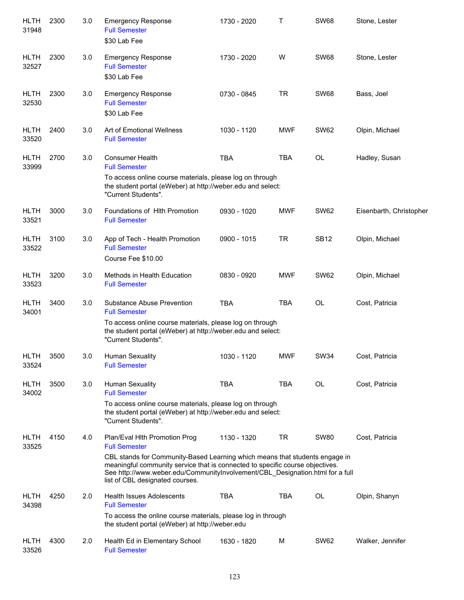| <b>HLTH</b><br>31948 | 2300 | 3.0 | <b>Emergency Response</b><br><b>Full Semester</b><br>\$30 Lab Fee                                                                                                                                                                                                                                                                         | 1730 - 2020 | т          | <b>SW68</b> | Stone, Lester           |
|----------------------|------|-----|-------------------------------------------------------------------------------------------------------------------------------------------------------------------------------------------------------------------------------------------------------------------------------------------------------------------------------------------|-------------|------------|-------------|-------------------------|
| <b>HLTH</b><br>32527 | 2300 | 3.0 | <b>Emergency Response</b><br><b>Full Semester</b><br>\$30 Lab Fee                                                                                                                                                                                                                                                                         | 1730 - 2020 | W          | <b>SW68</b> | Stone, Lester           |
| <b>HLTH</b><br>32530 | 2300 | 3.0 | <b>Emergency Response</b><br><b>Full Semester</b><br>\$30 Lab Fee                                                                                                                                                                                                                                                                         | 0730 - 0845 | <b>TR</b>  | <b>SW68</b> | Bass, Joel              |
| <b>HLTH</b><br>33520 | 2400 | 3.0 | Art of Emotional Wellness<br><b>Full Semester</b>                                                                                                                                                                                                                                                                                         | 1030 - 1120 | <b>MWF</b> | <b>SW62</b> | Olpin, Michael          |
| <b>HLTH</b><br>33999 | 2700 | 3.0 | <b>Consumer Health</b><br><b>Full Semester</b><br>To access online course materials, please log on through<br>the student portal (eWeber) at http://weber.edu and select:<br>"Current Students".                                                                                                                                          | <b>TBA</b>  | <b>TBA</b> | OL          | Hadley, Susan           |
| <b>HLTH</b><br>33521 | 3000 | 3.0 | Foundations of Hith Promotion<br><b>Full Semester</b>                                                                                                                                                                                                                                                                                     | 0930 - 1020 | <b>MWF</b> | <b>SW62</b> | Eisenbarth, Christopher |
| <b>HLTH</b><br>33522 | 3100 | 3.0 | App of Tech - Health Promotion<br><b>Full Semester</b><br>Course Fee \$10.00                                                                                                                                                                                                                                                              | 0900 - 1015 | <b>TR</b>  | <b>SB12</b> | Olpin, Michael          |
| <b>HLTH</b><br>33523 | 3200 | 3.0 | Methods in Health Education<br><b>Full Semester</b>                                                                                                                                                                                                                                                                                       | 0830 - 0920 | <b>MWF</b> | <b>SW62</b> | Olpin, Michael          |
| <b>HLTH</b><br>34001 | 3400 | 3.0 | Substance Abuse Prevention<br><b>Full Semester</b><br>To access online course materials, please log on through<br>the student portal (eWeber) at http://weber.edu and select:<br>"Current Students".                                                                                                                                      | <b>TBA</b>  | <b>TBA</b> | <b>OL</b>   | Cost, Patricia          |
| HLTH<br>33524        | 3500 | 3.0 | Human Sexuality<br><b>Full Semester</b>                                                                                                                                                                                                                                                                                                   | 1030 - 1120 | <b>MWF</b> | <b>SW34</b> | Cost, Patricia          |
| <b>HLTH</b><br>34002 | 3500 | 3.0 | Human Sexuality<br><b>Full Semester</b><br>To access online course materials, please log on through<br>the student portal (eWeber) at http://weber.edu and select:<br>"Current Students".                                                                                                                                                 | <b>TBA</b>  | <b>TBA</b> | OL          | Cost, Patricia          |
| <b>HLTH</b><br>33525 | 4150 | 4.0 | Plan/Eval Hith Promotion Prog<br><b>Full Semester</b><br>CBL stands for Community-Based Learning which means that students engage in<br>meaningful community service that is connected to specific course objectives.<br>See http://www.weber.edu/CommunityInvolvement/CBL_Designation.html for a full<br>list of CBL designated courses. | 1130 - 1320 | <b>TR</b>  | <b>SW80</b> | Cost, Patricia          |
| <b>HLTH</b><br>34398 | 4250 | 2.0 | <b>Health Issues Adolescents</b><br><b>Full Semester</b><br>To access the online course materials, please log in through<br>the student portal (eWeber) at http://weber.edu                                                                                                                                                               | <b>TBA</b>  | <b>TBA</b> | OL          | Olpin, Shanyn           |
| HLTH<br>33526        | 4300 | 2.0 | Health Ed in Elementary School<br><b>Full Semester</b>                                                                                                                                                                                                                                                                                    | 1630 - 1820 | M          | <b>SW62</b> | Walker, Jennifer        |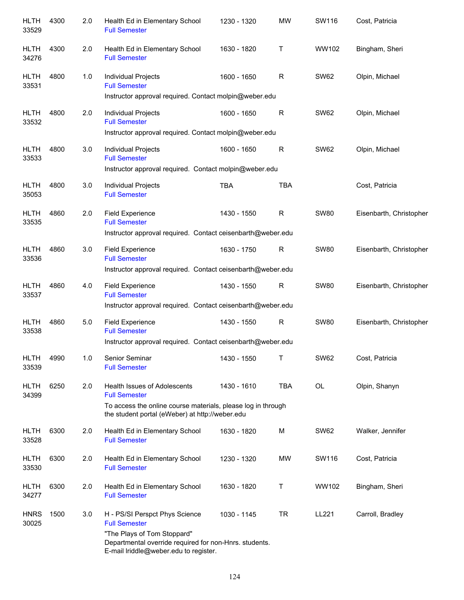| <b>HLTH</b><br>33529 | 4300 | 2.0 | Health Ed in Elementary School<br><b>Full Semester</b>                                                                         | 1230 - 1320 | <b>MW</b>    | SW116       | Cost, Patricia          |
|----------------------|------|-----|--------------------------------------------------------------------------------------------------------------------------------|-------------|--------------|-------------|-------------------------|
| <b>HLTH</b><br>34276 | 4300 | 2.0 | Health Ed in Elementary School<br><b>Full Semester</b>                                                                         | 1630 - 1820 | т            | WW102       | Bingham, Sheri          |
| <b>HLTH</b><br>33531 | 4800 | 1.0 | Individual Projects<br><b>Full Semester</b>                                                                                    | 1600 - 1650 | R            | <b>SW62</b> | Olpin, Michael          |
|                      |      |     | Instructor approval required. Contact molpin@weber.edu                                                                         |             |              |             |                         |
| <b>HLTH</b><br>33532 | 4800 | 2.0 | Individual Projects<br><b>Full Semester</b>                                                                                    | 1600 - 1650 | R            | <b>SW62</b> | Olpin, Michael          |
|                      |      |     | Instructor approval required. Contact molpin@weber.edu                                                                         |             |              |             |                         |
| <b>HLTH</b><br>33533 | 4800 | 3.0 | Individual Projects<br><b>Full Semester</b><br>Instructor approval required. Contact molpin@weber.edu                          | 1600 - 1650 | R            | <b>SW62</b> | Olpin, Michael          |
|                      |      |     |                                                                                                                                |             |              |             |                         |
| <b>HLTH</b><br>35053 | 4800 | 3.0 | Individual Projects<br><b>Full Semester</b>                                                                                    | <b>TBA</b>  | <b>TBA</b>   |             | Cost, Patricia          |
| <b>HLTH</b><br>33535 | 4860 | 2.0 | <b>Field Experience</b><br><b>Full Semester</b>                                                                                | 1430 - 1550 | $\mathsf R$  | <b>SW80</b> | Eisenbarth, Christopher |
|                      |      |     | Instructor approval required. Contact ceisenbarth@weber.edu                                                                    |             |              |             |                         |
| <b>HLTH</b><br>33536 | 4860 | 3.0 | <b>Field Experience</b><br><b>Full Semester</b>                                                                                | 1630 - 1750 | $\mathsf{R}$ | <b>SW80</b> | Eisenbarth, Christopher |
|                      |      |     | Instructor approval required. Contact ceisenbarth@weber.edu                                                                    |             |              |             |                         |
| <b>HLTH</b><br>33537 | 4860 | 4.0 | <b>Field Experience</b><br><b>Full Semester</b>                                                                                | 1430 - 1550 | R            | <b>SW80</b> | Eisenbarth, Christopher |
|                      |      |     | Instructor approval required. Contact ceisenbarth@weber.edu                                                                    |             |              |             |                         |
| <b>HLTH</b><br>33538 | 4860 | 5.0 | <b>Field Experience</b><br><b>Full Semester</b>                                                                                | 1430 - 1550 | $\mathsf{R}$ | <b>SW80</b> | Eisenbarth, Christopher |
|                      |      |     | Instructor approval required. Contact ceisenbarth@weber.edu                                                                    |             |              |             |                         |
| <b>HLTH</b><br>33539 | 4990 | 1.0 | Senior Seminar<br><b>Full Semester</b>                                                                                         | 1430 - 1550 | т            | <b>SW62</b> | Cost, Patricia          |
| <b>HLTH</b><br>34399 | 6250 | 2.0 | <b>Health Issues of Adolescents</b><br><b>Full Semester</b>                                                                    | 1430 - 1610 | <b>TBA</b>   | OL          | Olpin, Shanyn           |
|                      |      |     | To access the online course materials, please log in through<br>the student portal (eWeber) at http://weber.edu                |             |              |             |                         |
| <b>HLTH</b><br>33528 | 6300 | 2.0 | Health Ed in Elementary School<br><b>Full Semester</b>                                                                         | 1630 - 1820 | M            | <b>SW62</b> | Walker, Jennifer        |
| <b>HLTH</b><br>33530 | 6300 | 2.0 | Health Ed in Elementary School<br><b>Full Semester</b>                                                                         | 1230 - 1320 | MW           | SW116       | Cost, Patricia          |
| <b>HLTH</b><br>34277 | 6300 | 2.0 | Health Ed in Elementary School<br><b>Full Semester</b>                                                                         | 1630 - 1820 | т            | WW102       | Bingham, Sheri          |
| <b>HNRS</b><br>30025 | 1500 | 3.0 | H - PS/SI Perspct Phys Science<br><b>Full Semester</b>                                                                         | 1030 - 1145 | <b>TR</b>    | LL221       | Carroll, Bradley        |
|                      |      |     | "The Plays of Tom Stoppard"<br>Departmental override required for non-Hnrs. students.<br>E-mail Iriddle@weber.edu to register. |             |              |             |                         |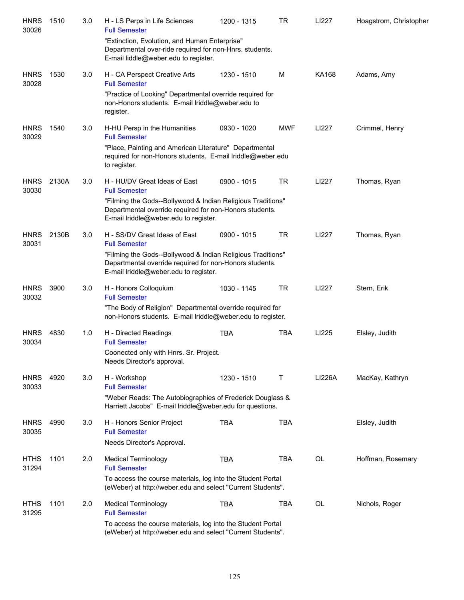| <b>HNRS</b><br>30026 | 1510  | 3.0 | H - LS Perps in Life Sciences<br><b>Full Semester</b>                                                                                                           | 1200 - 1315 | TR         | LI227         | Hoagstrom, Christopher |
|----------------------|-------|-----|-----------------------------------------------------------------------------------------------------------------------------------------------------------------|-------------|------------|---------------|------------------------|
|                      |       |     | "Extinction, Evolution, and Human Enterprise"<br>Departmental over-ride required for non-Hnrs. students.<br>E-mail liddle@weber.edu to register.                |             |            |               |                        |
| <b>HNRS</b><br>30028 | 1530  | 3.0 | H - CA Perspect Creative Arts<br><b>Full Semester</b>                                                                                                           | 1230 - 1510 | M          | <b>KA168</b>  | Adams, Amy             |
|                      |       |     | "Practice of Looking" Departmental override required for<br>non-Honors students. E-mail Iriddle@weber.edu to<br>register.                                       |             |            |               |                        |
| <b>HNRS</b><br>30029 | 1540  | 3.0 | H-HU Persp in the Humanities<br><b>Full Semester</b>                                                                                                            | 0930 - 1020 | <b>MWF</b> | LI227         | Crimmel, Henry         |
|                      |       |     | "Place, Painting and American Literature" Departmental<br>required for non-Honors students. E-mail lriddle@weber.edu<br>to register.                            |             |            |               |                        |
| <b>HNRS</b><br>30030 | 2130A | 3.0 | H - HU/DV Great Ideas of East<br><b>Full Semester</b>                                                                                                           | 0900 - 1015 | <b>TR</b>  | LI227         | Thomas, Ryan           |
|                      |       |     | "Filming the Gods--Bollywood & Indian Religious Traditions"<br>Departmental override required for non-Honors students.<br>E-mail Iriddle@weber.edu to register. |             |            |               |                        |
| <b>HNRS</b><br>30031 | 2130B | 3.0 | H - SS/DV Great Ideas of East<br><b>Full Semester</b>                                                                                                           | 0900 - 1015 | <b>TR</b>  | LI227         | Thomas, Ryan           |
|                      |       |     | "Filming the Gods--Bollywood & Indian Religious Traditions"<br>Departmental override required for non-Honors students.<br>E-mail lriddle@weber.edu to register. |             |            |               |                        |
| <b>HNRS</b><br>30032 | 3900  | 3.0 | H - Honors Colloquium<br><b>Full Semester</b>                                                                                                                   | 1030 - 1145 | <b>TR</b>  | LI227         | Stern, Erik            |
|                      |       |     | "The Body of Religion" Departmental override required for<br>non-Honors students. E-mail lriddle@weber.edu to register.                                         |             |            |               |                        |
| <b>HNRS</b><br>30034 | 4830  | 1.0 | H - Directed Readings<br><b>Full Semester</b>                                                                                                                   | <b>TBA</b>  | TBA        | LI225         | Elsley, Judith         |
|                      |       |     | Coonected only with Hnrs. Sr. Project.<br>Needs Director's approval.                                                                                            |             |            |               |                        |
| <b>HNRS</b><br>30033 | 4920  | 3.0 | H - Workshop<br><b>Full Semester</b>                                                                                                                            | 1230 - 1510 | Τ          | <b>LI226A</b> | MacKay, Kathryn        |
|                      |       |     | "Weber Reads: The Autobiographies of Frederick Douglass &<br>Harriett Jacobs" E-mail Iriddle@weber.edu for questions.                                           |             |            |               |                        |
| <b>HNRS</b><br>30035 | 4990  | 3.0 | H - Honors Senior Project<br><b>Full Semester</b>                                                                                                               | <b>TBA</b>  | <b>TBA</b> |               | Elsley, Judith         |
|                      |       |     | Needs Director's Approval.                                                                                                                                      |             |            |               |                        |
| <b>HTHS</b><br>31294 | 1101  | 2.0 | <b>Medical Terminology</b><br><b>Full Semester</b>                                                                                                              | <b>TBA</b>  | <b>TBA</b> | OL            | Hoffman, Rosemary      |
|                      |       |     | To access the course materials, log into the Student Portal<br>(eWeber) at http://weber.edu and select "Current Students".                                      |             |            |               |                        |
| <b>HTHS</b><br>31295 | 1101  | 2.0 | <b>Medical Terminology</b><br><b>Full Semester</b>                                                                                                              | <b>TBA</b>  | TBA        | OL            | Nichols, Roger         |
|                      |       |     | To access the course materials, log into the Student Portal<br>(eWeber) at http://weber.edu and select "Current Students".                                      |             |            |               |                        |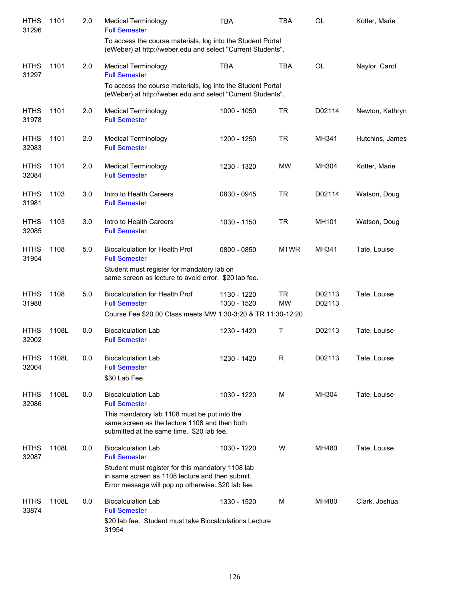| <b>HTHS</b><br>31296 | 1101  | 2.0 | <b>Medical Terminology</b><br><b>Full Semester</b>                                                                                                                                                              | TBA                        | <b>TBA</b>             | OL               | Kotter, Marie   |
|----------------------|-------|-----|-----------------------------------------------------------------------------------------------------------------------------------------------------------------------------------------------------------------|----------------------------|------------------------|------------------|-----------------|
|                      |       |     | To access the course materials, log into the Student Portal<br>(eWeber) at http://weber.edu and select "Current Students".                                                                                      |                            |                        |                  |                 |
| <b>HTHS</b><br>31297 | 1101  | 2.0 | <b>Medical Terminology</b><br><b>Full Semester</b>                                                                                                                                                              | <b>TBA</b>                 | <b>TBA</b>             | OL               | Naylor, Carol   |
|                      |       |     | To access the course materials, log into the Student Portal<br>(eWeber) at http://weber.edu and select "Current Students".                                                                                      |                            |                        |                  |                 |
| <b>HTHS</b><br>31978 | 1101  | 2.0 | <b>Medical Terminology</b><br><b>Full Semester</b>                                                                                                                                                              | 1000 - 1050                | <b>TR</b>              | D02114           | Newton, Kathryn |
| <b>HTHS</b><br>32083 | 1101  | 2.0 | <b>Medical Terminology</b><br><b>Full Semester</b>                                                                                                                                                              | 1200 - 1250                | <b>TR</b>              | MH341            | Hutchins, James |
| <b>HTHS</b><br>32084 | 1101  | 2.0 | <b>Medical Terminology</b><br><b>Full Semester</b>                                                                                                                                                              | 1230 - 1320                | <b>MW</b>              | MH304            | Kotter, Marie   |
| <b>HTHS</b><br>31981 | 1103  | 3.0 | Intro to Health Careers<br><b>Full Semester</b>                                                                                                                                                                 | 0830 - 0945                | <b>TR</b>              | D02114           | Watson, Doug    |
| <b>HTHS</b><br>32085 | 1103  | 3.0 | Intro to Health Careers<br><b>Full Semester</b>                                                                                                                                                                 | 1030 - 1150                | <b>TR</b>              | MH101            | Watson, Doug    |
| <b>HTHS</b><br>31954 | 1108  | 5.0 | <b>Biocalculation for Health Prof</b><br><b>Full Semester</b><br>Student must register for mandatory lab on<br>same screen as lecture to avoid error. \$20 lab fee.                                             | 0800 - 0850                | <b>MTWR</b>            | MH341            | Tate, Louise    |
| <b>HTHS</b><br>31988 | 1108  | 5.0 | <b>Biocalculation for Health Prof</b><br><b>Full Semester</b><br>Course Fee \$20.00 Class meets MW 1:30-3:20 & TR 11:30-12:20                                                                                   | 1130 - 1220<br>1330 - 1520 | <b>TR</b><br><b>MW</b> | D02113<br>D02113 | Tate, Louise    |
| <b>HTHS</b><br>32002 | 1108L | 0.0 | <b>Biocalculation Lab</b><br><b>Full Semester</b>                                                                                                                                                               | 1230 - 1420                | Τ                      | D02113           | Tate, Louise    |
| <b>HTHS</b><br>32004 | 1108L | 0.0 | <b>Biocalculation Lab</b><br><b>Full Semester</b><br>\$30 Lab Fee.                                                                                                                                              | 1230 - 1420                | R                      | D02113           | Tate, Louise    |
| <b>HTHS</b><br>32086 | 1108L | 0.0 | <b>Biocalculation Lab</b><br><b>Full Semester</b><br>This mandatory lab 1108 must be put into the<br>same screen as the lecture 1108 and then both<br>submitted at the same time. \$20 lab fee.                 | 1030 - 1220                | М                      | MH304            | Tate, Louise    |
| <b>HTHS</b><br>32087 | 1108L | 0.0 | <b>Biocalculation Lab</b><br><b>Full Semester</b><br>Student must register for this mandatory 1108 lab<br>in same screen as 1108 lecture and then submit.<br>Error message will pop up otherwise. \$20 lab fee. | 1030 - 1220                | W                      | MH480            | Tate, Louise    |
| <b>HTHS</b><br>33874 | 1108L | 0.0 | <b>Biocalculation Lab</b><br><b>Full Semester</b><br>\$20 lab fee. Student must take Biocalculations Lecture<br>31954                                                                                           | 1330 - 1520                | м                      | MH480            | Clark, Joshua   |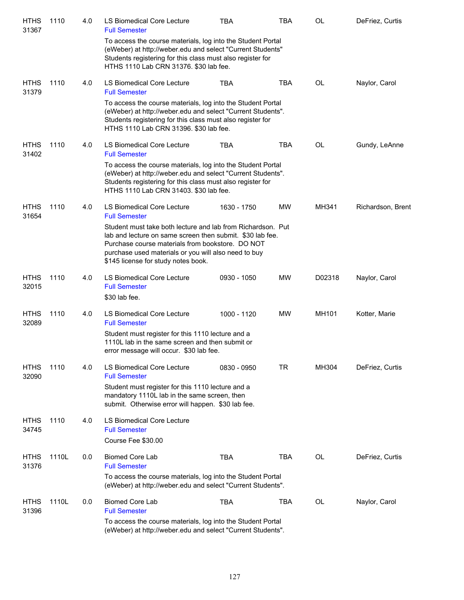| <b>HTHS</b><br>31367 | 1110  | 4.0 | LS Biomedical Core Lecture<br><b>Full Semester</b>                                                                                                                                                                                                                          | TBA         | TBA        | OL     | DeFriez, Curtis   |
|----------------------|-------|-----|-----------------------------------------------------------------------------------------------------------------------------------------------------------------------------------------------------------------------------------------------------------------------------|-------------|------------|--------|-------------------|
|                      |       |     | To access the course materials, log into the Student Portal<br>(eWeber) at http://weber.edu and select "Current Students"<br>Students registering for this class must also register for<br>HTHS 1110 Lab CRN 31376. \$30 lab fee.                                           |             |            |        |                   |
| <b>HTHS</b><br>31379 | 1110  | 4.0 | LS Biomedical Core Lecture<br><b>Full Semester</b>                                                                                                                                                                                                                          | TBA         | <b>TBA</b> | OL     | Naylor, Carol     |
|                      |       |     | To access the course materials, log into the Student Portal<br>(eWeber) at http://weber.edu and select "Current Students".<br>Students registering for this class must also register for<br>HTHS 1110 Lab CRN 31396. \$30 lab fee.                                          |             |            |        |                   |
| <b>HTHS</b><br>31402 | 1110  | 4.0 | LS Biomedical Core Lecture<br><b>Full Semester</b>                                                                                                                                                                                                                          | <b>TBA</b>  | <b>TBA</b> | OL     | Gundy, LeAnne     |
|                      |       |     | To access the course materials, log into the Student Portal<br>(eWeber) at http://weber.edu and select "Current Students".<br>Students registering for this class must also register for<br>HTHS 1110 Lab CRN 31403. \$30 lab fee.                                          |             |            |        |                   |
| <b>HTHS</b><br>31654 | 1110  | 4.0 | LS Biomedical Core Lecture<br><b>Full Semester</b>                                                                                                                                                                                                                          | 1630 - 1750 | MW         | MH341  | Richardson, Brent |
|                      |       |     | Student must take both lecture and lab from Richardson. Put<br>lab and lecture on same screen then submit. \$30 lab fee.<br>Purchase course materials from bookstore. DO NOT<br>purchase used materials or you will also need to buy<br>\$145 license for study notes book. |             |            |        |                   |
| <b>HTHS</b><br>32015 | 1110  | 4.0 | LS Biomedical Core Lecture<br><b>Full Semester</b><br>\$30 lab fee.                                                                                                                                                                                                         | 0930 - 1050 | MW         | D02318 | Naylor, Carol     |
| <b>HTHS</b><br>32089 | 1110  | 4.0 | LS Biomedical Core Lecture<br><b>Full Semester</b>                                                                                                                                                                                                                          | 1000 - 1120 | MW         | MH101  | Kotter, Marie     |
|                      |       |     | Student must register for this 1110 lecture and a<br>1110L lab in the same screen and then submit or<br>error message will occur. \$30 lab fee.                                                                                                                             |             |            |        |                   |
| <b>HTHS</b><br>32090 | 1110  | 4.0 | LS Biomedical Core Lecture<br><b>Full Semester</b>                                                                                                                                                                                                                          | 0830 - 0950 | TR         | MH304  | DeFriez, Curtis   |
|                      |       |     | Student must register for this 1110 lecture and a<br>mandatory 1110L lab in the same screen, then<br>submit. Otherwise error will happen. \$30 lab fee.                                                                                                                     |             |            |        |                   |
| <b>HTHS</b><br>34745 | 1110  | 4.0 | LS Biomedical Core Lecture<br><b>Full Semester</b><br>Course Fee \$30.00                                                                                                                                                                                                    |             |            |        |                   |
| <b>HTHS</b><br>31376 | 1110L | 0.0 | <b>Biomed Core Lab</b><br><b>Full Semester</b>                                                                                                                                                                                                                              | <b>TBA</b>  | <b>TBA</b> | OL     | DeFriez, Curtis   |
|                      |       |     | To access the course materials, log into the Student Portal<br>(eWeber) at http://weber.edu and select "Current Students".                                                                                                                                                  |             |            |        |                   |
| <b>HTHS</b><br>31396 | 1110L | 0.0 | <b>Biomed Core Lab</b><br><b>Full Semester</b>                                                                                                                                                                                                                              | <b>TBA</b>  | <b>TBA</b> | OL     | Naylor, Carol     |
|                      |       |     | To access the course materials, log into the Student Portal<br>(eWeber) at http://weber.edu and select "Current Students".                                                                                                                                                  |             |            |        |                   |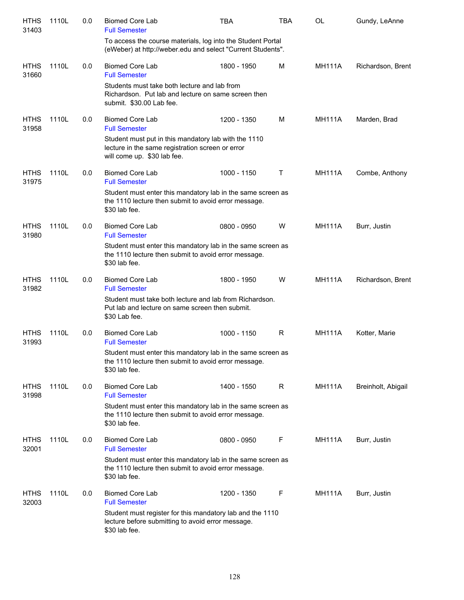| <b>HTHS</b><br>31403 | 1110L | 0.0 | <b>Biomed Core Lab</b><br><b>Full Semester</b>                                                                                          | <b>TBA</b>  | TBA | <b>OL</b>     | Gundy, LeAnne      |
|----------------------|-------|-----|-----------------------------------------------------------------------------------------------------------------------------------------|-------------|-----|---------------|--------------------|
|                      |       |     | To access the course materials, log into the Student Portal<br>(eWeber) at http://weber.edu and select "Current Students".              |             |     |               |                    |
| <b>HTHS</b><br>31660 | 1110L | 0.0 | <b>Biomed Core Lab</b><br><b>Full Semester</b>                                                                                          | 1800 - 1950 | M   | <b>MH111A</b> | Richardson, Brent  |
|                      |       |     | Students must take both lecture and lab from<br>Richardson. Put lab and lecture on same screen then<br>submit. \$30.00 Lab fee.         |             |     |               |                    |
| <b>HTHS</b><br>31958 | 1110L | 0.0 | <b>Biomed Core Lab</b><br><b>Full Semester</b>                                                                                          | 1200 - 1350 | M   | <b>MH111A</b> | Marden, Brad       |
|                      |       |     | Student must put in this mandatory lab with the 1110<br>lecture in the same registration screen or error<br>will come up. \$30 lab fee. |             |     |               |                    |
| <b>HTHS</b><br>31975 | 1110L | 0.0 | <b>Biomed Core Lab</b><br><b>Full Semester</b>                                                                                          | 1000 - 1150 | Τ   | <b>MH111A</b> | Combe, Anthony     |
|                      |       |     | Student must enter this mandatory lab in the same screen as<br>the 1110 lecture then submit to avoid error message.<br>\$30 lab fee.    |             |     |               |                    |
| <b>HTHS</b><br>31980 | 1110L | 0.0 | <b>Biomed Core Lab</b><br><b>Full Semester</b>                                                                                          | 0800 - 0950 | W   | <b>MH111A</b> | Burr, Justin       |
|                      |       |     | Student must enter this mandatory lab in the same screen as<br>the 1110 lecture then submit to avoid error message.<br>\$30 lab fee.    |             |     |               |                    |
| <b>HTHS</b><br>31982 | 1110L | 0.0 | <b>Biomed Core Lab</b><br><b>Full Semester</b>                                                                                          | 1800 - 1950 | W   | <b>MH111A</b> | Richardson, Brent  |
|                      |       |     | Student must take both lecture and lab from Richardson.<br>Put lab and lecture on same screen then submit.<br>\$30 Lab fee.             |             |     |               |                    |
| <b>HTHS</b><br>31993 | 1110L | 0.0 | <b>Biomed Core Lab</b><br><b>Full Semester</b>                                                                                          | 1000 - 1150 | R   | <b>MH111A</b> | Kotter, Marie      |
|                      |       |     | Student must enter this mandatory lab in the same screen as<br>the 1110 lecture then submit to avoid error message.<br>\$30 lab fee.    |             |     |               |                    |
| <b>HTHS</b><br>31998 | 1110L | 0.0 | <b>Biomed Core Lab</b><br><b>Full Semester</b>                                                                                          | 1400 - 1550 | R   | <b>MH111A</b> | Breinholt, Abigail |
|                      |       |     | Student must enter this mandatory lab in the same screen as<br>the 1110 lecture then submit to avoid error message.<br>\$30 lab fee.    |             |     |               |                    |
| <b>HTHS</b><br>32001 | 1110L | 0.0 | <b>Biomed Core Lab</b><br><b>Full Semester</b>                                                                                          | 0800 - 0950 | F   | <b>MH111A</b> | Burr, Justin       |
|                      |       |     | Student must enter this mandatory lab in the same screen as<br>the 1110 lecture then submit to avoid error message.<br>\$30 lab fee.    |             |     |               |                    |
| <b>HTHS</b><br>32003 | 1110L | 0.0 | <b>Biomed Core Lab</b><br><b>Full Semester</b>                                                                                          | 1200 - 1350 | F   | <b>MH111A</b> | Burr, Justin       |
|                      |       |     | Student must register for this mandatory lab and the 1110<br>lecture before submitting to avoid error message.<br>\$30 lab fee.         |             |     |               |                    |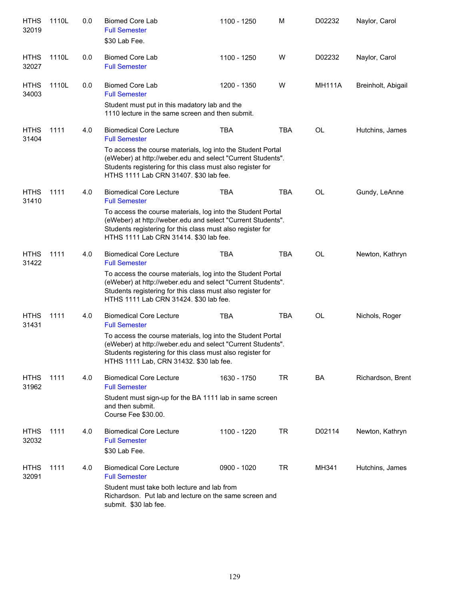| <b>HTHS</b><br>32019 | 1110L | 0.0 | <b>Biomed Core Lab</b><br><b>Full Semester</b><br>\$30 Lab Fee.                                                                                                                                                                                    | 1100 - 1250 | M          | D02232        | Naylor, Carol      |
|----------------------|-------|-----|----------------------------------------------------------------------------------------------------------------------------------------------------------------------------------------------------------------------------------------------------|-------------|------------|---------------|--------------------|
| <b>HTHS</b><br>32027 | 1110L | 0.0 | <b>Biomed Core Lab</b><br><b>Full Semester</b>                                                                                                                                                                                                     | 1100 - 1250 | W          | D02232        | Naylor, Carol      |
| <b>HTHS</b><br>34003 | 1110L | 0.0 | <b>Biomed Core Lab</b><br><b>Full Semester</b><br>Student must put in this madatory lab and the<br>1110 lecture in the same screen and then submit.                                                                                                | 1200 - 1350 | W          | <b>MH111A</b> | Breinholt, Abigail |
| <b>HTHS</b><br>31404 | 1111  | 4.0 | <b>Biomedical Core Lecture</b><br><b>Full Semester</b><br>To access the course materials, log into the Student Portal<br>(eWeber) at http://weber.edu and select "Current Students".<br>Students registering for this class must also register for | <b>TBA</b>  | <b>TBA</b> | OL            | Hutchins, James    |
|                      |       |     | HTHS 1111 Lab CRN 31407. \$30 lab fee.                                                                                                                                                                                                             |             |            |               |                    |
| <b>HTHS</b><br>31410 | 1111  | 4.0 | <b>Biomedical Core Lecture</b><br><b>Full Semester</b>                                                                                                                                                                                             | <b>TBA</b>  | <b>TBA</b> | <b>OL</b>     | Gundy, LeAnne      |
|                      |       |     | To access the course materials, log into the Student Portal<br>(eWeber) at http://weber.edu and select "Current Students".<br>Students registering for this class must also register for<br>HTHS 1111 Lab CRN 31414. \$30 lab fee.                 |             |            |               |                    |
| <b>HTHS</b><br>31422 | 1111  | 4.0 | <b>Biomedical Core Lecture</b><br><b>Full Semester</b>                                                                                                                                                                                             | <b>TBA</b>  | <b>TBA</b> | <b>OL</b>     | Newton, Kathryn    |
|                      |       |     | To access the course materials, log into the Student Portal<br>(eWeber) at http://weber.edu and select "Current Students".<br>Students registering for this class must also register for<br>HTHS 1111 Lab CRN 31424. \$30 lab fee.                 |             |            |               |                    |
| <b>HTHS</b><br>31431 | 1111  | 4.0 | <b>Biomedical Core Lecture</b><br><b>Full Semester</b>                                                                                                                                                                                             | <b>TBA</b>  | <b>TBA</b> | <b>OL</b>     | Nichols, Roger     |
|                      |       |     | To access the course materials, log into the Student Portal<br>(eWeber) at http://weber.edu and select "Current Students".<br>Students registering for this class must also register for<br>HTHS 1111 Lab, CRN 31432. \$30 lab fee.                |             |            |               |                    |
| <b>HTHS</b><br>31962 | 1111  | 4.0 | <b>Biomedical Core Lecture</b><br><b>Full Semester</b>                                                                                                                                                                                             | 1630 - 1750 | <b>TR</b>  | BA            | Richardson, Brent  |
|                      |       |     | Student must sign-up for the BA 1111 lab in same screen<br>and then submit.<br>Course Fee \$30.00.                                                                                                                                                 |             |            |               |                    |
| <b>HTHS</b><br>32032 | 1111  | 4.0 | <b>Biomedical Core Lecture</b><br><b>Full Semester</b><br>\$30 Lab Fee.                                                                                                                                                                            | 1100 - 1220 | <b>TR</b>  | D02114        | Newton, Kathryn    |
| <b>HTHS</b><br>32091 | 1111  | 4.0 | <b>Biomedical Core Lecture</b><br><b>Full Semester</b>                                                                                                                                                                                             | 0900 - 1020 | <b>TR</b>  | MH341         | Hutchins, James    |
|                      |       |     | Student must take both lecture and lab from<br>Richardson. Put lab and lecture on the same screen and<br>submit. \$30 lab fee.                                                                                                                     |             |            |               |                    |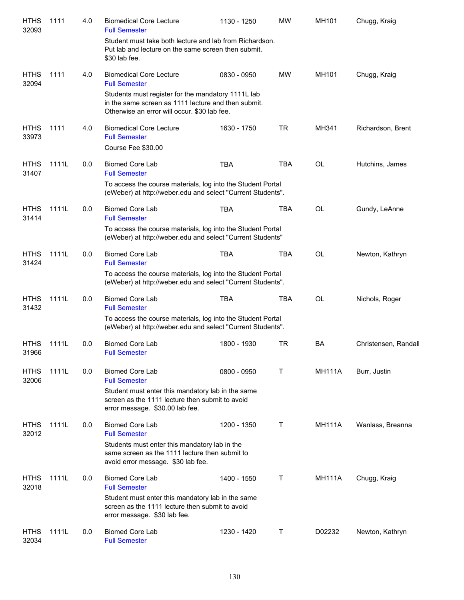| <b>HTHS</b><br>32093 | 1111  | 4.0 | <b>Biomedical Core Lecture</b><br><b>Full Semester</b>                                                                                                    | 1130 - 1250 | <b>MW</b>  | MH101         | Chugg, Kraig         |
|----------------------|-------|-----|-----------------------------------------------------------------------------------------------------------------------------------------------------------|-------------|------------|---------------|----------------------|
|                      |       |     | Student must take both lecture and lab from Richardson.<br>Put lab and lecture on the same screen then submit.<br>\$30 lab fee.                           |             |            |               |                      |
| <b>HTHS</b><br>32094 | 1111  | 4.0 | <b>Biomedical Core Lecture</b><br><b>Full Semester</b>                                                                                                    | 0830 - 0950 | <b>MW</b>  | MH101         | Chugg, Kraig         |
|                      |       |     | Students must register for the mandatory 1111L lab<br>in the same screen as 1111 lecture and then submit.<br>Otherwise an error will occur. \$30 lab fee. |             |            |               |                      |
| <b>HTHS</b><br>33973 | 1111  | 4.0 | <b>Biomedical Core Lecture</b><br><b>Full Semester</b>                                                                                                    | 1630 - 1750 | <b>TR</b>  | MH341         | Richardson, Brent    |
|                      |       |     | Course Fee \$30.00                                                                                                                                        |             |            |               |                      |
| <b>HTHS</b><br>31407 | 1111L | 0.0 | <b>Biomed Core Lab</b><br><b>Full Semester</b>                                                                                                            | <b>TBA</b>  | <b>TBA</b> | OL            | Hutchins, James      |
|                      |       |     | To access the course materials, log into the Student Portal<br>(eWeber) at http://weber.edu and select "Current Students".                                |             |            |               |                      |
| <b>HTHS</b><br>31414 | 1111L | 0.0 | <b>Biomed Core Lab</b><br><b>Full Semester</b>                                                                                                            | <b>TBA</b>  | <b>TBA</b> | OL            | Gundy, LeAnne        |
|                      |       |     | To access the course materials, log into the Student Portal<br>(eWeber) at http://weber.edu and select "Current Students"                                 |             |            |               |                      |
| <b>HTHS</b><br>31424 | 1111L | 0.0 | <b>Biomed Core Lab</b><br><b>Full Semester</b>                                                                                                            | <b>TBA</b>  | <b>TBA</b> | OL            | Newton, Kathryn      |
|                      |       |     | To access the course materials, log into the Student Portal<br>(eWeber) at http://weber.edu and select "Current Students".                                |             |            |               |                      |
| <b>HTHS</b><br>31432 | 1111L | 0.0 | <b>Biomed Core Lab</b><br><b>Full Semester</b>                                                                                                            | <b>TBA</b>  | <b>TBA</b> | OL            | Nichols, Roger       |
|                      |       |     | To access the course materials, log into the Student Portal<br>(eWeber) at http://weber.edu and select "Current Students".                                |             |            |               |                      |
| <b>HTHS</b><br>31966 | 1111L | 0.0 | <b>Biomed Core Lab</b><br><b>Full Semester</b>                                                                                                            | 1800 - 1930 | TR         | BA            | Christensen, Randall |
| <b>HTHS</b><br>32006 | 1111L | 0.0 | <b>Biomed Core Lab</b><br><b>Full Semester</b>                                                                                                            | 0800 - 0950 | т          | <b>MH111A</b> | Burr, Justin         |
|                      |       |     | Student must enter this mandatory lab in the same<br>screen as the 1111 lecture then submit to avoid<br>error message. \$30.00 lab fee.                   |             |            |               |                      |
| <b>HTHS</b><br>32012 | 1111L | 0.0 | <b>Biomed Core Lab</b><br><b>Full Semester</b>                                                                                                            | 1200 - 1350 | Τ          | <b>MH111A</b> | Wanlass, Breanna     |
|                      |       |     | Students must enter this mandatory lab in the<br>same screen as the 1111 lecture then submit to<br>avoid error message. \$30 lab fee.                     |             |            |               |                      |
| <b>HTHS</b><br>32018 | 1111L | 0.0 | <b>Biomed Core Lab</b><br><b>Full Semester</b>                                                                                                            | 1400 - 1550 | Τ          | <b>MH111A</b> | Chugg, Kraig         |
|                      |       |     | Student must enter this mandatory lab in the same<br>screen as the 1111 lecture then submit to avoid<br>error message. \$30 lab fee.                      |             |            |               |                      |
| <b>HTHS</b><br>32034 | 1111L | 0.0 | <b>Biomed Core Lab</b><br><b>Full Semester</b>                                                                                                            | 1230 - 1420 | Τ          | D02232        | Newton, Kathryn      |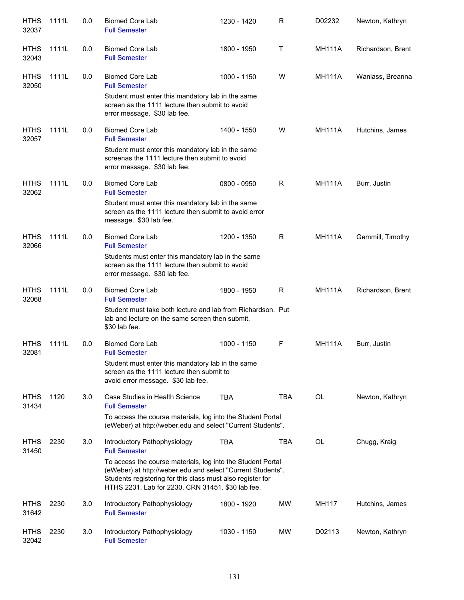| <b>HTHS</b><br>32037 | 1111L | 0.0 | <b>Biomed Core Lab</b><br><b>Full Semester</b>                                                                                                                                                                                                | 1230 - 1420 | R          | D02232        | Newton, Kathryn   |
|----------------------|-------|-----|-----------------------------------------------------------------------------------------------------------------------------------------------------------------------------------------------------------------------------------------------|-------------|------------|---------------|-------------------|
| <b>HTHS</b><br>32043 | 1111L | 0.0 | <b>Biomed Core Lab</b><br><b>Full Semester</b>                                                                                                                                                                                                | 1800 - 1950 | T          | <b>MH111A</b> | Richardson, Brent |
| <b>HTHS</b><br>32050 | 1111L | 0.0 | <b>Biomed Core Lab</b><br><b>Full Semester</b>                                                                                                                                                                                                | 1000 - 1150 | W          | <b>MH111A</b> | Wanlass, Breanna  |
|                      |       |     | Student must enter this mandatory lab in the same<br>screen as the 1111 lecture then submit to avoid<br>error message. \$30 lab fee.                                                                                                          |             |            |               |                   |
| <b>HTHS</b><br>32057 | 1111L | 0.0 | <b>Biomed Core Lab</b><br><b>Full Semester</b>                                                                                                                                                                                                | 1400 - 1550 | w          | <b>MH111A</b> | Hutchins, James   |
|                      |       |     | Student must enter this mandatory lab in the same<br>screenas the 1111 lecture then submit to avoid<br>error message. \$30 lab fee.                                                                                                           |             |            |               |                   |
| <b>HTHS</b><br>32062 | 1111L | 0.0 | <b>Biomed Core Lab</b><br><b>Full Semester</b>                                                                                                                                                                                                | 0800 - 0950 | R          | <b>MH111A</b> | Burr, Justin      |
|                      |       |     | Student must enter this mandatory lab in the same<br>screen as the 1111 lecture then submit to avoid error<br>message. \$30 lab fee.                                                                                                          |             |            |               |                   |
| <b>HTHS</b><br>32066 | 1111L | 0.0 | <b>Biomed Core Lab</b><br><b>Full Semester</b>                                                                                                                                                                                                | 1200 - 1350 | R          | <b>MH111A</b> | Gemmill, Timothy  |
|                      |       |     | Students must enter this mandatory lab in the same<br>screen as the 1111 lecture then submit to avoid<br>error message. \$30 lab fee.                                                                                                         |             |            |               |                   |
| <b>HTHS</b><br>32068 | 1111L | 0.0 | <b>Biomed Core Lab</b><br><b>Full Semester</b>                                                                                                                                                                                                | 1800 - 1950 | R          | <b>MH111A</b> | Richardson, Brent |
|                      |       |     | Student must take both lecture and lab from Richardson. Put<br>lab and lecture on the same screen then submit.<br>\$30 lab fee.                                                                                                               |             |            |               |                   |
| <b>HTHS</b><br>32081 | 1111L | 0.0 | <b>Biomed Core Lab</b><br><b>Full Semester</b>                                                                                                                                                                                                | 1000 - 1150 | F          | <b>MH111A</b> | Burr, Justin      |
|                      |       |     | Student must enter this mandatory lab in the same<br>screen as the 1111 lecture then submit to<br>avoid error message. \$30 lab fee.                                                                                                          |             |            |               |                   |
| <b>HTHS</b><br>31434 | 1120  | 3.0 | Case Studies in Health Science<br><b>Full Semester</b>                                                                                                                                                                                        | <b>TBA</b>  | <b>TBA</b> | <b>OL</b>     | Newton, Kathryn   |
|                      |       |     | To access the course materials, log into the Student Portal<br>(eWeber) at http://weber.edu and select "Current Students".                                                                                                                    |             |            |               |                   |
| <b>HTHS</b><br>31450 | 2230  | 3.0 | Introductory Pathophysiology<br><b>Full Semester</b>                                                                                                                                                                                          | <b>TBA</b>  | <b>TBA</b> | OL            | Chugg, Kraig      |
|                      |       |     | To access the course materials, log into the Student Portal<br>(eWeber) at http://weber.edu and select "Current Students".<br>Students registering for this class must also register for<br>HTHS 2231, Lab for 2230, CRN 31451. \$30 lab fee. |             |            |               |                   |
| <b>HTHS</b><br>31642 | 2230  | 3.0 | Introductory Pathophysiology<br><b>Full Semester</b>                                                                                                                                                                                          | 1800 - 1920 | MW         | MH117         | Hutchins, James   |
| <b>HTHS</b><br>32042 | 2230  | 3.0 | Introductory Pathophysiology<br><b>Full Semester</b>                                                                                                                                                                                          | 1030 - 1150 | MW         | D02113        | Newton, Kathryn   |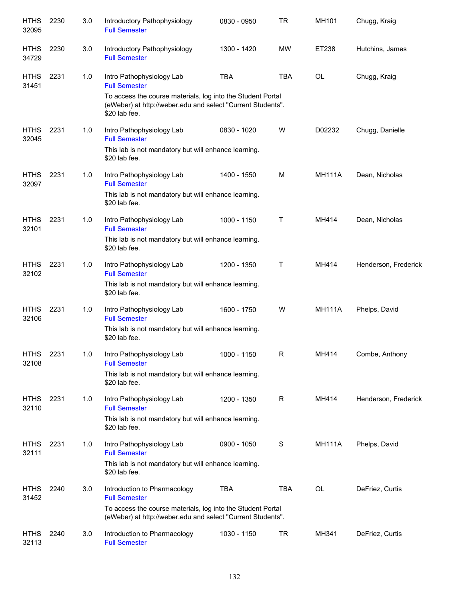| <b>HTHS</b><br>32095 | 2230 | 3.0 | Introductory Pathophysiology<br><b>Full Semester</b>                                                                                        | 0830 - 0950 | <b>TR</b>  | MH101         | Chugg, Kraig         |
|----------------------|------|-----|---------------------------------------------------------------------------------------------------------------------------------------------|-------------|------------|---------------|----------------------|
| <b>HTHS</b><br>34729 | 2230 | 3.0 | Introductory Pathophysiology<br><b>Full Semester</b>                                                                                        | 1300 - 1420 | MW         | ET238         | Hutchins, James      |
| <b>HTHS</b><br>31451 | 2231 | 1.0 | Intro Pathophysiology Lab<br><b>Full Semester</b>                                                                                           | <b>TBA</b>  | <b>TBA</b> | <b>OL</b>     | Chugg, Kraig         |
|                      |      |     | To access the course materials, log into the Student Portal<br>(eWeber) at http://weber.edu and select "Current Students".<br>\$20 lab fee. |             |            |               |                      |
| <b>HTHS</b><br>32045 | 2231 | 1.0 | Intro Pathophysiology Lab<br><b>Full Semester</b>                                                                                           | 0830 - 1020 | W          | D02232        | Chugg, Danielle      |
|                      |      |     | This lab is not mandatory but will enhance learning.<br>\$20 lab fee.                                                                       |             |            |               |                      |
| <b>HTHS</b><br>32097 | 2231 | 1.0 | Intro Pathophysiology Lab<br><b>Full Semester</b>                                                                                           | 1400 - 1550 | м          | <b>MH111A</b> | Dean, Nicholas       |
|                      |      |     | This lab is not mandatory but will enhance learning.<br>\$20 lab fee.                                                                       |             |            |               |                      |
| <b>HTHS</b><br>32101 | 2231 | 1.0 | Intro Pathophysiology Lab<br><b>Full Semester</b>                                                                                           | 1000 - 1150 | т          | MH414         | Dean, Nicholas       |
|                      |      |     | This lab is not mandatory but will enhance learning.<br>\$20 lab fee.                                                                       |             |            |               |                      |
| <b>HTHS</b><br>32102 | 2231 | 1.0 | Intro Pathophysiology Lab<br><b>Full Semester</b>                                                                                           | 1200 - 1350 | т          | MH414         | Henderson, Frederick |
|                      |      |     | This lab is not mandatory but will enhance learning.<br>\$20 lab fee.                                                                       |             |            |               |                      |
| <b>HTHS</b><br>32106 | 2231 | 1.0 | Intro Pathophysiology Lab<br><b>Full Semester</b>                                                                                           | 1600 - 1750 | W          | <b>MH111A</b> | Phelps, David        |
|                      |      |     | This lab is not mandatory but will enhance learning.<br>\$20 lab fee.                                                                       |             |            |               |                      |
| <b>HTHS</b><br>32108 | 2231 | 1.0 | Intro Pathophysiology Lab<br><b>Full Semester</b>                                                                                           | 1000 - 1150 | R          | MH414         | Combe, Anthony       |
|                      |      |     | This lab is not mandatory but will enhance learning.<br>\$20 lab fee.                                                                       |             |            |               |                      |
| <b>HTHS</b><br>32110 | 2231 | 1.0 | Intro Pathophysiology Lab<br><b>Full Semester</b>                                                                                           | 1200 - 1350 | R          | MH414         | Henderson, Frederick |
|                      |      |     | This lab is not mandatory but will enhance learning.<br>\$20 lab fee.                                                                       |             |            |               |                      |
| <b>HTHS</b><br>32111 | 2231 | 1.0 | Intro Pathophysiology Lab<br><b>Full Semester</b>                                                                                           | 0900 - 1050 | S          | <b>MH111A</b> | Phelps, David        |
|                      |      |     | This lab is not mandatory but will enhance learning.<br>\$20 lab fee.                                                                       |             |            |               |                      |
| <b>HTHS</b><br>31452 | 2240 | 3.0 | Introduction to Pharmacology<br><b>Full Semester</b>                                                                                        | <b>TBA</b>  | <b>TBA</b> | OL            | DeFriez, Curtis      |
|                      |      |     | To access the course materials, log into the Student Portal<br>(eWeber) at http://weber.edu and select "Current Students".                  |             |            |               |                      |
| <b>HTHS</b><br>32113 | 2240 | 3.0 | Introduction to Pharmacology<br><b>Full Semester</b>                                                                                        | 1030 - 1150 | TR         | MH341         | DeFriez, Curtis      |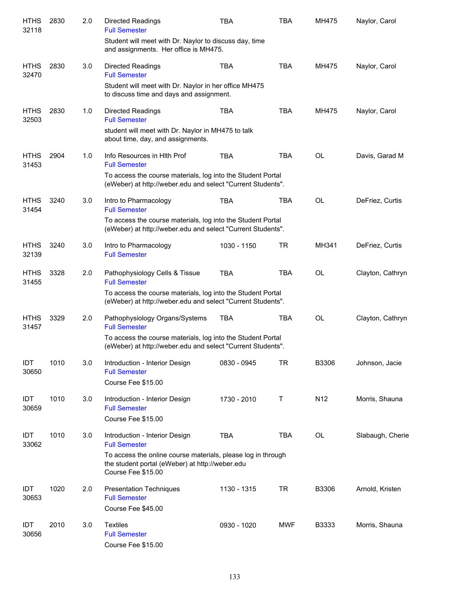| <b>HTHS</b><br>32118 | 2830 | 2.0 | <b>Directed Readings</b><br><b>Full Semester</b>                                                                                      | <b>TBA</b>  | <b>TBA</b> | MH475           | Naylor, Carol    |
|----------------------|------|-----|---------------------------------------------------------------------------------------------------------------------------------------|-------------|------------|-----------------|------------------|
|                      |      |     | Student will meet with Dr. Naylor to discuss day, time<br>and assignments. Her office is MH475.                                       |             |            |                 |                  |
| <b>HTHS</b><br>32470 | 2830 | 3.0 | <b>Directed Readings</b><br><b>Full Semester</b>                                                                                      | <b>TBA</b>  | <b>TBA</b> | MH475           | Naylor, Carol    |
|                      |      |     | Student will meet with Dr. Naylor in her office MH475<br>to discuss time and days and assignment.                                     |             |            |                 |                  |
| <b>HTHS</b><br>32503 | 2830 | 1.0 | <b>Directed Readings</b><br><b>Full Semester</b>                                                                                      | <b>TBA</b>  | <b>TBA</b> | MH475           | Naylor, Carol    |
|                      |      |     | student will meet with Dr. Naylor in MH475 to talk<br>about time, day, and assignments.                                               |             |            |                 |                  |
| <b>HTHS</b><br>31453 | 2904 | 1.0 | Info Resources in Hith Prof<br><b>Full Semester</b>                                                                                   | <b>TBA</b>  | <b>TBA</b> | <b>OL</b>       | Davis, Garad M   |
|                      |      |     | To access the course materials, log into the Student Portal<br>(eWeber) at http://weber.edu and select "Current Students".            |             |            |                 |                  |
| <b>HTHS</b><br>31454 | 3240 | 3.0 | Intro to Pharmacology<br><b>Full Semester</b>                                                                                         | <b>TBA</b>  | <b>TBA</b> | <b>OL</b>       | DeFriez, Curtis  |
|                      |      |     | To access the course materials, log into the Student Portal<br>(eWeber) at http://weber.edu and select "Current Students".            |             |            |                 |                  |
| <b>HTHS</b><br>32139 | 3240 | 3.0 | Intro to Pharmacology<br><b>Full Semester</b>                                                                                         | 1030 - 1150 | <b>TR</b>  | MH341           | DeFriez, Curtis  |
| <b>HTHS</b><br>31455 | 3328 | 2.0 | Pathophysiology Cells & Tissue<br><b>Full Semester</b>                                                                                | <b>TBA</b>  | <b>TBA</b> | <b>OL</b>       | Clayton, Cathryn |
|                      |      |     | To access the course materials, log into the Student Portal<br>(eWeber) at http://weber.edu and select "Current Students".            |             |            |                 |                  |
| <b>HTHS</b><br>31457 | 3329 | 2.0 | Pathophysiology Organs/Systems<br><b>Full Semester</b>                                                                                | <b>TBA</b>  | <b>TBA</b> | <b>OL</b>       | Clayton, Cathryn |
|                      |      |     | To access the course materials, log into the Student Portal<br>(eWeber) at http://weber.edu and select "Current Students".            |             |            |                 |                  |
| IDT<br>30650         | 1010 | 3.0 | Introduction - Interior Design<br><b>Full Semester</b>                                                                                | 0830 - 0945 | <b>TR</b>  | B3306           | Johnson, Jacie   |
|                      |      |     | Course Fee \$15.00                                                                                                                    |             |            |                 |                  |
| IDT<br>30659         | 1010 | 3.0 | Introduction - Interior Design<br><b>Full Semester</b>                                                                                | 1730 - 2010 | Τ          | N <sub>12</sub> | Morris, Shauna   |
|                      |      |     | Course Fee \$15.00                                                                                                                    |             |            |                 |                  |
| IDT<br>33062         | 1010 | 3.0 | Introduction - Interior Design<br><b>Full Semester</b>                                                                                | <b>TBA</b>  | <b>TBA</b> | OL              | Slabaugh, Cherie |
|                      |      |     | To access the online course materials, please log in through<br>the student portal (eWeber) at http://weber.edu<br>Course Fee \$15.00 |             |            |                 |                  |
| IDT<br>30653         | 1020 | 2.0 | <b>Presentation Techniques</b><br><b>Full Semester</b>                                                                                | 1130 - 1315 | <b>TR</b>  | B3306           | Arnold, Kristen  |
|                      |      |     | Course Fee \$45.00                                                                                                                    |             |            |                 |                  |
| IDT<br>30656         | 2010 | 3.0 | <b>Textiles</b><br><b>Full Semester</b><br>Course Fee \$15.00                                                                         | 0930 - 1020 | <b>MWF</b> | B3333           | Morris, Shauna   |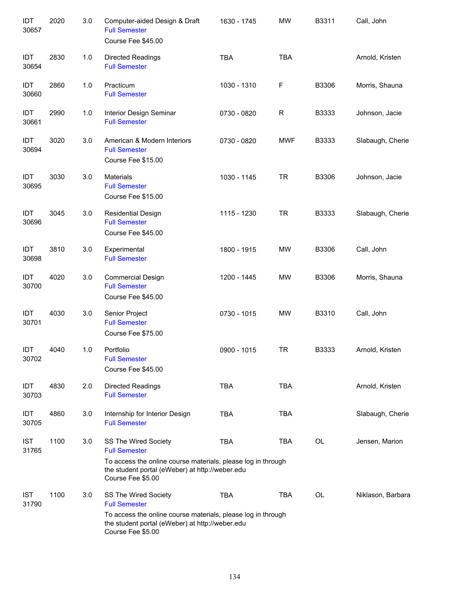| IDT<br>30657        | 2020 | 3.0 | Computer-aided Design & Draft<br><b>Full Semester</b><br>Course Fee \$45.00                                                                                                          | 1630 - 1745 | <b>MW</b>   | B3311 | Call, John        |
|---------------------|------|-----|--------------------------------------------------------------------------------------------------------------------------------------------------------------------------------------|-------------|-------------|-------|-------------------|
| IDT<br>30654        | 2830 | 1.0 | <b>Directed Readings</b><br><b>Full Semester</b>                                                                                                                                     | <b>TBA</b>  | <b>TBA</b>  |       | Arnold, Kristen   |
| IDT<br>30660        | 2860 | 1.0 | Practicum<br><b>Full Semester</b>                                                                                                                                                    | 1030 - 1310 | F           | B3306 | Morris, Shauna    |
| IDT<br>30661        | 2990 | 1.0 | Interior Design Seminar<br><b>Full Semester</b>                                                                                                                                      | 0730 - 0820 | $\mathsf R$ | B3333 | Johnson, Jacie    |
| IDT<br>30694        | 3020 | 3.0 | American & Modern Interiors<br><b>Full Semester</b><br>Course Fee \$15.00                                                                                                            | 0730 - 0820 | <b>MWF</b>  | B3333 | Slabaugh, Cherie  |
| IDT<br>30695        | 3030 | 3.0 | <b>Materials</b><br><b>Full Semester</b><br>Course Fee \$15.00                                                                                                                       | 1030 - 1145 | <b>TR</b>   | B3306 | Johnson, Jacie    |
| IDT<br>30696        | 3045 | 3.0 | <b>Residential Design</b><br><b>Full Semester</b><br>Course Fee \$45.00                                                                                                              | 1115 - 1230 | <b>TR</b>   | B3333 | Slabaugh, Cherie  |
| IDT<br>30698        | 3810 | 3.0 | Experimental<br><b>Full Semester</b>                                                                                                                                                 | 1800 - 1915 | <b>MW</b>   | B3306 | Call, John        |
| IDT<br>30700        | 4020 | 3.0 | <b>Commercial Design</b><br><b>Full Semester</b><br>Course Fee \$45.00                                                                                                               | 1200 - 1445 | <b>MW</b>   | B3306 | Morris, Shauna    |
| IDT<br>30701        | 4030 | 3.0 | Senior Project<br><b>Full Semester</b><br>Course Fee \$75.00                                                                                                                         | 0730 - 1015 | <b>MW</b>   | B3310 | Call, John        |
| IDT<br>30702        | 4040 | 1.0 | Portfolio<br><b>Full Semester</b><br>Course Fee \$45.00                                                                                                                              | 0900 - 1015 | <b>TR</b>   | B3333 | Arnold, Kristen   |
| IDT<br>30703        | 4830 | 2.0 | <b>Directed Readings</b><br><b>Full Semester</b>                                                                                                                                     | <b>TBA</b>  | <b>TBA</b>  |       | Arnold, Kristen   |
| IDT<br>30705        | 4860 | 3.0 | Internship for Interior Design<br><b>Full Semester</b>                                                                                                                               | <b>TBA</b>  | <b>TBA</b>  |       | Slabaugh, Cherie  |
| <b>IST</b><br>31765 | 1100 | 3.0 | SS The Wired Society<br><b>Full Semester</b><br>To access the online course materials, please log in through<br>the student portal (eWeber) at http://weber.edu<br>Course Fee \$5.00 | <b>TBA</b>  | TBA         | OL    | Jensen, Marion    |
| <b>IST</b><br>31790 | 1100 | 3.0 | SS The Wired Society<br><b>Full Semester</b><br>To access the online course materials, please log in through<br>the student portal (eWeber) at http://weber.edu<br>Course Fee \$5.00 | <b>TBA</b>  | <b>TBA</b>  | OL    | Niklason, Barbara |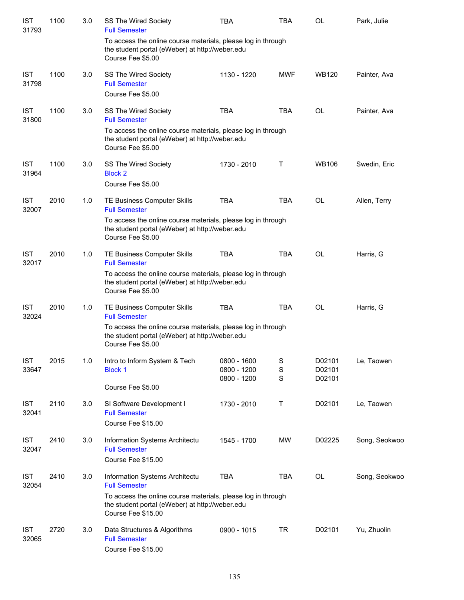| <b>IST</b><br>31793 | 1100 | 3.0 | SS The Wired Society<br><b>Full Semester</b>                                                                                          | <b>TBA</b>                                | TBA         | <b>OL</b>                  | Park, Julie   |
|---------------------|------|-----|---------------------------------------------------------------------------------------------------------------------------------------|-------------------------------------------|-------------|----------------------------|---------------|
|                     |      |     | To access the online course materials, please log in through<br>the student portal (eWeber) at http://weber.edu<br>Course Fee \$5.00  |                                           |             |                            |               |
| <b>IST</b><br>31798 | 1100 | 3.0 | SS The Wired Society<br><b>Full Semester</b>                                                                                          | 1130 - 1220                               | <b>MWF</b>  | <b>WB120</b>               | Painter, Ava  |
|                     |      |     | Course Fee \$5.00                                                                                                                     |                                           |             |                            |               |
| <b>IST</b><br>31800 | 1100 | 3.0 | SS The Wired Society<br><b>Full Semester</b>                                                                                          | <b>TBA</b>                                | <b>TBA</b>  | OL                         | Painter, Ava  |
|                     |      |     | To access the online course materials, please log in through<br>the student portal (eWeber) at http://weber.edu<br>Course Fee \$5.00  |                                           |             |                            |               |
| <b>IST</b><br>31964 | 1100 | 3.0 | SS The Wired Society<br><b>Block 2</b>                                                                                                | 1730 - 2010                               | Τ           | <b>WB106</b>               | Swedin, Eric  |
|                     |      |     | Course Fee \$5.00                                                                                                                     |                                           |             |                            |               |
| <b>IST</b><br>32007 | 2010 | 1.0 | TE Business Computer Skills<br><b>Full Semester</b>                                                                                   | <b>TBA</b>                                | <b>TBA</b>  | <b>OL</b>                  | Allen, Terry  |
|                     |      |     | To access the online course materials, please log in through<br>the student portal (eWeber) at http://weber.edu<br>Course Fee \$5.00  |                                           |             |                            |               |
| <b>IST</b><br>32017 | 2010 | 1.0 | TE Business Computer Skills<br><b>Full Semester</b>                                                                                   | <b>TBA</b>                                | <b>TBA</b>  | <b>OL</b>                  | Harris, G     |
|                     |      |     | To access the online course materials, please log in through<br>the student portal (eWeber) at http://weber.edu<br>Course Fee \$5.00  |                                           |             |                            |               |
| <b>IST</b><br>32024 | 2010 | 1.0 | TE Business Computer Skills<br><b>Full Semester</b>                                                                                   | <b>TBA</b>                                | <b>TBA</b>  | <b>OL</b>                  | Harris, G     |
|                     |      |     | To access the online course materials, please log in through<br>the student portal (eWeber) at http://weber.edu<br>Course Fee \$5.00  |                                           |             |                            |               |
| <b>IST</b><br>33647 | 2015 | 1.0 | Intro to Inform System & Tech<br><b>Block 1</b>                                                                                       | 0800 - 1600<br>0800 - 1200<br>0800 - 1200 | S<br>S<br>S | D02101<br>D02101<br>D02101 | Le, Taowen    |
|                     |      |     | Course Fee \$5.00                                                                                                                     |                                           |             |                            |               |
| <b>IST</b><br>32041 | 2110 | 3.0 | SI Software Development I<br><b>Full Semester</b><br>Course Fee \$15.00                                                               | 1730 - 2010                               | Т           | D02101                     | Le, Taowen    |
| <b>IST</b><br>32047 | 2410 | 3.0 | Information Systems Architectu<br><b>Full Semester</b><br>Course Fee \$15.00                                                          | 1545 - 1700                               | MW          | D02225                     | Song, Seokwoo |
| <b>IST</b><br>32054 | 2410 | 3.0 | Information Systems Architectu<br><b>Full Semester</b>                                                                                | <b>TBA</b>                                | TBA         | OL                         | Song, Seokwoo |
|                     |      |     | To access the online course materials, please log in through<br>the student portal (eWeber) at http://weber.edu<br>Course Fee \$15.00 |                                           |             |                            |               |
| <b>IST</b><br>32065 | 2720 | 3.0 | Data Structures & Algorithms<br><b>Full Semester</b><br>Course Fee \$15.00                                                            | 0900 - 1015                               | TR          | D02101                     | Yu, Zhuolin   |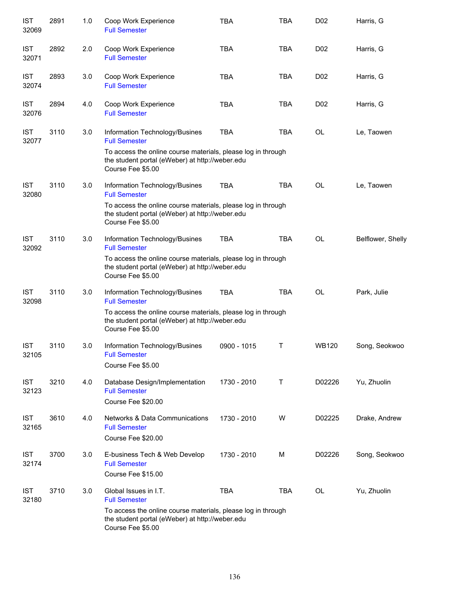| <b>IST</b><br>32069 | 2891 | 1.0 | Coop Work Experience<br><b>Full Semester</b>                                                                                         | <b>TBA</b>  | <b>TBA</b> | D <sub>0</sub> 2 | Harris, G         |
|---------------------|------|-----|--------------------------------------------------------------------------------------------------------------------------------------|-------------|------------|------------------|-------------------|
| <b>IST</b><br>32071 | 2892 | 2.0 | Coop Work Experience<br><b>Full Semester</b>                                                                                         | <b>TBA</b>  | <b>TBA</b> | D <sub>0</sub> 2 | Harris, G         |
| <b>IST</b><br>32074 | 2893 | 3.0 | Coop Work Experience<br><b>Full Semester</b>                                                                                         | <b>TBA</b>  | <b>TBA</b> | D <sub>0</sub> 2 | Harris, G         |
| <b>IST</b><br>32076 | 2894 | 4.0 | Coop Work Experience<br><b>Full Semester</b>                                                                                         | <b>TBA</b>  | TBA        | D <sub>0</sub> 2 | Harris, G         |
| <b>IST</b><br>32077 | 3110 | 3.0 | Information Technology/Busines<br><b>Full Semester</b>                                                                               | <b>TBA</b>  | TBA        | OL               | Le, Taowen        |
|                     |      |     | To access the online course materials, please log in through<br>the student portal (eWeber) at http://weber.edu<br>Course Fee \$5.00 |             |            |                  |                   |
| <b>IST</b><br>32080 | 3110 | 3.0 | Information Technology/Busines<br><b>Full Semester</b>                                                                               | <b>TBA</b>  | <b>TBA</b> | OL               | Le, Taowen        |
|                     |      |     | To access the online course materials, please log in through<br>the student portal (eWeber) at http://weber.edu<br>Course Fee \$5.00 |             |            |                  |                   |
| <b>IST</b><br>32092 | 3110 | 3.0 | Information Technology/Busines<br><b>Full Semester</b>                                                                               | <b>TBA</b>  | <b>TBA</b> | <b>OL</b>        | Belflower, Shelly |
|                     |      |     | To access the online course materials, please log in through<br>the student portal (eWeber) at http://weber.edu<br>Course Fee \$5.00 |             |            |                  |                   |
| <b>IST</b><br>32098 | 3110 | 3.0 | Information Technology/Busines<br><b>Full Semester</b>                                                                               | <b>TBA</b>  | <b>TBA</b> | <b>OL</b>        | Park, Julie       |
|                     |      |     | To access the online course materials, please log in through<br>the student portal (eWeber) at http://weber.edu<br>Course Fee \$5.00 |             |            |                  |                   |
| <b>IST</b><br>32105 | 3110 | 3.0 | Information Technology/Busines<br><b>Full Semester</b><br>Course Fee \$5.00                                                          | 0900 - 1015 | Τ          | <b>WB120</b>     | Song, Seokwoo     |
| <b>IST</b><br>32123 | 3210 | 4.0 | Database Design/Implementation<br><b>Full Semester</b><br>Course Fee \$20.00                                                         | 1730 - 2010 | Т          | D02226           | Yu, Zhuolin       |
| <b>IST</b><br>32165 | 3610 | 4.0 | <b>Networks &amp; Data Communications</b><br><b>Full Semester</b><br>Course Fee \$20.00                                              | 1730 - 2010 | W          | D02225           | Drake, Andrew     |
| <b>IST</b><br>32174 | 3700 | 3.0 | E-business Tech & Web Develop<br><b>Full Semester</b><br>Course Fee \$15.00                                                          | 1730 - 2010 | М          | D02226           | Song, Seokwoo     |
| <b>IST</b><br>32180 | 3710 | 3.0 | Global Issues in I.T.<br><b>Full Semester</b>                                                                                        | <b>TBA</b>  | TBA        | OL               | Yu, Zhuolin       |
|                     |      |     | To access the online course materials, please log in through<br>the student portal (eWeber) at http://weber.edu<br>Course Fee \$5.00 |             |            |                  |                   |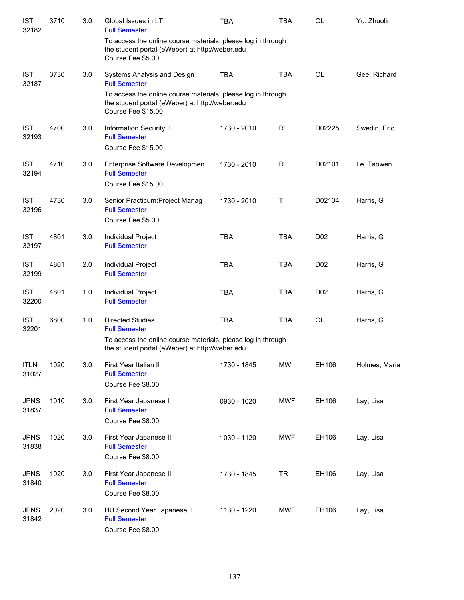| <b>IST</b><br>32182  | 3710 | 3.0 | Global Issues in I.T.<br><b>Full Semester</b>                                                                                         | <b>TBA</b>  | <b>TBA</b>  | OL               | Yu, Zhuolin   |
|----------------------|------|-----|---------------------------------------------------------------------------------------------------------------------------------------|-------------|-------------|------------------|---------------|
|                      |      |     | To access the online course materials, please log in through<br>the student portal (eWeber) at http://weber.edu<br>Course Fee \$5.00  |             |             |                  |               |
| <b>IST</b><br>32187  | 3730 | 3.0 | Systems Analysis and Design<br><b>Full Semester</b>                                                                                   | <b>TBA</b>  | <b>TBA</b>  | <b>OL</b>        | Gee, Richard  |
|                      |      |     | To access the online course materials, please log in through<br>the student portal (eWeber) at http://weber.edu<br>Course Fee \$15.00 |             |             |                  |               |
| <b>IST</b><br>32193  | 4700 | 3.0 | Information Security II<br><b>Full Semester</b><br>Course Fee \$15.00                                                                 | 1730 - 2010 | R           | D02225           | Swedin, Eric  |
| <b>IST</b><br>32194  | 4710 | 3.0 | Enterprise Software Developmen<br><b>Full Semester</b><br>Course Fee \$15.00                                                          | 1730 - 2010 | $\mathsf R$ | D02101           | Le, Taowen    |
| <b>IST</b><br>32196  | 4730 | 3.0 | Senior Practicum: Project Manag<br><b>Full Semester</b><br>Course Fee \$5.00                                                          | 1730 - 2010 | Τ           | D02134           | Harris, G     |
| <b>IST</b><br>32197  | 4801 | 3.0 | Individual Project<br><b>Full Semester</b>                                                                                            | <b>TBA</b>  | <b>TBA</b>  | D <sub>0</sub> 2 | Harris, G     |
| <b>IST</b><br>32199  | 4801 | 2.0 | Individual Project<br><b>Full Semester</b>                                                                                            | <b>TBA</b>  | <b>TBA</b>  | D <sub>0</sub> 2 | Harris, G     |
| <b>IST</b><br>32200  | 4801 | 1.0 | Individual Project<br><b>Full Semester</b>                                                                                            | <b>TBA</b>  | <b>TBA</b>  | D <sub>0</sub> 2 | Harris, G     |
| <b>IST</b><br>32201  | 6800 | 1.0 | <b>Directed Studies</b><br><b>Full Semester</b><br>To access the online course materials, please log in through                       | <b>TBA</b>  | <b>TBA</b>  | <b>OL</b>        | Harris, G     |
|                      |      |     | the student portal (eWeber) at http://weber.edu                                                                                       |             |             |                  |               |
| <b>ITLN</b><br>31027 | 1020 | 3.0 | First Year Italian II<br><b>Full Semester</b><br>Course Fee \$8.00                                                                    | 1730 - 1845 | <b>MW</b>   | EH106            | Holmes, Maria |
| <b>JPNS</b><br>31837 | 1010 | 3.0 | First Year Japanese I<br><b>Full Semester</b><br>Course Fee \$8.00                                                                    | 0930 - 1020 | <b>MWF</b>  | EH106            | Lay, Lisa     |
| <b>JPNS</b><br>31838 | 1020 | 3.0 | First Year Japanese II<br><b>Full Semester</b><br>Course Fee \$8.00                                                                   | 1030 - 1120 | <b>MWF</b>  | EH106            | Lay, Lisa     |
| <b>JPNS</b><br>31840 | 1020 | 3.0 | First Year Japanese II<br><b>Full Semester</b><br>Course Fee \$8.00                                                                   | 1730 - 1845 | <b>TR</b>   | EH106            | Lay, Lisa     |
| <b>JPNS</b><br>31842 | 2020 | 3.0 | HU Second Year Japanese II<br><b>Full Semester</b><br>Course Fee \$8.00                                                               | 1130 - 1220 | <b>MWF</b>  | EH106            | Lay, Lisa     |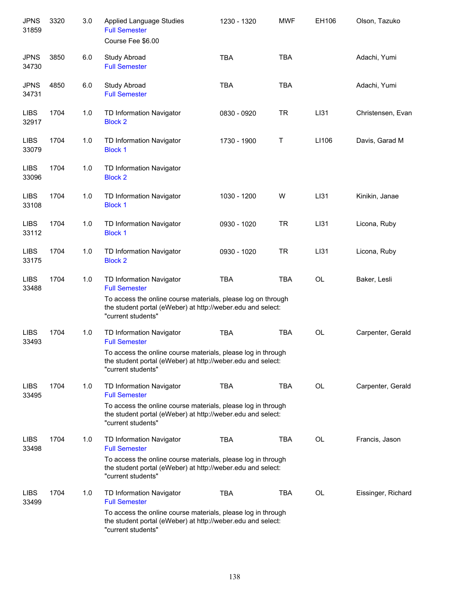| <b>JPNS</b><br>31859 | 3320 | 3.0 | <b>Applied Language Studies</b><br><b>Full Semester</b><br>Course Fee \$6.00                                                                      | 1230 - 1320 | <b>MWF</b> | EH106     | Olson, Tazuko      |
|----------------------|------|-----|---------------------------------------------------------------------------------------------------------------------------------------------------|-------------|------------|-----------|--------------------|
| <b>JPNS</b><br>34730 | 3850 | 6.0 | Study Abroad<br><b>Full Semester</b>                                                                                                              | <b>TBA</b>  | <b>TBA</b> |           | Adachi, Yumi       |
| <b>JPNS</b><br>34731 | 4850 | 6.0 | Study Abroad<br><b>Full Semester</b>                                                                                                              | <b>TBA</b>  | <b>TBA</b> |           | Adachi, Yumi       |
| <b>LIBS</b><br>32917 | 1704 | 1.0 | TD Information Navigator<br><b>Block 2</b>                                                                                                        | 0830 - 0920 | <b>TR</b>  | LI31      | Christensen, Evan  |
| <b>LIBS</b><br>33079 | 1704 | 1.0 | TD Information Navigator<br><b>Block 1</b>                                                                                                        | 1730 - 1900 | Τ          | LI106     | Davis, Garad M     |
| <b>LIBS</b><br>33096 | 1704 | 1.0 | TD Information Navigator<br><b>Block 2</b>                                                                                                        |             |            |           |                    |
| <b>LIBS</b><br>33108 | 1704 | 1.0 | TD Information Navigator<br><b>Block 1</b>                                                                                                        | 1030 - 1200 | W          | LI31      | Kinikin, Janae     |
| <b>LIBS</b><br>33112 | 1704 | 1.0 | TD Information Navigator<br><b>Block 1</b>                                                                                                        | 0930 - 1020 | <b>TR</b>  | LI31      | Licona, Ruby       |
| <b>LIBS</b><br>33175 | 1704 | 1.0 | TD Information Navigator<br><b>Block 2</b>                                                                                                        | 0930 - 1020 | <b>TR</b>  | LI31      | Licona, Ruby       |
| <b>LIBS</b><br>33488 | 1704 | 1.0 | TD Information Navigator<br><b>Full Semester</b>                                                                                                  | <b>TBA</b>  | <b>TBA</b> | <b>OL</b> | Baker, Lesli       |
|                      |      |     | To access the online course materials, please log on through<br>the student portal (eWeber) at http://weber.edu and select:<br>"current students" |             |            |           |                    |
| <b>LIBS</b><br>33493 | 1704 | 1.0 | TD Information Navigator<br><b>Full Semester</b>                                                                                                  | <b>TBA</b>  | <b>TBA</b> | <b>OL</b> | Carpenter, Gerald  |
|                      |      |     | To access the online course materials, please log in through<br>the student portal (eWeber) at http://weber.edu and select:<br>"current students" |             |            |           |                    |
| <b>LIBS</b><br>33495 | 1704 | 1.0 | TD Information Navigator<br><b>Full Semester</b>                                                                                                  | <b>TBA</b>  | <b>TBA</b> | <b>OL</b> | Carpenter, Gerald  |
|                      |      |     | To access the online course materials, please log in through<br>the student portal (eWeber) at http://weber.edu and select:<br>"current students" |             |            |           |                    |
| <b>LIBS</b><br>33498 | 1704 | 1.0 | TD Information Navigator<br><b>Full Semester</b>                                                                                                  | <b>TBA</b>  | <b>TBA</b> | <b>OL</b> | Francis, Jason     |
|                      |      |     | To access the online course materials, please log in through<br>the student portal (eWeber) at http://weber.edu and select:<br>"current students" |             |            |           |                    |
| <b>LIBS</b><br>33499 | 1704 | 1.0 | TD Information Navigator<br><b>Full Semester</b>                                                                                                  | TBA         | TBA        | <b>OL</b> | Eissinger, Richard |
|                      |      |     | To access the online course materials, please log in through<br>the student portal (eWeber) at http://weber.edu and select:<br>"current students" |             |            |           |                    |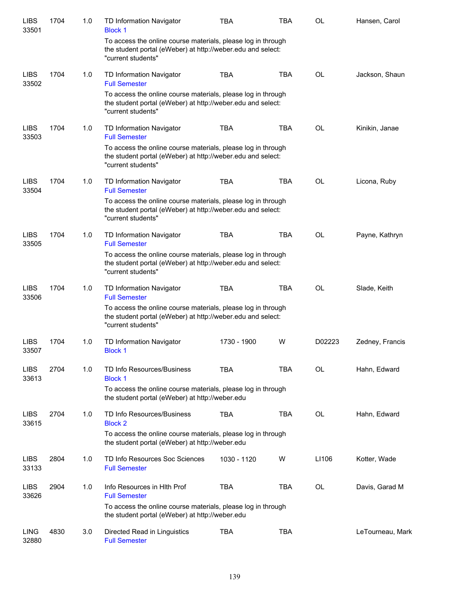| <b>LIBS</b><br>33501 | 1704 | 1.0 | <b>TD Information Navigator</b><br><b>Block 1</b>                                                                                                 | <b>TBA</b>  | <b>TBA</b> | <b>OL</b> | Hansen, Carol    |
|----------------------|------|-----|---------------------------------------------------------------------------------------------------------------------------------------------------|-------------|------------|-----------|------------------|
|                      |      |     | To access the online course materials, please log in through<br>the student portal (eWeber) at http://weber.edu and select:<br>"current students" |             |            |           |                  |
| <b>LIBS</b><br>33502 | 1704 | 1.0 | TD Information Navigator<br><b>Full Semester</b>                                                                                                  | <b>TBA</b>  | <b>TBA</b> | <b>OL</b> | Jackson, Shaun   |
|                      |      |     | To access the online course materials, please log in through<br>the student portal (eWeber) at http://weber.edu and select:<br>"current students" |             |            |           |                  |
| <b>LIBS</b><br>33503 | 1704 | 1.0 | TD Information Navigator<br><b>Full Semester</b>                                                                                                  | <b>TBA</b>  | <b>TBA</b> | <b>OL</b> | Kinikin, Janae   |
|                      |      |     | To access the online course materials, please log in through<br>the student portal (eWeber) at http://weber.edu and select:<br>"current students" |             |            |           |                  |
| <b>LIBS</b><br>33504 | 1704 | 1.0 | TD Information Navigator<br><b>Full Semester</b>                                                                                                  | <b>TBA</b>  | <b>TBA</b> | <b>OL</b> | Licona, Ruby     |
|                      |      |     | To access the online course materials, please log in through<br>the student portal (eWeber) at http://weber.edu and select:<br>"current students" |             |            |           |                  |
| <b>LIBS</b><br>33505 | 1704 | 1.0 | TD Information Navigator<br><b>Full Semester</b>                                                                                                  | <b>TBA</b>  | <b>TBA</b> | <b>OL</b> | Payne, Kathryn   |
|                      |      |     | To access the online course materials, please log in through<br>the student portal (eWeber) at http://weber.edu and select:<br>"current students" |             |            |           |                  |
| <b>LIBS</b><br>33506 | 1704 | 1.0 | TD Information Navigator<br><b>Full Semester</b>                                                                                                  | <b>TBA</b>  | <b>TBA</b> | <b>OL</b> | Slade, Keith     |
|                      |      |     | To access the online course materials, please log in through<br>the student portal (eWeber) at http://weber.edu and select:<br>"current students" |             |            |           |                  |
| <b>LIBS</b><br>33507 | 1704 | 1.0 | TD Information Navigator<br><b>Block 1</b>                                                                                                        | 1730 - 1900 | W          | D02223    | Zedney, Francis  |
| <b>LIBS</b><br>33613 | 2704 | 1.0 | TD Info Resources/Business<br><b>Block 1</b>                                                                                                      | <b>TBA</b>  | <b>TBA</b> | <b>OL</b> | Hahn, Edward     |
|                      |      |     | To access the online course materials, please log in through<br>the student portal (eWeber) at http://weber.edu                                   |             |            |           |                  |
| <b>LIBS</b><br>33615 | 2704 | 1.0 | TD Info Resources/Business<br><b>Block 2</b>                                                                                                      | <b>TBA</b>  | <b>TBA</b> | <b>OL</b> | Hahn, Edward     |
|                      |      |     | To access the online course materials, please log in through<br>the student portal (eWeber) at http://weber.edu                                   |             |            |           |                  |
| <b>LIBS</b><br>33133 | 2804 | 1.0 | TD Info Resources Soc Sciences<br><b>Full Semester</b>                                                                                            | 1030 - 1120 | W          | LI106     | Kotter, Wade     |
| <b>LIBS</b><br>33626 | 2904 | 1.0 | Info Resources in Hith Prof<br><b>Full Semester</b>                                                                                               | <b>TBA</b>  | <b>TBA</b> | OL        | Davis, Garad M   |
|                      |      |     | To access the online course materials, please log in through<br>the student portal (eWeber) at http://weber.edu                                   |             |            |           |                  |
| <b>LING</b><br>32880 | 4830 | 3.0 | Directed Read in Linguistics<br><b>Full Semester</b>                                                                                              | <b>TBA</b>  | <b>TBA</b> |           | LeTourneau, Mark |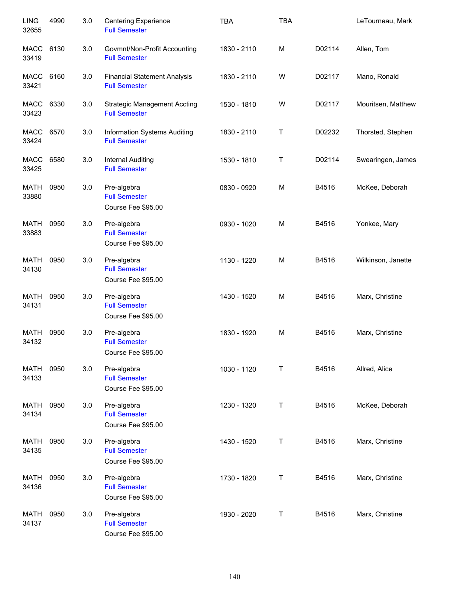| <b>LING</b><br>32655 | 4990 | 3.0 | <b>Centering Experience</b><br><b>Full Semester</b>         | <b>TBA</b>  | <b>TBA</b> |        | LeTourneau, Mark   |
|----------------------|------|-----|-------------------------------------------------------------|-------------|------------|--------|--------------------|
| <b>MACC</b><br>33419 | 6130 | 3.0 | Govmnt/Non-Profit Accounting<br><b>Full Semester</b>        | 1830 - 2110 | M          | D02114 | Allen, Tom         |
| MACC<br>33421        | 6160 | 3.0 | <b>Financial Statement Analysis</b><br><b>Full Semester</b> | 1830 - 2110 | W          | D02117 | Mano, Ronald       |
| MACC<br>33423        | 6330 | 3.0 | <b>Strategic Management Accting</b><br><b>Full Semester</b> | 1530 - 1810 | W          | D02117 | Mouritsen, Matthew |
| MACC<br>33424        | 6570 | 3.0 | Information Systems Auditing<br><b>Full Semester</b>        | 1830 - 2110 | Τ          | D02232 | Thorsted, Stephen  |
| MACC<br>33425        | 6580 | 3.0 | Internal Auditing<br><b>Full Semester</b>                   | 1530 - 1810 | Τ          | D02114 | Swearingen, James  |
| <b>MATH</b><br>33880 | 0950 | 3.0 | Pre-algebra<br><b>Full Semester</b><br>Course Fee \$95.00   | 0830 - 0920 | M          | B4516  | McKee, Deborah     |
| <b>MATH</b><br>33883 | 0950 | 3.0 | Pre-algebra<br><b>Full Semester</b><br>Course Fee \$95.00   | 0930 - 1020 | M          | B4516  | Yonkee, Mary       |
| MATH<br>34130        | 0950 | 3.0 | Pre-algebra<br><b>Full Semester</b><br>Course Fee \$95.00   | 1130 - 1220 | M          | B4516  | Wilkinson, Janette |
| <b>MATH</b><br>34131 | 0950 | 3.0 | Pre-algebra<br><b>Full Semester</b><br>Course Fee \$95.00   | 1430 - 1520 | M          | B4516  | Marx, Christine    |
| <b>MATH</b><br>34132 | 0950 | 3.0 | Pre-algebra<br><b>Full Semester</b><br>Course Fee \$95.00   | 1830 - 1920 | M          | B4516  | Marx, Christine    |
| <b>MATH</b><br>34133 | 0950 | 3.0 | Pre-algebra<br><b>Full Semester</b><br>Course Fee \$95.00   | 1030 - 1120 | Т          | B4516  | Allred, Alice      |
| <b>MATH</b><br>34134 | 0950 | 3.0 | Pre-algebra<br><b>Full Semester</b><br>Course Fee \$95.00   | 1230 - 1320 | Τ          | B4516  | McKee, Deborah     |
| <b>MATH</b><br>34135 | 0950 | 3.0 | Pre-algebra<br><b>Full Semester</b><br>Course Fee \$95.00   | 1430 - 1520 | Τ          | B4516  | Marx, Christine    |
| <b>MATH</b><br>34136 | 0950 | 3.0 | Pre-algebra<br><b>Full Semester</b><br>Course Fee \$95.00   | 1730 - 1820 | Τ          | B4516  | Marx, Christine    |
| <b>MATH</b><br>34137 | 0950 | 3.0 | Pre-algebra<br><b>Full Semester</b><br>Course Fee \$95.00   | 1930 - 2020 | Τ          | B4516  | Marx, Christine    |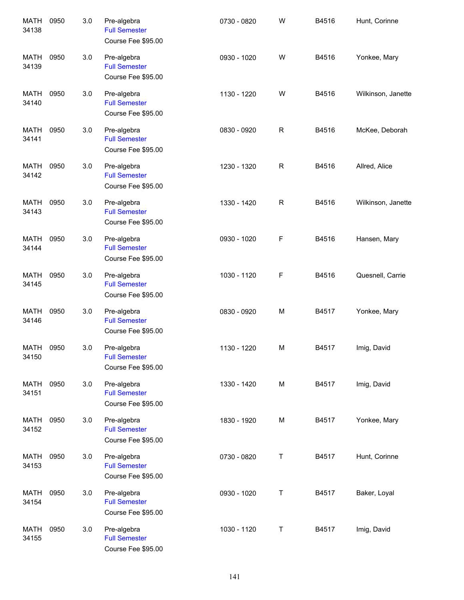| <b>MATH</b><br>34138 | 0950 | 3.0 | Pre-algebra<br><b>Full Semester</b><br>Course Fee \$95.00 | 0730 - 0820 | W           | B4516 | Hunt, Corinne      |
|----------------------|------|-----|-----------------------------------------------------------|-------------|-------------|-------|--------------------|
| <b>MATH</b><br>34139 | 0950 | 3.0 | Pre-algebra<br><b>Full Semester</b><br>Course Fee \$95.00 | 0930 - 1020 | W           | B4516 | Yonkee, Mary       |
| <b>MATH</b><br>34140 | 0950 | 3.0 | Pre-algebra<br><b>Full Semester</b><br>Course Fee \$95.00 | 1130 - 1220 | W           | B4516 | Wilkinson, Janette |
| <b>MATH</b><br>34141 | 0950 | 3.0 | Pre-algebra<br><b>Full Semester</b><br>Course Fee \$95.00 | 0830 - 0920 | $\mathsf R$ | B4516 | McKee, Deborah     |
| <b>MATH</b><br>34142 | 0950 | 3.0 | Pre-algebra<br><b>Full Semester</b><br>Course Fee \$95.00 | 1230 - 1320 | ${\sf R}$   | B4516 | Allred, Alice      |
| <b>MATH</b><br>34143 | 0950 | 3.0 | Pre-algebra<br><b>Full Semester</b><br>Course Fee \$95.00 | 1330 - 1420 | $\mathsf R$ | B4516 | Wilkinson, Janette |
| <b>MATH</b><br>34144 | 0950 | 3.0 | Pre-algebra<br><b>Full Semester</b><br>Course Fee \$95.00 | 0930 - 1020 | F           | B4516 | Hansen, Mary       |
| <b>MATH</b><br>34145 | 0950 | 3.0 | Pre-algebra<br><b>Full Semester</b><br>Course Fee \$95.00 | 1030 - 1120 | F           | B4516 | Quesnell, Carrie   |
| <b>MATH</b><br>34146 | 0950 | 3.0 | Pre-algebra<br><b>Full Semester</b><br>Course Fee \$95.00 | 0830 - 0920 | M           | B4517 | Yonkee, Mary       |
| <b>MATH</b><br>34150 | 0950 | 3.0 | Pre-algebra<br><b>Full Semester</b><br>Course Fee \$95.00 | 1130 - 1220 | M           | B4517 | Imig, David        |
| <b>MATH</b><br>34151 | 0950 | 3.0 | Pre-algebra<br><b>Full Semester</b><br>Course Fee \$95.00 | 1330 - 1420 | M           | B4517 | Imig, David        |
| <b>MATH</b><br>34152 | 0950 | 3.0 | Pre-algebra<br><b>Full Semester</b><br>Course Fee \$95.00 | 1830 - 1920 | M           | B4517 | Yonkee, Mary       |
| <b>MATH</b><br>34153 | 0950 | 3.0 | Pre-algebra<br><b>Full Semester</b><br>Course Fee \$95.00 | 0730 - 0820 | Τ           | B4517 | Hunt, Corinne      |
| <b>MATH</b><br>34154 | 0950 | 3.0 | Pre-algebra<br><b>Full Semester</b><br>Course Fee \$95.00 | 0930 - 1020 | Τ           | B4517 | Baker, Loyal       |
| <b>MATH</b><br>34155 | 0950 | 3.0 | Pre-algebra<br><b>Full Semester</b><br>Course Fee \$95.00 | 1030 - 1120 | Τ           | B4517 | Imig, David        |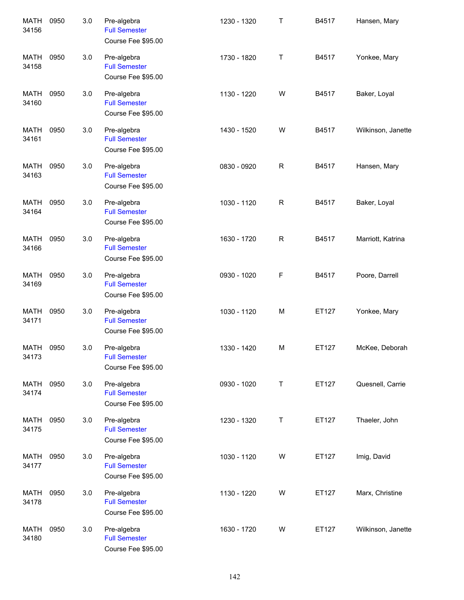| <b>MATH</b><br>34156 | 0950 | 3.0 | Pre-algebra<br><b>Full Semester</b><br>Course Fee \$95.00 | 1230 - 1320 | $\top$       | B4517 | Hansen, Mary       |
|----------------------|------|-----|-----------------------------------------------------------|-------------|--------------|-------|--------------------|
| <b>MATH</b><br>34158 | 0950 | 3.0 | Pre-algebra<br><b>Full Semester</b><br>Course Fee \$95.00 | 1730 - 1820 | Τ            | B4517 | Yonkee, Mary       |
| <b>MATH</b><br>34160 | 0950 | 3.0 | Pre-algebra<br><b>Full Semester</b><br>Course Fee \$95.00 | 1130 - 1220 | W            | B4517 | Baker, Loyal       |
| <b>MATH</b><br>34161 | 0950 | 3.0 | Pre-algebra<br><b>Full Semester</b><br>Course Fee \$95.00 | 1430 - 1520 | W            | B4517 | Wilkinson, Janette |
| <b>MATH</b><br>34163 | 0950 | 3.0 | Pre-algebra<br><b>Full Semester</b><br>Course Fee \$95.00 | 0830 - 0920 | $\mathsf R$  | B4517 | Hansen, Mary       |
| <b>MATH</b><br>34164 | 0950 | 3.0 | Pre-algebra<br><b>Full Semester</b><br>Course Fee \$95.00 | 1030 - 1120 | $\mathsf R$  | B4517 | Baker, Loyal       |
| <b>MATH</b><br>34166 | 0950 | 3.0 | Pre-algebra<br><b>Full Semester</b><br>Course Fee \$95.00 | 1630 - 1720 | $\mathsf{R}$ | B4517 | Marriott, Katrina  |
| <b>MATH</b><br>34169 | 0950 | 3.0 | Pre-algebra<br><b>Full Semester</b><br>Course Fee \$95.00 | 0930 - 1020 | F            | B4517 | Poore, Darrell     |
| <b>MATH</b><br>34171 | 0950 | 3.0 | Pre-algebra<br><b>Full Semester</b><br>Course Fee \$95.00 | 1030 - 1120 | M            | ET127 | Yonkee, Mary       |
| <b>MATH</b><br>34173 | 0950 | 3.0 | Pre-algebra<br><b>Full Semester</b><br>Course Fee \$95.00 | 1330 - 1420 | M            | ET127 | McKee, Deborah     |
| <b>MATH</b><br>34174 | 0950 | 3.0 | Pre-algebra<br><b>Full Semester</b><br>Course Fee \$95.00 | 0930 - 1020 | T            | ET127 | Quesnell, Carrie   |
| MATH<br>34175        | 0950 | 3.0 | Pre-algebra<br><b>Full Semester</b><br>Course Fee \$95.00 | 1230 - 1320 | T            | ET127 | Thaeler, John      |
| <b>MATH</b><br>34177 | 0950 | 3.0 | Pre-algebra<br><b>Full Semester</b><br>Course Fee \$95.00 | 1030 - 1120 | W            | ET127 | Imig, David        |
| <b>MATH</b><br>34178 | 0950 | 3.0 | Pre-algebra<br><b>Full Semester</b><br>Course Fee \$95.00 | 1130 - 1220 | W            | ET127 | Marx, Christine    |
| <b>MATH</b><br>34180 | 0950 | 3.0 | Pre-algebra<br><b>Full Semester</b><br>Course Fee \$95.00 | 1630 - 1720 | W            | ET127 | Wilkinson, Janette |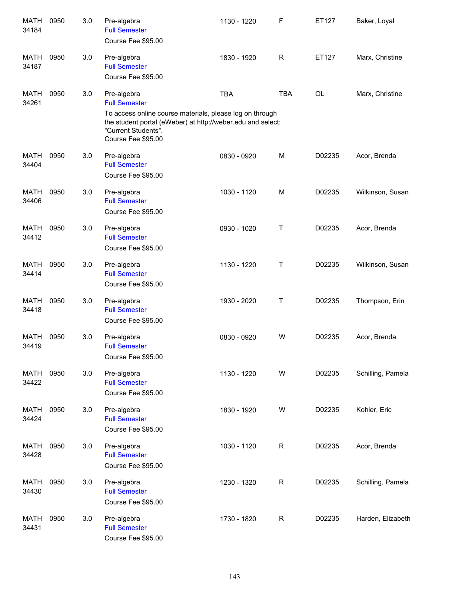| <b>MATH</b><br>34184 | 0950 | 3.0 | Pre-algebra<br><b>Full Semester</b><br>Course Fee \$95.00                                                                                                                             | 1130 - 1220 | F           | ET127     | Baker, Loyal      |
|----------------------|------|-----|---------------------------------------------------------------------------------------------------------------------------------------------------------------------------------------|-------------|-------------|-----------|-------------------|
| MATH<br>34187        | 0950 | 3.0 | Pre-algebra<br><b>Full Semester</b><br>Course Fee \$95.00                                                                                                                             | 1830 - 1920 | $\mathsf R$ | ET127     | Marx, Christine   |
| <b>MATH</b><br>34261 | 0950 | 3.0 | Pre-algebra<br><b>Full Semester</b><br>To access online course materials, please log on through<br>the student portal (eWeber) at http://weber.edu and select:<br>"Current Students". | <b>TBA</b>  | <b>TBA</b>  | <b>OL</b> | Marx, Christine   |
| <b>MATH</b><br>34404 | 0950 | 3.0 | Course Fee \$95.00<br>Pre-algebra<br><b>Full Semester</b><br>Course Fee \$95.00                                                                                                       | 0830 - 0920 | M           | D02235    | Acor, Brenda      |
| <b>MATH</b><br>34406 | 0950 | 3.0 | Pre-algebra<br><b>Full Semester</b><br>Course Fee \$95.00                                                                                                                             | 1030 - 1120 | M           | D02235    | Wilkinson, Susan  |
| <b>MATH</b><br>34412 | 0950 | 3.0 | Pre-algebra<br><b>Full Semester</b><br>Course Fee \$95.00                                                                                                                             | 0930 - 1020 | Τ           | D02235    | Acor, Brenda      |
| <b>MATH</b><br>34414 | 0950 | 3.0 | Pre-algebra<br><b>Full Semester</b><br>Course Fee \$95.00                                                                                                                             | 1130 - 1220 | Τ           | D02235    | Wilkinson, Susan  |
| <b>MATH</b><br>34418 | 0950 | 3.0 | Pre-algebra<br><b>Full Semester</b><br>Course Fee \$95.00                                                                                                                             | 1930 - 2020 | Τ           | D02235    | Thompson, Erin    |
| <b>MATH</b><br>34419 | 0950 | 3.0 | Pre-algebra<br><b>Full Semester</b><br>Course Fee \$95.00                                                                                                                             | 0830 - 0920 | W           | D02235    | Acor, Brenda      |
| <b>MATH</b><br>34422 | 0950 | 3.0 | Pre-algebra<br><b>Full Semester</b><br>Course Fee \$95.00                                                                                                                             | 1130 - 1220 | W           | D02235    | Schilling, Pamela |
| MATH<br>34424        | 0950 | 3.0 | Pre-algebra<br><b>Full Semester</b><br>Course Fee \$95.00                                                                                                                             | 1830 - 1920 | W           | D02235    | Kohler, Eric      |
| MATH<br>34428        | 0950 | 3.0 | Pre-algebra<br><b>Full Semester</b><br>Course Fee \$95.00                                                                                                                             | 1030 - 1120 | $\mathsf R$ | D02235    | Acor, Brenda      |
| MATH<br>34430        | 0950 | 3.0 | Pre-algebra<br><b>Full Semester</b><br>Course Fee \$95.00                                                                                                                             | 1230 - 1320 | R           | D02235    | Schilling, Pamela |
| MATH<br>34431        | 0950 | 3.0 | Pre-algebra<br><b>Full Semester</b><br>Course Fee \$95.00                                                                                                                             | 1730 - 1820 | R           | D02235    | Harden, Elizabeth |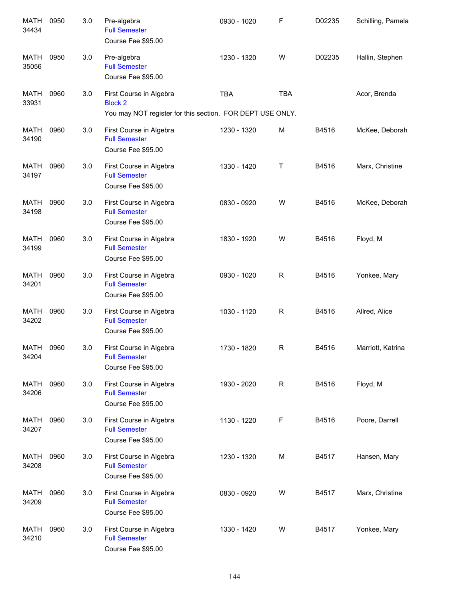| <b>MATH</b><br>34434 | 0950 | 3.0 | Pre-algebra<br><b>Full Semester</b><br>Course Fee \$95.00                                              | 0930 - 1020 | F           | D02235 | Schilling, Pamela |
|----------------------|------|-----|--------------------------------------------------------------------------------------------------------|-------------|-------------|--------|-------------------|
| <b>MATH</b><br>35056 | 0950 | 3.0 | Pre-algebra<br><b>Full Semester</b><br>Course Fee \$95.00                                              | 1230 - 1320 | W           | D02235 | Hallin, Stephen   |
| <b>MATH</b><br>33931 | 0960 | 3.0 | First Course in Algebra<br><b>Block 2</b><br>You may NOT register for this section. FOR DEPT USE ONLY. | <b>TBA</b>  | <b>TBA</b>  |        | Acor, Brenda      |
| <b>MATH</b><br>34190 | 0960 | 3.0 | First Course in Algebra<br><b>Full Semester</b><br>Course Fee \$95.00                                  | 1230 - 1320 | M           | B4516  | McKee, Deborah    |
| <b>MATH</b><br>34197 | 0960 | 3.0 | First Course in Algebra<br><b>Full Semester</b><br>Course Fee \$95.00                                  | 1330 - 1420 | Τ           | B4516  | Marx, Christine   |
| <b>MATH</b><br>34198 | 0960 | 3.0 | First Course in Algebra<br><b>Full Semester</b><br>Course Fee \$95.00                                  | 0830 - 0920 | W           | B4516  | McKee, Deborah    |
| <b>MATH</b><br>34199 | 0960 | 3.0 | First Course in Algebra<br><b>Full Semester</b><br>Course Fee \$95.00                                  | 1830 - 1920 | W           | B4516  | Floyd, M          |
| <b>MATH</b><br>34201 | 0960 | 3.0 | First Course in Algebra<br><b>Full Semester</b><br>Course Fee \$95.00                                  | 0930 - 1020 | $\mathsf R$ | B4516  | Yonkee, Mary      |
| <b>MATH</b><br>34202 | 0960 | 3.0 | First Course in Algebra<br><b>Full Semester</b><br>Course Fee \$95.00                                  | 1030 - 1120 | R           | B4516  | Allred, Alice     |
| MATH<br>34204        | 0960 | 3.0 | First Course in Algebra<br><b>Full Semester</b><br>Course Fee \$95.00                                  | 1730 - 1820 | R           | B4516  | Marriott, Katrina |
| <b>MATH</b><br>34206 | 0960 | 3.0 | First Course in Algebra<br><b>Full Semester</b><br>Course Fee \$95.00                                  | 1930 - 2020 | R           | B4516  | Floyd, M          |
| <b>MATH</b><br>34207 | 0960 | 3.0 | First Course in Algebra<br><b>Full Semester</b><br>Course Fee \$95.00                                  | 1130 - 1220 | F           | B4516  | Poore, Darrell    |
| MATH<br>34208        | 0960 | 3.0 | First Course in Algebra<br><b>Full Semester</b><br>Course Fee \$95.00                                  | 1230 - 1320 | М           | B4517  | Hansen, Mary      |
| MATH<br>34209        | 0960 | 3.0 | First Course in Algebra<br><b>Full Semester</b><br>Course Fee \$95.00                                  | 0830 - 0920 | W           | B4517  | Marx, Christine   |
| <b>MATH</b><br>34210 | 0960 | 3.0 | First Course in Algebra<br><b>Full Semester</b><br>Course Fee \$95.00                                  | 1330 - 1420 | W           | B4517  | Yonkee, Mary      |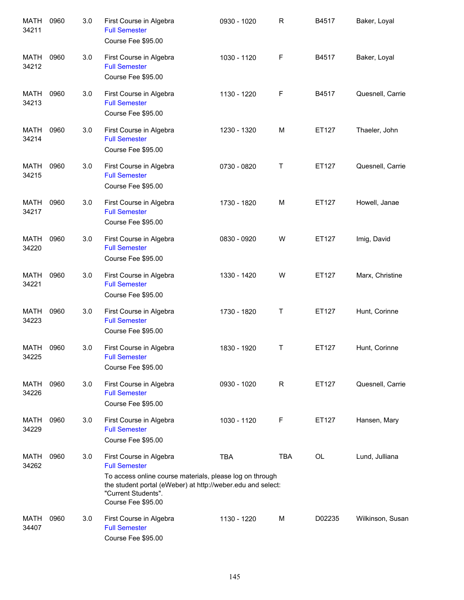| <b>MATH</b><br>34211 | 0960 | 3.0 | First Course in Algebra<br><b>Full Semester</b><br>Course Fee \$95.00                                                                                                                                                   | 0930 - 1020 | $\mathsf{R}$ | B4517  | Baker, Loyal     |
|----------------------|------|-----|-------------------------------------------------------------------------------------------------------------------------------------------------------------------------------------------------------------------------|-------------|--------------|--------|------------------|
| MATH<br>34212        | 0960 | 3.0 | First Course in Algebra<br><b>Full Semester</b><br>Course Fee \$95.00                                                                                                                                                   | 1030 - 1120 | F            | B4517  | Baker, Loyal     |
| MATH<br>34213        | 0960 | 3.0 | First Course in Algebra<br><b>Full Semester</b><br>Course Fee \$95.00                                                                                                                                                   | 1130 - 1220 | F            | B4517  | Quesnell, Carrie |
| MATH<br>34214        | 0960 | 3.0 | First Course in Algebra<br><b>Full Semester</b><br>Course Fee \$95.00                                                                                                                                                   | 1230 - 1320 | M            | ET127  | Thaeler, John    |
| MATH<br>34215        | 0960 | 3.0 | First Course in Algebra<br><b>Full Semester</b><br>Course Fee \$95.00                                                                                                                                                   | 0730 - 0820 | Τ            | ET127  | Quesnell, Carrie |
| MATH<br>34217        | 0960 | 3.0 | First Course in Algebra<br><b>Full Semester</b><br>Course Fee \$95.00                                                                                                                                                   | 1730 - 1820 | M            | ET127  | Howell, Janae    |
| <b>MATH</b><br>34220 | 0960 | 3.0 | First Course in Algebra<br><b>Full Semester</b><br>Course Fee \$95.00                                                                                                                                                   | 0830 - 0920 | W            | ET127  | Imig, David      |
| <b>MATH</b><br>34221 | 0960 | 3.0 | First Course in Algebra<br><b>Full Semester</b><br>Course Fee \$95.00                                                                                                                                                   | 1330 - 1420 | W            | ET127  | Marx, Christine  |
| <b>MATH</b><br>34223 | 0960 | 3.0 | First Course in Algebra<br><b>Full Semester</b><br>Course Fee \$95.00                                                                                                                                                   | 1730 - 1820 | Τ            | ET127  | Hunt, Corinne    |
| <b>MATH</b><br>34225 | 0960 | 3.0 | First Course in Algebra<br><b>Full Semester</b><br>Course Fee \$95.00                                                                                                                                                   | 1830 - 1920 | Τ            | ET127  | Hunt, Corinne    |
| MATH<br>34226        | 0960 | 3.0 | First Course in Algebra<br><b>Full Semester</b><br>Course Fee \$95.00                                                                                                                                                   | 0930 - 1020 | R            | ET127  | Quesnell, Carrie |
| MATH<br>34229        | 0960 | 3.0 | First Course in Algebra<br><b>Full Semester</b><br>Course Fee \$95.00                                                                                                                                                   | 1030 - 1120 | F            | ET127  | Hansen, Mary     |
| MATH<br>34262        | 0960 | 3.0 | First Course in Algebra<br><b>Full Semester</b><br>To access online course materials, please log on through<br>the student portal (eWeber) at http://weber.edu and select:<br>"Current Students".<br>Course Fee \$95.00 | <b>TBA</b>  | <b>TBA</b>   | OL     | Lund, Julliana   |
| MATH<br>34407        | 0960 | 3.0 | First Course in Algebra<br><b>Full Semester</b><br>Course Fee \$95.00                                                                                                                                                   | 1130 - 1220 | M            | D02235 | Wilkinson, Susan |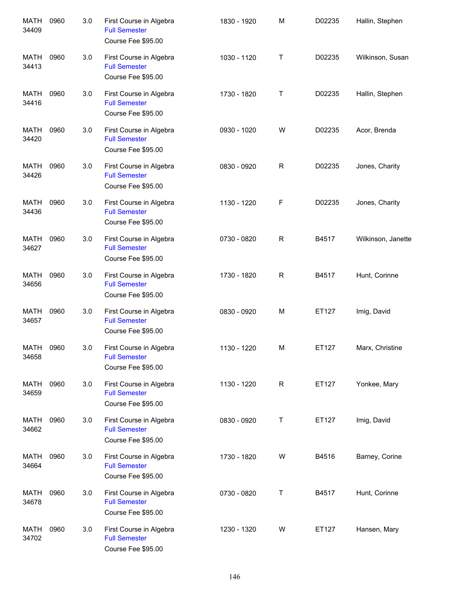| <b>MATH</b><br>34409 | 0960 | 3.0 | First Course in Algebra<br><b>Full Semester</b><br>Course Fee \$95.00 | 1830 - 1920 | M | D02235 | Hallin, Stephen    |
|----------------------|------|-----|-----------------------------------------------------------------------|-------------|---|--------|--------------------|
| <b>MATH</b><br>34413 | 0960 | 3.0 | First Course in Algebra<br><b>Full Semester</b><br>Course Fee \$95.00 | 1030 - 1120 | Τ | D02235 | Wilkinson, Susan   |
| <b>MATH</b><br>34416 | 0960 | 3.0 | First Course in Algebra<br><b>Full Semester</b><br>Course Fee \$95.00 | 1730 - 1820 | Τ | D02235 | Hallin, Stephen    |
| <b>MATH</b><br>34420 | 0960 | 3.0 | First Course in Algebra<br><b>Full Semester</b><br>Course Fee \$95.00 | 0930 - 1020 | W | D02235 | Acor, Brenda       |
| <b>MATH</b><br>34426 | 0960 | 3.0 | First Course in Algebra<br><b>Full Semester</b><br>Course Fee \$95.00 | 0830 - 0920 | R | D02235 | Jones, Charity     |
| <b>MATH</b><br>34436 | 0960 | 3.0 | First Course in Algebra<br><b>Full Semester</b><br>Course Fee \$95.00 | 1130 - 1220 | F | D02235 | Jones, Charity     |
| <b>MATH</b><br>34627 | 0960 | 3.0 | First Course in Algebra<br><b>Full Semester</b><br>Course Fee \$95.00 | 0730 - 0820 | R | B4517  | Wilkinson, Janette |
| <b>MATH</b><br>34656 | 0960 | 3.0 | First Course in Algebra<br><b>Full Semester</b><br>Course Fee \$95.00 | 1730 - 1820 | R | B4517  | Hunt, Corinne      |
| <b>MATH</b><br>34657 | 0960 | 3.0 | First Course in Algebra<br><b>Full Semester</b><br>Course Fee \$95.00 | 0830 - 0920 | M | ET127  | Imig, David        |
| <b>MATH</b><br>34658 | 0960 | 3.0 | First Course in Algebra<br><b>Full Semester</b><br>Course Fee \$95.00 | 1130 - 1220 | M | ET127  | Marx, Christine    |
| MATH<br>34659        | 0960 | 3.0 | First Course in Algebra<br><b>Full Semester</b><br>Course Fee \$95.00 | 1130 - 1220 | R | ET127  | Yonkee, Mary       |
| MATH<br>34662        | 0960 | 3.0 | First Course in Algebra<br><b>Full Semester</b><br>Course Fee \$95.00 | 0830 - 0920 | Т | ET127  | Imig, David        |
| MATH<br>34664        | 0960 | 3.0 | First Course in Algebra<br><b>Full Semester</b><br>Course Fee \$95.00 | 1730 - 1820 | W | B4516  | Barney, Corine     |
| MATH<br>34678        | 0960 | 3.0 | First Course in Algebra<br><b>Full Semester</b><br>Course Fee \$95.00 | 0730 - 0820 | Т | B4517  | Hunt, Corinne      |
| MATH<br>34702        | 0960 | 3.0 | First Course in Algebra<br><b>Full Semester</b><br>Course Fee \$95.00 | 1230 - 1320 | W | ET127  | Hansen, Mary       |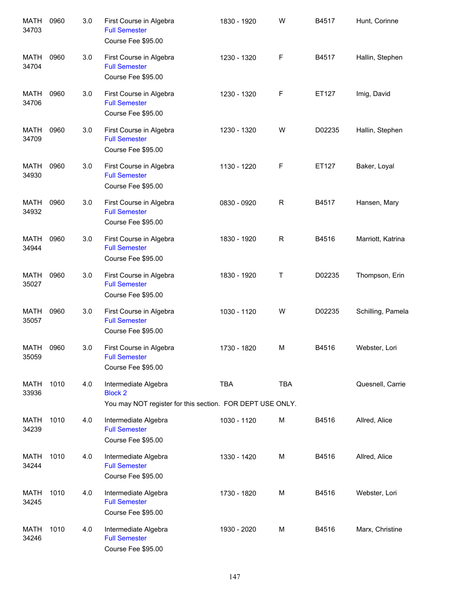| <b>MATH</b><br>34703 | 0960 | 3.0 | First Course in Algebra<br><b>Full Semester</b><br>Course Fee \$95.00                               | 1830 - 1920 | W           | B4517  | Hunt, Corinne     |
|----------------------|------|-----|-----------------------------------------------------------------------------------------------------|-------------|-------------|--------|-------------------|
| <b>MATH</b><br>34704 | 0960 | 3.0 | First Course in Algebra<br><b>Full Semester</b><br>Course Fee \$95.00                               | 1230 - 1320 | F           | B4517  | Hallin, Stephen   |
| <b>MATH</b><br>34706 | 0960 | 3.0 | First Course in Algebra<br><b>Full Semester</b><br>Course Fee \$95.00                               | 1230 - 1320 | F           | ET127  | Imig, David       |
| <b>MATH</b><br>34709 | 0960 | 3.0 | First Course in Algebra<br><b>Full Semester</b><br>Course Fee \$95.00                               | 1230 - 1320 | W           | D02235 | Hallin, Stephen   |
| <b>MATH</b><br>34930 | 0960 | 3.0 | First Course in Algebra<br><b>Full Semester</b><br>Course Fee \$95.00                               | 1130 - 1220 | F           | ET127  | Baker, Loyal      |
| <b>MATH</b><br>34932 | 0960 | 3.0 | First Course in Algebra<br><b>Full Semester</b><br>Course Fee \$95.00                               | 0830 - 0920 | $\mathsf R$ | B4517  | Hansen, Mary      |
| <b>MATH</b><br>34944 | 0960 | 3.0 | First Course in Algebra<br><b>Full Semester</b><br>Course Fee \$95.00                               | 1830 - 1920 | R           | B4516  | Marriott, Katrina |
| <b>MATH</b><br>35027 | 0960 | 3.0 | First Course in Algebra<br><b>Full Semester</b><br>Course Fee \$95.00                               | 1830 - 1920 | Τ           | D02235 | Thompson, Erin    |
| <b>MATH</b><br>35057 | 0960 | 3.0 | First Course in Algebra<br><b>Full Semester</b><br>Course Fee \$95.00                               | 1030 - 1120 | W           | D02235 | Schilling, Pamela |
| MATH<br>35059        | 0960 | 3.0 | First Course in Algebra<br><b>Full Semester</b><br>Course Fee \$95.00                               | 1730 - 1820 | M           | B4516  | Webster, Lori     |
| <b>MATH</b><br>33936 | 1010 | 4.0 | Intermediate Algebra<br><b>Block 2</b><br>You may NOT register for this section. FOR DEPT USE ONLY. | <b>TBA</b>  | <b>TBA</b>  |        | Quesnell, Carrie  |
| MATH<br>34239        | 1010 | 4.0 | Intermediate Algebra<br><b>Full Semester</b><br>Course Fee \$95.00                                  | 1030 - 1120 | M           | B4516  | Allred, Alice     |
| MATH<br>34244        | 1010 | 4.0 | Intermediate Algebra<br><b>Full Semester</b><br>Course Fee \$95.00                                  | 1330 - 1420 | M           | B4516  | Allred, Alice     |
| MATH<br>34245        | 1010 | 4.0 | Intermediate Algebra<br><b>Full Semester</b><br>Course Fee \$95.00                                  | 1730 - 1820 | M           | B4516  | Webster, Lori     |
| MATH<br>34246        | 1010 | 4.0 | Intermediate Algebra<br><b>Full Semester</b><br>Course Fee \$95.00                                  | 1930 - 2020 | M           | B4516  | Marx, Christine   |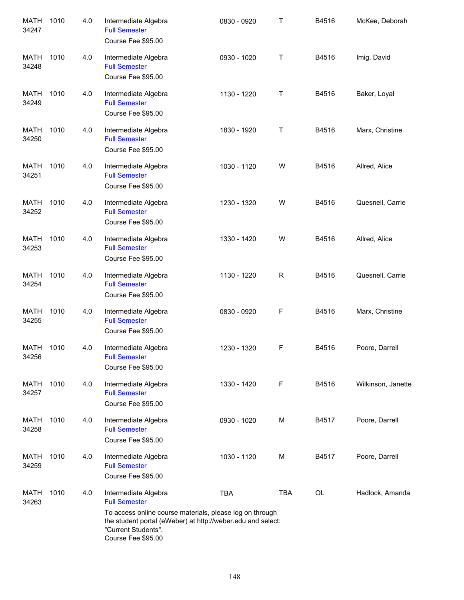| <b>MATH</b><br>34247 | 1010 | 4.0 | Intermediate Algebra<br><b>Full Semester</b><br>Course Fee \$95.00                                                                                                                                                   | 0830 - 0920 | Τ            | B4516 | McKee, Deborah     |
|----------------------|------|-----|----------------------------------------------------------------------------------------------------------------------------------------------------------------------------------------------------------------------|-------------|--------------|-------|--------------------|
| MATH<br>34248        | 1010 | 4.0 | Intermediate Algebra<br><b>Full Semester</b><br>Course Fee \$95.00                                                                                                                                                   | 0930 - 1020 | Τ            | B4516 | Imig, David        |
| MATH<br>34249        | 1010 | 4.0 | Intermediate Algebra<br><b>Full Semester</b><br>Course Fee \$95.00                                                                                                                                                   | 1130 - 1220 | Τ            | B4516 | Baker, Loyal       |
| MATH<br>34250        | 1010 | 4.0 | Intermediate Algebra<br><b>Full Semester</b><br>Course Fee \$95.00                                                                                                                                                   | 1830 - 1920 | Т            | B4516 | Marx, Christine    |
| MATH<br>34251        | 1010 | 4.0 | Intermediate Algebra<br><b>Full Semester</b><br>Course Fee \$95.00                                                                                                                                                   | 1030 - 1120 | W            | B4516 | Allred, Alice      |
| MATH<br>34252        | 1010 | 4.0 | Intermediate Algebra<br><b>Full Semester</b><br>Course Fee \$95.00                                                                                                                                                   | 1230 - 1320 | W            | B4516 | Quesnell, Carrie   |
| <b>MATH</b><br>34253 | 1010 | 4.0 | Intermediate Algebra<br><b>Full Semester</b><br>Course Fee \$95.00                                                                                                                                                   | 1330 - 1420 | W            | B4516 | Allred, Alice      |
| <b>MATH</b><br>34254 | 1010 | 4.0 | Intermediate Algebra<br><b>Full Semester</b><br>Course Fee \$95.00                                                                                                                                                   | 1130 - 1220 | $\mathsf{R}$ | B4516 | Quesnell, Carrie   |
| <b>MATH</b><br>34255 | 1010 | 4.0 | Intermediate Algebra<br><b>Full Semester</b><br>Course Fee \$95.00                                                                                                                                                   | 0830 - 0920 | F            | B4516 | Marx, Christine    |
| MATH<br>34256        | 1010 | 4.0 | Intermediate Algebra<br><b>Full Semester</b><br>Course Fee \$95.00                                                                                                                                                   | 1230 - 1320 | F            | B4516 | Poore, Darrell     |
| MATH<br>34257        | 1010 | 4.0 | Intermediate Algebra<br><b>Full Semester</b><br>Course Fee \$95.00                                                                                                                                                   | 1330 - 1420 | F            | B4516 | Wilkinson, Janette |
| MATH<br>34258        | 1010 | 4.0 | Intermediate Algebra<br><b>Full Semester</b><br>Course Fee \$95.00                                                                                                                                                   | 0930 - 1020 | М            | B4517 | Poore, Darrell     |
| MATH<br>34259        | 1010 | 4.0 | Intermediate Algebra<br><b>Full Semester</b><br>Course Fee \$95.00                                                                                                                                                   | 1030 - 1120 | M            | B4517 | Poore, Darrell     |
| MATH<br>34263        | 1010 | 4.0 | Intermediate Algebra<br><b>Full Semester</b><br>To access online course materials, please log on through<br>the student portal (eWeber) at http://weber.edu and select:<br>"Current Students".<br>Course Fee \$95.00 | <b>TBA</b>  | <b>TBA</b>   | OL    | Hadlock, Amanda    |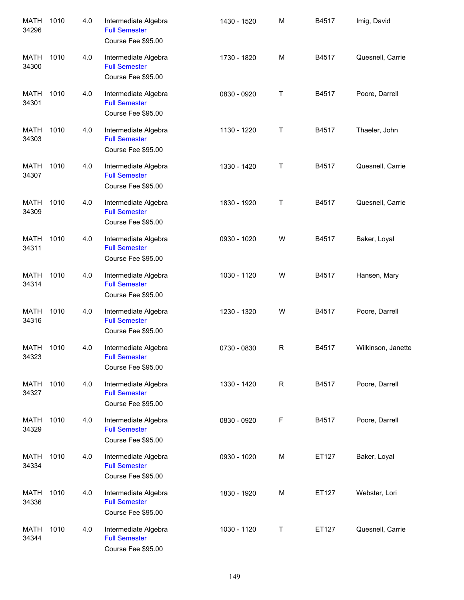| <b>MATH</b><br>34296 | 1010 | 4.0 | Intermediate Algebra<br><b>Full Semester</b><br>Course Fee \$95.00 | 1430 - 1520 | M           | B4517 | Imig, David        |
|----------------------|------|-----|--------------------------------------------------------------------|-------------|-------------|-------|--------------------|
| <b>MATH</b><br>34300 | 1010 | 4.0 | Intermediate Algebra<br><b>Full Semester</b><br>Course Fee \$95.00 | 1730 - 1820 | M           | B4517 | Quesnell, Carrie   |
| MATH<br>34301        | 1010 | 4.0 | Intermediate Algebra<br><b>Full Semester</b><br>Course Fee \$95.00 | 0830 - 0920 | Τ           | B4517 | Poore, Darrell     |
| MATH<br>34303        | 1010 | 4.0 | Intermediate Algebra<br><b>Full Semester</b><br>Course Fee \$95.00 | 1130 - 1220 | Т           | B4517 | Thaeler, John      |
| MATH<br>34307        | 1010 | 4.0 | Intermediate Algebra<br><b>Full Semester</b><br>Course Fee \$95.00 | 1330 - 1420 | Т           | B4517 | Quesnell, Carrie   |
| <b>MATH</b><br>34309 | 1010 | 4.0 | Intermediate Algebra<br><b>Full Semester</b><br>Course Fee \$95.00 | 1830 - 1920 | Т           | B4517 | Quesnell, Carrie   |
| <b>MATH</b><br>34311 | 1010 | 4.0 | Intermediate Algebra<br><b>Full Semester</b><br>Course Fee \$95.00 | 0930 - 1020 | W           | B4517 | Baker, Loyal       |
| <b>MATH</b><br>34314 | 1010 | 4.0 | Intermediate Algebra<br><b>Full Semester</b><br>Course Fee \$95.00 | 1030 - 1120 | W           | B4517 | Hansen, Mary       |
| <b>MATH</b><br>34316 | 1010 | 4.0 | Intermediate Algebra<br><b>Full Semester</b><br>Course Fee \$95.00 | 1230 - 1320 | W           | B4517 | Poore, Darrell     |
| MATH<br>34323        | 1010 | 4.0 | Intermediate Algebra<br><b>Full Semester</b><br>Course Fee \$95.00 | 0730 - 0830 | R           | B4517 | Wilkinson, Janette |
| <b>MATH</b><br>34327 | 1010 | 4.0 | Intermediate Algebra<br><b>Full Semester</b><br>Course Fee \$95.00 | 1330 - 1420 | R           | B4517 | Poore, Darrell     |
| <b>MATH</b><br>34329 | 1010 | 4.0 | Intermediate Algebra<br><b>Full Semester</b><br>Course Fee \$95.00 | 0830 - 0920 | $\mathsf F$ | B4517 | Poore, Darrell     |
| <b>MATH</b><br>34334 | 1010 | 4.0 | Intermediate Algebra<br><b>Full Semester</b><br>Course Fee \$95.00 | 0930 - 1020 | M           | ET127 | Baker, Loyal       |
| <b>MATH</b><br>34336 | 1010 | 4.0 | Intermediate Algebra<br><b>Full Semester</b><br>Course Fee \$95.00 | 1830 - 1920 | М           | ET127 | Webster, Lori      |
| <b>MATH</b><br>34344 | 1010 | 4.0 | Intermediate Algebra<br><b>Full Semester</b><br>Course Fee \$95.00 | 1030 - 1120 | Т           | ET127 | Quesnell, Carrie   |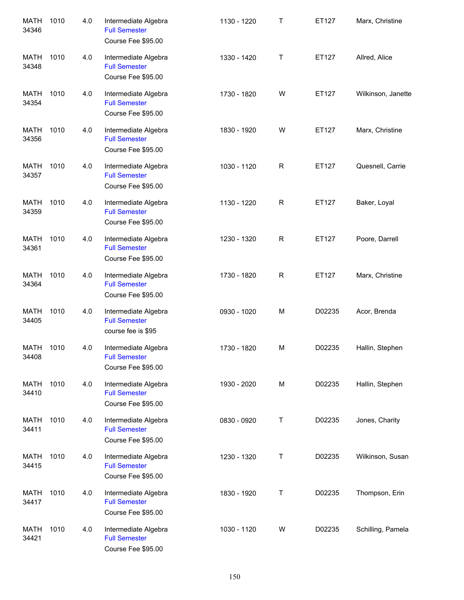| <b>MATH</b><br>34346 | 1010 | 4.0 | Intermediate Algebra<br><b>Full Semester</b><br>Course Fee \$95.00 | 1130 - 1220 | Τ | ET127  | Marx, Christine    |
|----------------------|------|-----|--------------------------------------------------------------------|-------------|---|--------|--------------------|
| <b>MATH</b><br>34348 | 1010 | 4.0 | Intermediate Algebra<br><b>Full Semester</b><br>Course Fee \$95.00 | 1330 - 1420 | Τ | ET127  | Allred, Alice      |
| <b>MATH</b><br>34354 | 1010 | 4.0 | Intermediate Algebra<br><b>Full Semester</b><br>Course Fee \$95.00 | 1730 - 1820 | W | ET127  | Wilkinson, Janette |
| <b>MATH</b><br>34356 | 1010 | 4.0 | Intermediate Algebra<br><b>Full Semester</b><br>Course Fee \$95.00 | 1830 - 1920 | W | ET127  | Marx, Christine    |
| <b>MATH</b><br>34357 | 1010 | 4.0 | Intermediate Algebra<br><b>Full Semester</b><br>Course Fee \$95.00 | 1030 - 1120 | R | ET127  | Quesnell, Carrie   |
| <b>MATH</b><br>34359 | 1010 | 4.0 | Intermediate Algebra<br><b>Full Semester</b><br>Course Fee \$95.00 | 1130 - 1220 | R | ET127  | Baker, Loyal       |
| <b>MATH</b><br>34361 | 1010 | 4.0 | Intermediate Algebra<br><b>Full Semester</b><br>Course Fee \$95.00 | 1230 - 1320 | R | ET127  | Poore, Darrell     |
| <b>MATH</b><br>34364 | 1010 | 4.0 | Intermediate Algebra<br><b>Full Semester</b><br>Course Fee \$95.00 | 1730 - 1820 | R | ET127  | Marx, Christine    |
| <b>MATH</b><br>34405 | 1010 | 4.0 | Intermediate Algebra<br><b>Full Semester</b><br>course fee is \$95 | 0930 - 1020 | M | D02235 | Acor, Brenda       |
| <b>MATH</b><br>34408 | 1010 | 4.0 | Intermediate Algebra<br><b>Full Semester</b><br>Course Fee \$95.00 | 1730 - 1820 | M | D02235 | Hallin, Stephen    |
| <b>MATH</b><br>34410 | 1010 | 4.0 | Intermediate Algebra<br><b>Full Semester</b><br>Course Fee \$95.00 | 1930 - 2020 | M | D02235 | Hallin, Stephen    |
| <b>MATH</b><br>34411 | 1010 | 4.0 | Intermediate Algebra<br><b>Full Semester</b><br>Course Fee \$95.00 | 0830 - 0920 | Т | D02235 | Jones, Charity     |
| <b>MATH</b><br>34415 | 1010 | 4.0 | Intermediate Algebra<br><b>Full Semester</b><br>Course Fee \$95.00 | 1230 - 1320 | Т | D02235 | Wilkinson, Susan   |
| <b>MATH</b><br>34417 | 1010 | 4.0 | Intermediate Algebra<br><b>Full Semester</b><br>Course Fee \$95.00 | 1830 - 1920 | Т | D02235 | Thompson, Erin     |
| <b>MATH</b><br>34421 | 1010 | 4.0 | Intermediate Algebra<br><b>Full Semester</b><br>Course Fee \$95.00 | 1030 - 1120 | W | D02235 | Schilling, Pamela  |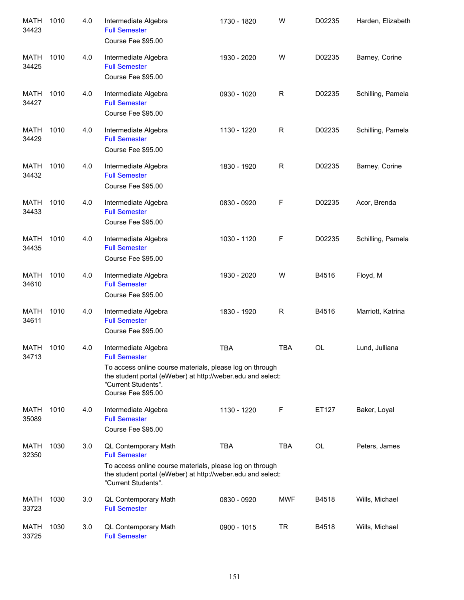| <b>MATH</b><br>34423 | 1010 | 4.0 | Intermediate Algebra<br><b>Full Semester</b><br>Course Fee \$95.00                                                                                                                                                   | 1730 - 1820 | W           | D02235    | Harden, Elizabeth |
|----------------------|------|-----|----------------------------------------------------------------------------------------------------------------------------------------------------------------------------------------------------------------------|-------------|-------------|-----------|-------------------|
| <b>MATH</b><br>34425 | 1010 | 4.0 | Intermediate Algebra<br><b>Full Semester</b><br>Course Fee \$95.00                                                                                                                                                   | 1930 - 2020 | W           | D02235    | Barney, Corine    |
| <b>MATH</b><br>34427 | 1010 | 4.0 | Intermediate Algebra<br><b>Full Semester</b><br>Course Fee \$95.00                                                                                                                                                   | 0930 - 1020 | $\mathsf R$ | D02235    | Schilling, Pamela |
| <b>MATH</b><br>34429 | 1010 | 4.0 | Intermediate Algebra<br><b>Full Semester</b><br>Course Fee \$95.00                                                                                                                                                   | 1130 - 1220 | ${\sf R}$   | D02235    | Schilling, Pamela |
| <b>MATH</b><br>34432 | 1010 | 4.0 | Intermediate Algebra<br><b>Full Semester</b><br>Course Fee \$95.00                                                                                                                                                   | 1830 - 1920 | ${\sf R}$   | D02235    | Barney, Corine    |
| <b>MATH</b><br>34433 | 1010 | 4.0 | Intermediate Algebra<br><b>Full Semester</b><br>Course Fee \$95.00                                                                                                                                                   | 0830 - 0920 | F           | D02235    | Acor, Brenda      |
| <b>MATH</b><br>34435 | 1010 | 4.0 | Intermediate Algebra<br><b>Full Semester</b><br>Course Fee \$95.00                                                                                                                                                   | 1030 - 1120 | F           | D02235    | Schilling, Pamela |
| <b>MATH</b><br>34610 | 1010 | 4.0 | Intermediate Algebra<br><b>Full Semester</b><br>Course Fee \$95.00                                                                                                                                                   | 1930 - 2020 | W           | B4516     | Floyd, M          |
| <b>MATH</b><br>34611 | 1010 | 4.0 | Intermediate Algebra<br><b>Full Semester</b><br>Course Fee \$95.00                                                                                                                                                   | 1830 - 1920 | $\mathsf R$ | B4516     | Marriott, Katrina |
| <b>MATH</b><br>34713 | 1010 | 4.0 | Intermediate Algebra<br><b>Full Semester</b><br>To access online course materials, please log on through<br>the student portal (eWeber) at http://weber.edu and select:<br>"Current Students".<br>Course Fee \$95.00 | <b>TBA</b>  | <b>TBA</b>  | <b>OL</b> | Lund, Julliana    |
| MATH<br>35089        | 1010 | 4.0 | Intermediate Algebra<br><b>Full Semester</b><br>Course Fee \$95.00                                                                                                                                                   | 1130 - 1220 | F           | ET127     | Baker, Loyal      |
| MATH<br>32350        | 1030 | 3.0 | QL Contemporary Math<br><b>Full Semester</b><br>To access online course materials, please log on through<br>the student portal (eWeber) at http://weber.edu and select:<br>"Current Students".                       | <b>TBA</b>  | <b>TBA</b>  | OL        | Peters, James     |
| MATH<br>33723        | 1030 | 3.0 | QL Contemporary Math<br><b>Full Semester</b>                                                                                                                                                                         | 0830 - 0920 | MWF         | B4518     | Wills, Michael    |
| <b>MATH</b><br>33725 | 1030 | 3.0 | QL Contemporary Math<br><b>Full Semester</b>                                                                                                                                                                         | 0900 - 1015 | TR          | B4518     | Wills, Michael    |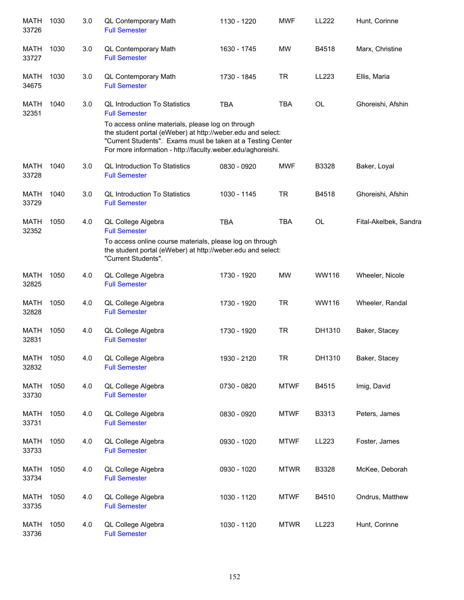| <b>MATH</b><br>33726 | 1030 | 3.0 | QL Contemporary Math<br><b>Full Semester</b>                                                                                                                                                                                                   | 1130 - 1220 | <b>MWF</b>  | LL222     | Hunt, Corinne         |
|----------------------|------|-----|------------------------------------------------------------------------------------------------------------------------------------------------------------------------------------------------------------------------------------------------|-------------|-------------|-----------|-----------------------|
| MATH<br>33727        | 1030 | 3.0 | QL Contemporary Math<br><b>Full Semester</b>                                                                                                                                                                                                   | 1630 - 1745 | <b>MW</b>   | B4518     | Marx, Christine       |
| MATH<br>34675        | 1030 | 3.0 | QL Contemporary Math<br><b>Full Semester</b>                                                                                                                                                                                                   | 1730 - 1845 | <b>TR</b>   | LL223     | Ellis, Maria          |
| <b>MATH</b><br>32351 | 1040 | 3.0 | <b>QL Introduction To Statistics</b><br><b>Full Semester</b>                                                                                                                                                                                   | <b>TBA</b>  | <b>TBA</b>  | <b>OL</b> | Ghoreishi, Afshin     |
|                      |      |     | To access online materials, please log on through<br>the student portal (eWeber) at http://weber.edu and select:<br>"Current Students". Exams must be taken at a Testing Center<br>For more information - http://faculty.weber.edu/aghoreishi. |             |             |           |                       |
| <b>MATH</b><br>33728 | 1040 | 3.0 | <b>QL Introduction To Statistics</b><br><b>Full Semester</b>                                                                                                                                                                                   | 0830 - 0920 | <b>MWF</b>  | B3328     | Baker, Loyal          |
| MATH<br>33729        | 1040 | 3.0 | <b>QL Introduction To Statistics</b><br><b>Full Semester</b>                                                                                                                                                                                   | 1030 - 1145 | <b>TR</b>   | B4518     | Ghoreishi, Afshin     |
| MATH<br>32352        | 1050 | 4.0 | QL College Algebra<br><b>Full Semester</b>                                                                                                                                                                                                     | <b>TBA</b>  | <b>TBA</b>  | <b>OL</b> | Fital-Akelbek, Sandra |
|                      |      |     | To access online course materials, please log on through<br>the student portal (eWeber) at http://weber.edu and select:<br>"Current Students".                                                                                                 |             |             |           |                       |
| <b>MATH</b><br>32825 | 1050 | 4.0 | QL College Algebra<br><b>Full Semester</b>                                                                                                                                                                                                     | 1730 - 1920 | <b>MW</b>   | WW116     | Wheeler, Nicole       |
| MATH<br>32828        | 1050 | 4.0 | QL College Algebra<br><b>Full Semester</b>                                                                                                                                                                                                     | 1730 - 1920 | <b>TR</b>   | WW116     | Wheeler, Randal       |
| MATH<br>32831        | 1050 | 4.0 | QL College Algebra<br><b>Full Semester</b>                                                                                                                                                                                                     | 1730 - 1920 | <b>TR</b>   | DH1310    | Baker, Stacey         |
| <b>MATH</b><br>32832 | 1050 | 4.0 | QL College Algebra<br><b>Full Semester</b>                                                                                                                                                                                                     | 1930 - 2120 | TR          | DH1310    | Baker, Stacey         |
| <b>MATH</b><br>33730 | 1050 | 4.0 | QL College Algebra<br><b>Full Semester</b>                                                                                                                                                                                                     | 0730 - 0820 | <b>MTWF</b> | B4515     | Imig, David           |
| <b>MATH</b><br>33731 | 1050 | 4.0 | QL College Algebra<br><b>Full Semester</b>                                                                                                                                                                                                     | 0830 - 0920 | <b>MTWF</b> | B3313     | Peters, James         |
| <b>MATH</b><br>33733 | 1050 | 4.0 | QL College Algebra<br><b>Full Semester</b>                                                                                                                                                                                                     | 0930 - 1020 | <b>MTWF</b> | LL223     | Foster, James         |
| <b>MATH</b><br>33734 | 1050 | 4.0 | QL College Algebra<br><b>Full Semester</b>                                                                                                                                                                                                     | 0930 - 1020 | <b>MTWR</b> | B3328     | McKee, Deborah        |
| <b>MATH</b><br>33735 | 1050 | 4.0 | QL College Algebra<br><b>Full Semester</b>                                                                                                                                                                                                     | 1030 - 1120 | <b>MTWF</b> | B4510     | Ondrus, Matthew       |
| <b>MATH</b><br>33736 | 1050 | 4.0 | QL College Algebra<br><b>Full Semester</b>                                                                                                                                                                                                     | 1030 - 1120 | <b>MTWR</b> | LL223     | Hunt, Corinne         |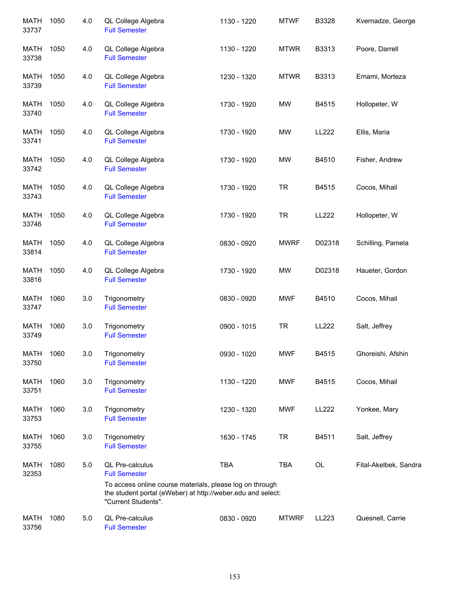| <b>MATH</b><br>33737 | 1050 | 4.0 | QL College Algebra<br><b>Full Semester</b>                                                                                                                                                | 1130 - 1220 | <b>MTWF</b>  | B3328  | Kvernadze, George     |
|----------------------|------|-----|-------------------------------------------------------------------------------------------------------------------------------------------------------------------------------------------|-------------|--------------|--------|-----------------------|
| MATH<br>33738        | 1050 | 4.0 | QL College Algebra<br><b>Full Semester</b>                                                                                                                                                | 1130 - 1220 | <b>MTWR</b>  | B3313  | Poore, Darrell        |
| <b>MATH</b><br>33739 | 1050 | 4.0 | QL College Algebra<br><b>Full Semester</b>                                                                                                                                                | 1230 - 1320 | <b>MTWR</b>  | B3313  | Emami, Morteza        |
| MATH<br>33740        | 1050 | 4.0 | QL College Algebra<br><b>Full Semester</b>                                                                                                                                                | 1730 - 1920 | MW           | B4515  | Hollopeter, W         |
| MATH<br>33741        | 1050 | 4.0 | QL College Algebra<br><b>Full Semester</b>                                                                                                                                                | 1730 - 1920 | <b>MW</b>    | LL222  | Ellis, Maria          |
| <b>MATH</b><br>33742 | 1050 | 4.0 | QL College Algebra<br><b>Full Semester</b>                                                                                                                                                | 1730 - 1920 | <b>MW</b>    | B4510  | Fisher, Andrew        |
| <b>MATH</b><br>33743 | 1050 | 4.0 | QL College Algebra<br><b>Full Semester</b>                                                                                                                                                | 1730 - 1920 | <b>TR</b>    | B4515  | Cocos, Mihail         |
| <b>MATH</b><br>33746 | 1050 | 4.0 | QL College Algebra<br><b>Full Semester</b>                                                                                                                                                | 1730 - 1920 | <b>TR</b>    | LL222  | Hollopeter, W         |
| <b>MATH</b><br>33814 | 1050 | 4.0 | QL College Algebra<br><b>Full Semester</b>                                                                                                                                                | 0830 - 0920 | <b>MWRF</b>  | D02318 | Schilling, Pamela     |
| <b>MATH</b><br>33816 | 1050 | 4.0 | QL College Algebra<br><b>Full Semester</b>                                                                                                                                                | 1730 - 1920 | <b>MW</b>    | D02318 | Haueter, Gordon       |
| <b>MATH</b><br>33747 | 1060 | 3.0 | Trigonometry<br><b>Full Semester</b>                                                                                                                                                      | 0830 - 0920 | MWF          | B4510  | Cocos, Mihail         |
| <b>MATH</b><br>33749 | 1060 | 3.0 | Trigonometry<br><b>Full Semester</b>                                                                                                                                                      | 0900 - 1015 | <b>TR</b>    | LL222  | Salt, Jeffrey         |
| <b>MATH</b><br>33750 | 1060 | 3.0 | Trigonometry<br><b>Full Semester</b>                                                                                                                                                      | 0930 - 1020 | <b>MWF</b>   | B4515  | Ghoreishi, Afshin     |
| MATH<br>33751        | 1060 | 3.0 | Trigonometry<br><b>Full Semester</b>                                                                                                                                                      | 1130 - 1220 | <b>MWF</b>   | B4515  | Cocos, Mihail         |
| MATH<br>33753        | 1060 | 3.0 | Trigonometry<br><b>Full Semester</b>                                                                                                                                                      | 1230 - 1320 | <b>MWF</b>   | LL222  | Yonkee, Mary          |
| MATH<br>33755        | 1060 | 3.0 | Trigonometry<br><b>Full Semester</b>                                                                                                                                                      | 1630 - 1745 | <b>TR</b>    | B4511  | Salt, Jeffrey         |
| <b>MATH</b><br>32353 | 1080 | 5.0 | QL Pre-calculus<br><b>Full Semester</b><br>To access online course materials, please log on through<br>the student portal (eWeber) at http://weber.edu and select:<br>"Current Students". | <b>TBA</b>  | <b>TBA</b>   | OL     | Fital-Akelbek, Sandra |
| <b>MATH</b><br>33756 | 1080 | 5.0 | QL Pre-calculus<br><b>Full Semester</b>                                                                                                                                                   | 0830 - 0920 | <b>MTWRF</b> | LL223  | Quesnell, Carrie      |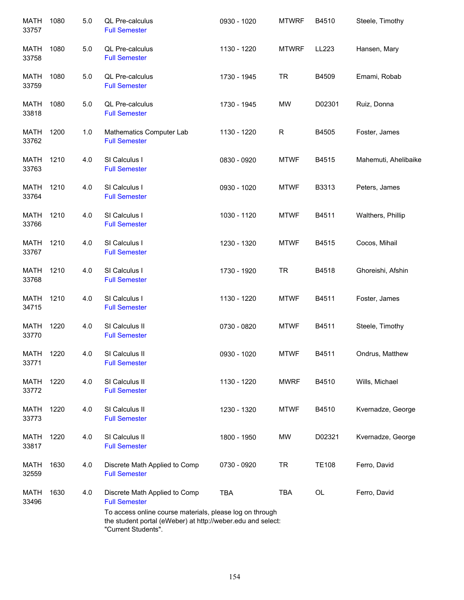| MATH<br>33757        | 1080 | 5.0 | QL Pre-calculus<br><b>Full Semester</b>                                                                                                        | 0930 - 1020 | <b>MTWRF</b> | B4510        | Steele, Timothy      |
|----------------------|------|-----|------------------------------------------------------------------------------------------------------------------------------------------------|-------------|--------------|--------------|----------------------|
| MATH<br>33758        | 1080 | 5.0 | QL Pre-calculus<br><b>Full Semester</b>                                                                                                        | 1130 - 1220 | <b>MTWRF</b> | LL223        | Hansen, Mary         |
| MATH<br>33759        | 1080 | 5.0 | QL Pre-calculus<br><b>Full Semester</b>                                                                                                        | 1730 - 1945 | <b>TR</b>    | B4509        | Emami, Robab         |
| MATH<br>33818        | 1080 | 5.0 | QL Pre-calculus<br><b>Full Semester</b>                                                                                                        | 1730 - 1945 | MW           | D02301       | Ruiz, Donna          |
| MATH<br>33762        | 1200 | 1.0 | Mathematics Computer Lab<br><b>Full Semester</b>                                                                                               | 1130 - 1220 | R            | B4505        | Foster, James        |
| <b>MATH</b><br>33763 | 1210 | 4.0 | SI Calculus I<br><b>Full Semester</b>                                                                                                          | 0830 - 0920 | <b>MTWF</b>  | B4515        | Mahemuti, Ahelibaike |
| <b>MATH</b><br>33764 | 1210 | 4.0 | SI Calculus I<br><b>Full Semester</b>                                                                                                          | 0930 - 1020 | <b>MTWF</b>  | B3313        | Peters, James        |
| <b>MATH</b><br>33766 | 1210 | 4.0 | SI Calculus I<br><b>Full Semester</b>                                                                                                          | 1030 - 1120 | <b>MTWF</b>  | B4511        | Walthers, Phillip    |
| <b>MATH</b><br>33767 | 1210 | 4.0 | SI Calculus I<br><b>Full Semester</b>                                                                                                          | 1230 - 1320 | <b>MTWF</b>  | B4515        | Cocos, Mihail        |
| <b>MATH</b><br>33768 | 1210 | 4.0 | SI Calculus I<br><b>Full Semester</b>                                                                                                          | 1730 - 1920 | <b>TR</b>    | B4518        | Ghoreishi, Afshin    |
| <b>MATH</b><br>34715 | 1210 | 4.0 | SI Calculus I<br><b>Full Semester</b>                                                                                                          | 1130 - 1220 | <b>MTWF</b>  | B4511        | Foster, James        |
| <b>MATH</b><br>33770 | 1220 | 4.0 | SI Calculus II<br><b>Full Semester</b>                                                                                                         | 0730 - 0820 | <b>MTWF</b>  | B4511        | Steele, Timothy      |
| MATH<br>33771        | 1220 | 4.0 | SI Calculus II<br><b>Full Semester</b>                                                                                                         | 0930 - 1020 | <b>MTWF</b>  | B4511        | Ondrus, Matthew      |
| MATH<br>33772        | 1220 | 4.0 | SI Calculus II<br><b>Full Semester</b>                                                                                                         | 1130 - 1220 | <b>MWRF</b>  | B4510        | Wills, Michael       |
| MATH<br>33773        | 1220 | 4.0 | SI Calculus II<br><b>Full Semester</b>                                                                                                         | 1230 - 1320 | <b>MTWF</b>  | B4510        | Kvernadze, George    |
| MATH<br>33817        | 1220 | 4.0 | SI Calculus II<br><b>Full Semester</b>                                                                                                         | 1800 - 1950 | MW           | D02321       | Kvernadze, George    |
| <b>MATH</b><br>32559 | 1630 | 4.0 | Discrete Math Applied to Comp<br><b>Full Semester</b>                                                                                          | 0730 - 0920 | <b>TR</b>    | <b>TE108</b> | Ferro, David         |
| MATH<br>33496        | 1630 | 4.0 | Discrete Math Applied to Comp<br><b>Full Semester</b>                                                                                          | <b>TBA</b>  | <b>TBA</b>   | OL           | Ferro, David         |
|                      |      |     | To access online course materials, please log on through<br>the student portal (eWeber) at http://weber.edu and select:<br>"Current Students". |             |              |              |                      |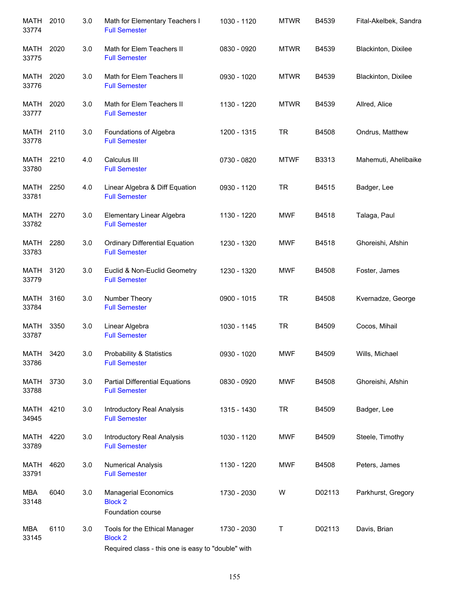| MATH<br>33774        | 2010 | 3.0 | Math for Elementary Teachers I<br><b>Full Semester</b>                                                | 1030 - 1120 | <b>MTWR</b> | B4539  | Fital-Akelbek, Sandra |
|----------------------|------|-----|-------------------------------------------------------------------------------------------------------|-------------|-------------|--------|-----------------------|
| MATH<br>33775        | 2020 | 3.0 | Math for Elem Teachers II<br><b>Full Semester</b>                                                     | 0830 - 0920 | <b>MTWR</b> | B4539  | Blackinton, Dixilee   |
| MATH<br>33776        | 2020 | 3.0 | Math for Elem Teachers II<br><b>Full Semester</b>                                                     | 0930 - 1020 | <b>MTWR</b> | B4539  | Blackinton, Dixilee   |
| MATH<br>33777        | 2020 | 3.0 | Math for Elem Teachers II<br><b>Full Semester</b>                                                     | 1130 - 1220 | <b>MTWR</b> | B4539  | Allred, Alice         |
| MATH<br>33778        | 2110 | 3.0 | Foundations of Algebra<br><b>Full Semester</b>                                                        | 1200 - 1315 | <b>TR</b>   | B4508  | Ondrus, Matthew       |
| MATH<br>33780        | 2210 | 4.0 | Calculus III<br><b>Full Semester</b>                                                                  | 0730 - 0820 | <b>MTWF</b> | B3313  | Mahemuti, Ahelibaike  |
| MATH<br>33781        | 2250 | 4.0 | Linear Algebra & Diff Equation<br><b>Full Semester</b>                                                | 0930 - 1120 | <b>TR</b>   | B4515  | Badger, Lee           |
| <b>MATH</b><br>33782 | 2270 | 3.0 | Elementary Linear Algebra<br><b>Full Semester</b>                                                     | 1130 - 1220 | <b>MWF</b>  | B4518  | Talaga, Paul          |
| <b>MATH</b><br>33783 | 2280 | 3.0 | <b>Ordinary Differential Equation</b><br><b>Full Semester</b>                                         | 1230 - 1320 | <b>MWF</b>  | B4518  | Ghoreishi, Afshin     |
| <b>MATH</b><br>33779 | 3120 | 3.0 | Euclid & Non-Euclid Geometry<br><b>Full Semester</b>                                                  | 1230 - 1320 | <b>MWF</b>  | B4508  | Foster, James         |
| <b>MATH</b><br>33784 | 3160 | 3.0 | Number Theory<br><b>Full Semester</b>                                                                 | 0900 - 1015 | <b>TR</b>   | B4508  | Kvernadze, George     |
| MATH<br>33787        | 3350 | 3.0 | Linear Algebra<br><b>Full Semester</b>                                                                | 1030 - 1145 | <b>TR</b>   | B4509  | Cocos, Mihail         |
| <b>MATH</b><br>33786 | 3420 | 3.0 | <b>Probability &amp; Statistics</b><br><b>Full Semester</b>                                           | 0930 - 1020 | <b>MWF</b>  | B4509  | Wills, Michael        |
| MATH<br>33788        | 3730 | 3.0 | <b>Partial Differential Equations</b><br><b>Full Semester</b>                                         | 0830 - 0920 | <b>MWF</b>  | B4508  | Ghoreishi, Afshin     |
| MATH<br>34945        | 4210 | 3.0 | Introductory Real Analysis<br><b>Full Semester</b>                                                    | 1315 - 1430 | <b>TR</b>   | B4509  | Badger, Lee           |
| MATH<br>33789        | 4220 | 3.0 | Introductory Real Analysis<br><b>Full Semester</b>                                                    | 1030 - 1120 | <b>MWF</b>  | B4509  | Steele, Timothy       |
| MATH<br>33791        | 4620 | 3.0 | <b>Numerical Analysis</b><br><b>Full Semester</b>                                                     | 1130 - 1220 | <b>MWF</b>  | B4508  | Peters, James         |
| MBA<br>33148         | 6040 | 3.0 | <b>Managerial Economics</b><br><b>Block 2</b><br>Foundation course                                    | 1730 - 2030 | W           | D02113 | Parkhurst, Gregory    |
| <b>MBA</b><br>33145  | 6110 | 3.0 | Tools for the Ethical Manager<br><b>Block 2</b><br>Required class - this one is easy to "double" with | 1730 - 2030 | T           | D02113 | Davis, Brian          |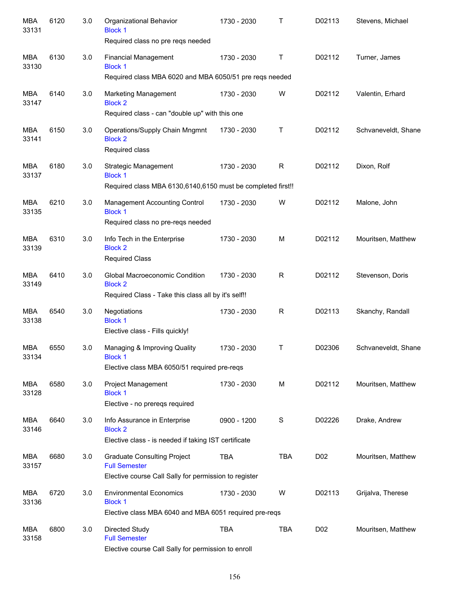| <b>MBA</b><br>33131 | 6120 | 3.0 | Organizational Behavior<br><b>Block 1</b><br>Required class no pre reqs needed                | 1730 - 2030 | Τ           | D02113           | Stevens, Michael    |
|---------------------|------|-----|-----------------------------------------------------------------------------------------------|-------------|-------------|------------------|---------------------|
| MBA<br>33130        | 6130 | 3.0 | <b>Financial Management</b><br><b>Block 1</b>                                                 | 1730 - 2030 | Т           | D02112           | Turner, James       |
|                     |      |     | Required class MBA 6020 and MBA 6050/51 pre reqs needed                                       |             |             |                  |                     |
| MBA<br>33147        | 6140 | 3.0 | <b>Marketing Management</b><br><b>Block 2</b>                                                 | 1730 - 2030 | W           | D02112           | Valentin, Erhard    |
|                     |      |     | Required class - can "double up" with this one                                                |             |             |                  |                     |
| MBA<br>33141        | 6150 | 3.0 | Operations/Supply Chain Mngmnt<br><b>Block 2</b><br>Required class                            | 1730 - 2030 | Т           | D02112           | Schvaneveldt, Shane |
| <b>MBA</b><br>33137 | 6180 | 3.0 | Strategic Management<br><b>Block 1</b>                                                        | 1730 - 2030 | R           | D02112           | Dixon, Rolf         |
|                     |      |     | Required class MBA 6130,6140,6150 must be completed first!!                                   |             |             |                  |                     |
| MBA<br>33135        | 6210 | 3.0 | <b>Management Accounting Control</b><br><b>Block 1</b><br>Required class no pre-reqs needed   | 1730 - 2030 | W           | D02112           | Malone, John        |
| <b>MBA</b><br>33139 | 6310 | 3.0 | Info Tech in the Enterprise<br><b>Block 2</b><br><b>Required Class</b>                        | 1730 - 2030 | м           | D02112           | Mouritsen, Matthew  |
| <b>MBA</b><br>33149 | 6410 | 3.0 | Global Macroeconomic Condition<br><b>Block 2</b>                                              | 1730 - 2030 | R           | D02112           | Stevenson, Doris    |
|                     |      |     | Required Class - Take this class all by it's self!!                                           |             |             |                  |                     |
| <b>MBA</b><br>33138 | 6540 | 3.0 | Negotiations<br><b>Block 1</b><br>Elective class - Fills quickly!                             | 1730 - 2030 | R           | D02113           | Skanchy, Randall    |
| <b>MBA</b><br>33134 | 6550 | 3.0 | Managing & Improving Quality<br>Block 1<br>Elective class MBA 6050/51 required pre-reqs       | 1730 - 2030 | Т           | D02306           | Schvaneveldt, Shane |
|                     |      |     |                                                                                               |             |             |                  |                     |
| MBA<br>33128        | 6580 | 3.0 | Project Management<br><b>Block 1</b><br>Elective - no preregs required                        | 1730 - 2030 | М           | D02112           | Mouritsen, Matthew  |
| MBA<br>33146        | 6640 | 3.0 | Info Assurance in Enterprise<br><b>Block 2</b>                                                | 0900 - 1200 | $\mathbf S$ | D02226           | Drake, Andrew       |
|                     |      |     | Elective class - is needed if taking IST certificate                                          |             |             |                  |                     |
| MBA<br>33157        | 6680 | 3.0 | <b>Graduate Consulting Project</b><br><b>Full Semester</b>                                    | <b>TBA</b>  | <b>TBA</b>  | D <sub>0</sub> 2 | Mouritsen, Matthew  |
|                     |      |     | Elective course Call Sally for permission to register                                         |             |             |                  |                     |
| MBA<br>33136        | 6720 | 3.0 | <b>Environmental Economics</b><br><b>Block 1</b>                                              | 1730 - 2030 | W           | D02113           | Grijalva, Therese   |
|                     |      |     | Elective class MBA 6040 and MBA 6051 required pre-reqs                                        |             |             |                  |                     |
| MBA<br>33158        | 6800 | 3.0 | Directed Study<br><b>Full Semester</b><br>Elective course Call Sally for permission to enroll | <b>TBA</b>  | <b>TBA</b>  | D02              | Mouritsen, Matthew  |
|                     |      |     |                                                                                               |             |             |                  |                     |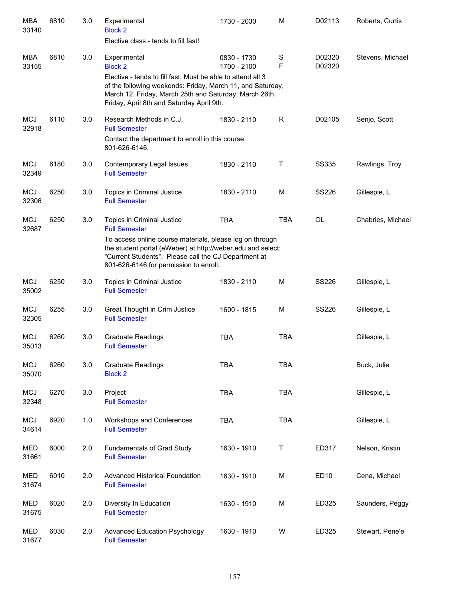| <b>MBA</b><br>33140 | 6810 | 3.0 | Experimental<br><b>Block 2</b><br>Elective class - tends to fill fast!                                                                                                                                                           | 1730 - 2030                | M                | D02113           | Roberts, Curtis   |
|---------------------|------|-----|----------------------------------------------------------------------------------------------------------------------------------------------------------------------------------------------------------------------------------|----------------------------|------------------|------------------|-------------------|
|                     |      |     |                                                                                                                                                                                                                                  |                            |                  |                  |                   |
| <b>MBA</b><br>33155 | 6810 | 3.0 | Experimental<br><b>Block 2</b>                                                                                                                                                                                                   | 0830 - 1730<br>1700 - 2100 | $\mathbf S$<br>F | D02320<br>D02320 | Stevens, Michael  |
|                     |      |     | Elective - tends to fill fast. Must be able to attend all 3<br>of the following weekends: Friday, March 11, and Saturday,<br>March 12. Friday, March 25th and Saturday, March 26th.<br>Friday, April 8th and Saturday April 9th. |                            |                  |                  |                   |
| <b>MCJ</b><br>32918 | 6110 | 3.0 | Research Methods in C.J.<br><b>Full Semester</b>                                                                                                                                                                                 | 1830 - 2110                | R                | D02105           | Senjo, Scott      |
|                     |      |     | Contact the department to enroll in this course.<br>801-626-6146.                                                                                                                                                                |                            |                  |                  |                   |
| <b>MCJ</b><br>32349 | 6180 | 3.0 | Contemporary Legal Issues<br><b>Full Semester</b>                                                                                                                                                                                | 1830 - 2110                | Τ                | <b>SS335</b>     | Rawlings, Troy    |
| <b>MCJ</b><br>32306 | 6250 | 3.0 | Topics in Criminal Justice<br><b>Full Semester</b>                                                                                                                                                                               | 1830 - 2110                | M                | <b>SS226</b>     | Gillespie, L      |
| <b>MCJ</b><br>32687 | 6250 | 3.0 | Topics in Criminal Justice<br><b>Full Semester</b>                                                                                                                                                                               | <b>TBA</b>                 | <b>TBA</b>       | OL               | Chabries, Michael |
|                     |      |     | To access online course materials, please log on through<br>the student portal (eWeber) at http://weber.edu and select:<br>"Current Students". Please call the CJ Department at<br>801-626-6146 for permission to enroll.        |                            |                  |                  |                   |
| <b>MCJ</b><br>35002 | 6250 | 3.0 | Topics in Criminal Justice<br><b>Full Semester</b>                                                                                                                                                                               | 1830 - 2110                | M                | <b>SS226</b>     | Gillespie, L      |
| <b>MCJ</b><br>32305 | 6255 | 3.0 | Great Thought in Crim Justice<br><b>Full Semester</b>                                                                                                                                                                            | 1600 - 1815                | M                | <b>SS226</b>     | Gillespie, L      |
| <b>MCJ</b><br>35013 | 6260 | 3.0 | <b>Graduate Readings</b><br><b>Full Semester</b>                                                                                                                                                                                 | <b>TBA</b>                 | <b>TBA</b>       |                  | Gillespie, L      |
| <b>MCJ</b><br>35070 | 6260 | 3.0 | <b>Graduate Readings</b><br><b>Block 2</b>                                                                                                                                                                                       | <b>TBA</b>                 | <b>TBA</b>       |                  | Buck, Julie       |
| <b>MCJ</b><br>32348 | 6270 | 3.0 | Project<br><b>Full Semester</b>                                                                                                                                                                                                  | <b>TBA</b>                 | <b>TBA</b>       |                  | Gillespie, L      |
| <b>MCJ</b><br>34614 | 6920 | 1.0 | Workshops and Conferences<br><b>Full Semester</b>                                                                                                                                                                                | <b>TBA</b>                 | <b>TBA</b>       |                  | Gillespie, L      |
| <b>MED</b><br>31661 | 6000 | 2.0 | Fundamentals of Grad Study<br><b>Full Semester</b>                                                                                                                                                                               | 1630 - 1910                | Τ                | ED317            | Nelson, Kristin   |
| MED<br>31674        | 6010 | 2.0 | Advanced Historical Foundation<br><b>Full Semester</b>                                                                                                                                                                           | 1630 - 1910                | M                | ED10             | Cena, Michael     |
| MED<br>31675        | 6020 | 2.0 | Diversity In Education<br><b>Full Semester</b>                                                                                                                                                                                   | 1630 - 1910                | M                | ED325            | Saunders, Peggy   |
| <b>MED</b><br>31677 | 6030 | 2.0 | <b>Advanced Education Psychology</b><br><b>Full Semester</b>                                                                                                                                                                     | 1630 - 1910                | W                | ED325            | Stewart, Pene'e   |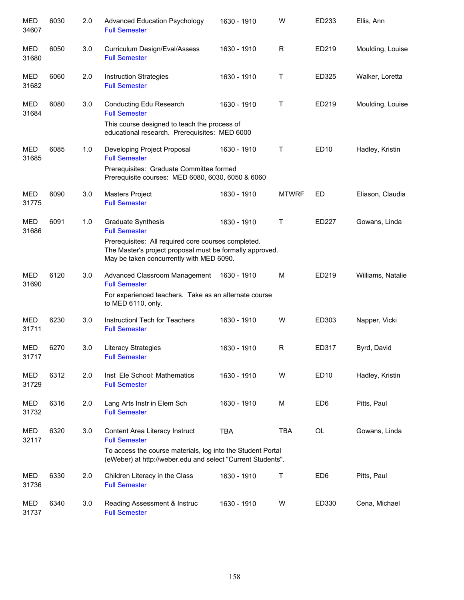| <b>MED</b><br>34607 | 6030 | 2.0 | <b>Advanced Education Psychology</b><br><b>Full Semester</b>                                                                                                                                              | 1630 - 1910 | W            | ED233            | Ellis, Ann        |
|---------------------|------|-----|-----------------------------------------------------------------------------------------------------------------------------------------------------------------------------------------------------------|-------------|--------------|------------------|-------------------|
| <b>MED</b><br>31680 | 6050 | 3.0 | Curriculum Design/Eval/Assess<br><b>Full Semester</b>                                                                                                                                                     | 1630 - 1910 | R            | ED219            | Moulding, Louise  |
| <b>MED</b><br>31682 | 6060 | 2.0 | <b>Instruction Strategies</b><br><b>Full Semester</b>                                                                                                                                                     | 1630 - 1910 | Τ            | ED325            | Walker, Loretta   |
| <b>MED</b><br>31684 | 6080 | 3.0 | Conducting Edu Research<br><b>Full Semester</b><br>This course designed to teach the process of<br>educational research. Prerequisites: MED 6000                                                          | 1630 - 1910 | Τ            | ED219            | Moulding, Louise  |
| MED<br>31685        | 6085 | 1.0 | Developing Project Proposal<br><b>Full Semester</b><br>Prerequisites: Graduate Committee formed<br>Prerequisite courses: MED 6080, 6030, 6050 & 6060                                                      | 1630 - 1910 | Τ            | ED <sub>10</sub> | Hadley, Kristin   |
| MED<br>31775        | 6090 | 3.0 | <b>Masters Project</b><br><b>Full Semester</b>                                                                                                                                                            | 1630 - 1910 | <b>MTWRF</b> | ED               | Eliason, Claudia  |
| <b>MED</b><br>31686 | 6091 | 1.0 | Graduate Synthesis<br><b>Full Semester</b><br>Prerequisites: All required core courses completed.<br>The Master's project proposal must be formally approved.<br>May be taken concurrently with MED 6090. | 1630 - 1910 | Τ            | ED227            | Gowans, Linda     |
| MED<br>31690        | 6120 | 3.0 | Advanced Classroom Management<br><b>Full Semester</b><br>For experienced teachers. Take as an alternate course<br>to MED 6110, only.                                                                      | 1630 - 1910 | М            | ED219            | Williams, Natalie |
| <b>MED</b><br>31711 | 6230 | 3.0 | Instructionl Tech for Teachers<br><b>Full Semester</b>                                                                                                                                                    | 1630 - 1910 | W            | ED303            | Napper, Vicki     |
| MED<br>31717        | 6270 | 3.0 | Literacy Strategies<br><b>Full Semester</b>                                                                                                                                                               | 1630 - 1910 | R            | ED317            | Byrd, David       |
| MED<br>31729        | 6312 | 2.0 | Inst Ele School: Mathematics<br><b>Full Semester</b>                                                                                                                                                      | 1630 - 1910 | W            | ED <sub>10</sub> | Hadley, Kristin   |
| MED<br>31732        | 6316 | 2.0 | Lang Arts Instr in Elem Sch<br><b>Full Semester</b>                                                                                                                                                       | 1630 - 1910 | М            | ED <sub>6</sub>  | Pitts, Paul       |
| <b>MED</b><br>32117 | 6320 | 3.0 | Content Area Literacy Instruct<br><b>Full Semester</b><br>To access the course materials, log into the Student Portal<br>(eWeber) at http://weber.edu and select "Current Students".                      | <b>TBA</b>  | <b>TBA</b>   | OL               | Gowans, Linda     |
| MED<br>31736        | 6330 | 2.0 | Children Literacy in the Class<br><b>Full Semester</b>                                                                                                                                                    | 1630 - 1910 | Τ            | ED <sub>6</sub>  | Pitts, Paul       |
| MED<br>31737        | 6340 | 3.0 | Reading Assessment & Instruc<br><b>Full Semester</b>                                                                                                                                                      | 1630 - 1910 | W            | ED330            | Cena, Michael     |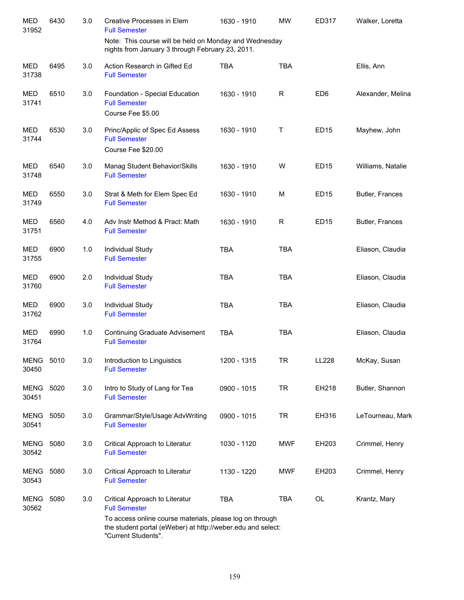| <b>MED</b><br>31952       | 6430 | 3.0 | Creative Processes in Elem<br><b>Full Semester</b>                                                                 | 1630 - 1910 | <b>MW</b>  | ED317           | Walker, Loretta   |
|---------------------------|------|-----|--------------------------------------------------------------------------------------------------------------------|-------------|------------|-----------------|-------------------|
|                           |      |     | Note: This course will be held on Monday and Wednesday<br>nights from January 3 through February 23, 2011.         |             |            |                 |                   |
| <b>MED</b><br>31738       | 6495 | 3.0 | Action Research in Gifted Ed<br><b>Full Semester</b>                                                               | <b>TBA</b>  | <b>TBA</b> |                 | Ellis, Ann        |
| <b>MED</b><br>31741       | 6510 | 3.0 | Foundation - Special Education<br><b>Full Semester</b><br>Course Fee \$5.00                                        | 1630 - 1910 | R          | ED <sub>6</sub> | Alexander, Melina |
| <b>MED</b><br>31744       | 6530 | 3.0 | Princ/Applic of Spec Ed Assess<br><b>Full Semester</b><br>Course Fee \$20.00                                       | 1630 - 1910 | Τ          | <b>ED15</b>     | Mayhew, John      |
| <b>MED</b><br>31748       | 6540 | 3.0 | Manag Student Behavior/Skills<br><b>Full Semester</b>                                                              | 1630 - 1910 | W          | <b>ED15</b>     | Williams, Natalie |
| <b>MED</b><br>31749       | 6550 | 3.0 | Strat & Meth for Elem Spec Ed<br><b>Full Semester</b>                                                              | 1630 - 1910 | M          | <b>ED15</b>     | Butler, Frances   |
| <b>MED</b><br>31751       | 6560 | 4.0 | Adv Instr Method & Pract: Math<br><b>Full Semester</b>                                                             | 1630 - 1910 | R          | <b>ED15</b>     | Butler, Frances   |
| <b>MED</b><br>31755       | 6900 | 1.0 | Individual Study<br><b>Full Semester</b>                                                                           | <b>TBA</b>  | <b>TBA</b> |                 | Eliason, Claudia  |
| MED<br>31760              | 6900 | 2.0 | Individual Study<br><b>Full Semester</b>                                                                           | <b>TBA</b>  | <b>TBA</b> |                 | Eliason, Claudia  |
| <b>MED</b><br>31762       | 6900 | 3.0 | Individual Study<br><b>Full Semester</b>                                                                           | <b>TBA</b>  | <b>TBA</b> |                 | Eliason, Claudia  |
| MED<br>31764              | 6990 | 1.0 | <b>Continuing Graduate Advisement</b><br><b>Full Semester</b>                                                      | <b>TBA</b>  | <b>TBA</b> |                 | Eliason, Claudia  |
| <b>MENG 5010</b><br>30450 |      | 3.0 | Introduction to Linguistics<br><b>Full Semester</b>                                                                | 1200 - 1315 | TR         | LL228           | McKay, Susan      |
| <b>MENG</b><br>30451      | 5020 | 3.0 | Intro to Study of Lang for Tea<br><b>Full Semester</b>                                                             | 0900 - 1015 | <b>TR</b>  | EH218           | Butler, Shannon   |
| MENG<br>30541             | 5050 | 3.0 | Grammar/Style/Usage:AdvWriting<br><b>Full Semester</b>                                                             | 0900 - 1015 | <b>TR</b>  | EH316           | LeTourneau, Mark  |
| <b>MENG</b><br>30542      | 5080 | 3.0 | Critical Approach to Literatur<br><b>Full Semester</b>                                                             | 1030 - 1120 | <b>MWF</b> | EH203           | Crimmel, Henry    |
| MENG<br>30543             | 5080 | 3.0 | Critical Approach to Literatur<br><b>Full Semester</b>                                                             | 1130 - 1220 | <b>MWF</b> | EH203           | Crimmel, Henry    |
| MENG<br>30562             | 5080 | 3.0 | Critical Approach to Literatur<br><b>Full Semester</b><br>To access online course materials, please log on through | <b>TBA</b>  | <b>TBA</b> | OL              | Krantz, Mary      |
|                           |      |     | the student portal (eWeber) at http://weber.edu and select:<br>"Current Students".                                 |             |            |                 |                   |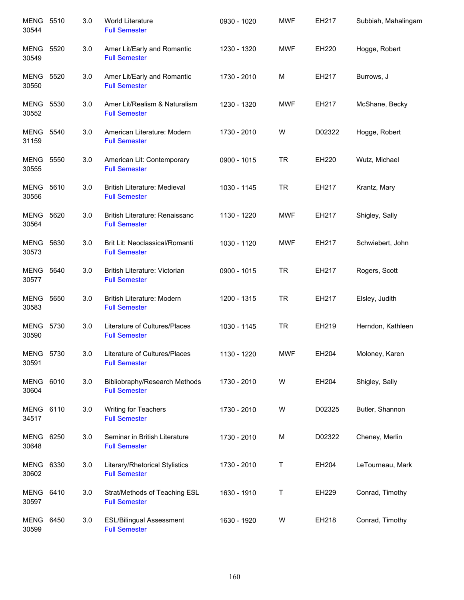| <b>MENG 5510</b><br>30544 |      | 3.0 | World Literature<br><b>Full Semester</b>                    | 0930 - 1020 | <b>MWF</b> | EH217  | Subbiah, Mahalingam |
|---------------------------|------|-----|-------------------------------------------------------------|-------------|------------|--------|---------------------|
| MENG<br>30549             | 5520 | 3.0 | Amer Lit/Early and Romantic<br><b>Full Semester</b>         | 1230 - 1320 | <b>MWF</b> | EH220  | Hogge, Robert       |
| MENG<br>30550             | 5520 | 3.0 | Amer Lit/Early and Romantic<br><b>Full Semester</b>         | 1730 - 2010 | M          | EH217  | Burrows, J          |
| MENG 5530<br>30552        |      | 3.0 | Amer Lit/Realism & Naturalism<br><b>Full Semester</b>       | 1230 - 1320 | <b>MWF</b> | EH217  | McShane, Becky      |
| <b>MENG 5540</b><br>31159 |      | 3.0 | American Literature: Modern<br><b>Full Semester</b>         | 1730 - 2010 | W          | D02322 | Hogge, Robert       |
| <b>MENG 5550</b><br>30555 |      | 3.0 | American Lit: Contemporary<br><b>Full Semester</b>          | 0900 - 1015 | <b>TR</b>  | EH220  | Wutz, Michael       |
| MENG 5610<br>30556        |      | 3.0 | <b>British Literature: Medieval</b><br><b>Full Semester</b> | 1030 - 1145 | <b>TR</b>  | EH217  | Krantz, Mary        |
| MENG<br>30564             | 5620 | 3.0 | British Literature: Renaissanc<br><b>Full Semester</b>      | 1130 - 1220 | <b>MWF</b> | EH217  | Shigley, Sally      |
| <b>MENG</b><br>30573      | 5630 | 3.0 | Brit Lit: Neoclassical/Romanti<br><b>Full Semester</b>      | 1030 - 1120 | <b>MWF</b> | EH217  | Schwiebert, John    |
| <b>MENG 5640</b><br>30577 |      | 3.0 | British Literature: Victorian<br><b>Full Semester</b>       | 0900 - 1015 | <b>TR</b>  | EH217  | Rogers, Scott       |
| MENG<br>30583             | 5650 | 3.0 | British Literature: Modern<br><b>Full Semester</b>          | 1200 - 1315 | <b>TR</b>  | EH217  | Elsley, Judith      |
| <b>MENG</b><br>30590      | 5730 | 3.0 | Literature of Cultures/Places<br><b>Full Semester</b>       | 1030 - 1145 | <b>TR</b>  | EH219  | Herndon, Kathleen   |
| MENG<br>30591             | 5730 | 3.0 | Literature of Cultures/Places<br><b>Full Semester</b>       | 1130 - 1220 | <b>MWF</b> | EH204  | Moloney, Karen      |
| MENG<br>30604             | 6010 | 3.0 | Bibliobraphy/Research Methods<br><b>Full Semester</b>       | 1730 - 2010 | W          | EH204  | Shigley, Sally      |
| MENG<br>34517             | 6110 | 3.0 | Writing for Teachers<br><b>Full Semester</b>                | 1730 - 2010 | W          | D02325 | Butler, Shannon     |
| MENG 6250<br>30648        |      | 3.0 | Seminar in British Literature<br><b>Full Semester</b>       | 1730 - 2010 | M          | D02322 | Cheney, Merlin      |
| MENG<br>30602             | 6330 | 3.0 | Literary/Rhetorical Stylistics<br><b>Full Semester</b>      | 1730 - 2010 | Τ          | EH204  | LeTourneau, Mark    |
| MENG<br>30597             | 6410 | 3.0 | Strat/Methods of Teaching ESL<br><b>Full Semester</b>       | 1630 - 1910 | Τ          | EH229  | Conrad, Timothy     |
| MENG<br>30599             | 6450 | 3.0 | <b>ESL/Bilingual Assessment</b><br><b>Full Semester</b>     | 1630 - 1920 | W          | EH218  | Conrad, Timothy     |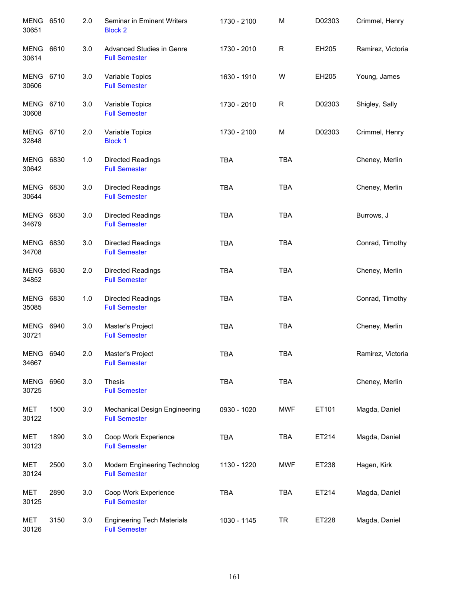| MENG 6510<br>30651        |      | 2.0 | Seminar in Eminent Writers<br><b>Block 2</b>              | 1730 - 2100 | M          | D02303 | Crimmel, Henry    |
|---------------------------|------|-----|-----------------------------------------------------------|-------------|------------|--------|-------------------|
| MENG<br>30614             | 6610 | 3.0 | Advanced Studies in Genre<br><b>Full Semester</b>         | 1730 - 2010 | R          | EH205  | Ramirez, Victoria |
| <b>MENG 6710</b><br>30606 |      | 3.0 | Variable Topics<br><b>Full Semester</b>                   | 1630 - 1910 | W          | EH205  | Young, James      |
| MENG 6710<br>30608        |      | 3.0 | Variable Topics<br><b>Full Semester</b>                   | 1730 - 2010 | R          | D02303 | Shigley, Sally    |
| <b>MENG 6710</b><br>32848 |      | 2.0 | Variable Topics<br><b>Block 1</b>                         | 1730 - 2100 | M          | D02303 | Crimmel, Henry    |
| MENG 6830<br>30642        |      | 1.0 | <b>Directed Readings</b><br><b>Full Semester</b>          | <b>TBA</b>  | <b>TBA</b> |        | Cheney, Merlin    |
| MENG 6830<br>30644        |      | 3.0 | <b>Directed Readings</b><br><b>Full Semester</b>          | <b>TBA</b>  | <b>TBA</b> |        | Cheney, Merlin    |
| MENG 6830<br>34679        |      | 3.0 | <b>Directed Readings</b><br><b>Full Semester</b>          | <b>TBA</b>  | <b>TBA</b> |        | Burrows, J        |
| MENG 6830<br>34708        |      | 3.0 | <b>Directed Readings</b><br><b>Full Semester</b>          | <b>TBA</b>  | <b>TBA</b> |        | Conrad, Timothy   |
| MENG 6830<br>34852        |      | 2.0 | Directed Readings<br><b>Full Semester</b>                 | <b>TBA</b>  | <b>TBA</b> |        | Cheney, Merlin    |
| MENG 6830<br>35085        |      | 1.0 | <b>Directed Readings</b><br><b>Full Semester</b>          | <b>TBA</b>  | <b>TBA</b> |        | Conrad, Timothy   |
| <b>MENG</b><br>30721      | 6940 | 3.0 | Master's Project<br><b>Full Semester</b>                  | <b>TBA</b>  | <b>TBA</b> |        | Cheney, Merlin    |
| MENG 6940<br>34667        |      | 2.0 | Master's Project<br><b>Full Semester</b>                  | <b>TBA</b>  | <b>TBA</b> |        | Ramirez, Victoria |
| MENG<br>30725             | 6960 | 3.0 | Thesis<br><b>Full Semester</b>                            | <b>TBA</b>  | <b>TBA</b> |        | Cheney, Merlin    |
| MET<br>30122              | 1500 | 3.0 | Mechanical Design Engineering<br><b>Full Semester</b>     | 0930 - 1020 | <b>MWF</b> | ET101  | Magda, Daniel     |
| MET<br>30123              | 1890 | 3.0 | Coop Work Experience<br><b>Full Semester</b>              | <b>TBA</b>  | <b>TBA</b> | ET214  | Magda, Daniel     |
| MET<br>30124              | 2500 | 3.0 | Modern Engineering Technolog<br><b>Full Semester</b>      | 1130 - 1220 | <b>MWF</b> | ET238  | Hagen, Kirk       |
| MET<br>30125              | 2890 | 3.0 | Coop Work Experience<br><b>Full Semester</b>              | <b>TBA</b>  | <b>TBA</b> | ET214  | Magda, Daniel     |
| MET<br>30126              | 3150 | 3.0 | <b>Engineering Tech Materials</b><br><b>Full Semester</b> | 1030 - 1145 | <b>TR</b>  | ET228  | Magda, Daniel     |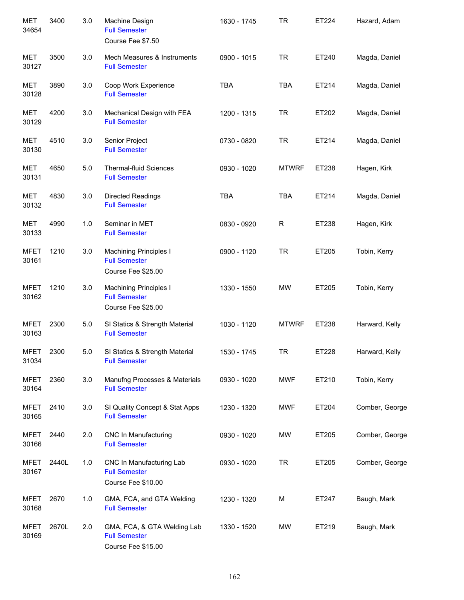| <b>MET</b><br>34654  | 3400  | 3.0 | Machine Design<br><b>Full Semester</b><br>Course Fee \$7.50                 | 1630 - 1745 | <b>TR</b>    | ET224 | Hazard, Adam   |
|----------------------|-------|-----|-----------------------------------------------------------------------------|-------------|--------------|-------|----------------|
| MET<br>30127         | 3500  | 3.0 | Mech Measures & Instruments<br><b>Full Semester</b>                         | 0900 - 1015 | <b>TR</b>    | ET240 | Magda, Daniel  |
| MET<br>30128         | 3890  | 3.0 | Coop Work Experience<br><b>Full Semester</b>                                | <b>TBA</b>  | <b>TBA</b>   | ET214 | Magda, Daniel  |
| <b>MET</b><br>30129  | 4200  | 3.0 | Mechanical Design with FEA<br><b>Full Semester</b>                          | 1200 - 1315 | <b>TR</b>    | ET202 | Magda, Daniel  |
| MET<br>30130         | 4510  | 3.0 | Senior Project<br><b>Full Semester</b>                                      | 0730 - 0820 | <b>TR</b>    | ET214 | Magda, Daniel  |
| MET<br>30131         | 4650  | 5.0 | <b>Thermal-fluid Sciences</b><br><b>Full Semester</b>                       | 0930 - 1020 | <b>MTWRF</b> | ET238 | Hagen, Kirk    |
| MET<br>30132         | 4830  | 3.0 | Directed Readings<br><b>Full Semester</b>                                   | <b>TBA</b>  | <b>TBA</b>   | ET214 | Magda, Daniel  |
| MET<br>30133         | 4990  | 1.0 | Seminar in MET<br><b>Full Semester</b>                                      | 0830 - 0920 | R            | ET238 | Hagen, Kirk    |
| <b>MFET</b><br>30161 | 1210  | 3.0 | <b>Machining Principles I</b><br><b>Full Semester</b><br>Course Fee \$25.00 | 0900 - 1120 | <b>TR</b>    | ET205 | Tobin, Kerry   |
| <b>MFET</b><br>30162 | 1210  | 3.0 | <b>Machining Principles I</b><br><b>Full Semester</b><br>Course Fee \$25.00 | 1330 - 1550 | <b>MW</b>    | ET205 | Tobin, Kerry   |
| <b>MFET</b><br>30163 | 2300  | 5.0 | SI Statics & Strength Material<br><b>Full Semester</b>                      | 1030 - 1120 | <b>MTWRF</b> | ET238 | Harward, Kelly |
| <b>MFET</b><br>31034 | 2300  | 5.0 | SI Statics & Strength Material<br><b>Full Semester</b>                      | 1530 - 1745 | <b>TR</b>    | ET228 | Harward, Kelly |
| <b>MFET</b><br>30164 | 2360  | 3.0 | Manufng Processes & Materials<br><b>Full Semester</b>                       | 0930 - 1020 | <b>MWF</b>   | ET210 | Tobin, Kerry   |
| <b>MFET</b><br>30165 | 2410  | 3.0 | SI Quality Concept & Stat Apps<br><b>Full Semester</b>                      | 1230 - 1320 | <b>MWF</b>   | ET204 | Comber, George |
| <b>MFET</b><br>30166 | 2440  | 2.0 | <b>CNC In Manufacturing</b><br><b>Full Semester</b>                         | 0930 - 1020 | MW           | ET205 | Comber, George |
| <b>MFET</b><br>30167 | 2440L | 1.0 | CNC In Manufacturing Lab<br><b>Full Semester</b><br>Course Fee \$10.00      | 0930 - 1020 | <b>TR</b>    | ET205 | Comber, George |
| <b>MFET</b><br>30168 | 2670  | 1.0 | GMA, FCA, and GTA Welding<br><b>Full Semester</b>                           | 1230 - 1320 | M            | ET247 | Baugh, Mark    |
| <b>MFET</b><br>30169 | 2670L | 2.0 | GMA, FCA, & GTA Welding Lab<br><b>Full Semester</b><br>Course Fee \$15.00   | 1330 - 1520 | MW           | ET219 | Baugh, Mark    |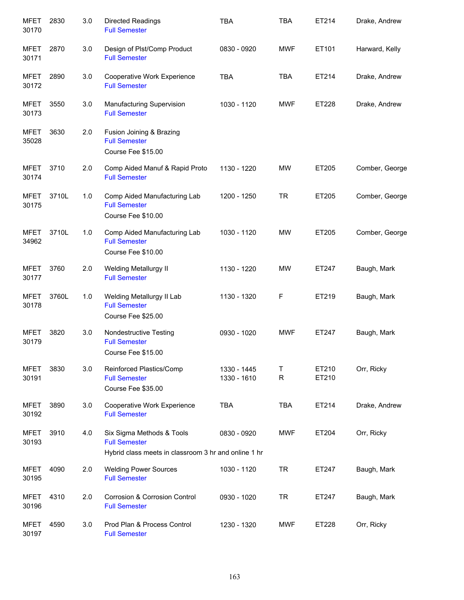| <b>MFET</b><br>30170 | 2830  | 3.0 | Directed Readings<br><b>Full Semester</b>                                                                 | <b>TBA</b>                 | <b>TBA</b>        | ET214          | Drake, Andrew  |
|----------------------|-------|-----|-----------------------------------------------------------------------------------------------------------|----------------------------|-------------------|----------------|----------------|
| <b>MFET</b><br>30171 | 2870  | 3.0 | Design of Plst/Comp Product<br><b>Full Semester</b>                                                       | 0830 - 0920                | <b>MWF</b>        | ET101          | Harward, Kelly |
| <b>MFET</b><br>30172 | 2890  | 3.0 | Cooperative Work Experience<br><b>Full Semester</b>                                                       | <b>TBA</b>                 | <b>TBA</b>        | ET214          | Drake, Andrew  |
| <b>MFET</b><br>30173 | 3550  | 3.0 | Manufacturing Supervision<br><b>Full Semester</b>                                                         | 1030 - 1120                | <b>MWF</b>        | ET228          | Drake, Andrew  |
| <b>MFET</b><br>35028 | 3630  | 2.0 | Fusion Joining & Brazing<br><b>Full Semester</b><br>Course Fee \$15.00                                    |                            |                   |                |                |
| <b>MFET</b><br>30174 | 3710  | 2.0 | Comp Aided Manuf & Rapid Proto<br><b>Full Semester</b>                                                    | 1130 - 1220                | <b>MW</b>         | ET205          | Comber, George |
| <b>MFET</b><br>30175 | 3710L | 1.0 | Comp Aided Manufacturing Lab<br><b>Full Semester</b><br>Course Fee \$10.00                                | 1200 - 1250                | <b>TR</b>         | ET205          | Comber, George |
| <b>MFET</b><br>34962 | 3710L | 1.0 | Comp Aided Manufacturing Lab<br><b>Full Semester</b><br>Course Fee \$10.00                                | 1030 - 1120                | <b>MW</b>         | ET205          | Comber, George |
| <b>MFET</b><br>30177 | 3760  | 2.0 | <b>Welding Metallurgy II</b><br><b>Full Semester</b>                                                      | 1130 - 1220                | <b>MW</b>         | ET247          | Baugh, Mark    |
| <b>MFET</b><br>30178 | 3760L | 1.0 | Welding Metallurgy II Lab<br><b>Full Semester</b><br>Course Fee \$25.00                                   | 1130 - 1320                | F                 | ET219          | Baugh, Mark    |
| <b>MFET</b><br>30179 | 3820  | 3.0 | Nondestructive Testing<br><b>Full Semester</b><br>Course Fee \$15.00                                      | 0930 - 1020                | <b>MWF</b>        | ET247          | Baugh, Mark    |
| <b>MFET</b><br>30191 | 3830  | 3.0 | Reinforced Plastics/Comp<br><b>Full Semester</b><br>Course Fee \$35.00                                    | 1330 - 1445<br>1330 - 1610 | Т<br>$\mathsf{R}$ | ET210<br>ET210 | Orr, Ricky     |
| <b>MFET</b><br>30192 | 3890  | 3.0 | Cooperative Work Experience<br><b>Full Semester</b>                                                       | <b>TBA</b>                 | <b>TBA</b>        | ET214          | Drake, Andrew  |
| <b>MFET</b><br>30193 | 3910  | 4.0 | Six Sigma Methods & Tools<br><b>Full Semester</b><br>Hybrid class meets in classroom 3 hr and online 1 hr | 0830 - 0920                | <b>MWF</b>        | ET204          | Orr, Ricky     |
| <b>MFET</b><br>30195 | 4090  | 2.0 | <b>Welding Power Sources</b><br><b>Full Semester</b>                                                      | 1030 - 1120                | <b>TR</b>         | ET247          | Baugh, Mark    |
| <b>MFET</b><br>30196 | 4310  | 2.0 | Corrosion & Corrosion Control<br><b>Full Semester</b>                                                     | 0930 - 1020                | <b>TR</b>         | ET247          | Baugh, Mark    |
| <b>MFET</b><br>30197 | 4590  | 3.0 | Prod Plan & Process Control<br><b>Full Semester</b>                                                       | 1230 - 1320                | <b>MWF</b>        | ET228          | Orr, Ricky     |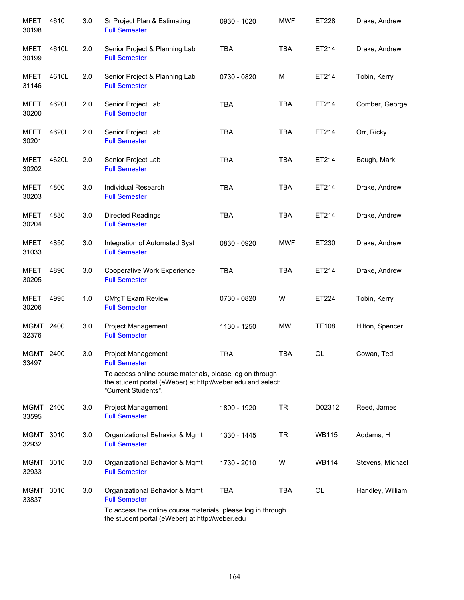| <b>MFET</b><br>30198 | 4610  | 3.0 | Sr Project Plan & Estimating<br><b>Full Semester</b>                                                                                           | 0930 - 1020 | <b>MWF</b> | ET228        | Drake, Andrew    |
|----------------------|-------|-----|------------------------------------------------------------------------------------------------------------------------------------------------|-------------|------------|--------------|------------------|
| <b>MFET</b><br>30199 | 4610L | 2.0 | Senior Project & Planning Lab<br><b>Full Semester</b>                                                                                          | <b>TBA</b>  | <b>TBA</b> | ET214        | Drake, Andrew    |
| <b>MFET</b><br>31146 | 4610L | 2.0 | Senior Project & Planning Lab<br><b>Full Semester</b>                                                                                          | 0730 - 0820 | M          | ET214        | Tobin, Kerry     |
| <b>MFET</b><br>30200 | 4620L | 2.0 | Senior Project Lab<br><b>Full Semester</b>                                                                                                     | <b>TBA</b>  | <b>TBA</b> | ET214        | Comber, George   |
| MFET<br>30201        | 4620L | 2.0 | Senior Project Lab<br><b>Full Semester</b>                                                                                                     | <b>TBA</b>  | <b>TBA</b> | ET214        | Orr, Ricky       |
| MFET<br>30202        | 4620L | 2.0 | Senior Project Lab<br><b>Full Semester</b>                                                                                                     | <b>TBA</b>  | <b>TBA</b> | ET214        | Baugh, Mark      |
| MFET<br>30203        | 4800  | 3.0 | Individual Research<br><b>Full Semester</b>                                                                                                    | <b>TBA</b>  | <b>TBA</b> | ET214        | Drake, Andrew    |
| <b>MFET</b><br>30204 | 4830  | 3.0 | <b>Directed Readings</b><br><b>Full Semester</b>                                                                                               | <b>TBA</b>  | <b>TBA</b> | ET214        | Drake, Andrew    |
| MFET<br>31033        | 4850  | 3.0 | Integration of Automated Syst<br><b>Full Semester</b>                                                                                          | 0830 - 0920 | <b>MWF</b> | ET230        | Drake, Andrew    |
| MFET<br>30205        | 4890  | 3.0 | Cooperative Work Experience<br><b>Full Semester</b>                                                                                            | <b>TBA</b>  | <b>TBA</b> | ET214        | Drake, Andrew    |
| <b>MFET</b><br>30206 | 4995  | 1.0 | CMfgT Exam Review<br><b>Full Semester</b>                                                                                                      | 0730 - 0820 | W          | ET224        | Tobin, Kerry     |
| MGMT<br>32376        | 2400  | 3.0 | Project Management<br><b>Full Semester</b>                                                                                                     | 1130 - 1250 | <b>MW</b>  | <b>TE108</b> | Hilton, Spencer  |
| <b>MGMT</b><br>33497 | 2400  | 3.0 | Project Management<br><b>Full Semester</b>                                                                                                     | <b>TBA</b>  | <b>TBA</b> | OL           | Cowan, Ted       |
|                      |       |     | To access online course materials, please log on through<br>the student portal (eWeber) at http://weber.edu and select:<br>"Current Students". |             |            |              |                  |
| MGMT 2400<br>33595   |       | 3.0 | Project Management<br><b>Full Semester</b>                                                                                                     | 1800 - 1920 | <b>TR</b>  | D02312       | Reed, James      |
| MGMT<br>32932        | 3010  | 3.0 | Organizational Behavior & Mgmt<br><b>Full Semester</b>                                                                                         | 1330 - 1445 | <b>TR</b>  | <b>WB115</b> | Addams, H        |
| MGMT<br>32933        | 3010  | 3.0 | Organizational Behavior & Mgmt<br><b>Full Semester</b>                                                                                         | 1730 - 2010 | W          | WB114        | Stevens, Michael |
| MGMT<br>33837        | 3010  | 3.0 | Organizational Behavior & Mgmt<br><b>Full Semester</b>                                                                                         | <b>TBA</b>  | TBA        | OL           | Handley, William |
|                      |       |     | To access the online course materials, please log in through<br>the student portal (eWeber) at http://weber.edu                                |             |            |              |                  |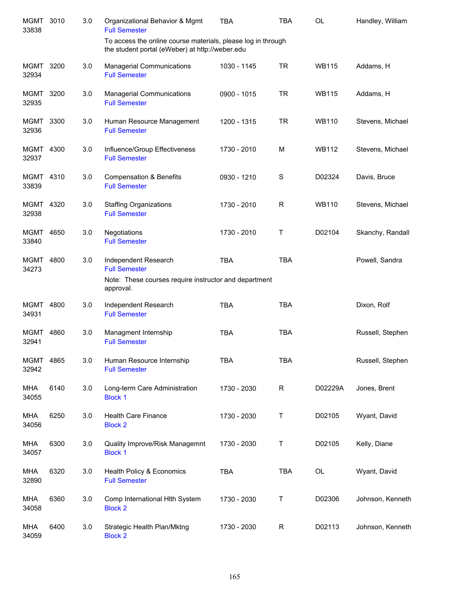| <b>MGMT</b><br>33838 | 3010 | 3.0 | Organizational Behavior & Mgmt<br><b>Full Semester</b>                                                             | <b>TBA</b>  | <b>TBA</b>   | OL           | Handley, William |
|----------------------|------|-----|--------------------------------------------------------------------------------------------------------------------|-------------|--------------|--------------|------------------|
|                      |      |     | To access the online course materials, please log in through<br>the student portal (eWeber) at http://weber.edu    |             |              |              |                  |
| MGMT<br>32934        | 3200 | 3.0 | <b>Managerial Communications</b><br><b>Full Semester</b>                                                           | 1030 - 1145 | <b>TR</b>    | <b>WB115</b> | Addams, H        |
| <b>MGMT</b><br>32935 | 3200 | 3.0 | <b>Managerial Communications</b><br><b>Full Semester</b>                                                           | 0900 - 1015 | <b>TR</b>    | <b>WB115</b> | Addams, H        |
| MGMT<br>32936        | 3300 | 3.0 | Human Resource Management<br><b>Full Semester</b>                                                                  | 1200 - 1315 | <b>TR</b>    | <b>WB110</b> | Stevens, Michael |
| MGMT 4300<br>32937   |      | 3.0 | Influence/Group Effectiveness<br><b>Full Semester</b>                                                              | 1730 - 2010 | M            | <b>WB112</b> | Stevens, Michael |
| MGMT 4310<br>33839   |      | 3.0 | <b>Compensation &amp; Benefits</b><br><b>Full Semester</b>                                                         | 0930 - 1210 | S            | D02324       | Davis, Bruce     |
| MGMT 4320<br>32938   |      | 3.0 | <b>Staffing Organizations</b><br><b>Full Semester</b>                                                              | 1730 - 2010 | $\mathsf{R}$ | <b>WB110</b> | Stevens, Michael |
| MGMT 4650<br>33840   |      | 3.0 | Negotiations<br><b>Full Semester</b>                                                                               | 1730 - 2010 | Τ            | D02104       | Skanchy, Randall |
| MGMT<br>34273        | 4800 | 3.0 | Independent Research<br><b>Full Semester</b><br>Note: These courses require instructor and department<br>approval. | <b>TBA</b>  | <b>TBA</b>   |              | Powell, Sandra   |
| MGMT<br>34931        | 4800 | 3.0 | Independent Research<br><b>Full Semester</b>                                                                       | <b>TBA</b>  | <b>TBA</b>   |              | Dixon, Rolf      |
| MGMT<br>32941        | 4860 | 3.0 | Managment Internship<br><b>Full Semester</b>                                                                       | <b>TBA</b>  | <b>TBA</b>   |              | Russell, Stephen |
| MGMT 4865<br>32942   |      | 3.0 | Human Resource Internship<br><b>Full Semester</b>                                                                  | <b>TBA</b>  | <b>TBA</b>   |              | Russell, Stephen |
| <b>MHA</b><br>34055  | 6140 | 3.0 | Long-term Care Administration<br><b>Block 1</b>                                                                    | 1730 - 2030 | R            | D02229A      | Jones, Brent     |
| MHA<br>34056         | 6250 | 3.0 | Health Care Finance<br><b>Block 2</b>                                                                              | 1730 - 2030 | Τ            | D02105       | Wyant, David     |
| MHA<br>34057         | 6300 | 3.0 | Quality Improve/Risk Managemnt<br><b>Block 1</b>                                                                   | 1730 - 2030 | Т            | D02105       | Kelly, Diane     |
| MHA<br>32890         | 6320 | 3.0 | Health Policy & Economics<br><b>Full Semester</b>                                                                  | <b>TBA</b>  | <b>TBA</b>   | OL           | Wyant, David     |
| MHA<br>34058         | 6360 | 3.0 | Comp International HIth System<br><b>Block 2</b>                                                                   | 1730 - 2030 | Т            | D02306       | Johnson, Kenneth |
| MHA<br>34059         | 6400 | 3.0 | Strategic Health Plan/Mktng<br><b>Block 2</b>                                                                      | 1730 - 2030 | R            | D02113       | Johnson, Kenneth |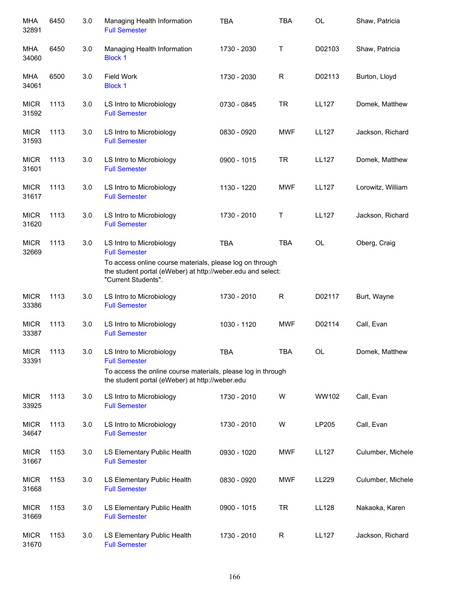| <b>MHA</b><br>32891  | 6450 | 3.0 | Managing Health Information<br><b>Full Semester</b>                                                                                                                                                | <b>TBA</b>  | <b>TBA</b>   | OL           | Shaw, Patricia    |
|----------------------|------|-----|----------------------------------------------------------------------------------------------------------------------------------------------------------------------------------------------------|-------------|--------------|--------------|-------------------|
| MHA<br>34060         | 6450 | 3.0 | Managing Health Information<br><b>Block 1</b>                                                                                                                                                      | 1730 - 2030 | Τ            | D02103       | Shaw, Patricia    |
| MHA<br>34061         | 6500 | 3.0 | <b>Field Work</b><br><b>Block 1</b>                                                                                                                                                                | 1730 - 2030 | $\mathsf{R}$ | D02113       | Burton, Lloyd     |
| <b>MICR</b><br>31592 | 1113 | 3.0 | LS Intro to Microbiology<br><b>Full Semester</b>                                                                                                                                                   | 0730 - 0845 | <b>TR</b>    | <b>LL127</b> | Domek, Matthew    |
| <b>MICR</b><br>31593 | 1113 | 3.0 | LS Intro to Microbiology<br><b>Full Semester</b>                                                                                                                                                   | 0830 - 0920 | <b>MWF</b>   | <b>LL127</b> | Jackson, Richard  |
| <b>MICR</b><br>31601 | 1113 | 3.0 | LS Intro to Microbiology<br><b>Full Semester</b>                                                                                                                                                   | 0900 - 1015 | <b>TR</b>    | <b>LL127</b> | Domek, Matthew    |
| <b>MICR</b><br>31617 | 1113 | 3.0 | LS Intro to Microbiology<br><b>Full Semester</b>                                                                                                                                                   | 1130 - 1220 | <b>MWF</b>   | <b>LL127</b> | Lorowitz, William |
| <b>MICR</b><br>31620 | 1113 | 3.0 | LS Intro to Microbiology<br><b>Full Semester</b>                                                                                                                                                   | 1730 - 2010 | Τ            | <b>LL127</b> | Jackson, Richard  |
| <b>MICR</b><br>32669 | 1113 | 3.0 | LS Intro to Microbiology<br><b>Full Semester</b><br>To access online course materials, please log on through<br>the student portal (eWeber) at http://weber.edu and select:<br>"Current Students". | <b>TBA</b>  | <b>TBA</b>   | OL           | Oberg, Craig      |
| <b>MICR</b><br>33386 | 1113 | 3.0 | LS Intro to Microbiology<br><b>Full Semester</b>                                                                                                                                                   | 1730 - 2010 | $\mathsf{R}$ | D02117       | Burt, Wayne       |
| <b>MICR</b><br>33387 | 1113 | 3.0 | LS Intro to Microbiology<br><b>Full Semester</b>                                                                                                                                                   | 1030 - 1120 | <b>MWF</b>   | D02114       | Call, Evan        |
| <b>MICR</b><br>33391 | 1113 | 3.0 | LS Intro to Microbiology<br><b>Full Semester</b>                                                                                                                                                   | <b>TBA</b>  | <b>TBA</b>   | <b>OL</b>    | Domek, Matthew    |
|                      |      |     | To access the online course materials, please log in through<br>the student portal (eWeber) at http://weber.edu                                                                                    |             |              |              |                   |
| <b>MICR</b><br>33925 | 1113 | 3.0 | LS Intro to Microbiology<br><b>Full Semester</b>                                                                                                                                                   | 1730 - 2010 | W            | WW102        | Call, Evan        |
| <b>MICR</b><br>34647 | 1113 | 3.0 | LS Intro to Microbiology<br><b>Full Semester</b>                                                                                                                                                   | 1730 - 2010 | W            | LP205        | Call, Evan        |
| <b>MICR</b><br>31667 | 1153 | 3.0 | LS Elementary Public Health<br><b>Full Semester</b>                                                                                                                                                | 0930 - 1020 | <b>MWF</b>   | <b>LL127</b> | Culumber, Michele |
| <b>MICR</b><br>31668 | 1153 | 3.0 | LS Elementary Public Health<br><b>Full Semester</b>                                                                                                                                                | 0830 - 0920 | <b>MWF</b>   | LL229        | Culumber, Michele |
| <b>MICR</b><br>31669 | 1153 | 3.0 | LS Elementary Public Health<br><b>Full Semester</b>                                                                                                                                                | 0900 - 1015 | <b>TR</b>    | <b>LL128</b> | Nakaoka, Karen    |
| <b>MICR</b><br>31670 | 1153 | 3.0 | LS Elementary Public Health<br><b>Full Semester</b>                                                                                                                                                | 1730 - 2010 | R            | <b>LL127</b> | Jackson, Richard  |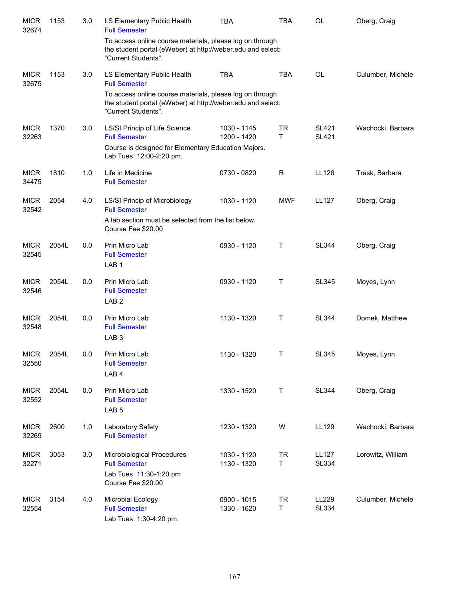| <b>MICR</b><br>32674 | 1153  | 3.0 | LS Elementary Public Health<br><b>Full Semester</b>                                                                                            | TBA                        | <b>TBA</b>      | OL                           | Oberg, Craig      |
|----------------------|-------|-----|------------------------------------------------------------------------------------------------------------------------------------------------|----------------------------|-----------------|------------------------------|-------------------|
|                      |       |     | To access online course materials, please log on through<br>the student portal (eWeber) at http://weber.edu and select:<br>"Current Students". |                            |                 |                              |                   |
| <b>MICR</b><br>32675 | 1153  | 3.0 | LS Elementary Public Health<br><b>Full Semester</b>                                                                                            | <b>TBA</b>                 | <b>TBA</b>      | OL                           | Culumber, Michele |
|                      |       |     | To access online course materials, please log on through<br>the student portal (eWeber) at http://weber.edu and select:<br>"Current Students". |                            |                 |                              |                   |
| <b>MICR</b><br>32263 | 1370  | 3.0 | LS/SI Princip of Life Science<br><b>Full Semester</b>                                                                                          | 1030 - 1145<br>1200 - 1420 | <b>TR</b><br>T. | <b>SL421</b><br><b>SL421</b> | Wachocki, Barbara |
|                      |       |     | Course is designed for Elementary Education Majors.<br>Lab Tues. 12:00-2:20 pm.                                                                |                            |                 |                              |                   |
| <b>MICR</b><br>34475 | 1810  | 1.0 | Life in Medicine<br><b>Full Semester</b>                                                                                                       | 0730 - 0820                | $\mathsf R$     | LL126                        | Trask, Barbara    |
| <b>MICR</b><br>32542 | 2054  | 4.0 | LS/SI Princip of Microbiology<br><b>Full Semester</b>                                                                                          | 1030 - 1120                | <b>MWF</b>      | <b>LL127</b>                 | Oberg, Craig      |
|                      |       |     | A lab section must be selected from the list below.<br>Course Fee \$20.00                                                                      |                            |                 |                              |                   |
| <b>MICR</b><br>32545 | 2054L | 0.0 | Prin Micro Lab<br><b>Full Semester</b><br>LAB <sub>1</sub>                                                                                     | 0930 - 1120                | Τ               | <b>SL344</b>                 | Oberg, Craig      |
| <b>MICR</b><br>32546 | 2054L | 0.0 | Prin Micro Lab<br><b>Full Semester</b><br>LAB <sub>2</sub>                                                                                     | 0930 - 1120                | Τ               | <b>SL345</b>                 | Moyes, Lynn       |
| <b>MICR</b><br>32548 | 2054L | 0.0 | Prin Micro Lab<br><b>Full Semester</b><br>LAB <sub>3</sub>                                                                                     | 1130 - 1320                | Τ               | <b>SL344</b>                 | Domek, Matthew    |
| <b>MICR</b><br>32550 | 2054L | 0.0 | Prin Micro Lab<br><b>Full Semester</b><br>LAB <sub>4</sub>                                                                                     | 1130 - 1320                | Т               | <b>SL345</b>                 | Moyes, Lynn       |
| <b>MICR</b><br>32552 | 2054L | 0.0 | Prin Micro Lab<br><b>Full Semester</b><br>LAB <sub>5</sub>                                                                                     | 1330 - 1520                | Τ               | <b>SL344</b>                 | Oberg, Craig      |
| <b>MICR</b><br>32269 | 2600  | 1.0 | Laboratory Safety<br><b>Full Semester</b>                                                                                                      | 1230 - 1320                | W               | LL129                        | Wachocki, Barbara |
| <b>MICR</b><br>32271 | 3053  | 3.0 | Microbiological Procedures<br><b>Full Semester</b><br>Lab Tues. 11:30-1:20 pm                                                                  | 1030 - 1120<br>1130 - 1320 | <b>TR</b><br>Τ  | <b>LL127</b><br><b>SL334</b> | Lorowitz, William |
|                      |       |     | Course Fee \$20.00                                                                                                                             |                            |                 |                              |                   |
| <b>MICR</b><br>32554 | 3154  | 4.0 | Microbial Ecology<br><b>Full Semester</b><br>Lab Tues. 1:30-4:20 pm.                                                                           | 0900 - 1015<br>1330 - 1620 | <b>TR</b><br>T. | LL229<br><b>SL334</b>        | Culumber, Michele |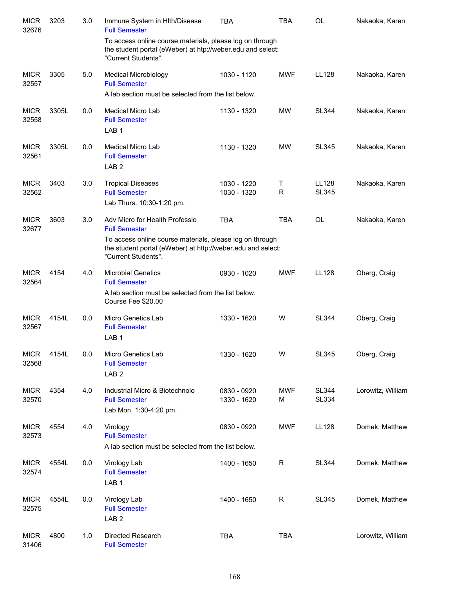| <b>MICR</b><br>32676 | 3203  | 3.0 | Immune System in HIth/Disease<br><b>Full Semester</b>                                                                                          | <b>TBA</b>                 | TBA             | <b>OL</b>                    | Nakaoka, Karen    |
|----------------------|-------|-----|------------------------------------------------------------------------------------------------------------------------------------------------|----------------------------|-----------------|------------------------------|-------------------|
|                      |       |     | To access online course materials, please log on through<br>the student portal (eWeber) at htp://weber.edu and select:<br>"Current Students".  |                            |                 |                              |                   |
| <b>MICR</b><br>32557 | 3305  | 5.0 | <b>Medical Microbiology</b><br><b>Full Semester</b>                                                                                            | 1030 - 1120                | <b>MWF</b>      | <b>LL128</b>                 | Nakaoka, Karen    |
|                      |       |     | A lab section must be selected from the list below.                                                                                            |                            |                 |                              |                   |
| <b>MICR</b><br>32558 | 3305L | 0.0 | Medical Micro Lab<br><b>Full Semester</b><br>LAB <sub>1</sub>                                                                                  | 1130 - 1320                | <b>MW</b>       | <b>SL344</b>                 | Nakaoka, Karen    |
| <b>MICR</b><br>32561 | 3305L | 0.0 | Medical Micro Lab<br><b>Full Semester</b><br>LAB <sub>2</sub>                                                                                  | 1130 - 1320                | <b>MW</b>       | <b>SL345</b>                 | Nakaoka, Karen    |
| <b>MICR</b><br>32562 | 3403  | 3.0 | <b>Tropical Diseases</b><br><b>Full Semester</b><br>Lab Thurs. 10:30-1:20 pm.                                                                  | 1030 - 1220<br>1030 - 1320 | Τ<br>R          | <b>LL128</b><br><b>SL345</b> | Nakaoka, Karen    |
| <b>MICR</b>          | 3603  | 3.0 | Adv Micro for Health Professio<br><b>Full Semester</b>                                                                                         | <b>TBA</b>                 | <b>TBA</b>      | <b>OL</b>                    | Nakaoka, Karen    |
| 32677                |       |     | To access online course materials, please log on through<br>the student portal (eWeber) at http://weber.edu and select:<br>"Current Students". |                            |                 |                              |                   |
| <b>MICR</b><br>32564 | 4154  | 4.0 | <b>Microbial Genetics</b><br><b>Full Semester</b><br>A lab section must be selected from the list below.                                       | 0930 - 1020                | <b>MWF</b>      | LL128                        | Oberg, Craig      |
|                      |       |     | Course Fee \$20.00                                                                                                                             |                            |                 |                              |                   |
| <b>MICR</b><br>32567 | 4154L | 0.0 | Micro Genetics Lab<br><b>Full Semester</b><br>LAB <sub>1</sub>                                                                                 | 1330 - 1620                | W               | <b>SL344</b>                 | Oberg, Craig      |
| <b>MICR</b><br>32568 | 4154L | 0.0 | Micro Genetics Lab<br><b>Full Semester</b><br>LAB <sub>2</sub>                                                                                 | 1330 - 1620                | W               | <b>SL345</b>                 | Oberg, Craig      |
| <b>MICR</b><br>32570 | 4354  | 4.0 | Industrial Micro & Biotechnolo<br><b>Full Semester</b><br>Lab Mon. 1:30-4:20 pm.                                                               | 0830 - 0920<br>1330 - 1620 | <b>MWF</b><br>M | <b>SL344</b><br><b>SL334</b> | Lorowitz, William |
| <b>MICR</b><br>32573 | 4554  | 4.0 | Virology<br><b>Full Semester</b><br>A lab section must be selected from the list below.                                                        | 0830 - 0920                | <b>MWF</b>      | LL128                        | Domek, Matthew    |
| <b>MICR</b><br>32574 | 4554L | 0.0 | Virology Lab<br><b>Full Semester</b><br>LAB <sub>1</sub>                                                                                       | 1400 - 1650                | R               | <b>SL344</b>                 | Domek, Matthew    |
| <b>MICR</b><br>32575 | 4554L | 0.0 | Virology Lab<br><b>Full Semester</b><br>LAB <sub>2</sub>                                                                                       | 1400 - 1650                | R               | SL345                        | Domek, Matthew    |
| <b>MICR</b><br>31406 | 4800  | 1.0 | Directed Research<br><b>Full Semester</b>                                                                                                      | <b>TBA</b>                 | <b>TBA</b>      |                              | Lorowitz, William |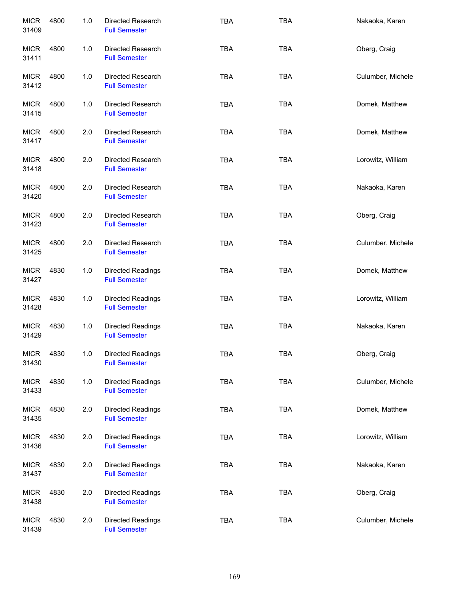| <b>MICR</b><br>31409 | 4800 | 1.0 | Directed Research<br><b>Full Semester</b>        | <b>TBA</b> | <b>TBA</b> | Nakaoka, Karen    |
|----------------------|------|-----|--------------------------------------------------|------------|------------|-------------------|
| <b>MICR</b><br>31411 | 4800 | 1.0 | Directed Research<br><b>Full Semester</b>        | <b>TBA</b> | <b>TBA</b> | Oberg, Craig      |
| <b>MICR</b><br>31412 | 4800 | 1.0 | Directed Research<br><b>Full Semester</b>        | <b>TBA</b> | <b>TBA</b> | Culumber, Michele |
| <b>MICR</b><br>31415 | 4800 | 1.0 | Directed Research<br><b>Full Semester</b>        | <b>TBA</b> | <b>TBA</b> | Domek, Matthew    |
| <b>MICR</b><br>31417 | 4800 | 2.0 | Directed Research<br><b>Full Semester</b>        | <b>TBA</b> | <b>TBA</b> | Domek, Matthew    |
| <b>MICR</b><br>31418 | 4800 | 2.0 | Directed Research<br><b>Full Semester</b>        | <b>TBA</b> | <b>TBA</b> | Lorowitz, William |
| <b>MICR</b><br>31420 | 4800 | 2.0 | Directed Research<br><b>Full Semester</b>        | <b>TBA</b> | <b>TBA</b> | Nakaoka, Karen    |
| <b>MICR</b><br>31423 | 4800 | 2.0 | Directed Research<br><b>Full Semester</b>        | <b>TBA</b> | <b>TBA</b> | Oberg, Craig      |
| <b>MICR</b><br>31425 | 4800 | 2.0 | Directed Research<br><b>Full Semester</b>        | <b>TBA</b> | <b>TBA</b> | Culumber, Michele |
| <b>MICR</b><br>31427 | 4830 | 1.0 | <b>Directed Readings</b><br><b>Full Semester</b> | <b>TBA</b> | <b>TBA</b> | Domek, Matthew    |
| <b>MICR</b><br>31428 | 4830 | 1.0 | <b>Directed Readings</b><br><b>Full Semester</b> | <b>TBA</b> | <b>TBA</b> | Lorowitz, William |
| <b>MICR</b><br>31429 | 4830 | 1.0 | <b>Directed Readings</b><br><b>Full Semester</b> | <b>TBA</b> | <b>TBA</b> | Nakaoka, Karen    |
| <b>MICR</b><br>31430 | 4830 | 1.0 | <b>Directed Readings</b><br><b>Full Semester</b> | <b>TBA</b> | <b>TBA</b> | Oberg, Craig      |
| <b>MICR</b><br>31433 | 4830 | 1.0 | <b>Directed Readings</b><br><b>Full Semester</b> | <b>TBA</b> | TBA        | Culumber, Michele |
| <b>MICR</b><br>31435 | 4830 | 2.0 | <b>Directed Readings</b><br><b>Full Semester</b> | <b>TBA</b> | <b>TBA</b> | Domek, Matthew    |
| <b>MICR</b><br>31436 | 4830 | 2.0 | <b>Directed Readings</b><br><b>Full Semester</b> | <b>TBA</b> | <b>TBA</b> | Lorowitz, William |
| <b>MICR</b><br>31437 | 4830 | 2.0 | Directed Readings<br><b>Full Semester</b>        | <b>TBA</b> | <b>TBA</b> | Nakaoka, Karen    |
| <b>MICR</b><br>31438 | 4830 | 2.0 | Directed Readings<br><b>Full Semester</b>        | <b>TBA</b> | <b>TBA</b> | Oberg, Craig      |
| <b>MICR</b><br>31439 | 4830 | 2.0 | Directed Readings<br><b>Full Semester</b>        | <b>TBA</b> | <b>TBA</b> | Culumber, Michele |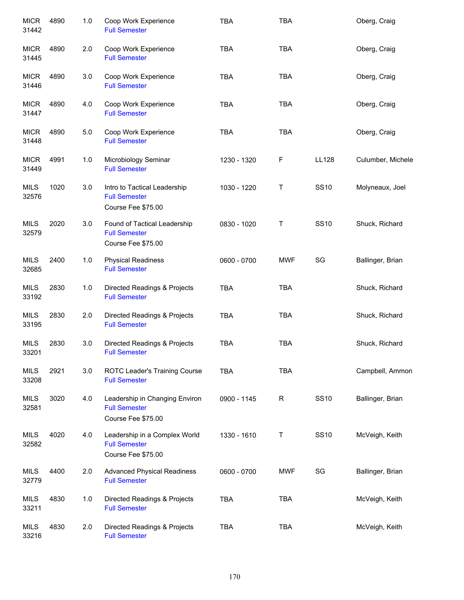| <b>MICR</b><br>31442 | 4890 | 1.0 | Coop Work Experience<br><b>Full Semester</b>                                 | <b>TBA</b>  | TBA        |              | Oberg, Craig      |
|----------------------|------|-----|------------------------------------------------------------------------------|-------------|------------|--------------|-------------------|
| <b>MICR</b><br>31445 | 4890 | 2.0 | Coop Work Experience<br><b>Full Semester</b>                                 | <b>TBA</b>  | <b>TBA</b> |              | Oberg, Craig      |
| <b>MICR</b><br>31446 | 4890 | 3.0 | Coop Work Experience<br><b>Full Semester</b>                                 | <b>TBA</b>  | <b>TBA</b> |              | Oberg, Craig      |
| <b>MICR</b><br>31447 | 4890 | 4.0 | Coop Work Experience<br><b>Full Semester</b>                                 | <b>TBA</b>  | <b>TBA</b> |              | Oberg, Craig      |
| <b>MICR</b><br>31448 | 4890 | 5.0 | Coop Work Experience<br><b>Full Semester</b>                                 | <b>TBA</b>  | <b>TBA</b> |              | Oberg, Craig      |
| <b>MICR</b><br>31449 | 4991 | 1.0 | Microbiology Seminar<br><b>Full Semester</b>                                 | 1230 - 1320 | F          | <b>LL128</b> | Culumber, Michele |
| <b>MILS</b><br>32576 | 1020 | 3.0 | Intro to Tactical Leadership<br><b>Full Semester</b><br>Course Fee \$75.00   | 1030 - 1220 | Τ          | <b>SS10</b>  | Molyneaux, Joel   |
| <b>MILS</b><br>32579 | 2020 | 3.0 | Found of Tactical Leadership<br><b>Full Semester</b><br>Course Fee \$75.00   | 0830 - 1020 | Τ          | <b>SS10</b>  | Shuck, Richard    |
| <b>MILS</b><br>32685 | 2400 | 1.0 | <b>Physical Readiness</b><br><b>Full Semester</b>                            | 0600 - 0700 | <b>MWF</b> | SG           | Ballinger, Brian  |
| <b>MILS</b><br>33192 | 2830 | 1.0 | Directed Readings & Projects<br><b>Full Semester</b>                         | <b>TBA</b>  | <b>TBA</b> |              | Shuck, Richard    |
| <b>MILS</b><br>33195 | 2830 | 2.0 | Directed Readings & Projects<br><b>Full Semester</b>                         | <b>TBA</b>  | <b>TBA</b> |              | Shuck, Richard    |
| <b>MILS</b><br>33201 | 2830 | 3.0 | Directed Readings & Projects<br><b>Full Semester</b>                         | <b>TBA</b>  | <b>TBA</b> |              | Shuck, Richard    |
| <b>MILS</b><br>33208 | 2921 | 3.0 | ROTC Leader's Training Course<br><b>Full Semester</b>                        | <b>TBA</b>  | <b>TBA</b> |              | Campbell, Ammon   |
| <b>MILS</b><br>32581 | 3020 | 4.0 | Leadership in Changing Environ<br><b>Full Semester</b><br>Course Fee \$75.00 | 0900 - 1145 | R          | <b>SS10</b>  | Ballinger, Brian  |
| <b>MILS</b><br>32582 | 4020 | 4.0 | Leadership in a Complex World<br><b>Full Semester</b><br>Course Fee \$75.00  | 1330 - 1610 | Τ          | <b>SS10</b>  | McVeigh, Keith    |
| <b>MILS</b><br>32779 | 4400 | 2.0 | <b>Advanced Physical Readiness</b><br><b>Full Semester</b>                   | 0600 - 0700 | <b>MWF</b> | SG           | Ballinger, Brian  |
| MILS<br>33211        | 4830 | 1.0 | Directed Readings & Projects<br><b>Full Semester</b>                         | <b>TBA</b>  | <b>TBA</b> |              | McVeigh, Keith    |
| <b>MILS</b><br>33216 | 4830 | 2.0 | Directed Readings & Projects<br><b>Full Semester</b>                         | <b>TBA</b>  | <b>TBA</b> |              | McVeigh, Keith    |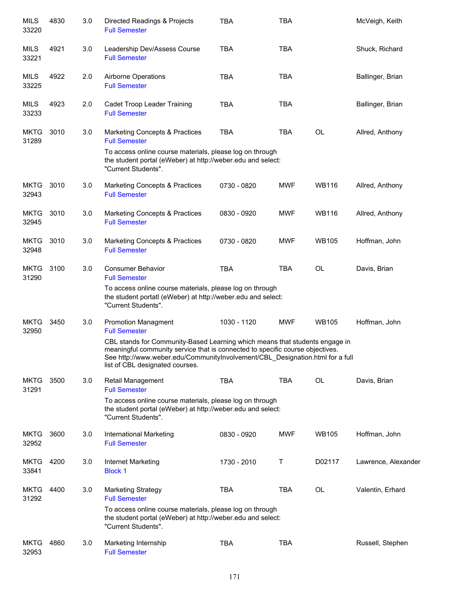| <b>MILS</b><br>33220 | 4830 | 3.0 | Directed Readings & Projects<br><b>Full Semester</b>                                                                                                                                                                                                                             | <b>TBA</b>  | TBA        |              | McVeigh, Keith      |
|----------------------|------|-----|----------------------------------------------------------------------------------------------------------------------------------------------------------------------------------------------------------------------------------------------------------------------------------|-------------|------------|--------------|---------------------|
| MILS<br>33221        | 4921 | 3.0 | Leadership Dev/Assess Course<br><b>Full Semester</b>                                                                                                                                                                                                                             | <b>TBA</b>  | <b>TBA</b> |              | Shuck, Richard      |
| MILS<br>33225        | 4922 | 2.0 | Airborne Operations<br><b>Full Semester</b>                                                                                                                                                                                                                                      | <b>TBA</b>  | <b>TBA</b> |              | Ballinger, Brian    |
| MILS<br>33233        | 4923 | 2.0 | Cadet Troop Leader Training<br><b>Full Semester</b>                                                                                                                                                                                                                              | <b>TBA</b>  | <b>TBA</b> |              | Ballinger, Brian    |
| <b>MKTG</b><br>31289 | 3010 | 3.0 | <b>Marketing Concepts &amp; Practices</b><br><b>Full Semester</b>                                                                                                                                                                                                                | <b>TBA</b>  | <b>TBA</b> | <b>OL</b>    | Allred, Anthony     |
|                      |      |     | To access online course materials, please log on through<br>the student portal (eWeber) at http://weber.edu and select:<br>"Current Students".                                                                                                                                   |             |            |              |                     |
| MKTG<br>32943        | 3010 | 3.0 | Marketing Concepts & Practices<br><b>Full Semester</b>                                                                                                                                                                                                                           | 0730 - 0820 | <b>MWF</b> | <b>WB116</b> | Allred, Anthony     |
| <b>MKTG</b><br>32945 | 3010 | 3.0 | Marketing Concepts & Practices<br><b>Full Semester</b>                                                                                                                                                                                                                           | 0830 - 0920 | <b>MWF</b> | <b>WB116</b> | Allred, Anthony     |
| <b>MKTG</b><br>32948 | 3010 | 3.0 | Marketing Concepts & Practices<br><b>Full Semester</b>                                                                                                                                                                                                                           | 0730 - 0820 | <b>MWF</b> | <b>WB105</b> | Hoffman, John       |
| <b>MKTG</b><br>31290 | 3100 | 3.0 | <b>Consumer Behavior</b><br><b>Full Semester</b>                                                                                                                                                                                                                                 | <b>TBA</b>  | <b>TBA</b> | <b>OL</b>    | Davis, Brian        |
|                      |      |     | To access online course materials, please log on through<br>the student portatl (eWeber) at http://weber.edu and select:<br>"Current Students".                                                                                                                                  |             |            |              |                     |
| <b>MKTG</b><br>32950 | 3450 | 3.0 | <b>Promotion Managment</b><br><b>Full Semester</b>                                                                                                                                                                                                                               | 1030 - 1120 | <b>MWF</b> | <b>WB105</b> | Hoffman, John       |
|                      |      |     | CBL stands for Community-Based Learning which means that students engage in<br>meaningful community service that is connected to specific course objectives.<br>See http://www.weber.edu/CommunityInvolvement/CBL_Designation.html for a full<br>list of CBL designated courses. |             |            |              |                     |
| <b>MKTG</b><br>31291 | 3500 | 3.0 | Retail Management<br><b>Full Semester</b>                                                                                                                                                                                                                                        | <b>TBA</b>  | <b>TBA</b> | <b>OL</b>    | Davis, Brian        |
|                      |      |     | To access online course materials, please log on through<br>the student portal (eWeber) at http://weber.edu and select:<br>"Current Students".                                                                                                                                   |             |            |              |                     |
| <b>MKTG</b><br>32952 | 3600 | 3.0 | International Marketing<br><b>Full Semester</b>                                                                                                                                                                                                                                  | 0830 - 0920 | <b>MWF</b> | <b>WB105</b> | Hoffman, John       |
| <b>MKTG</b><br>33841 | 4200 | 3.0 | Internet Marketing<br><b>Block 1</b>                                                                                                                                                                                                                                             | 1730 - 2010 | Τ          | D02117       | Lawrence, Alexander |
| <b>MKTG</b><br>31292 | 4400 | 3.0 | <b>Marketing Strategy</b><br><b>Full Semester</b>                                                                                                                                                                                                                                | <b>TBA</b>  | <b>TBA</b> | OL           | Valentin, Erhard    |
|                      |      |     | To access online course materials, please log on through<br>the student portal (eWeber) at http://weber.edu and select:<br>"Current Students".                                                                                                                                   |             |            |              |                     |
| <b>MKTG</b><br>32953 | 4860 | 3.0 | Marketing Internship<br><b>Full Semester</b>                                                                                                                                                                                                                                     | <b>TBA</b>  | <b>TBA</b> |              | Russell, Stephen    |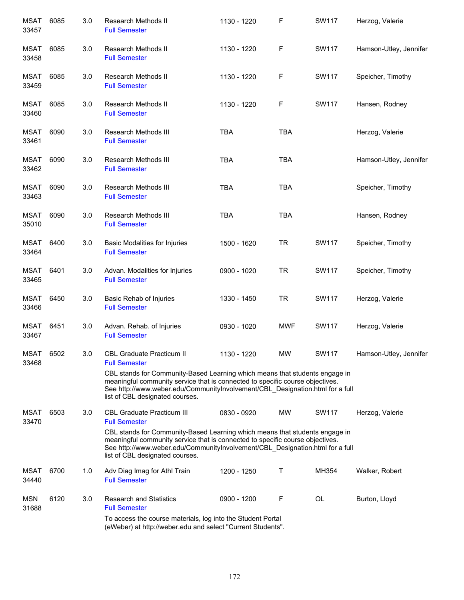| <b>MSAT</b><br>33457 | 6085 | 3.0 | Research Methods II<br><b>Full Semester</b>                                                                                                                                                                                                                                      | 1130 - 1220 | F          | SW117        | Herzog, Valerie        |
|----------------------|------|-----|----------------------------------------------------------------------------------------------------------------------------------------------------------------------------------------------------------------------------------------------------------------------------------|-------------|------------|--------------|------------------------|
| <b>MSAT</b><br>33458 | 6085 | 3.0 | <b>Research Methods II</b><br><b>Full Semester</b>                                                                                                                                                                                                                               | 1130 - 1220 | F          | <b>SW117</b> | Hamson-Utley, Jennifer |
| <b>MSAT</b><br>33459 | 6085 | 3.0 | Research Methods II<br><b>Full Semester</b>                                                                                                                                                                                                                                      | 1130 - 1220 | F          | <b>SW117</b> | Speicher, Timothy      |
| <b>MSAT</b><br>33460 | 6085 | 3.0 | Research Methods II<br><b>Full Semester</b>                                                                                                                                                                                                                                      | 1130 - 1220 | F          | SW117        | Hansen, Rodney         |
| <b>MSAT</b><br>33461 | 6090 | 3.0 | Research Methods III<br><b>Full Semester</b>                                                                                                                                                                                                                                     | <b>TBA</b>  | <b>TBA</b> |              | Herzog, Valerie        |
| MSAT<br>33462        | 6090 | 3.0 | Research Methods III<br><b>Full Semester</b>                                                                                                                                                                                                                                     | <b>TBA</b>  | <b>TBA</b> |              | Hamson-Utley, Jennifer |
| <b>MSAT</b><br>33463 | 6090 | 3.0 | Research Methods III<br><b>Full Semester</b>                                                                                                                                                                                                                                     | <b>TBA</b>  | <b>TBA</b> |              | Speicher, Timothy      |
| <b>MSAT</b><br>35010 | 6090 | 3.0 | Research Methods III<br><b>Full Semester</b>                                                                                                                                                                                                                                     | <b>TBA</b>  | <b>TBA</b> |              | Hansen, Rodney         |
| MSAT<br>33464        | 6400 | 3.0 | <b>Basic Modalities for Injuries</b><br><b>Full Semester</b>                                                                                                                                                                                                                     | 1500 - 1620 | <b>TR</b>  | SW117        | Speicher, Timothy      |
| MSAT<br>33465        | 6401 | 3.0 | Advan. Modalities for Injuries<br><b>Full Semester</b>                                                                                                                                                                                                                           | 0900 - 1020 | <b>TR</b>  | SW117        | Speicher, Timothy      |
| <b>MSAT</b><br>33466 | 6450 | 3.0 | Basic Rehab of Injuries<br><b>Full Semester</b>                                                                                                                                                                                                                                  | 1330 - 1450 | <b>TR</b>  | SW117        | Herzog, Valerie        |
| <b>MSAT</b><br>33467 | 6451 | 3.0 | Advan. Rehab. of Injuries<br><b>Full Semester</b>                                                                                                                                                                                                                                | 0930 - 1020 | MWF        | <b>SW117</b> | Herzog, Valerie        |
| <b>MSAT</b><br>33468 | 6502 | 3.0 | <b>CBL Graduate Practicum II</b><br><b>Full Semester</b>                                                                                                                                                                                                                         | 1130 - 1220 | <b>MW</b>  | SW117        | Hamson-Utley, Jennifer |
|                      |      |     | CBL stands for Community-Based Learning which means that students engage in<br>meaningful community service that is connected to specific course objectives.<br>See http://www.weber.edu/CommunityInvolvement/CBL_Designation.html for a full<br>list of CBL designated courses. |             |            |              |                        |
| <b>MSAT</b><br>33470 | 6503 | 3.0 | <b>CBL Graduate Practicum III</b><br><b>Full Semester</b>                                                                                                                                                                                                                        | 0830 - 0920 | <b>MW</b>  | SW117        | Herzog, Valerie        |
|                      |      |     | CBL stands for Community-Based Learning which means that students engage in<br>meaningful community service that is connected to specific course objectives.<br>See http://www.weber.edu/CommunityInvolvement/CBL_Designation.html for a full<br>list of CBL designated courses. |             |            |              |                        |
| <b>MSAT</b><br>34440 | 6700 | 1.0 | Adv Diag Imag for Athl Train<br><b>Full Semester</b>                                                                                                                                                                                                                             | 1200 - 1250 | Τ          | MH354        | Walker, Robert         |
| <b>MSN</b><br>31688  | 6120 | 3.0 | <b>Research and Statistics</b><br><b>Full Semester</b>                                                                                                                                                                                                                           | 0900 - 1200 | F          | <b>OL</b>    | Burton, Lloyd          |
|                      |      |     | To access the course materials, log into the Student Portal<br>(eWeber) at http://weber.edu and select "Current Students".                                                                                                                                                       |             |            |              |                        |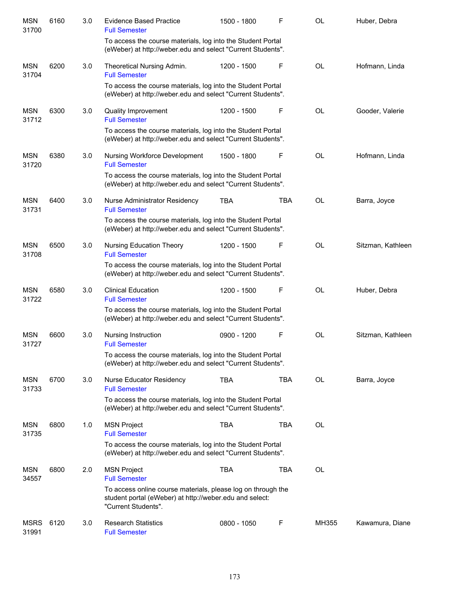| <b>MSN</b><br>31700  | 6160 | 3.0 | <b>Evidence Based Practice</b><br><b>Full Semester</b>                                                                                         | 1500 - 1800 | F          | OL        | Huber, Debra      |
|----------------------|------|-----|------------------------------------------------------------------------------------------------------------------------------------------------|-------------|------------|-----------|-------------------|
|                      |      |     | To access the course materials, log into the Student Portal<br>(eWeber) at http://weber.edu and select "Current Students".                     |             |            |           |                   |
| <b>MSN</b><br>31704  | 6200 | 3.0 | Theoretical Nursing Admin.<br><b>Full Semester</b>                                                                                             | 1200 - 1500 | F          | <b>OL</b> | Hofmann, Linda    |
|                      |      |     | To access the course materials, log into the Student Portal<br>(eWeber) at http://weber.edu and select "Current Students".                     |             |            |           |                   |
| <b>MSN</b><br>31712  | 6300 | 3.0 | <b>Quality Improvement</b><br><b>Full Semester</b>                                                                                             | 1200 - 1500 | F          | <b>OL</b> | Gooder, Valerie   |
|                      |      |     | To access the course materials, log into the Student Portal<br>(eWeber) at http://weber.edu and select "Current Students".                     |             |            |           |                   |
| <b>MSN</b><br>31720  | 6380 | 3.0 | Nursing Workforce Development<br><b>Full Semester</b>                                                                                          | 1500 - 1800 | F          | <b>OL</b> | Hofmann, Linda    |
|                      |      |     | To access the course materials, log into the Student Portal<br>(eWeber) at http://weber.edu and select "Current Students".                     |             |            |           |                   |
| <b>MSN</b><br>31731  | 6400 | 3.0 | Nurse Administrator Residency<br><b>Full Semester</b>                                                                                          | <b>TBA</b>  | <b>TBA</b> | <b>OL</b> | Barra, Joyce      |
|                      |      |     | To access the course materials, log into the Student Portal<br>(eWeber) at http://weber.edu and select "Current Students".                     |             |            |           |                   |
| <b>MSN</b><br>31708  | 6500 | 3.0 | Nursing Education Theory<br><b>Full Semester</b>                                                                                               | 1200 - 1500 | F          | OL        | Sitzman, Kathleen |
|                      |      |     | To access the course materials, log into the Student Portal<br>(eWeber) at http://weber.edu and select "Current Students".                     |             |            |           |                   |
| <b>MSN</b><br>31722  | 6580 | 3.0 | <b>Clinical Education</b><br><b>Full Semester</b>                                                                                              | 1200 - 1500 | F          | OL        | Huber, Debra      |
|                      |      |     | To access the course materials, log into the Student Portal<br>(eWeber) at http://weber.edu and select "Current Students".                     |             |            |           |                   |
| <b>MSN</b><br>31727  | 6600 | 3.0 | Nursing Instruction<br><b>Full Semester</b>                                                                                                    | 0900 - 1200 | F          | OL        | Sitzman, Kathleen |
|                      |      |     | To access the course materials, log into the Student Portal<br>(eWeber) at http://weber.edu and select "Current Students".                     |             |            |           |                   |
| <b>MSN</b><br>31733  | 6700 | 3.0 | <b>Nurse Educator Residency</b><br><b>Full Semester</b>                                                                                        | <b>TBA</b>  | <b>TBA</b> | OL        | Barra, Joyce      |
|                      |      |     | To access the course materials, log into the Student Portal<br>(eWeber) at http://weber.edu and select "Current Students".                     |             |            |           |                   |
| <b>MSN</b><br>31735  | 6800 | 1.0 | <b>MSN Project</b><br><b>Full Semester</b>                                                                                                     | <b>TBA</b>  | <b>TBA</b> | OL        |                   |
|                      |      |     | To access the course materials, log into the Student Portal<br>(eWeber) at http://weber.edu and select "Current Students".                     |             |            |           |                   |
| <b>MSN</b><br>34557  | 6800 | 2.0 | <b>MSN Project</b><br><b>Full Semester</b>                                                                                                     | <b>TBA</b>  | <b>TBA</b> | OL        |                   |
|                      |      |     | To access online course materials, please log on through the<br>student portal (eWeber) at http://weber.edu and select:<br>"Current Students". |             |            |           |                   |
| <b>MSRS</b><br>31991 | 6120 | 3.0 | <b>Research Statistics</b><br><b>Full Semester</b>                                                                                             | 0800 - 1050 | F          | MH355     | Kawamura, Diane   |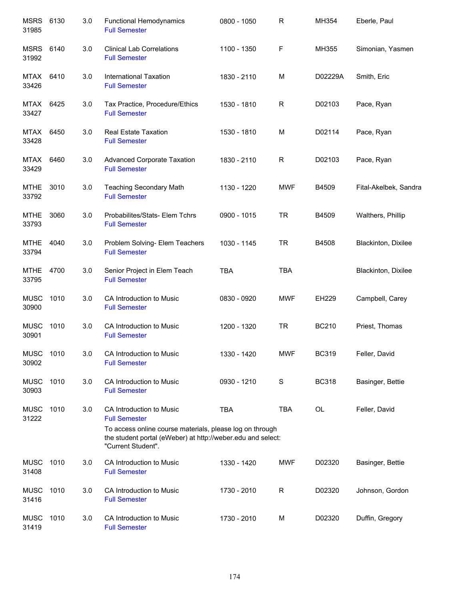| MSRS<br>31985        | 6130 | 3.0 | <b>Functional Hemodynamics</b><br><b>Full Semester</b>                                                                                        | 0800 - 1050 | $\mathsf R$ | MH354        | Eberle, Paul          |
|----------------------|------|-----|-----------------------------------------------------------------------------------------------------------------------------------------------|-------------|-------------|--------------|-----------------------|
| MSRS<br>31992        | 6140 | 3.0 | <b>Clinical Lab Correlations</b><br><b>Full Semester</b>                                                                                      | 1100 - 1350 | F           | MH355        | Simonian, Yasmen      |
| MTAX<br>33426        | 6410 | 3.0 | <b>International Taxation</b><br><b>Full Semester</b>                                                                                         | 1830 - 2110 | M           | D02229A      | Smith, Eric           |
| MTAX<br>33427        | 6425 | 3.0 | Tax Practice, Procedure/Ethics<br><b>Full Semester</b>                                                                                        | 1530 - 1810 | R           | D02103       | Pace, Ryan            |
| MTAX<br>33428        | 6450 | 3.0 | <b>Real Estate Taxation</b><br><b>Full Semester</b>                                                                                           | 1530 - 1810 | M           | D02114       | Pace, Ryan            |
| MTAX<br>33429        | 6460 | 3.0 | <b>Advanced Corporate Taxation</b><br><b>Full Semester</b>                                                                                    | 1830 - 2110 | R           | D02103       | Pace, Ryan            |
| <b>MTHE</b><br>33792 | 3010 | 3.0 | <b>Teaching Secondary Math</b><br><b>Full Semester</b>                                                                                        | 1130 - 1220 | <b>MWF</b>  | B4509        | Fital-Akelbek, Sandra |
| <b>MTHE</b><br>33793 | 3060 | 3.0 | Probabilites/Stats- Elem Tchrs<br><b>Full Semester</b>                                                                                        | 0900 - 1015 | <b>TR</b>   | B4509        | Walthers, Phillip     |
| <b>MTHE</b><br>33794 | 4040 | 3.0 | Problem Solving- Elem Teachers<br><b>Full Semester</b>                                                                                        | 1030 - 1145 | <b>TR</b>   | B4508        | Blackinton, Dixilee   |
| <b>MTHE</b><br>33795 | 4700 | 3.0 | Senior Project in Elem Teach<br><b>Full Semester</b>                                                                                          | <b>TBA</b>  | <b>TBA</b>  |              | Blackinton, Dixilee   |
| <b>MUSC</b><br>30900 | 1010 | 3.0 | CA Introduction to Music<br><b>Full Semester</b>                                                                                              | 0830 - 0920 | <b>MWF</b>  | EH229        | Campbell, Carey       |
| <b>MUSC</b><br>30901 | 1010 | 3.0 | CA Introduction to Music<br><b>Full Semester</b>                                                                                              | 1200 - 1320 | <b>TR</b>   | <b>BC210</b> | Priest, Thomas        |
| <b>MUSC</b><br>30902 | 1010 | 3.0 | CA Introduction to Music<br><b>Full Semester</b>                                                                                              | 1330 - 1420 | <b>MWF</b>  | <b>BC319</b> | Feller, David         |
| <b>MUSC</b><br>30903 | 1010 | 3.0 | CA Introduction to Music<br><b>Full Semester</b>                                                                                              | 0930 - 1210 | S           | <b>BC318</b> | Basinger, Bettie      |
| <b>MUSC</b><br>31222 | 1010 | 3.0 | CA Introduction to Music<br><b>Full Semester</b>                                                                                              | <b>TBA</b>  | <b>TBA</b>  | <b>OL</b>    | Feller, David         |
|                      |      |     | To access online course materials, please log on through<br>the student portal (eWeber) at http://weber.edu and select:<br>"Current Student". |             |             |              |                       |
| <b>MUSC</b><br>31408 | 1010 | 3.0 | CA Introduction to Music<br><b>Full Semester</b>                                                                                              | 1330 - 1420 | <b>MWF</b>  | D02320       | Basinger, Bettie      |
| <b>MUSC</b><br>31416 | 1010 | 3.0 | CA Introduction to Music<br><b>Full Semester</b>                                                                                              | 1730 - 2010 | R           | D02320       | Johnson, Gordon       |
| <b>MUSC</b><br>31419 | 1010 | 3.0 | CA Introduction to Music<br><b>Full Semester</b>                                                                                              | 1730 - 2010 | M           | D02320       | Duffin, Gregory       |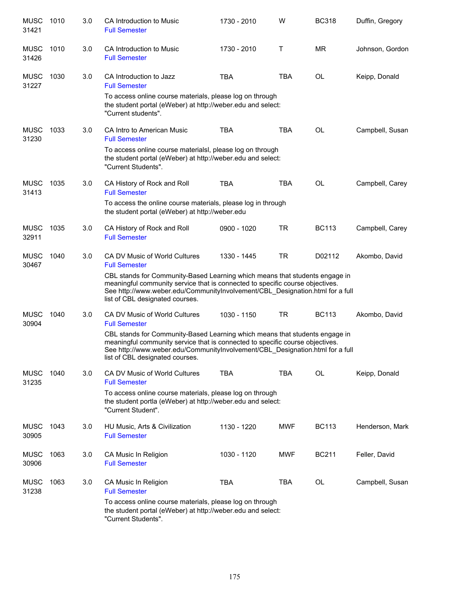| <b>MUSC</b><br>31421 | 1010 | 3.0 | CA Introduction to Music<br><b>Full Semester</b>                                                                                                                                                                                                                                 | 1730 - 2010 | W          | <b>BC318</b> | Duffin, Gregory |
|----------------------|------|-----|----------------------------------------------------------------------------------------------------------------------------------------------------------------------------------------------------------------------------------------------------------------------------------|-------------|------------|--------------|-----------------|
| <b>MUSC</b><br>31426 | 1010 | 3.0 | CA Introduction to Music<br><b>Full Semester</b>                                                                                                                                                                                                                                 | 1730 - 2010 | т          | <b>MR</b>    | Johnson, Gordon |
| <b>MUSC</b><br>31227 | 1030 | 3.0 | CA Introduction to Jazz<br><b>Full Semester</b>                                                                                                                                                                                                                                  | <b>TBA</b>  | <b>TBA</b> | <b>OL</b>    | Keipp, Donald   |
|                      |      |     | To access online course materials, please log on through<br>the student portal (eWeber) at http://weber.edu and select:<br>"Current students".                                                                                                                                   |             |            |              |                 |
| <b>MUSC</b><br>31230 | 1033 | 3.0 | CA Intro to American Music<br><b>Full Semester</b>                                                                                                                                                                                                                               | <b>TBA</b>  | TBA        | OL           | Campbell, Susan |
|                      |      |     | To access online course materialsl, please log on through<br>the student portal (eWeber) at http://weber.edu and select:<br>"Current Students".                                                                                                                                  |             |            |              |                 |
| <b>MUSC</b><br>31413 | 1035 | 3.0 | CA History of Rock and Roll<br><b>Full Semester</b>                                                                                                                                                                                                                              | <b>TBA</b>  | <b>TBA</b> | <b>OL</b>    | Campbell, Carey |
|                      |      |     | To access the online course materials, please log in through<br>the student portal (eWeber) at http://weber.edu                                                                                                                                                                  |             |            |              |                 |
| <b>MUSC</b><br>32911 | 1035 | 3.0 | CA History of Rock and Roll<br><b>Full Semester</b>                                                                                                                                                                                                                              | 0900 - 1020 | <b>TR</b>  | <b>BC113</b> | Campbell, Carey |
| <b>MUSC</b><br>30467 | 1040 | 3.0 | CA DV Music of World Cultures<br><b>Full Semester</b>                                                                                                                                                                                                                            | 1330 - 1445 | <b>TR</b>  | D02112       | Akombo, David   |
|                      |      |     | CBL stands for Community-Based Learning which means that students engage in<br>meaningful community service that is connected to specific course objectives.<br>See http://www.weber.edu/CommunityInvolvement/CBL_Designation.html for a full<br>list of CBL designated courses. |             |            |              |                 |
| <b>MUSC</b><br>30904 | 1040 | 3.0 | CA DV Music of World Cultures<br><b>Full Semester</b>                                                                                                                                                                                                                            | 1030 - 1150 | <b>TR</b>  | <b>BC113</b> | Akombo, David   |
|                      |      |     | CBL stands for Community-Based Learning which means that students engage in<br>meaningful community service that is connected to specific course objectives.<br>See http://www.weber.edu/CommunityInvolvement/CBL_Designation.html for a full<br>list of CBL designated courses. |             |            |              |                 |
| <b>MUSC</b><br>31235 | 1040 | 3.0 | CA DV Music of World Cultures<br><b>Full Semester</b>                                                                                                                                                                                                                            | <b>TBA</b>  | <b>TBA</b> | OL           | Keipp, Donald   |
|                      |      |     | To access online course materials, please log on through<br>the student portla (eWeber) at http://weber.edu and select:<br>"Current Student".                                                                                                                                    |             |            |              |                 |
| <b>MUSC</b><br>30905 | 1043 | 3.0 | HU Music, Arts & Civilization<br><b>Full Semester</b>                                                                                                                                                                                                                            | 1130 - 1220 | <b>MWF</b> | <b>BC113</b> | Henderson, Mark |
| <b>MUSC</b><br>30906 | 1063 | 3.0 | CA Music In Religion<br><b>Full Semester</b>                                                                                                                                                                                                                                     | 1030 - 1120 | <b>MWF</b> | <b>BC211</b> | Feller, David   |
| <b>MUSC</b><br>31238 | 1063 | 3.0 | CA Music In Religion<br><b>Full Semester</b>                                                                                                                                                                                                                                     | <b>TBA</b>  | TBA        | OL           | Campbell, Susan |
|                      |      |     | To access online course materials, please log on through<br>the student portal (eWeber) at http://weber.edu and select:<br>"Current Students".                                                                                                                                   |             |            |              |                 |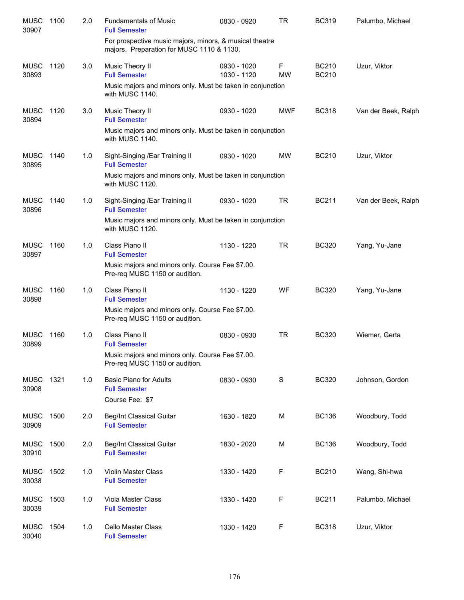| <b>MUSC</b><br>30907 | 1100 | 2.0 | <b>Fundamentals of Music</b><br><b>Full Semester</b>                                                 | 0830 - 0920                | <b>TR</b>      | <b>BC319</b>                 | Palumbo, Michael    |
|----------------------|------|-----|------------------------------------------------------------------------------------------------------|----------------------------|----------------|------------------------------|---------------------|
|                      |      |     | For prospective music majors, minors, & musical theatre<br>majors. Preparation for MUSC 1110 & 1130. |                            |                |                              |                     |
| <b>MUSC</b><br>30893 | 1120 | 3.0 | Music Theory II<br><b>Full Semester</b>                                                              | 0930 - 1020<br>1030 - 1120 | F<br><b>MW</b> | <b>BC210</b><br><b>BC210</b> | Uzur, Viktor        |
|                      |      |     | Music majors and minors only. Must be taken in conjunction<br>with MUSC 1140.                        |                            |                |                              |                     |
| <b>MUSC</b><br>30894 | 1120 | 3.0 | Music Theory II<br><b>Full Semester</b>                                                              | 0930 - 1020                | <b>MWF</b>     | <b>BC318</b>                 | Van der Beek, Ralph |
|                      |      |     | Music majors and minors only. Must be taken in conjunction<br>with MUSC 1140.                        |                            |                |                              |                     |
| <b>MUSC</b><br>30895 | 1140 | 1.0 | Sight-Singing / Ear Training II<br><b>Full Semester</b>                                              | 0930 - 1020                | <b>MW</b>      | <b>BC210</b>                 | Uzur, Viktor        |
|                      |      |     | Music majors and minors only. Must be taken in conjunction<br>with MUSC 1120.                        |                            |                |                              |                     |
| <b>MUSC</b><br>30896 | 1140 | 1.0 | Sight-Singing / Ear Training II<br><b>Full Semester</b>                                              | 0930 - 1020                | <b>TR</b>      | <b>BC211</b>                 | Van der Beek, Ralph |
|                      |      |     | Music majors and minors only. Must be taken in conjunction<br>with MUSC 1120.                        |                            |                |                              |                     |
| <b>MUSC</b><br>30897 | 1160 | 1.0 | Class Piano II<br><b>Full Semester</b>                                                               | 1130 - 1220                | <b>TR</b>      | <b>BC320</b>                 | Yang, Yu-Jane       |
|                      |      |     | Music majors and minors only. Course Fee \$7.00.<br>Pre-req MUSC 1150 or audition.                   |                            |                |                              |                     |
| <b>MUSC</b><br>30898 | 1160 | 1.0 | Class Piano II<br><b>Full Semester</b>                                                               | 1130 - 1220                | WF             | <b>BC320</b>                 | Yang, Yu-Jane       |
|                      |      |     | Music majors and minors only. Course Fee \$7.00.<br>Pre-req MUSC 1150 or audition.                   |                            |                |                              |                     |
| <b>MUSC</b><br>30899 | 1160 | 1.0 | Class Piano II<br><b>Full Semester</b>                                                               | 0830 - 0930                | <b>TR</b>      | <b>BC320</b>                 | Wiemer, Gerta       |
|                      |      |     | Music majors and minors only. Course Fee \$7.00.<br>Pre-req MUSC 1150 or audition.                   |                            |                |                              |                     |
| <b>MUSC</b><br>30908 | 1321 | 1.0 | <b>Basic Piano for Adults</b><br><b>Full Semester</b>                                                | 0830 - 0930                | $\mathbf S$    | <b>BC320</b>                 | Johnson, Gordon     |
|                      |      |     | Course Fee: \$7                                                                                      |                            |                |                              |                     |
| <b>MUSC</b><br>30909 | 1500 | 2.0 | <b>Beg/Int Classical Guitar</b><br><b>Full Semester</b>                                              | 1630 - 1820                | M              | <b>BC136</b>                 | Woodbury, Todd      |
| <b>MUSC</b><br>30910 | 1500 | 2.0 | Beg/Int Classical Guitar<br><b>Full Semester</b>                                                     | 1830 - 2020                | М              | <b>BC136</b>                 | Woodbury, Todd      |
| <b>MUSC</b><br>30038 | 1502 | 1.0 | <b>Violin Master Class</b><br><b>Full Semester</b>                                                   | 1330 - 1420                | F              | <b>BC210</b>                 | Wang, Shi-hwa       |
| <b>MUSC</b><br>30039 | 1503 | 1.0 | Viola Master Class<br><b>Full Semester</b>                                                           | 1330 - 1420                | F              | <b>BC211</b>                 | Palumbo, Michael    |
| <b>MUSC</b><br>30040 | 1504 | 1.0 | Cello Master Class<br><b>Full Semester</b>                                                           | 1330 - 1420                | F              | <b>BC318</b>                 | Uzur, Viktor        |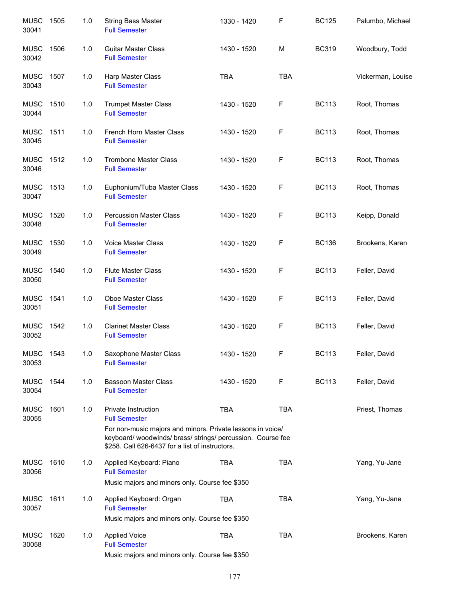| <b>MUSC</b><br>30041 | 1505 | 1.0 | <b>String Bass Master</b><br><b>Full Semester</b>                                                                                                                            | 1330 - 1420 | F          | <b>BC125</b> | Palumbo, Michael  |
|----------------------|------|-----|------------------------------------------------------------------------------------------------------------------------------------------------------------------------------|-------------|------------|--------------|-------------------|
| <b>MUSC</b><br>30042 | 1506 | 1.0 | <b>Guitar Master Class</b><br><b>Full Semester</b>                                                                                                                           | 1430 - 1520 | M          | <b>BC319</b> | Woodbury, Todd    |
| <b>MUSC</b><br>30043 | 1507 | 1.0 | Harp Master Class<br><b>Full Semester</b>                                                                                                                                    | <b>TBA</b>  | <b>TBA</b> |              | Vickerman, Louise |
| <b>MUSC</b><br>30044 | 1510 | 1.0 | <b>Trumpet Master Class</b><br><b>Full Semester</b>                                                                                                                          | 1430 - 1520 | F          | <b>BC113</b> | Root, Thomas      |
| <b>MUSC</b><br>30045 | 1511 | 1.0 | French Horn Master Class<br><b>Full Semester</b>                                                                                                                             | 1430 - 1520 | F          | <b>BC113</b> | Root, Thomas      |
| <b>MUSC</b><br>30046 | 1512 | 1.0 | <b>Trombone Master Class</b><br><b>Full Semester</b>                                                                                                                         | 1430 - 1520 | F          | <b>BC113</b> | Root, Thomas      |
| <b>MUSC</b><br>30047 | 1513 | 1.0 | Euphonium/Tuba Master Class<br><b>Full Semester</b>                                                                                                                          | 1430 - 1520 | F          | <b>BC113</b> | Root, Thomas      |
| <b>MUSC</b><br>30048 | 1520 | 1.0 | <b>Percussion Master Class</b><br><b>Full Semester</b>                                                                                                                       | 1430 - 1520 | F          | <b>BC113</b> | Keipp, Donald     |
| <b>MUSC</b><br>30049 | 1530 | 1.0 | <b>Voice Master Class</b><br><b>Full Semester</b>                                                                                                                            | 1430 - 1520 | F          | <b>BC136</b> | Brookens, Karen   |
| <b>MUSC</b><br>30050 | 1540 | 1.0 | <b>Flute Master Class</b><br><b>Full Semester</b>                                                                                                                            | 1430 - 1520 | F          | <b>BC113</b> | Feller, David     |
| <b>MUSC</b><br>30051 | 1541 | 1.0 | Oboe Master Class<br><b>Full Semester</b>                                                                                                                                    | 1430 - 1520 | F          | <b>BC113</b> | Feller, David     |
| <b>MUSC</b><br>30052 | 1542 | 1.0 | <b>Clarinet Master Class</b><br><b>Full Semester</b>                                                                                                                         | 1430 - 1520 | F          | <b>BC113</b> | Feller, David     |
| <b>MUSC</b><br>30053 | 1543 | 1.0 | Saxophone Master Class<br><b>Full Semester</b>                                                                                                                               | 1430 - 1520 | F          | <b>BC113</b> | Feller, David     |
| <b>MUSC</b><br>30054 | 1544 | 1.0 | <b>Bassoon Master Class</b><br><b>Full Semester</b>                                                                                                                          | 1430 - 1520 | F          | <b>BC113</b> | Feller, David     |
| <b>MUSC</b><br>30055 | 1601 | 1.0 | <b>Private Instruction</b><br><b>Full Semester</b>                                                                                                                           | <b>TBA</b>  | <b>TBA</b> |              | Priest, Thomas    |
|                      |      |     | For non-music majors and minors. Private lessons in voice/<br>keyboard/ woodwinds/ brass/ strings/ percussion. Course fee<br>\$258. Call 626-6437 for a list of instructors. |             |            |              |                   |
| <b>MUSC</b><br>30056 | 1610 | 1.0 | Applied Keyboard: Piano<br><b>Full Semester</b>                                                                                                                              | <b>TBA</b>  | <b>TBA</b> |              | Yang, Yu-Jane     |
|                      |      |     | Music majors and minors only. Course fee \$350                                                                                                                               |             |            |              |                   |
| <b>MUSC</b><br>30057 | 1611 | 1.0 | Applied Keyboard: Organ<br><b>Full Semester</b>                                                                                                                              | <b>TBA</b>  | <b>TBA</b> |              | Yang, Yu-Jane     |
|                      |      |     | Music majors and minors only. Course fee \$350                                                                                                                               |             |            |              |                   |
| <b>MUSC</b><br>30058 | 1620 | 1.0 | <b>Applied Voice</b><br><b>Full Semester</b><br>Music majors and minors only. Course fee \$350                                                                               | <b>TBA</b>  | <b>TBA</b> |              | Brookens, Karen   |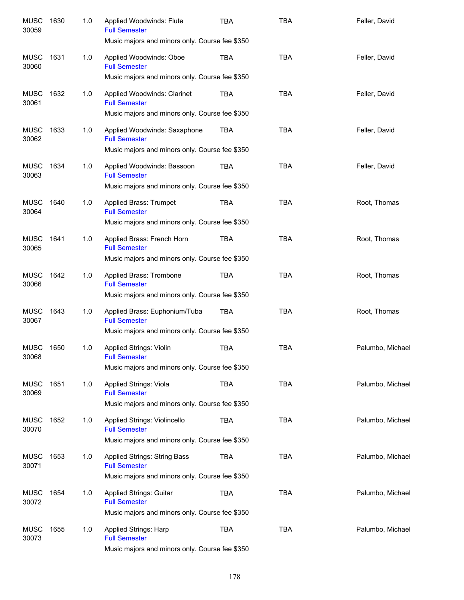| <b>MUSC</b><br>30059 | 1630 | 1.0 | Applied Woodwinds: Flute<br><b>Full Semester</b><br>Music majors and minors only. Course fee \$350      | TBA        | <b>TBA</b> | Feller, David    |
|----------------------|------|-----|---------------------------------------------------------------------------------------------------------|------------|------------|------------------|
| MUSC<br>30060        | 1631 | 1.0 | Applied Woodwinds: Oboe<br><b>Full Semester</b>                                                         | TBA        | <b>TBA</b> | Feller, David    |
|                      |      |     | Music majors and minors only. Course fee \$350                                                          |            |            |                  |
| <b>MUSC</b><br>30061 | 1632 | 1.0 | Applied Woodwinds: Clarinet<br><b>Full Semester</b>                                                     | TBA        | <b>TBA</b> | Feller, David    |
|                      |      |     | Music majors and minors only. Course fee \$350                                                          |            |            |                  |
| <b>MUSC</b><br>30062 | 1633 | 1.0 | Applied Woodwinds: Saxaphone<br><b>Full Semester</b>                                                    | TBA        | <b>TBA</b> | Feller, David    |
|                      |      |     | Music majors and minors only. Course fee \$350                                                          |            |            |                  |
| <b>MUSC</b><br>30063 | 1634 | 1.0 | Applied Woodwinds: Bassoon<br><b>Full Semester</b><br>Music majors and minors only. Course fee \$350    | TBA        | <b>TBA</b> | Feller, David    |
|                      |      |     |                                                                                                         |            |            |                  |
| <b>MUSC</b><br>30064 | 1640 | 1.0 | Applied Brass: Trumpet<br><b>Full Semester</b>                                                          | <b>TBA</b> | <b>TBA</b> | Root, Thomas     |
|                      |      |     | Music majors and minors only. Course fee \$350                                                          |            |            |                  |
| <b>MUSC</b><br>30065 | 1641 | 1.0 | Applied Brass: French Horn<br><b>Full Semester</b>                                                      | TBA        | <b>TBA</b> | Root, Thomas     |
|                      |      |     | Music majors and minors only. Course fee \$350                                                          |            |            |                  |
| <b>MUSC</b><br>30066 | 1642 | 1.0 | Applied Brass: Trombone<br><b>Full Semester</b>                                                         | <b>TBA</b> | <b>TBA</b> | Root, Thomas     |
|                      |      |     | Music majors and minors only. Course fee \$350                                                          |            |            |                  |
| <b>MUSC</b><br>30067 | 1643 | 1.0 | Applied Brass: Euphonium/Tuba<br><b>Full Semester</b><br>Music majors and minors only. Course fee \$350 | TBA        | <b>TBA</b> | Root, Thomas     |
|                      |      |     |                                                                                                         |            |            |                  |
| <b>MUSC</b><br>30068 | 1650 | 1.0 | <b>Applied Strings: Violin</b><br><b>Full Semester</b>                                                  | <b>TBA</b> | <b>TBA</b> | Palumbo, Michael |
|                      |      |     | Music majors and minors only. Course fee \$350                                                          |            |            |                  |
| <b>MUSC</b><br>30069 | 1651 | 1.0 | Applied Strings: Viola<br><b>Full Semester</b>                                                          | <b>TBA</b> | <b>TBA</b> | Palumbo, Michael |
|                      |      |     | Music majors and minors only. Course fee \$350                                                          |            |            |                  |
| <b>MUSC</b><br>30070 | 1652 | 1.0 | Applied Strings: Violincello<br><b>Full Semester</b>                                                    | <b>TBA</b> | <b>TBA</b> | Palumbo, Michael |
|                      |      |     | Music majors and minors only. Course fee \$350                                                          |            |            |                  |
| <b>MUSC</b><br>30071 | 1653 | 1.0 | Applied Strings: String Bass<br><b>Full Semester</b>                                                    | <b>TBA</b> | <b>TBA</b> | Palumbo, Michael |
|                      |      |     | Music majors and minors only. Course fee \$350                                                          |            |            |                  |
| <b>MUSC</b><br>30072 | 1654 | 1.0 | Applied Strings: Guitar<br><b>Full Semester</b>                                                         | <b>TBA</b> | <b>TBA</b> | Palumbo, Michael |
|                      |      |     | Music majors and minors only. Course fee \$350                                                          |            |            |                  |
| <b>MUSC</b><br>30073 | 1655 | 1.0 | Applied Strings: Harp<br><b>Full Semester</b>                                                           | <b>TBA</b> | <b>TBA</b> | Palumbo, Michael |
|                      |      |     | Music majors and minors only. Course fee \$350                                                          |            |            |                  |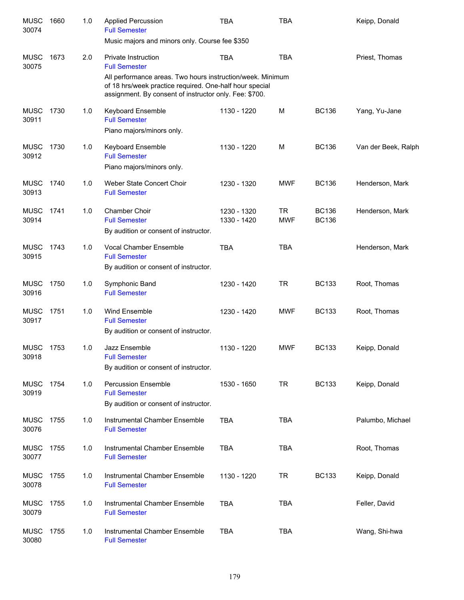| <b>MUSC</b><br>30074 | 1660 | 1.0 | <b>Applied Percussion</b><br><b>Full Semester</b><br>Music majors and minors only. Course fee \$350                                                                                                                            | <b>TBA</b>                 | <b>TBA</b>              |                              | Keipp, Donald       |
|----------------------|------|-----|--------------------------------------------------------------------------------------------------------------------------------------------------------------------------------------------------------------------------------|----------------------------|-------------------------|------------------------------|---------------------|
| <b>MUSC</b><br>30075 | 1673 | 2.0 | Private Instruction<br><b>Full Semester</b><br>All performance areas. Two hours instruction/week. Minimum<br>of 18 hrs/week practice required. One-half hour special<br>assignment. By consent of instructor only. Fee: \$700. | <b>TBA</b>                 | <b>TBA</b>              |                              | Priest, Thomas      |
| <b>MUSC</b><br>30911 | 1730 | 1.0 | Keyboard Ensemble<br><b>Full Semester</b><br>Piano majors/minors only.                                                                                                                                                         | 1130 - 1220                | M                       | <b>BC136</b>                 | Yang, Yu-Jane       |
| <b>MUSC</b><br>30912 | 1730 | 1.0 | <b>Keyboard Ensemble</b><br><b>Full Semester</b><br>Piano majors/minors only.                                                                                                                                                  | 1130 - 1220                | M                       | <b>BC136</b>                 | Van der Beek, Ralph |
| <b>MUSC</b><br>30913 | 1740 | 1.0 | Weber State Concert Choir<br><b>Full Semester</b>                                                                                                                                                                              | 1230 - 1320                | <b>MWF</b>              | <b>BC136</b>                 | Henderson, Mark     |
| <b>MUSC</b><br>30914 | 1741 | 1.0 | Chamber Choir<br><b>Full Semester</b><br>By audition or consent of instructor.                                                                                                                                                 | 1230 - 1320<br>1330 - 1420 | <b>TR</b><br><b>MWF</b> | <b>BC136</b><br><b>BC136</b> | Henderson, Mark     |
| <b>MUSC</b><br>30915 | 1743 | 1.0 | Vocal Chamber Ensemble<br><b>Full Semester</b><br>By audition or consent of instructor.                                                                                                                                        | <b>TBA</b>                 | <b>TBA</b>              |                              | Henderson, Mark     |
| <b>MUSC</b><br>30916 | 1750 | 1.0 | Symphonic Band<br><b>Full Semester</b>                                                                                                                                                                                         | 1230 - 1420                | <b>TR</b>               | <b>BC133</b>                 | Root, Thomas        |
| <b>MUSC</b><br>30917 | 1751 | 1.0 | Wind Ensemble<br><b>Full Semester</b><br>By audition or consent of instructor.                                                                                                                                                 | 1230 - 1420                | <b>MWF</b>              | <b>BC133</b>                 | Root, Thomas        |
| <b>MUSC</b><br>30918 | 1753 | 1.0 | Jazz Ensemble<br><b>Full Semester</b><br>By audition or consent of instructor.                                                                                                                                                 | 1130 - 1220                | <b>MWF</b>              | <b>BC133</b>                 | Keipp, Donald       |
| <b>MUSC</b><br>30919 | 1754 | 1.0 | <b>Percussion Ensemble</b><br><b>Full Semester</b><br>By audition or consent of instructor.                                                                                                                                    | 1530 - 1650                | TR                      | <b>BC133</b>                 | Keipp, Donald       |
| <b>MUSC</b><br>30076 | 1755 | 1.0 | Instrumental Chamber Ensemble<br><b>Full Semester</b>                                                                                                                                                                          | <b>TBA</b>                 | <b>TBA</b>              |                              | Palumbo, Michael    |
| <b>MUSC</b><br>30077 | 1755 | 1.0 | Instrumental Chamber Ensemble<br><b>Full Semester</b>                                                                                                                                                                          | <b>TBA</b>                 | <b>TBA</b>              |                              | Root, Thomas        |
| <b>MUSC</b><br>30078 | 1755 | 1.0 | Instrumental Chamber Ensemble<br><b>Full Semester</b>                                                                                                                                                                          | 1130 - 1220                | TR                      | <b>BC133</b>                 | Keipp, Donald       |
| <b>MUSC</b><br>30079 | 1755 | 1.0 | Instrumental Chamber Ensemble<br><b>Full Semester</b>                                                                                                                                                                          | <b>TBA</b>                 | <b>TBA</b>              |                              | Feller, David       |
| <b>MUSC</b><br>30080 | 1755 | 1.0 | Instrumental Chamber Ensemble<br><b>Full Semester</b>                                                                                                                                                                          | <b>TBA</b>                 | <b>TBA</b>              |                              | Wang, Shi-hwa       |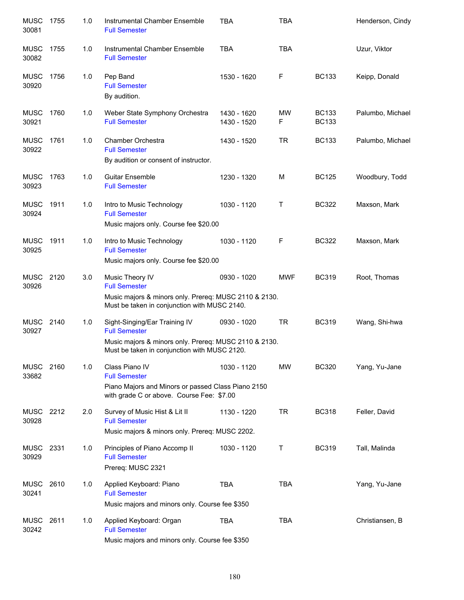| <b>MUSC</b><br>30081 | 1755 | 1.0 | Instrumental Chamber Ensemble<br><b>Full Semester</b>                                                                                                          | <b>TBA</b>                 | <b>TBA</b>   |                              | Henderson, Cindy |
|----------------------|------|-----|----------------------------------------------------------------------------------------------------------------------------------------------------------------|----------------------------|--------------|------------------------------|------------------|
| <b>MUSC</b><br>30082 | 1755 | 1.0 | Instrumental Chamber Ensemble<br><b>Full Semester</b>                                                                                                          | <b>TBA</b>                 | <b>TBA</b>   |                              | Uzur, Viktor     |
| <b>MUSC</b><br>30920 | 1756 | 1.0 | Pep Band<br><b>Full Semester</b><br>By audition.                                                                                                               | 1530 - 1620                | F            | <b>BC133</b>                 | Keipp, Donald    |
| <b>MUSC</b><br>30921 | 1760 | 1.0 | Weber State Symphony Orchestra<br><b>Full Semester</b>                                                                                                         | 1430 - 1620<br>1430 - 1520 | MW<br>F      | <b>BC133</b><br><b>BC133</b> | Palumbo, Michael |
| <b>MUSC</b><br>30922 | 1761 | 1.0 | Chamber Orchestra<br><b>Full Semester</b><br>By audition or consent of instructor.                                                                             | 1430 - 1520                | <b>TR</b>    | <b>BC133</b>                 | Palumbo, Michael |
| <b>MUSC</b><br>30923 | 1763 | 1.0 | <b>Guitar Ensemble</b><br><b>Full Semester</b>                                                                                                                 | 1230 - 1320                | M            | <b>BC125</b>                 | Woodbury, Todd   |
| <b>MUSC</b><br>30924 | 1911 | 1.0 | Intro to Music Technology<br><b>Full Semester</b><br>Music majors only. Course fee \$20.00                                                                     | 1030 - 1120                | $\mathsf{T}$ | <b>BC322</b>                 | Maxson, Mark     |
| <b>MUSC</b><br>30925 | 1911 | 1.0 | Intro to Music Technology<br><b>Full Semester</b><br>Music majors only. Course fee \$20.00                                                                     | 1030 - 1120                | F            | <b>BC322</b>                 | Maxson, Mark     |
| <b>MUSC</b><br>30926 | 2120 | 3.0 | Music Theory IV<br><b>Full Semester</b><br>Music majors & minors only. Prereq: MUSC 2110 & 2130.<br>Must be taken in conjunction with MUSC 2140.               | 0930 - 1020                | <b>MWF</b>   | <b>BC319</b>                 | Root, Thomas     |
| <b>MUSC</b><br>30927 | 2140 | 1.0 | Sight-Singing/Ear Training IV<br><b>Full Semester</b><br>Music majors & minors only. Prereq: MUSC 2110 & 2130.<br>Must be taken in conjunction with MUSC 2120. | 0930 - 1020                | <b>TR</b>    | <b>BC319</b>                 | Wang, Shi-hwa    |
| MUSC 2160<br>33682   |      | 1.0 | Class Piano IV<br><b>Full Semester</b><br>Piano Majors and Minors or passed Class Piano 2150<br>with grade C or above. Course Fee: \$7.00                      | 1030 - 1120                | <b>MW</b>    | <b>BC320</b>                 | Yang, Yu-Jane    |
| MUSC 2212<br>30928   |      | 2.0 | Survey of Music Hist & Lit II<br><b>Full Semester</b><br>Music majors & minors only. Prereq: MUSC 2202.                                                        | 1130 - 1220                | <b>TR</b>    | <b>BC318</b>                 | Feller, David    |
| MUSC<br>30929        | 2331 | 1.0 | Principles of Piano Accomp II<br><b>Full Semester</b><br>Prereq: MUSC 2321                                                                                     | 1030 - 1120                | Τ            | <b>BC319</b>                 | Tall, Malinda    |
| MUSC<br>30241        | 2610 | 1.0 | Applied Keyboard: Piano<br><b>Full Semester</b><br>Music majors and minors only. Course fee \$350                                                              | <b>TBA</b>                 | <b>TBA</b>   |                              | Yang, Yu-Jane    |
| <b>MUSC</b><br>30242 | 2611 | 1.0 | Applied Keyboard: Organ<br><b>Full Semester</b><br>Music majors and minors only. Course fee \$350                                                              | TBA                        | <b>TBA</b>   |                              | Christiansen, B  |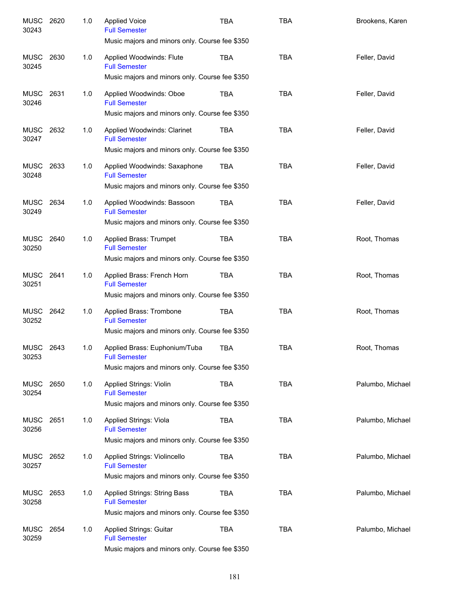| <b>MUSC</b><br>30243 | 2620 | 1.0 | <b>Applied Voice</b><br><b>Full Semester</b><br>Music majors and minors only. Course fee \$350 | TBA        | <b>TBA</b> | Brookens, Karen  |
|----------------------|------|-----|------------------------------------------------------------------------------------------------|------------|------------|------------------|
|                      |      |     |                                                                                                |            |            |                  |
| <b>MUSC</b><br>30245 | 2630 | 1.0 | Applied Woodwinds: Flute<br><b>Full Semester</b>                                               | <b>TBA</b> | <b>TBA</b> | Feller, David    |
|                      |      |     | Music majors and minors only. Course fee \$350                                                 |            |            |                  |
| <b>MUSC</b><br>30246 | 2631 | 1.0 | Applied Woodwinds: Oboe<br><b>Full Semester</b>                                                | TBA        | <b>TBA</b> | Feller, David    |
|                      |      |     | Music majors and minors only. Course fee \$350                                                 |            |            |                  |
| <b>MUSC</b><br>30247 | 2632 | 1.0 | Applied Woodwinds: Clarinet<br><b>Full Semester</b>                                            | <b>TBA</b> | <b>TBA</b> | Feller, David    |
|                      |      |     | Music majors and minors only. Course fee \$350                                                 |            |            |                  |
| <b>MUSC</b><br>30248 | 2633 | 1.0 | Applied Woodwinds: Saxaphone<br><b>Full Semester</b>                                           | <b>TBA</b> | <b>TBA</b> | Feller, David    |
|                      |      |     | Music majors and minors only. Course fee \$350                                                 |            |            |                  |
| <b>MUSC</b><br>30249 | 2634 | 1.0 | Applied Woodwinds: Bassoon<br><b>Full Semester</b>                                             | <b>TBA</b> | <b>TBA</b> | Feller, David    |
|                      |      |     | Music majors and minors only. Course fee \$350                                                 |            |            |                  |
| <b>MUSC</b><br>30250 | 2640 | 1.0 | Applied Brass: Trumpet<br><b>Full Semester</b>                                                 | <b>TBA</b> | <b>TBA</b> | Root, Thomas     |
|                      |      |     | Music majors and minors only. Course fee \$350                                                 |            |            |                  |
| <b>MUSC</b><br>30251 | 2641 | 1.0 | Applied Brass: French Horn<br><b>Full Semester</b>                                             | <b>TBA</b> | <b>TBA</b> | Root, Thomas     |
|                      |      |     | Music majors and minors only. Course fee \$350                                                 |            |            |                  |
| <b>MUSC</b><br>30252 | 2642 | 1.0 | Applied Brass: Trombone<br><b>Full Semester</b>                                                | <b>TBA</b> | <b>TBA</b> | Root, Thomas     |
|                      |      |     | Music majors and minors only. Course fee \$350                                                 |            |            |                  |
| MUSC<br>30253        | 2643 | 1.0 | Applied Brass: Euphonium/Tuba<br><b>Full Semester</b>                                          | <b>TBA</b> | <b>TBA</b> | Root, Thomas     |
|                      |      |     | Music majors and minors only. Course fee \$350                                                 |            |            |                  |
| <b>MUSC</b><br>30254 | 2650 | 1.0 | <b>Applied Strings: Violin</b><br><b>Full Semester</b>                                         | <b>TBA</b> | <b>TBA</b> | Palumbo, Michael |
|                      |      |     | Music majors and minors only. Course fee \$350                                                 |            |            |                  |
| <b>MUSC</b><br>30256 | 2651 | 1.0 | <b>Applied Strings: Viola</b><br><b>Full Semester</b>                                          | <b>TBA</b> | <b>TBA</b> | Palumbo, Michael |
|                      |      |     | Music majors and minors only. Course fee \$350                                                 |            |            |                  |
| <b>MUSC</b><br>30257 | 2652 | 1.0 | Applied Strings: Violincello<br><b>Full Semester</b>                                           | <b>TBA</b> | <b>TBA</b> | Palumbo, Michael |
|                      |      |     | Music majors and minors only. Course fee \$350                                                 |            |            |                  |
| <b>MUSC</b><br>30258 | 2653 | 1.0 | Applied Strings: String Bass<br><b>Full Semester</b>                                           | <b>TBA</b> | <b>TBA</b> | Palumbo, Michael |
|                      |      |     | Music majors and minors only. Course fee \$350                                                 |            |            |                  |
| <b>MUSC</b><br>30259 | 2654 | 1.0 | Applied Strings: Guitar<br><b>Full Semester</b>                                                | <b>TBA</b> | <b>TBA</b> | Palumbo, Michael |
|                      |      |     | Music majors and minors only. Course fee \$350                                                 |            |            |                  |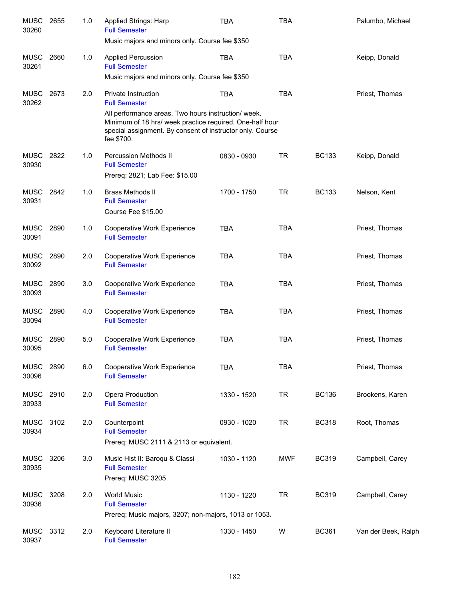| <b>MUSC</b><br>30260 | 2655 | 1.0 | Applied Strings: Harp<br><b>Full Semester</b>                                                                                                                                             | <b>TBA</b>  | <b>TBA</b> |              | Palumbo, Michael    |
|----------------------|------|-----|-------------------------------------------------------------------------------------------------------------------------------------------------------------------------------------------|-------------|------------|--------------|---------------------|
|                      |      |     | Music majors and minors only. Course fee \$350                                                                                                                                            |             |            |              |                     |
| <b>MUSC</b><br>30261 | 2660 | 1.0 | <b>Applied Percussion</b><br><b>Full Semester</b>                                                                                                                                         | <b>TBA</b>  | <b>TBA</b> |              | Keipp, Donald       |
|                      |      |     | Music majors and minors only. Course fee \$350                                                                                                                                            |             |            |              |                     |
| <b>MUSC</b><br>30262 | 2673 | 2.0 | <b>Private Instruction</b><br><b>Full Semester</b>                                                                                                                                        | <b>TBA</b>  | <b>TBA</b> |              | Priest, Thomas      |
|                      |      |     | All performance areas. Two hours instruction/week.<br>Minimum of 18 hrs/ week practice required. One-half hour<br>special assignment. By consent of instructor only. Course<br>fee \$700. |             |            |              |                     |
| <b>MUSC</b><br>30930 | 2822 | 1.0 | <b>Percussion Methods II</b><br><b>Full Semester</b><br>Prereq: 2821; Lab Fee: \$15.00                                                                                                    | 0830 - 0930 | <b>TR</b>  | <b>BC133</b> | Keipp, Donald       |
| <b>MUSC</b><br>30931 | 2842 | 1.0 | <b>Brass Methods II</b><br><b>Full Semester</b><br>Course Fee \$15.00                                                                                                                     | 1700 - 1750 | <b>TR</b>  | <b>BC133</b> | Nelson, Kent        |
| <b>MUSC</b><br>30091 | 2890 | 1.0 | Cooperative Work Experience<br><b>Full Semester</b>                                                                                                                                       | <b>TBA</b>  | <b>TBA</b> |              | Priest, Thomas      |
| <b>MUSC</b><br>30092 | 2890 | 2.0 | Cooperative Work Experience<br><b>Full Semester</b>                                                                                                                                       | <b>TBA</b>  | <b>TBA</b> |              | Priest, Thomas      |
| <b>MUSC</b><br>30093 | 2890 | 3.0 | Cooperative Work Experience<br><b>Full Semester</b>                                                                                                                                       | <b>TBA</b>  | <b>TBA</b> |              | Priest, Thomas      |
| <b>MUSC</b><br>30094 | 2890 | 4.0 | Cooperative Work Experience<br><b>Full Semester</b>                                                                                                                                       | <b>TBA</b>  | <b>TBA</b> |              | Priest, Thomas      |
| <b>MUSC</b><br>30095 | 2890 | 5.0 | Cooperative Work Experience<br><b>Full Semester</b>                                                                                                                                       | <b>TBA</b>  | <b>TBA</b> |              | Priest, Thomas      |
| <b>MUSC</b><br>30096 | 2890 | 6.0 | Cooperative Work Experience<br><b>Full Semester</b>                                                                                                                                       | <b>TBA</b>  | <b>TBA</b> |              | Priest, Thomas      |
| <b>MUSC</b><br>30933 | 2910 | 2.0 | Opera Production<br><b>Full Semester</b>                                                                                                                                                  | 1330 - 1520 | <b>TR</b>  | <b>BC136</b> | Brookens, Karen     |
| <b>MUSC</b><br>30934 | 3102 | 2.0 | Counterpoint<br><b>Full Semester</b><br>Prereq: MUSC 2111 & 2113 or equivalent.                                                                                                           | 0930 - 1020 | <b>TR</b>  | <b>BC318</b> | Root, Thomas        |
| <b>MUSC</b><br>30935 | 3206 | 3.0 | Music Hist II: Baroqu & Classi<br><b>Full Semester</b><br>Prereq: MUSC 3205                                                                                                               | 1030 - 1120 | <b>MWF</b> | <b>BC319</b> | Campbell, Carey     |
| <b>MUSC</b><br>30936 | 3208 | 2.0 | <b>World Music</b><br><b>Full Semester</b><br>Prereq: Music majors, 3207; non-majors, 1013 or 1053.                                                                                       | 1130 - 1220 | <b>TR</b>  | <b>BC319</b> | Campbell, Carey     |
| MUSC<br>30937        | 3312 | 2.0 | Keyboard Literature II<br><b>Full Semester</b>                                                                                                                                            | 1330 - 1450 | W          | <b>BC361</b> | Van der Beek, Ralph |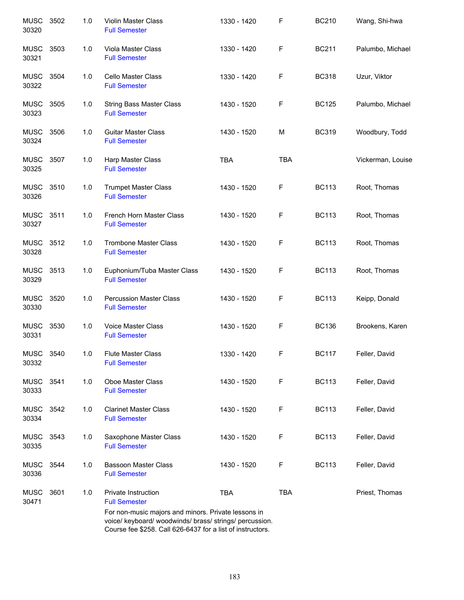| <b>MUSC</b><br>30320 | 3502 | 1.0 | Violin Master Class<br><b>Full Semester</b>                                                                                                                                  | 1330 - 1420 | F          | <b>BC210</b> | Wang, Shi-hwa     |
|----------------------|------|-----|------------------------------------------------------------------------------------------------------------------------------------------------------------------------------|-------------|------------|--------------|-------------------|
| <b>MUSC</b><br>30321 | 3503 | 1.0 | Viola Master Class<br><b>Full Semester</b>                                                                                                                                   | 1330 - 1420 | F          | <b>BC211</b> | Palumbo, Michael  |
| MUSC<br>30322        | 3504 | 1.0 | Cello Master Class<br><b>Full Semester</b>                                                                                                                                   | 1330 - 1420 | F          | <b>BC318</b> | Uzur, Viktor      |
| <b>MUSC</b><br>30323 | 3505 | 1.0 | <b>String Bass Master Class</b><br><b>Full Semester</b>                                                                                                                      | 1430 - 1520 | F          | <b>BC125</b> | Palumbo, Michael  |
| <b>MUSC</b><br>30324 | 3506 | 1.0 | <b>Guitar Master Class</b><br><b>Full Semester</b>                                                                                                                           | 1430 - 1520 | M          | <b>BC319</b> | Woodbury, Todd    |
| <b>MUSC</b><br>30325 | 3507 | 1.0 | Harp Master Class<br><b>Full Semester</b>                                                                                                                                    | <b>TBA</b>  | <b>TBA</b> |              | Vickerman, Louise |
| MUSC<br>30326        | 3510 | 1.0 | <b>Trumpet Master Class</b><br><b>Full Semester</b>                                                                                                                          | 1430 - 1520 | F          | <b>BC113</b> | Root, Thomas      |
| <b>MUSC</b><br>30327 | 3511 | 1.0 | French Horn Master Class<br><b>Full Semester</b>                                                                                                                             | 1430 - 1520 | F          | <b>BC113</b> | Root, Thomas      |
| <b>MUSC</b><br>30328 | 3512 | 1.0 | <b>Trombone Master Class</b><br><b>Full Semester</b>                                                                                                                         | 1430 - 1520 | F          | <b>BC113</b> | Root, Thomas      |
| <b>MUSC</b><br>30329 | 3513 | 1.0 | Euphonium/Tuba Master Class<br><b>Full Semester</b>                                                                                                                          | 1430 - 1520 | F          | <b>BC113</b> | Root, Thomas      |
| <b>MUSC</b><br>30330 | 3520 | 1.0 | <b>Percussion Master Class</b><br><b>Full Semester</b>                                                                                                                       | 1430 - 1520 | F          | <b>BC113</b> | Keipp, Donald     |
| <b>MUSC</b><br>30331 | 3530 | 1.0 | <b>Voice Master Class</b><br><b>Full Semester</b>                                                                                                                            | 1430 - 1520 | F          | <b>BC136</b> | Brookens, Karen   |
| <b>MUSC</b><br>30332 | 3540 | 1.0 | <b>Flute Master Class</b><br><b>Full Semester</b>                                                                                                                            | 1330 - 1420 | F          | <b>BC117</b> | Feller, David     |
| <b>MUSC</b><br>30333 | 3541 | 1.0 | <b>Oboe Master Class</b><br><b>Full Semester</b>                                                                                                                             | 1430 - 1520 | F          | <b>BC113</b> | Feller, David     |
| <b>MUSC</b><br>30334 | 3542 | 1.0 | <b>Clarinet Master Class</b><br><b>Full Semester</b>                                                                                                                         | 1430 - 1520 | F          | <b>BC113</b> | Feller, David     |
| <b>MUSC</b><br>30335 | 3543 | 1.0 | Saxophone Master Class<br><b>Full Semester</b>                                                                                                                               | 1430 - 1520 | F          | <b>BC113</b> | Feller, David     |
| <b>MUSC</b><br>30336 | 3544 | 1.0 | <b>Bassoon Master Class</b><br><b>Full Semester</b>                                                                                                                          | 1430 - 1520 | F          | <b>BC113</b> | Feller, David     |
| <b>MUSC</b><br>30471 | 3601 | 1.0 | Private Instruction<br><b>Full Semester</b>                                                                                                                                  | <b>TBA</b>  | <b>TBA</b> |              | Priest, Thomas    |
|                      |      |     | For non-music majors and minors. Private lessons in<br>voice/ keyboard/ woodwinds/ brass/ strings/ percussion.<br>Course fee \$258. Call 626-6437 for a list of instructors. |             |            |              |                   |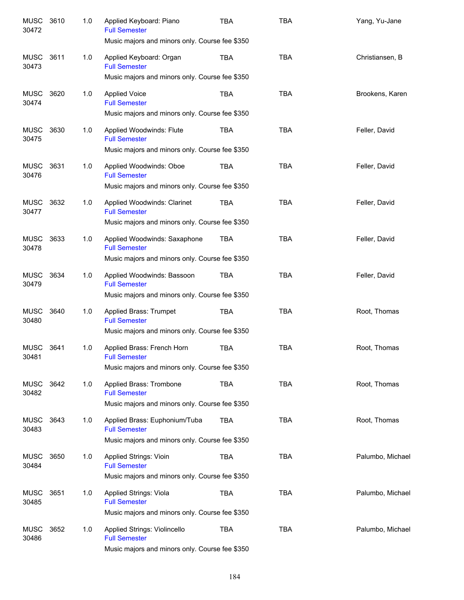| <b>MUSC</b><br>30472 | 3610 | 1.0 | Applied Keyboard: Piano<br><b>Full Semester</b><br>Music majors and minors only. Course fee \$350 | TBA        | <b>TBA</b> | Yang, Yu-Jane    |
|----------------------|------|-----|---------------------------------------------------------------------------------------------------|------------|------------|------------------|
|                      |      |     |                                                                                                   |            |            |                  |
| <b>MUSC</b><br>30473 | 3611 | 1.0 | Applied Keyboard: Organ<br><b>Full Semester</b>                                                   | <b>TBA</b> | <b>TBA</b> | Christiansen, B  |
|                      |      |     | Music majors and minors only. Course fee \$350                                                    |            |            |                  |
| <b>MUSC</b><br>30474 | 3620 | 1.0 | <b>Applied Voice</b><br><b>Full Semester</b>                                                      | <b>TBA</b> | <b>TBA</b> | Brookens, Karen  |
|                      |      |     | Music majors and minors only. Course fee \$350                                                    |            |            |                  |
| <b>MUSC</b><br>30475 | 3630 | 1.0 | Applied Woodwinds: Flute<br><b>Full Semester</b>                                                  | <b>TBA</b> | <b>TBA</b> | Feller, David    |
|                      |      |     | Music majors and minors only. Course fee \$350                                                    |            |            |                  |
| <b>MUSC</b><br>30476 | 3631 | 1.0 | Applied Woodwinds: Oboe<br><b>Full Semester</b>                                                   | <b>TBA</b> | <b>TBA</b> | Feller, David    |
|                      |      |     | Music majors and minors only. Course fee \$350                                                    |            |            |                  |
| <b>MUSC</b><br>30477 | 3632 | 1.0 | Applied Woodwinds: Clarinet<br><b>Full Semester</b>                                               | <b>TBA</b> | <b>TBA</b> | Feller, David    |
|                      |      |     | Music majors and minors only. Course fee \$350                                                    |            |            |                  |
| <b>MUSC</b><br>30478 | 3633 | 1.0 | Applied Woodwinds: Saxaphone<br><b>Full Semester</b>                                              | <b>TBA</b> | <b>TBA</b> | Feller, David    |
|                      |      |     | Music majors and minors only. Course fee \$350                                                    |            |            |                  |
| <b>MUSC</b><br>30479 | 3634 | 1.0 | Applied Woodwinds: Bassoon<br><b>Full Semester</b>                                                | <b>TBA</b> | <b>TBA</b> | Feller, David    |
|                      |      |     | Music majors and minors only. Course fee \$350                                                    |            |            |                  |
| <b>MUSC</b><br>30480 | 3640 | 1.0 | Applied Brass: Trumpet<br><b>Full Semester</b>                                                    | <b>TBA</b> | <b>TBA</b> | Root, Thomas     |
|                      |      |     | Music majors and minors only. Course fee \$350                                                    |            |            |                  |
| <b>MUSC</b><br>30481 | 3641 | 1.0 | Applied Brass: French Horn<br><b>Full Semester</b>                                                | <b>TBA</b> | <b>TBA</b> | Root, Thomas     |
|                      |      |     | Music majors and minors only. Course fee \$350                                                    |            |            |                  |
| MUSC<br>30482        | 3642 | 1.0 | Applied Brass: Trombone<br><b>Full Semester</b>                                                   | <b>TBA</b> | <b>TBA</b> | Root, Thomas     |
|                      |      |     | Music majors and minors only. Course fee \$350                                                    |            |            |                  |
| <b>MUSC</b><br>30483 | 3643 | 1.0 | Applied Brass: Euphonium/Tuba<br><b>Full Semester</b>                                             | <b>TBA</b> | <b>TBA</b> | Root, Thomas     |
|                      |      |     | Music majors and minors only. Course fee \$350                                                    |            |            |                  |
| <b>MUSC</b><br>30484 | 3650 | 1.0 | Applied Strings: Vioin<br><b>Full Semester</b>                                                    | <b>TBA</b> | <b>TBA</b> | Palumbo, Michael |
|                      |      |     | Music majors and minors only. Course fee \$350                                                    |            |            |                  |
| <b>MUSC</b><br>30485 | 3651 | 1.0 | Applied Strings: Viola<br><b>Full Semester</b>                                                    | <b>TBA</b> | <b>TBA</b> | Palumbo, Michael |
|                      |      |     | Music majors and minors only. Course fee \$350                                                    |            |            |                  |
| <b>MUSC</b><br>30486 | 3652 | 1.0 | Applied Strings: Violincello<br><b>Full Semester</b>                                              | <b>TBA</b> | TBA        | Palumbo, Michael |
|                      |      |     | Music majors and minors only. Course fee \$350                                                    |            |            |                  |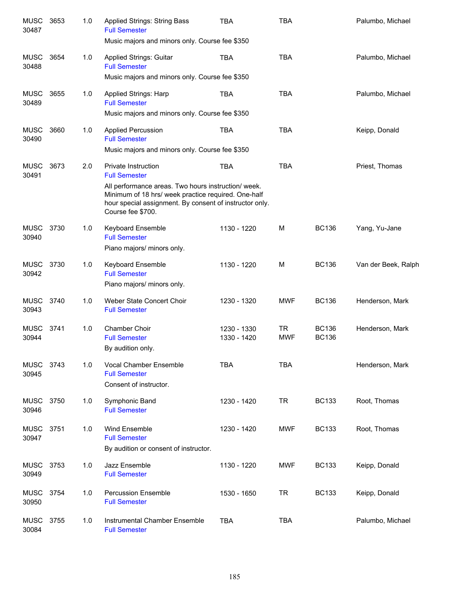| <b>MUSC</b><br>30487 | 3653 | 1.0 | <b>Applied Strings: String Bass</b><br><b>Full Semester</b><br>Music majors and minors only. Course fee \$350                                                                                                                            | <b>TBA</b>                 | <b>TBA</b>              |                              | Palumbo, Michael    |
|----------------------|------|-----|------------------------------------------------------------------------------------------------------------------------------------------------------------------------------------------------------------------------------------------|----------------------------|-------------------------|------------------------------|---------------------|
| <b>MUSC</b><br>30488 | 3654 | 1.0 | Applied Strings: Guitar<br><b>Full Semester</b><br>Music majors and minors only. Course fee \$350                                                                                                                                        | <b>TBA</b>                 | <b>TBA</b>              |                              | Palumbo, Michael    |
| <b>MUSC</b><br>30489 | 3655 | 1.0 | <b>Applied Strings: Harp</b><br><b>Full Semester</b><br>Music majors and minors only. Course fee \$350                                                                                                                                   | <b>TBA</b>                 | <b>TBA</b>              |                              | Palumbo, Michael    |
| <b>MUSC</b><br>30490 | 3660 | 1.0 | <b>Applied Percussion</b><br><b>Full Semester</b><br>Music majors and minors only. Course fee \$350                                                                                                                                      | <b>TBA</b>                 | <b>TBA</b>              |                              | Keipp, Donald       |
| <b>MUSC</b><br>30491 | 3673 | 2.0 | Private Instruction<br><b>Full Semester</b><br>All performance areas. Two hours instruction/week.<br>Minimum of 18 hrs/ week practice required. One-half<br>hour special assignment. By consent of instructor only.<br>Course fee \$700. | <b>TBA</b>                 | <b>TBA</b>              |                              | Priest, Thomas      |
| <b>MUSC</b><br>30940 | 3730 | 1.0 | <b>Keyboard Ensemble</b><br><b>Full Semester</b><br>Piano majors/ minors only.                                                                                                                                                           | 1130 - 1220                | M                       | <b>BC136</b>                 | Yang, Yu-Jane       |
| <b>MUSC</b><br>30942 | 3730 | 1.0 | <b>Keyboard Ensemble</b><br><b>Full Semester</b><br>Piano majors/ minors only.                                                                                                                                                           | 1130 - 1220                | M                       | <b>BC136</b>                 | Van der Beek, Ralph |
| <b>MUSC</b><br>30943 | 3740 | 1.0 | Weber State Concert Choir<br><b>Full Semester</b>                                                                                                                                                                                        | 1230 - 1320                | <b>MWF</b>              | <b>BC136</b>                 | Henderson, Mark     |
| <b>MUSC</b><br>30944 | 3741 | 1.0 | Chamber Choir<br><b>Full Semester</b><br>By audition only.                                                                                                                                                                               | 1230 - 1330<br>1330 - 1420 | <b>TR</b><br><b>MWF</b> | <b>BC136</b><br><b>BC136</b> | Henderson, Mark     |
| <b>MUSC</b><br>30945 | 3743 | 1.0 | Vocal Chamber Ensemble<br><b>Full Semester</b><br>Consent of instructor.                                                                                                                                                                 | <b>TBA</b>                 | <b>TBA</b>              |                              | Henderson, Mark     |
| <b>MUSC</b><br>30946 | 3750 | 1.0 | Symphonic Band<br><b>Full Semester</b>                                                                                                                                                                                                   | 1230 - 1420                | <b>TR</b>               | <b>BC133</b>                 | Root, Thomas        |
| <b>MUSC</b><br>30947 | 3751 | 1.0 | Wind Ensemble<br><b>Full Semester</b><br>By audition or consent of instructor.                                                                                                                                                           | 1230 - 1420                | <b>MWF</b>              | <b>BC133</b>                 | Root, Thomas        |
| <b>MUSC</b><br>30949 | 3753 | 1.0 | Jazz Ensemble<br><b>Full Semester</b>                                                                                                                                                                                                    | 1130 - 1220                | <b>MWF</b>              | <b>BC133</b>                 | Keipp, Donald       |
| <b>MUSC</b><br>30950 | 3754 | 1.0 | <b>Percussion Ensemble</b><br><b>Full Semester</b>                                                                                                                                                                                       | 1530 - 1650                | <b>TR</b>               | <b>BC133</b>                 | Keipp, Donald       |
| <b>MUSC</b><br>30084 | 3755 | 1.0 | Instrumental Chamber Ensemble<br><b>Full Semester</b>                                                                                                                                                                                    | <b>TBA</b>                 | <b>TBA</b>              |                              | Palumbo, Michael    |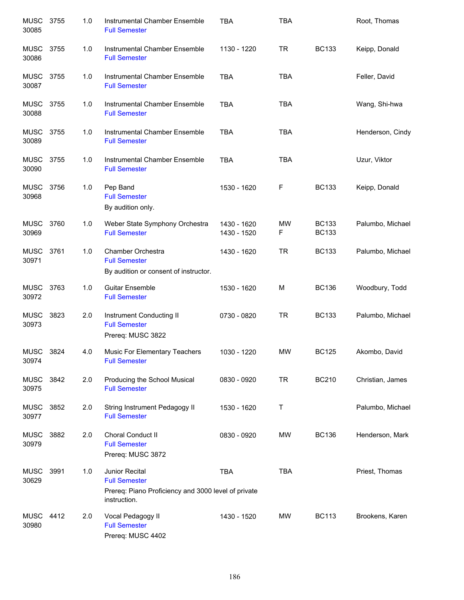| <b>MUSC</b><br>30085 | 3755 | 1.0 | Instrumental Chamber Ensemble<br><b>Full Semester</b>                                                         | <b>TBA</b>                 | <b>TBA</b> |                              | Root, Thomas     |
|----------------------|------|-----|---------------------------------------------------------------------------------------------------------------|----------------------------|------------|------------------------------|------------------|
| MUSC<br>30086        | 3755 | 1.0 | Instrumental Chamber Ensemble<br><b>Full Semester</b>                                                         | 1130 - 1220                | <b>TR</b>  | <b>BC133</b>                 | Keipp, Donald    |
| MUSC<br>30087        | 3755 | 1.0 | Instrumental Chamber Ensemble<br><b>Full Semester</b>                                                         | <b>TBA</b>                 | <b>TBA</b> |                              | Feller, David    |
| <b>MUSC</b><br>30088 | 3755 | 1.0 | Instrumental Chamber Ensemble<br><b>Full Semester</b>                                                         | <b>TBA</b>                 | <b>TBA</b> |                              | Wang, Shi-hwa    |
| <b>MUSC</b><br>30089 | 3755 | 1.0 | Instrumental Chamber Ensemble<br><b>Full Semester</b>                                                         | <b>TBA</b>                 | <b>TBA</b> |                              | Henderson, Cindy |
| MUSC<br>30090        | 3755 | 1.0 | Instrumental Chamber Ensemble<br><b>Full Semester</b>                                                         | <b>TBA</b>                 | <b>TBA</b> |                              | Uzur, Viktor     |
| <b>MUSC</b><br>30968 | 3756 | 1.0 | Pep Band<br><b>Full Semester</b><br>By audition only.                                                         | 1530 - 1620                | F          | <b>BC133</b>                 | Keipp, Donald    |
| MUSC<br>30969        | 3760 | 1.0 | Weber State Symphony Orchestra<br><b>Full Semester</b>                                                        | 1430 - 1620<br>1430 - 1520 | MW<br>F    | <b>BC133</b><br><b>BC133</b> | Palumbo, Michael |
| <b>MUSC</b><br>30971 | 3761 | 1.0 | Chamber Orchestra<br><b>Full Semester</b><br>By audition or consent of instructor.                            | 1430 - 1620                | <b>TR</b>  | <b>BC133</b>                 | Palumbo, Michael |
| MUSC<br>30972        | 3763 | 1.0 | <b>Guitar Ensemble</b><br><b>Full Semester</b>                                                                | 1530 - 1620                | M          | <b>BC136</b>                 | Woodbury, Todd   |
| <b>MUSC</b><br>30973 | 3823 | 2.0 | Instrument Conducting II<br><b>Full Semester</b><br>Prereq: MUSC 3822                                         | 0730 - 0820                | <b>TR</b>  | <b>BC133</b>                 | Palumbo, Michael |
| <b>MUSC</b><br>30974 | 3824 | 4.0 | Music For Elementary Teachers<br><b>Full Semester</b>                                                         | 1030 - 1220                | <b>MW</b>  | <b>BC125</b>                 | Akombo, David    |
| MUSC<br>30975        | 3842 | 2.0 | Producing the School Musical<br><b>Full Semester</b>                                                          | 0830 - 0920                | <b>TR</b>  | <b>BC210</b>                 | Christian, James |
| <b>MUSC</b><br>30977 | 3852 | 2.0 | String Instrument Pedagogy II<br><b>Full Semester</b>                                                         | 1530 - 1620                | Τ          |                              | Palumbo, Michael |
| <b>MUSC</b><br>30979 | 3882 | 2.0 | Choral Conduct II<br><b>Full Semester</b><br>Prereq: MUSC 3872                                                | 0830 - 0920                | MW         | <b>BC136</b>                 | Henderson, Mark  |
| <b>MUSC</b><br>30629 | 3991 | 1.0 | Junior Recital<br><b>Full Semester</b><br>Prereq: Piano Proficiency and 3000 level of private<br>instruction. | <b>TBA</b>                 | <b>TBA</b> |                              | Priest, Thomas   |
| MUSC<br>30980        | 4412 | 2.0 | Vocal Pedagogy II<br><b>Full Semester</b><br>Prereq: MUSC 4402                                                | 1430 - 1520                | MW         | <b>BC113</b>                 | Brookens, Karen  |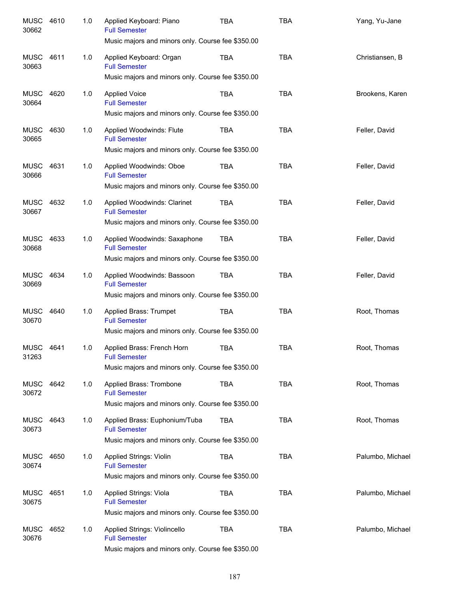| <b>MUSC</b><br>30662 | 4610 | 1.0 | Applied Keyboard: Piano<br><b>Full Semester</b><br>Music majors and minors only. Course fee \$350.00      | <b>TBA</b> | <b>TBA</b> | Yang, Yu-Jane    |
|----------------------|------|-----|-----------------------------------------------------------------------------------------------------------|------------|------------|------------------|
| <b>MUSC</b>          | 4611 | 1.0 | Applied Keyboard: Organ<br><b>Full Semester</b>                                                           | <b>TBA</b> | <b>TBA</b> | Christiansen, B  |
| 30663                |      |     | Music majors and minors only. Course fee \$350.00                                                         |            |            |                  |
| <b>MUSC</b><br>30664 | 4620 | 1.0 | <b>Applied Voice</b><br><b>Full Semester</b><br>Music majors and minors only. Course fee \$350.00         | <b>TBA</b> | <b>TBA</b> | Brookens, Karen  |
| <b>MUSC</b><br>30665 | 4630 | 1.0 | Applied Woodwinds: Flute<br><b>Full Semester</b>                                                          | <b>TBA</b> | <b>TBA</b> | Feller, David    |
|                      |      |     | Music majors and minors only. Course fee \$350.00                                                         |            |            |                  |
| <b>MUSC</b><br>30666 | 4631 | 1.0 | Applied Woodwinds: Oboe<br><b>Full Semester</b><br>Music majors and minors only. Course fee \$350.00      | <b>TBA</b> | <b>TBA</b> | Feller, David    |
| <b>MUSC</b><br>30667 | 4632 | 1.0 | Applied Woodwinds: Clarinet<br><b>Full Semester</b>                                                       | <b>TBA</b> | <b>TBA</b> | Feller, David    |
|                      |      |     | Music majors and minors only. Course fee \$350.00                                                         |            |            |                  |
| <b>MUSC</b><br>30668 | 4633 | 1.0 | Applied Woodwinds: Saxaphone<br><b>Full Semester</b><br>Music majors and minors only. Course fee \$350.00 | <b>TBA</b> | <b>TBA</b> | Feller, David    |
| <b>MUSC</b><br>30669 | 4634 | 1.0 | Applied Woodwinds: Bassoon<br><b>Full Semester</b>                                                        | <b>TBA</b> | <b>TBA</b> | Feller, David    |
|                      |      |     | Music majors and minors only. Course fee \$350.00                                                         |            |            |                  |
| <b>MUSC</b><br>30670 | 4640 | 1.0 | Applied Brass: Trumpet<br><b>Full Semester</b>                                                            | <b>TBA</b> | <b>TBA</b> | Root, Thomas     |
|                      |      |     | Music majors and minors only. Course fee \$350.00                                                         |            |            |                  |
| <b>MUSC</b><br>31263 | 4641 | 1.0 | Applied Brass: French Horn<br><b>Full Semester</b><br>Music majors and minors only. Course fee \$350.00   | <b>TBA</b> | <b>TBA</b> | Root, Thomas     |
| MUSC<br>30672        | 4642 | 1.0 | Applied Brass: Trombone<br><b>Full Semester</b>                                                           | <b>TBA</b> | <b>TBA</b> | Root, Thomas     |
|                      |      |     | Music majors and minors only. Course fee \$350.00                                                         |            |            |                  |
| MUSC<br>30673        | 4643 | 1.0 | Applied Brass: Euphonium/Tuba<br><b>Full Semester</b>                                                     | <b>TBA</b> | <b>TBA</b> | Root, Thomas     |
|                      |      |     | Music majors and minors only. Course fee \$350.00                                                         |            |            |                  |
| <b>MUSC</b><br>30674 | 4650 | 1.0 | Applied Strings: Violin<br><b>Full Semester</b><br>Music majors and minors only. Course fee \$350.00      | <b>TBA</b> | <b>TBA</b> | Palumbo, Michael |
|                      |      |     |                                                                                                           |            |            |                  |
| <b>MUSC</b><br>30675 | 4651 | 1.0 | Applied Strings: Viola<br><b>Full Semester</b><br>Music majors and minors only. Course fee \$350.00       | <b>TBA</b> | <b>TBA</b> | Palumbo, Michael |
| <b>MUSC</b>          | 4652 | 1.0 | Applied Strings: Violincello                                                                              | <b>TBA</b> | TBA        | Palumbo, Michael |
| 30676                |      |     | <b>Full Semester</b><br>Music majors and minors only. Course fee \$350.00                                 |            |            |                  |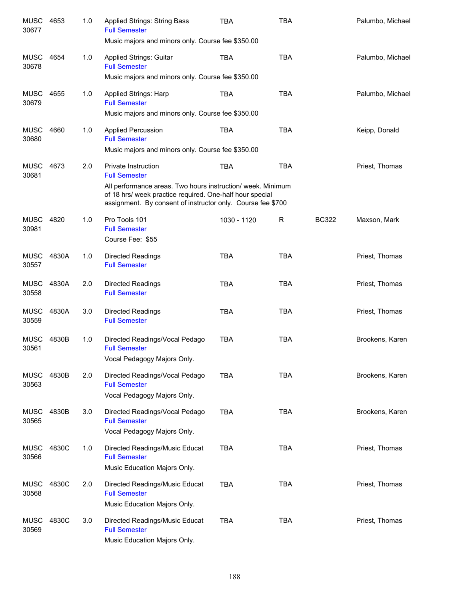| <b>MUSC</b><br>30677 | 4653  | 1.0 | <b>Applied Strings: String Bass</b><br><b>Full Semester</b><br>Music majors and minors only. Course fee \$350.00                                                                       | <b>TBA</b>  | <b>TBA</b> |              | Palumbo, Michael |
|----------------------|-------|-----|----------------------------------------------------------------------------------------------------------------------------------------------------------------------------------------|-------------|------------|--------------|------------------|
| <b>MUSC</b><br>30678 | 4654  | 1.0 | Applied Strings: Guitar<br><b>Full Semester</b>                                                                                                                                        | <b>TBA</b>  | <b>TBA</b> |              | Palumbo, Michael |
|                      |       |     | Music majors and minors only. Course fee \$350.00                                                                                                                                      |             |            |              |                  |
| <b>MUSC</b><br>30679 | 4655  | 1.0 | Applied Strings: Harp<br><b>Full Semester</b>                                                                                                                                          | <b>TBA</b>  | <b>TBA</b> |              | Palumbo, Michael |
|                      |       |     | Music majors and minors only. Course fee \$350.00                                                                                                                                      |             |            |              |                  |
| <b>MUSC</b><br>30680 | 4660  | 1.0 | <b>Applied Percussion</b><br><b>Full Semester</b>                                                                                                                                      | <b>TBA</b>  | <b>TBA</b> |              | Keipp, Donald    |
|                      |       |     | Music majors and minors only. Course fee \$350.00                                                                                                                                      |             |            |              |                  |
| <b>MUSC</b><br>30681 | 4673  | 2.0 | Private Instruction<br><b>Full Semester</b>                                                                                                                                            | <b>TBA</b>  | <b>TBA</b> |              | Priest, Thomas   |
|                      |       |     | All performance areas. Two hours instruction/ week. Minimum<br>of 18 hrs/ week practice required. One-half hour special<br>assignment. By consent of instructor only. Course fee \$700 |             |            |              |                  |
| <b>MUSC</b><br>30981 | 4820  | 1.0 | Pro Tools 101<br><b>Full Semester</b><br>Course Fee: \$55                                                                                                                              | 1030 - 1120 | R          | <b>BC322</b> | Maxson, Mark     |
| <b>MUSC</b><br>30557 | 4830A | 1.0 | Directed Readings<br><b>Full Semester</b>                                                                                                                                              | <b>TBA</b>  | <b>TBA</b> |              | Priest, Thomas   |
| <b>MUSC</b><br>30558 | 4830A | 2.0 | <b>Directed Readings</b><br><b>Full Semester</b>                                                                                                                                       | <b>TBA</b>  | <b>TBA</b> |              | Priest, Thomas   |
| <b>MUSC</b><br>30559 | 4830A | 3.0 | Directed Readings<br><b>Full Semester</b>                                                                                                                                              | <b>TBA</b>  | <b>TBA</b> |              | Priest, Thomas   |
| <b>MUSC</b><br>30561 | 4830B | 1.0 | Directed Readings/Vocal Pedago<br><b>Full Semester</b><br>Vocal Pedagogy Majors Only.                                                                                                  | <b>TBA</b>  | <b>TBA</b> |              | Brookens, Karen  |
| <b>MUSC</b><br>30563 | 4830B | 2.0 | Directed Readings/Vocal Pedago<br><b>Full Semester</b><br>Vocal Pedagogy Majors Only.                                                                                                  | <b>TBA</b>  | <b>TBA</b> |              | Brookens, Karen  |
| <b>MUSC</b><br>30565 | 4830B | 3.0 | Directed Readings/Vocal Pedago<br><b>Full Semester</b><br>Vocal Pedagogy Majors Only.                                                                                                  | <b>TBA</b>  | <b>TBA</b> |              | Brookens, Karen  |
| <b>MUSC</b><br>30566 | 4830C | 1.0 | Directed Readings/Music Educat<br><b>Full Semester</b><br>Music Education Majors Only.                                                                                                 | <b>TBA</b>  | <b>TBA</b> |              | Priest, Thomas   |
| <b>MUSC</b><br>30568 | 4830C | 2.0 | Directed Readings/Music Educat<br><b>Full Semester</b><br>Music Education Majors Only.                                                                                                 | <b>TBA</b>  | <b>TBA</b> |              | Priest, Thomas   |
| <b>MUSC</b><br>30569 | 4830C | 3.0 | Directed Readings/Music Educat<br><b>Full Semester</b><br>Music Education Majors Only.                                                                                                 | <b>TBA</b>  | <b>TBA</b> |              | Priest, Thomas   |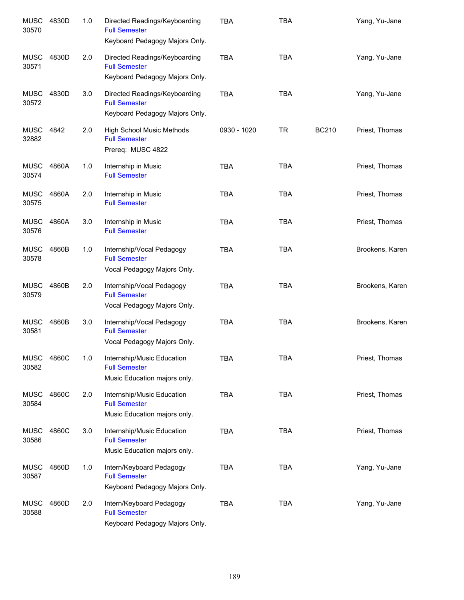| <b>MUSC</b><br>30570 | 4830D             | 1.0 | Directed Readings/Keyboarding<br><b>Full Semester</b><br>Keyboard Pedagogy Majors Only. | <b>TBA</b>  | <b>TBA</b> |              | Yang, Yu-Jane   |
|----------------------|-------------------|-----|-----------------------------------------------------------------------------------------|-------------|------------|--------------|-----------------|
| <b>MUSC</b><br>30571 | 4830D             | 2.0 | Directed Readings/Keyboarding<br><b>Full Semester</b><br>Keyboard Pedagogy Majors Only. | <b>TBA</b>  | <b>TBA</b> |              | Yang, Yu-Jane   |
| <b>MUSC</b><br>30572 | 4830D             | 3.0 | Directed Readings/Keyboarding<br><b>Full Semester</b><br>Keyboard Pedagogy Majors Only. | <b>TBA</b>  | <b>TBA</b> |              | Yang, Yu-Jane   |
| MUSC<br>32882        | 4842              | 2.0 | <b>High School Music Methods</b><br><b>Full Semester</b><br>Prereq: MUSC 4822           | 0930 - 1020 | <b>TR</b>  | <b>BC210</b> | Priest, Thomas  |
| MUSC<br>30574        | 4860A             | 1.0 | Internship in Music<br><b>Full Semester</b>                                             | <b>TBA</b>  | <b>TBA</b> |              | Priest, Thomas  |
| <b>MUSC</b><br>30575 | 4860A             | 2.0 | Internship in Music<br><b>Full Semester</b>                                             | <b>TBA</b>  | <b>TBA</b> |              | Priest, Thomas  |
| <b>MUSC</b><br>30576 | 4860A             | 3.0 | Internship in Music<br><b>Full Semester</b>                                             | <b>TBA</b>  | <b>TBA</b> |              | Priest, Thomas  |
| <b>MUSC</b><br>30578 | 4860B             | 1.0 | Internship/Vocal Pedagogy<br><b>Full Semester</b><br>Vocal Pedagogy Majors Only.        | <b>TBA</b>  | <b>TBA</b> |              | Brookens, Karen |
| <b>MUSC</b><br>30579 | 4860B             | 2.0 | Internship/Vocal Pedagogy<br><b>Full Semester</b><br>Vocal Pedagogy Majors Only.        | <b>TBA</b>  | <b>TBA</b> |              | Brookens, Karen |
| <b>MUSC</b><br>30581 | 4860B             | 3.0 | Internship/Vocal Pedagogy<br><b>Full Semester</b><br>Vocal Pedagogy Majors Only.        | <b>TBA</b>  | <b>TBA</b> |              | Brookens, Karen |
| 30582                | <b>MUSC 4860C</b> | 1.0 | Internship/Music Education<br><b>Full Semester</b><br>Music Education majors only.      | TBA         | TBA        |              | Priest, Thomas  |
| <b>MUSC</b><br>30584 | 4860C             | 2.0 | Internship/Music Education<br><b>Full Semester</b><br>Music Education majors only.      | <b>TBA</b>  | <b>TBA</b> |              | Priest, Thomas  |
| <b>MUSC</b><br>30586 | 4860C             | 3.0 | Internship/Music Education<br><b>Full Semester</b><br>Music Education majors only.      | <b>TBA</b>  | <b>TBA</b> |              | Priest, Thomas  |
| <b>MUSC</b><br>30587 | 4860D             | 1.0 | Intern/Keyboard Pedagogy<br><b>Full Semester</b><br>Keyboard Pedagogy Majors Only.      | <b>TBA</b>  | <b>TBA</b> |              | Yang, Yu-Jane   |
| <b>MUSC</b><br>30588 | 4860D             | 2.0 | Intern/Keyboard Pedagogy<br><b>Full Semester</b><br>Keyboard Pedagogy Majors Only.      | TBA         | <b>TBA</b> |              | Yang, Yu-Jane   |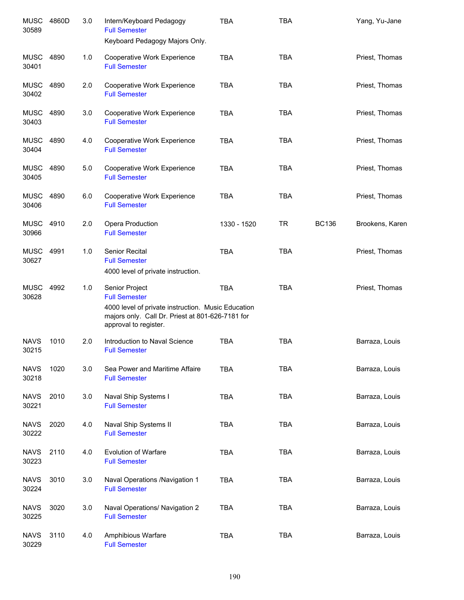| 30589                | <b>MUSC 4860D</b> | 3.0 | Intern/Keyboard Pedagogy<br><b>Full Semester</b><br>Keyboard Pedagogy Majors Only.                                                                                        | <b>TBA</b>  | <b>TBA</b> |              | Yang, Yu-Jane   |
|----------------------|-------------------|-----|---------------------------------------------------------------------------------------------------------------------------------------------------------------------------|-------------|------------|--------------|-----------------|
| <b>MUSC</b>          | 4890              | 1.0 | Cooperative Work Experience                                                                                                                                               | <b>TBA</b>  | <b>TBA</b> |              | Priest, Thomas  |
| 30401<br>MUSC        | 4890              | 2.0 | <b>Full Semester</b><br>Cooperative Work Experience                                                                                                                       | <b>TBA</b>  | <b>TBA</b> |              | Priest, Thomas  |
| 30402<br><b>MUSC</b> | 4890              | 3.0 | <b>Full Semester</b><br>Cooperative Work Experience                                                                                                                       | <b>TBA</b>  | <b>TBA</b> |              | Priest, Thomas  |
| 30403<br><b>MUSC</b> | 4890              | 4.0 | <b>Full Semester</b><br>Cooperative Work Experience                                                                                                                       | <b>TBA</b>  | <b>TBA</b> |              | Priest, Thomas  |
| 30404                |                   |     | <b>Full Semester</b>                                                                                                                                                      |             |            |              |                 |
| <b>MUSC</b><br>30405 | 4890              | 5.0 | Cooperative Work Experience<br><b>Full Semester</b>                                                                                                                       | <b>TBA</b>  | <b>TBA</b> |              | Priest, Thomas  |
| MUSC<br>30406        | 4890              | 6.0 | Cooperative Work Experience<br><b>Full Semester</b>                                                                                                                       | <b>TBA</b>  | <b>TBA</b> |              | Priest, Thomas  |
| MUSC<br>30966        | 4910              | 2.0 | Opera Production<br><b>Full Semester</b>                                                                                                                                  | 1330 - 1520 | <b>TR</b>  | <b>BC136</b> | Brookens, Karen |
| MUSC<br>30627        | 4991              | 1.0 | Senior Recital<br><b>Full Semester</b><br>4000 level of private instruction.                                                                                              | <b>TBA</b>  | <b>TBA</b> |              | Priest, Thomas  |
| <b>MUSC</b><br>30628 | 4992              | 1.0 | Senior Project<br><b>Full Semester</b><br>4000 level of private instruction. Music Education<br>majors only. Call Dr. Priest at 801-626-7181 for<br>approval to register. | <b>TBA</b>  | <b>TBA</b> |              | Priest, Thomas  |
| <b>NAVS</b><br>30215 | 1010              | 2.0 | Introduction to Naval Science<br><b>Full Semester</b>                                                                                                                     | <b>TBA</b>  | <b>TBA</b> |              | Barraza, Louis  |
| <b>NAVS</b><br>30218 | 1020              | 3.0 | Sea Power and Maritime Affaire<br><b>Full Semester</b>                                                                                                                    | <b>TBA</b>  | <b>TBA</b> |              | Barraza, Louis  |
| <b>NAVS</b><br>30221 | 2010              | 3.0 | Naval Ship Systems I<br><b>Full Semester</b>                                                                                                                              | <b>TBA</b>  | <b>TBA</b> |              | Barraza, Louis  |
| <b>NAVS</b><br>30222 | 2020              | 4.0 | Naval Ship Systems II<br><b>Full Semester</b>                                                                                                                             | <b>TBA</b>  | <b>TBA</b> |              | Barraza, Louis  |
| <b>NAVS</b><br>30223 | 2110              | 4.0 | <b>Evolution of Warfare</b><br><b>Full Semester</b>                                                                                                                       | <b>TBA</b>  | <b>TBA</b> |              | Barraza, Louis  |
| <b>NAVS</b><br>30224 | 3010              | 3.0 | Naval Operations /Navigation 1<br><b>Full Semester</b>                                                                                                                    | <b>TBA</b>  | <b>TBA</b> |              | Barraza, Louis  |
| <b>NAVS</b><br>30225 | 3020              | 3.0 | Naval Operations/ Navigation 2<br><b>Full Semester</b>                                                                                                                    | <b>TBA</b>  | <b>TBA</b> |              | Barraza, Louis  |
| <b>NAVS</b><br>30229 | 3110              | 4.0 | Amphibious Warfare<br><b>Full Semester</b>                                                                                                                                | <b>TBA</b>  | <b>TBA</b> |              | Barraza, Louis  |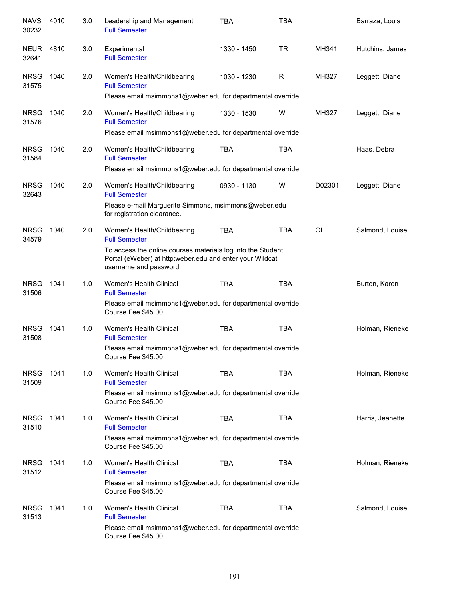| <b>NAVS</b><br>30232 | 4010 | 3.0 | Leadership and Management<br><b>Full Semester</b>                                                                                                 | <b>TBA</b>  | <b>TBA</b> |           | Barraza, Louis   |
|----------------------|------|-----|---------------------------------------------------------------------------------------------------------------------------------------------------|-------------|------------|-----------|------------------|
| <b>NEUR</b><br>32641 | 4810 | 3.0 | Experimental<br><b>Full Semester</b>                                                                                                              | 1330 - 1450 | <b>TR</b>  | MH341     | Hutchins, James  |
| <b>NRSG</b><br>31575 | 1040 | 2.0 | Women's Health/Childbearing<br><b>Full Semester</b>                                                                                               | 1030 - 1230 | R          | MH327     | Leggett, Diane   |
|                      |      |     | Please email msimmons1@weber.edu for departmental override.                                                                                       |             |            |           |                  |
| <b>NRSG</b><br>31576 | 1040 | 2.0 | Women's Health/Childbearing<br><b>Full Semester</b>                                                                                               | 1330 - 1530 | W          | MH327     | Leggett, Diane   |
|                      |      |     | Please email msimmons1@weber.edu for departmental override.                                                                                       |             |            |           |                  |
| <b>NRSG</b><br>31584 | 1040 | 2.0 | Women's Health/Childbearing<br><b>Full Semester</b>                                                                                               | <b>TBA</b>  | <b>TBA</b> |           | Haas, Debra      |
|                      |      |     | Please email msimmons1@weber.edu for departmental override.                                                                                       |             |            |           |                  |
| <b>NRSG</b><br>32643 | 1040 | 2.0 | Women's Health/Childbearing<br><b>Full Semester</b>                                                                                               | 0930 - 1130 | W          | D02301    | Leggett, Diane   |
|                      |      |     | Please e-mail Marguerite Simmons, msimmons@weber.edu<br>for registration clearance.                                                               |             |            |           |                  |
| <b>NRSG</b><br>34579 | 1040 | 2.0 | Women's Health/Childbearing<br><b>Full Semester</b>                                                                                               | <b>TBA</b>  | <b>TBA</b> | <b>OL</b> | Salmond, Louise  |
|                      |      |     | To access the online courses materials log into the Student<br>Portal (eWeber) at http:weber.edu and enter your Wildcat<br>username and password. |             |            |           |                  |
| <b>NRSG</b><br>31506 | 1041 | 1.0 | Women's Health Clinical<br><b>Full Semester</b>                                                                                                   | <b>TBA</b>  | <b>TBA</b> |           | Burton, Karen    |
|                      |      |     | Please email msimmons1@weber.edu for departmental override.<br>Course Fee \$45.00                                                                 |             |            |           |                  |
| <b>NRSG</b><br>31508 | 1041 | 1.0 | Women's Health Clinical<br><b>Full Semester</b>                                                                                                   | <b>TBA</b>  | <b>TBA</b> |           | Holman, Rieneke  |
|                      |      |     | Please email msimmons1@weber.edu for departmental override.<br>Course Fee \$45.00                                                                 |             |            |           |                  |
| <b>NRSG</b><br>31509 | 1041 | 1.0 | Women's Health Clinical<br><b>Full Semester</b>                                                                                                   | <b>TBA</b>  | <b>TBA</b> |           | Holman, Rieneke  |
|                      |      |     | Please email msimmons1@weber.edu for departmental override.<br>Course Fee \$45.00                                                                 |             |            |           |                  |
| <b>NRSG</b><br>31510 | 1041 | 1.0 | Women's Health Clinical<br><b>Full Semester</b>                                                                                                   | <b>TBA</b>  | TBA        |           | Harris, Jeanette |
|                      |      |     | Please email msimmons1@weber.edu for departmental override.<br>Course Fee \$45.00                                                                 |             |            |           |                  |
| <b>NRSG</b><br>31512 | 1041 | 1.0 | Women's Health Clinical<br><b>Full Semester</b>                                                                                                   | <b>TBA</b>  | <b>TBA</b> |           | Holman, Rieneke  |
|                      |      |     | Please email msimmons1@weber.edu for departmental override.<br>Course Fee \$45.00                                                                 |             |            |           |                  |
| <b>NRSG</b><br>31513 | 1041 | 1.0 | Women's Health Clinical<br><b>Full Semester</b>                                                                                                   | <b>TBA</b>  | <b>TBA</b> |           | Salmond, Louise  |
|                      |      |     | Please email msimmons1@weber.edu for departmental override.<br>Course Fee \$45.00                                                                 |             |            |           |                  |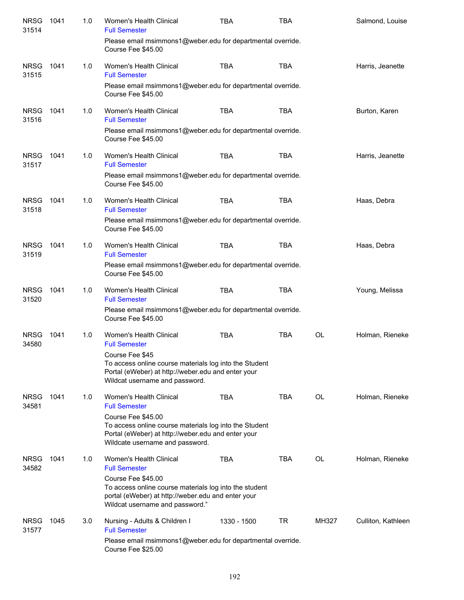| <b>NRSG</b><br>31514 | 1041 | 1.0 | Women's Health Clinical<br><b>Full Semester</b>                                                                                                                       | <b>TBA</b>  | <b>TBA</b> |           | Salmond, Louise    |
|----------------------|------|-----|-----------------------------------------------------------------------------------------------------------------------------------------------------------------------|-------------|------------|-----------|--------------------|
|                      |      |     | Please email msimmons1@weber.edu for departmental override.<br>Course Fee \$45.00                                                                                     |             |            |           |                    |
| <b>NRSG</b><br>31515 | 1041 | 1.0 | Women's Health Clinical<br><b>Full Semester</b>                                                                                                                       | <b>TBA</b>  | <b>TBA</b> |           | Harris, Jeanette   |
|                      |      |     | Please email msimmons1@weber.edu for departmental override.<br>Course Fee \$45.00                                                                                     |             |            |           |                    |
| <b>NRSG</b><br>31516 | 1041 | 1.0 | Women's Health Clinical<br><b>Full Semester</b>                                                                                                                       | <b>TBA</b>  | <b>TBA</b> |           | Burton, Karen      |
|                      |      |     | Please email msimmons1@weber.edu for departmental override.<br>Course Fee \$45.00                                                                                     |             |            |           |                    |
| <b>NRSG</b><br>31517 | 1041 | 1.0 | Women's Health Clinical<br><b>Full Semester</b>                                                                                                                       | <b>TBA</b>  | <b>TBA</b> |           | Harris, Jeanette   |
|                      |      |     | Please email msimmons1@weber.edu for departmental override.<br>Course Fee \$45.00                                                                                     |             |            |           |                    |
| <b>NRSG</b><br>31518 | 1041 | 1.0 | Women's Health Clinical<br><b>Full Semester</b>                                                                                                                       | <b>TBA</b>  | <b>TBA</b> |           | Haas, Debra        |
|                      |      |     | Please email msimmons1@weber.edu for departmental override.<br>Course Fee \$45.00                                                                                     |             |            |           |                    |
| <b>NRSG</b><br>31519 | 1041 | 1.0 | Women's Health Clinical<br><b>Full Semester</b>                                                                                                                       | <b>TBA</b>  | <b>TBA</b> |           | Haas, Debra        |
|                      |      |     | Please email msimmons1@weber.edu for departmental override.<br>Course Fee \$45.00                                                                                     |             |            |           |                    |
| <b>NRSG</b><br>31520 | 1041 | 1.0 | Women's Health Clinical<br><b>Full Semester</b>                                                                                                                       | <b>TBA</b>  | <b>TBA</b> |           | Young, Melissa     |
|                      |      |     | Please email msimmons1@weber.edu for departmental override.<br>Course Fee \$45.00                                                                                     |             |            |           |                    |
| <b>NRSG</b><br>34580 | 1041 | 1.0 | Women's Health Clinical<br><b>Full Semester</b>                                                                                                                       | <b>TBA</b>  | <b>TBA</b> | <b>OL</b> | Holman, Rieneke    |
|                      |      |     | Course Fee \$45<br>To access online course materials log into the Student<br>Portal (eWeber) at http://weber.edu and enter your<br>Wildcat username and password.     |             |            |           |                    |
| <b>NRSG</b><br>34581 | 1041 | 1.0 | Women's Health Clinical<br><b>Full Semester</b>                                                                                                                       | <b>TBA</b>  | TBA        | <b>OL</b> | Holman, Rieneke    |
|                      |      |     | Course Fee \$45.00<br>To access online course materials log into the Student<br>Portal (eWeber) at http://weber.edu and enter your<br>Wildcate username and password. |             |            |           |                    |
| <b>NRSG</b><br>34582 | 1041 | 1.0 | Women's Health Clinical<br><b>Full Semester</b>                                                                                                                       | <b>TBA</b>  | <b>TBA</b> | OL        | Holman, Rieneke    |
|                      |      |     | Course Fee \$45.00<br>To access online course materials log into the student<br>portal (eWeber) at http://weber.edu and enter your<br>Wildcat username and password." |             |            |           |                    |
| <b>NRSG</b><br>31577 | 1045 | 3.0 | Nursing - Adults & Children I<br><b>Full Semester</b>                                                                                                                 | 1330 - 1500 | TR         | MH327     | Culliton, Kathleen |
|                      |      |     | Please email msimmons1@weber.edu for departmental override.<br>Course Fee \$25.00                                                                                     |             |            |           |                    |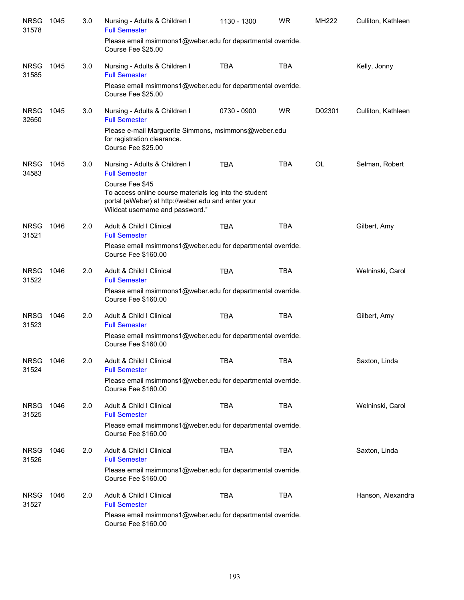| <b>NRSG</b><br>31578 | 1045 | 3.0 | Nursing - Adults & Children I<br><b>Full Semester</b>                                                                                           | 1130 - 1300 | <b>WR</b>  | MH222  | Culliton, Kathleen |
|----------------------|------|-----|-------------------------------------------------------------------------------------------------------------------------------------------------|-------------|------------|--------|--------------------|
|                      |      |     | Please email msimmons1@weber.edu for departmental override.<br>Course Fee \$25.00                                                               |             |            |        |                    |
| <b>NRSG</b><br>31585 | 1045 | 3.0 | Nursing - Adults & Children I<br><b>Full Semester</b>                                                                                           | <b>TBA</b>  | <b>TBA</b> |        | Kelly, Jonny       |
|                      |      |     | Please email msimmons1@weber.edu for departmental override.<br>Course Fee \$25.00                                                               |             |            |        |                    |
| <b>NRSG</b><br>32650 | 1045 | 3.0 | Nursing - Adults & Children I<br><b>Full Semester</b>                                                                                           | 0730 - 0900 | <b>WR</b>  | D02301 | Culliton, Kathleen |
|                      |      |     | Please e-mail Marguerite Simmons, msimmons@weber.edu<br>for registration clearance.<br>Course Fee \$25.00                                       |             |            |        |                    |
| <b>NRSG</b><br>34583 | 1045 | 3.0 | Nursing - Adults & Children I<br><b>Full Semester</b><br>Course Fee \$45                                                                        | <b>TBA</b>  | <b>TBA</b> | OL     | Selman, Robert     |
|                      |      |     | To access online course materials log into the student<br>portal (eWeber) at http://weber.edu and enter your<br>Wildcat username and password." |             |            |        |                    |
| <b>NRSG</b><br>31521 | 1046 | 2.0 | Adult & Child I Clinical<br><b>Full Semester</b>                                                                                                | <b>TBA</b>  | <b>TBA</b> |        | Gilbert, Amy       |
|                      |      |     | Please email msimmons1@weber.edu for departmental override.<br>Course Fee \$160.00                                                              |             |            |        |                    |
| <b>NRSG</b><br>31522 | 1046 | 2.0 | Adult & Child I Clinical<br><b>Full Semester</b>                                                                                                | <b>TBA</b>  | <b>TBA</b> |        | Welninski, Carol   |
|                      |      |     | Please email msimmons1@weber.edu for departmental override.<br>Course Fee \$160.00                                                              |             |            |        |                    |
| <b>NRSG</b><br>31523 | 1046 | 2.0 | Adult & Child I Clinical<br><b>Full Semester</b>                                                                                                | <b>TBA</b>  | <b>TBA</b> |        | Gilbert, Amy       |
|                      |      |     | Please email msimmons1@weber.edu for departmental override.<br>Course Fee \$160.00                                                              |             |            |        |                    |
| <b>NRSG</b><br>31524 | 1046 | 2.0 | Adult & Child I Clinical<br><b>Full Semester</b>                                                                                                | TBA         | TBA        |        | Saxton, Linda      |
|                      |      |     | Please email msimmons1@weber.edu for departmental override.<br>Course Fee \$160.00                                                              |             |            |        |                    |
| <b>NRSG</b><br>31525 | 1046 | 2.0 | Adult & Child I Clinical<br><b>Full Semester</b>                                                                                                | <b>TBA</b>  | <b>TBA</b> |        | Welninski, Carol   |
|                      |      |     | Please email msimmons1@weber.edu for departmental override.<br>Course Fee \$160.00                                                              |             |            |        |                    |
| <b>NRSG</b><br>31526 | 1046 | 2.0 | Adult & Child I Clinical<br><b>Full Semester</b>                                                                                                | <b>TBA</b>  | <b>TBA</b> |        | Saxton, Linda      |
|                      |      |     | Please email msimmons1@weber.edu for departmental override.<br>Course Fee \$160.00                                                              |             |            |        |                    |
| <b>NRSG</b><br>31527 | 1046 | 2.0 | Adult & Child I Clinical<br><b>Full Semester</b>                                                                                                | <b>TBA</b>  | <b>TBA</b> |        | Hanson, Alexandra  |
|                      |      |     | Please email msimmons1@weber.edu for departmental override.<br>Course Fee \$160.00                                                              |             |            |        |                    |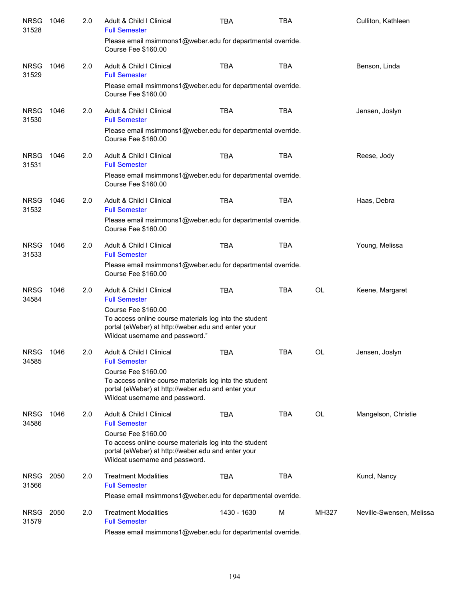| <b>NRSG</b><br>31528 | 1046 | 2.0 | Adult & Child I Clinical<br><b>Full Semester</b><br>Please email msimmons1@weber.edu for departmental override.<br>Course Fee \$160.00                                 | <b>TBA</b>  | <b>TBA</b> |           | Culliton, Kathleen       |
|----------------------|------|-----|------------------------------------------------------------------------------------------------------------------------------------------------------------------------|-------------|------------|-----------|--------------------------|
| <b>NRSG</b><br>31529 | 1046 | 2.0 | Adult & Child I Clinical<br><b>Full Semester</b>                                                                                                                       | <b>TBA</b>  | <b>TBA</b> |           | Benson, Linda            |
|                      |      |     | Please email msimmons1@weber.edu for departmental override.<br>Course Fee \$160.00                                                                                     |             |            |           |                          |
| <b>NRSG</b><br>31530 | 1046 | 2.0 | Adult & Child I Clinical<br><b>Full Semester</b>                                                                                                                       | <b>TBA</b>  | <b>TBA</b> |           | Jensen, Joslyn           |
|                      |      |     | Please email msimmons1@weber.edu for departmental override.<br>Course Fee \$160.00                                                                                     |             |            |           |                          |
| <b>NRSG</b><br>31531 | 1046 | 2.0 | Adult & Child I Clinical<br><b>Full Semester</b>                                                                                                                       | <b>TBA</b>  | <b>TBA</b> |           | Reese, Jody              |
|                      |      |     | Please email msimmons1@weber.edu for departmental override.<br>Course Fee \$160.00                                                                                     |             |            |           |                          |
| <b>NRSG</b><br>31532 | 1046 | 2.0 | Adult & Child I Clinical<br><b>Full Semester</b>                                                                                                                       | <b>TBA</b>  | <b>TBA</b> |           | Haas, Debra              |
|                      |      |     | Please email msimmons1@weber.edu for departmental override.<br>Course Fee \$160.00                                                                                     |             |            |           |                          |
| <b>NRSG</b><br>31533 | 1046 | 2.0 | Adult & Child I Clinical<br><b>Full Semester</b>                                                                                                                       | <b>TBA</b>  | <b>TBA</b> |           | Young, Melissa           |
|                      |      |     | Please email msimmons1@weber.edu for departmental override.<br>Course Fee \$160.00                                                                                     |             |            |           |                          |
| <b>NRSG</b><br>34584 | 1046 | 2.0 | Adult & Child I Clinical<br><b>Full Semester</b>                                                                                                                       | <b>TBA</b>  | <b>TBA</b> | <b>OL</b> | Keene, Margaret          |
|                      |      |     | Course Fee \$160.00<br>To access online course materials log into the student<br>portal (eWeber) at http://weber.edu and enter your<br>Wildcat username and password." |             |            |           |                          |
| <b>NRSG</b><br>34585 | 1046 | 2.0 | Adult & Child I Clinical<br><b>Full Semester</b>                                                                                                                       | <b>TBA</b>  | <b>TBA</b> | OL        | Jensen, Joslyn           |
|                      |      |     | Course Fee \$160.00<br>To access online course materials log into the student<br>portal (eWeber) at http://weber.edu and enter your<br>Wildcat username and password.  |             |            |           |                          |
| <b>NRSG</b><br>34586 | 1046 | 2.0 | Adult & Child I Clinical<br><b>Full Semester</b>                                                                                                                       | <b>TBA</b>  | <b>TBA</b> | OL        | Mangelson, Christie      |
|                      |      |     | Course Fee \$160.00<br>To access online course materials log into the student<br>portal (eWeber) at http://weber.edu and enter your<br>Wildcat username and password.  |             |            |           |                          |
| <b>NRSG</b><br>31566 | 2050 | 2.0 | <b>Treatment Modalities</b><br><b>Full Semester</b>                                                                                                                    | <b>TBA</b>  | <b>TBA</b> |           | Kuncl, Nancy             |
|                      |      |     | Please email msimmons1@weber.edu for departmental override.                                                                                                            |             |            |           |                          |
| <b>NRSG</b><br>31579 | 2050 | 2.0 | <b>Treatment Modalities</b><br><b>Full Semester</b>                                                                                                                    | 1430 - 1630 | M          | MH327     | Neville-Swensen, Melissa |
|                      |      |     | Please email msimmons1@weber edu for denartmental override                                                                                                             |             |            |           |                          |

Please email msimmons1@weber.edu for departmental override.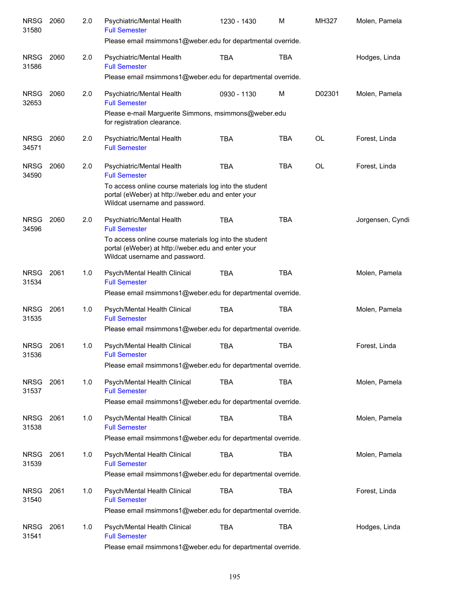| <b>NRSG</b><br>31580 | 2060 | 2.0 | Psychiatric/Mental Health<br><b>Full Semester</b>                                                                                              | 1230 - 1430 | M          | MH327     | Molen, Pamela    |
|----------------------|------|-----|------------------------------------------------------------------------------------------------------------------------------------------------|-------------|------------|-----------|------------------|
|                      |      |     | Please email msimmons1@weber.edu for departmental override.                                                                                    |             |            |           |                  |
| <b>NRSG</b><br>31586 | 2060 | 2.0 | Psychiatric/Mental Health<br><b>Full Semester</b>                                                                                              | <b>TBA</b>  | <b>TBA</b> |           | Hodges, Linda    |
|                      |      |     | Please email msimmons1@weber.edu for departmental override.                                                                                    |             |            |           |                  |
| <b>NRSG</b><br>32653 | 2060 | 2.0 | Psychiatric/Mental Health<br><b>Full Semester</b>                                                                                              | 0930 - 1130 | M          | D02301    | Molen, Pamela    |
|                      |      |     | Please e-mail Marguerite Simmons, msimmons@weber.edu<br>for registration clearance.                                                            |             |            |           |                  |
| <b>NRSG</b><br>34571 | 2060 | 2.0 | Psychiatric/Mental Health<br><b>Full Semester</b>                                                                                              | <b>TBA</b>  | <b>TBA</b> | OL        | Forest, Linda    |
| <b>NRSG</b><br>34590 | 2060 | 2.0 | Psychiatric/Mental Health<br><b>Full Semester</b>                                                                                              | <b>TBA</b>  | <b>TBA</b> | <b>OL</b> | Forest, Linda    |
|                      |      |     | To access online course materials log into the student<br>portal (eWeber) at http://weber.edu and enter your<br>Wildcat username and password. |             |            |           |                  |
| <b>NRSG</b><br>34596 | 2060 | 2.0 | Psychiatric/Mental Health<br><b>Full Semester</b>                                                                                              | <b>TBA</b>  | <b>TBA</b> |           | Jorgensen, Cyndi |
|                      |      |     | To access online course materials log into the student<br>portal (eWeber) at http://weber.edu and enter your<br>Wildcat username and password. |             |            |           |                  |
| <b>NRSG</b><br>31534 | 2061 | 1.0 | Psych/Mental Health Clinical<br><b>Full Semester</b>                                                                                           | <b>TBA</b>  | <b>TBA</b> |           | Molen, Pamela    |
|                      |      |     | Please email msimmons1@weber.edu for departmental override.                                                                                    |             |            |           |                  |
| <b>NRSG</b><br>31535 | 2061 | 1.0 | Psych/Mental Health Clinical<br><b>Full Semester</b>                                                                                           | <b>TBA</b>  | <b>TBA</b> |           | Molen, Pamela    |
|                      |      |     | Please email msimmons1@weber.edu for departmental override.                                                                                    |             |            |           |                  |
| <b>NRSG</b><br>31536 | 2061 | 1.0 | Psych/Mental Health Clinical<br><b>Full Semester</b>                                                                                           | <b>TBA</b>  | <b>TBA</b> |           | Forest, Linda    |
|                      |      |     | Please email msimmons1@weber.edu for departmental override.                                                                                    |             |            |           |                  |
| <b>NRSG</b><br>31537 | 2061 | 1.0 | Psych/Mental Health Clinical<br><b>Full Semester</b>                                                                                           | <b>TBA</b>  | <b>TBA</b> |           | Molen, Pamela    |
|                      |      |     | Please email msimmons1@weber.edu for departmental override.                                                                                    |             |            |           |                  |
| <b>NRSG</b><br>31538 | 2061 | 1.0 | Psych/Mental Health Clinical<br><b>Full Semester</b>                                                                                           | <b>TBA</b>  | <b>TBA</b> |           | Molen, Pamela    |
|                      |      |     | Please email msimmons1@weber.edu for departmental override.                                                                                    |             |            |           |                  |
| <b>NRSG</b><br>31539 | 2061 | 1.0 | Psych/Mental Health Clinical<br><b>Full Semester</b>                                                                                           | <b>TBA</b>  | <b>TBA</b> |           | Molen, Pamela    |
|                      |      |     | Please email msimmons1@weber.edu for departmental override.                                                                                    |             |            |           |                  |
| <b>NRSG</b><br>31540 | 2061 | 1.0 | Psych/Mental Health Clinical<br><b>Full Semester</b>                                                                                           | <b>TBA</b>  | <b>TBA</b> |           | Forest, Linda    |
|                      |      |     | Please email msimmons1@weber.edu for departmental override.                                                                                    |             |            |           |                  |
| <b>NRSG</b><br>31541 | 2061 | 1.0 | Psych/Mental Health Clinical<br><b>Full Semester</b><br>Please email msimmons1@weber.edu for departmental override.                            | <b>TBA</b>  | <b>TBA</b> |           | Hodges, Linda    |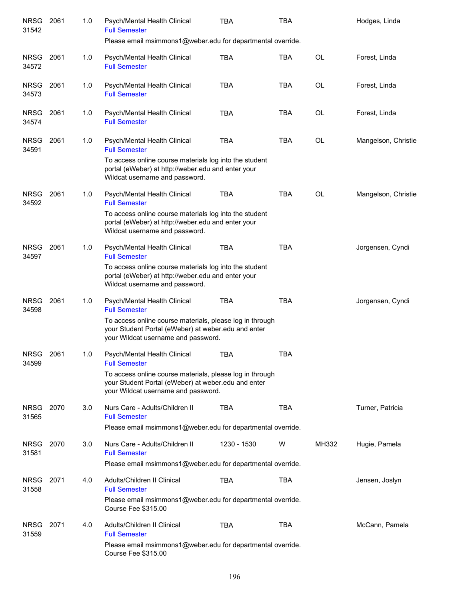| <b>NRSG</b><br>31542 | 2061 | 1.0 | Psych/Mental Health Clinical<br><b>Full Semester</b>                                                                                                   | TBA         | <b>TBA</b> |           | Hodges, Linda       |
|----------------------|------|-----|--------------------------------------------------------------------------------------------------------------------------------------------------------|-------------|------------|-----------|---------------------|
|                      |      |     | Please email msimmons1@weber.edu for departmental override.                                                                                            |             |            |           |                     |
| <b>NRSG</b><br>34572 | 2061 | 1.0 | Psych/Mental Health Clinical<br><b>Full Semester</b>                                                                                                   | <b>TBA</b>  | <b>TBA</b> | <b>OL</b> | Forest, Linda       |
| <b>NRSG</b><br>34573 | 2061 | 1.0 | Psych/Mental Health Clinical<br><b>Full Semester</b>                                                                                                   | <b>TBA</b>  | <b>TBA</b> | <b>OL</b> | Forest, Linda       |
| <b>NRSG</b><br>34574 | 2061 | 1.0 | Psych/Mental Health Clinical<br><b>Full Semester</b>                                                                                                   | <b>TBA</b>  | <b>TBA</b> | <b>OL</b> | Forest, Linda       |
| <b>NRSG</b><br>34591 | 2061 | 1.0 | Psych/Mental Health Clinical<br><b>Full Semester</b>                                                                                                   | <b>TBA</b>  | <b>TBA</b> | <b>OL</b> | Mangelson, Christie |
|                      |      |     | To access online course materials log into the student<br>portal (eWeber) at http://weber.edu and enter your<br>Wildcat username and password.         |             |            |           |                     |
| <b>NRSG</b><br>34592 | 2061 | 1.0 | Psych/Mental Health Clinical<br><b>Full Semester</b>                                                                                                   | <b>TBA</b>  | <b>TBA</b> | OL        | Mangelson, Christie |
|                      |      |     | To access online course materials log into the student<br>portal (eWeber) at http://weber.edu and enter your<br>Wildcat username and password.         |             |            |           |                     |
| <b>NRSG</b><br>34597 | 2061 | 1.0 | Psych/Mental Health Clinical<br><b>Full Semester</b>                                                                                                   | <b>TBA</b>  | <b>TBA</b> |           | Jorgensen, Cyndi    |
|                      |      |     | To access online course materials log into the student<br>portal (eWeber) at http://weber.edu and enter your<br>Wildcat username and password.         |             |            |           |                     |
| <b>NRSG</b><br>34598 | 2061 | 1.0 | Psych/Mental Health Clinical<br><b>Full Semester</b>                                                                                                   | <b>TBA</b>  | <b>TBA</b> |           | Jorgensen, Cyndi    |
|                      |      |     | To access online course materials, please log in through<br>your Student Portal (eWeber) at weber.edu and enter<br>your Wildcat username and password. |             |            |           |                     |
| <b>NRSG</b><br>34599 | 2061 | 1.0 | Psych/Mental Health Clinical<br><b>Full Semester</b>                                                                                                   | TBA         | <b>TBA</b> |           |                     |
|                      |      |     | To access online course materials, please log in through<br>your Student Portal (eWeber) at weber.edu and enter<br>your Wildcat username and password. |             |            |           |                     |
| NRSG<br>31565        | 2070 | 3.0 | Nurs Care - Adults/Children II<br><b>Full Semester</b>                                                                                                 | <b>TBA</b>  | <b>TBA</b> |           | Turner, Patricia    |
|                      |      |     | Please email msimmons1@weber.edu for departmental override.                                                                                            |             |            |           |                     |
| <b>NRSG</b><br>31581 | 2070 | 3.0 | Nurs Care - Adults/Children II<br><b>Full Semester</b><br>Please email msimmons1@weber.edu for departmental override.                                  | 1230 - 1530 | W          | MH332     | Hugie, Pamela       |
| <b>NRSG</b><br>31558 | 2071 | 4.0 | Adults/Children II Clinical<br><b>Full Semester</b>                                                                                                    | <b>TBA</b>  | <b>TBA</b> |           | Jensen, Joslyn      |
|                      |      |     | Please email msimmons1@weber.edu for departmental override.<br>Course Fee \$315.00                                                                     |             |            |           |                     |
| <b>NRSG</b><br>31559 | 2071 | 4.0 | Adults/Children II Clinical<br><b>Full Semester</b>                                                                                                    | <b>TBA</b>  | <b>TBA</b> |           | McCann, Pamela      |
|                      |      |     | Please email msimmons1@weber.edu for departmental override.<br>Course Fee \$315.00                                                                     |             |            |           |                     |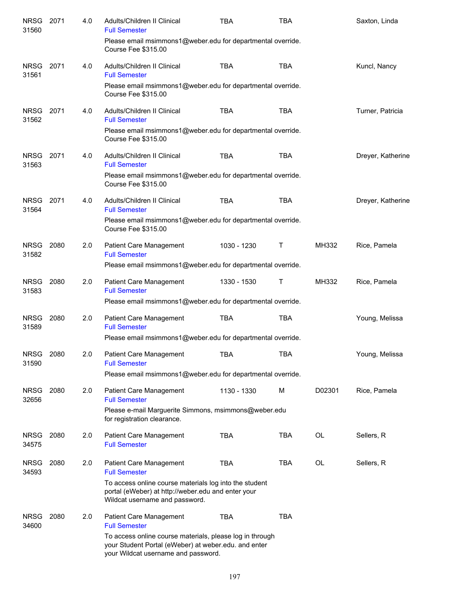| <b>NRSG</b><br>31560 | 2071 | 4.0 | Adults/Children II Clinical<br><b>Full Semester</b>                                                                                                     | <b>TBA</b>  | <b>TBA</b> |           | Saxton, Linda     |
|----------------------|------|-----|---------------------------------------------------------------------------------------------------------------------------------------------------------|-------------|------------|-----------|-------------------|
|                      |      |     | Please email msimmons1@weber.edu for departmental override.<br>Course Fee \$315.00                                                                      |             |            |           |                   |
| <b>NRSG</b><br>31561 | 2071 | 4.0 | Adults/Children II Clinical<br><b>Full Semester</b>                                                                                                     | <b>TBA</b>  | <b>TBA</b> |           | Kuncl, Nancy      |
|                      |      |     | Please email msimmons1@weber.edu for departmental override.<br>Course Fee \$315.00                                                                      |             |            |           |                   |
| NRSG<br>31562        | 2071 | 4.0 | Adults/Children II Clinical<br><b>Full Semester</b>                                                                                                     | <b>TBA</b>  | <b>TBA</b> |           | Turner, Patricia  |
|                      |      |     | Please email msimmons1@weber.edu for departmental override.<br>Course Fee \$315.00                                                                      |             |            |           |                   |
| <b>NRSG</b><br>31563 | 2071 | 4.0 | Adults/Children II Clinical<br><b>Full Semester</b>                                                                                                     | <b>TBA</b>  | <b>TBA</b> |           | Dreyer, Katherine |
|                      |      |     | Please email msimmons1@weber.edu for departmental override.<br><b>Course Fee \$315.00</b>                                                               |             |            |           |                   |
| <b>NRSG</b><br>31564 | 2071 | 4.0 | Adults/Children II Clinical<br><b>Full Semester</b>                                                                                                     | <b>TBA</b>  | <b>TBA</b> |           | Dreyer, Katherine |
|                      |      |     | Please email msimmons1@weber.edu for departmental override.<br>Course Fee \$315.00                                                                      |             |            |           |                   |
| <b>NRSG</b><br>31582 | 2080 | 2.0 | Patient Care Management<br><b>Full Semester</b>                                                                                                         | 1030 - 1230 | Τ          | MH332     | Rice, Pamela      |
|                      |      |     | Please email msimmons1@weber.edu for departmental override.                                                                                             |             |            |           |                   |
| <b>NRSG</b><br>31583 | 2080 | 2.0 | Patient Care Management<br><b>Full Semester</b>                                                                                                         | 1330 - 1530 | Т          | MH332     | Rice, Pamela      |
|                      |      |     | Please email msimmons1@weber.edu for departmental override.                                                                                             |             |            |           |                   |
| <b>NRSG</b><br>31589 | 2080 | 2.0 | Patient Care Management<br><b>Full Semester</b>                                                                                                         | <b>TBA</b>  | <b>TBA</b> |           | Young, Melissa    |
|                      |      |     | Please email msimmons1@weber.edu for departmental override.                                                                                             |             |            |           |                   |
| <b>NRSG</b><br>31590 | 2080 | 2.0 | Patient Care Management<br><b>Full Semester</b>                                                                                                         | <b>TBA</b>  | <b>TBA</b> |           | Young, Melissa    |
|                      |      |     | Please email msimmons1@weber.edu for departmental override.                                                                                             |             |            |           |                   |
| <b>NRSG</b><br>32656 | 2080 | 2.0 | Patient Care Management<br><b>Full Semester</b>                                                                                                         | 1130 - 1330 | M          | D02301    | Rice, Pamela      |
|                      |      |     | Please e-mail Marguerite Simmons, msimmons@weber.edu<br>for registration clearance.                                                                     |             |            |           |                   |
| <b>NRSG</b><br>34575 | 2080 | 2.0 | Patient Care Management<br><b>Full Semester</b>                                                                                                         | <b>TBA</b>  | <b>TBA</b> | <b>OL</b> | Sellers, R        |
| <b>NRSG</b><br>34593 | 2080 | 2.0 | Patient Care Management<br><b>Full Semester</b>                                                                                                         | <b>TBA</b>  | <b>TBA</b> | OL        | Sellers, R        |
|                      |      |     | To access online course materials log into the student<br>portal (eWeber) at http://weber.edu and enter your<br>Wildcat username and password.          |             |            |           |                   |
| <b>NRSG</b><br>34600 | 2080 | 2.0 | Patient Care Management<br><b>Full Semester</b>                                                                                                         | <b>TBA</b>  | <b>TBA</b> |           |                   |
|                      |      |     | To access online course materials, please log in through<br>your Student Portal (eWeber) at weber.edu. and enter<br>your Wildcat username and password. |             |            |           |                   |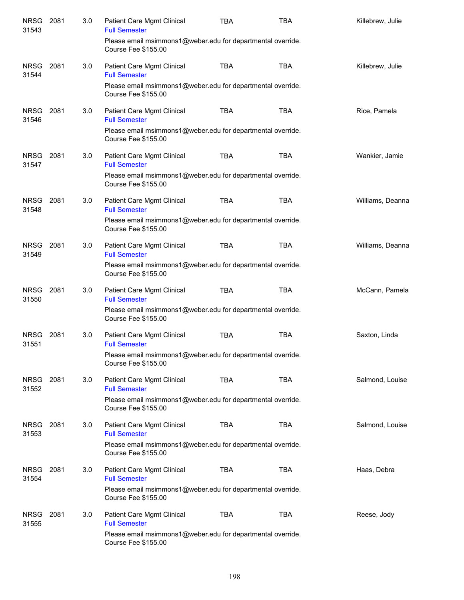| NRSG 2081<br>31543   |      | 3.0 | Patient Care Mgmt Clinical<br><b>Full Semester</b>                                        | <b>TBA</b> | <b>TBA</b> | Killebrew, Julie |
|----------------------|------|-----|-------------------------------------------------------------------------------------------|------------|------------|------------------|
|                      |      |     | Please email msimmons1@weber.edu for departmental override.<br>Course Fee \$155.00        |            |            |                  |
| <b>NRSG</b><br>31544 | 2081 | 3.0 | Patient Care Mgmt Clinical<br><b>Full Semester</b>                                        | <b>TBA</b> | <b>TBA</b> | Killebrew, Julie |
|                      |      |     | Please email msimmons1@weber.edu for departmental override.<br>Course Fee \$155.00        |            |            |                  |
| <b>NRSG</b><br>31546 | 2081 | 3.0 | Patient Care Mgmt Clinical<br><b>Full Semester</b>                                        | <b>TBA</b> | <b>TBA</b> | Rice, Pamela     |
|                      |      |     | Please email msimmons1@weber.edu for departmental override.<br><b>Course Fee \$155.00</b> |            |            |                  |
| <b>NRSG</b><br>31547 | 2081 | 3.0 | Patient Care Mgmt Clinical<br><b>Full Semester</b>                                        | <b>TBA</b> | <b>TBA</b> | Wankier, Jamie   |
|                      |      |     | Please email msimmons1@weber.edu for departmental override.<br><b>Course Fee \$155.00</b> |            |            |                  |
| <b>NRSG</b><br>31548 | 2081 | 3.0 | Patient Care Mgmt Clinical<br><b>Full Semester</b>                                        | <b>TBA</b> | <b>TBA</b> | Williams, Deanna |
|                      |      |     | Please email msimmons1@weber.edu for departmental override.<br><b>Course Fee \$155.00</b> |            |            |                  |
| <b>NRSG</b><br>31549 | 2081 | 3.0 | Patient Care Mgmt Clinical<br><b>Full Semester</b>                                        | <b>TBA</b> | <b>TBA</b> | Williams, Deanna |
|                      |      |     | Please email msimmons1@weber.edu for departmental override.<br><b>Course Fee \$155.00</b> |            |            |                  |
| <b>NRSG</b><br>31550 | 2081 | 3.0 | Patient Care Mgmt Clinical<br><b>Full Semester</b>                                        | <b>TBA</b> | <b>TBA</b> | McCann, Pamela   |
|                      |      |     | Please email msimmons1@weber.edu for departmental override.<br>Course Fee \$155.00        |            |            |                  |
| NRSG<br>31551        | 2081 | 3.0 | Patient Care Mgmt Clinical<br><b>Full Semester</b>                                        | <b>TBA</b> | <b>TBA</b> | Saxton, Linda    |
|                      |      |     | Please email msimmons1@weber.edu for departmental override.<br><b>Course Fee \$155.00</b> |            |            |                  |
| <b>NRSG</b><br>31552 | 2081 | 3.0 | Patient Care Mgmt Clinical<br><b>Full Semester</b>                                        | <b>TBA</b> | <b>TBA</b> | Salmond, Louise  |
|                      |      |     | Please email msimmons1@weber.edu for departmental override.<br><b>Course Fee \$155.00</b> |            |            |                  |
| <b>NRSG</b><br>31553 | 2081 | 3.0 | Patient Care Mgmt Clinical<br><b>Full Semester</b>                                        | <b>TBA</b> | <b>TBA</b> | Salmond, Louise  |
|                      |      |     | Please email msimmons1@weber.edu for departmental override.<br><b>Course Fee \$155.00</b> |            |            |                  |
| <b>NRSG</b><br>31554 | 2081 | 3.0 | Patient Care Mgmt Clinical<br><b>Full Semester</b>                                        | <b>TBA</b> | <b>TBA</b> | Haas, Debra      |
|                      |      |     | Please email msimmons1@weber.edu for departmental override.<br>Course Fee \$155.00        |            |            |                  |
| <b>NRSG</b><br>31555 | 2081 | 3.0 | Patient Care Mgmt Clinical<br><b>Full Semester</b>                                        | <b>TBA</b> | <b>TBA</b> | Reese, Jody      |
|                      |      |     | Please email msimmons1@weber.edu for departmental override.<br><b>Course Fee \$155.00</b> |            |            |                  |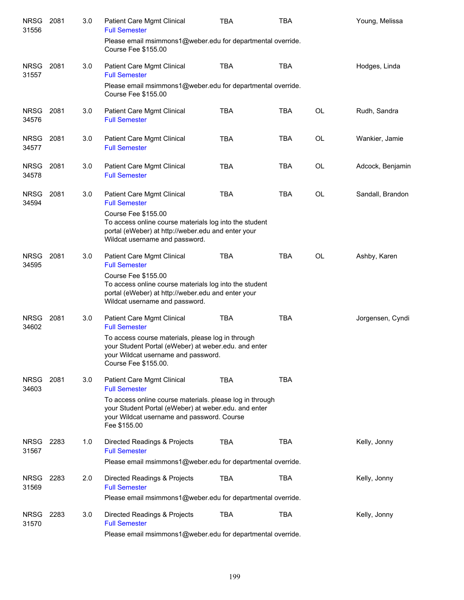| <b>NRSG</b><br>31556 | 2081 | 3.0 | Patient Care Mgmt Clinical<br><b>Full Semester</b>                                                                                                                             | TBA        | <b>TBA</b> |           | Young, Melissa   |
|----------------------|------|-----|--------------------------------------------------------------------------------------------------------------------------------------------------------------------------------|------------|------------|-----------|------------------|
|                      |      |     | Please email msimmons1@weber.edu for departmental override.<br><b>Course Fee \$155.00</b>                                                                                      |            |            |           |                  |
| <b>NRSG</b><br>31557 | 2081 | 3.0 | Patient Care Mgmt Clinical<br><b>Full Semester</b>                                                                                                                             | <b>TBA</b> | <b>TBA</b> |           | Hodges, Linda    |
|                      |      |     | Please email msimmons1@weber.edu for departmental override.<br><b>Course Fee \$155.00</b>                                                                                      |            |            |           |                  |
| <b>NRSG</b><br>34576 | 2081 | 3.0 | Patient Care Mgmt Clinical<br><b>Full Semester</b>                                                                                                                             | <b>TBA</b> | <b>TBA</b> | <b>OL</b> | Rudh, Sandra     |
| <b>NRSG</b><br>34577 | 2081 | 3.0 | Patient Care Mgmt Clinical<br><b>Full Semester</b>                                                                                                                             | <b>TBA</b> | TBA        | <b>OL</b> | Wankier, Jamie   |
| <b>NRSG</b><br>34578 | 2081 | 3.0 | Patient Care Mgmt Clinical<br><b>Full Semester</b>                                                                                                                             | <b>TBA</b> | <b>TBA</b> | <b>OL</b> | Adcock, Benjamin |
| <b>NRSG</b><br>34594 | 2081 | 3.0 | Patient Care Mgmt Clinical<br><b>Full Semester</b>                                                                                                                             | <b>TBA</b> | <b>TBA</b> | OL        | Sandall, Brandon |
|                      |      |     | <b>Course Fee \$155.00</b><br>To access online course materials log into the student<br>portal (eWeber) at http://weber.edu and enter your<br>Wildcat username and password.   |            |            |           |                  |
| <b>NRSG</b><br>34595 | 2081 | 3.0 | Patient Care Mgmt Clinical<br><b>Full Semester</b>                                                                                                                             | <b>TBA</b> | <b>TBA</b> | <b>OL</b> | Ashby, Karen     |
|                      |      |     | <b>Course Fee \$155.00</b><br>To access online course materials log into the student<br>portal (eWeber) at http://weber.edu and enter your<br>Wildcat username and password.   |            |            |           |                  |
| <b>NRSG</b><br>34602 | 2081 | 3.0 | Patient Care Mgmt Clinical<br><b>Full Semester</b>                                                                                                                             | <b>TBA</b> | <b>TBA</b> |           | Jorgensen, Cyndi |
|                      |      |     | To access course materials, please log in through<br>your Student Portal (eWeber) at weber.edu. and enter<br>your Wildcat username and password.<br>Course Fee \$155.00.       |            |            |           |                  |
| <b>NRSG</b><br>34603 | 2081 | 3.0 | Patient Care Mgmt Clinical<br><b>Full Semester</b>                                                                                                                             | <b>TBA</b> | <b>TBA</b> |           |                  |
|                      |      |     | To access online course materials. please log in through<br>your Student Portal (eWeber) at weber.edu. and enter<br>your Wildcat username and password. Course<br>Fee \$155.00 |            |            |           |                  |
| <b>NRSG</b><br>31567 | 2283 | 1.0 | Directed Readings & Projects<br><b>Full Semester</b>                                                                                                                           | <b>TBA</b> | <b>TBA</b> |           | Kelly, Jonny     |
|                      |      |     | Please email msimmons1@weber.edu for departmental override.                                                                                                                    |            |            |           |                  |
| <b>NRSG</b><br>31569 | 2283 | 2.0 | Directed Readings & Projects<br><b>Full Semester</b>                                                                                                                           | <b>TBA</b> | TBA        |           | Kelly, Jonny     |
|                      |      |     | Please email msimmons1@weber.edu for departmental override.                                                                                                                    |            |            |           |                  |
| <b>NRSG</b><br>31570 | 2283 | 3.0 | Directed Readings & Projects<br><b>Full Semester</b>                                                                                                                           | <b>TBA</b> | TBA        |           | Kelly, Jonny     |
|                      |      |     | Please email msimmons1@weber.edu for departmental override.                                                                                                                    |            |            |           |                  |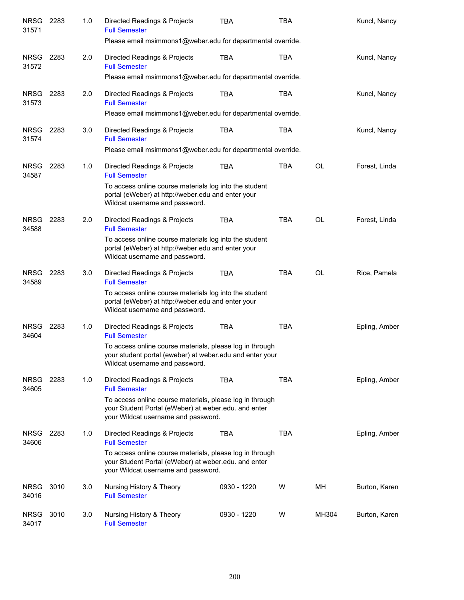| <b>NRSG</b><br>31571 | 2283 | 1.0 | Directed Readings & Projects<br><b>Full Semester</b>                                                                                                    | <b>TBA</b>  | <b>TBA</b> |           | Kuncl, Nancy  |
|----------------------|------|-----|---------------------------------------------------------------------------------------------------------------------------------------------------------|-------------|------------|-----------|---------------|
|                      |      |     | Please email msimmons1@weber.edu for departmental override.                                                                                             |             |            |           |               |
| <b>NRSG</b><br>31572 | 2283 | 2.0 | Directed Readings & Projects<br><b>Full Semester</b>                                                                                                    | TBA         | <b>TBA</b> |           | Kuncl, Nancy  |
|                      |      |     | Please email msimmons1@weber.edu for departmental override.                                                                                             |             |            |           |               |
| <b>NRSG</b><br>31573 | 2283 | 2.0 | Directed Readings & Projects<br><b>Full Semester</b>                                                                                                    | <b>TBA</b>  | <b>TBA</b> |           | Kuncl, Nancy  |
|                      |      |     | Please email msimmons1@weber.edu for departmental override.                                                                                             |             |            |           |               |
| <b>NRSG</b><br>31574 | 2283 | 3.0 | Directed Readings & Projects<br><b>Full Semester</b>                                                                                                    | <b>TBA</b>  | <b>TBA</b> |           | Kuncl, Nancy  |
|                      |      |     | Please email msimmons1@weber.edu for departmental override.                                                                                             |             |            |           |               |
| <b>NRSG</b><br>34587 | 2283 | 1.0 | Directed Readings & Projects<br><b>Full Semester</b>                                                                                                    | <b>TBA</b>  | <b>TBA</b> | <b>OL</b> | Forest, Linda |
|                      |      |     | To access online course materials log into the student<br>portal (eWeber) at http://weber.edu and enter your<br>Wildcat username and password.          |             |            |           |               |
| <b>NRSG</b><br>34588 | 2283 | 2.0 | Directed Readings & Projects<br><b>Full Semester</b>                                                                                                    | <b>TBA</b>  | <b>TBA</b> | <b>OL</b> | Forest, Linda |
|                      |      |     | To access online course materials log into the student<br>portal (eWeber) at http://weber.edu and enter your<br>Wildcat username and password.          |             |            |           |               |
| <b>NRSG</b><br>34589 | 2283 | 3.0 | Directed Readings & Projects<br><b>Full Semester</b>                                                                                                    | <b>TBA</b>  | <b>TBA</b> | <b>OL</b> | Rice, Pamela  |
|                      |      |     | To access online course materials log into the student<br>portal (eWeber) at http://weber.edu and enter your<br>Wildcat username and password.          |             |            |           |               |
| <b>NRSG</b><br>34604 | 2283 | 1.0 | Directed Readings & Projects<br><b>Full Semester</b>                                                                                                    | <b>TBA</b>  | <b>TBA</b> |           | Epling, Amber |
|                      |      |     | To access online course materials, please log in through<br>your student portal (eweber) at weber edu and enter your<br>Wildcat username and password.  |             |            |           |               |
| <b>NRSG</b><br>34605 | 2283 | 1.0 | Directed Readings & Projects<br><b>Full Semester</b>                                                                                                    | <b>TBA</b>  | <b>TBA</b> |           | Epling, Amber |
|                      |      |     | To access online course materials, please log in through<br>your Student Portal (eWeber) at weber.edu. and enter<br>your Wildcat username and password. |             |            |           |               |
| <b>NRSG</b><br>34606 | 2283 | 1.0 | Directed Readings & Projects<br><b>Full Semester</b>                                                                                                    | <b>TBA</b>  | TBA        |           | Epling, Amber |
|                      |      |     | To access online course materials, please log in through<br>your Student Portal (eWeber) at weber.edu. and enter<br>your Wildcat username and password. |             |            |           |               |
| <b>NRSG</b><br>34016 | 3010 | 3.0 | Nursing History & Theory<br><b>Full Semester</b>                                                                                                        | 0930 - 1220 | W          | MН        | Burton, Karen |
| <b>NRSG</b><br>34017 | 3010 | 3.0 | Nursing History & Theory<br><b>Full Semester</b>                                                                                                        | 0930 - 1220 | W          | MH304     | Burton, Karen |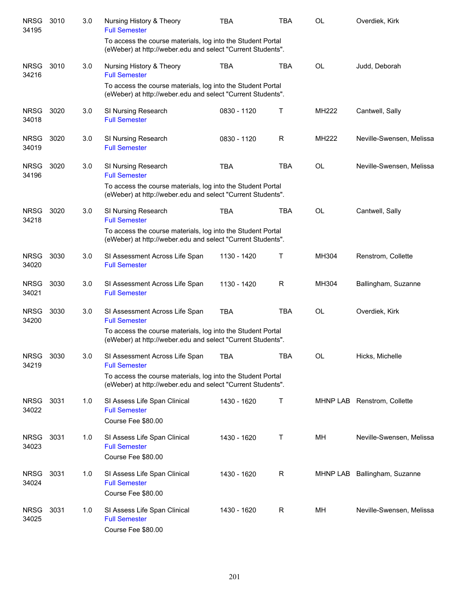| <b>NRSG</b><br>34195 | 3010 | 3.0 | Nursing History & Theory<br><b>Full Semester</b>                                                                           | <b>TBA</b>  | <b>TBA</b> | <b>OL</b>    | Overdiek, Kirk               |
|----------------------|------|-----|----------------------------------------------------------------------------------------------------------------------------|-------------|------------|--------------|------------------------------|
|                      |      |     | To access the course materials, log into the Student Portal<br>(eWeber) at http://weber.edu and select "Current Students". |             |            |              |                              |
| <b>NRSG</b><br>34216 | 3010 | 3.0 | Nursing History & Theory<br><b>Full Semester</b>                                                                           | <b>TBA</b>  | <b>TBA</b> | <b>OL</b>    | Judd, Deborah                |
|                      |      |     | To access the course materials, log into the Student Portal<br>(eWeber) at http://weber.edu and select "Current Students". |             |            |              |                              |
| <b>NRSG</b><br>34018 | 3020 | 3.0 | SI Nursing Research<br><b>Full Semester</b>                                                                                | 0830 - 1120 | Τ          | MH222        | Cantwell, Sally              |
| <b>NRSG</b><br>34019 | 3020 | 3.0 | SI Nursing Research<br><b>Full Semester</b>                                                                                | 0830 - 1120 | R          | <b>MH222</b> | Neville-Swensen, Melissa     |
| <b>NRSG</b><br>34196 | 3020 | 3.0 | SI Nursing Research<br><b>Full Semester</b>                                                                                | <b>TBA</b>  | <b>TBA</b> | <b>OL</b>    | Neville-Swensen, Melissa     |
|                      |      |     | To access the course materials, log into the Student Portal<br>(eWeber) at http://weber.edu and select "Current Students". |             |            |              |                              |
| <b>NRSG</b><br>34218 | 3020 | 3.0 | SI Nursing Research<br><b>Full Semester</b>                                                                                | <b>TBA</b>  | <b>TBA</b> | <b>OL</b>    | Cantwell, Sally              |
|                      |      |     | To access the course materials, log into the Student Portal<br>(eWeber) at http://weber.edu and select "Current Students". |             |            |              |                              |
| <b>NRSG</b><br>34020 | 3030 | 3.0 | SI Assessment Across Life Span<br><b>Full Semester</b>                                                                     | 1130 - 1420 | Т          | MH304        | Renstrom, Collette           |
| <b>NRSG</b><br>34021 | 3030 | 3.0 | SI Assessment Across Life Span<br><b>Full Semester</b>                                                                     | 1130 - 1420 | R          | MH304        | Ballingham, Suzanne          |
| <b>NRSG</b><br>34200 | 3030 | 3.0 | SI Assessment Across Life Span<br><b>Full Semester</b>                                                                     | <b>TBA</b>  | <b>TBA</b> | <b>OL</b>    | Overdiek, Kirk               |
|                      |      |     | To access the course materials, log into the Student Portal<br>(eWeber) at http://weber.edu and select "Current Students". |             |            |              |                              |
| <b>NRSG</b><br>34219 | 3030 | 3.0 | SI Assessment Across Life Span<br><b>Full Semester</b>                                                                     | <b>TBA</b>  | TBA        | OL           | Hicks, Michelle              |
|                      |      |     | To access the course materials, log into the Student Portal<br>(eWeber) at http://weber.edu and select "Current Students". |             |            |              |                              |
| <b>NRSG</b><br>34022 | 3031 | 1.0 | SI Assess Life Span Clinical<br><b>Full Semester</b><br>Course Fee \$80.00                                                 | 1430 - 1620 | Т          |              | MHNP LAB Renstrom, Collette  |
| <b>NRSG</b><br>34023 | 3031 | 1.0 | SI Assess Life Span Clinical<br><b>Full Semester</b><br>Course Fee \$80.00                                                 | 1430 - 1620 | Т          | MН           | Neville-Swensen, Melissa     |
| <b>NRSG</b><br>34024 | 3031 | 1.0 | SI Assess Life Span Clinical<br><b>Full Semester</b><br>Course Fee \$80.00                                                 | 1430 - 1620 | R          |              | MHNP LAB Ballingham, Suzanne |
| <b>NRSG</b><br>34025 | 3031 | 1.0 | SI Assess Life Span Clinical<br><b>Full Semester</b><br>Course Fee \$80.00                                                 | 1430 - 1620 | R          | MН           | Neville-Swensen, Melissa     |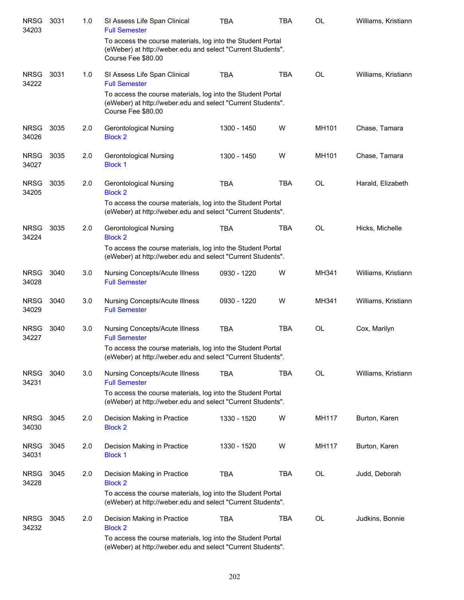| <b>NRSG</b><br>34203 | 3031 | 1.0 | SI Assess Life Span Clinical<br><b>Full Semester</b>                                                                                             | TBA         | <b>TBA</b> | OL        | Williams, Kristiann |
|----------------------|------|-----|--------------------------------------------------------------------------------------------------------------------------------------------------|-------------|------------|-----------|---------------------|
|                      |      |     | To access the course materials, log into the Student Portal<br>(eWeber) at http://weber.edu and select "Current Students".<br>Course Fee \$80.00 |             |            |           |                     |
| <b>NRSG</b><br>34222 | 3031 | 1.0 | SI Assess Life Span Clinical<br><b>Full Semester</b>                                                                                             | <b>TBA</b>  | <b>TBA</b> | <b>OL</b> | Williams, Kristiann |
|                      |      |     | To access the course materials, log into the Student Portal<br>(eWeber) at http://weber.edu and select "Current Students".<br>Course Fee \$80.00 |             |            |           |                     |
| <b>NRSG</b><br>34026 | 3035 | 2.0 | <b>Gerontological Nursing</b><br><b>Block 2</b>                                                                                                  | 1300 - 1450 | W          | MH101     | Chase, Tamara       |
| <b>NRSG</b><br>34027 | 3035 | 2.0 | <b>Gerontological Nursing</b><br><b>Block 1</b>                                                                                                  | 1300 - 1450 | W          | MH101     | Chase, Tamara       |
| <b>NRSG</b><br>34205 | 3035 | 2.0 | <b>Gerontological Nursing</b><br><b>Block 2</b>                                                                                                  | <b>TBA</b>  | <b>TBA</b> | <b>OL</b> | Harald, Elizabeth   |
|                      |      |     | To access the course materials, log into the Student Portal<br>(eWeber) at http://weber.edu and select "Current Students".                       |             |            |           |                     |
| <b>NRSG</b><br>34224 | 3035 | 2.0 | <b>Gerontological Nursing</b><br><b>Block 2</b>                                                                                                  | <b>TBA</b>  | <b>TBA</b> | <b>OL</b> | Hicks, Michelle     |
|                      |      |     | To access the course materials, log into the Student Portal<br>(eWeber) at http://weber.edu and select "Current Students".                       |             |            |           |                     |
| <b>NRSG</b><br>34028 | 3040 | 3.0 | <b>Nursing Concepts/Acute Illness</b><br><b>Full Semester</b>                                                                                    | 0930 - 1220 | W          | MH341     | Williams, Kristiann |
| <b>NRSG</b><br>34029 | 3040 | 3.0 | <b>Nursing Concepts/Acute Illness</b><br><b>Full Semester</b>                                                                                    | 0930 - 1220 | W          | MH341     | Williams, Kristiann |
| <b>NRSG</b><br>34227 | 3040 | 3.0 | <b>Nursing Concepts/Acute Illness</b><br><b>Full Semester</b>                                                                                    | <b>TBA</b>  | <b>TBA</b> | OL        | Cox, Marilyn        |
|                      |      |     | To access the course materials, log into the Student Portal<br>(eWeber) at http://weber.edu and select "Current Students".                       |             |            |           |                     |
| <b>NRSG</b><br>34231 | 3040 | 3.0 | Nursing Concepts/Acute Illness<br><b>Full Semester</b>                                                                                           | <b>TBA</b>  | <b>TBA</b> | <b>OL</b> | Williams, Kristiann |
|                      |      |     | To access the course materials, log into the Student Portal<br>(eWeber) at http://weber.edu and select "Current Students".                       |             |            |           |                     |
| <b>NRSG</b><br>34030 | 3045 | 2.0 | Decision Making in Practice<br><b>Block 2</b>                                                                                                    | 1330 - 1520 | W          | MH117     | Burton, Karen       |
| <b>NRSG</b><br>34031 | 3045 | 2.0 | Decision Making in Practice<br><b>Block 1</b>                                                                                                    | 1330 - 1520 | W          | MH117     | Burton, Karen       |
| <b>NRSG</b><br>34228 | 3045 | 2.0 | Decision Making in Practice<br><b>Block 2</b>                                                                                                    | <b>TBA</b>  | TBA        | OL        | Judd, Deborah       |
|                      |      |     | To access the course materials, log into the Student Portal<br>(eWeber) at http://weber.edu and select "Current Students".                       |             |            |           |                     |
| <b>NRSG</b><br>34232 | 3045 | 2.0 | Decision Making in Practice<br><b>Block 2</b>                                                                                                    | <b>TBA</b>  | <b>TBA</b> | <b>OL</b> | Judkins, Bonnie     |
|                      |      |     | To access the course materials, log into the Student Portal<br>(eWeber) at http://weber.edu and select "Current Students".                       |             |            |           |                     |
|                      |      |     |                                                                                                                                                  |             |            |           |                     |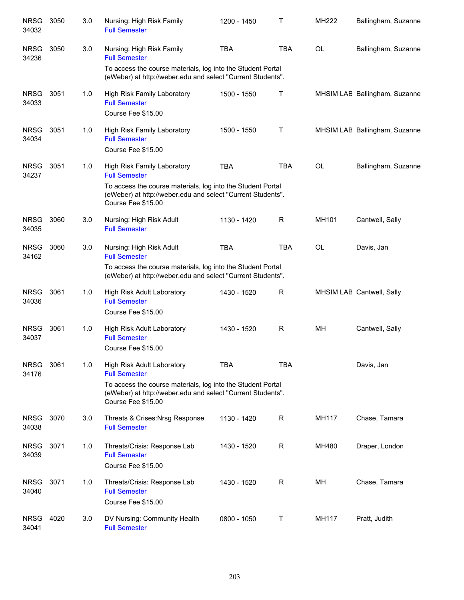| <b>NRSG</b><br>34032 | 3050 | 3.0 | Nursing: High Risk Family<br><b>Full Semester</b>                                                                                                | 1200 - 1450 | Т           | MH222     | Ballingham, Suzanne           |
|----------------------|------|-----|--------------------------------------------------------------------------------------------------------------------------------------------------|-------------|-------------|-----------|-------------------------------|
| <b>NRSG</b><br>34236 | 3050 | 3.0 | Nursing: High Risk Family<br><b>Full Semester</b>                                                                                                | <b>TBA</b>  | <b>TBA</b>  | <b>OL</b> | Ballingham, Suzanne           |
|                      |      |     | To access the course materials, log into the Student Portal<br>(eWeber) at http://weber.edu and select "Current Students".                       |             |             |           |                               |
| <b>NRSG</b><br>34033 | 3051 | 1.0 | High Risk Family Laboratory<br><b>Full Semester</b><br>Course Fee \$15.00                                                                        | 1500 - 1550 | Τ           |           | MHSIM LAE Ballingham, Suzanne |
| <b>NRSG</b><br>34034 | 3051 | 1.0 | High Risk Family Laboratory<br><b>Full Semester</b><br>Course Fee \$15.00                                                                        | 1500 - 1550 | $\mathsf T$ |           | MHSIM LAE Ballingham, Suzanne |
| <b>NRSG</b><br>34237 | 3051 | 1.0 | High Risk Family Laboratory<br><b>Full Semester</b>                                                                                              | <b>TBA</b>  | <b>TBA</b>  | <b>OL</b> | Ballingham, Suzanne           |
|                      |      |     | To access the course materials, log into the Student Portal<br>(eWeber) at http://weber.edu and select "Current Students".<br>Course Fee \$15.00 |             |             |           |                               |
| <b>NRSG</b><br>34035 | 3060 | 3.0 | Nursing: High Risk Adult<br><b>Full Semester</b>                                                                                                 | 1130 - 1420 | R           | MH101     | Cantwell, Sally               |
| <b>NRSG</b><br>34162 | 3060 | 3.0 | Nursing: High Risk Adult<br><b>Full Semester</b>                                                                                                 | <b>TBA</b>  | <b>TBA</b>  | OL        | Davis, Jan                    |
|                      |      |     | To access the course materials, log into the Student Portal<br>(eWeber) at http://weber.edu and select "Current Students".                       |             |             |           |                               |
| <b>NRSG</b><br>34036 | 3061 | 1.0 | High Risk Adult Laboratory<br><b>Full Semester</b><br>Course Fee \$15.00                                                                         | 1430 - 1520 | R           |           | MHSIM LAE Cantwell, Sally     |
| <b>NRSG</b><br>34037 | 3061 | 1.0 | High Risk Adult Laboratory<br><b>Full Semester</b><br>Course Fee \$15.00                                                                         | 1430 - 1520 | R           | MH        | Cantwell, Sally               |
| <b>NRSG</b><br>34176 | 3061 | 1.0 | High Risk Adult Laboratory<br><b>Full Semester</b>                                                                                               | <b>TBA</b>  | <b>TBA</b>  |           | Davis, Jan                    |
|                      |      |     | To access the course materials, log into the Student Portal<br>(eWeber) at http://weber.edu and select "Current Students".<br>Course Fee \$15.00 |             |             |           |                               |
| <b>NRSG</b><br>34038 | 3070 | 3.0 | Threats & Crises: Nrsg Response<br><b>Full Semester</b>                                                                                          | 1130 - 1420 | R           | MH117     | Chase, Tamara                 |
| <b>NRSG</b><br>34039 | 3071 | 1.0 | Threats/Crisis: Response Lab<br><b>Full Semester</b><br>Course Fee \$15.00                                                                       | 1430 - 1520 | $\mathsf R$ | MH480     | Draper, London                |
| <b>NRSG</b><br>34040 | 3071 | 1.0 | Threats/Crisis: Response Lab<br><b>Full Semester</b><br>Course Fee \$15.00                                                                       | 1430 - 1520 | R           | MН        | Chase, Tamara                 |
| <b>NRSG</b><br>34041 | 4020 | 3.0 | DV Nursing: Community Health<br><b>Full Semester</b>                                                                                             | 0800 - 1050 | $\mathsf T$ | MH117     | Pratt, Judith                 |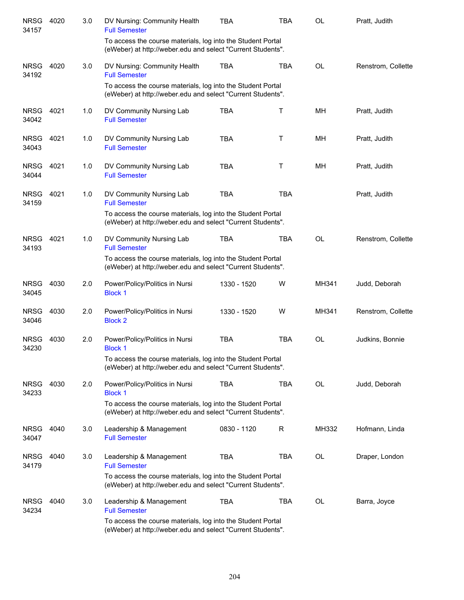| <b>NRSG</b><br>34157 | 4020 | 3.0 | DV Nursing: Community Health<br><b>Full Semester</b>                                                                       | <b>TBA</b>  | <b>TBA</b>  | <b>OL</b> | Pratt, Judith      |
|----------------------|------|-----|----------------------------------------------------------------------------------------------------------------------------|-------------|-------------|-----------|--------------------|
|                      |      |     | To access the course materials, log into the Student Portal<br>(eWeber) at http://weber.edu and select "Current Students". |             |             |           |                    |
| <b>NRSG</b><br>34192 | 4020 | 3.0 | DV Nursing: Community Health<br><b>Full Semester</b>                                                                       | <b>TBA</b>  | <b>TBA</b>  | <b>OL</b> | Renstrom, Collette |
|                      |      |     | To access the course materials, log into the Student Portal<br>(eWeber) at http://weber.edu and select "Current Students". |             |             |           |                    |
| <b>NRSG</b><br>34042 | 4021 | 1.0 | DV Community Nursing Lab<br><b>Full Semester</b>                                                                           | <b>TBA</b>  | $\mathsf T$ | MH        | Pratt, Judith      |
| <b>NRSG</b><br>34043 | 4021 | 1.0 | DV Community Nursing Lab<br><b>Full Semester</b>                                                                           | <b>TBA</b>  | $\sf T$     | MH        | Pratt, Judith      |
| <b>NRSG</b><br>34044 | 4021 | 1.0 | DV Community Nursing Lab<br><b>Full Semester</b>                                                                           | <b>TBA</b>  | T           | MH        | Pratt, Judith      |
| <b>NRSG</b><br>34159 | 4021 | 1.0 | DV Community Nursing Lab<br><b>Full Semester</b>                                                                           | <b>TBA</b>  | <b>TBA</b>  |           | Pratt, Judith      |
|                      |      |     | To access the course materials, log into the Student Portal<br>(eWeber) at http://weber.edu and select "Current Students". |             |             |           |                    |
| <b>NRSG</b><br>34193 | 4021 | 1.0 | DV Community Nursing Lab<br><b>Full Semester</b>                                                                           | <b>TBA</b>  | <b>TBA</b>  | <b>OL</b> | Renstrom, Collette |
|                      |      |     | To access the course materials, log into the Student Portal<br>(eWeber) at http://weber.edu and select "Current Students". |             |             |           |                    |
| <b>NRSG</b><br>34045 | 4030 | 2.0 | Power/Policy/Politics in Nursi<br><b>Block 1</b>                                                                           | 1330 - 1520 | W           | MH341     | Judd, Deborah      |
| <b>NRSG</b><br>34046 | 4030 | 2.0 | Power/Policy/Politics in Nursi<br><b>Block 2</b>                                                                           | 1330 - 1520 | W           | MH341     | Renstrom, Collette |
| <b>NRSG</b><br>34230 | 4030 | 2.0 | Power/Policy/Politics in Nursi<br><b>Block 1</b>                                                                           | <b>TBA</b>  | <b>TBA</b>  | <b>OL</b> | Judkins, Bonnie    |
|                      |      |     | To access the course materials, log into the Student Portal<br>(eWeber) at http://weber.edu and select "Current Students". |             |             |           |                    |
| <b>NRSG</b><br>34233 | 4030 | 2.0 | Power/Policy/Politics in Nursi<br><b>Block 1</b>                                                                           | <b>TBA</b>  | <b>TBA</b>  | <b>OL</b> | Judd, Deborah      |
|                      |      |     | To access the course materials, log into the Student Portal<br>(eWeber) at http://weber.edu and select "Current Students". |             |             |           |                    |
| <b>NRSG</b><br>34047 | 4040 | 3.0 | Leadership & Management<br><b>Full Semester</b>                                                                            | 0830 - 1120 | R           | MH332     | Hofmann, Linda     |
| <b>NRSG</b><br>34179 | 4040 | 3.0 | Leadership & Management<br><b>Full Semester</b>                                                                            | <b>TBA</b>  | <b>TBA</b>  | OL        | Draper, London     |
|                      |      |     | To access the course materials, log into the Student Portal<br>(eWeber) at http://weber.edu and select "Current Students". |             |             |           |                    |
| <b>NRSG</b><br>34234 | 4040 | 3.0 | Leadership & Management<br><b>Full Semester</b>                                                                            | <b>TBA</b>  | <b>TBA</b>  | <b>OL</b> | Barra, Joyce       |
|                      |      |     | To access the course materials, log into the Student Portal<br>(eWeber) at http://weber.edu and select "Current Students". |             |             |           |                    |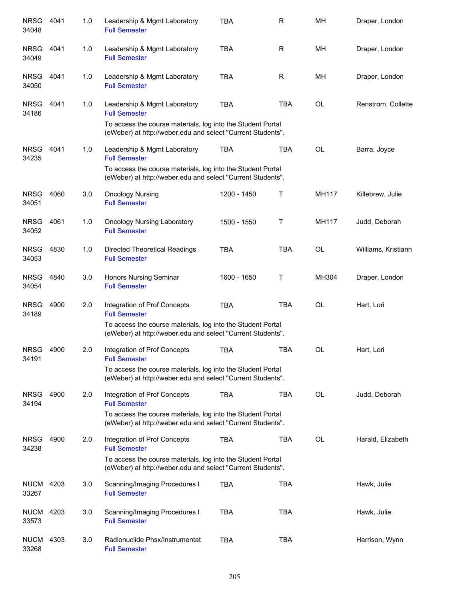| <b>NRSG</b><br>34048      | 4041 | 1.0 | Leadership & Mgmt Laboratory<br><b>Full Semester</b>                                                                                                                               | <b>TBA</b>  | R          | MH        | Draper, London      |
|---------------------------|------|-----|------------------------------------------------------------------------------------------------------------------------------------------------------------------------------------|-------------|------------|-----------|---------------------|
| <b>NRSG</b><br>34049      | 4041 | 1.0 | Leadership & Mgmt Laboratory<br><b>Full Semester</b>                                                                                                                               | <b>TBA</b>  | R          | MН        | Draper, London      |
| <b>NRSG</b><br>34050      | 4041 | 1.0 | Leadership & Mgmt Laboratory<br><b>Full Semester</b>                                                                                                                               | <b>TBA</b>  | R          | MH        | Draper, London      |
| <b>NRSG</b><br>34186      | 4041 | 1.0 | Leadership & Mgmt Laboratory<br><b>Full Semester</b><br>To access the course materials, log into the Student Portal<br>(eWeber) at http://weber.edu and select "Current Students". | <b>TBA</b>  | <b>TBA</b> | <b>OL</b> | Renstrom, Collette  |
| <b>NRSG</b><br>34235      | 4041 | 1.0 | Leadership & Mgmt Laboratory<br><b>Full Semester</b><br>To access the course materials, log into the Student Portal<br>(eWeber) at http://weber.edu and select "Current Students". | <b>TBA</b>  | <b>TBA</b> | <b>OL</b> | Barra, Joyce        |
| <b>NRSG</b><br>34051      | 4060 | 3.0 | <b>Oncology Nursing</b><br><b>Full Semester</b>                                                                                                                                    | 1200 - 1450 | Τ          | MH117     | Killebrew, Julie    |
| <b>NRSG</b><br>34052      | 4061 | 1.0 | <b>Oncology Nursing Laboratory</b><br><b>Full Semester</b>                                                                                                                         | 1500 - 1550 | Τ          | MH117     | Judd, Deborah       |
| <b>NRSG</b><br>34053      | 4830 | 1.0 | Directed Theoretical Readings<br><b>Full Semester</b>                                                                                                                              | <b>TBA</b>  | <b>TBA</b> | <b>OL</b> | Williams, Kristiann |
| <b>NRSG</b><br>34054      | 4840 | 3.0 | Honors Nursing Seminar<br><b>Full Semester</b>                                                                                                                                     | 1600 - 1650 | Τ          | MH304     | Draper, London      |
| <b>NRSG</b><br>34189      | 4900 | 2.0 | Integration of Prof Concepts<br><b>Full Semester</b><br>To access the course materials, log into the Student Portal<br>(eWeber) at http://weber.edu and select "Current Students". | <b>TBA</b>  | <b>TBA</b> | <b>OL</b> | Hart, Lori          |
| <b>NRSG</b><br>34191      | 4900 | 2.0 | Integration of Prof Concepts<br><b>Full Semester</b><br>To access the course materials, log into the Student Portal<br>(eWeber) at http://weber.edu and select "Current Students". | <b>TBA</b>  | <b>TBA</b> | <b>OL</b> | Hart, Lori          |
| <b>NRSG</b><br>34194      | 4900 | 2.0 | Integration of Prof Concepts<br><b>Full Semester</b><br>To access the course materials, log into the Student Portal<br>(eWeber) at http://weber.edu and select "Current Students". | <b>TBA</b>  | <b>TBA</b> | <b>OL</b> | Judd, Deborah       |
| <b>NRSG</b><br>34238      | 4900 | 2.0 | Integration of Prof Concepts<br><b>Full Semester</b><br>To access the course materials, log into the Student Portal<br>(eWeber) at http://weber.edu and select "Current Students". | <b>TBA</b>  | <b>TBA</b> | <b>OL</b> | Harald, Elizabeth   |
| <b>NUCM 4203</b><br>33267 |      | 3.0 | Scanning/Imaging Procedures I<br><b>Full Semester</b>                                                                                                                              | <b>TBA</b>  | <b>TBA</b> |           | Hawk, Julie         |
| <b>NUCM</b><br>33573      | 4203 | 3.0 | Scanning/Imaging Procedures I<br><b>Full Semester</b>                                                                                                                              | <b>TBA</b>  | <b>TBA</b> |           | Hawk, Julie         |
| <b>NUCM</b><br>33268      | 4303 | 3.0 | Radionuclide Phsx/Instrumentat<br><b>Full Semester</b>                                                                                                                             | <b>TBA</b>  | <b>TBA</b> |           | Harrison, Wynn      |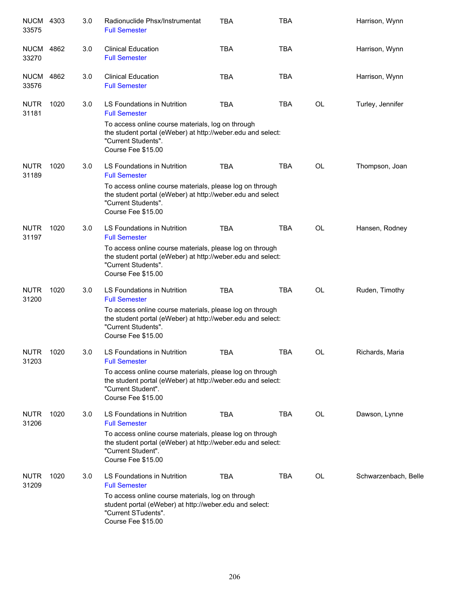| <b>NUCM</b><br>33575 | 4303 | 3.0 | Radionuclide Phsx/Instrumentat<br><b>Full Semester</b>                                                                                                               | <b>TBA</b> | <b>TBA</b> |           | Harrison, Wynn       |
|----------------------|------|-----|----------------------------------------------------------------------------------------------------------------------------------------------------------------------|------------|------------|-----------|----------------------|
| <b>NUCM</b><br>33270 | 4862 | 3.0 | <b>Clinical Education</b><br><b>Full Semester</b>                                                                                                                    | <b>TBA</b> | <b>TBA</b> |           | Harrison, Wynn       |
| <b>NUCM</b><br>33576 | 4862 | 3.0 | <b>Clinical Education</b><br><b>Full Semester</b>                                                                                                                    | <b>TBA</b> | <b>TBA</b> |           | Harrison, Wynn       |
| <b>NUTR</b><br>31181 | 1020 | 3.0 | LS Foundations in Nutrition<br><b>Full Semester</b>                                                                                                                  | <b>TBA</b> | TBA        | OL        | Turley, Jennifer     |
|                      |      |     | To access online course materials, log on through<br>the student portal (eWeber) at http://weber.edu and select:<br>"Current Students".<br>Course Fee \$15.00        |            |            |           |                      |
| <b>NUTR</b><br>31189 | 1020 | 3.0 | LS Foundations in Nutrition<br><b>Full Semester</b>                                                                                                                  | <b>TBA</b> | <b>TBA</b> | OL        | Thompson, Joan       |
|                      |      |     | To access online course materials, please log on through<br>the student portal (eWeber) at http://weber.edu and select<br>"Current Students".<br>Course Fee \$15.00  |            |            |           |                      |
| <b>NUTR</b><br>31197 | 1020 | 3.0 | LS Foundations in Nutrition<br><b>Full Semester</b>                                                                                                                  | <b>TBA</b> | <b>TBA</b> | <b>OL</b> | Hansen, Rodney       |
|                      |      |     | To access online course materials, please log on through<br>the student portal (eWeber) at http://weber.edu and select:<br>"Current Students".<br>Course Fee \$15.00 |            |            |           |                      |
| <b>NUTR</b><br>31200 | 1020 | 3.0 | LS Foundations in Nutrition<br><b>Full Semester</b>                                                                                                                  | <b>TBA</b> | <b>TBA</b> | <b>OL</b> | Ruden, Timothy       |
|                      |      |     | To access online course materials, please log on through<br>the student portal (eWeber) at http://weber.edu and select:<br>"Current Students".<br>Course Fee \$15.00 |            |            |           |                      |
| <b>NUTR</b><br>31203 | 1020 | 3.0 | LS Foundations in Nutrition<br><b>Full Semester</b>                                                                                                                  | <b>TBA</b> | <b>TBA</b> | OL        | Richards, Maria      |
|                      |      |     | To access online course materials, please log on through<br>the student portal (eWeber) at http://weber.edu and select:<br>"Current Student".<br>Course Fee \$15.00  |            |            |           |                      |
| <b>NUTR</b><br>31206 | 1020 | 3.0 | LS Foundations in Nutrition<br><b>Full Semester</b>                                                                                                                  | <b>TBA</b> | <b>TBA</b> | OL        | Dawson, Lynne        |
|                      |      |     | To access online course materials, please log on through<br>the student portal (eWeber) at http://weber.edu and select:<br>"Current Student".<br>Course Fee \$15.00  |            |            |           |                      |
| <b>NUTR</b><br>31209 | 1020 | 3.0 | LS Foundations in Nutrition<br><b>Full Semester</b>                                                                                                                  | <b>TBA</b> | <b>TBA</b> | OL        | Schwarzenbach, Belle |
|                      |      |     | To access online course materials, log on through<br>student portal (eWeber) at http://weber.edu and select:<br>"Current STudents".<br>Course Fee \$15.00            |            |            |           |                      |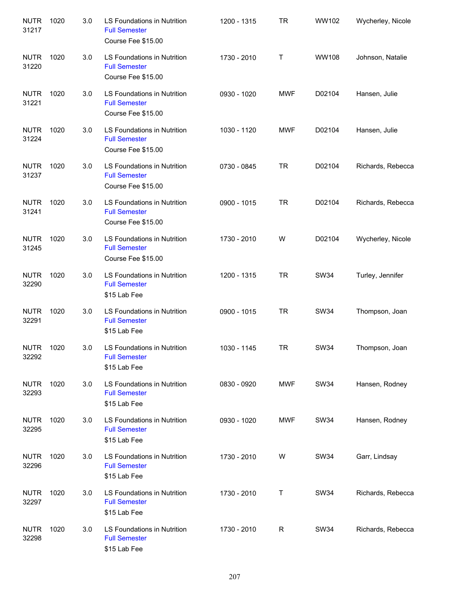| <b>NUTR</b><br>31217 | 1020 | 3.0 | LS Foundations in Nutrition<br><b>Full Semester</b><br>Course Fee \$15.00  | 1200 - 1315 | <b>TR</b>    | WW102        | Wycherley, Nicole |
|----------------------|------|-----|----------------------------------------------------------------------------|-------------|--------------|--------------|-------------------|
| <b>NUTR</b><br>31220 | 1020 | 3.0 | LS Foundations in Nutrition<br><b>Full Semester</b><br>Course Fee \$15.00  | 1730 - 2010 | Τ            | <b>WW108</b> | Johnson, Natalie  |
| <b>NUTR</b><br>31221 | 1020 | 3.0 | LS Foundations in Nutrition<br><b>Full Semester</b><br>Course Fee \$15.00  | 0930 - 1020 | <b>MWF</b>   | D02104       | Hansen, Julie     |
| <b>NUTR</b><br>31224 | 1020 | 3.0 | LS Foundations in Nutrition<br><b>Full Semester</b><br>Course Fee \$15.00  | 1030 - 1120 | <b>MWF</b>   | D02104       | Hansen, Julie     |
| <b>NUTR</b><br>31237 | 1020 | 3.0 | LS Foundations in Nutrition<br><b>Full Semester</b><br>Course Fee \$15.00  | 0730 - 0845 | <b>TR</b>    | D02104       | Richards, Rebecca |
| <b>NUTR</b><br>31241 | 1020 | 3.0 | LS Foundations in Nutrition<br><b>Full Semester</b><br>Course Fee \$15.00  | 0900 - 1015 | <b>TR</b>    | D02104       | Richards, Rebecca |
| <b>NUTR</b><br>31245 | 1020 | 3.0 | LS Foundations in Nutrition<br><b>Full Semester</b><br>Course Fee \$15.00  | 1730 - 2010 | W            | D02104       | Wycherley, Nicole |
| <b>NUTR</b><br>32290 | 1020 | 3.0 | LS Foundations in Nutrition<br><b>Full Semester</b><br>\$15 Lab Fee        | 1200 - 1315 | <b>TR</b>    | <b>SW34</b>  | Turley, Jennifer  |
| <b>NUTR</b><br>32291 | 1020 | 3.0 | LS Foundations in Nutrition<br><b>Full Semester</b><br>\$15 Lab Fee        | 0900 - 1015 | <b>TR</b>    | <b>SW34</b>  | Thompson, Joan    |
| <b>NUTR</b><br>32292 | 1020 | 3.0 | <b>LS Foundations in Nutrition</b><br><b>Full Semester</b><br>\$15 Lab Fee | 1030 - 1145 | <b>TR</b>    | <b>SW34</b>  | Thompson, Joan    |
| <b>NUTR</b><br>32293 | 1020 | 3.0 | LS Foundations in Nutrition<br><b>Full Semester</b><br>\$15 Lab Fee        | 0830 - 0920 | <b>MWF</b>   | <b>SW34</b>  | Hansen, Rodney    |
| <b>NUTR</b><br>32295 | 1020 | 3.0 | LS Foundations in Nutrition<br><b>Full Semester</b><br>\$15 Lab Fee        | 0930 - 1020 | <b>MWF</b>   | <b>SW34</b>  | Hansen, Rodney    |
| <b>NUTR</b><br>32296 | 1020 | 3.0 | LS Foundations in Nutrition<br><b>Full Semester</b><br>\$15 Lab Fee        | 1730 - 2010 | W            | <b>SW34</b>  | Garr, Lindsay     |
| <b>NUTR</b><br>32297 | 1020 | 3.0 | LS Foundations in Nutrition<br><b>Full Semester</b><br>\$15 Lab Fee        | 1730 - 2010 | T            | <b>SW34</b>  | Richards, Rebecca |
| <b>NUTR</b><br>32298 | 1020 | 3.0 | LS Foundations in Nutrition<br><b>Full Semester</b><br>\$15 Lab Fee        | 1730 - 2010 | $\mathsf{R}$ | <b>SW34</b>  | Richards, Rebecca |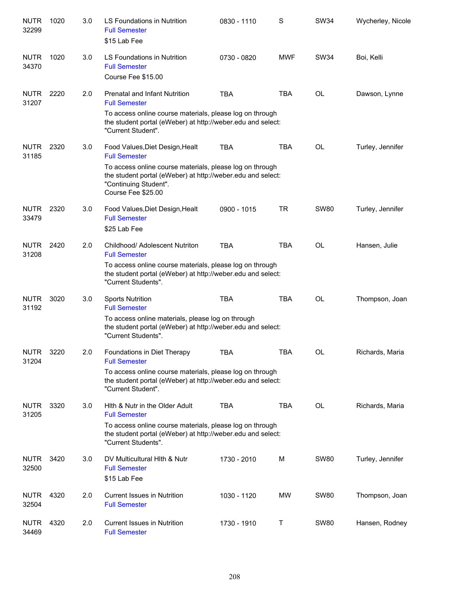| <b>NUTR</b><br>32299 | 1020 | 3.0 | LS Foundations in Nutrition<br><b>Full Semester</b><br>\$15 Lab Fee                                                                                                    | 0830 - 1110 | S          | <b>SW34</b> | Wycherley, Nicole |
|----------------------|------|-----|------------------------------------------------------------------------------------------------------------------------------------------------------------------------|-------------|------------|-------------|-------------------|
| <b>NUTR</b><br>34370 | 1020 | 3.0 | LS Foundations in Nutrition<br><b>Full Semester</b><br>Course Fee \$15.00                                                                                              | 0730 - 0820 | <b>MWF</b> | <b>SW34</b> | Boi, Kelli        |
| <b>NUTR</b><br>31207 | 2220 | 2.0 | <b>Prenatal and Infant Nutrition</b><br><b>Full Semester</b>                                                                                                           | <b>TBA</b>  | <b>TBA</b> | <b>OL</b>   | Dawson, Lynne     |
|                      |      |     | To access online course materials, please log on through<br>the student portal (eWeber) at http://weber.edu and select:<br>"Current Student".                          |             |            |             |                   |
| <b>NUTR</b><br>31185 | 2320 | 3.0 | Food Values, Diet Design, Healt<br><b>Full Semester</b>                                                                                                                | <b>TBA</b>  | <b>TBA</b> | <b>OL</b>   | Turley, Jennifer  |
|                      |      |     | To access online course materials, please log on through<br>the student portal (eWeber) at http://weber.edu and select:<br>"Continuing Student".<br>Course Fee \$25.00 |             |            |             |                   |
| <b>NUTR</b><br>33479 | 2320 | 3.0 | Food Values, Diet Design, Healt<br><b>Full Semester</b><br>\$25 Lab Fee                                                                                                | 0900 - 1015 | TR         | <b>SW80</b> | Turley, Jennifer  |
| <b>NUTR</b><br>31208 | 2420 | 2.0 | Childhood/ Adolescent Nutriton<br><b>Full Semester</b>                                                                                                                 | <b>TBA</b>  | <b>TBA</b> | <b>OL</b>   | Hansen, Julie     |
|                      |      |     | To access online course materials, please log on through<br>the student portal (eWeber) at http://weber.edu and select:<br>"Current Students".                         |             |            |             |                   |
| <b>NUTR</b><br>31192 | 3020 | 3.0 | <b>Sports Nutrition</b><br><b>Full Semester</b>                                                                                                                        | <b>TBA</b>  | <b>TBA</b> | <b>OL</b>   | Thompson, Joan    |
|                      |      |     | To access online materials, please log on through<br>the student portal (eWeber) at http://weber.edu and select:<br>"Current Students".                                |             |            |             |                   |
| <b>NUTR</b><br>31204 | 3220 | 2.0 | Foundations in Diet Therapy<br><b>Full Semester</b>                                                                                                                    | <b>TBA</b>  | <b>TBA</b> | <b>OL</b>   | Richards, Maria   |
|                      |      |     | To access online course materials, please log on through<br>the student portal (eWeber) at http://weber.edu and select:<br>"Current Student".                          |             |            |             |                   |
| <b>NUTR</b><br>31205 | 3320 | 3.0 | Hith & Nutr in the Older Adult<br><b>Full Semester</b>                                                                                                                 | <b>TBA</b>  | <b>TBA</b> | <b>OL</b>   | Richards, Maria   |
|                      |      |     | To access online course materials, please log on through<br>the student portal (eWeber) at http://weber.edu and select:<br>"Current Students".                         |             |            |             |                   |
| <b>NUTR</b><br>32500 | 3420 | 3.0 | DV Multicultural Hith & Nutr<br><b>Full Semester</b><br>\$15 Lab Fee                                                                                                   | 1730 - 2010 | M          | <b>SW80</b> | Turley, Jennifer  |
| <b>NUTR</b><br>32504 | 4320 | 2.0 | <b>Current Issues in Nutrition</b><br><b>Full Semester</b>                                                                                                             | 1030 - 1120 | <b>MW</b>  | <b>SW80</b> | Thompson, Joan    |
| <b>NUTR</b><br>34469 | 4320 | 2.0 | <b>Current Issues in Nutrition</b><br><b>Full Semester</b>                                                                                                             | 1730 - 1910 | Τ          | <b>SW80</b> | Hansen, Rodney    |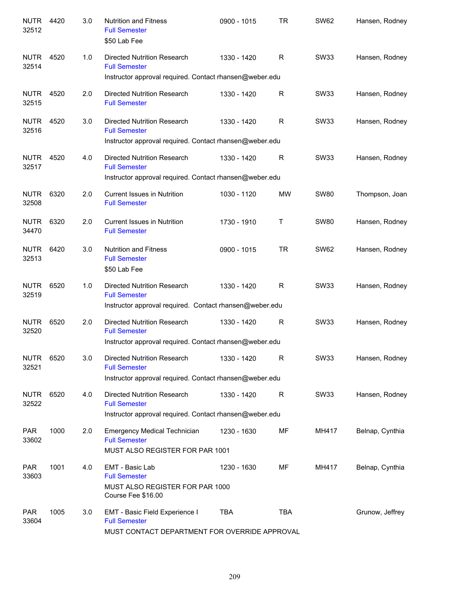| <b>NUTR</b><br>32512 | 4420 | 3.0 | <b>Nutrition and Fitness</b><br><b>Full Semester</b><br>\$50 Lab Fee                                                  | 0900 - 1015 | <b>TR</b>  | <b>SW62</b> | Hansen, Rodney  |
|----------------------|------|-----|-----------------------------------------------------------------------------------------------------------------------|-------------|------------|-------------|-----------------|
| <b>NUTR</b><br>32514 | 4520 | 1.0 | Directed Nutrition Research<br><b>Full Semester</b><br>Instructor approval required. Contact rhansen@weber.edu        | 1330 - 1420 | R          | <b>SW33</b> | Hansen, Rodney  |
| <b>NUTR</b><br>32515 | 4520 | 2.0 | Directed Nutrition Research<br><b>Full Semester</b>                                                                   | 1330 - 1420 | R          | <b>SW33</b> | Hansen, Rodney  |
| <b>NUTR</b><br>32516 | 4520 | 3.0 | Directed Nutrition Research<br><b>Full Semester</b><br>Instructor approval required. Contact rhansen@weber.edu        | 1330 - 1420 | R          | <b>SW33</b> | Hansen, Rodney  |
| <b>NUTR</b><br>32517 | 4520 | 4.0 | Directed Nutrition Research<br><b>Full Semester</b>                                                                   | 1330 - 1420 | R          | <b>SW33</b> | Hansen, Rodney  |
|                      |      |     | Instructor approval required. Contact rhansen@weber.edu                                                               |             |            |             |                 |
| <b>NUTR</b><br>32508 | 6320 | 2.0 | <b>Current Issues in Nutrition</b><br><b>Full Semester</b>                                                            | 1030 - 1120 | MW         | <b>SW80</b> | Thompson, Joan  |
| <b>NUTR</b><br>34470 | 6320 | 2.0 | <b>Current Issues in Nutrition</b><br><b>Full Semester</b>                                                            | 1730 - 1910 | Т          | <b>SW80</b> | Hansen, Rodney  |
| <b>NUTR</b><br>32513 | 6420 | 3.0 | <b>Nutrition and Fitness</b><br><b>Full Semester</b><br>\$50 Lab Fee                                                  | 0900 - 1015 | <b>TR</b>  | <b>SW62</b> | Hansen, Rodney  |
| <b>NUTR</b><br>32519 | 6520 | 1.0 | <b>Directed Nutrition Research</b><br><b>Full Semester</b><br>Instructor approval required. Contact rhansen@weber.edu | 1330 - 1420 | R          | <b>SW33</b> | Hansen, Rodney  |
|                      |      |     |                                                                                                                       |             |            |             |                 |
| <b>NUTR</b><br>32520 | 6520 | 2.0 | <b>Directed Nutrition Research</b><br><b>Full Semester</b><br>Instructor approval required. Contact rhansen@weber.edu | 1330 - 1420 | R          | <b>SW33</b> | Hansen, Rodney  |
| <b>NUTR</b><br>32521 | 6520 | 3.0 | Directed Nutrition Research<br><b>Full Semester</b>                                                                   | 1330 - 1420 | R          | <b>SW33</b> | Hansen, Rodney  |
|                      |      |     | Instructor approval required. Contact rhansen@weber.edu                                                               |             |            |             |                 |
| <b>NUTR</b><br>32522 | 6520 | 4.0 | Directed Nutrition Research<br><b>Full Semester</b><br>Instructor approval required. Contact rhansen@weber.edu        | 1330 - 1420 | R          | SW33        | Hansen, Rodney  |
| <b>PAR</b><br>33602  | 1000 | 2.0 | <b>Emergency Medical Technician</b><br><b>Full Semester</b><br>MUST ALSO REGISTER FOR PAR 1001                        | 1230 - 1630 | MF         | MH417       | Belnap, Cynthia |
| <b>PAR</b><br>33603  | 1001 | 4.0 | EMT - Basic Lab<br><b>Full Semester</b><br>MUST ALSO REGISTER FOR PAR 1000<br>Course Fee \$16.00                      | 1230 - 1630 | MF         | MH417       | Belnap, Cynthia |
| <b>PAR</b><br>33604  | 1005 | 3.0 | EMT - Basic Field Experience I<br><b>Full Semester</b><br>MUST CONTACT DEPARTMENT FOR OVERRIDE APPROVAL               | TBA         | <b>TBA</b> |             | Grunow, Jeffrey |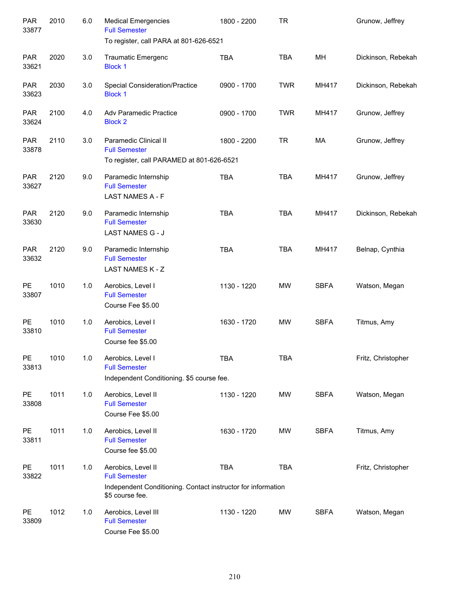| <b>PAR</b><br>33877    | 2010 | 6.0   | <b>Medical Emergencies</b><br><b>Full Semester</b>                                                                            | 1800 - 2200 | <b>TR</b>  |             | Grunow, Jeffrey    |
|------------------------|------|-------|-------------------------------------------------------------------------------------------------------------------------------|-------------|------------|-------------|--------------------|
|                        |      |       | To register, call PARA at 801-626-6521                                                                                        |             |            |             |                    |
| <b>PAR</b><br>33621    | 2020 | 3.0   | <b>Traumatic Emergenc</b><br><b>Block 1</b>                                                                                   | <b>TBA</b>  | <b>TBA</b> | MН          | Dickinson, Rebekah |
| <b>PAR</b><br>33623    | 2030 | 3.0   | Special Consideration/Practice<br><b>Block 1</b>                                                                              | 0900 - 1700 | <b>TWR</b> | MH417       | Dickinson, Rebekah |
| <b>PAR</b><br>33624    | 2100 | 4.0   | Adv Paramedic Practice<br><b>Block 2</b>                                                                                      | 0900 - 1700 | <b>TWR</b> | MH417       | Grunow, Jeffrey    |
| <b>PAR</b><br>33878    | 2110 | 3.0   | Paramedic Clinical II<br><b>Full Semester</b><br>To register, call PARAMED at 801-626-6521                                    | 1800 - 2200 | <b>TR</b>  | MA          | Grunow, Jeffrey    |
|                        |      |       |                                                                                                                               |             |            |             |                    |
| <b>PAR</b><br>33627    | 2120 | 9.0   | Paramedic Internship<br><b>Full Semester</b><br>LAST NAMES A - F                                                              | <b>TBA</b>  | <b>TBA</b> | MH417       | Grunow, Jeffrey    |
| <b>PAR</b><br>33630    | 2120 | 9.0   | Paramedic Internship<br><b>Full Semester</b><br>LAST NAMES G - J                                                              | <b>TBA</b>  | <b>TBA</b> | MH417       | Dickinson, Rebekah |
| <b>PAR</b><br>33632    | 2120 | 9.0   | Paramedic Internship<br><b>Full Semester</b><br>LAST NAMES K - Z                                                              | <b>TBA</b>  | <b>TBA</b> | MH417       | Belnap, Cynthia    |
| PE<br>33807            | 1010 | 1.0   | Aerobics, Level I<br><b>Full Semester</b><br>Course Fee \$5.00                                                                | 1130 - 1220 | <b>MW</b>  | <b>SBFA</b> | Watson, Megan      |
| PE<br>33810            | 1010 | 1.0   | Aerobics, Level I<br><b>Full Semester</b><br>Course fee \$5.00                                                                | 1630 - 1720 | <b>MW</b>  | <b>SBFA</b> | Titmus, Amy        |
| $\mathsf{PE}$<br>33813 | 1010 | $1.0$ | Aerobics, Level I<br><b>Full Semester</b><br>Independent Conditioning. \$5 course fee.                                        | <b>TBA</b>  | <b>TBA</b> |             | Fritz, Christopher |
| PE<br>33808            | 1011 | 1.0   | Aerobics, Level II<br><b>Full Semester</b><br>Course Fee \$5.00                                                               | 1130 - 1220 | <b>MW</b>  | <b>SBFA</b> | Watson, Megan      |
| PE<br>33811            | 1011 | 1.0   | Aerobics, Level II<br><b>Full Semester</b><br>Course fee \$5.00                                                               | 1630 - 1720 | MW         | <b>SBFA</b> | Titmus, Amy        |
| PE<br>33822            | 1011 | 1.0   | Aerobics, Level II<br><b>Full Semester</b><br>Independent Conditioning. Contact instructor for information<br>\$5 course fee. | <b>TBA</b>  | <b>TBA</b> |             | Fritz, Christopher |
| PE<br>33809            | 1012 | 1.0   | Aerobics, Level III<br><b>Full Semester</b><br>Course Fee \$5.00                                                              | 1130 - 1220 | MW         | <b>SBFA</b> | Watson, Megan      |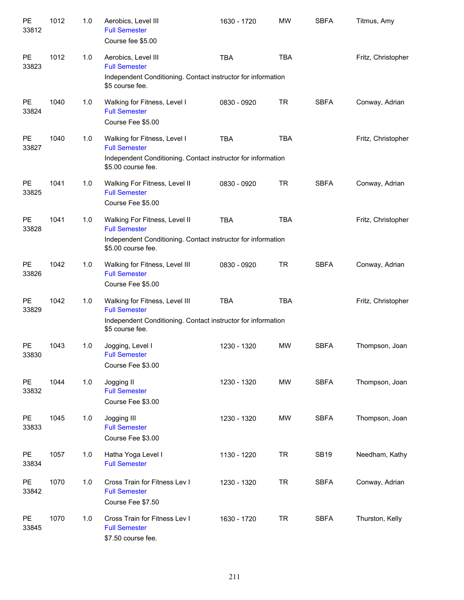| PE<br>33812 | 1012 | 1.0 | Aerobics, Level III<br><b>Full Semester</b><br>Course fee \$5.00                                                                            | 1630 - 1720 | <b>MW</b>  | <b>SBFA</b> | Titmus, Amy        |
|-------------|------|-----|---------------------------------------------------------------------------------------------------------------------------------------------|-------------|------------|-------------|--------------------|
| PE<br>33823 | 1012 | 1.0 | Aerobics, Level III<br><b>Full Semester</b><br>Independent Conditioning. Contact instructor for information<br>\$5 course fee.              | <b>TBA</b>  | <b>TBA</b> |             | Fritz, Christopher |
| PE<br>33824 | 1040 | 1.0 | Walking for Fitness, Level I<br><b>Full Semester</b><br>Course Fee \$5.00                                                                   | 0830 - 0920 | <b>TR</b>  | <b>SBFA</b> | Conway, Adrian     |
| PE<br>33827 | 1040 | 1.0 | Walking for Fitness, Level I<br><b>Full Semester</b><br>Independent Conditioning. Contact instructor for information<br>\$5.00 course fee.  | <b>TBA</b>  | <b>TBA</b> |             | Fritz, Christopher |
| PE<br>33825 | 1041 | 1.0 | Walking For Fitness, Level II<br><b>Full Semester</b><br>Course Fee \$5.00                                                                  | 0830 - 0920 | <b>TR</b>  | <b>SBFA</b> | Conway, Adrian     |
| PE<br>33828 | 1041 | 1.0 | Walking For Fitness, Level II<br><b>Full Semester</b><br>Independent Conditioning. Contact instructor for information<br>\$5.00 course fee. | <b>TBA</b>  | <b>TBA</b> |             | Fritz, Christopher |
| PE<br>33826 | 1042 | 1.0 | Walking for Fitness, Level III<br><b>Full Semester</b><br>Course Fee \$5.00                                                                 | 0830 - 0920 | <b>TR</b>  | <b>SBFA</b> | Conway, Adrian     |
| PE<br>33829 | 1042 | 1.0 | Walking for Fitness, Level III<br><b>Full Semester</b><br>Independent Conditioning. Contact instructor for information<br>\$5 course fee.   | <b>TBA</b>  | <b>TBA</b> |             | Fritz, Christopher |
| PE<br>33830 | 1043 | 1.0 | Jogging, Level I<br><b>Full Semester</b><br>Course Fee \$3.00                                                                               | 1230 - 1320 | <b>MW</b>  | <b>SBFA</b> | Thompson, Joan     |
| PE<br>33832 | 1044 | 1.0 | Jogging II<br><b>Full Semester</b><br>Course Fee \$3.00                                                                                     | 1230 - 1320 | MW         | <b>SBFA</b> | Thompson, Joan     |
| PE<br>33833 | 1045 | 1.0 | Jogging III<br><b>Full Semester</b><br>Course Fee \$3.00                                                                                    | 1230 - 1320 | MW         | <b>SBFA</b> | Thompson, Joan     |
| PE<br>33834 | 1057 | 1.0 | Hatha Yoga Level I<br><b>Full Semester</b>                                                                                                  | 1130 - 1220 | <b>TR</b>  | <b>SB19</b> | Needham, Kathy     |
| PE<br>33842 | 1070 | 1.0 | Cross Train for Fitness Lev I<br><b>Full Semester</b><br>Course Fee \$7.50                                                                  | 1230 - 1320 | <b>TR</b>  | <b>SBFA</b> | Conway, Adrian     |
| PE<br>33845 | 1070 | 1.0 | Cross Train for Fitness Lev I<br><b>Full Semester</b><br>\$7.50 course fee.                                                                 | 1630 - 1720 | <b>TR</b>  | <b>SBFA</b> | Thurston, Kelly    |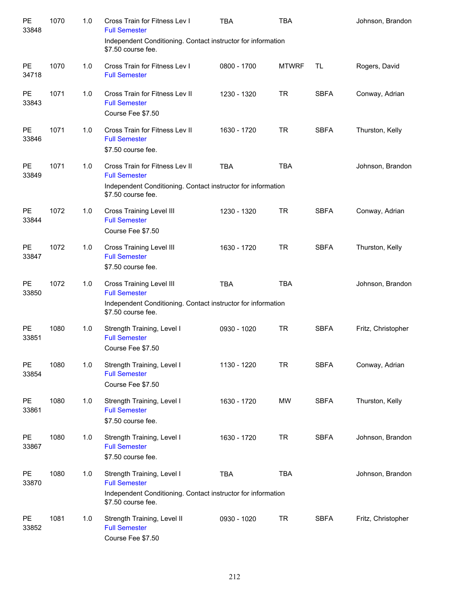| PE<br>33848        | 1070 | 1.0 | Cross Train for Fitness Lev I<br><b>Full Semester</b>                                                                                        | <b>TBA</b>  | <b>TBA</b>   |             | Johnson, Brandon   |
|--------------------|------|-----|----------------------------------------------------------------------------------------------------------------------------------------------|-------------|--------------|-------------|--------------------|
|                    |      |     | Independent Conditioning. Contact instructor for information<br>\$7.50 course fee.                                                           |             |              |             |                    |
| PE<br>34718        | 1070 | 1.0 | Cross Train for Fitness Lev I<br><b>Full Semester</b>                                                                                        | 0800 - 1700 | <b>MTWRF</b> | TL          | Rogers, David      |
| PE<br>33843        | 1071 | 1.0 | Cross Train for Fitness Lev II<br><b>Full Semester</b><br>Course Fee \$7.50                                                                  | 1230 - 1320 | <b>TR</b>    | <b>SBFA</b> | Conway, Adrian     |
| PE<br>33846        | 1071 | 1.0 | Cross Train for Fitness Lev II<br><b>Full Semester</b><br>\$7.50 course fee.                                                                 | 1630 - 1720 | <b>TR</b>    | <b>SBFA</b> | Thurston, Kelly    |
| PE<br>33849        | 1071 | 1.0 | Cross Train for Fitness Lev II<br><b>Full Semester</b><br>Independent Conditioning. Contact instructor for information<br>\$7.50 course fee. | <b>TBA</b>  | <b>TBA</b>   |             | Johnson, Brandon   |
| PE<br>33844        | 1072 | 1.0 | Cross Training Level III<br><b>Full Semester</b><br>Course Fee \$7.50                                                                        | 1230 - 1320 | <b>TR</b>    | <b>SBFA</b> | Conway, Adrian     |
| PE<br>33847        | 1072 | 1.0 | Cross Training Level III<br><b>Full Semester</b><br>\$7.50 course fee.                                                                       | 1630 - 1720 | <b>TR</b>    | <b>SBFA</b> | Thurston, Kelly    |
| PE<br>33850        | 1072 | 1.0 | Cross Training Level III<br><b>Full Semester</b><br>Independent Conditioning. Contact instructor for information<br>\$7.50 course fee.       | <b>TBA</b>  | <b>TBA</b>   |             | Johnson, Brandon   |
| <b>PE</b><br>33851 | 1080 | 1.0 | Strength Training, Level I<br><b>Full Semester</b><br>Course Fee \$7.50                                                                      | 0930 - 1020 | <b>TR</b>    | <b>SBFA</b> | Fritz, Christopher |
| PE<br>33854        | 1080 | 1.0 | Strength Training, Level I<br><b>Full Semester</b><br>Course Fee \$7.50                                                                      | 1130 - 1220 | <b>TR</b>    | <b>SBFA</b> | Conway, Adrian     |
| <b>PE</b><br>33861 | 1080 | 1.0 | Strength Training, Level I<br><b>Full Semester</b><br>\$7.50 course fee.                                                                     | 1630 - 1720 | MW           | <b>SBFA</b> | Thurston, Kelly    |
| PE<br>33867        | 1080 | 1.0 | Strength Training, Level I<br><b>Full Semester</b><br>\$7.50 course fee.                                                                     | 1630 - 1720 | <b>TR</b>    | <b>SBFA</b> | Johnson, Brandon   |
| PE<br>33870        | 1080 | 1.0 | Strength Training, Level I<br><b>Full Semester</b><br>Independent Conditioning. Contact instructor for information<br>\$7.50 course fee.     | <b>TBA</b>  | <b>TBA</b>   |             | Johnson, Brandon   |
| PE<br>33852        | 1081 | 1.0 | Strength Training, Level II<br><b>Full Semester</b><br>Course Fee \$7.50                                                                     | 0930 - 1020 | <b>TR</b>    | <b>SBFA</b> | Fritz, Christopher |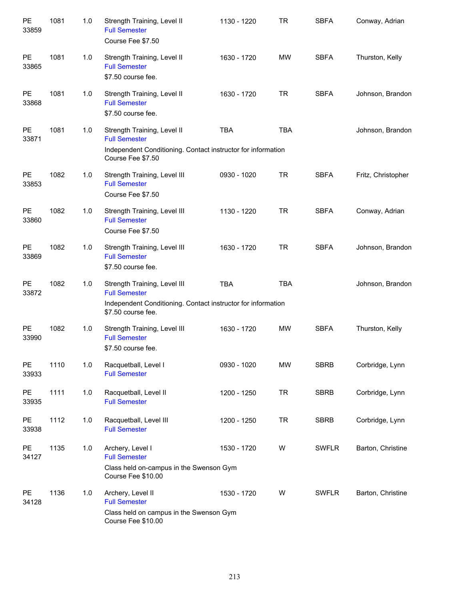| PE<br>33859        | 1081 | 1.0 | Strength Training, Level II<br><b>Full Semester</b><br>Course Fee \$7.50                                                                   | 1130 - 1220 | <b>TR</b>  | <b>SBFA</b>  | Conway, Adrian     |
|--------------------|------|-----|--------------------------------------------------------------------------------------------------------------------------------------------|-------------|------------|--------------|--------------------|
| PE<br>33865        | 1081 | 1.0 | Strength Training, Level II<br><b>Full Semester</b><br>\$7.50 course fee.                                                                  | 1630 - 1720 | <b>MW</b>  | <b>SBFA</b>  | Thurston, Kelly    |
| PE<br>33868        | 1081 | 1.0 | Strength Training, Level II<br><b>Full Semester</b><br>\$7.50 course fee.                                                                  | 1630 - 1720 | <b>TR</b>  | <b>SBFA</b>  | Johnson, Brandon   |
| PE<br>33871        | 1081 | 1.0 | Strength Training, Level II<br><b>Full Semester</b><br>Independent Conditioning. Contact instructor for information<br>Course Fee \$7.50   | <b>TBA</b>  | <b>TBA</b> |              | Johnson, Brandon   |
| PE<br>33853        | 1082 | 1.0 | Strength Training, Level III<br><b>Full Semester</b><br>Course Fee \$7.50                                                                  | 0930 - 1020 | <b>TR</b>  | <b>SBFA</b>  | Fritz, Christopher |
| PE<br>33860        | 1082 | 1.0 | Strength Training, Level III<br><b>Full Semester</b><br>Course Fee \$7.50                                                                  | 1130 - 1220 | <b>TR</b>  | <b>SBFA</b>  | Conway, Adrian     |
| PE<br>33869        | 1082 | 1.0 | Strength Training, Level III<br><b>Full Semester</b><br>\$7.50 course fee.                                                                 | 1630 - 1720 | <b>TR</b>  | <b>SBFA</b>  | Johnson, Brandon   |
| PE<br>33872        | 1082 | 1.0 | Strength Training, Level III<br><b>Full Semester</b><br>Independent Conditioning. Contact instructor for information<br>\$7.50 course fee. | <b>TBA</b>  | <b>TBA</b> |              | Johnson, Brandon   |
| PE<br>33990        | 1082 | 1.0 | Strength Training, Level III<br><b>Full Semester</b><br>\$7.50 course fee.                                                                 | 1630 - 1720 | <b>MW</b>  | <b>SBFA</b>  | Thurston, Kelly    |
| <b>PE</b><br>33933 | 1110 | 1.0 | Racquetball, Level I<br><b>Full Semester</b>                                                                                               | 0930 - 1020 | <b>MW</b>  | <b>SBRB</b>  | Corbridge, Lynn    |
| PE<br>33935        | 1111 | 1.0 | Racquetball, Level II<br><b>Full Semester</b>                                                                                              | 1200 - 1250 | <b>TR</b>  | <b>SBRB</b>  | Corbridge, Lynn    |
| PE<br>33938        | 1112 | 1.0 | Racquetball, Level III<br><b>Full Semester</b>                                                                                             | 1200 - 1250 | <b>TR</b>  | <b>SBRB</b>  | Corbridge, Lynn    |
| PE<br>34127        | 1135 | 1.0 | Archery, Level I<br><b>Full Semester</b><br>Class held on-campus in the Swenson Gym<br>Course Fee \$10.00                                  | 1530 - 1720 | W          | <b>SWFLR</b> | Barton, Christine  |
| <b>PE</b><br>34128 | 1136 | 1.0 | Archery, Level II<br><b>Full Semester</b><br>Class held on campus in the Swenson Gym<br>Course Fee \$10.00                                 | 1530 - 1720 | W          | <b>SWFLR</b> | Barton, Christine  |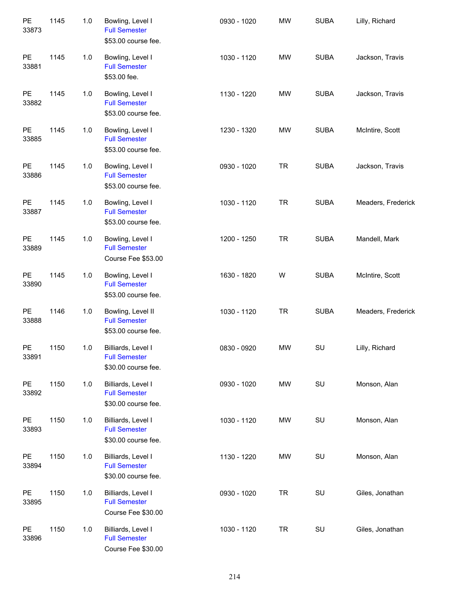| PE<br>33873        | 1145 | $1.0$ | Bowling, Level I<br><b>Full Semester</b><br>\$53.00 course fee.   | 0930 - 1020 | <b>MW</b> | <b>SUBA</b> | Lilly, Richard     |
|--------------------|------|-------|-------------------------------------------------------------------|-------------|-----------|-------------|--------------------|
| PE<br>33881        | 1145 | 1.0   | Bowling, Level I<br><b>Full Semester</b><br>\$53.00 fee.          | 1030 - 1120 | <b>MW</b> | <b>SUBA</b> | Jackson, Travis    |
| <b>PE</b><br>33882 | 1145 | 1.0   | Bowling, Level I<br><b>Full Semester</b><br>\$53.00 course fee.   | 1130 - 1220 | <b>MW</b> | <b>SUBA</b> | Jackson, Travis    |
| PE<br>33885        | 1145 | 1.0   | Bowling, Level I<br><b>Full Semester</b><br>\$53.00 course fee.   | 1230 - 1320 | <b>MW</b> | <b>SUBA</b> | McIntire, Scott    |
| PE<br>33886        | 1145 | 1.0   | Bowling, Level I<br><b>Full Semester</b><br>\$53.00 course fee.   | 0930 - 1020 | <b>TR</b> | <b>SUBA</b> | Jackson, Travis    |
| PE<br>33887        | 1145 | 1.0   | Bowling, Level I<br><b>Full Semester</b><br>\$53.00 course fee.   | 1030 - 1120 | <b>TR</b> | <b>SUBA</b> | Meaders, Frederick |
| <b>PE</b><br>33889 | 1145 | $1.0$ | Bowling, Level I<br><b>Full Semester</b><br>Course Fee \$53.00    | 1200 - 1250 | <b>TR</b> | <b>SUBA</b> | Mandell, Mark      |
| PE<br>33890        | 1145 | 1.0   | Bowling, Level I<br><b>Full Semester</b><br>\$53.00 course fee.   | 1630 - 1820 | W         | <b>SUBA</b> | McIntire, Scott    |
| PE<br>33888        | 1146 | 1.0   | Bowling, Level II<br><b>Full Semester</b><br>\$53.00 course fee.  | 1030 - 1120 | <b>TR</b> | <b>SUBA</b> | Meaders, Frederick |
| <b>PE</b><br>33891 | 1150 | 1.0   | Billiards, Level I<br><b>Full Semester</b><br>\$30.00 course fee. | 0830 - 0920 | <b>MW</b> | SU          | Lilly, Richard     |
| PE<br>33892        | 1150 | $1.0$ | Billiards, Level I<br><b>Full Semester</b><br>\$30.00 course fee. | 0930 - 1020 | MW        | SU          | Monson, Alan       |
| PE<br>33893        | 1150 | 1.0   | Billiards, Level I<br><b>Full Semester</b><br>\$30.00 course fee. | 1030 - 1120 | MW        | SU          | Monson, Alan       |
| PE<br>33894        | 1150 | 1.0   | Billiards, Level I<br><b>Full Semester</b><br>\$30.00 course fee. | 1130 - 1220 | MW        | SU          | Monson, Alan       |
| PE<br>33895        | 1150 | 1.0   | Billiards, Level I<br><b>Full Semester</b><br>Course Fee \$30.00  | 0930 - 1020 | <b>TR</b> | SU          | Giles, Jonathan    |
| PE<br>33896        | 1150 | $1.0$ | Billiards, Level I<br><b>Full Semester</b><br>Course Fee \$30.00  | 1030 - 1120 | <b>TR</b> | SU          | Giles, Jonathan    |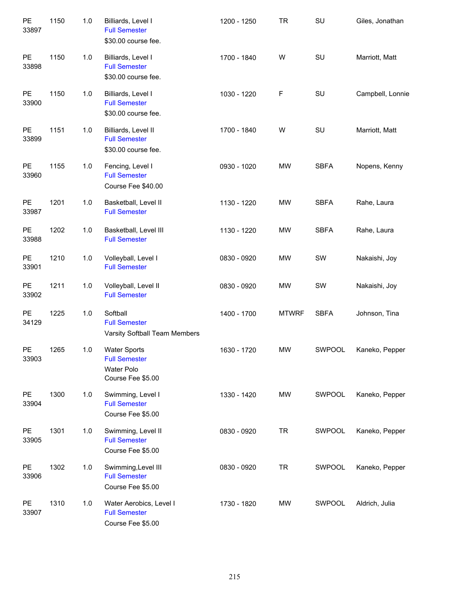| $\mathsf{PE}$<br>33897 | 1150 | 1.0 | Billiards, Level I<br><b>Full Semester</b><br>\$30.00 course fee.                     | 1200 - 1250 | <b>TR</b>    | SU            | Giles, Jonathan  |
|------------------------|------|-----|---------------------------------------------------------------------------------------|-------------|--------------|---------------|------------------|
| PE<br>33898            | 1150 | 1.0 | Billiards, Level I<br><b>Full Semester</b><br>\$30.00 course fee.                     | 1700 - 1840 | W            | SU            | Marriott, Matt   |
| PE<br>33900            | 1150 | 1.0 | Billiards, Level I<br><b>Full Semester</b><br>\$30.00 course fee.                     | 1030 - 1220 | $\mathsf F$  | SU            | Campbell, Lonnie |
| PE<br>33899            | 1151 | 1.0 | Billiards, Level II<br><b>Full Semester</b><br>\$30.00 course fee.                    | 1700 - 1840 | W            | SU            | Marriott, Matt   |
| PE<br>33960            | 1155 | 1.0 | Fencing, Level I<br><b>Full Semester</b><br>Course Fee \$40.00                        | 0930 - 1020 | <b>MW</b>    | <b>SBFA</b>   | Nopens, Kenny    |
| PE<br>33987            | 1201 | 1.0 | Basketball, Level II<br><b>Full Semester</b>                                          | 1130 - 1220 | <b>MW</b>    | <b>SBFA</b>   | Rahe, Laura      |
| PE<br>33988            | 1202 | 1.0 | Basketball, Level III<br><b>Full Semester</b>                                         | 1130 - 1220 | <b>MW</b>    | <b>SBFA</b>   | Rahe, Laura      |
| PE<br>33901            | 1210 | 1.0 | Volleyball, Level I<br><b>Full Semester</b>                                           | 0830 - 0920 | <b>MW</b>    | SW            | Nakaishi, Joy    |
| PE<br>33902            | 1211 | 1.0 | Volleyball, Level II<br><b>Full Semester</b>                                          | 0830 - 0920 | <b>MW</b>    | SW            | Nakaishi, Joy    |
| PE<br>34129            | 1225 | 1.0 | Softball<br><b>Full Semester</b><br>Varsity Softball Team Members                     | 1400 - 1700 | <b>MTWRF</b> | <b>SBFA</b>   | Johnson, Tina    |
| <b>PE</b><br>33903     | 1265 | 1.0 | <b>Water Sports</b><br><b>Full Semester</b><br><b>Water Polo</b><br>Course Fee \$5.00 | 1630 - 1720 | <b>MW</b>    | <b>SWPOOL</b> | Kaneko, Pepper   |
| PE<br>33904            | 1300 | 1.0 | Swimming, Level I<br><b>Full Semester</b><br>Course Fee \$5.00                        | 1330 - 1420 | <b>MW</b>    | SWPOOL        | Kaneko, Pepper   |
| PE<br>33905            | 1301 | 1.0 | Swimming, Level II<br><b>Full Semester</b><br>Course Fee \$5.00                       | 0830 - 0920 | <b>TR</b>    | SWPOOL        | Kaneko, Pepper   |
| PE<br>33906            | 1302 | 1.0 | Swimming, Level III<br><b>Full Semester</b><br>Course Fee \$5.00                      | 0830 - 0920 | <b>TR</b>    | SWPOOL        | Kaneko, Pepper   |
| PE<br>33907            | 1310 | 1.0 | Water Aerobics, Level I<br><b>Full Semester</b><br>Course Fee \$5.00                  | 1730 - 1820 | MW           | SWPOOL        | Aldrich, Julia   |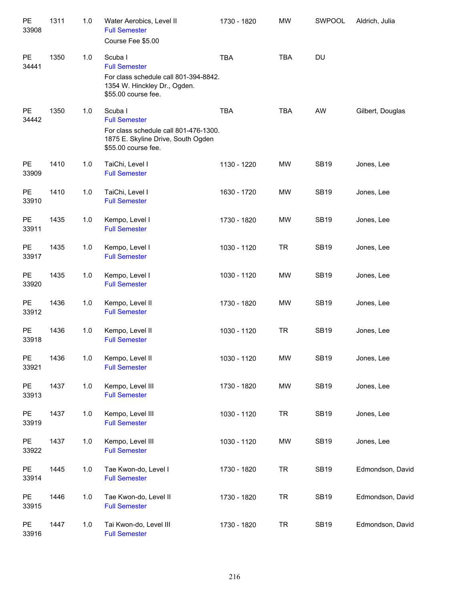| PE<br>33908        | 1311 | $1.0$ | Water Aerobics, Level II<br><b>Full Semester</b><br>Course Fee \$5.00                                                                 | 1730 - 1820 | <b>MW</b>  | SWPOOL      | Aldrich, Julia   |
|--------------------|------|-------|---------------------------------------------------------------------------------------------------------------------------------------|-------------|------------|-------------|------------------|
| PE<br>34441        | 1350 | 1.0   | Scuba I<br><b>Full Semester</b><br>For class schedule call 801-394-8842.<br>1354 W. Hinckley Dr., Ogden.<br>\$55.00 course fee.       | <b>TBA</b>  | <b>TBA</b> | DU          |                  |
| PE<br>34442        | 1350 | 1.0   | Scuba I<br><b>Full Semester</b><br>For class schedule call 801-476-1300.<br>1875 E. Skyline Drive, South Ogden<br>\$55.00 course fee. | <b>TBA</b>  | <b>TBA</b> | AW          | Gilbert, Douglas |
| <b>PE</b><br>33909 | 1410 | 1.0   | TaiChi, Level I<br><b>Full Semester</b>                                                                                               | 1130 - 1220 | MW         | <b>SB19</b> | Jones, Lee       |
| <b>PE</b><br>33910 | 1410 | $1.0$ | TaiChi, Level I<br><b>Full Semester</b>                                                                                               | 1630 - 1720 | MW         | <b>SB19</b> | Jones, Lee       |
| PE<br>33911        | 1435 | 1.0   | Kempo, Level I<br><b>Full Semester</b>                                                                                                | 1730 - 1820 | <b>MW</b>  | <b>SB19</b> | Jones, Lee       |
| PE<br>33917        | 1435 | 1.0   | Kempo, Level I<br><b>Full Semester</b>                                                                                                | 1030 - 1120 | <b>TR</b>  | <b>SB19</b> | Jones, Lee       |
| <b>PE</b><br>33920 | 1435 | 1.0   | Kempo, Level I<br><b>Full Semester</b>                                                                                                | 1030 - 1120 | <b>MW</b>  | <b>SB19</b> | Jones, Lee       |
| PE<br>33912        | 1436 | 1.0   | Kempo, Level II<br><b>Full Semester</b>                                                                                               | 1730 - 1820 | <b>MW</b>  | <b>SB19</b> | Jones, Lee       |
| PE<br>33918        | 1436 | 1.0   | Kempo, Level II<br><b>Full Semester</b>                                                                                               | 1030 - 1120 | <b>TR</b>  | <b>SB19</b> | Jones, Lee       |
| PE<br>33921        | 1436 | $1.0$ | Kempo, Level II<br><b>Full Semester</b>                                                                                               | 1030 - 1120 | MW         | <b>SB19</b> | Jones, Lee       |
| PE<br>33913        | 1437 | 1.0   | Kempo, Level III<br><b>Full Semester</b>                                                                                              | 1730 - 1820 | MW         | <b>SB19</b> | Jones, Lee       |
| PE<br>33919        | 1437 | 1.0   | Kempo, Level III<br><b>Full Semester</b>                                                                                              | 1030 - 1120 | <b>TR</b>  | <b>SB19</b> | Jones, Lee       |
| PE<br>33922        | 1437 | 1.0   | Kempo, Level III<br><b>Full Semester</b>                                                                                              | 1030 - 1120 | MW         | <b>SB19</b> | Jones, Lee       |
| PE<br>33914        | 1445 | 1.0   | Tae Kwon-do, Level I<br><b>Full Semester</b>                                                                                          | 1730 - 1820 | <b>TR</b>  | <b>SB19</b> | Edmondson, David |
| PE<br>33915        | 1446 | $1.0$ | Tae Kwon-do, Level II<br><b>Full Semester</b>                                                                                         | 1730 - 1820 | <b>TR</b>  | <b>SB19</b> | Edmondson, David |
| PE<br>33916        | 1447 | 1.0   | Tai Kwon-do, Level III<br><b>Full Semester</b>                                                                                        | 1730 - 1820 | <b>TR</b>  | <b>SB19</b> | Edmondson, David |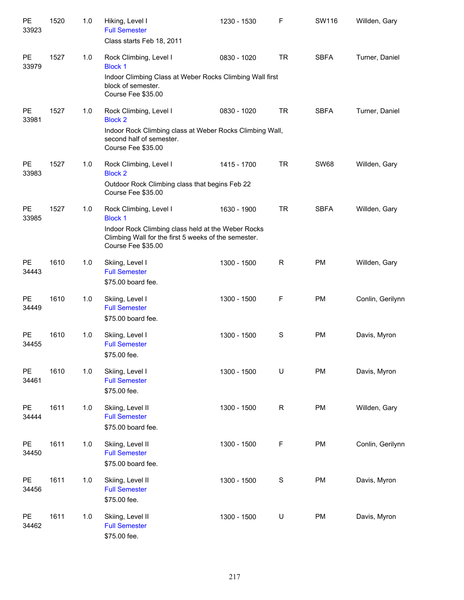| PE<br>33923        | 1520 | 1.0 | Hiking, Level I<br><b>Full Semester</b><br>Class starts Feb 18, 2011                                                                                                         | 1230 - 1530 | F           | SW116       | Willden, Gary    |
|--------------------|------|-----|------------------------------------------------------------------------------------------------------------------------------------------------------------------------------|-------------|-------------|-------------|------------------|
| <b>PE</b><br>33979 | 1527 | 1.0 | Rock Climbing, Level I<br><b>Block 1</b><br>Indoor Climbing Class at Weber Rocks Climbing Wall first<br>block of semester.<br>Course Fee \$35.00                             | 0830 - 1020 | <b>TR</b>   | <b>SBFA</b> | Turner, Daniel   |
| PE<br>33981        | 1527 | 1.0 | Rock Climbing, Level I<br><b>Block 2</b><br>Indoor Rock Climbing class at Weber Rocks Climbing Wall,<br>second half of semester.<br>Course Fee \$35.00                       | 0830 - 1020 | <b>TR</b>   | <b>SBFA</b> | Turner, Daniel   |
| <b>PE</b><br>33983 | 1527 | 1.0 | Rock Climbing, Level I<br><b>Block 2</b><br>Outdoor Rock Climbing class that begins Feb 22<br>Course Fee \$35.00                                                             | 1415 - 1700 | <b>TR</b>   | <b>SW68</b> | Willden, Gary    |
| PE<br>33985        | 1527 | 1.0 | Rock Climbing, Level I<br><b>Block 1</b><br>Indoor Rock Climbing class held at the Weber Rocks<br>Climbing Wall for the first 5 weeks of the semester.<br>Course Fee \$35.00 | 1630 - 1900 | <b>TR</b>   | <b>SBFA</b> | Willden, Gary    |
| PE<br>34443        | 1610 | 1.0 | Skiing, Level I<br><b>Full Semester</b><br>\$75.00 board fee.                                                                                                                | 1300 - 1500 | $\mathsf R$ | <b>PM</b>   | Willden, Gary    |
| <b>PE</b><br>34449 | 1610 | 1.0 | Skiing, Level I<br><b>Full Semester</b><br>\$75.00 board fee.                                                                                                                | 1300 - 1500 | F           | <b>PM</b>   | Conlin, Gerilynn |
| <b>PE</b><br>34455 | 1610 | 1.0 | Skiing, Level I<br><b>Full Semester</b><br>\$75.00 fee.                                                                                                                      | 1300 - 1500 | $\mathbf S$ | <b>PM</b>   | Davis, Myron     |
| PE<br>34461        | 1610 | 1.0 | Skiing, Level I<br><b>Full Semester</b><br>\$75.00 fee.                                                                                                                      | 1300 - 1500 | U           | <b>PM</b>   | Davis, Myron     |
| PE<br>34444        | 1611 | 1.0 | Skiing, Level II<br><b>Full Semester</b><br>\$75.00 board fee.                                                                                                               | 1300 - 1500 | $\mathsf R$ | <b>PM</b>   | Willden, Gary    |
| PE<br>34450        | 1611 | 1.0 | Skiing, Level II<br><b>Full Semester</b><br>\$75.00 board fee.                                                                                                               | 1300 - 1500 | $\mathsf F$ | <b>PM</b>   | Conlin, Gerilynn |
| PE<br>34456        | 1611 | 1.0 | Skiing, Level II<br><b>Full Semester</b><br>\$75.00 fee.                                                                                                                     | 1300 - 1500 | $\mathbf S$ | <b>PM</b>   | Davis, Myron     |
| PE<br>34462        | 1611 | 1.0 | Skiing, Level II<br><b>Full Semester</b><br>\$75.00 fee.                                                                                                                     | 1300 - 1500 | U           | <b>PM</b>   | Davis, Myron     |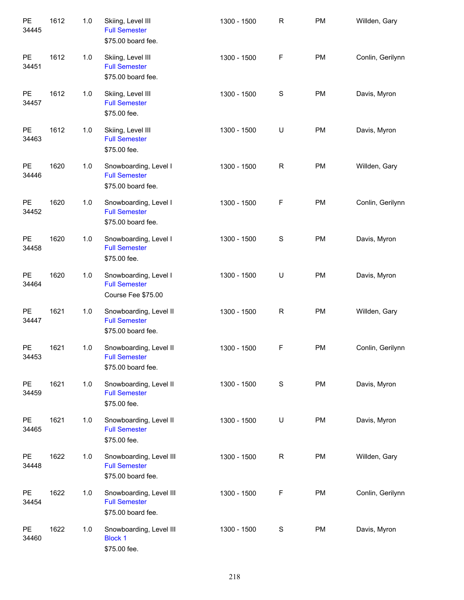| PE<br>34445 | 1612 | 1.0 | Skiing, Level III<br><b>Full Semester</b><br>\$75.00 board fee.       | 1300 - 1500 | ${\sf R}$    | PM        | Willden, Gary    |
|-------------|------|-----|-----------------------------------------------------------------------|-------------|--------------|-----------|------------------|
| PE<br>34451 | 1612 | 1.0 | Skiing, Level III<br><b>Full Semester</b><br>\$75.00 board fee.       | 1300 - 1500 | $\mathsf F$  | <b>PM</b> | Conlin, Gerilynn |
| PE<br>34457 | 1612 | 1.0 | Skiing, Level III<br><b>Full Semester</b><br>\$75.00 fee.             | 1300 - 1500 | $\mathbb S$  | <b>PM</b> | Davis, Myron     |
| PE<br>34463 | 1612 | 1.0 | Skiing, Level III<br><b>Full Semester</b><br>\$75.00 fee.             | 1300 - 1500 | U            | <b>PM</b> | Davis, Myron     |
| PE<br>34446 | 1620 | 1.0 | Snowboarding, Level I<br><b>Full Semester</b><br>\$75.00 board fee.   | 1300 - 1500 | R            | <b>PM</b> | Willden, Gary    |
| PE<br>34452 | 1620 | 1.0 | Snowboarding, Level I<br><b>Full Semester</b><br>\$75.00 board fee.   | 1300 - 1500 | $\mathsf F$  | PM        | Conlin, Gerilynn |
| PE<br>34458 | 1620 | 1.0 | Snowboarding, Level I<br><b>Full Semester</b><br>\$75.00 fee.         | 1300 - 1500 | $\mathbf S$  | PM        | Davis, Myron     |
| PE<br>34464 | 1620 | 1.0 | Snowboarding, Level I<br><b>Full Semester</b><br>Course Fee \$75.00   | 1300 - 1500 | U            | PM        | Davis, Myron     |
| PE<br>34447 | 1621 | 1.0 | Snowboarding, Level II<br><b>Full Semester</b><br>\$75.00 board fee.  | 1300 - 1500 | $\mathsf{R}$ | PM        | Willden, Gary    |
| PE<br>34453 | 1621 | 1.0 | Snowboarding, Level II<br><b>Full Semester</b><br>\$75.00 board fee.  | 1300 - 1500 | $\mathsf F$  | PM        | Conlin, Gerilynn |
| PE<br>34459 | 1621 | 1.0 | Snowboarding, Level II<br><b>Full Semester</b><br>\$75.00 fee.        | 1300 - 1500 | $\mathbf S$  | PM        | Davis, Myron     |
| PE<br>34465 | 1621 | 1.0 | Snowboarding, Level II<br><b>Full Semester</b><br>\$75.00 fee.        | 1300 - 1500 | U            | PM        | Davis, Myron     |
| PE<br>34448 | 1622 | 1.0 | Snowboarding, Level III<br><b>Full Semester</b><br>\$75.00 board fee. | 1300 - 1500 | $\mathsf R$  | PM        | Willden, Gary    |
| PE<br>34454 | 1622 | 1.0 | Snowboarding, Level III<br><b>Full Semester</b><br>\$75.00 board fee. | 1300 - 1500 | F            | PM        | Conlin, Gerilynn |
| PE<br>34460 | 1622 | 1.0 | Snowboarding, Level III<br><b>Block 1</b><br>\$75.00 fee.             | 1300 - 1500 | $\mathbb S$  | <b>PM</b> | Davis, Myron     |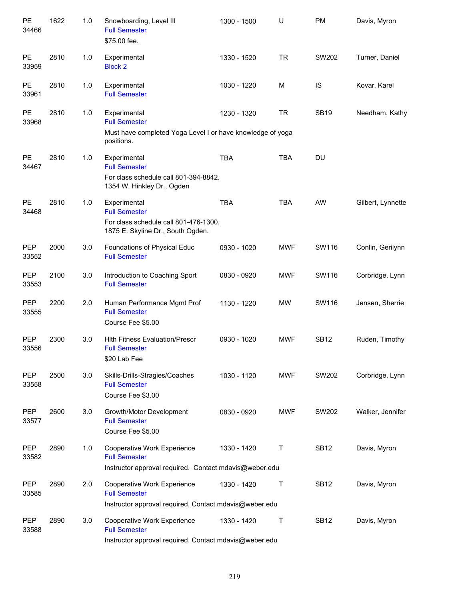| PE<br>34466         | 1622 | 1.0 | Snowboarding, Level III<br><b>Full Semester</b><br>\$75.00 fee.                                                    | 1300 - 1500 | U          | PM          | Davis, Myron      |
|---------------------|------|-----|--------------------------------------------------------------------------------------------------------------------|-------------|------------|-------------|-------------------|
| <b>PE</b><br>33959  | 2810 | 1.0 | Experimental<br><b>Block 2</b>                                                                                     | 1330 - 1520 | <b>TR</b>  | SW202       | Turner, Daniel    |
| <b>PE</b><br>33961  | 2810 | 1.0 | Experimental<br><b>Full Semester</b>                                                                               | 1030 - 1220 | M          | IS          | Kovar, Karel      |
| PE<br>33968         | 2810 | 1.0 | Experimental<br><b>Full Semester</b><br>Must have completed Yoga Level I or have knowledge of yoga<br>positions.   | 1230 - 1320 | <b>TR</b>  | <b>SB19</b> | Needham, Kathy    |
| <b>PE</b><br>34467  | 2810 | 1.0 | Experimental<br><b>Full Semester</b><br>For class schedule call 801-394-8842.<br>1354 W. Hinkley Dr., Ogden        | <b>TBA</b>  | <b>TBA</b> | <b>DU</b>   |                   |
| <b>PE</b><br>34468  | 2810 | 1.0 | Experimental<br><b>Full Semester</b><br>For class schedule call 801-476-1300.<br>1875 E. Skyline Dr., South Ogden. | <b>TBA</b>  | <b>TBA</b> | AW          | Gilbert, Lynnette |
| <b>PEP</b><br>33552 | 2000 | 3.0 | Foundations of Physical Educ<br><b>Full Semester</b>                                                               | 0930 - 1020 | <b>MWF</b> | SW116       | Conlin, Gerilynn  |
| <b>PEP</b><br>33553 | 2100 | 3.0 | Introduction to Coaching Sport<br><b>Full Semester</b>                                                             | 0830 - 0920 | <b>MWF</b> | SW116       | Corbridge, Lynn   |
| <b>PEP</b><br>33555 | 2200 | 2.0 | Human Performance Mgmt Prof<br><b>Full Semester</b><br>Course Fee \$5.00                                           | 1130 - 1220 | <b>MW</b>  | SW116       | Jensen, Sherrie   |
| <b>PEP</b><br>33556 | 2300 | 3.0 | <b>Hith Fitness Evaluation/Prescr</b><br><b>Full Semester</b><br>\$20 Lab Fee                                      | 0930 - 1020 | <b>MWF</b> | <b>SB12</b> | Ruden, Timothy    |
| PEP<br>33558        | 2500 | 3.0 | Skills-Drills-Stragies/Coaches<br><b>Full Semester</b><br>Course Fee \$3.00                                        | 1030 - 1120 | <b>MWF</b> | SW202       | Corbridge, Lynn   |
| <b>PEP</b><br>33577 | 2600 | 3.0 | Growth/Motor Development<br><b>Full Semester</b><br>Course Fee \$5.00                                              | 0830 - 0920 | <b>MWF</b> | SW202       | Walker, Jennifer  |
| <b>PEP</b><br>33582 | 2890 | 1.0 | Cooperative Work Experience<br><b>Full Semester</b><br>Instructor approval required. Contact mdavis@weber.edu      | 1330 - 1420 | Τ          | <b>SB12</b> | Davis, Myron      |
| PEP<br>33585        | 2890 | 2.0 | Cooperative Work Experience<br><b>Full Semester</b><br>Instructor approval required. Contact mdavis@weber.edu      | 1330 - 1420 | Τ          | <b>SB12</b> | Davis, Myron      |
| <b>PEP</b><br>33588 | 2890 | 3.0 | Cooperative Work Experience<br><b>Full Semester</b><br>Instructor approval required. Contact mdavis@weber.edu      | 1330 - 1420 | Τ          | <b>SB12</b> | Davis, Myron      |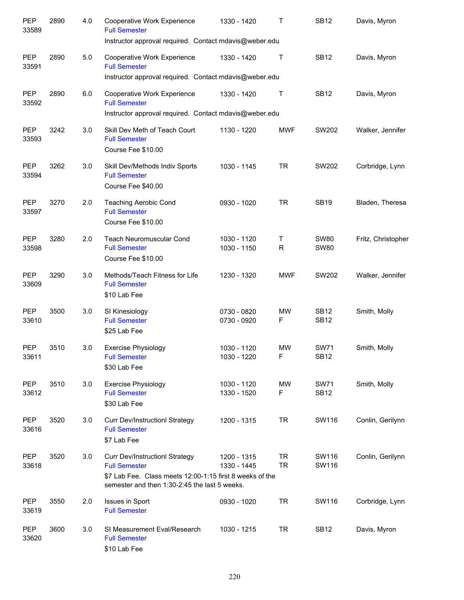| <b>PEP</b><br>33589 | 2890 | 4.0 | Cooperative Work Experience<br><b>Full Semester</b><br>Instructor approval required. Contact mdavis@weber.edu                                                              | 1330 - 1420                | Τ                      | <b>SB12</b>                | Davis, Myron       |
|---------------------|------|-----|----------------------------------------------------------------------------------------------------------------------------------------------------------------------------|----------------------------|------------------------|----------------------------|--------------------|
| <b>PEP</b><br>33591 | 2890 | 5.0 | Cooperative Work Experience<br><b>Full Semester</b>                                                                                                                        | 1330 - 1420                | $\top$                 | <b>SB12</b>                | Davis, Myron       |
|                     |      |     | Instructor approval required. Contact mdavis@weber.edu                                                                                                                     |                            |                        |                            |                    |
| PEP<br>33592        | 2890 | 6.0 | Cooperative Work Experience<br><b>Full Semester</b><br>Instructor approval required. Contact mdavis@weber.edu                                                              | 1330 - 1420                | $\top$                 | <b>SB12</b>                | Davis, Myron       |
| <b>PEP</b><br>33593 | 3242 | 3.0 | Skill Dev Meth of Teach Court<br><b>Full Semester</b><br>Course Fee \$10.00                                                                                                | 1130 - 1220                | <b>MWF</b>             | SW202                      | Walker, Jennifer   |
| PEP<br>33594        | 3262 | 3.0 | Skill Dev/Methods Indiv Sports<br><b>Full Semester</b><br>Course Fee \$40.00                                                                                               | 1030 - 1145                | <b>TR</b>              | SW202                      | Corbridge, Lynn    |
| <b>PEP</b><br>33597 | 3270 | 2.0 | <b>Teaching Aerobic Cond</b><br><b>Full Semester</b><br>Course Fee \$10.00                                                                                                 | 0930 - 1020                | <b>TR</b>              | <b>SB19</b>                | Bladen, Theresa    |
| <b>PEP</b><br>33598 | 3280 | 2.0 | <b>Teach Neuromuscular Cond</b><br><b>Full Semester</b><br>Course Fee \$10.00                                                                                              | 1030 - 1120<br>1030 - 1150 | Τ<br>R                 | <b>SW80</b><br><b>SW80</b> | Fritz, Christopher |
| <b>PEP</b><br>33609 | 3290 | 3.0 | Methods/Teach Fitness for Life<br><b>Full Semester</b><br>\$10 Lab Fee                                                                                                     | 1230 - 1320                | <b>MWF</b>             | SW202                      | Walker, Jennifer   |
| <b>PEP</b><br>33610 | 3500 | 3.0 | SI Kinesiology<br><b>Full Semester</b><br>\$25 Lab Fee                                                                                                                     | 0730 - 0820<br>0730 - 0920 | <b>MW</b><br>F         | <b>SB12</b><br><b>SB12</b> | Smith, Molly       |
| <b>PEP</b><br>33611 | 3510 | 3.0 | <b>Exercise Physiology</b><br><b>Full Semester</b><br>\$30 Lab Fee                                                                                                         | 1030 - 1120<br>1030 - 1220 | <b>MW</b><br>F.        | <b>SW71</b><br><b>SB12</b> | Smith, Molly       |
| PEP<br>33612        | 3510 | 3.0 | <b>Exercise Physiology</b><br><b>Full Semester</b><br>\$30 Lab Fee                                                                                                         | 1030 - 1120<br>1330 - 1520 | MW<br>F                | <b>SW71</b><br><b>SB12</b> | Smith, Molly       |
| PEP<br>33616        | 3520 | 3.0 | <b>Curr Dev/Instructionl Strategy</b><br><b>Full Semester</b><br>\$7 Lab Fee                                                                                               | 1200 - 1315                | <b>TR</b>              | SW116                      | Conlin, Gerilynn   |
| PEP<br>33618        | 3520 | 3.0 | <b>Curr Dev/Instructionl Strategy</b><br><b>Full Semester</b><br>\$7 Lab Fee. Class meets 12:00-1:15 first 8 weeks of the<br>semester and then 1:30-2:45 the last 5 weeks. | 1200 - 1315<br>1330 - 1445 | <b>TR</b><br><b>TR</b> | SW116<br>SW116             | Conlin, Gerilynn   |
| PEP<br>33619        | 3550 | 2.0 | Issues in Sport<br><b>Full Semester</b>                                                                                                                                    | 0930 - 1020                | <b>TR</b>              | SW116                      | Corbridge, Lynn    |
| PEP<br>33620        | 3600 | 3.0 | SI Measurement Eval/Research<br><b>Full Semester</b><br>\$10 Lab Fee                                                                                                       | 1030 - 1215                | <b>TR</b>              | <b>SB12</b>                | Davis, Myron       |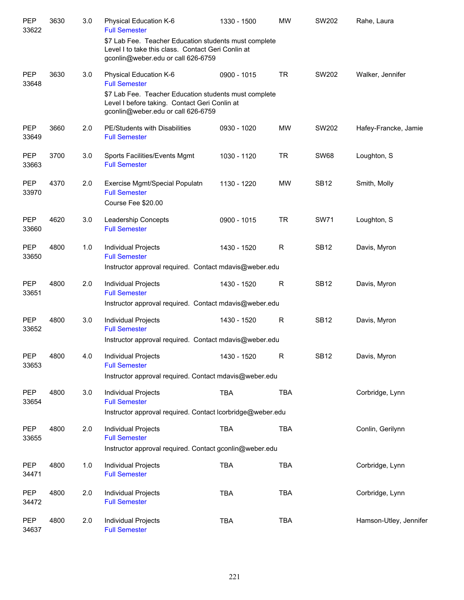| PEP<br>33622        | 3630 | 3.0 | Physical Education K-6<br><b>Full Semester</b>                                                                                                    | 1330 - 1500 | <b>MW</b>    | SW202       | Rahe, Laura            |
|---------------------|------|-----|---------------------------------------------------------------------------------------------------------------------------------------------------|-------------|--------------|-------------|------------------------|
|                     |      |     | \$7 Lab Fee. Teacher Education students must complete<br>Level I to take this class. Contact Geri Conlin at<br>gconlin@weber.edu or call 626-6759 |             |              |             |                        |
| PEP<br>33648        | 3630 | 3.0 | Physical Education K-6<br><b>Full Semester</b>                                                                                                    | 0900 - 1015 | <b>TR</b>    | SW202       | Walker, Jennifer       |
|                     |      |     | \$7 Lab Fee. Teacher Education students must complete<br>Level I before taking. Contact Geri Conlin at<br>gconlin@weber.edu or call 626-6759      |             |              |             |                        |
| <b>PEP</b><br>33649 | 3660 | 2.0 | PE/Students with Disabilities<br><b>Full Semester</b>                                                                                             | 0930 - 1020 | <b>MW</b>    | SW202       | Hafey-Francke, Jamie   |
| <b>PEP</b><br>33663 | 3700 | 3.0 | Sports Facilities/Events Mgmt<br><b>Full Semester</b>                                                                                             | 1030 - 1120 | <b>TR</b>    | <b>SW68</b> | Loughton, S            |
| PEP<br>33970        | 4370 | 2.0 | Exercise Mgmt/Special Populatn<br><b>Full Semester</b><br>Course Fee \$20.00                                                                      | 1130 - 1220 | <b>MW</b>    | <b>SB12</b> | Smith, Molly           |
| <b>PEP</b><br>33660 | 4620 | 3.0 | Leadership Concepts<br><b>Full Semester</b>                                                                                                       | 0900 - 1015 | <b>TR</b>    | <b>SW71</b> | Loughton, S            |
| <b>PEP</b><br>33650 | 4800 | 1.0 | Individual Projects<br><b>Full Semester</b>                                                                                                       | 1430 - 1520 | R            | <b>SB12</b> | Davis, Myron           |
|                     |      |     | Instructor approval required. Contact mdavis@weber.edu                                                                                            |             |              |             |                        |
| <b>PEP</b><br>33651 | 4800 | 2.0 | Individual Projects<br><b>Full Semester</b>                                                                                                       | 1430 - 1520 | R            | <b>SB12</b> | Davis, Myron           |
|                     |      |     | Instructor approval required. Contact mdavis@weber.edu                                                                                            |             |              |             |                        |
| <b>PEP</b><br>33652 | 4800 | 3.0 | Individual Projects<br><b>Full Semester</b>                                                                                                       | 1430 - 1520 | R            | <b>SB12</b> | Davis, Myron           |
|                     |      |     | Instructor approval required. Contact mdavis@weber.edu                                                                                            |             |              |             |                        |
| PEP<br>33653        | 4800 | 4.0 | <b>Individual Projects</b><br><b>Full Semester</b>                                                                                                | 1430 - 1520 | $\mathsf{R}$ | <b>SB12</b> | Davis, Myron           |
|                     |      |     | Instructor approval required. Contact mdavis@weber.edu                                                                                            |             |              |             |                        |
| PEP<br>33654        | 4800 | 3.0 | Individual Projects<br><b>Full Semester</b>                                                                                                       | <b>TBA</b>  | <b>TBA</b>   |             | Corbridge, Lynn        |
|                     |      |     | Instructor approval required. Contact lcorbridge@weber.edu                                                                                        |             |              |             |                        |
| PEP<br>33655        | 4800 | 2.0 | Individual Projects<br><b>Full Semester</b>                                                                                                       | <b>TBA</b>  | <b>TBA</b>   |             | Conlin, Gerilynn       |
|                     |      |     | Instructor approval required. Contact gconlin@weber.edu                                                                                           |             |              |             |                        |
| PEP<br>34471        | 4800 | 1.0 | Individual Projects<br><b>Full Semester</b>                                                                                                       | <b>TBA</b>  | <b>TBA</b>   |             | Corbridge, Lynn        |
| PEP<br>34472        | 4800 | 2.0 | Individual Projects<br><b>Full Semester</b>                                                                                                       | <b>TBA</b>  | <b>TBA</b>   |             | Corbridge, Lynn        |
| PEP<br>34637        | 4800 | 2.0 | Individual Projects<br><b>Full Semester</b>                                                                                                       | <b>TBA</b>  | <b>TBA</b>   |             | Hamson-Utley, Jennifer |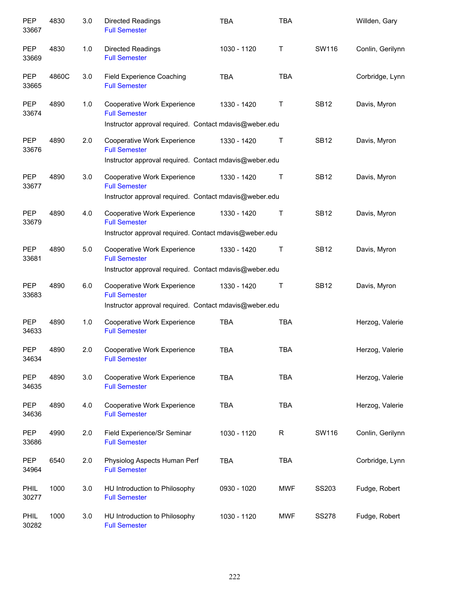| PEP<br>33667        | 4830  | 3.0 | <b>Directed Readings</b><br><b>Full Semester</b>                                                              | <b>TBA</b>  | TBA        |              | Willden, Gary    |
|---------------------|-------|-----|---------------------------------------------------------------------------------------------------------------|-------------|------------|--------------|------------------|
| <b>PEP</b><br>33669 | 4830  | 1.0 | Directed Readings<br><b>Full Semester</b>                                                                     | 1030 - 1120 | Τ          | SW116        | Conlin, Gerilynn |
| <b>PEP</b><br>33665 | 4860C | 3.0 | <b>Field Experience Coaching</b><br><b>Full Semester</b>                                                      | <b>TBA</b>  | <b>TBA</b> |              | Corbridge, Lynn  |
| <b>PEP</b><br>33674 | 4890  | 1.0 | Cooperative Work Experience<br><b>Full Semester</b><br>Instructor approval required. Contact mdavis@weber.edu | 1330 - 1420 | Τ          | <b>SB12</b>  | Davis, Myron     |
| <b>PEP</b>          | 4890  | 2.0 | Cooperative Work Experience                                                                                   | 1330 - 1420 | Т          | <b>SB12</b>  | Davis, Myron     |
| 33676               |       |     | <b>Full Semester</b>                                                                                          |             |            |              |                  |
|                     |       |     | Instructor approval required. Contact mdavis@weber.edu                                                        |             |            |              |                  |
| <b>PEP</b><br>33677 | 4890  | 3.0 | Cooperative Work Experience<br><b>Full Semester</b>                                                           | 1330 - 1420 | Т          | <b>SB12</b>  | Davis, Myron     |
|                     |       |     | Instructor approval required. Contact mdavis@weber.edu                                                        |             |            |              |                  |
| <b>PEP</b><br>33679 | 4890  | 4.0 | Cooperative Work Experience<br><b>Full Semester</b>                                                           | 1330 - 1420 | Т          | <b>SB12</b>  | Davis, Myron     |
|                     |       |     | Instructor approval required. Contact mdavis@weber.edu                                                        |             |            |              |                  |
| <b>PEP</b><br>33681 | 4890  | 5.0 | Cooperative Work Experience<br><b>Full Semester</b>                                                           | 1330 - 1420 | Τ          | <b>SB12</b>  | Davis, Myron     |
|                     |       |     | Instructor approval required. Contact mdavis@weber.edu                                                        |             |            |              |                  |
| <b>PEP</b><br>33683 | 4890  | 6.0 | Cooperative Work Experience<br><b>Full Semester</b>                                                           | 1330 - 1420 | Τ          | <b>SB12</b>  | Davis, Myron     |
|                     |       |     | Instructor approval required. Contact mdavis@weber.edu                                                        |             |            |              |                  |
| <b>PEP</b><br>34633 | 4890  | 1.0 | Cooperative Work Experience<br><b>Full Semester</b>                                                           | <b>TBA</b>  | <b>TBA</b> |              | Herzog, Valerie  |
| <b>PEP</b><br>34634 | 4890  | 2.0 | Cooperative Work Experience<br><b>Full Semester</b>                                                           | <b>TBA</b>  | <b>TBA</b> |              | Herzog, Valerie  |
| PEP<br>34635        | 4890  | 3.0 | Cooperative Work Experience<br><b>Full Semester</b>                                                           | <b>TBA</b>  | <b>TBA</b> |              | Herzog, Valerie  |
| <b>PEP</b><br>34636 | 4890  | 4.0 | <b>Cooperative Work Experience</b><br><b>Full Semester</b>                                                    | <b>TBA</b>  | <b>TBA</b> |              | Herzog, Valerie  |
| <b>PEP</b><br>33686 | 4990  | 2.0 | Field Experience/Sr Seminar<br><b>Full Semester</b>                                                           | 1030 - 1120 | R          | SW116        | Conlin, Gerilynn |
| <b>PEP</b><br>34964 | 6540  | 2.0 | Physiolog Aspects Human Perf<br><b>Full Semester</b>                                                          | <b>TBA</b>  | <b>TBA</b> |              | Corbridge, Lynn  |
| PHIL<br>30277       | 1000  | 3.0 | HU Introduction to Philosophy<br><b>Full Semester</b>                                                         | 0930 - 1020 | <b>MWF</b> | SS203        | Fudge, Robert    |
| PHIL<br>30282       | 1000  | 3.0 | HU Introduction to Philosophy<br><b>Full Semester</b>                                                         | 1030 - 1120 | <b>MWF</b> | <b>SS278</b> | Fudge, Robert    |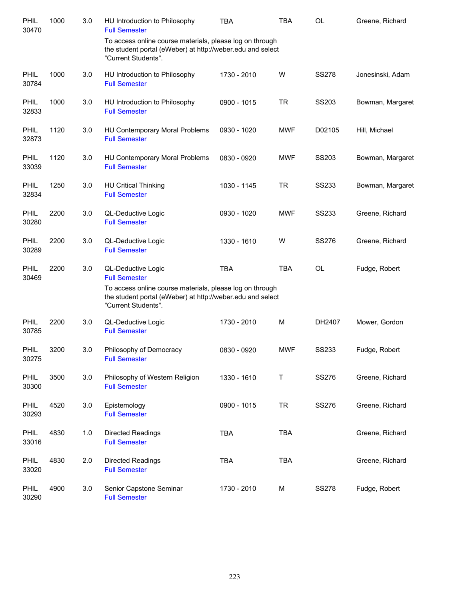| PHIL<br>30470        | 1000 | 3.0 | HU Introduction to Philosophy<br><b>Full Semester</b>                                                                                         | <b>TBA</b>  | <b>TBA</b> | <b>OL</b>    | Greene, Richard  |
|----------------------|------|-----|-----------------------------------------------------------------------------------------------------------------------------------------------|-------------|------------|--------------|------------------|
|                      |      |     | To access online course materials, please log on through<br>the student portal (eWeber) at http://weber.edu and select<br>"Current Students". |             |            |              |                  |
| PHIL<br>30784        | 1000 | 3.0 | HU Introduction to Philosophy<br><b>Full Semester</b>                                                                                         | 1730 - 2010 | W          | <b>SS278</b> | Jonesinski, Adam |
| PHIL<br>32833        | 1000 | 3.0 | HU Introduction to Philosophy<br><b>Full Semester</b>                                                                                         | 0900 - 1015 | <b>TR</b>  | SS203        | Bowman, Margaret |
| PHIL<br>32873        | 1120 | 3.0 | HU Contemporary Moral Problems<br><b>Full Semester</b>                                                                                        | 0930 - 1020 | <b>MWF</b> | D02105       | Hill, Michael    |
| PHIL<br>33039        | 1120 | 3.0 | <b>HU Contemporary Moral Problems</b><br><b>Full Semester</b>                                                                                 | 0830 - 0920 | <b>MWF</b> | SS203        | Bowman, Margaret |
| <b>PHIL</b><br>32834 | 1250 | 3.0 | <b>HU Critical Thinking</b><br><b>Full Semester</b>                                                                                           | 1030 - 1145 | <b>TR</b>  | SS233        | Bowman, Margaret |
| PHIL<br>30280        | 2200 | 3.0 | QL-Deductive Logic<br><b>Full Semester</b>                                                                                                    | 0930 - 1020 | <b>MWF</b> | SS233        | Greene, Richard  |
| <b>PHIL</b><br>30289 | 2200 | 3.0 | QL-Deductive Logic<br><b>Full Semester</b>                                                                                                    | 1330 - 1610 | W          | <b>SS276</b> | Greene, Richard  |
| PHIL<br>30469        | 2200 | 3.0 | QL-Deductive Logic<br><b>Full Semester</b>                                                                                                    | <b>TBA</b>  | <b>TBA</b> | <b>OL</b>    | Fudge, Robert    |
|                      |      |     | To access online course materials, please log on through<br>the student portal (eWeber) at http://weber.edu and select<br>"Current Students". |             |            |              |                  |
| <b>PHIL</b><br>30785 | 2200 | 3.0 | QL-Deductive Logic<br><b>Full Semester</b>                                                                                                    | 1730 - 2010 | M          | DH2407       | Mower, Gordon    |
| PHIL<br>30275        | 3200 | 3.0 | Philosophy of Democracy<br><b>Full Semester</b>                                                                                               | 0830 - 0920 | <b>MWF</b> | SS233        | Fudge, Robert    |
| PHIL<br>30300        | 3500 | 3.0 | Philosophy of Western Religion<br><b>Full Semester</b>                                                                                        | 1330 - 1610 | $\sf T$    | <b>SS276</b> | Greene, Richard  |
| PHIL<br>30293        | 4520 | 3.0 | Epistemology<br><b>Full Semester</b>                                                                                                          | 0900 - 1015 | <b>TR</b>  | SS276        | Greene, Richard  |
| PHIL<br>33016        | 4830 | 1.0 | Directed Readings<br><b>Full Semester</b>                                                                                                     | <b>TBA</b>  | <b>TBA</b> |              | Greene, Richard  |
| PHIL<br>33020        | 4830 | 2.0 | Directed Readings<br><b>Full Semester</b>                                                                                                     | <b>TBA</b>  | <b>TBA</b> |              | Greene, Richard  |
| PHIL<br>30290        | 4900 | 3.0 | Senior Capstone Seminar<br><b>Full Semester</b>                                                                                               | 1730 - 2010 | M          | <b>SS278</b> | Fudge, Robert    |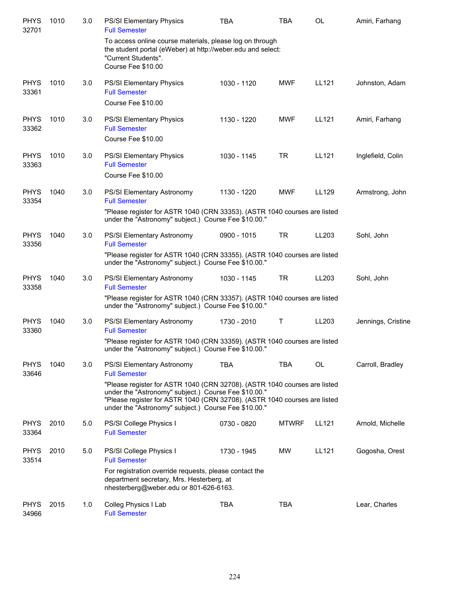| <b>PHYS</b><br>32701 | 1010 | 3.0 | <b>PS/SI Elementary Physics</b><br><b>Full Semester</b>                                                                                                                                                                                                                | <b>TBA</b>  | <b>TBA</b>   | <b>OL</b> | Amiri, Farhang     |
|----------------------|------|-----|------------------------------------------------------------------------------------------------------------------------------------------------------------------------------------------------------------------------------------------------------------------------|-------------|--------------|-----------|--------------------|
|                      |      |     | To access online course materials, please log on through<br>the student portal (eWeber) at http://weber.edu and select:<br>"Current Students".<br>Course Fee \$10.00                                                                                                   |             |              |           |                    |
| <b>PHYS</b><br>33361 | 1010 | 3.0 | PS/SI Elementary Physics<br><b>Full Semester</b><br>Course Fee \$10.00                                                                                                                                                                                                 | 1030 - 1120 | <b>MWF</b>   | LL121     | Johnston, Adam     |
| <b>PHYS</b><br>33362 | 1010 | 3.0 | PS/SI Elementary Physics<br><b>Full Semester</b><br>Course Fee \$10.00                                                                                                                                                                                                 | 1130 - 1220 | <b>MWF</b>   | LL121     | Amiri, Farhang     |
| <b>PHYS</b><br>33363 | 1010 | 3.0 | PS/SI Elementary Physics<br><b>Full Semester</b><br>Course Fee \$10.00                                                                                                                                                                                                 | 1030 - 1145 | <b>TR</b>    | LL121     | Inglefield, Colin  |
| <b>PHYS</b><br>33354 | 1040 | 3.0 | PS/SI Elementary Astronomy<br><b>Full Semester</b>                                                                                                                                                                                                                     | 1130 - 1220 | <b>MWF</b>   | LL129     | Armstrong, John    |
|                      |      |     | "Please register for ASTR 1040 (CRN 33353). (ASTR 1040 courses are listed<br>under the "Astronomy" subject.) Course Fee \$10.00."                                                                                                                                      |             |              |           |                    |
| <b>PHYS</b><br>33356 | 1040 | 3.0 | PS/SI Elementary Astronomy<br><b>Full Semester</b>                                                                                                                                                                                                                     | 0900 - 1015 | <b>TR</b>    | LL203     | Sohl, John         |
|                      |      |     | "Please register for ASTR 1040 (CRN 33355). (ASTR 1040 courses are listed<br>under the "Astronomy" subject.) Course Fee \$10.00."                                                                                                                                      |             |              |           |                    |
| <b>PHYS</b><br>33358 | 1040 | 3.0 | PS/SI Elementary Astronomy<br><b>Full Semester</b>                                                                                                                                                                                                                     | 1030 - 1145 | TR           | LL203     | Sohl, John         |
|                      |      |     | "Please register for ASTR 1040 (CRN 33357). (ASTR 1040 courses are listed<br>under the "Astronomy" subject.) Course Fee \$10.00."                                                                                                                                      |             |              |           |                    |
| <b>PHYS</b><br>33360 | 1040 | 3.0 | PS/SI Elementary Astronomy<br><b>Full Semester</b>                                                                                                                                                                                                                     | 1730 - 2010 | Τ            | LL203     | Jennings, Cristine |
|                      |      |     | "Please register for ASTR 1040 (CRN 33359). (ASTR 1040 courses are listed<br>under the "Astronomy" subject.) Course Fee \$10.00."                                                                                                                                      |             |              |           |                    |
| <b>PHYS</b><br>33646 | 1040 | 3.0 | PS/SI Elementary Astronomy<br><b>Full Semester</b>                                                                                                                                                                                                                     | <b>TBA</b>  | TBA          | OL        | Carroll, Bradley   |
|                      |      |     | "Please register for ASTR 1040 (CRN 32708). (ASTR 1040 courses are listed<br>under the "Astronomy" subject.) Course Fee \$10.00."<br>"Please register for ASTR 1040 (CRN 32708). (ASTR 1040 courses are listed<br>under the "Astronomy" subject.) Course Fee \$10.00." |             |              |           |                    |
| <b>PHYS</b><br>33364 | 2010 | 5.0 | PS/SI College Physics I<br><b>Full Semester</b>                                                                                                                                                                                                                        | 0730 - 0820 | <b>MTWRF</b> | LL121     | Arnold, Michelle   |
| <b>PHYS</b><br>33514 | 2010 | 5.0 | PS/SI College Physics I<br><b>Full Semester</b>                                                                                                                                                                                                                        | 1730 - 1945 | MW           | LL121     | Gogosha, Orest     |
|                      |      |     | For registration override requests, please contact the<br>department secretary, Mrs. Hesterberg, at<br>nhesterberg@weber.edu or 801-626-6163.                                                                                                                          |             |              |           |                    |
| <b>PHYS</b><br>34966 | 2015 | 1.0 | Colleg Physics I Lab<br><b>Full Semester</b>                                                                                                                                                                                                                           | <b>TBA</b>  | TBA          |           | Lear, Charles      |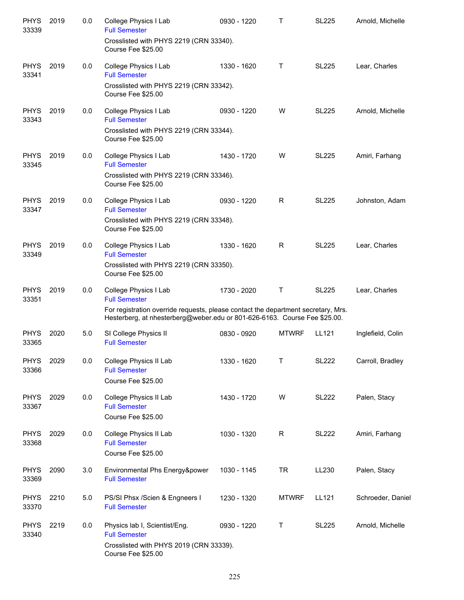| <b>PHYS</b><br>33339 | 2019 | 0.0 | College Physics I Lab<br><b>Full Semester</b>                                                                                                                  | 0930 - 1220 | $\mathsf{T}$ | <b>SL225</b> | Arnold, Michelle  |
|----------------------|------|-----|----------------------------------------------------------------------------------------------------------------------------------------------------------------|-------------|--------------|--------------|-------------------|
|                      |      |     | Crosslisted with PHYS 2219 (CRN 33340).<br>Course Fee \$25.00                                                                                                  |             |              |              |                   |
| <b>PHYS</b><br>33341 | 2019 | 0.0 | College Physics I Lab<br><b>Full Semester</b>                                                                                                                  | 1330 - 1620 | Τ            | <b>SL225</b> | Lear, Charles     |
|                      |      |     | Crosslisted with PHYS 2219 (CRN 33342).<br>Course Fee \$25.00                                                                                                  |             |              |              |                   |
| <b>PHYS</b><br>33343 | 2019 | 0.0 | College Physics I Lab<br><b>Full Semester</b>                                                                                                                  | 0930 - 1220 | W            | <b>SL225</b> | Arnold, Michelle  |
|                      |      |     | Crosslisted with PHYS 2219 (CRN 33344).<br>Course Fee \$25.00                                                                                                  |             |              |              |                   |
| <b>PHYS</b><br>33345 | 2019 | 0.0 | College Physics I Lab<br><b>Full Semester</b>                                                                                                                  | 1430 - 1720 | W            | <b>SL225</b> | Amiri, Farhang    |
|                      |      |     | Crosslisted with PHYS 2219 (CRN 33346).<br>Course Fee \$25.00                                                                                                  |             |              |              |                   |
| <b>PHYS</b><br>33347 | 2019 | 0.0 | College Physics I Lab<br><b>Full Semester</b>                                                                                                                  | 0930 - 1220 | R            | <b>SL225</b> | Johnston, Adam    |
|                      |      |     | Crosslisted with PHYS 2219 (CRN 33348).<br>Course Fee \$25.00                                                                                                  |             |              |              |                   |
| <b>PHYS</b><br>33349 | 2019 | 0.0 | College Physics I Lab<br><b>Full Semester</b>                                                                                                                  | 1330 - 1620 | R            | <b>SL225</b> | Lear, Charles     |
|                      |      |     | Crosslisted with PHYS 2219 (CRN 33350).<br>Course Fee \$25.00                                                                                                  |             |              |              |                   |
| <b>PHYS</b><br>33351 | 2019 | 0.0 | College Physics I Lab<br><b>Full Semester</b>                                                                                                                  | 1730 - 2020 | $\mathsf T$  | <b>SL225</b> | Lear, Charles     |
|                      |      |     | For registration override requests, please contact the department secretary, Mrs.<br>Hesterberg, at nhesterberg@weber.edu or 801-626-6163. Course Fee \$25.00. |             |              |              |                   |
| <b>PHYS</b><br>33365 | 2020 | 5.0 | SI College Physics II<br><b>Full Semester</b>                                                                                                                  | 0830 - 0920 | <b>MTWRF</b> | LL121        | Inglefield, Colin |
| <b>PHYS</b><br>33366 | 2029 | 0.0 | College Physics II Lab<br><b>Full Semester</b>                                                                                                                 | 1330 - 1620 | Т            | <b>SL222</b> | Carroll, Bradley  |
|                      |      |     | Course Fee \$25.00                                                                                                                                             |             |              |              |                   |
| <b>PHYS</b><br>33367 | 2029 | 0.0 | College Physics II Lab<br><b>Full Semester</b>                                                                                                                 | 1430 - 1720 | W            | <b>SL222</b> | Palen, Stacy      |
|                      |      |     | Course Fee \$25.00                                                                                                                                             |             |              |              |                   |
| <b>PHYS</b><br>33368 | 2029 | 0.0 | College Physics II Lab<br><b>Full Semester</b><br>Course Fee \$25.00                                                                                           | 1030 - 1320 | $\mathsf{R}$ | <b>SL222</b> | Amiri, Farhang    |
| <b>PHYS</b><br>33369 | 2090 | 3.0 | Environmental Phs Energy&power<br><b>Full Semester</b>                                                                                                         | 1030 - 1145 | <b>TR</b>    | LL230        | Palen, Stacy      |
| <b>PHYS</b><br>33370 | 2210 | 5.0 | PS/SI Phsx / Scien & Engneers I<br><b>Full Semester</b>                                                                                                        | 1230 - 1320 | <b>MTWRF</b> | LL121        | Schroeder, Daniel |
| <b>PHYS</b><br>33340 | 2219 | 0.0 | Physics lab I, Scientist/Eng.<br><b>Full Semester</b>                                                                                                          | 0930 - 1220 | Τ            | <b>SL225</b> | Arnold, Michelle  |
|                      |      |     | Crosslisted with PHYS 2019 (CRN 33339).<br>Course Fee \$25.00                                                                                                  |             |              |              |                   |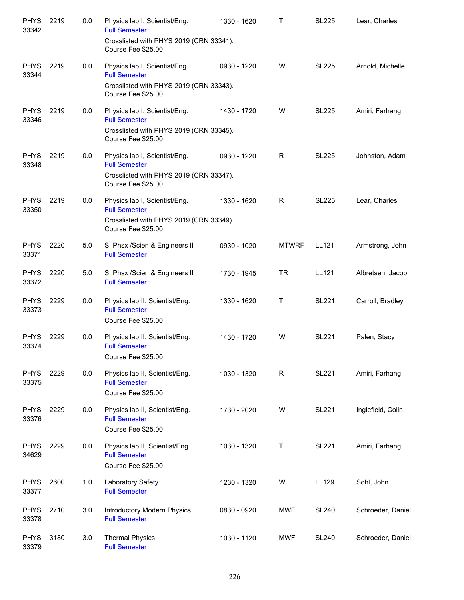| <b>PHYS</b><br>33342 | 2219 | 0.0 | Physics lab I, Scientist/Eng.<br><b>Full Semester</b>                        | 1330 - 1620 | Т            | <b>SL225</b> | Lear, Charles     |
|----------------------|------|-----|------------------------------------------------------------------------------|-------------|--------------|--------------|-------------------|
|                      |      |     | Crosslisted with PHYS 2019 (CRN 33341).<br>Course Fee \$25.00                |             |              |              |                   |
| <b>PHYS</b><br>33344 | 2219 | 0.0 | Physics lab I, Scientist/Eng.<br><b>Full Semester</b>                        | 0930 - 1220 | W            | <b>SL225</b> | Arnold, Michelle  |
|                      |      |     | Crosslisted with PHYS 2019 (CRN 33343).<br>Course Fee \$25.00                |             |              |              |                   |
| <b>PHYS</b><br>33346 | 2219 | 0.0 | Physics lab I, Scientist/Eng.<br><b>Full Semester</b>                        | 1430 - 1720 | W            | <b>SL225</b> | Amiri, Farhang    |
|                      |      |     | Crosslisted with PHYS 2019 (CRN 33345).<br>Course Fee \$25.00                |             |              |              |                   |
| <b>PHYS</b><br>33348 | 2219 | 0.0 | Physics lab I, Scientist/Eng.<br><b>Full Semester</b>                        | 0930 - 1220 | R            | <b>SL225</b> | Johnston, Adam    |
|                      |      |     | Crosslisted with PHYS 2019 (CRN 33347).<br>Course Fee \$25.00                |             |              |              |                   |
| <b>PHYS</b><br>33350 | 2219 | 0.0 | Physics lab I, Scientist/Eng.<br><b>Full Semester</b>                        | 1330 - 1620 | R            | <b>SL225</b> | Lear, Charles     |
|                      |      |     | Crosslisted with PHYS 2019 (CRN 33349).<br>Course Fee \$25.00                |             |              |              |                   |
| <b>PHYS</b><br>33371 | 2220 | 5.0 | SI Phsx /Scien & Engineers II<br><b>Full Semester</b>                        | 0930 - 1020 | <b>MTWRF</b> | LL121        | Armstrong, John   |
| <b>PHYS</b><br>33372 | 2220 | 5.0 | SI Phsx /Scien & Engineers II<br><b>Full Semester</b>                        | 1730 - 1945 | <b>TR</b>    | LL121        | Albretsen, Jacob  |
| <b>PHYS</b><br>33373 | 2229 | 0.0 | Physics lab II, Scientist/Eng.<br><b>Full Semester</b><br>Course Fee \$25.00 | 1330 - 1620 | Τ            | <b>SL221</b> | Carroll, Bradley  |
| <b>PHYS</b><br>33374 | 2229 | 0.0 | Physics lab II, Scientist/Eng.<br><b>Full Semester</b><br>Course Fee \$25.00 | 1430 - 1720 | W            | <b>SL221</b> | Palen, Stacy      |
| <b>PHYS</b><br>33375 | 2229 | 0.0 | Physics lab II, Scientist/Eng.<br><b>Full Semester</b><br>Course Fee \$25.00 | 1030 - 1320 | R            | <b>SL221</b> | Amiri, Farhang    |
| <b>PHYS</b><br>33376 | 2229 | 0.0 | Physics lab II, Scientist/Eng.<br><b>Full Semester</b><br>Course Fee \$25.00 | 1730 - 2020 | W            | <b>SL221</b> | Inglefield, Colin |
| <b>PHYS</b><br>34629 | 2229 | 0.0 | Physics lab II, Scientist/Eng.<br><b>Full Semester</b><br>Course Fee \$25.00 | 1030 - 1320 | Т            | <b>SL221</b> | Amiri, Farhang    |
| <b>PHYS</b><br>33377 | 2600 | 1.0 | Laboratory Safety<br><b>Full Semester</b>                                    | 1230 - 1320 | W            | LL129        | Sohl, John        |
| <b>PHYS</b><br>33378 | 2710 | 3.0 | Introductory Modern Physics<br><b>Full Semester</b>                          | 0830 - 0920 | <b>MWF</b>   | <b>SL240</b> | Schroeder, Daniel |
| <b>PHYS</b><br>33379 | 3180 | 3.0 | <b>Thermal Physics</b><br><b>Full Semester</b>                               | 1030 - 1120 | MWF          | <b>SL240</b> | Schroeder, Daniel |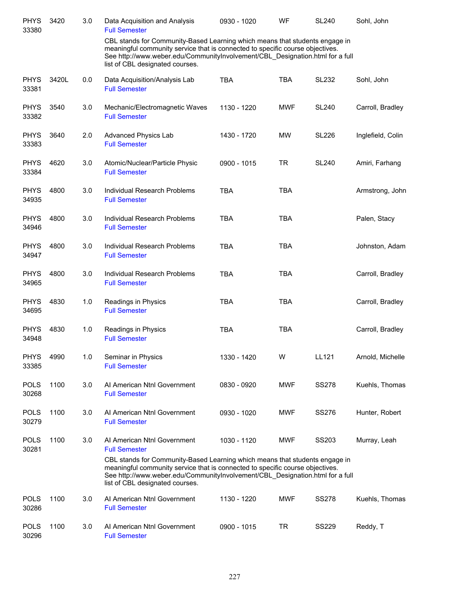| <b>PHYS</b><br>33380 | 3420  | 3.0 | Data Acquisition and Analysis<br><b>Full Semester</b>                                                                                                                                                                                                                            | 0930 - 1020 | <b>WF</b>  | <b>SL240</b> | Sohl, John        |
|----------------------|-------|-----|----------------------------------------------------------------------------------------------------------------------------------------------------------------------------------------------------------------------------------------------------------------------------------|-------------|------------|--------------|-------------------|
|                      |       |     | CBL stands for Community-Based Learning which means that students engage in<br>meaningful community service that is connected to specific course objectives.<br>See http://www.weber.edu/CommunityInvolvement/CBL_Designation.html for a full<br>list of CBL designated courses. |             |            |              |                   |
| <b>PHYS</b><br>33381 | 3420L | 0.0 | Data Acquisition/Analysis Lab<br><b>Full Semester</b>                                                                                                                                                                                                                            | <b>TBA</b>  | <b>TBA</b> | SL232        | Sohl, John        |
| <b>PHYS</b><br>33382 | 3540  | 3.0 | Mechanic/Electromagnetic Waves<br><b>Full Semester</b>                                                                                                                                                                                                                           | 1130 - 1220 | <b>MWF</b> | <b>SL240</b> | Carroll, Bradley  |
| <b>PHYS</b><br>33383 | 3640  | 2.0 | Advanced Physics Lab<br><b>Full Semester</b>                                                                                                                                                                                                                                     | 1430 - 1720 | <b>MW</b>  | <b>SL226</b> | Inglefield, Colin |
| <b>PHYS</b><br>33384 | 4620  | 3.0 | Atomic/Nuclear/Particle Physic<br><b>Full Semester</b>                                                                                                                                                                                                                           | 0900 - 1015 | <b>TR</b>  | <b>SL240</b> | Amiri, Farhang    |
| <b>PHYS</b><br>34935 | 4800  | 3.0 | Individual Research Problems<br><b>Full Semester</b>                                                                                                                                                                                                                             | <b>TBA</b>  | <b>TBA</b> |              | Armstrong, John   |
| <b>PHYS</b><br>34946 | 4800  | 3.0 | Individual Research Problems<br><b>Full Semester</b>                                                                                                                                                                                                                             | <b>TBA</b>  | TBA        |              | Palen, Stacy      |
| <b>PHYS</b><br>34947 | 4800  | 3.0 | Individual Research Problems<br><b>Full Semester</b>                                                                                                                                                                                                                             | <b>TBA</b>  | <b>TBA</b> |              | Johnston, Adam    |
| <b>PHYS</b><br>34965 | 4800  | 3.0 | Individual Research Problems<br><b>Full Semester</b>                                                                                                                                                                                                                             | <b>TBA</b>  | <b>TBA</b> |              | Carroll, Bradley  |
| <b>PHYS</b><br>34695 | 4830  | 1.0 | Readings in Physics<br><b>Full Semester</b>                                                                                                                                                                                                                                      | <b>TBA</b>  | <b>TBA</b> |              | Carroll, Bradley  |
| <b>PHYS</b><br>34948 | 4830  | 1.0 | Readings in Physics<br><b>Full Semester</b>                                                                                                                                                                                                                                      | <b>TBA</b>  | <b>TBA</b> |              | Carroll, Bradley  |
| <b>PHYS</b><br>33385 | 4990  | 1.0 | Seminar in Physics<br><b>Full Semester</b>                                                                                                                                                                                                                                       | 1330 - 1420 | W          | LL121        | Arnold, Michelle  |
| <b>POLS</b><br>30268 | 1100  | 3.0 | Al American Ntnl Government<br><b>Full Semester</b>                                                                                                                                                                                                                              | 0830 - 0920 | <b>MWF</b> | <b>SS278</b> | Kuehls, Thomas    |
| <b>POLS</b><br>30279 | 1100  | 3.0 | AI American Ntnl Government<br><b>Full Semester</b>                                                                                                                                                                                                                              | 0930 - 1020 | <b>MWF</b> | <b>SS276</b> | Hunter, Robert    |
| <b>POLS</b><br>30281 | 1100  | 3.0 | Al American Ntnl Government<br><b>Full Semester</b><br>CBL stands for Community-Based Learning which means that students engage in                                                                                                                                               | 1030 - 1120 | <b>MWF</b> | SS203        | Murray, Leah      |
|                      |       |     | meaningful community service that is connected to specific course objectives.<br>See http://www.weber.edu/CommunityInvolvement/CBL_Designation.html for a full<br>list of CBL designated courses.                                                                                |             |            |              |                   |
| <b>POLS</b><br>30286 | 1100  | 3.0 | Al American Ntnl Government<br><b>Full Semester</b>                                                                                                                                                                                                                              | 1130 - 1220 | <b>MWF</b> | <b>SS278</b> | Kuehls, Thomas    |
| <b>POLS</b><br>30296 | 1100  | 3.0 | Al American Ntnl Government<br><b>Full Semester</b>                                                                                                                                                                                                                              | 0900 - 1015 | TR         | SS229        | Reddy, T          |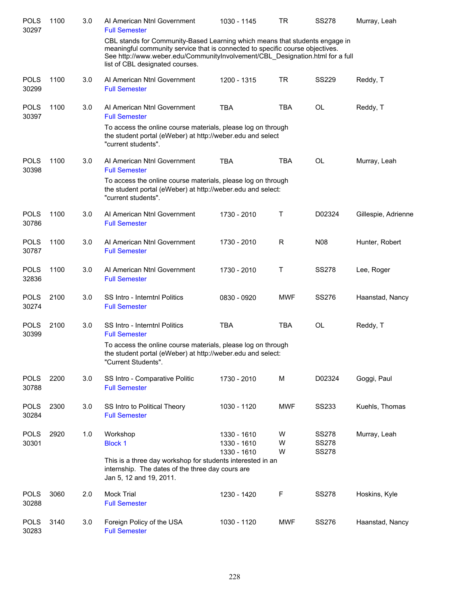| <b>POLS</b><br>30297 | 1100 | 3.0 | Al American Ntnl Government<br><b>Full Semester</b>                                                                                                                                                                                                                              | 1030 - 1145                               | TR          | <b>SS278</b>                                 | Murray, Leah        |
|----------------------|------|-----|----------------------------------------------------------------------------------------------------------------------------------------------------------------------------------------------------------------------------------------------------------------------------------|-------------------------------------------|-------------|----------------------------------------------|---------------------|
|                      |      |     | CBL stands for Community-Based Learning which means that students engage in<br>meaningful community service that is connected to specific course objectives.<br>See http://www.weber.edu/CommunityInvolvement/CBL Designation.html for a full<br>list of CBL designated courses. |                                           |             |                                              |                     |
| <b>POLS</b><br>30299 | 1100 | 3.0 | Al American Ntnl Government<br><b>Full Semester</b>                                                                                                                                                                                                                              | 1200 - 1315                               | <b>TR</b>   | <b>SS229</b>                                 | Reddy, T            |
| <b>POLS</b><br>30397 | 1100 | 3.0 | Al American Ntnl Government<br><b>Full Semester</b>                                                                                                                                                                                                                              | <b>TBA</b>                                | <b>TBA</b>  | OL                                           | Reddy, T            |
|                      |      |     | To access the online course materials, please log on through<br>the student portal (eWeber) at http://weber.edu and select<br>"current students".                                                                                                                                |                                           |             |                                              |                     |
| <b>POLS</b><br>30398 | 1100 | 3.0 | Al American Ntnl Government<br><b>Full Semester</b>                                                                                                                                                                                                                              | <b>TBA</b>                                | <b>TBA</b>  | <b>OL</b>                                    | Murray, Leah        |
|                      |      |     | To access the online course materials, please log on through<br>the student portal (eWeber) at http://weber.edu and select:<br>"current students".                                                                                                                               |                                           |             |                                              |                     |
| <b>POLS</b><br>30786 | 1100 | 3.0 | Al American Ntnl Government<br><b>Full Semester</b>                                                                                                                                                                                                                              | 1730 - 2010                               | Τ           | D02324                                       | Gillespie, Adrienne |
| <b>POLS</b><br>30787 | 1100 | 3.0 | Al American Ntnl Government<br><b>Full Semester</b>                                                                                                                                                                                                                              | 1730 - 2010                               | R           | N08                                          | Hunter, Robert      |
| <b>POLS</b><br>32836 | 1100 | 3.0 | Al American Ntnl Government<br><b>Full Semester</b>                                                                                                                                                                                                                              | 1730 - 2010                               | Τ           | <b>SS278</b>                                 | Lee, Roger          |
| <b>POLS</b><br>30274 | 2100 | 3.0 | SS Intro - Interntnl Politics<br><b>Full Semester</b>                                                                                                                                                                                                                            | 0830 - 0920                               | <b>MWF</b>  | <b>SS276</b>                                 | Haanstad, Nancy     |
| <b>POLS</b><br>30399 | 2100 | 3.0 | SS Intro - Interntnl Politics<br><b>Full Semester</b>                                                                                                                                                                                                                            | <b>TBA</b>                                | <b>TBA</b>  | <b>OL</b>                                    | Reddy, T            |
|                      |      |     | To access the online course materials, please log on through<br>the student portal (eWeber) at http://weber.edu and select:<br>"Current Students".                                                                                                                               |                                           |             |                                              |                     |
| <b>POLS</b><br>30788 | 2200 | 3.0 | SS Intro - Comparative Politic<br><b>Full Semester</b>                                                                                                                                                                                                                           | 1730 - 2010                               | M           | D02324                                       | Goggi, Paul         |
| <b>POLS</b><br>30284 | 2300 | 3.0 | SS Intro to Political Theory<br><b>Full Semester</b>                                                                                                                                                                                                                             | 1030 - 1120                               | <b>MWF</b>  | <b>SS233</b>                                 | Kuehls, Thomas      |
| <b>POLS</b><br>30301 | 2920 | 1.0 | Workshop<br><b>Block 1</b>                                                                                                                                                                                                                                                       | 1330 - 1610<br>1330 - 1610<br>1330 - 1610 | W<br>W<br>W | <b>SS278</b><br><b>SS278</b><br><b>SS278</b> | Murray, Leah        |
|                      |      |     | This is a three day workshop for students interested in an<br>internship. The dates of the three day cours are<br>Jan 5, 12 and 19, 2011.                                                                                                                                        |                                           |             |                                              |                     |
| <b>POLS</b><br>30288 | 3060 | 2.0 | <b>Mock Trial</b><br><b>Full Semester</b>                                                                                                                                                                                                                                        | 1230 - 1420                               | F           | <b>SS278</b>                                 | Hoskins, Kyle       |
| <b>POLS</b><br>30283 | 3140 | 3.0 | Foreign Policy of the USA<br><b>Full Semester</b>                                                                                                                                                                                                                                | 1030 - 1120                               | <b>MWF</b>  | SS276                                        | Haanstad, Nancy     |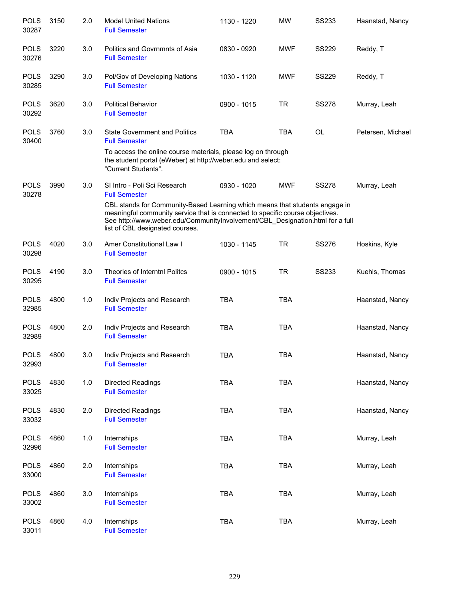| <b>POLS</b><br>30287 | 3150 | 2.0 | <b>Model United Nations</b><br><b>Full Semester</b>                                                                                                                                                                                                                              | 1130 - 1220 | <b>MW</b>  | <b>SS233</b> | Haanstad, Nancy   |
|----------------------|------|-----|----------------------------------------------------------------------------------------------------------------------------------------------------------------------------------------------------------------------------------------------------------------------------------|-------------|------------|--------------|-------------------|
| <b>POLS</b><br>30276 | 3220 | 3.0 | Politics and Govrnmnts of Asia<br><b>Full Semester</b>                                                                                                                                                                                                                           | 0830 - 0920 | <b>MWF</b> | <b>SS229</b> | Reddy, T          |
| <b>POLS</b><br>30285 | 3290 | 3.0 | Pol/Gov of Developing Nations<br><b>Full Semester</b>                                                                                                                                                                                                                            | 1030 - 1120 | <b>MWF</b> | <b>SS229</b> | Reddy, T          |
| <b>POLS</b><br>30292 | 3620 | 3.0 | <b>Political Behavior</b><br><b>Full Semester</b>                                                                                                                                                                                                                                | 0900 - 1015 | TR         | <b>SS278</b> | Murray, Leah      |
| <b>POLS</b><br>30400 | 3760 | 3.0 | <b>State Government and Politics</b><br><b>Full Semester</b>                                                                                                                                                                                                                     | <b>TBA</b>  | <b>TBA</b> | <b>OL</b>    | Petersen, Michael |
|                      |      |     | To access the online course materials, please log on through<br>the student portal (eWeber) at http://weber.edu and select:<br>"Current Students".                                                                                                                               |             |            |              |                   |
| <b>POLS</b><br>30278 | 3990 | 3.0 | SI Intro - Poli Sci Research<br><b>Full Semester</b>                                                                                                                                                                                                                             | 0930 - 1020 | <b>MWF</b> | <b>SS278</b> | Murray, Leah      |
|                      |      |     | CBL stands for Community-Based Learning which means that students engage in<br>meaningful community service that is connected to specific course objectives.<br>See http://www.weber.edu/CommunityInvolvement/CBL_Designation.html for a full<br>list of CBL designated courses. |             |            |              |                   |
| <b>POLS</b><br>30298 | 4020 | 3.0 | Amer Constitutional Law I<br><b>Full Semester</b>                                                                                                                                                                                                                                | 1030 - 1145 | <b>TR</b>  | <b>SS276</b> | Hoskins, Kyle     |
| <b>POLS</b><br>30295 | 4190 | 3.0 | Theories of Interntnl Politcs<br><b>Full Semester</b>                                                                                                                                                                                                                            | 0900 - 1015 | <b>TR</b>  | <b>SS233</b> | Kuehls, Thomas    |
| <b>POLS</b><br>32985 | 4800 | 1.0 | Indiv Projects and Research<br><b>Full Semester</b>                                                                                                                                                                                                                              | <b>TBA</b>  | <b>TBA</b> |              | Haanstad, Nancy   |
| <b>POLS</b><br>32989 | 4800 | 2.0 | Indiv Projects and Research<br><b>Full Semester</b>                                                                                                                                                                                                                              | <b>TBA</b>  | <b>TBA</b> |              | Haanstad, Nancy   |
| <b>POLS</b><br>32993 | 4800 | 3.0 | Indiv Projects and Research<br><b>Full Semester</b>                                                                                                                                                                                                                              | <b>TBA</b>  | TBA        |              | Haanstad, Nancy   |
| <b>POLS</b><br>33025 | 4830 | 1.0 | Directed Readings<br><b>Full Semester</b>                                                                                                                                                                                                                                        | TBA         | <b>TBA</b> |              | Haanstad, Nancy   |
| <b>POLS</b><br>33032 | 4830 | 2.0 | Directed Readings<br><b>Full Semester</b>                                                                                                                                                                                                                                        | TBA         | <b>TBA</b> |              | Haanstad, Nancy   |
| <b>POLS</b><br>32996 | 4860 | 1.0 | Internships<br><b>Full Semester</b>                                                                                                                                                                                                                                              | TBA         | <b>TBA</b> |              | Murray, Leah      |
| <b>POLS</b><br>33000 | 4860 | 2.0 | Internships<br><b>Full Semester</b>                                                                                                                                                                                                                                              | TBA         | <b>TBA</b> |              | Murray, Leah      |
| <b>POLS</b><br>33002 | 4860 | 3.0 | Internships<br><b>Full Semester</b>                                                                                                                                                                                                                                              | <b>TBA</b>  | <b>TBA</b> |              | Murray, Leah      |
| <b>POLS</b><br>33011 | 4860 | 4.0 | Internships<br><b>Full Semester</b>                                                                                                                                                                                                                                              | <b>TBA</b>  | <b>TBA</b> |              | Murray, Leah      |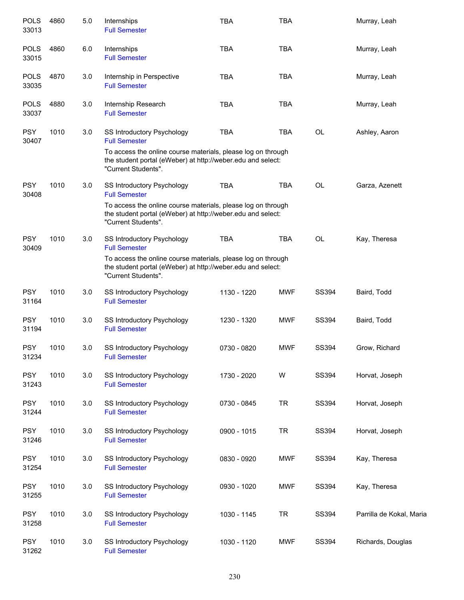| <b>POLS</b><br>33013 | 4860 | 5.0 | Internships<br><b>Full Semester</b>                                                                                                                | <b>TBA</b>  | <b>TBA</b> |              | Murray, Leah             |
|----------------------|------|-----|----------------------------------------------------------------------------------------------------------------------------------------------------|-------------|------------|--------------|--------------------------|
| <b>POLS</b><br>33015 | 4860 | 6.0 | Internships<br><b>Full Semester</b>                                                                                                                | <b>TBA</b>  | <b>TBA</b> |              | Murray, Leah             |
| <b>POLS</b><br>33035 | 4870 | 3.0 | Internship in Perspective<br><b>Full Semester</b>                                                                                                  | <b>TBA</b>  | <b>TBA</b> |              | Murray, Leah             |
| <b>POLS</b><br>33037 | 4880 | 3.0 | Internship Research<br><b>Full Semester</b>                                                                                                        | <b>TBA</b>  | <b>TBA</b> |              | Murray, Leah             |
| <b>PSY</b><br>30407  | 1010 | 3.0 | SS Introductory Psychology<br><b>Full Semester</b>                                                                                                 | <b>TBA</b>  | <b>TBA</b> | OL           | Ashley, Aaron            |
|                      |      |     | To access the online course materials, please log on through<br>the student portal (eWeber) at http://weber.edu and select:<br>"Current Students". |             |            |              |                          |
| <b>PSY</b><br>30408  | 1010 | 3.0 | SS Introductory Psychology<br><b>Full Semester</b>                                                                                                 | <b>TBA</b>  | <b>TBA</b> | <b>OL</b>    | Garza, Azenett           |
|                      |      |     | To access the online course materials, please log on through<br>the student portal (eWeber) at http://weber.edu and select:<br>"Current Students". |             |            |              |                          |
| <b>PSY</b><br>30409  | 1010 | 3.0 | <b>SS Introductory Psychology</b><br><b>Full Semester</b>                                                                                          | <b>TBA</b>  | <b>TBA</b> | <b>OL</b>    | Kay, Theresa             |
|                      |      |     | To access the online course materials, please log on through<br>the student portal (eWeber) at http://weber.edu and select:<br>"Current Students". |             |            |              |                          |
| <b>PSY</b><br>31164  | 1010 | 3.0 | SS Introductory Psychology<br><b>Full Semester</b>                                                                                                 | 1130 - 1220 | <b>MWF</b> | SS394        | Baird, Todd              |
| <b>PSY</b><br>31194  | 1010 | 3.0 | <b>SS Introductory Psychology</b><br><b>Full Semester</b>                                                                                          | 1230 - 1320 | <b>MWF</b> | <b>SS394</b> | Baird, Todd              |
| <b>PSY</b><br>31234  | 1010 | 3.0 | SS Introductory Psychology<br><b>Full Semester</b>                                                                                                 | 0730 - 0820 | <b>MWF</b> | SS394        | Grow, Richard            |
| <b>PSY</b><br>31243  | 1010 | 3.0 | <b>SS Introductory Psychology</b><br><b>Full Semester</b>                                                                                          | 1730 - 2020 | W          | SS394        | Horvat, Joseph           |
| <b>PSY</b><br>31244  | 1010 | 3.0 | SS Introductory Psychology<br><b>Full Semester</b>                                                                                                 | 0730 - 0845 | <b>TR</b>  | SS394        | Horvat, Joseph           |
| <b>PSY</b><br>31246  | 1010 | 3.0 | SS Introductory Psychology<br><b>Full Semester</b>                                                                                                 | 0900 - 1015 | <b>TR</b>  | SS394        | Horvat, Joseph           |
| <b>PSY</b><br>31254  | 1010 | 3.0 | SS Introductory Psychology<br><b>Full Semester</b>                                                                                                 | 0830 - 0920 | <b>MWF</b> | SS394        | Kay, Theresa             |
| <b>PSY</b><br>31255  | 1010 | 3.0 | SS Introductory Psychology<br><b>Full Semester</b>                                                                                                 | 0930 - 1020 | <b>MWF</b> | SS394        | Kay, Theresa             |
| <b>PSY</b><br>31258  | 1010 | 3.0 | SS Introductory Psychology<br><b>Full Semester</b>                                                                                                 | 1030 - 1145 | <b>TR</b>  | SS394        | Parrilla de Kokal, Maria |
| <b>PSY</b><br>31262  | 1010 | 3.0 | SS Introductory Psychology<br><b>Full Semester</b>                                                                                                 | 1030 - 1120 | <b>MWF</b> | SS394        | Richards, Douglas        |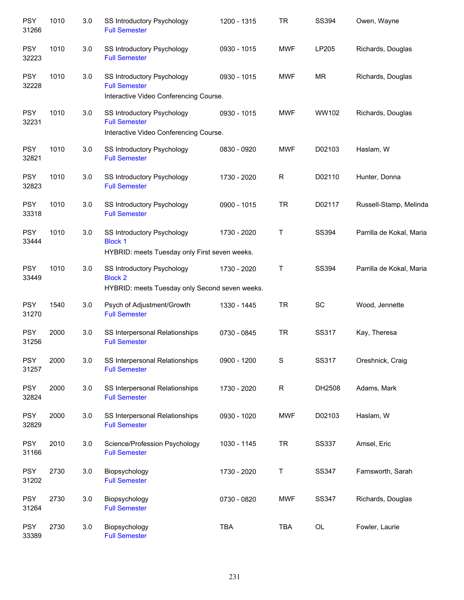| <b>PSY</b><br>31266 | 1010 | 3.0 | SS Introductory Psychology<br><b>Full Semester</b>                                             | 1200 - 1315 | <b>TR</b>  | SS394          | Owen, Wayne              |
|---------------------|------|-----|------------------------------------------------------------------------------------------------|-------------|------------|----------------|--------------------------|
| <b>PSY</b><br>32223 | 1010 | 3.0 | SS Introductory Psychology<br><b>Full Semester</b>                                             | 0930 - 1015 | <b>MWF</b> | LP205          | Richards, Douglas        |
| <b>PSY</b><br>32228 | 1010 | 3.0 | SS Introductory Psychology<br><b>Full Semester</b><br>Interactive Video Conferencing Course.   | 0930 - 1015 | <b>MWF</b> | <b>MR</b>      | Richards, Douglas        |
| <b>PSY</b><br>32231 | 1010 | 3.0 | SS Introductory Psychology<br><b>Full Semester</b><br>Interactive Video Conferencing Course.   | 0930 - 1015 | <b>MWF</b> | WW102          | Richards, Douglas        |
| <b>PSY</b><br>32821 | 1010 | 3.0 | SS Introductory Psychology<br><b>Full Semester</b>                                             | 0830 - 0920 | <b>MWF</b> | D02103         | Haslam, W                |
| <b>PSY</b><br>32823 | 1010 | 3.0 | SS Introductory Psychology<br><b>Full Semester</b>                                             | 1730 - 2020 | R          | D02110         | Hunter, Donna            |
| <b>PSY</b><br>33318 | 1010 | 3.0 | SS Introductory Psychology<br><b>Full Semester</b>                                             | 0900 - 1015 | <b>TR</b>  | D02117         | Russell-Stamp, Melinda   |
| <b>PSY</b><br>33444 | 1010 | 3.0 | SS Introductory Psychology<br><b>Block 1</b><br>HYBRID: meets Tuesday only First seven weeks.  | 1730 - 2020 | Τ          | SS394          | Parrilla de Kokal, Maria |
| <b>PSY</b><br>33449 | 1010 | 3.0 | SS Introductory Psychology<br><b>Block 2</b><br>HYBRID: meets Tuesday only Second seven weeks. | 1730 - 2020 | Τ          | SS394          | Parrilla de Kokal, Maria |
| <b>PSY</b><br>31270 | 1540 | 3.0 | Psych of Adjustment/Growth<br><b>Full Semester</b>                                             | 1330 - 1445 | <b>TR</b>  | SC             | Wood, Jennette           |
| <b>PSY</b><br>31256 | 2000 | 3.0 | SS Interpersonal Relationships<br><b>Full Semester</b>                                         | 0730 - 0845 | <b>TR</b>  | <b>SS317</b>   | Kay, Theresa             |
| <b>PSY</b><br>31257 | 2000 | 3.0 | SS Interpersonal Relationships<br><b>Full Semester</b>                                         | 0900 - 1200 | S          | SS317          | Oreshnick, Craig         |
| <b>PSY</b><br>32824 | 2000 | 3.0 | SS Interpersonal Relationships<br><b>Full Semester</b>                                         | 1730 - 2020 | ${\sf R}$  | DH2508         | Adams, Mark              |
| <b>PSY</b><br>32829 | 2000 | 3.0 | SS Interpersonal Relationships<br><b>Full Semester</b>                                         | 0930 - 1020 | <b>MWF</b> | D02103         | Haslam, W                |
| <b>PSY</b><br>31166 | 2010 | 3.0 | Science/Profession Psychology<br><b>Full Semester</b>                                          | 1030 - 1145 | <b>TR</b>  | <b>SS337</b>   | Amsel, Eric              |
| <b>PSY</b><br>31202 | 2730 | 3.0 | Biopsychology<br><b>Full Semester</b>                                                          | 1730 - 2020 | Τ          | SS347          | Farnsworth, Sarah        |
| <b>PSY</b><br>31264 | 2730 | 3.0 | Biopsychology<br><b>Full Semester</b>                                                          | 0730 - 0820 | <b>MWF</b> | SS347          | Richards, Douglas        |
| <b>PSY</b><br>33389 | 2730 | 3.0 | Biopsychology<br><b>Full Semester</b>                                                          | <b>TBA</b>  | <b>TBA</b> | $\mathsf{OL}%$ | Fowler, Laurie           |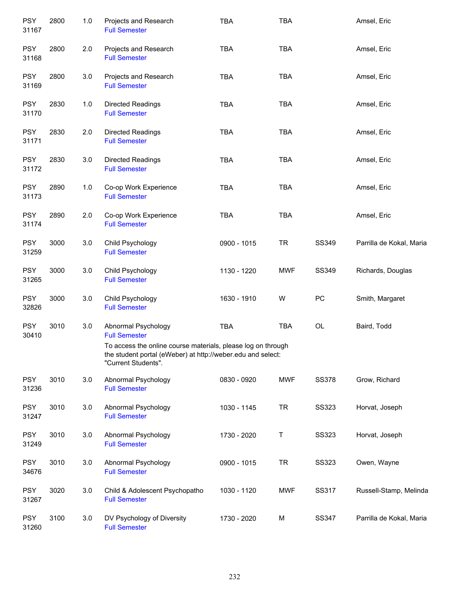| <b>PSY</b><br>31167 | 2800 | 1.0 | Projects and Research<br><b>Full Semester</b>                                                                                                      | <b>TBA</b>  | <b>TBA</b> |                                          | Amsel, Eric              |
|---------------------|------|-----|----------------------------------------------------------------------------------------------------------------------------------------------------|-------------|------------|------------------------------------------|--------------------------|
| <b>PSY</b><br>31168 | 2800 | 2.0 | Projects and Research<br><b>Full Semester</b>                                                                                                      | <b>TBA</b>  | <b>TBA</b> |                                          | Amsel, Eric              |
| <b>PSY</b><br>31169 | 2800 | 3.0 | Projects and Research<br><b>Full Semester</b>                                                                                                      | <b>TBA</b>  | <b>TBA</b> |                                          | Amsel, Eric              |
| <b>PSY</b><br>31170 | 2830 | 1.0 | <b>Directed Readings</b><br><b>Full Semester</b>                                                                                                   | <b>TBA</b>  | <b>TBA</b> |                                          | Amsel, Eric              |
| <b>PSY</b><br>31171 | 2830 | 2.0 | <b>Directed Readings</b><br><b>Full Semester</b>                                                                                                   | <b>TBA</b>  | <b>TBA</b> |                                          | Amsel, Eric              |
| <b>PSY</b><br>31172 | 2830 | 3.0 | Directed Readings<br><b>Full Semester</b>                                                                                                          | <b>TBA</b>  | <b>TBA</b> |                                          | Amsel, Eric              |
| <b>PSY</b><br>31173 | 2890 | 1.0 | Co-op Work Experience<br><b>Full Semester</b>                                                                                                      | <b>TBA</b>  | <b>TBA</b> |                                          | Amsel, Eric              |
| <b>PSY</b><br>31174 | 2890 | 2.0 | Co-op Work Experience<br><b>Full Semester</b>                                                                                                      | <b>TBA</b>  | <b>TBA</b> |                                          | Amsel, Eric              |
| <b>PSY</b><br>31259 | 3000 | 3.0 | Child Psychology<br><b>Full Semester</b>                                                                                                           | 0900 - 1015 | <b>TR</b>  | SS349                                    | Parrilla de Kokal, Maria |
| <b>PSY</b><br>31265 | 3000 | 3.0 | Child Psychology<br><b>Full Semester</b>                                                                                                           | 1130 - 1220 | <b>MWF</b> | SS349                                    | Richards, Douglas        |
| <b>PSY</b><br>32826 | 3000 | 3.0 | Child Psychology<br><b>Full Semester</b>                                                                                                           | 1630 - 1910 | W          | PC                                       | Smith, Margaret          |
| <b>PSY</b><br>30410 | 3010 | 3.0 | Abnormal Psychology<br><b>Full Semester</b>                                                                                                        | TBA         | <b>TBA</b> | $\mathsf{OL}% \left( \mathcal{M}\right)$ | Baird, Todd              |
|                     |      |     | To access the online course materials, please log on through<br>the student portal (eWeber) at http://weber.edu and select:<br>"Current Students". |             |            |                                          |                          |
| <b>PSY</b><br>31236 | 3010 | 3.0 | Abnormal Psychology<br><b>Full Semester</b>                                                                                                        | 0830 - 0920 | <b>MWF</b> | <b>SS378</b>                             | Grow, Richard            |
| <b>PSY</b><br>31247 | 3010 | 3.0 | Abnormal Psychology<br><b>Full Semester</b>                                                                                                        | 1030 - 1145 | <b>TR</b>  | <b>SS323</b>                             | Horvat, Joseph           |
| <b>PSY</b><br>31249 | 3010 | 3.0 | Abnormal Psychology<br><b>Full Semester</b>                                                                                                        | 1730 - 2020 | Τ          | <b>SS323</b>                             | Horvat, Joseph           |
| <b>PSY</b><br>34676 | 3010 | 3.0 | Abnormal Psychology<br><b>Full Semester</b>                                                                                                        | 0900 - 1015 | <b>TR</b>  | <b>SS323</b>                             | Owen, Wayne              |
| <b>PSY</b><br>31267 | 3020 | 3.0 | Child & Adolescent Psychopatho<br><b>Full Semester</b>                                                                                             | 1030 - 1120 | <b>MWF</b> | SS317                                    | Russell-Stamp, Melinda   |
| <b>PSY</b><br>31260 | 3100 | 3.0 | DV Psychology of Diversity<br><b>Full Semester</b>                                                                                                 | 1730 - 2020 | M          | SS347                                    | Parrilla de Kokal, Maria |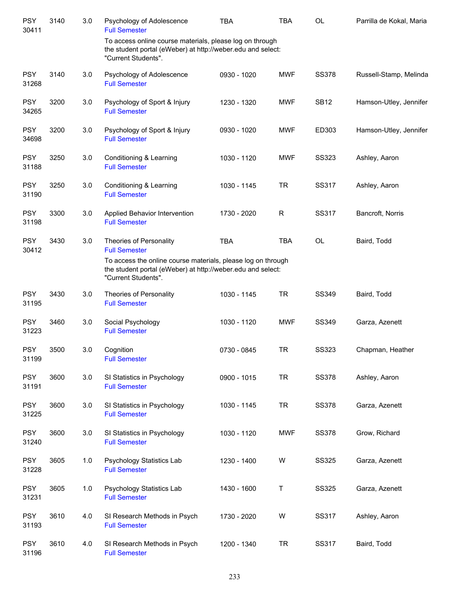| <b>PSY</b><br>30411 | 3140 | 3.0 | Psychology of Adolescence<br><b>Full Semester</b>                                                                                                                                                     | <b>TBA</b>  | <b>TBA</b>  | <b>OL</b>    | Parrilla de Kokal, Maria |
|---------------------|------|-----|-------------------------------------------------------------------------------------------------------------------------------------------------------------------------------------------------------|-------------|-------------|--------------|--------------------------|
|                     |      |     | To access online course materials, please log on through<br>the student portal (eWeber) at http://weber.edu and select:<br>"Current Students".                                                        |             |             |              |                          |
| <b>PSY</b><br>31268 | 3140 | 3.0 | Psychology of Adolescence<br><b>Full Semester</b>                                                                                                                                                     | 0930 - 1020 | <b>MWF</b>  | <b>SS378</b> | Russell-Stamp, Melinda   |
| <b>PSY</b><br>34265 | 3200 | 3.0 | Psychology of Sport & Injury<br><b>Full Semester</b>                                                                                                                                                  | 1230 - 1320 | <b>MWF</b>  | <b>SB12</b>  | Hamson-Utley, Jennifer   |
| <b>PSY</b><br>34698 | 3200 | 3.0 | Psychology of Sport & Injury<br><b>Full Semester</b>                                                                                                                                                  | 0930 - 1020 | <b>MWF</b>  | ED303        | Hamson-Utley, Jennifer   |
| <b>PSY</b><br>31188 | 3250 | 3.0 | Conditioning & Learning<br><b>Full Semester</b>                                                                                                                                                       | 1030 - 1120 | <b>MWF</b>  | <b>SS323</b> | Ashley, Aaron            |
| <b>PSY</b><br>31190 | 3250 | 3.0 | Conditioning & Learning<br><b>Full Semester</b>                                                                                                                                                       | 1030 - 1145 | <b>TR</b>   | SS317        | Ashley, Aaron            |
| <b>PSY</b><br>31198 | 3300 | 3.0 | Applied Behavior Intervention<br><b>Full Semester</b>                                                                                                                                                 | 1730 - 2020 | $\mathsf R$ | SS317        | Bancroft, Norris         |
| <b>PSY</b><br>30412 | 3430 | 3.0 | Theories of Personality<br><b>Full Semester</b><br>To access the online course materials, please log on through<br>the student portal (eWeber) at http://weber.edu and select:<br>"Current Students". | <b>TBA</b>  | <b>TBA</b>  | OL           | Baird, Todd              |
| <b>PSY</b><br>31195 | 3430 | 3.0 | Theories of Personality<br><b>Full Semester</b>                                                                                                                                                       | 1030 - 1145 | <b>TR</b>   | SS349        | Baird, Todd              |
| <b>PSY</b><br>31223 | 3460 | 3.0 | Social Psychology<br><b>Full Semester</b>                                                                                                                                                             | 1030 - 1120 | <b>MWF</b>  | SS349        | Garza, Azenett           |
| <b>PSY</b><br>31199 | 3500 | 3.0 | Cognition<br><b>Full Semester</b>                                                                                                                                                                     | 0730 - 0845 | <b>TR</b>   | <b>SS323</b> | Chapman, Heather         |
| <b>PSY</b><br>31191 | 3600 | 3.0 | SI Statistics in Psychology<br><b>Full Semester</b>                                                                                                                                                   | 0900 - 1015 | <b>TR</b>   | <b>SS378</b> | Ashley, Aaron            |
| <b>PSY</b><br>31225 | 3600 | 3.0 | SI Statistics in Psychology<br><b>Full Semester</b>                                                                                                                                                   | 1030 - 1145 | <b>TR</b>   | <b>SS378</b> | Garza, Azenett           |
| <b>PSY</b><br>31240 | 3600 | 3.0 | SI Statistics in Psychology<br><b>Full Semester</b>                                                                                                                                                   | 1030 - 1120 | <b>MWF</b>  | <b>SS378</b> | Grow, Richard            |
| <b>PSY</b><br>31228 | 3605 | 1.0 | Psychology Statistics Lab<br><b>Full Semester</b>                                                                                                                                                     | 1230 - 1400 | W           | <b>SS325</b> | Garza, Azenett           |
| <b>PSY</b><br>31231 | 3605 | 1.0 | Psychology Statistics Lab<br><b>Full Semester</b>                                                                                                                                                     | 1430 - 1600 | Τ           | <b>SS325</b> | Garza, Azenett           |
| <b>PSY</b><br>31193 | 3610 | 4.0 | SI Research Methods in Psych<br><b>Full Semester</b>                                                                                                                                                  | 1730 - 2020 | W           | SS317        | Ashley, Aaron            |
| <b>PSY</b><br>31196 | 3610 | 4.0 | SI Research Methods in Psych<br><b>Full Semester</b>                                                                                                                                                  | 1200 - 1340 | <b>TR</b>   | SS317        | Baird, Todd              |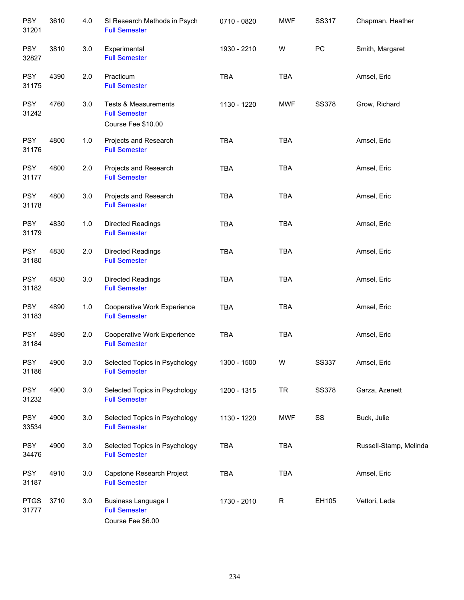| <b>PSY</b><br>31201  | 3610 | 4.0 | SI Research Methods in Psych<br><b>Full Semester</b>                          | 0710 - 0820 | <b>MWF</b> | SS317        | Chapman, Heather       |
|----------------------|------|-----|-------------------------------------------------------------------------------|-------------|------------|--------------|------------------------|
| <b>PSY</b><br>32827  | 3810 | 3.0 | Experimental<br><b>Full Semester</b>                                          | 1930 - 2210 | W          | PC           | Smith, Margaret        |
| <b>PSY</b><br>31175  | 4390 | 2.0 | Practicum<br><b>Full Semester</b>                                             | TBA         | <b>TBA</b> |              | Amsel, Eric            |
| <b>PSY</b><br>31242  | 4760 | 3.0 | <b>Tests &amp; Measurements</b><br><b>Full Semester</b><br>Course Fee \$10.00 | 1130 - 1220 | <b>MWF</b> | <b>SS378</b> | Grow, Richard          |
| <b>PSY</b><br>31176  | 4800 | 1.0 | Projects and Research<br><b>Full Semester</b>                                 | <b>TBA</b>  | <b>TBA</b> |              | Amsel, Eric            |
| <b>PSY</b><br>31177  | 4800 | 2.0 | Projects and Research<br><b>Full Semester</b>                                 | <b>TBA</b>  | <b>TBA</b> |              | Amsel, Eric            |
| <b>PSY</b><br>31178  | 4800 | 3.0 | Projects and Research<br><b>Full Semester</b>                                 | <b>TBA</b>  | <b>TBA</b> |              | Amsel, Eric            |
| <b>PSY</b><br>31179  | 4830 | 1.0 | Directed Readings<br><b>Full Semester</b>                                     | TBA         | <b>TBA</b> |              | Amsel, Eric            |
| <b>PSY</b><br>31180  | 4830 | 2.0 | Directed Readings<br><b>Full Semester</b>                                     | TBA         | <b>TBA</b> |              | Amsel, Eric            |
| <b>PSY</b><br>31182  | 4830 | 3.0 | Directed Readings<br><b>Full Semester</b>                                     | <b>TBA</b>  | <b>TBA</b> |              | Amsel, Eric            |
| <b>PSY</b><br>31183  | 4890 | 1.0 | Cooperative Work Experience<br><b>Full Semester</b>                           | <b>TBA</b>  | <b>TBA</b> |              | Amsel, Eric            |
| <b>PSY</b><br>31184  | 4890 | 2.0 | Cooperative Work Experience<br><b>Full Semester</b>                           | <b>TBA</b>  | <b>TBA</b> |              | Amsel, Eric            |
| <b>PSY</b><br>31186  | 4900 | 3.0 | Selected Topics in Psychology<br><b>Full Semester</b>                         | 1300 - 1500 | W          | <b>SS337</b> | Amsel, Eric            |
| <b>PSY</b><br>31232  | 4900 | 3.0 | Selected Topics in Psychology<br><b>Full Semester</b>                         | 1200 - 1315 | <b>TR</b>  | <b>SS378</b> | Garza, Azenett         |
| <b>PSY</b><br>33534  | 4900 | 3.0 | Selected Topics in Psychology<br><b>Full Semester</b>                         | 1130 - 1220 | <b>MWF</b> | SS           | Buck, Julie            |
| <b>PSY</b><br>34476  | 4900 | 3.0 | Selected Topics in Psychology<br><b>Full Semester</b>                         | <b>TBA</b>  | <b>TBA</b> |              | Russell-Stamp, Melinda |
| <b>PSY</b><br>31187  | 4910 | 3.0 | Capstone Research Project<br><b>Full Semester</b>                             | <b>TBA</b>  | <b>TBA</b> |              | Amsel, Eric            |
| <b>PTGS</b><br>31777 | 3710 | 3.0 | <b>Business Language I</b><br><b>Full Semester</b><br>Course Fee \$6.00       | 1730 - 2010 | R          | EH105        | Vettori, Leda          |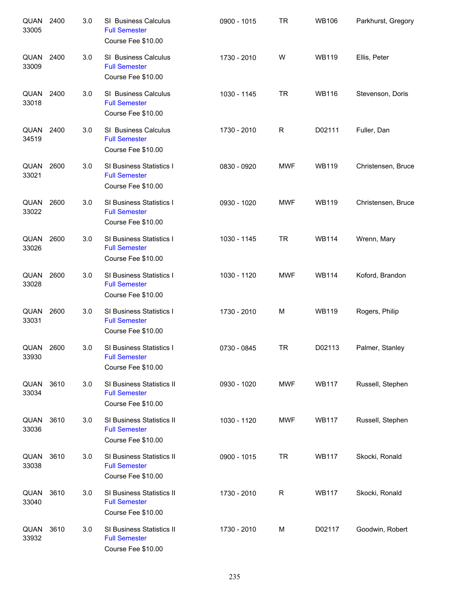| QUAN<br>33005        | 2400 | 3.0 | SI Business Calculus<br><b>Full Semester</b><br>Course Fee \$10.00      | 0900 - 1015 | <b>TR</b>    | <b>WB106</b> | Parkhurst, Gregory |
|----------------------|------|-----|-------------------------------------------------------------------------|-------------|--------------|--------------|--------------------|
| QUAN<br>33009        | 2400 | 3.0 | SI Business Calculus<br><b>Full Semester</b><br>Course Fee \$10.00      | 1730 - 2010 | W            | <b>WB119</b> | Ellis, Peter       |
| QUAN<br>33018        | 2400 | 3.0 | SI Business Calculus<br><b>Full Semester</b><br>Course Fee \$10.00      | 1030 - 1145 | <b>TR</b>    | <b>WB116</b> | Stevenson, Doris   |
| QUAN<br>34519        | 2400 | 3.0 | SI Business Calculus<br><b>Full Semester</b><br>Course Fee \$10.00      | 1730 - 2010 | $\mathsf{R}$ | D02111       | Fuller, Dan        |
| QUAN<br>33021        | 2600 | 3.0 | SI Business Statistics I<br><b>Full Semester</b><br>Course Fee \$10.00  | 0830 - 0920 | <b>MWF</b>   | <b>WB119</b> | Christensen, Bruce |
| QUAN<br>33022        | 2600 | 3.0 | SI Business Statistics I<br><b>Full Semester</b><br>Course Fee \$10.00  | 0930 - 1020 | <b>MWF</b>   | <b>WB119</b> | Christensen, Bruce |
| QUAN<br>33026        | 2600 | 3.0 | SI Business Statistics I<br><b>Full Semester</b><br>Course Fee \$10.00  | 1030 - 1145 | <b>TR</b>    | <b>WB114</b> | Wrenn, Mary        |
| QUAN<br>33028        | 2600 | 3.0 | SI Business Statistics I<br><b>Full Semester</b><br>Course Fee \$10.00  | 1030 - 1120 | <b>MWF</b>   | <b>WB114</b> | Koford, Brandon    |
| QUAN<br>33031        | 2600 | 3.0 | SI Business Statistics I<br><b>Full Semester</b><br>Course Fee \$10.00  | 1730 - 2010 | M            | <b>WB119</b> | Rogers, Philip     |
| <b>QUAN</b><br>33930 | 2600 | 3.0 | SI Business Statistics I<br><b>Full Semester</b><br>Course Fee \$10.00  | 0730 - 0845 | <b>TR</b>    | D02113       | Palmer, Stanley    |
| QUAN<br>33034        | 3610 | 3.0 | SI Business Statistics II<br><b>Full Semester</b><br>Course Fee \$10.00 | 0930 - 1020 | <b>MWF</b>   | <b>WB117</b> | Russell, Stephen   |
| QUAN<br>33036        | 3610 | 3.0 | SI Business Statistics II<br><b>Full Semester</b><br>Course Fee \$10.00 | 1030 - 1120 | <b>MWF</b>   | <b>WB117</b> | Russell, Stephen   |
| QUAN<br>33038        | 3610 | 3.0 | SI Business Statistics II<br><b>Full Semester</b><br>Course Fee \$10.00 | 0900 - 1015 | <b>TR</b>    | <b>WB117</b> | Skocki, Ronald     |
| QUAN<br>33040        | 3610 | 3.0 | SI Business Statistics II<br><b>Full Semester</b><br>Course Fee \$10.00 | 1730 - 2010 | R            | <b>WB117</b> | Skocki, Ronald     |
| QUAN<br>33932        | 3610 | 3.0 | SI Business Statistics II<br><b>Full Semester</b><br>Course Fee \$10.00 | 1730 - 2010 | M            | D02117       | Goodwin, Robert    |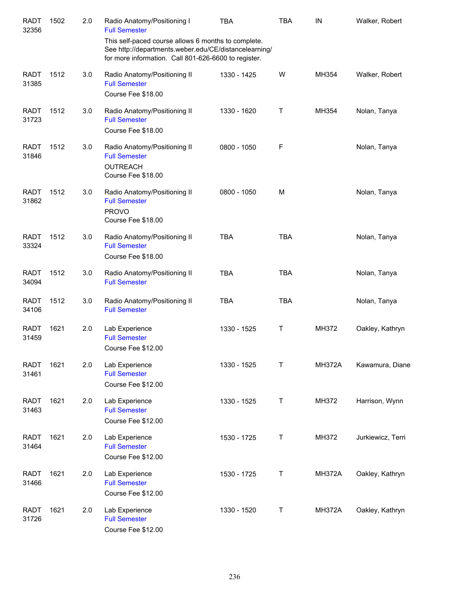| <b>RADT</b><br>32356 | 1502 | 2.0 | Radio Anatomy/Positioning I<br><b>Full Semester</b>                                                                                                                  | <b>TBA</b>  | <b>TBA</b> | IN            | Walker, Robert    |
|----------------------|------|-----|----------------------------------------------------------------------------------------------------------------------------------------------------------------------|-------------|------------|---------------|-------------------|
|                      |      |     | This self-paced course allows 6 months to complete.<br>See http://departments.weber.edu/CE/distancelearning/<br>for more information. Call 801-626-6600 to register. |             |            |               |                   |
| <b>RADT</b><br>31385 | 1512 | 3.0 | Radio Anatomy/Positioning II<br><b>Full Semester</b><br>Course Fee \$18.00                                                                                           | 1330 - 1425 | W          | MH354         | Walker, Robert    |
| <b>RADT</b><br>31723 | 1512 | 3.0 | Radio Anatomy/Positioning II<br><b>Full Semester</b><br>Course Fee \$18.00                                                                                           | 1330 - 1620 | Т          | MH354         | Nolan, Tanya      |
| <b>RADT</b><br>31846 | 1512 | 3.0 | Radio Anatomy/Positioning II<br><b>Full Semester</b><br><b>OUTREACH</b><br>Course Fee \$18.00                                                                        | 0800 - 1050 | F          |               | Nolan, Tanya      |
| <b>RADT</b><br>31862 | 1512 | 3.0 | Radio Anatomy/Positioning II<br><b>Full Semester</b><br><b>PROVO</b><br>Course Fee \$18.00                                                                           | 0800 - 1050 | M          |               | Nolan, Tanya      |
| <b>RADT</b><br>33324 | 1512 | 3.0 | Radio Anatomy/Positioning II<br><b>Full Semester</b><br>Course Fee \$18.00                                                                                           | <b>TBA</b>  | <b>TBA</b> |               | Nolan, Tanya      |
| <b>RADT</b><br>34094 | 1512 | 3.0 | Radio Anatomy/Positioning II<br><b>Full Semester</b>                                                                                                                 | <b>TBA</b>  | <b>TBA</b> |               | Nolan, Tanya      |
| <b>RADT</b><br>34106 | 1512 | 3.0 | Radio Anatomy/Positioning II<br><b>Full Semester</b>                                                                                                                 | <b>TBA</b>  | <b>TBA</b> |               | Nolan, Tanya      |
| <b>RADT</b><br>31459 | 1621 | 2.0 | Lab Experience<br><b>Full Semester</b><br>Course Fee \$12.00                                                                                                         | 1330 - 1525 | Τ          | MH372         | Oakley, Kathryn   |
| <b>RADT</b><br>31461 | 1621 | 2.0 | Lab Experience<br><b>Full Semester</b><br>Course Fee \$12.00                                                                                                         | 1330 - 1525 | Т          | <b>MH372A</b> | Kawamura, Diane   |
| <b>RADT</b><br>31463 | 1621 | 2.0 | Lab Experience<br><b>Full Semester</b><br>Course Fee \$12.00                                                                                                         | 1330 - 1525 | Т          | MH372         | Harrison, Wynn    |
| <b>RADT</b><br>31464 | 1621 | 2.0 | Lab Experience<br><b>Full Semester</b><br>Course Fee \$12.00                                                                                                         | 1530 - 1725 | Т          | MH372         | Jurkiewicz, Terri |
| <b>RADT</b><br>31466 | 1621 | 2.0 | Lab Experience<br><b>Full Semester</b><br>Course Fee \$12.00                                                                                                         | 1530 - 1725 | Т          | <b>MH372A</b> | Oakley, Kathryn   |
| <b>RADT</b><br>31726 | 1621 | 2.0 | Lab Experience<br><b>Full Semester</b><br>Course Fee \$12.00                                                                                                         | 1330 - 1520 | Т          | <b>MH372A</b> | Oakley, Kathryn   |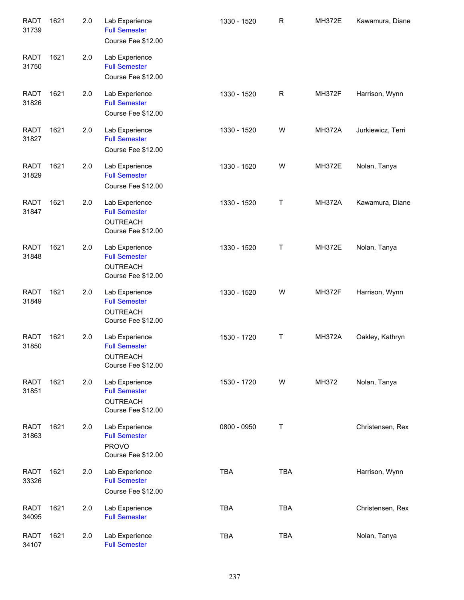| <b>RADT</b><br>31739 | 1621 | 2.0 | Lab Experience<br><b>Full Semester</b><br>Course Fee \$12.00                    | 1330 - 1520 | $\mathsf R$ | <b>MH372E</b> | Kawamura, Diane   |
|----------------------|------|-----|---------------------------------------------------------------------------------|-------------|-------------|---------------|-------------------|
| <b>RADT</b><br>31750 | 1621 | 2.0 | Lab Experience<br><b>Full Semester</b><br>Course Fee \$12.00                    |             |             |               |                   |
| <b>RADT</b><br>31826 | 1621 | 2.0 | Lab Experience<br><b>Full Semester</b><br>Course Fee \$12.00                    | 1330 - 1520 | $\mathsf R$ | <b>MH372F</b> | Harrison, Wynn    |
| <b>RADT</b><br>31827 | 1621 | 2.0 | Lab Experience<br><b>Full Semester</b><br>Course Fee \$12.00                    | 1330 - 1520 | W           | <b>MH372A</b> | Jurkiewicz, Terri |
| <b>RADT</b><br>31829 | 1621 | 2.0 | Lab Experience<br><b>Full Semester</b><br>Course Fee \$12.00                    | 1330 - 1520 | W           | <b>MH372E</b> | Nolan, Tanya      |
| <b>RADT</b><br>31847 | 1621 | 2.0 | Lab Experience<br><b>Full Semester</b><br><b>OUTREACH</b><br>Course Fee \$12.00 | 1330 - 1520 | Τ           | <b>MH372A</b> | Kawamura, Diane   |
| <b>RADT</b><br>31848 | 1621 | 2.0 | Lab Experience<br><b>Full Semester</b><br><b>OUTREACH</b><br>Course Fee \$12.00 | 1330 - 1520 | Τ           | <b>MH372E</b> | Nolan, Tanya      |
| <b>RADT</b><br>31849 | 1621 | 2.0 | Lab Experience<br><b>Full Semester</b><br><b>OUTREACH</b><br>Course Fee \$12.00 | 1330 - 1520 | W           | <b>MH372F</b> | Harrison, Wynn    |
| <b>RADT</b><br>31850 | 1621 | 2.0 | Lab Experience<br><b>Full Semester</b><br><b>OUTREACH</b><br>Course Fee \$12.00 | 1530 - 1720 | Τ           | <b>MH372A</b> | Oakley, Kathryn   |
| <b>RADT</b><br>31851 | 1621 | 2.0 | Lab Experience<br><b>Full Semester</b><br><b>OUTREACH</b><br>Course Fee \$12.00 | 1530 - 1720 | W           | MH372         | Nolan, Tanya      |
| <b>RADT</b><br>31863 | 1621 | 2.0 | Lab Experience<br><b>Full Semester</b><br><b>PROVO</b><br>Course Fee \$12.00    | 0800 - 0950 | Τ           |               | Christensen, Rex  |
| <b>RADT</b><br>33326 | 1621 | 2.0 | Lab Experience<br><b>Full Semester</b><br>Course Fee \$12.00                    | <b>TBA</b>  | <b>TBA</b>  |               | Harrison, Wynn    |
| <b>RADT</b><br>34095 | 1621 | 2.0 | Lab Experience<br><b>Full Semester</b>                                          | <b>TBA</b>  | <b>TBA</b>  |               | Christensen, Rex  |
| <b>RADT</b><br>34107 | 1621 | 2.0 | Lab Experience<br><b>Full Semester</b>                                          | <b>TBA</b>  | <b>TBA</b>  |               | Nolan, Tanya      |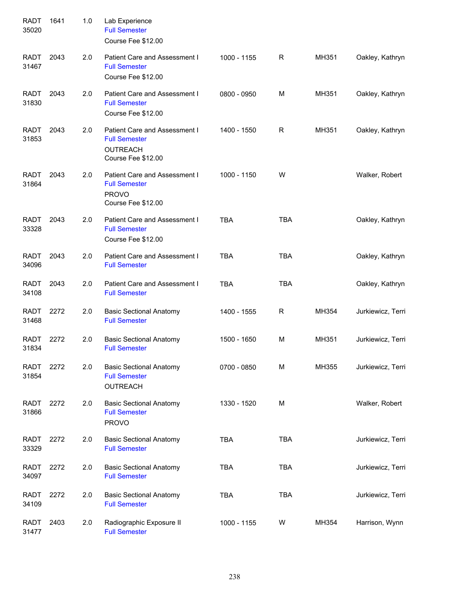| <b>RADT</b><br>35020 | 1641 | 1.0 | Lab Experience<br><b>Full Semester</b><br>Course Fee \$12.00                                   |             |            |       |                   |
|----------------------|------|-----|------------------------------------------------------------------------------------------------|-------------|------------|-------|-------------------|
| <b>RADT</b><br>31467 | 2043 | 2.0 | Patient Care and Assessment I<br><b>Full Semester</b><br>Course Fee \$12.00                    | 1000 - 1155 | R          | MH351 | Oakley, Kathryn   |
| <b>RADT</b><br>31830 | 2043 | 2.0 | Patient Care and Assessment I<br><b>Full Semester</b><br>Course Fee \$12.00                    | 0800 - 0950 | M          | MH351 | Oakley, Kathryn   |
| <b>RADT</b><br>31853 | 2043 | 2.0 | Patient Care and Assessment I<br><b>Full Semester</b><br><b>OUTREACH</b><br>Course Fee \$12.00 | 1400 - 1550 | R          | MH351 | Oakley, Kathryn   |
| <b>RADT</b><br>31864 | 2043 | 2.0 | Patient Care and Assessment I<br><b>Full Semester</b><br><b>PROVO</b><br>Course Fee \$12.00    | 1000 - 1150 | W          |       | Walker, Robert    |
| <b>RADT</b><br>33328 | 2043 | 2.0 | Patient Care and Assessment I<br><b>Full Semester</b><br>Course Fee \$12.00                    | <b>TBA</b>  | <b>TBA</b> |       | Oakley, Kathryn   |
| <b>RADT</b><br>34096 | 2043 | 2.0 | Patient Care and Assessment I<br><b>Full Semester</b>                                          | <b>TBA</b>  | <b>TBA</b> |       | Oakley, Kathryn   |
| <b>RADT</b><br>34108 | 2043 | 2.0 | Patient Care and Assessment I<br><b>Full Semester</b>                                          | <b>TBA</b>  | <b>TBA</b> |       | Oakley, Kathryn   |
| <b>RADT</b><br>31468 | 2272 | 2.0 | <b>Basic Sectional Anatomy</b><br><b>Full Semester</b>                                         | 1400 - 1555 | R          | MH354 | Jurkiewicz, Terri |
| <b>RADT</b><br>31834 | 2272 | 2.0 | <b>Basic Sectional Anatomy</b><br><b>Full Semester</b>                                         | 1500 - 1650 | M          | MH351 | Jurkiewicz, Terri |
| RADT<br>31854        | 2272 | 2.0 | <b>Basic Sectional Anatomy</b><br><b>Full Semester</b><br><b>OUTREACH</b>                      | 0700 - 0850 | M          | MH355 | Jurkiewicz, Terri |
| RADT<br>31866        | 2272 | 2.0 | <b>Basic Sectional Anatomy</b><br><b>Full Semester</b><br><b>PROVO</b>                         | 1330 - 1520 | M          |       | Walker, Robert    |
| RADT<br>33329        | 2272 | 2.0 | <b>Basic Sectional Anatomy</b><br><b>Full Semester</b>                                         | <b>TBA</b>  | <b>TBA</b> |       | Jurkiewicz, Terri |
| RADT<br>34097        | 2272 | 2.0 | <b>Basic Sectional Anatomy</b><br><b>Full Semester</b>                                         | <b>TBA</b>  | <b>TBA</b> |       | Jurkiewicz, Terri |
| <b>RADT</b><br>34109 | 2272 | 2.0 | <b>Basic Sectional Anatomy</b><br><b>Full Semester</b>                                         | <b>TBA</b>  | <b>TBA</b> |       | Jurkiewicz, Terri |
| RADT<br>31477        | 2403 | 2.0 | Radiographic Exposure II<br><b>Full Semester</b>                                               | 1000 - 1155 | W          | MH354 | Harrison, Wynn    |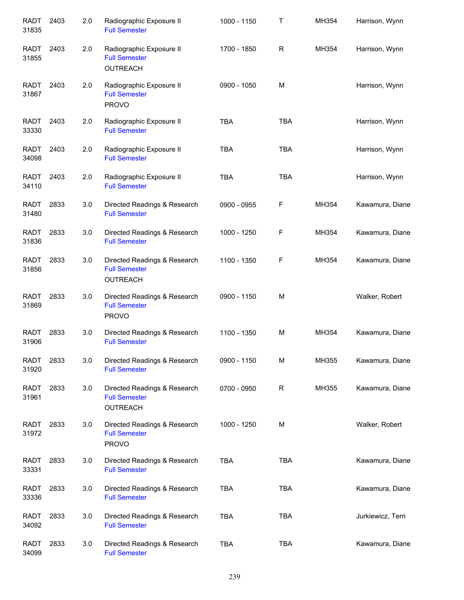| <b>RADT</b><br>31835 | 2403 | 2.0 | Radiographic Exposure II<br><b>Full Semester</b>                        | 1000 - 1150 | Т            | MH354 | Harrison, Wynn    |
|----------------------|------|-----|-------------------------------------------------------------------------|-------------|--------------|-------|-------------------|
| <b>RADT</b><br>31855 | 2403 | 2.0 | Radiographic Exposure II<br><b>Full Semester</b><br><b>OUTREACH</b>     | 1700 - 1850 | $\mathsf{R}$ | MH354 | Harrison, Wynn    |
| RADT<br>31867        | 2403 | 2.0 | Radiographic Exposure II<br><b>Full Semester</b><br><b>PROVO</b>        | 0900 - 1050 | M            |       | Harrison, Wynn    |
| RADT<br>33330        | 2403 | 2.0 | Radiographic Exposure II<br><b>Full Semester</b>                        | <b>TBA</b>  | <b>TBA</b>   |       | Harrison, Wynn    |
| RADT<br>34098        | 2403 | 2.0 | Radiographic Exposure II<br><b>Full Semester</b>                        | <b>TBA</b>  | <b>TBA</b>   |       | Harrison, Wynn    |
| <b>RADT</b><br>34110 | 2403 | 2.0 | Radiographic Exposure II<br><b>Full Semester</b>                        | <b>TBA</b>  | <b>TBA</b>   |       | Harrison, Wynn    |
| RADT<br>31480        | 2833 | 3.0 | Directed Readings & Research<br><b>Full Semester</b>                    | 0900 - 0955 | F            | MH354 | Kawamura, Diane   |
| <b>RADT</b><br>31836 | 2833 | 3.0 | Directed Readings & Research<br><b>Full Semester</b>                    | 1000 - 1250 | F            | MH354 | Kawamura, Diane   |
| <b>RADT</b><br>31856 | 2833 | 3.0 | Directed Readings & Research<br><b>Full Semester</b><br><b>OUTREACH</b> | 1100 - 1350 | F            | MH354 | Kawamura, Diane   |
| <b>RADT</b><br>31869 | 2833 | 3.0 | Directed Readings & Research<br><b>Full Semester</b><br><b>PROVO</b>    | 0900 - 1150 | M            |       | Walker, Robert    |
| <b>RADT</b><br>31906 | 2833 | 3.0 | Directed Readings & Research<br><b>Full Semester</b>                    | 1100 - 1350 | M            | MH354 | Kawamura, Diane   |
| <b>RADT</b><br>31920 | 2833 | 3.0 | Directed Readings & Research<br><b>Full Semester</b>                    | 0900 - 1150 | M            | MH355 | Kawamura, Diane   |
| <b>RADT</b><br>31961 | 2833 | 3.0 | Directed Readings & Research<br><b>Full Semester</b><br><b>OUTREACH</b> | 0700 - 0950 | R            | MH355 | Kawamura, Diane   |
| RADT<br>31972        | 2833 | 3.0 | Directed Readings & Research<br><b>Full Semester</b><br><b>PROVO</b>    | 1000 - 1250 | м            |       | Walker, Robert    |
| <b>RADT</b><br>33331 | 2833 | 3.0 | Directed Readings & Research<br><b>Full Semester</b>                    | <b>TBA</b>  | <b>TBA</b>   |       | Kawamura, Diane   |
| <b>RADT</b><br>33336 | 2833 | 3.0 | Directed Readings & Research<br><b>Full Semester</b>                    | <b>TBA</b>  | <b>TBA</b>   |       | Kawamura, Diane   |
| RADT<br>34092        | 2833 | 3.0 | Directed Readings & Research<br><b>Full Semester</b>                    | <b>TBA</b>  | <b>TBA</b>   |       | Jurkiewicz, Terri |
| <b>RADT</b><br>34099 | 2833 | 3.0 | Directed Readings & Research<br><b>Full Semester</b>                    | <b>TBA</b>  | <b>TBA</b>   |       | Kawamura, Diane   |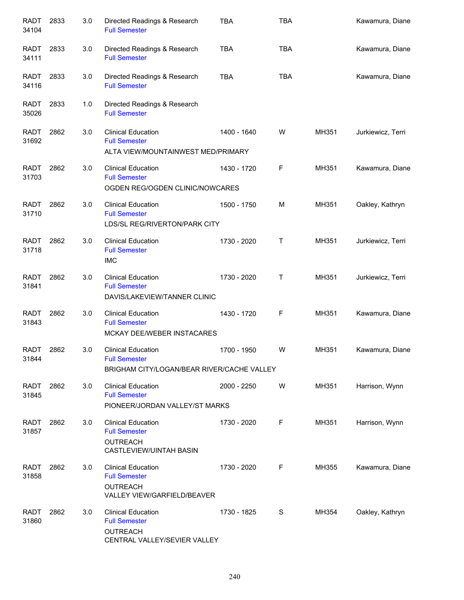| <b>RADT</b><br>34104 | 2833 | 3.0 | Directed Readings & Research<br><b>Full Semester</b>                                                 | <b>TBA</b>  | <b>TBA</b>   |       | Kawamura, Diane   |
|----------------------|------|-----|------------------------------------------------------------------------------------------------------|-------------|--------------|-------|-------------------|
| <b>RADT</b><br>34111 | 2833 | 3.0 | Directed Readings & Research<br><b>Full Semester</b>                                                 | <b>TBA</b>  | <b>TBA</b>   |       | Kawamura, Diane   |
| RADT<br>34116        | 2833 | 3.0 | Directed Readings & Research<br><b>Full Semester</b>                                                 | <b>TBA</b>  | <b>TBA</b>   |       | Kawamura, Diane   |
| RADT<br>35026        | 2833 | 1.0 | Directed Readings & Research<br><b>Full Semester</b>                                                 |             |              |       |                   |
| RADT<br>31692        | 2862 | 3.0 | <b>Clinical Education</b><br><b>Full Semester</b><br>ALTA VIEW/MOUNTAINWEST MED/PRIMARY              | 1400 - 1640 | W            | MH351 | Jurkiewicz, Terri |
| <b>RADT</b><br>31703 | 2862 | 3.0 | <b>Clinical Education</b><br><b>Full Semester</b><br>OGDEN REG/OGDEN CLINIC/NOWCARES                 | 1430 - 1720 | F            | MH351 | Kawamura, Diane   |
| <b>RADT</b><br>31710 | 2862 | 3.0 | <b>Clinical Education</b><br><b>Full Semester</b><br>LDS/SL REG/RIVERTON/PARK CITY                   | 1500 - 1750 | M            | MH351 | Oakley, Kathryn   |
| <b>RADT</b><br>31718 | 2862 | 3.0 | <b>Clinical Education</b><br><b>Full Semester</b><br><b>IMC</b>                                      | 1730 - 2020 | $\mathsf{T}$ | MH351 | Jurkiewicz, Terri |
| <b>RADT</b><br>31841 | 2862 | 3.0 | <b>Clinical Education</b><br><b>Full Semester</b><br>DAVIS/LAKEVIEW/TANNER CLINIC                    | 1730 - 2020 | Τ            | MH351 | Jurkiewicz, Terri |
| <b>RADT</b><br>31843 | 2862 | 3.0 | <b>Clinical Education</b><br><b>Full Semester</b><br>MCKAY DEE/WEBER INSTACARES                      | 1430 - 1720 | F            | MH351 | Kawamura, Diane   |
| <b>RADT</b><br>31844 | 2862 | 3.0 | <b>Clinical Education</b><br><b>Full Semester</b><br>BRIGHAM CITY/LOGAN/BEAR RIVER/CACHE VALLEY      | 1700 - 1950 | W            | MH351 | Kawamura, Diane   |
| <b>RADT</b><br>31845 | 2862 | 3.0 | <b>Clinical Education</b><br><b>Full Semester</b><br>PIONEER/JORDAN VALLEY/ST MARKS                  | 2000 - 2250 | W            | MH351 | Harrison, Wynn    |
| <b>RADT</b><br>31857 | 2862 | 3.0 | <b>Clinical Education</b><br><b>Full Semester</b><br><b>OUTREACH</b><br>CASTLEVIEW/UINTAH BASIN      | 1730 - 2020 | F            | MH351 | Harrison, Wynn    |
| <b>RADT</b><br>31858 | 2862 | 3.0 | <b>Clinical Education</b><br><b>Full Semester</b><br><b>OUTREACH</b><br>VALLEY VIEW/GARFIELD/BEAVER  | 1730 - 2020 | F            | MH355 | Kawamura, Diane   |
| <b>RADT</b><br>31860 | 2862 | 3.0 | <b>Clinical Education</b><br><b>Full Semester</b><br><b>OUTREACH</b><br>CENTRAL VALLEY/SEVIER VALLEY | 1730 - 1825 | S            | MH354 | Oakley, Kathryn   |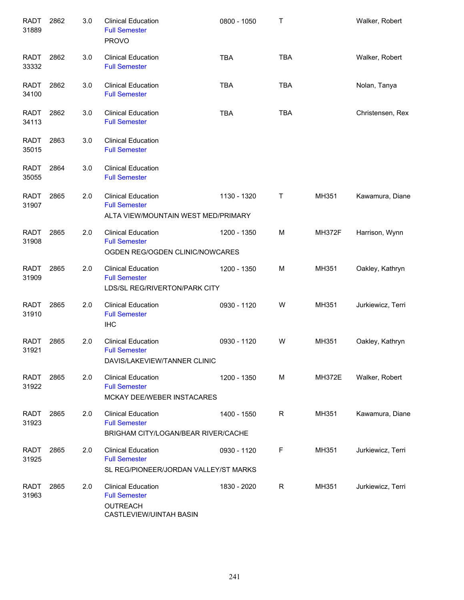| <b>RADT</b><br>31889 | 2862 | 3.0 | <b>Clinical Education</b><br><b>Full Semester</b><br><b>PROVO</b>                          | 0800 - 1050 | Τ          |               | Walker, Robert    |
|----------------------|------|-----|--------------------------------------------------------------------------------------------|-------------|------------|---------------|-------------------|
| <b>RADT</b><br>33332 | 2862 | 3.0 | <b>Clinical Education</b><br><b>Full Semester</b>                                          | <b>TBA</b>  | <b>TBA</b> |               | Walker, Robert    |
| <b>RADT</b><br>34100 | 2862 | 3.0 | <b>Clinical Education</b><br><b>Full Semester</b>                                          | <b>TBA</b>  | <b>TBA</b> |               | Nolan, Tanya      |
| <b>RADT</b><br>34113 | 2862 | 3.0 | <b>Clinical Education</b><br><b>Full Semester</b>                                          | <b>TBA</b>  | <b>TBA</b> |               | Christensen, Rex  |
| <b>RADT</b><br>35015 | 2863 | 3.0 | <b>Clinical Education</b><br><b>Full Semester</b>                                          |             |            |               |                   |
| <b>RADT</b><br>35055 | 2864 | 3.0 | <b>Clinical Education</b><br><b>Full Semester</b>                                          |             |            |               |                   |
| <b>RADT</b><br>31907 | 2865 | 2.0 | <b>Clinical Education</b><br><b>Full Semester</b><br>ALTA VIEW/MOUNTAIN WEST MED/PRIMARY   | 1130 - 1320 | Τ          | MH351         | Kawamura, Diane   |
| <b>RADT</b><br>31908 | 2865 | 2.0 | <b>Clinical Education</b><br><b>Full Semester</b><br>OGDEN REG/OGDEN CLINIC/NOWCARES       | 1200 - 1350 | M          | <b>MH372F</b> | Harrison, Wynn    |
| <b>RADT</b><br>31909 | 2865 | 2.0 | <b>Clinical Education</b><br><b>Full Semester</b><br>LDS/SL REG/RIVERTON/PARK CITY         | 1200 - 1350 | М          | MH351         | Oakley, Kathryn   |
| <b>RADT</b><br>31910 | 2865 | 2.0 | <b>Clinical Education</b><br><b>Full Semester</b><br><b>IHC</b>                            | 0930 - 1120 | W          | MH351         | Jurkiewicz, Terri |
| <b>RADT</b><br>31921 | 2865 | 2.0 | <b>Clinical Education</b><br><b>Full Semester</b><br>DAVIS/LAKEVIEW/TANNER CLINIC          | 0930 - 1120 | W          | MH351         | Oakley, Kathryn   |
| <b>RADT</b><br>31922 | 2865 | 2.0 | <b>Clinical Education</b><br><b>Full Semester</b><br>MCKAY DEE/WEBER INSTACARES            | 1200 - 1350 | М          | <b>MH372E</b> | Walker, Robert    |
| <b>RADT</b><br>31923 | 2865 | 2.0 | <b>Clinical Education</b><br><b>Full Semester</b><br>BRIGHAM CITY/LOGAN/BEAR RIVER/CACHE   | 1400 - 1550 | R          | MH351         | Kawamura, Diane   |
| <b>RADT</b><br>31925 | 2865 | 2.0 | <b>Clinical Education</b><br><b>Full Semester</b><br>SL REG/PIONEER/JORDAN VALLEY/ST MARKS | 0930 - 1120 | F          | MH351         | Jurkiewicz, Terri |
| <b>RADT</b><br>31963 | 2865 | 2.0 | <b>Clinical Education</b><br><b>Full Semester</b><br>OUTREACH<br>CASTLEVIEW/UINTAH BASIN   | 1830 - 2020 | R          | MH351         | Jurkiewicz, Terri |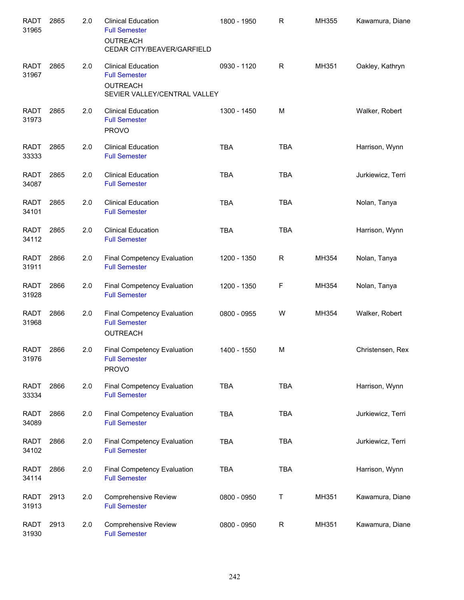| <b>RADT</b><br>31965 | 2865 | 2.0     | <b>Clinical Education</b><br><b>Full Semester</b><br><b>OUTREACH</b><br>CEDAR CITY/BEAVER/GARFIELD   | 1800 - 1950 | R           | MH355 | Kawamura, Diane   |
|----------------------|------|---------|------------------------------------------------------------------------------------------------------|-------------|-------------|-------|-------------------|
| <b>RADT</b><br>31967 | 2865 | 2.0     | <b>Clinical Education</b><br><b>Full Semester</b><br><b>OUTREACH</b><br>SEVIER VALLEY/CENTRAL VALLEY | 0930 - 1120 | R           | MH351 | Oakley, Kathryn   |
| <b>RADT</b><br>31973 | 2865 | 2.0     | <b>Clinical Education</b><br><b>Full Semester</b><br><b>PROVO</b>                                    | 1300 - 1450 | M           |       | Walker, Robert    |
| <b>RADT</b><br>33333 | 2865 | 2.0     | <b>Clinical Education</b><br><b>Full Semester</b>                                                    | <b>TBA</b>  | <b>TBA</b>  |       | Harrison, Wynn    |
| <b>RADT</b><br>34087 | 2865 | 2.0     | <b>Clinical Education</b><br><b>Full Semester</b>                                                    | <b>TBA</b>  | <b>TBA</b>  |       | Jurkiewicz, Terri |
| <b>RADT</b><br>34101 | 2865 | 2.0     | <b>Clinical Education</b><br><b>Full Semester</b>                                                    | <b>TBA</b>  | <b>TBA</b>  |       | Nolan, Tanya      |
| <b>RADT</b><br>34112 | 2865 | 2.0     | <b>Clinical Education</b><br><b>Full Semester</b>                                                    | <b>TBA</b>  | <b>TBA</b>  |       | Harrison, Wynn    |
| <b>RADT</b><br>31911 | 2866 | 2.0     | Final Competency Evaluation<br><b>Full Semester</b>                                                  | 1200 - 1350 | R           | MH354 | Nolan, Tanya      |
| <b>RADT</b><br>31928 | 2866 | 2.0     | Final Competency Evaluation<br><b>Full Semester</b>                                                  | 1200 - 1350 | F           | MH354 | Nolan, Tanya      |
| <b>RADT</b><br>31968 | 2866 | 2.0     | Final Competency Evaluation<br><b>Full Semester</b><br>OUTREACH                                      | 0800 - 0955 | W           | MH354 | Walker, Robert    |
| <b>RADT</b><br>31976 | 2866 | 2.0     | Final Competency Evaluation<br><b>Full Semester</b><br><b>PROVO</b>                                  | 1400 - 1550 | M           |       | Christensen, Rex  |
| <b>RADT</b><br>33334 | 2866 | 2.0     | <b>Final Competency Evaluation</b><br><b>Full Semester</b>                                           | <b>TBA</b>  | <b>TBA</b>  |       | Harrison, Wynn    |
| <b>RADT</b><br>34089 | 2866 | 2.0     | Final Competency Evaluation<br><b>Full Semester</b>                                                  | <b>TBA</b>  | <b>TBA</b>  |       | Jurkiewicz, Terri |
| <b>RADT</b><br>34102 | 2866 | 2.0     | Final Competency Evaluation<br><b>Full Semester</b>                                                  | <b>TBA</b>  | <b>TBA</b>  |       | Jurkiewicz, Terri |
| <b>RADT</b><br>34114 | 2866 | 2.0     | Final Competency Evaluation<br><b>Full Semester</b>                                                  | <b>TBA</b>  | <b>TBA</b>  |       | Harrison, Wynn    |
| <b>RADT</b><br>31913 | 2913 | 2.0     | <b>Comprehensive Review</b><br><b>Full Semester</b>                                                  | 0800 - 0950 | Τ           | MH351 | Kawamura, Diane   |
| <b>RADT</b><br>31930 | 2913 | $2.0\,$ | Comprehensive Review<br><b>Full Semester</b>                                                         | 0800 - 0950 | $\mathsf R$ | MH351 | Kawamura, Diane   |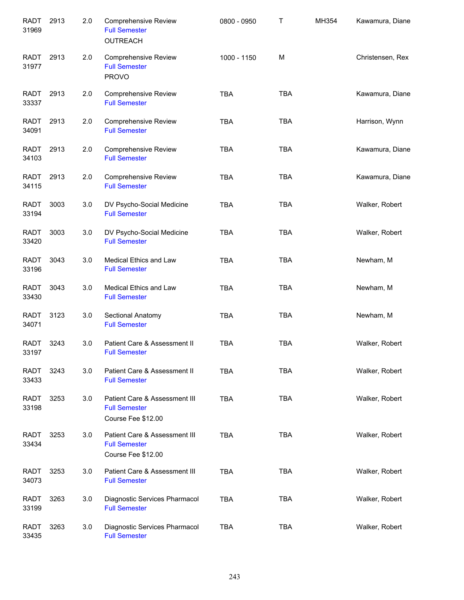| <b>RADT</b><br>31969 | 2913 | 2.0 | <b>Comprehensive Review</b><br><b>Full Semester</b><br><b>OUTREACH</b>      | 0800 - 0950 | Τ          | MH354 | Kawamura, Diane  |
|----------------------|------|-----|-----------------------------------------------------------------------------|-------------|------------|-------|------------------|
| <b>RADT</b><br>31977 | 2913 | 2.0 | <b>Comprehensive Review</b><br><b>Full Semester</b><br><b>PROVO</b>         | 1000 - 1150 | M          |       | Christensen, Rex |
| <b>RADT</b><br>33337 | 2913 | 2.0 | <b>Comprehensive Review</b><br><b>Full Semester</b>                         | <b>TBA</b>  | <b>TBA</b> |       | Kawamura, Diane  |
| <b>RADT</b><br>34091 | 2913 | 2.0 | <b>Comprehensive Review</b><br><b>Full Semester</b>                         | <b>TBA</b>  | <b>TBA</b> |       | Harrison, Wynn   |
| RADT<br>34103        | 2913 | 2.0 | <b>Comprehensive Review</b><br><b>Full Semester</b>                         | <b>TBA</b>  | <b>TBA</b> |       | Kawamura, Diane  |
| <b>RADT</b><br>34115 | 2913 | 2.0 | <b>Comprehensive Review</b><br><b>Full Semester</b>                         | <b>TBA</b>  | <b>TBA</b> |       | Kawamura, Diane  |
| <b>RADT</b><br>33194 | 3003 | 3.0 | DV Psycho-Social Medicine<br><b>Full Semester</b>                           | <b>TBA</b>  | <b>TBA</b> |       | Walker, Robert   |
| <b>RADT</b><br>33420 | 3003 | 3.0 | DV Psycho-Social Medicine<br><b>Full Semester</b>                           | <b>TBA</b>  | <b>TBA</b> |       | Walker, Robert   |
| <b>RADT</b><br>33196 | 3043 | 3.0 | Medical Ethics and Law<br><b>Full Semester</b>                              | <b>TBA</b>  | <b>TBA</b> |       | Newham, M        |
| <b>RADT</b><br>33430 | 3043 | 3.0 | Medical Ethics and Law<br><b>Full Semester</b>                              | <b>TBA</b>  | <b>TBA</b> |       | Newham, M        |
| <b>RADT</b><br>34071 | 3123 | 3.0 | Sectional Anatomy<br><b>Full Semester</b>                                   | <b>TBA</b>  | <b>TBA</b> |       | Newham, M        |
| <b>RADT</b><br>33197 | 3243 | 3.0 | Patient Care & Assessment II<br><b>Full Semester</b>                        | <b>TBA</b>  | <b>TBA</b> |       | Walker, Robert   |
| <b>RADT</b><br>33433 | 3243 | 3.0 | Patient Care & Assessment II<br><b>Full Semester</b>                        | TBA         | <b>TBA</b> |       | Walker, Robert   |
| <b>RADT</b><br>33198 | 3253 | 3.0 | Patient Care & Assessment III<br><b>Full Semester</b><br>Course Fee \$12.00 | <b>TBA</b>  | <b>TBA</b> |       | Walker, Robert   |
| <b>RADT</b><br>33434 | 3253 | 3.0 | Patient Care & Assessment III<br><b>Full Semester</b><br>Course Fee \$12.00 | <b>TBA</b>  | <b>TBA</b> |       | Walker, Robert   |
| <b>RADT</b><br>34073 | 3253 | 3.0 | Patient Care & Assessment III<br><b>Full Semester</b>                       | <b>TBA</b>  | <b>TBA</b> |       | Walker, Robert   |
| <b>RADT</b><br>33199 | 3263 | 3.0 | Diagnostic Services Pharmacol<br><b>Full Semester</b>                       | <b>TBA</b>  | <b>TBA</b> |       | Walker, Robert   |
| <b>RADT</b><br>33435 | 3263 | 3.0 | Diagnostic Services Pharmacol<br><b>Full Semester</b>                       | <b>TBA</b>  | <b>TBA</b> |       | Walker, Robert   |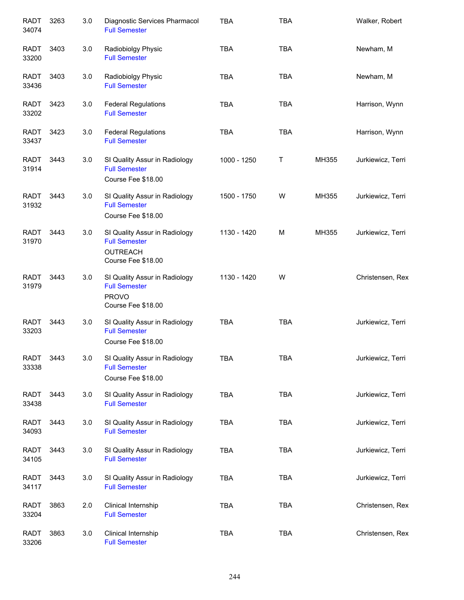| <b>RADT</b><br>34074 | 3263 | 3.0 | Diagnostic Services Pharmacol<br><b>Full Semester</b>                                          | <b>TBA</b>  | <b>TBA</b> |       | Walker, Robert    |
|----------------------|------|-----|------------------------------------------------------------------------------------------------|-------------|------------|-------|-------------------|
| RADT<br>33200        | 3403 | 3.0 | Radiobiolgy Physic<br><b>Full Semester</b>                                                     | <b>TBA</b>  | <b>TBA</b> |       | Newham, M         |
| <b>RADT</b><br>33436 | 3403 | 3.0 | Radiobiolgy Physic<br><b>Full Semester</b>                                                     | <b>TBA</b>  | <b>TBA</b> |       | Newham, M         |
| <b>RADT</b><br>33202 | 3423 | 3.0 | <b>Federal Regulations</b><br><b>Full Semester</b>                                             | <b>TBA</b>  | <b>TBA</b> |       | Harrison, Wynn    |
| <b>RADT</b><br>33437 | 3423 | 3.0 | <b>Federal Regulations</b><br><b>Full Semester</b>                                             | <b>TBA</b>  | <b>TBA</b> |       | Harrison, Wynn    |
| <b>RADT</b><br>31914 | 3443 | 3.0 | SI Quality Assur in Radiology<br><b>Full Semester</b><br>Course Fee \$18.00                    | 1000 - 1250 | Т          | MH355 | Jurkiewicz, Terri |
| <b>RADT</b><br>31932 | 3443 | 3.0 | SI Quality Assur in Radiology<br><b>Full Semester</b><br>Course Fee \$18.00                    | 1500 - 1750 | W          | MH355 | Jurkiewicz, Terri |
| <b>RADT</b><br>31970 | 3443 | 3.0 | SI Quality Assur in Radiology<br><b>Full Semester</b><br><b>OUTREACH</b><br>Course Fee \$18.00 | 1130 - 1420 | M          | MH355 | Jurkiewicz, Terri |
| <b>RADT</b><br>31979 | 3443 | 3.0 | SI Quality Assur in Radiology<br><b>Full Semester</b><br><b>PROVO</b><br>Course Fee \$18.00    | 1130 - 1420 | W          |       | Christensen, Rex  |
| <b>RADT</b><br>33203 | 3443 | 3.0 | SI Quality Assur in Radiology<br><b>Full Semester</b><br>Course Fee \$18.00                    | <b>TBA</b>  | <b>TBA</b> |       | Jurkiewicz, Terri |
| <b>RADT</b><br>33338 | 3443 | 3.0 | SI Quality Assur in Radiology<br><b>Full Semester</b><br>Course Fee \$18.00                    | TBA         | <b>TBA</b> |       | Jurkiewicz, Terri |
| <b>RADT</b><br>33438 | 3443 | 3.0 | SI Quality Assur in Radiology<br><b>Full Semester</b>                                          | <b>TBA</b>  | <b>TBA</b> |       | Jurkiewicz, Terri |
| <b>RADT</b><br>34093 | 3443 | 3.0 | SI Quality Assur in Radiology<br><b>Full Semester</b>                                          | <b>TBA</b>  | <b>TBA</b> |       | Jurkiewicz, Terri |
| <b>RADT</b><br>34105 | 3443 | 3.0 | SI Quality Assur in Radiology<br><b>Full Semester</b>                                          | <b>TBA</b>  | <b>TBA</b> |       | Jurkiewicz, Terri |
| <b>RADT</b><br>34117 | 3443 | 3.0 | SI Quality Assur in Radiology<br><b>Full Semester</b>                                          | <b>TBA</b>  | <b>TBA</b> |       | Jurkiewicz, Terri |
| <b>RADT</b><br>33204 | 3863 | 2.0 | Clinical Internship<br><b>Full Semester</b>                                                    | <b>TBA</b>  | <b>TBA</b> |       | Christensen, Rex  |
| <b>RADT</b><br>33206 | 3863 | 3.0 | Clinical Internship<br><b>Full Semester</b>                                                    | <b>TBA</b>  | <b>TBA</b> |       | Christensen, Rex  |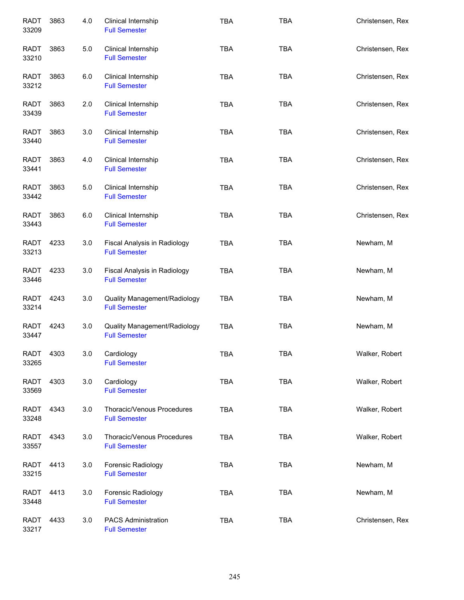| <b>RADT</b><br>33209 | 3863 | 4.0 | Clinical Internship<br><b>Full Semester</b>          | <b>TBA</b> | <b>TBA</b> | Christensen, Rex |
|----------------------|------|-----|------------------------------------------------------|------------|------------|------------------|
| <b>RADT</b><br>33210 | 3863 | 5.0 | Clinical Internship<br><b>Full Semester</b>          | <b>TBA</b> | <b>TBA</b> | Christensen, Rex |
| RADT<br>33212        | 3863 | 6.0 | Clinical Internship<br><b>Full Semester</b>          | <b>TBA</b> | <b>TBA</b> | Christensen, Rex |
| <b>RADT</b><br>33439 | 3863 | 2.0 | Clinical Internship<br><b>Full Semester</b>          | <b>TBA</b> | <b>TBA</b> | Christensen, Rex |
| <b>RADT</b><br>33440 | 3863 | 3.0 | Clinical Internship<br><b>Full Semester</b>          | <b>TBA</b> | <b>TBA</b> | Christensen, Rex |
| <b>RADT</b><br>33441 | 3863 | 4.0 | Clinical Internship<br><b>Full Semester</b>          | <b>TBA</b> | <b>TBA</b> | Christensen, Rex |
| <b>RADT</b><br>33442 | 3863 | 5.0 | Clinical Internship<br><b>Full Semester</b>          | <b>TBA</b> | <b>TBA</b> | Christensen, Rex |
| <b>RADT</b><br>33443 | 3863 | 6.0 | Clinical Internship<br><b>Full Semester</b>          | <b>TBA</b> | <b>TBA</b> | Christensen, Rex |
| <b>RADT</b><br>33213 | 4233 | 3.0 | Fiscal Analysis in Radiology<br><b>Full Semester</b> | <b>TBA</b> | <b>TBA</b> | Newham, M        |
| <b>RADT</b><br>33446 | 4233 | 3.0 | Fiscal Analysis in Radiology<br><b>Full Semester</b> | <b>TBA</b> | <b>TBA</b> | Newham, M        |
| <b>RADT</b><br>33214 | 4243 | 3.0 | Quality Management/Radiology<br><b>Full Semester</b> | <b>TBA</b> | <b>TBA</b> | Newham, M        |
| <b>RADT</b><br>33447 | 4243 | 3.0 | Quality Management/Radiology<br><b>Full Semester</b> | <b>TBA</b> | <b>TBA</b> | Newham, M        |
| <b>RADT</b><br>33265 | 4303 | 3.0 | Cardiology<br><b>Full Semester</b>                   | <b>TBA</b> | <b>TBA</b> | Walker, Robert   |
| RADT<br>33569        | 4303 | 3.0 | Cardiology<br><b>Full Semester</b>                   | <b>TBA</b> | <b>TBA</b> | Walker, Robert   |
| RADT<br>33248        | 4343 | 3.0 | Thoracic/Venous Procedures<br><b>Full Semester</b>   | <b>TBA</b> | <b>TBA</b> | Walker, Robert   |
| RADT<br>33557        | 4343 | 3.0 | Thoracic/Venous Procedures<br><b>Full Semester</b>   | <b>TBA</b> | <b>TBA</b> | Walker, Robert   |
| <b>RADT</b><br>33215 | 4413 | 3.0 | Forensic Radiology<br><b>Full Semester</b>           | <b>TBA</b> | <b>TBA</b> | Newham, M        |
| <b>RADT</b><br>33448 | 4413 | 3.0 | Forensic Radiology<br><b>Full Semester</b>           | <b>TBA</b> | <b>TBA</b> | Newham, M        |
| <b>RADT</b><br>33217 | 4433 | 3.0 | <b>PACS Administration</b><br><b>Full Semester</b>   | <b>TBA</b> | <b>TBA</b> | Christensen, Rex |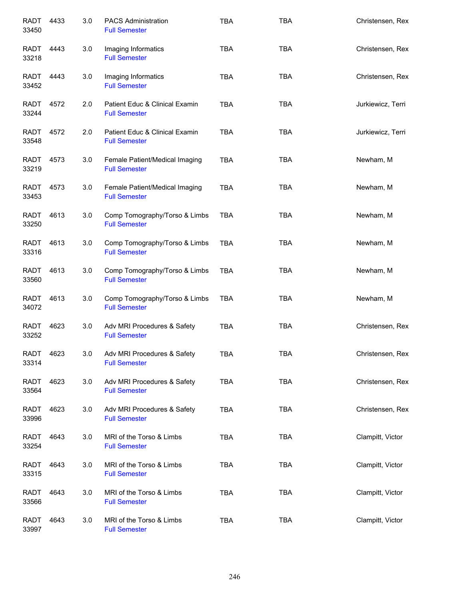| <b>RADT</b><br>33450 | 4433 | 3.0 | <b>PACS Administration</b><br><b>Full Semester</b>     | <b>TBA</b> | <b>TBA</b> | Christensen, Rex  |
|----------------------|------|-----|--------------------------------------------------------|------------|------------|-------------------|
| RADT<br>33218        | 4443 | 3.0 | Imaging Informatics<br><b>Full Semester</b>            | <b>TBA</b> | <b>TBA</b> | Christensen, Rex  |
| RADT<br>33452        | 4443 | 3.0 | Imaging Informatics<br><b>Full Semester</b>            | <b>TBA</b> | <b>TBA</b> | Christensen, Rex  |
| RADT<br>33244        | 4572 | 2.0 | Patient Educ & Clinical Examin<br><b>Full Semester</b> | <b>TBA</b> | <b>TBA</b> | Jurkiewicz, Terri |
| RADT<br>33548        | 4572 | 2.0 | Patient Educ & Clinical Examin<br><b>Full Semester</b> | <b>TBA</b> | <b>TBA</b> | Jurkiewicz, Terri |
| RADT<br>33219        | 4573 | 3.0 | Female Patient/Medical Imaging<br><b>Full Semester</b> | <b>TBA</b> | <b>TBA</b> | Newham, M         |
| <b>RADT</b><br>33453 | 4573 | 3.0 | Female Patient/Medical Imaging<br><b>Full Semester</b> | <b>TBA</b> | <b>TBA</b> | Newham, M         |
| <b>RADT</b><br>33250 | 4613 | 3.0 | Comp Tomography/Torso & Limbs<br><b>Full Semester</b>  | <b>TBA</b> | <b>TBA</b> | Newham, M         |
| <b>RADT</b><br>33316 | 4613 | 3.0 | Comp Tomography/Torso & Limbs<br><b>Full Semester</b>  | <b>TBA</b> | <b>TBA</b> | Newham, M         |
| <b>RADT</b><br>33560 | 4613 | 3.0 | Comp Tomography/Torso & Limbs<br><b>Full Semester</b>  | <b>TBA</b> | <b>TBA</b> | Newham, M         |
| <b>RADT</b><br>34072 | 4613 | 3.0 | Comp Tomography/Torso & Limbs<br><b>Full Semester</b>  | <b>TBA</b> | <b>TBA</b> | Newham, M         |
| <b>RADT</b><br>33252 | 4623 | 3.0 | Adv MRI Procedures & Safety<br><b>Full Semester</b>    | <b>TBA</b> | <b>TBA</b> | Christensen, Rex  |
| <b>RADT</b><br>33314 | 4623 | 3.0 | Adv MRI Procedures & Safety<br><b>Full Semester</b>    | <b>TBA</b> | <b>TBA</b> | Christensen, Rex  |
| <b>RADT</b><br>33564 | 4623 | 3.0 | Adv MRI Procedures & Safety<br><b>Full Semester</b>    | <b>TBA</b> | <b>TBA</b> | Christensen, Rex  |
| RADT<br>33996        | 4623 | 3.0 | Adv MRI Procedures & Safety<br><b>Full Semester</b>    | <b>TBA</b> | <b>TBA</b> | Christensen, Rex  |
| RADT<br>33254        | 4643 | 3.0 | MRI of the Torso & Limbs<br><b>Full Semester</b>       | <b>TBA</b> | <b>TBA</b> | Clampitt, Victor  |
| RADT<br>33315        | 4643 | 3.0 | MRI of the Torso & Limbs<br><b>Full Semester</b>       | <b>TBA</b> | <b>TBA</b> | Clampitt, Victor  |
| <b>RADT</b><br>33566 | 4643 | 3.0 | MRI of the Torso & Limbs<br><b>Full Semester</b>       | <b>TBA</b> | <b>TBA</b> | Clampitt, Victor  |
| <b>RADT</b><br>33997 | 4643 | 3.0 | MRI of the Torso & Limbs<br><b>Full Semester</b>       | <b>TBA</b> | <b>TBA</b> | Clampitt, Victor  |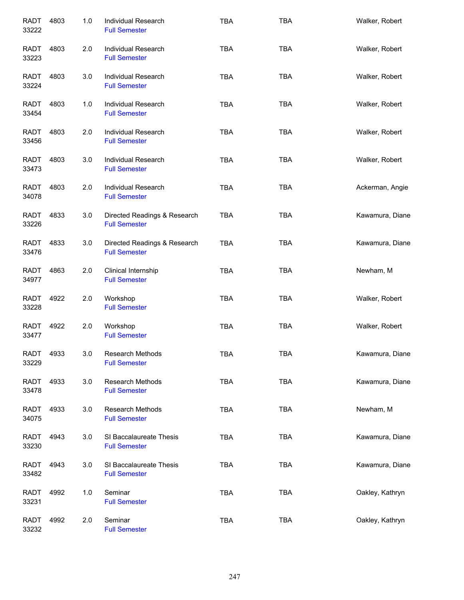| <b>RADT</b><br>33222 | 4803 | 1.0 | Individual Research<br><b>Full Semester</b>          | <b>TBA</b> | <b>TBA</b> | Walker, Robert  |
|----------------------|------|-----|------------------------------------------------------|------------|------------|-----------------|
| <b>RADT</b><br>33223 | 4803 | 2.0 | Individual Research<br><b>Full Semester</b>          | <b>TBA</b> | <b>TBA</b> | Walker, Robert  |
| RADT<br>33224        | 4803 | 3.0 | Individual Research<br><b>Full Semester</b>          | <b>TBA</b> | <b>TBA</b> | Walker, Robert  |
| <b>RADT</b><br>33454 | 4803 | 1.0 | <b>Individual Research</b><br><b>Full Semester</b>   | <b>TBA</b> | <b>TBA</b> | Walker, Robert  |
| RADT<br>33456        | 4803 | 2.0 | <b>Individual Research</b><br><b>Full Semester</b>   | <b>TBA</b> | <b>TBA</b> | Walker, Robert  |
| RADT<br>33473        | 4803 | 3.0 | Individual Research<br><b>Full Semester</b>          | <b>TBA</b> | <b>TBA</b> | Walker, Robert  |
| <b>RADT</b><br>34078 | 4803 | 2.0 | Individual Research<br><b>Full Semester</b>          | <b>TBA</b> | TBA        | Ackerman, Angie |
| RADT<br>33226        | 4833 | 3.0 | Directed Readings & Research<br><b>Full Semester</b> | <b>TBA</b> | <b>TBA</b> | Kawamura, Diane |
| <b>RADT</b><br>33476 | 4833 | 3.0 | Directed Readings & Research<br><b>Full Semester</b> | <b>TBA</b> | <b>TBA</b> | Kawamura, Diane |
| <b>RADT</b><br>34977 | 4863 | 2.0 | Clinical Internship<br><b>Full Semester</b>          | <b>TBA</b> | <b>TBA</b> | Newham, M       |
| <b>RADT</b><br>33228 | 4922 | 2.0 | Workshop<br><b>Full Semester</b>                     | <b>TBA</b> | <b>TBA</b> | Walker, Robert  |
| <b>RADT</b><br>33477 | 4922 | 2.0 | Workshop<br><b>Full Semester</b>                     | <b>TBA</b> | <b>TBA</b> | Walker, Robert  |
| <b>RADT</b><br>33229 | 4933 | 3.0 | <b>Research Methods</b><br><b>Full Semester</b>      | <b>TBA</b> | <b>TBA</b> | Kawamura, Diane |
| <b>RADT</b><br>33478 | 4933 | 3.0 | <b>Research Methods</b><br><b>Full Semester</b>      | <b>TBA</b> | <b>TBA</b> | Kawamura, Diane |
| RADT<br>34075        | 4933 | 3.0 | <b>Research Methods</b><br><b>Full Semester</b>      | <b>TBA</b> | TBA        | Newham, M       |
| RADT<br>33230        | 4943 | 3.0 | SI Baccalaureate Thesis<br><b>Full Semester</b>      | <b>TBA</b> | <b>TBA</b> | Kawamura, Diane |
| RADT<br>33482        | 4943 | 3.0 | SI Baccalaureate Thesis<br><b>Full Semester</b>      | <b>TBA</b> | TBA        | Kawamura, Diane |
| <b>RADT</b><br>33231 | 4992 | 1.0 | Seminar<br><b>Full Semester</b>                      | <b>TBA</b> | TBA        | Oakley, Kathryn |
| <b>RADT</b><br>33232 | 4992 | 2.0 | Seminar<br><b>Full Semester</b>                      | <b>TBA</b> | <b>TBA</b> | Oakley, Kathryn |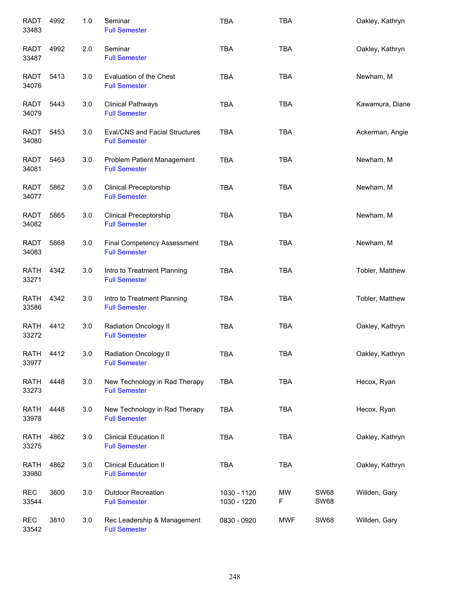| <b>RADT</b><br>33483 | 4992 | 1.0 | Seminar<br><b>Full Semester</b>                               | <b>TBA</b>                 | <b>TBA</b> |                            | Oakley, Kathryn |
|----------------------|------|-----|---------------------------------------------------------------|----------------------------|------------|----------------------------|-----------------|
| <b>RADT</b><br>33487 | 4992 | 2.0 | Seminar<br><b>Full Semester</b>                               | <b>TBA</b>                 | <b>TBA</b> |                            | Oakley, Kathryn |
| RADT<br>34076        | 5413 | 3.0 | Evaluation of the Chest<br><b>Full Semester</b>               | <b>TBA</b>                 | <b>TBA</b> |                            | Newham, M       |
| RADT<br>34079        | 5443 | 3.0 | <b>Clinical Pathways</b><br><b>Full Semester</b>              | <b>TBA</b>                 | <b>TBA</b> |                            | Kawamura, Diane |
| <b>RADT</b><br>34080 | 5453 | 3.0 | <b>Eval/CNS and Facial Structures</b><br><b>Full Semester</b> | <b>TBA</b>                 | <b>TBA</b> |                            | Ackerman, Angie |
| RADT<br>34081        | 5463 | 3.0 | Problem Patient Management<br><b>Full Semester</b>            | <b>TBA</b>                 | <b>TBA</b> |                            | Newham, M       |
| <b>RADT</b><br>34077 | 5862 | 3.0 | Clinical Preceptorship<br><b>Full Semester</b>                | <b>TBA</b>                 | <b>TBA</b> |                            | Newham, M       |
| <b>RADT</b><br>34082 | 5865 | 3.0 | Clinical Preceptorship<br><b>Full Semester</b>                | <b>TBA</b>                 | <b>TBA</b> |                            | Newham, M       |
| <b>RADT</b><br>34083 | 5868 | 3.0 | <b>Final Competency Assessment</b><br><b>Full Semester</b>    | <b>TBA</b>                 | <b>TBA</b> |                            | Newham, M       |
| <b>RATH</b><br>33271 | 4342 | 3.0 | Intro to Treatment Planning<br><b>Full Semester</b>           | <b>TBA</b>                 | <b>TBA</b> |                            | Tobler, Matthew |
| <b>RATH</b><br>33586 | 4342 | 3.0 | Intro to Treatment Planning<br><b>Full Semester</b>           | <b>TBA</b>                 | <b>TBA</b> |                            | Tobler, Matthew |
| <b>RATH</b><br>33272 | 4412 | 3.0 | <b>Radiation Oncology II</b><br><b>Full Semester</b>          | <b>TBA</b>                 | <b>TBA</b> |                            | Oakley, Kathryn |
| <b>RATH</b><br>33977 | 4412 | 3.0 | Radiation Oncology II<br><b>Full Semester</b>                 | <b>TBA</b>                 | <b>TBA</b> |                            | Oakley, Kathryn |
| <b>RATH</b><br>33273 | 4448 | 3.0 | New Technology in Rad Therapy<br><b>Full Semester</b>         | <b>TBA</b>                 | <b>TBA</b> |                            | Hecox, Ryan     |
| <b>RATH</b><br>33978 | 4448 | 3.0 | New Technology in Rad Therapy<br><b>Full Semester</b>         | <b>TBA</b>                 | <b>TBA</b> |                            | Hecox, Ryan     |
| <b>RATH</b><br>33275 | 4862 | 3.0 | <b>Clinical Education II</b><br><b>Full Semester</b>          | <b>TBA</b>                 | <b>TBA</b> |                            | Oakley, Kathryn |
| <b>RATH</b><br>33980 | 4862 | 3.0 | <b>Clinical Education II</b><br><b>Full Semester</b>          | <b>TBA</b>                 | <b>TBA</b> |                            | Oakley, Kathryn |
| <b>REC</b><br>33544  | 3600 | 3.0 | <b>Outdoor Recreation</b><br><b>Full Semester</b>             | 1030 - 1120<br>1030 - 1220 | MW<br>F    | <b>SW68</b><br><b>SW68</b> | Willden, Gary   |
| <b>REC</b><br>33542  | 3810 | 3.0 | Rec Leadership & Management<br><b>Full Semester</b>           | 0830 - 0920                | MWF        | <b>SW68</b>                | Willden, Gary   |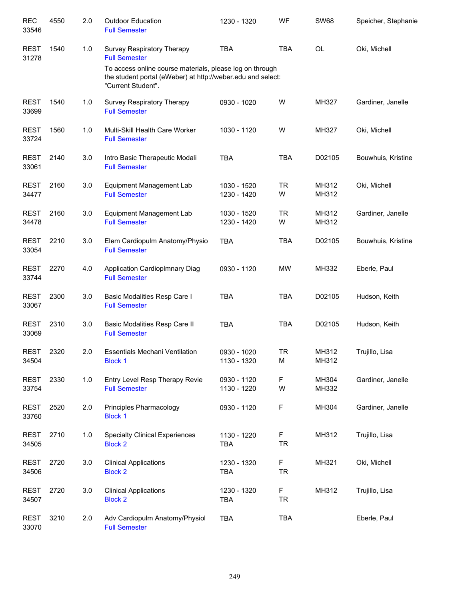| <b>REC</b><br>33546  | 4550 | 2.0 | <b>Outdoor Education</b><br><b>Full Semester</b>                                                                                              | 1230 - 1320                | WF             | <b>SW68</b>    | Speicher, Stephanie |
|----------------------|------|-----|-----------------------------------------------------------------------------------------------------------------------------------------------|----------------------------|----------------|----------------|---------------------|
| <b>REST</b><br>31278 | 1540 | 1.0 | Survey Respiratory Therapy<br><b>Full Semester</b>                                                                                            | <b>TBA</b>                 | <b>TBA</b>     | OL             | Oki, Michell        |
|                      |      |     | To access online course materials, please log on through<br>the student portal (eWeber) at http://weber.edu and select:<br>"Current Student". |                            |                |                |                     |
| <b>REST</b><br>33699 | 1540 | 1.0 | Survey Respiratory Therapy<br><b>Full Semester</b>                                                                                            | 0930 - 1020                | W              | MH327          | Gardiner, Janelle   |
| <b>REST</b><br>33724 | 1560 | 1.0 | Multi-Skill Health Care Worker<br><b>Full Semester</b>                                                                                        | 1030 - 1120                | W              | MH327          | Oki, Michell        |
| <b>REST</b><br>33061 | 2140 | 3.0 | Intro Basic Therapeutic Modali<br><b>Full Semester</b>                                                                                        | <b>TBA</b>                 | <b>TBA</b>     | D02105         | Bouwhuis, Kristine  |
| <b>REST</b><br>34477 | 2160 | 3.0 | Equipment Management Lab<br><b>Full Semester</b>                                                                                              | 1030 - 1520<br>1230 - 1420 | <b>TR</b><br>W | MH312<br>MH312 | Oki, Michell        |
| <b>REST</b><br>34478 | 2160 | 3.0 | Equipment Management Lab<br><b>Full Semester</b>                                                                                              | 1030 - 1520<br>1230 - 1420 | <b>TR</b><br>W | MH312<br>MH312 | Gardiner, Janelle   |
| <b>REST</b><br>33054 | 2210 | 3.0 | Elem Cardiopulm Anatomy/Physio<br><b>Full Semester</b>                                                                                        | <b>TBA</b>                 | <b>TBA</b>     | D02105         | Bouwhuis, Kristine  |
| <b>REST</b><br>33744 | 2270 | 4.0 | Application CardiopImnary Diag<br><b>Full Semester</b>                                                                                        | 0930 - 1120                | <b>MW</b>      | MH332          | Eberle, Paul        |
| <b>REST</b><br>33067 | 2300 | 3.0 | Basic Modalities Resp Care I<br><b>Full Semester</b>                                                                                          | <b>TBA</b>                 | <b>TBA</b>     | D02105         | Hudson, Keith       |
| <b>REST</b><br>33069 | 2310 | 3.0 | Basic Modalities Resp Care II<br><b>Full Semester</b>                                                                                         | <b>TBA</b>                 | <b>TBA</b>     | D02105         | Hudson, Keith       |
| <b>REST</b><br>34504 | 2320 | 2.0 | <b>Essentials Mechani Ventilation</b><br><b>Block 1</b>                                                                                       | 0930 - 1020<br>1130 - 1320 | <b>TR</b><br>М | MH312<br>MH312 | Trujillo, Lisa      |
| <b>REST</b><br>33754 | 2330 | 1.0 | Entry Level Resp Therapy Revie<br><b>Full Semester</b>                                                                                        | 0930 - 1120<br>1130 - 1220 | F<br>W         | MH304<br>MH332 | Gardiner, Janelle   |
| <b>REST</b><br>33760 | 2520 | 2.0 | Principles Pharmacology<br><b>Block 1</b>                                                                                                     | 0930 - 1120                | F              | MH304          | Gardiner, Janelle   |
| <b>REST</b><br>34505 | 2710 | 1.0 | <b>Specialty Clinical Experiences</b><br><b>Block 2</b>                                                                                       | 1130 - 1220<br><b>TBA</b>  | F<br><b>TR</b> | MH312          | Trujillo, Lisa      |
| <b>REST</b><br>34506 | 2720 | 3.0 | <b>Clinical Applications</b><br><b>Block 2</b>                                                                                                | 1230 - 1320<br><b>TBA</b>  | F<br><b>TR</b> | MH321          | Oki, Michell        |
| <b>REST</b><br>34507 | 2720 | 3.0 | <b>Clinical Applications</b><br><b>Block 2</b>                                                                                                | 1230 - 1320<br><b>TBA</b>  | F<br><b>TR</b> | MH312          | Trujillo, Lisa      |
| <b>REST</b><br>33070 | 3210 | 2.0 | Adv Cardiopulm Anatomy/Physiol<br><b>Full Semester</b>                                                                                        | <b>TBA</b>                 | <b>TBA</b>     |                | Eberle, Paul        |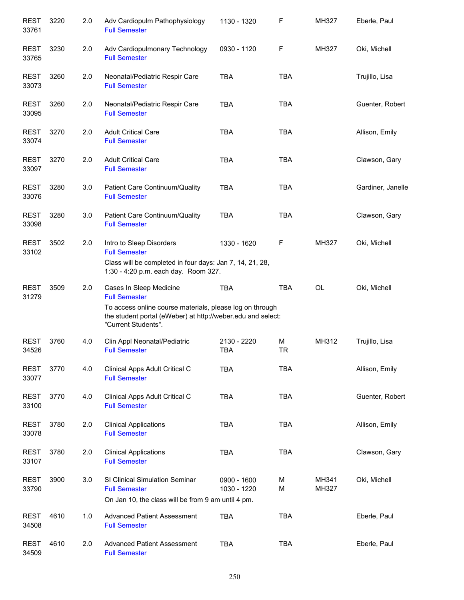| <b>REST</b><br>33761 | 3220 | 2.0 | Adv Cardiopulm Pathophysiology<br><b>Full Semester</b>                                                                                         | 1130 - 1320                | F              | MH327          | Eberle, Paul      |
|----------------------|------|-----|------------------------------------------------------------------------------------------------------------------------------------------------|----------------------------|----------------|----------------|-------------------|
| <b>REST</b><br>33765 | 3230 | 2.0 | Adv Cardiopulmonary Technology<br><b>Full Semester</b>                                                                                         | 0930 - 1120                | F              | MH327          | Oki, Michell      |
| <b>REST</b><br>33073 | 3260 | 2.0 | Neonatal/Pediatric Respir Care<br><b>Full Semester</b>                                                                                         | <b>TBA</b>                 | <b>TBA</b>     |                | Trujillo, Lisa    |
| <b>REST</b><br>33095 | 3260 | 2.0 | Neonatal/Pediatric Respir Care<br><b>Full Semester</b>                                                                                         | <b>TBA</b>                 | <b>TBA</b>     |                | Guenter, Robert   |
| <b>REST</b><br>33074 | 3270 | 2.0 | <b>Adult Critical Care</b><br><b>Full Semester</b>                                                                                             | <b>TBA</b>                 | <b>TBA</b>     |                | Allison, Emily    |
| <b>REST</b><br>33097 | 3270 | 2.0 | <b>Adult Critical Care</b><br><b>Full Semester</b>                                                                                             | <b>TBA</b>                 | <b>TBA</b>     |                | Clawson, Gary     |
| <b>REST</b><br>33076 | 3280 | 3.0 | Patient Care Continuum/Quality<br><b>Full Semester</b>                                                                                         | <b>TBA</b>                 | <b>TBA</b>     |                | Gardiner, Janelle |
| <b>REST</b><br>33098 | 3280 | 3.0 | Patient Care Continuum/Quality<br><b>Full Semester</b>                                                                                         | <b>TBA</b>                 | <b>TBA</b>     |                | Clawson, Gary     |
| <b>REST</b><br>33102 | 3502 | 2.0 | Intro to Sleep Disorders<br><b>Full Semester</b>                                                                                               | 1330 - 1620                | F              | MH327          | Oki, Michell      |
|                      |      |     | Class will be completed in four days: Jan 7, 14, 21, 28,<br>1:30 - 4:20 p.m. each day. Room 327.                                               |                            |                |                |                   |
| <b>REST</b><br>31279 | 3509 | 2.0 | Cases In Sleep Medicine<br><b>Full Semester</b>                                                                                                | <b>TBA</b>                 | <b>TBA</b>     | <b>OL</b>      | Oki, Michell      |
|                      |      |     | To access online course materials, please log on through<br>the student portal (eWeber) at http://weber.edu and select:<br>"Current Students". |                            |                |                |                   |
| <b>REST</b><br>34526 | 3760 | 4.0 | Clin Appl Neonatal/Pediatric<br><b>Full Semester</b>                                                                                           | 2130 - 2220<br><b>TBA</b>  | M<br><b>TR</b> | MH312          | Trujillo, Lisa    |
| <b>REST</b><br>33077 | 3770 | 4.0 | Clinical Apps Adult Critical C<br><b>Full Semester</b>                                                                                         | <b>TBA</b>                 | <b>TBA</b>     |                | Allison, Emily    |
| <b>REST</b><br>33100 | 3770 | 4.0 | Clinical Apps Adult Critical C<br><b>Full Semester</b>                                                                                         | <b>TBA</b>                 | <b>TBA</b>     |                | Guenter, Robert   |
| <b>REST</b><br>33078 | 3780 | 2.0 | <b>Clinical Applications</b><br><b>Full Semester</b>                                                                                           | <b>TBA</b>                 | <b>TBA</b>     |                | Allison, Emily    |
| <b>REST</b><br>33107 | 3780 | 2.0 | <b>Clinical Applications</b><br><b>Full Semester</b>                                                                                           | <b>TBA</b>                 | <b>TBA</b>     |                | Clawson, Gary     |
| <b>REST</b><br>33790 | 3900 | 3.0 | SI Clinical Simulation Seminar<br><b>Full Semester</b>                                                                                         | 0900 - 1600<br>1030 - 1220 | M<br>M         | MH341<br>MH327 | Oki, Michell      |
|                      |      |     | On Jan 10, the class will be from 9 am until 4 pm.                                                                                             |                            |                |                |                   |
| <b>REST</b><br>34508 | 4610 | 1.0 | <b>Advanced Patient Assessment</b><br><b>Full Semester</b>                                                                                     | <b>TBA</b>                 | <b>TBA</b>     |                | Eberle, Paul      |
| <b>REST</b><br>34509 | 4610 | 2.0 | <b>Advanced Patient Assessment</b><br><b>Full Semester</b>                                                                                     | <b>TBA</b>                 | <b>TBA</b>     |                | Eberle, Paul      |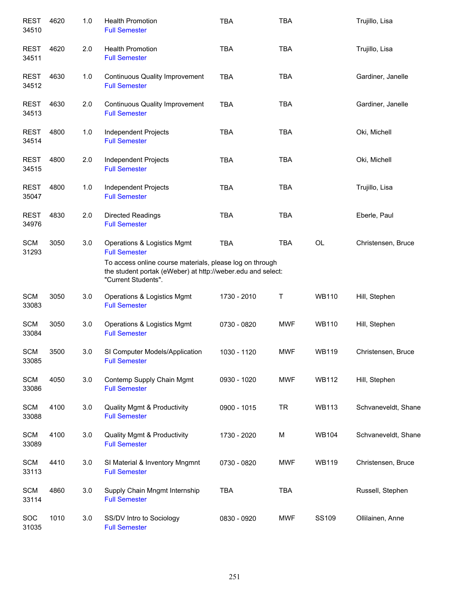| <b>REST</b><br>34510 | 4620 | 1.0   | <b>Health Promotion</b><br><b>Full Semester</b>                                                                                                | <b>TBA</b>  | <b>TBA</b> |              | Trujillo, Lisa      |
|----------------------|------|-------|------------------------------------------------------------------------------------------------------------------------------------------------|-------------|------------|--------------|---------------------|
| <b>REST</b><br>34511 | 4620 | 2.0   | <b>Health Promotion</b><br><b>Full Semester</b>                                                                                                | <b>TBA</b>  | <b>TBA</b> |              | Trujillo, Lisa      |
| <b>REST</b><br>34512 | 4630 | 1.0   | <b>Continuous Quality Improvement</b><br><b>Full Semester</b>                                                                                  | <b>TBA</b>  | <b>TBA</b> |              | Gardiner, Janelle   |
| <b>REST</b><br>34513 | 4630 | 2.0   | <b>Continuous Quality Improvement</b><br><b>Full Semester</b>                                                                                  | <b>TBA</b>  | <b>TBA</b> |              | Gardiner, Janelle   |
| <b>REST</b><br>34514 | 4800 | $1.0$ | Independent Projects<br><b>Full Semester</b>                                                                                                   | <b>TBA</b>  | <b>TBA</b> |              | Oki, Michell        |
| <b>REST</b><br>34515 | 4800 | 2.0   | Independent Projects<br><b>Full Semester</b>                                                                                                   | <b>TBA</b>  | <b>TBA</b> |              | Oki, Michell        |
| <b>REST</b><br>35047 | 4800 | 1.0   | Independent Projects<br><b>Full Semester</b>                                                                                                   | <b>TBA</b>  | <b>TBA</b> |              | Trujillo, Lisa      |
| <b>REST</b><br>34976 | 4830 | 2.0   | Directed Readings<br><b>Full Semester</b>                                                                                                      | <b>TBA</b>  | <b>TBA</b> |              | Eberle, Paul        |
| <b>SCM</b><br>31293  | 3050 | 3.0   | Operations & Logistics Mgmt<br><b>Full Semester</b>                                                                                            | <b>TBA</b>  | <b>TBA</b> | OL           | Christensen, Bruce  |
|                      |      |       | To access online course materials, please log on through<br>the student portak (eWeber) at http://weber.edu and select:<br>"Current Students". |             |            |              |                     |
| <b>SCM</b><br>33083  | 3050 | 3.0   | Operations & Logistics Mgmt<br><b>Full Semester</b>                                                                                            | 1730 - 2010 | Τ          | <b>WB110</b> | Hill, Stephen       |
| <b>SCM</b><br>33084  | 3050 | 3.0   | Operations & Logistics Mgmt<br><b>Full Semester</b>                                                                                            | 0730 - 0820 | <b>MWF</b> | <b>WB110</b> | Hill, Stephen       |
| <b>SCM</b><br>33085  | 3500 | 3.0   | SI Computer Models/Application<br><b>Full Semester</b>                                                                                         | 1030 - 1120 | <b>MWF</b> | <b>WB119</b> | Christensen, Bruce  |
| <b>SCM</b><br>33086  | 4050 | 3.0   | Contemp Supply Chain Mgmt<br><b>Full Semester</b>                                                                                              | 0930 - 1020 | <b>MWF</b> | <b>WB112</b> | Hill, Stephen       |
| <b>SCM</b><br>33088  | 4100 | 3.0   | <b>Quality Mgmt &amp; Productivity</b><br><b>Full Semester</b>                                                                                 | 0900 - 1015 | <b>TR</b>  | <b>WB113</b> | Schvaneveldt, Shane |
| <b>SCM</b><br>33089  | 4100 | 3.0   | <b>Quality Mgmt &amp; Productivity</b><br><b>Full Semester</b>                                                                                 | 1730 - 2020 | M          | WB104        | Schvaneveldt, Shane |
| <b>SCM</b><br>33113  | 4410 | 3.0   | SI Material & Inventory Mngmnt<br><b>Full Semester</b>                                                                                         | 0730 - 0820 | <b>MWF</b> | <b>WB119</b> | Christensen, Bruce  |
| <b>SCM</b><br>33114  | 4860 | 3.0   | Supply Chain Mngmt Internship<br><b>Full Semester</b>                                                                                          | <b>TBA</b>  | <b>TBA</b> |              | Russell, Stephen    |
| SOC<br>31035         | 1010 | 3.0   | SS/DV Intro to Sociology<br><b>Full Semester</b>                                                                                               | 0830 - 0920 | <b>MWF</b> | SS109        | Ollilainen, Anne    |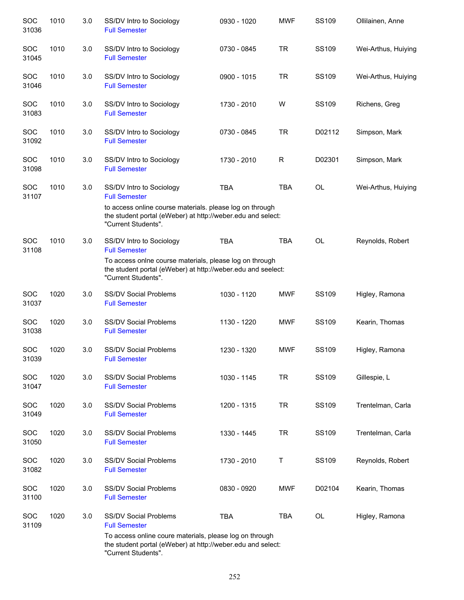| SOC<br>31036        | 1010 | 3.0 | SS/DV Intro to Sociology<br><b>Full Semester</b>                                                                                               | 0930 - 1020 | <b>MWF</b> | SS109        | Ollilainen, Anne    |
|---------------------|------|-----|------------------------------------------------------------------------------------------------------------------------------------------------|-------------|------------|--------------|---------------------|
| <b>SOC</b><br>31045 | 1010 | 3.0 | SS/DV Intro to Sociology<br><b>Full Semester</b>                                                                                               | 0730 - 0845 | <b>TR</b>  | SS109        | Wei-Arthus, Huiying |
| SOC<br>31046        | 1010 | 3.0 | SS/DV Intro to Sociology<br><b>Full Semester</b>                                                                                               | 0900 - 1015 | <b>TR</b>  | SS109        | Wei-Arthus, Huiying |
| <b>SOC</b><br>31083 | 1010 | 3.0 | SS/DV Intro to Sociology<br><b>Full Semester</b>                                                                                               | 1730 - 2010 | W          | SS109        | Richens, Greg       |
| <b>SOC</b><br>31092 | 1010 | 3.0 | SS/DV Intro to Sociology<br><b>Full Semester</b>                                                                                               | 0730 - 0845 | <b>TR</b>  | D02112       | Simpson, Mark       |
| SOC<br>31098        | 1010 | 3.0 | SS/DV Intro to Sociology<br><b>Full Semester</b>                                                                                               | 1730 - 2010 | R          | D02301       | Simpson, Mark       |
| SOC<br>31107        | 1010 | 3.0 | SS/DV Intro to Sociology<br><b>Full Semester</b>                                                                                               | <b>TBA</b>  | <b>TBA</b> | <b>OL</b>    | Wei-Arthus, Huiying |
|                     |      |     | to access online course materials. please log on through<br>the student portal (eWeber) at http://weber.edu and select:<br>"Current Students". |             |            |              |                     |
| <b>SOC</b><br>31108 | 1010 | 3.0 | SS/DV Intro to Sociology<br><b>Full Semester</b>                                                                                               | <b>TBA</b>  | <b>TBA</b> | <b>OL</b>    | Reynolds, Robert    |
|                     |      |     | To access onlne course materials, please log on through<br>the student portal (eWeber) at http://weber.edu and seelect:<br>"Current Students". |             |            |              |                     |
| SOC<br>31037        | 1020 | 3.0 | <b>SS/DV Social Problems</b><br><b>Full Semester</b>                                                                                           | 1030 - 1120 | <b>MWF</b> | SS109        | Higley, Ramona      |
| <b>SOC</b><br>31038 | 1020 | 3.0 | <b>SS/DV Social Problems</b><br><b>Full Semester</b>                                                                                           | 1130 - 1220 | <b>MWF</b> | SS109        | Kearin, Thomas      |
| SOC<br>31039        | 1020 | 3.0 | <b>SS/DV Social Problems</b><br><b>Full Semester</b>                                                                                           | 1230 - 1320 | <b>MWF</b> | <b>SS109</b> | Higley, Ramona      |
| SOC<br>31047        | 1020 | 3.0 | <b>SS/DV Social Problems</b><br><b>Full Semester</b>                                                                                           | 1030 - 1145 | <b>TR</b>  | SS109        | Gillespie, L        |
| SOC<br>31049        | 1020 | 3.0 | <b>SS/DV Social Problems</b><br><b>Full Semester</b>                                                                                           | 1200 - 1315 | <b>TR</b>  | <b>SS109</b> | Trentelman, Carla   |
| SOC<br>31050        | 1020 | 3.0 | <b>SS/DV Social Problems</b><br><b>Full Semester</b>                                                                                           | 1330 - 1445 | <b>TR</b>  | SS109        | Trentelman, Carla   |
| SOC<br>31082        | 1020 | 3.0 | <b>SS/DV Social Problems</b><br><b>Full Semester</b>                                                                                           | 1730 - 2010 | Τ          | SS109        | Reynolds, Robert    |
| SOC<br>31100        | 1020 | 3.0 | <b>SS/DV Social Problems</b><br><b>Full Semester</b>                                                                                           | 0830 - 0920 | <b>MWF</b> | D02104       | Kearin, Thomas      |
| SOC<br>31109        | 1020 | 3.0 | <b>SS/DV Social Problems</b><br><b>Full Semester</b>                                                                                           | <b>TBA</b>  | <b>TBA</b> | <b>OL</b>    | Higley, Ramona      |
|                     |      |     | To access online coure materials, please log on through<br>the student portal (eWeber) at http://weber.edu and select:<br>"Current Students".  |             |            |              |                     |

252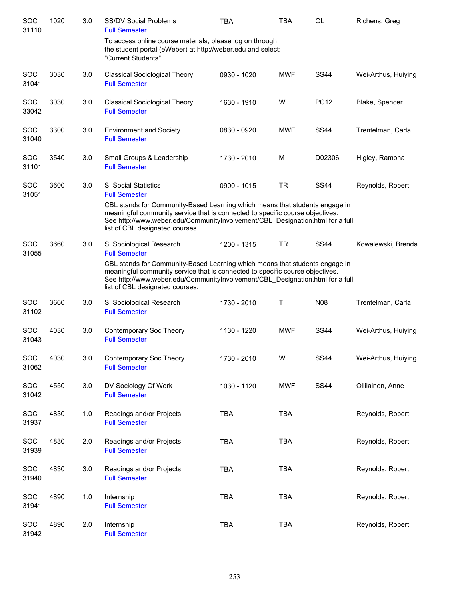| <b>SOC</b><br>31110 | 1020 | 3.0 | <b>SS/DV Social Problems</b><br><b>Full Semester</b>                                                                                                                                                                                                                             | <b>TBA</b>  | TBA        | <b>OL</b>   | Richens, Greg       |
|---------------------|------|-----|----------------------------------------------------------------------------------------------------------------------------------------------------------------------------------------------------------------------------------------------------------------------------------|-------------|------------|-------------|---------------------|
|                     |      |     | To access online course materials, please log on through<br>the student portal (eWeber) at http://weber.edu and select:<br>"Current Students".                                                                                                                                   |             |            |             |                     |
| <b>SOC</b><br>31041 | 3030 | 3.0 | <b>Classical Sociological Theory</b><br><b>Full Semester</b>                                                                                                                                                                                                                     | 0930 - 1020 | <b>MWF</b> | <b>SS44</b> | Wei-Arthus, Huiying |
| SOC<br>33042        | 3030 | 3.0 | <b>Classical Sociological Theory</b><br><b>Full Semester</b>                                                                                                                                                                                                                     | 1630 - 1910 | W          | <b>PC12</b> | Blake, Spencer      |
| <b>SOC</b><br>31040 | 3300 | 3.0 | <b>Environment and Society</b><br><b>Full Semester</b>                                                                                                                                                                                                                           | 0830 - 0920 | <b>MWF</b> | <b>SS44</b> | Trentelman, Carla   |
| <b>SOC</b><br>31101 | 3540 | 3.0 | Small Groups & Leadership<br><b>Full Semester</b>                                                                                                                                                                                                                                | 1730 - 2010 | M          | D02306      | Higley, Ramona      |
| <b>SOC</b><br>31051 | 3600 | 3.0 | <b>SI Social Statistics</b><br><b>Full Semester</b>                                                                                                                                                                                                                              | 0900 - 1015 | <b>TR</b>  | <b>SS44</b> | Reynolds, Robert    |
|                     |      |     | CBL stands for Community-Based Learning which means that students engage in<br>meaningful community service that is connected to specific course objectives.<br>See http://www.weber.edu/CommunityInvolvement/CBL Designation.html for a full<br>list of CBL designated courses. |             |            |             |                     |
| <b>SOC</b><br>31055 | 3660 | 3.0 | SI Sociological Research<br><b>Full Semester</b>                                                                                                                                                                                                                                 | 1200 - 1315 | <b>TR</b>  | <b>SS44</b> | Kowalewski, Brenda  |
|                     |      |     | CBL stands for Community-Based Learning which means that students engage in<br>meaningful community service that is connected to specific course objectives.<br>See http://www.weber.edu/CommunityInvolvement/CBL_Designation.html for a full<br>list of CBL designated courses. |             |            |             |                     |
| <b>SOC</b><br>31102 | 3660 | 3.0 | SI Sociological Research<br><b>Full Semester</b>                                                                                                                                                                                                                                 | 1730 - 2010 | т          | <b>N08</b>  | Trentelman, Carla   |
| <b>SOC</b><br>31043 | 4030 | 3.0 | Contemporary Soc Theory<br><b>Full Semester</b>                                                                                                                                                                                                                                  | 1130 - 1220 | <b>MWF</b> | <b>SS44</b> | Wei-Arthus, Huiying |
| SOC<br>31062        | 4030 | 3.0 | Contemporary Soc Theory<br><b>Full Semester</b>                                                                                                                                                                                                                                  | 1730 - 2010 | W          | <b>SS44</b> | Wei-Arthus, Huiying |
| <b>SOC</b><br>31042 | 4550 | 3.0 | DV Sociology Of Work<br><b>Full Semester</b>                                                                                                                                                                                                                                     | 1030 - 1120 | <b>MWF</b> | <b>SS44</b> | Ollilainen, Anne    |
| <b>SOC</b><br>31937 | 4830 | 1.0 | Readings and/or Projects<br><b>Full Semester</b>                                                                                                                                                                                                                                 | <b>TBA</b>  | <b>TBA</b> |             | Reynolds, Robert    |
| SOC<br>31939        | 4830 | 2.0 | Readings and/or Projects<br><b>Full Semester</b>                                                                                                                                                                                                                                 | <b>TBA</b>  | <b>TBA</b> |             | Reynolds, Robert    |
| <b>SOC</b><br>31940 | 4830 | 3.0 | Readings and/or Projects<br><b>Full Semester</b>                                                                                                                                                                                                                                 | <b>TBA</b>  | <b>TBA</b> |             | Reynolds, Robert    |
| <b>SOC</b><br>31941 | 4890 | 1.0 | Internship<br><b>Full Semester</b>                                                                                                                                                                                                                                               | <b>TBA</b>  | <b>TBA</b> |             | Reynolds, Robert    |
| <b>SOC</b><br>31942 | 4890 | 2.0 | Internship<br><b>Full Semester</b>                                                                                                                                                                                                                                               | <b>TBA</b>  | <b>TBA</b> |             | Reynolds, Robert    |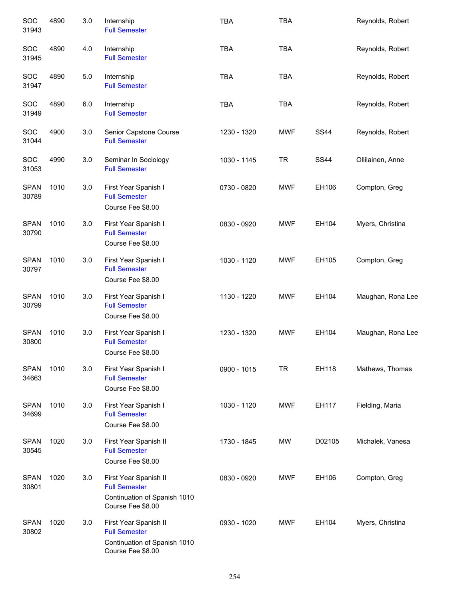| SOC<br>31943         | 4890 | 3.0   | Internship<br><b>Full Semester</b>                                                                 | <b>TBA</b>  | <b>TBA</b> |             | Reynolds, Robert  |
|----------------------|------|-------|----------------------------------------------------------------------------------------------------|-------------|------------|-------------|-------------------|
| SOC<br>31945         | 4890 | 4.0   | Internship<br><b>Full Semester</b>                                                                 | <b>TBA</b>  | <b>TBA</b> |             | Reynolds, Robert  |
| SOC<br>31947         | 4890 | $5.0$ | Internship<br><b>Full Semester</b>                                                                 | <b>TBA</b>  | <b>TBA</b> |             | Reynolds, Robert  |
| SOC<br>31949         | 4890 | 6.0   | Internship<br><b>Full Semester</b>                                                                 | <b>TBA</b>  | <b>TBA</b> |             | Reynolds, Robert  |
| SOC<br>31044         | 4900 | 3.0   | Senior Capstone Course<br><b>Full Semester</b>                                                     | 1230 - 1320 | <b>MWF</b> | <b>SS44</b> | Reynolds, Robert  |
| SOC<br>31053         | 4990 | 3.0   | Seminar In Sociology<br><b>Full Semester</b>                                                       | 1030 - 1145 | TR         | <b>SS44</b> | Ollilainen, Anne  |
| <b>SPAN</b><br>30789 | 1010 | 3.0   | First Year Spanish I<br><b>Full Semester</b><br>Course Fee \$8.00                                  | 0730 - 0820 | <b>MWF</b> | EH106       | Compton, Greg     |
| <b>SPAN</b><br>30790 | 1010 | 3.0   | First Year Spanish I<br><b>Full Semester</b><br>Course Fee \$8.00                                  | 0830 - 0920 | <b>MWF</b> | EH104       | Myers, Christina  |
| <b>SPAN</b><br>30797 | 1010 | 3.0   | First Year Spanish I<br><b>Full Semester</b><br>Course Fee \$8.00                                  | 1030 - 1120 | <b>MWF</b> | EH105       | Compton, Greg     |
| <b>SPAN</b><br>30799 | 1010 | 3.0   | First Year Spanish I<br><b>Full Semester</b><br>Course Fee \$8.00                                  | 1130 - 1220 | <b>MWF</b> | EH104       | Maughan, Rona Lee |
| <b>SPAN</b><br>30800 | 1010 | 3.0   | First Year Spanish I<br><b>Full Semester</b><br>Course Fee \$8.00                                  | 1230 - 1320 | <b>MWF</b> | EH104       | Maughan, Rona Lee |
| <b>SPAN</b><br>34663 | 1010 | 3.0   | First Year Spanish I<br><b>Full Semester</b><br>Course Fee \$8.00                                  | 0900 - 1015 | <b>TR</b>  | EH118       | Mathews, Thomas   |
| <b>SPAN</b><br>34699 | 1010 | 3.0   | First Year Spanish I<br><b>Full Semester</b><br>Course Fee \$8.00                                  | 1030 - 1120 | <b>MWF</b> | EH117       | Fielding, Maria   |
| <b>SPAN</b><br>30545 | 1020 | 3.0   | First Year Spanish II<br><b>Full Semester</b><br>Course Fee \$8.00                                 | 1730 - 1845 | MW         | D02105      | Michalek, Vanesa  |
| <b>SPAN</b><br>30801 | 1020 | 3.0   | First Year Spanish II<br><b>Full Semester</b><br>Continuation of Spanish 1010<br>Course Fee \$8.00 | 0830 - 0920 | <b>MWF</b> | EH106       | Compton, Greg     |
| <b>SPAN</b><br>30802 | 1020 | 3.0   | First Year Spanish II<br><b>Full Semester</b><br>Continuation of Spanish 1010<br>Course Fee \$8.00 | 0930 - 1020 | <b>MWF</b> | EH104       | Myers, Christina  |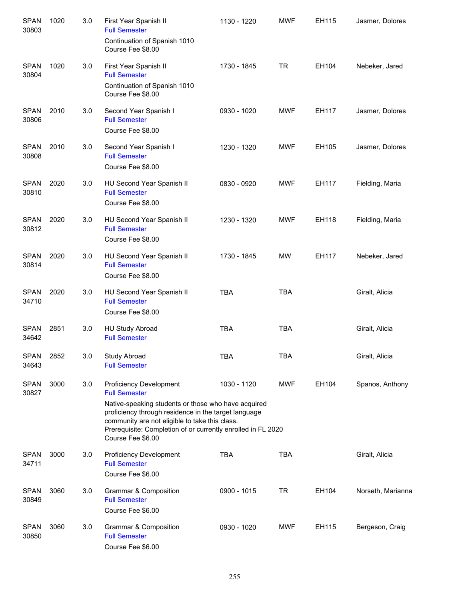| <b>SPAN</b><br>30803 | 1020 | 3.0 | First Year Spanish II<br><b>Full Semester</b>                                                                                                                                                                                                      | 1130 - 1220 | <b>MWF</b> | EH115 | Jasmer, Dolores   |
|----------------------|------|-----|----------------------------------------------------------------------------------------------------------------------------------------------------------------------------------------------------------------------------------------------------|-------------|------------|-------|-------------------|
|                      |      |     | Continuation of Spanish 1010<br>Course Fee \$8.00                                                                                                                                                                                                  |             |            |       |                   |
| <b>SPAN</b><br>30804 | 1020 | 3.0 | First Year Spanish II<br><b>Full Semester</b>                                                                                                                                                                                                      | 1730 - 1845 | <b>TR</b>  | EH104 | Nebeker, Jared    |
|                      |      |     | Continuation of Spanish 1010<br>Course Fee \$8.00                                                                                                                                                                                                  |             |            |       |                   |
| <b>SPAN</b><br>30806 | 2010 | 3.0 | Second Year Spanish I<br><b>Full Semester</b><br>Course Fee \$8.00                                                                                                                                                                                 | 0930 - 1020 | <b>MWF</b> | EH117 | Jasmer, Dolores   |
| <b>SPAN</b><br>30808 | 2010 | 3.0 | Second Year Spanish I<br><b>Full Semester</b><br>Course Fee \$8.00                                                                                                                                                                                 | 1230 - 1320 | <b>MWF</b> | EH105 | Jasmer, Dolores   |
| <b>SPAN</b><br>30810 | 2020 | 3.0 | HU Second Year Spanish II<br><b>Full Semester</b><br>Course Fee \$8.00                                                                                                                                                                             | 0830 - 0920 | <b>MWF</b> | EH117 | Fielding, Maria   |
| <b>SPAN</b><br>30812 | 2020 | 3.0 | HU Second Year Spanish II<br><b>Full Semester</b><br>Course Fee \$8.00                                                                                                                                                                             | 1230 - 1320 | <b>MWF</b> | EH118 | Fielding, Maria   |
| <b>SPAN</b><br>30814 | 2020 | 3.0 | HU Second Year Spanish II<br><b>Full Semester</b><br>Course Fee \$8.00                                                                                                                                                                             | 1730 - 1845 | <b>MW</b>  | EH117 | Nebeker, Jared    |
| <b>SPAN</b><br>34710 | 2020 | 3.0 | HU Second Year Spanish II<br><b>Full Semester</b><br>Course Fee \$8.00                                                                                                                                                                             | <b>TBA</b>  | <b>TBA</b> |       | Giralt, Alicia    |
| <b>SPAN</b><br>34642 | 2851 | 3.0 | HU Study Abroad<br><b>Full Semester</b>                                                                                                                                                                                                            | <b>TBA</b>  | <b>TBA</b> |       | Giralt, Alicia    |
| SPAN<br>34643        | 2852 | 3.0 | Study Abroad<br><b>Full Semester</b>                                                                                                                                                                                                               | <b>TBA</b>  | <b>TBA</b> |       | Giralt, Alicia    |
| <b>SPAN</b><br>30827 | 3000 | 3.0 | Proficiency Development<br><b>Full Semester</b>                                                                                                                                                                                                    | 1030 - 1120 | <b>MWF</b> | EH104 | Spanos, Anthony   |
|                      |      |     | Native-speaking students or those who have acquired<br>proficiency through residence in the target language<br>community are not eligible to take this class.<br>Prerequisite: Completion of or currently enrolled in FL 2020<br>Course Fee \$6.00 |             |            |       |                   |
| <b>SPAN</b><br>34711 | 3000 | 3.0 | <b>Proficiency Development</b><br><b>Full Semester</b><br>Course Fee \$6.00                                                                                                                                                                        | <b>TBA</b>  | <b>TBA</b> |       | Giralt, Alicia    |
| <b>SPAN</b><br>30849 | 3060 | 3.0 | Grammar & Composition<br><b>Full Semester</b><br>Course Fee \$6.00                                                                                                                                                                                 | 0900 - 1015 | <b>TR</b>  | EH104 | Norseth, Marianna |
| <b>SPAN</b><br>30850 | 3060 | 3.0 | Grammar & Composition<br><b>Full Semester</b><br>Course Fee \$6.00                                                                                                                                                                                 | 0930 - 1020 | <b>MWF</b> | EH115 | Bergeson, Craig   |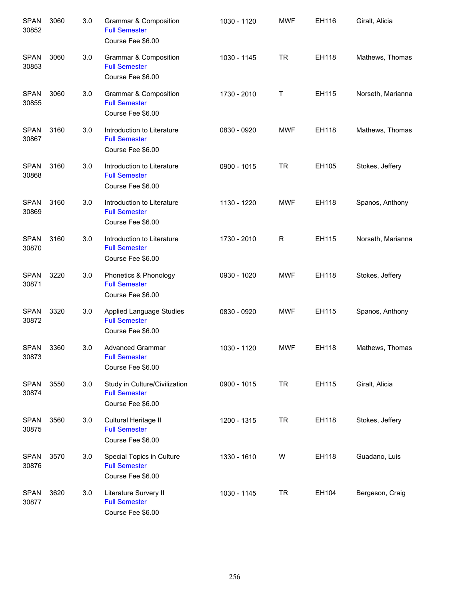| <b>SPAN</b><br>30852 | 3060 | 3.0 | <b>Grammar &amp; Composition</b><br><b>Full Semester</b><br>Course Fee \$6.00 | 1030 - 1120 | <b>MWF</b> | EH116 | Giralt, Alicia    |
|----------------------|------|-----|-------------------------------------------------------------------------------|-------------|------------|-------|-------------------|
| <b>SPAN</b><br>30853 | 3060 | 3.0 | Grammar & Composition<br><b>Full Semester</b><br>Course Fee \$6.00            | 1030 - 1145 | <b>TR</b>  | EH118 | Mathews, Thomas   |
| <b>SPAN</b><br>30855 | 3060 | 3.0 | Grammar & Composition<br><b>Full Semester</b><br>Course Fee \$6.00            | 1730 - 2010 | Τ          | EH115 | Norseth, Marianna |
| <b>SPAN</b><br>30867 | 3160 | 3.0 | Introduction to Literature<br><b>Full Semester</b><br>Course Fee \$6.00       | 0830 - 0920 | <b>MWF</b> | EH118 | Mathews, Thomas   |
| <b>SPAN</b><br>30868 | 3160 | 3.0 | Introduction to Literature<br><b>Full Semester</b><br>Course Fee \$6.00       | 0900 - 1015 | <b>TR</b>  | EH105 | Stokes, Jeffery   |
| <b>SPAN</b><br>30869 | 3160 | 3.0 | Introduction to Literature<br><b>Full Semester</b><br>Course Fee \$6.00       | 1130 - 1220 | <b>MWF</b> | EH118 | Spanos, Anthony   |
| <b>SPAN</b><br>30870 | 3160 | 3.0 | Introduction to Literature<br><b>Full Semester</b><br>Course Fee \$6.00       | 1730 - 2010 | R          | EH115 | Norseth, Marianna |
| <b>SPAN</b><br>30871 | 3220 | 3.0 | Phonetics & Phonology<br><b>Full Semester</b><br>Course Fee \$6.00            | 0930 - 1020 | <b>MWF</b> | EH118 | Stokes, Jeffery   |
| <b>SPAN</b><br>30872 | 3320 | 3.0 | Applied Language Studies<br><b>Full Semester</b><br>Course Fee \$6.00         | 0830 - 0920 | <b>MWF</b> | EH115 | Spanos, Anthony   |
| <b>SPAN</b><br>30873 | 3360 | 3.0 | <b>Advanced Grammar</b><br><b>Full Semester</b><br>Course Fee \$6.00          | 1030 - 1120 | <b>MWF</b> | EH118 | Mathews, Thomas   |
| <b>SPAN</b><br>30874 | 3550 | 3.0 | Study in Culture/Civilization<br><b>Full Semester</b><br>Course Fee \$6.00    | 0900 - 1015 | <b>TR</b>  | EH115 | Giralt, Alicia    |
| <b>SPAN</b><br>30875 | 3560 | 3.0 | Cultural Heritage II<br><b>Full Semester</b><br>Course Fee \$6.00             | 1200 - 1315 | <b>TR</b>  | EH118 | Stokes, Jeffery   |
| <b>SPAN</b><br>30876 | 3570 | 3.0 | Special Topics in Culture<br><b>Full Semester</b><br>Course Fee \$6.00        | 1330 - 1610 | W          | EH118 | Guadano, Luis     |
| <b>SPAN</b><br>30877 | 3620 | 3.0 | Literature Survery II<br><b>Full Semester</b><br>Course Fee \$6.00            | 1030 - 1145 | <b>TR</b>  | EH104 | Bergeson, Craig   |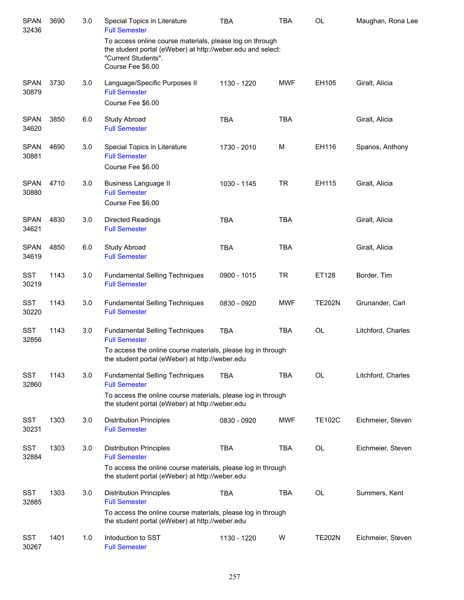| <b>SPAN</b><br>32436 | 3690 | 3.0 | Special Topics in Literature<br><b>Full Semester</b>                                                                                                                      | <b>TBA</b>  | <b>TBA</b> | <b>OL</b>     | Maughan, Rona Lee  |
|----------------------|------|-----|---------------------------------------------------------------------------------------------------------------------------------------------------------------------------|-------------|------------|---------------|--------------------|
|                      |      |     | To access online course materials, please log on through<br>the student portal (eWeber) at http://weber.edu and select:<br>"Current Students".<br>Course Fee \$6.00       |             |            |               |                    |
| <b>SPAN</b><br>30879 | 3730 | 3.0 | Language/Specific Purposes II<br><b>Full Semester</b>                                                                                                                     | 1130 - 1220 | <b>MWF</b> | EH105         | Giralt, Alicia     |
|                      |      |     | Course Fee \$6.00                                                                                                                                                         |             |            |               |                    |
| <b>SPAN</b><br>34620 | 3850 | 6.0 | Study Abroad<br><b>Full Semester</b>                                                                                                                                      | <b>TBA</b>  | <b>TBA</b> |               | Giralt, Alicia     |
| <b>SPAN</b><br>30881 | 4690 | 3.0 | Special Topics in Literature<br><b>Full Semester</b><br>Course Fee \$6.00                                                                                                 | 1730 - 2010 | M          | EH116         | Spanos, Anthony    |
| <b>SPAN</b><br>30880 | 4710 | 3.0 | <b>Business Language II</b><br><b>Full Semester</b>                                                                                                                       | 1030 - 1145 | <b>TR</b>  | EH115         | Giralt, Alicia     |
|                      |      |     | Course Fee \$6.00                                                                                                                                                         |             |            |               |                    |
| <b>SPAN</b><br>34621 | 4830 | 3.0 | Directed Readings<br><b>Full Semester</b>                                                                                                                                 | <b>TBA</b>  | <b>TBA</b> |               | Giralt, Alicia     |
| <b>SPAN</b><br>34619 | 4850 | 6.0 | Study Abroad<br><b>Full Semester</b>                                                                                                                                      | <b>TBA</b>  | <b>TBA</b> |               | Giralt, Alicia     |
| <b>SST</b><br>30219  | 1143 | 3.0 | <b>Fundamental Selling Techniques</b><br><b>Full Semester</b>                                                                                                             | 0900 - 1015 | <b>TR</b>  | ET128         | Border, Tim        |
| <b>SST</b><br>30220  | 1143 | 3.0 | <b>Fundamental Selling Techniques</b><br><b>Full Semester</b>                                                                                                             | 0830 - 0920 | <b>MWF</b> | <b>TE202N</b> | Grunander, Carl    |
| <b>SST</b><br>32856  | 1143 | 3.0 | <b>Fundamental Selling Techniques</b><br><b>Full Semester</b>                                                                                                             | <b>TBA</b>  | <b>TBA</b> | <b>OL</b>     | Litchford, Charles |
|                      |      |     | To access the online course materials, please log in through<br>the student portal (eWeber) at http://weber.edu                                                           |             |            |               |                    |
| <b>SST</b><br>32860  | 1143 | 3.0 | <b>Fundamental Selling Techniques</b><br><b>Full Semester</b>                                                                                                             | <b>TBA</b>  | <b>TBA</b> | <b>OL</b>     | Litchford, Charles |
|                      |      |     | To access the online course materials, please log in through<br>the student portal (eWeber) at http://weber.edu                                                           |             |            |               |                    |
| <b>SST</b><br>30231  | 1303 | 3.0 | <b>Distribution Principles</b><br><b>Full Semester</b>                                                                                                                    | 0830 - 0920 | <b>MWF</b> | <b>TE102C</b> | Eichmeier, Steven  |
| <b>SST</b><br>32884  | 1303 | 3.0 | <b>Distribution Principles</b><br><b>Full Semester</b><br>To access the online course materials, please log in through<br>the student portal (eWeber) at http://weber.edu | <b>TBA</b>  | TBA        | OL            | Eichmeier, Steven  |
| <b>SST</b><br>32885  | 1303 | 3.0 | <b>Distribution Principles</b><br><b>Full Semester</b><br>To access the online course materials, please log in through<br>the student portal (eWeber) at http://weber.edu | <b>TBA</b>  | <b>TBA</b> | <b>OL</b>     | Summers, Kent      |
| <b>SST</b><br>30267  | 1401 | 1.0 | Intoduction to SST<br><b>Full Semester</b>                                                                                                                                | 1130 - 1220 | W          | <b>TE202N</b> | Eichmeier, Steven  |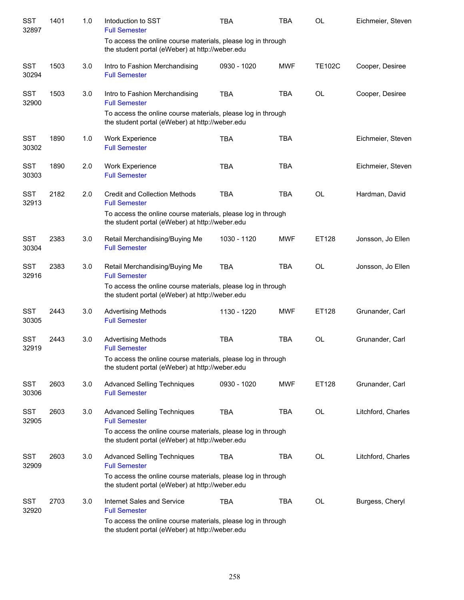| <b>SST</b><br>32897 | 1401 | 1.0 | Intoduction to SST<br><b>Full Semester</b>                                                                      | <b>TBA</b>  | <b>TBA</b> | OL            | Eichmeier, Steven  |
|---------------------|------|-----|-----------------------------------------------------------------------------------------------------------------|-------------|------------|---------------|--------------------|
|                     |      |     | To access the online course materials, please log in through<br>the student portal (eWeber) at http://weber.edu |             |            |               |                    |
| <b>SST</b><br>30294 | 1503 | 3.0 | Intro to Fashion Merchandising<br><b>Full Semester</b>                                                          | 0930 - 1020 | <b>MWF</b> | <b>TE102C</b> | Cooper, Desiree    |
| <b>SST</b><br>32900 | 1503 | 3.0 | Intro to Fashion Merchandising<br><b>Full Semester</b>                                                          | <b>TBA</b>  | <b>TBA</b> | <b>OL</b>     | Cooper, Desiree    |
|                     |      |     | To access the online course materials, please log in through<br>the student portal (eWeber) at http://weber.edu |             |            |               |                    |
| <b>SST</b><br>30302 | 1890 | 1.0 | Work Experience<br><b>Full Semester</b>                                                                         | <b>TBA</b>  | <b>TBA</b> |               | Eichmeier, Steven  |
| <b>SST</b><br>30303 | 1890 | 2.0 | Work Experience<br><b>Full Semester</b>                                                                         | <b>TBA</b>  | <b>TBA</b> |               | Eichmeier, Steven  |
| <b>SST</b><br>32913 | 2182 | 2.0 | <b>Credit and Collection Methods</b><br><b>Full Semester</b>                                                    | <b>TBA</b>  | <b>TBA</b> | <b>OL</b>     | Hardman, David     |
|                     |      |     | To access the online course materials, please log in through<br>the student portal (eWeber) at http://weber.edu |             |            |               |                    |
| <b>SST</b><br>30304 | 2383 | 3.0 | Retail Merchandising/Buying Me<br><b>Full Semester</b>                                                          | 1030 - 1120 | <b>MWF</b> | ET128         | Jonsson, Jo Ellen  |
| <b>SST</b><br>32916 | 2383 | 3.0 | Retail Merchandising/Buying Me<br><b>Full Semester</b>                                                          | <b>TBA</b>  | <b>TBA</b> | OL            | Jonsson, Jo Ellen  |
|                     |      |     | To access the online course materials, please log in through<br>the student portal (eWeber) at http://weber.edu |             |            |               |                    |
| <b>SST</b><br>30305 | 2443 | 3.0 | <b>Advertising Methods</b><br><b>Full Semester</b>                                                              | 1130 - 1220 | <b>MWF</b> | ET128         | Grunander, Carl    |
| <b>SST</b><br>32919 | 2443 | 3.0 | <b>Advertising Methods</b><br><b>Full Semester</b>                                                              | <b>TBA</b>  | <b>TBA</b> | OL            | Grunander, Carl    |
|                     |      |     | To access the online course materials, please log in through<br>the student portal (eWeber) at http://weber.edu |             |            |               |                    |
| <b>SST</b><br>30306 | 2603 | 3.0 | <b>Advanced Selling Techniques</b><br><b>Full Semester</b>                                                      | 0930 - 1020 | <b>MWF</b> | ET128         | Grunander, Carl    |
| <b>SST</b><br>32905 | 2603 | 3.0 | <b>Advanced Selling Techniques</b><br><b>Full Semester</b>                                                      | <b>TBA</b>  | <b>TBA</b> | OL            | Litchford, Charles |
|                     |      |     | To access the online course materials, please log in through<br>the student portal (eWeber) at http://weber.edu |             |            |               |                    |
| <b>SST</b><br>32909 | 2603 | 3.0 | <b>Advanced Selling Techniques</b><br><b>Full Semester</b>                                                      | <b>TBA</b>  | <b>TBA</b> | OL            | Litchford, Charles |
|                     |      |     | To access the online course materials, please log in through<br>the student portal (eWeber) at http://weber.edu |             |            |               |                    |
| <b>SST</b><br>32920 | 2703 | 3.0 | Internet Sales and Service<br><b>Full Semester</b>                                                              | <b>TBA</b>  | <b>TBA</b> | OL            | Burgess, Cheryl    |
|                     |      |     | To access the online course materials, please log in through<br>the student portal (eWeber) at http://weber.edu |             |            |               |                    |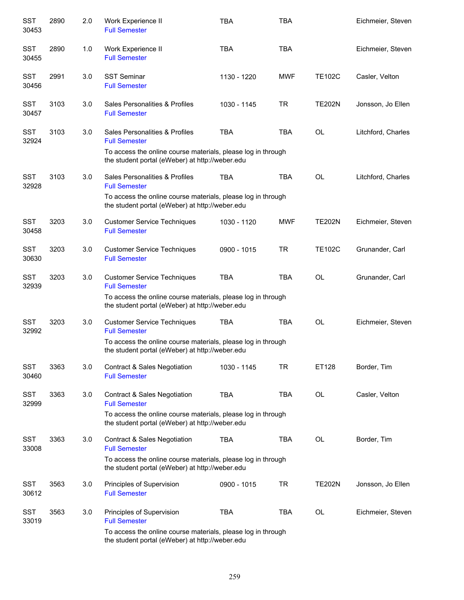| <b>SST</b><br>30453 | 2890 | 2.0 | Work Experience II<br><b>Full Semester</b>                                                                      | <b>TBA</b>  | <b>TBA</b> |               | Eichmeier, Steven  |
|---------------------|------|-----|-----------------------------------------------------------------------------------------------------------------|-------------|------------|---------------|--------------------|
| <b>SST</b><br>30455 | 2890 | 1.0 | Work Experience II<br><b>Full Semester</b>                                                                      | <b>TBA</b>  | <b>TBA</b> |               | Eichmeier, Steven  |
| <b>SST</b><br>30456 | 2991 | 3.0 | <b>SST Seminar</b><br><b>Full Semester</b>                                                                      | 1130 - 1220 | <b>MWF</b> | <b>TE102C</b> | Casler, Velton     |
| <b>SST</b><br>30457 | 3103 | 3.0 | Sales Personalities & Profiles<br><b>Full Semester</b>                                                          | 1030 - 1145 | <b>TR</b>  | <b>TE202N</b> | Jonsson, Jo Ellen  |
| <b>SST</b><br>32924 | 3103 | 3.0 | Sales Personalities & Profiles<br><b>Full Semester</b>                                                          | <b>TBA</b>  | <b>TBA</b> | <b>OL</b>     | Litchford, Charles |
|                     |      |     | To access the online course materials, please log in through<br>the student portal (eWeber) at http://weber.edu |             |            |               |                    |
| <b>SST</b><br>32928 | 3103 | 3.0 | Sales Personalities & Profiles<br><b>Full Semester</b>                                                          | <b>TBA</b>  | <b>TBA</b> | <b>OL</b>     | Litchford, Charles |
|                     |      |     | To access the online course materials, please log in through<br>the student portal (eWeber) at http://weber.edu |             |            |               |                    |
| <b>SST</b><br>30458 | 3203 | 3.0 | <b>Customer Service Techniques</b><br><b>Full Semester</b>                                                      | 1030 - 1120 | <b>MWF</b> | <b>TE202N</b> | Eichmeier, Steven  |
| <b>SST</b><br>30630 | 3203 | 3.0 | <b>Customer Service Techniques</b><br><b>Full Semester</b>                                                      | 0900 - 1015 | <b>TR</b>  | <b>TE102C</b> | Grunander, Carl    |
| <b>SST</b><br>32939 | 3203 | 3.0 | <b>Customer Service Techniques</b><br><b>Full Semester</b>                                                      | <b>TBA</b>  | <b>TBA</b> | <b>OL</b>     | Grunander, Carl    |
|                     |      |     | To access the online course materials, please log in through<br>the student portal (eWeber) at http://weber.edu |             |            |               |                    |
| SST<br>32992        | 3203 | 3.0 | <b>Customer Service Techniques</b><br><b>Full Semester</b>                                                      | <b>TBA</b>  | <b>TBA</b> | OL            | Eichmeier, Steven  |
|                     |      |     | To access the online course materials, please log in through<br>the student portal (eWeber) at http://weber.edu |             |            |               |                    |
| <b>SST</b><br>30460 | 3363 | 3.0 | Contract & Sales Negotiation<br><b>Full Semester</b>                                                            | 1030 - 1145 | <b>TR</b>  | ET128         | Border, Tim        |
| SST<br>32999        | 3363 | 3.0 | Contract & Sales Negotiation<br><b>Full Semester</b>                                                            | <b>TBA</b>  | <b>TBA</b> | OL            | Casler, Velton     |
|                     |      |     | To access the online course materials, please log in through<br>the student portal (eWeber) at http://weber.edu |             |            |               |                    |
| <b>SST</b><br>33008 | 3363 | 3.0 | Contract & Sales Negotiation<br><b>Full Semester</b>                                                            | TBA         | <b>TBA</b> | OL            | Border, Tim        |
|                     |      |     | To access the online course materials, please log in through<br>the student portal (eWeber) at http://weber.edu |             |            |               |                    |
| <b>SST</b><br>30612 | 3563 | 3.0 | Principles of Supervision<br><b>Full Semester</b>                                                               | 0900 - 1015 | <b>TR</b>  | <b>TE202N</b> | Jonsson, Jo Ellen  |
| <b>SST</b><br>33019 | 3563 | 3.0 | Principles of Supervision<br><b>Full Semester</b>                                                               | <b>TBA</b>  | <b>TBA</b> | OL            | Eichmeier, Steven  |
|                     |      |     | To access the online course materials, please log in through<br>the student portal (eWeber) at http://weber.edu |             |            |               |                    |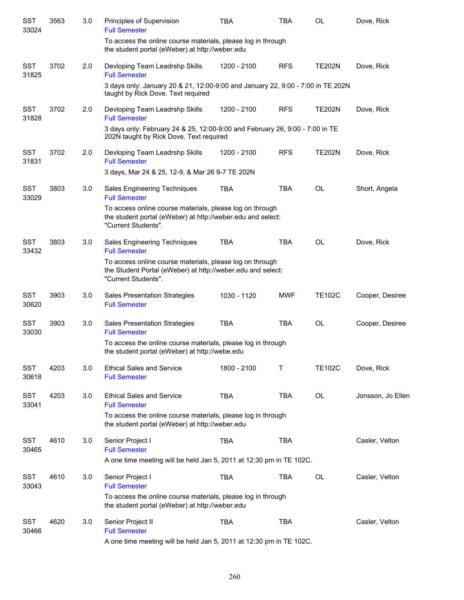| <b>SST</b><br>33024 | 3563 | 3.0 | Principles of Supervision<br><b>Full Semester</b>                                                                                              | <b>TBA</b>  | <b>TBA</b> | <b>OL</b>     | Dove, Rick        |
|---------------------|------|-----|------------------------------------------------------------------------------------------------------------------------------------------------|-------------|------------|---------------|-------------------|
|                     |      |     | To access the online course materials, please log in through<br>the student portal (eWeber) at http://weber.edu                                |             |            |               |                   |
| <b>SST</b><br>31825 | 3702 | 2.0 | Devloping Team Leadrshp Skills<br><b>Full Semester</b>                                                                                         | 1200 - 2100 | <b>RFS</b> | <b>TE202N</b> | Dove, Rick        |
|                     |      |     | 3 days only: January 20 & 21, 12:00-9:00 and January 22, 9:00 - 7:00 in TE 202N<br>taught by Rick Dove. Text required                          |             |            |               |                   |
| <b>SST</b><br>31828 | 3702 | 2.0 | Devloping Team Leadrshp Skills<br><b>Full Semester</b>                                                                                         | 1200 - 2100 | <b>RFS</b> | <b>TE202N</b> | Dove, Rick        |
|                     |      |     | 3 days only: February 24 & 25, 12:00-9:00 and February 26, 9:00 - 7:00 in TE<br>202N taught by Rick Dove. Text required                        |             |            |               |                   |
| <b>SST</b><br>31831 | 3702 | 2.0 | Devloping Team Leadrshp Skills<br><b>Full Semester</b>                                                                                         | 1200 - 2100 | <b>RFS</b> | <b>TE202N</b> | Dove, Rick        |
|                     |      |     | 3 days, Mar 24 & 25, 12-9, & Mar 26 9-7 TE 202N                                                                                                |             |            |               |                   |
| <b>SST</b><br>33029 | 3803 | 3.0 | Sales Engineering Techniques<br><b>Full Semester</b>                                                                                           | <b>TBA</b>  | <b>TBA</b> | <b>OL</b>     | Short, Angela     |
|                     |      |     | To access online course materials, please log on through<br>the student portal (eWeber) at http://weber.edu and select:<br>"Current Students". |             |            |               |                   |
| <b>SST</b><br>33432 | 3803 | 3.0 | Sales Engineering Techniques<br><b>Full Semester</b>                                                                                           | <b>TBA</b>  | <b>TBA</b> | <b>OL</b>     | Dove, Rick        |
|                     |      |     | To access online course materials, please log on through<br>the Student Portal (eWeber) at http://weber.edu and select:<br>"Current Students". |             |            |               |                   |
| <b>SST</b><br>30620 | 3903 | 3.0 | <b>Sales Presentation Strategies</b><br><b>Full Semester</b>                                                                                   | 1030 - 1120 | <b>MWF</b> | <b>TE102C</b> | Cooper, Desiree   |
| <b>SST</b><br>33030 | 3903 | 3.0 | <b>Sales Presentation Strategies</b><br><b>Full Semester</b>                                                                                   | <b>TBA</b>  | <b>TBA</b> | <b>OL</b>     | Cooper, Desiree   |
|                     |      |     | To access the online course materials, please log in through<br>the student portal (eWeber) at http://webe.edu                                 |             |            |               |                   |
| <b>SST</b><br>30618 | 4203 | 3.0 | <b>Ethical Sales and Service</b><br><b>Full Semester</b>                                                                                       | 1800 - 2100 | T          | <b>TE102C</b> | Dove, Rick        |
| <b>SST</b><br>33041 | 4203 | 3.0 | <b>Ethical Sales and Service</b><br><b>Full Semester</b>                                                                                       | <b>TBA</b>  | <b>TBA</b> | <b>OL</b>     | Jonsson, Jo Ellen |
|                     |      |     | To access the online course materials, please log in through<br>the student portal (eWeber) at http://weber.edu                                |             |            |               |                   |
| <b>SST</b><br>30465 | 4610 | 3.0 | Senior Project I<br><b>Full Semester</b>                                                                                                       | <b>TBA</b>  | <b>TBA</b> |               | Casler, Velton    |
|                     |      |     | A one time meeting will be held Jan 5, 2011 at 12:30 pm in TE 102C.                                                                            |             |            |               |                   |
| <b>SST</b><br>33043 | 4610 | 3.0 | Senior Project I<br><b>Full Semester</b>                                                                                                       | <b>TBA</b>  | <b>TBA</b> | OL            | Casler, Velton    |
|                     |      |     | To access the online course materials, please log in through<br>the student portal (eWeber) at http://weber.edu                                |             |            |               |                   |
| <b>SST</b><br>30466 | 4620 | 3.0 | Senior Project II<br><b>Full Semester</b>                                                                                                      | <b>TBA</b>  | <b>TBA</b> |               | Casler, Velton    |
|                     |      |     | A one time meeting will be held Jan 5, 2011 at 12:30 pm in TE 102C.                                                                            |             |            |               |                   |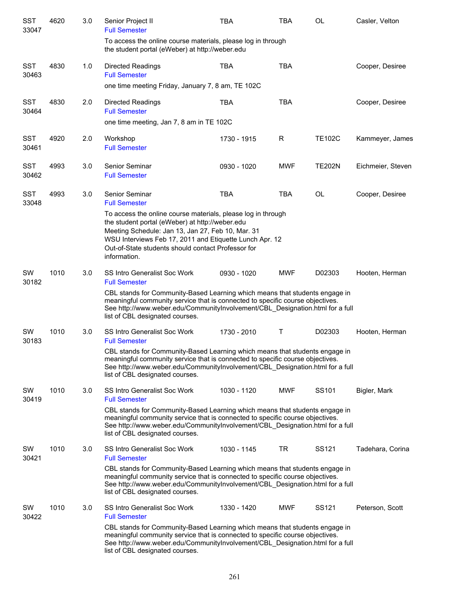| <b>SST</b><br>33047 | 4620 | 3.0 | Senior Project II<br><b>Full Semester</b>                                                                                                                                                                                                                                                             | <b>TBA</b>  | <b>TBA</b> | OL                | Casler, Velton    |
|---------------------|------|-----|-------------------------------------------------------------------------------------------------------------------------------------------------------------------------------------------------------------------------------------------------------------------------------------------------------|-------------|------------|-------------------|-------------------|
|                     |      |     | To access the online course materials, please log in through<br>the student portal (eWeber) at http://weber.edu                                                                                                                                                                                       |             |            |                   |                   |
| <b>SST</b><br>30463 | 4830 | 1.0 | Directed Readings<br><b>Full Semester</b>                                                                                                                                                                                                                                                             | <b>TBA</b>  | <b>TBA</b> |                   | Cooper, Desiree   |
|                     |      |     | one time meeting Friday, January 7, 8 am, TE 102C                                                                                                                                                                                                                                                     |             |            |                   |                   |
| <b>SST</b><br>30464 | 4830 | 2.0 | <b>Directed Readings</b><br><b>Full Semester</b>                                                                                                                                                                                                                                                      | <b>TBA</b>  | <b>TBA</b> |                   | Cooper, Desiree   |
|                     |      |     | one time meeting, Jan 7, 8 am in TE 102C                                                                                                                                                                                                                                                              |             |            |                   |                   |
| <b>SST</b><br>30461 | 4920 | 2.0 | Workshop<br><b>Full Semester</b>                                                                                                                                                                                                                                                                      | 1730 - 1915 | R          | <b>TE102C</b>     | Kammeyer, James   |
| <b>SST</b><br>30462 | 4993 | 3.0 | Senior Seminar<br><b>Full Semester</b>                                                                                                                                                                                                                                                                | 0930 - 1020 | <b>MWF</b> | <b>TE202N</b>     | Eichmeier, Steven |
| <b>SST</b><br>33048 | 4993 | 3.0 | Senior Seminar<br><b>Full Semester</b>                                                                                                                                                                                                                                                                | <b>TBA</b>  | <b>TBA</b> | OL                | Cooper, Desiree   |
|                     |      |     | To access the online course materials, please log in through<br>the student portal (eWeber) at http://weber.edu<br>Meeting Schedule: Jan 13, Jan 27, Feb 10, Mar. 31<br>WSU Interviews Feb 17, 2011 and Etiquette Lunch Apr. 12<br>Out-of-State students should contact Professor for<br>information. |             |            |                   |                   |
| SW<br>30182         | 1010 | 3.0 | <b>SS Intro Generalist Soc Work</b><br><b>Full Semester</b><br>CBL stands for Community-Based Learning which means that students engage in<br>meaningful community service that is connected to specific course objectives.                                                                           | 0930 - 1020 | <b>MWF</b> | D02303            | Hooten, Herman    |
|                     |      |     | See http://www.weber.edu/CommunityInvolvement/CBL_Designation.html for a full<br>list of CBL designated courses.                                                                                                                                                                                      |             |            |                   |                   |
| SW<br>30183         | 1010 | 3.0 | <b>SS Intro Generalist Soc Work</b><br><b>Full Semester</b>                                                                                                                                                                                                                                           | 1730 - 2010 | T.         | D02303            | Hooten, Herman    |
|                     |      |     | CBL stands for Community-Based Learning which means that students engage in<br>meaningful community service that is connected to specific course objectives.<br>See http://www.weber.edu/CommunityInvolvement/CBL_Designation.html for a full<br>list of CBL designated courses.                      |             |            |                   |                   |
| SW<br>30419         | 1010 | 3.0 | <b>SS Intro Generalist Soc Work</b><br><b>Full Semester</b>                                                                                                                                                                                                                                           | 1030 - 1120 | <b>MWF</b> | SS <sub>101</sub> | Bigler, Mark      |
|                     |      |     | CBL stands for Community-Based Learning which means that students engage in<br>meaningful community service that is connected to specific course objectives.<br>See http://www.weber.edu/CommunityInvolvement/CBL_Designation.html for a full<br>list of CBL designated courses.                      |             |            |                   |                   |
| SW<br>30421         | 1010 | 3.0 | <b>SS Intro Generalist Soc Work</b><br><b>Full Semester</b>                                                                                                                                                                                                                                           | 1030 - 1145 | TR         | SS <sub>121</sub> | Tadehara, Corina  |
|                     |      |     | CBL stands for Community-Based Learning which means that students engage in<br>meaningful community service that is connected to specific course objectives.<br>See http://www.weber.edu/CommunityInvolvement/CBL Designation.html for a full<br>list of CBL designated courses.                      |             |            |                   |                   |
| SW<br>30422         | 1010 | 3.0 | SS Intro Generalist Soc Work<br><b>Full Semester</b>                                                                                                                                                                                                                                                  | 1330 - 1420 | <b>MWF</b> | SS121             | Peterson, Scott   |
|                     |      |     | CBL stands for Community-Based Learning which means that students engage in<br>meaningful community service that is connected to specific course objectives.<br>See http://www.weber.edu/CommunityInvolvement/CBL_Designation.html for a full<br>list of CBL designated courses.                      |             |            |                   |                   |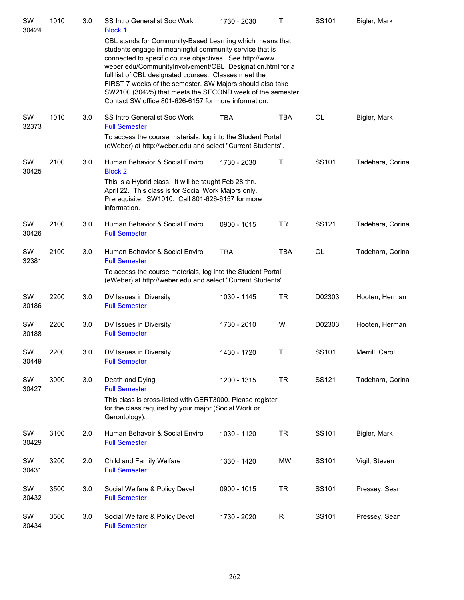| SW<br>30424 | 1010 | $3.0\,$ | SS Intro Generalist Soc Work<br><b>Block 1</b>                                                                                                                                                                                                                                                                                                                                                                                                                                           | 1730 - 2030 | Τ          | SS101     | Bigler, Mark     |
|-------------|------|---------|------------------------------------------------------------------------------------------------------------------------------------------------------------------------------------------------------------------------------------------------------------------------------------------------------------------------------------------------------------------------------------------------------------------------------------------------------------------------------------------|-------------|------------|-----------|------------------|
|             |      |         | CBL stands for Community-Based Learning which means that<br>students engage in meaningful community service that is<br>connected to specific course objectives. See http://www.<br>weber.edu/CommunityInvolvement/CBL_Designation.html for a<br>full list of CBL designated courses. Classes meet the<br>FIRST 7 weeks of the semester. SW Majors should also take<br>SW2100 (30425) that meets the SECOND week of the semester.<br>Contact SW office 801-626-6157 for more information. |             |            |           |                  |
| SW<br>32373 | 1010 | 3.0     | SS Intro Generalist Soc Work<br><b>Full Semester</b>                                                                                                                                                                                                                                                                                                                                                                                                                                     | <b>TBA</b>  | <b>TBA</b> | <b>OL</b> | Bigler, Mark     |
|             |      |         | To access the course materials, log into the Student Portal<br>(eWeber) at http://weber.edu and select "Current Students".                                                                                                                                                                                                                                                                                                                                                               |             |            |           |                  |
| SW<br>30425 | 2100 | 3.0     | Human Behavior & Social Enviro<br><b>Block 2</b>                                                                                                                                                                                                                                                                                                                                                                                                                                         | 1730 - 2030 | Τ          | SS101     | Tadehara, Corina |
|             |      |         | This is a Hybrid class. It will be taught Feb 28 thru<br>April 22. This class is for Social Work Majors only.<br>Prerequisite: SW1010. Call 801-626-6157 for more<br>information.                                                                                                                                                                                                                                                                                                        |             |            |           |                  |
| SW<br>30426 | 2100 | 3.0     | Human Behavior & Social Enviro<br><b>Full Semester</b>                                                                                                                                                                                                                                                                                                                                                                                                                                   | 0900 - 1015 | TR         | SS121     | Tadehara, Corina |
| SW<br>32381 | 2100 | 3.0     | Human Behavior & Social Enviro<br><b>Full Semester</b>                                                                                                                                                                                                                                                                                                                                                                                                                                   | <b>TBA</b>  | <b>TBA</b> | <b>OL</b> | Tadehara, Corina |
|             |      |         | To access the course materials, log into the Student Portal<br>(eWeber) at http://weber.edu and select "Current Students".                                                                                                                                                                                                                                                                                                                                                               |             |            |           |                  |
| SW<br>30186 | 2200 | 3.0     | DV Issues in Diversity<br><b>Full Semester</b>                                                                                                                                                                                                                                                                                                                                                                                                                                           | 1030 - 1145 | <b>TR</b>  | D02303    | Hooten, Herman   |
| SW<br>30188 | 2200 | 3.0     | DV Issues in Diversity<br><b>Full Semester</b>                                                                                                                                                                                                                                                                                                                                                                                                                                           | 1730 - 2010 | W          | D02303    | Hooten, Herman   |
| SW<br>30449 | 2200 | 3.0     | DV Issues in Diversity<br><b>Full Semester</b>                                                                                                                                                                                                                                                                                                                                                                                                                                           | 1430 - 1720 | Τ          | SS101     | Merrill, Carol   |
| SW<br>30427 | 3000 | 3.0     | Death and Dying<br><b>Full Semester</b>                                                                                                                                                                                                                                                                                                                                                                                                                                                  | 1200 - 1315 | <b>TR</b>  | SS121     | Tadehara, Corina |
|             |      |         | This class is cross-listed with GERT3000. Please register<br>for the class required by your major (Social Work or<br>Gerontology).                                                                                                                                                                                                                                                                                                                                                       |             |            |           |                  |
| SW<br>30429 | 3100 | 2.0     | Human Behavoir & Social Enviro<br><b>Full Semester</b>                                                                                                                                                                                                                                                                                                                                                                                                                                   | 1030 - 1120 | <b>TR</b>  | SS101     | Bigler, Mark     |
| SW<br>30431 | 3200 | 2.0     | Child and Family Welfare<br><b>Full Semester</b>                                                                                                                                                                                                                                                                                                                                                                                                                                         | 1330 - 1420 | <b>MW</b>  | SS101     | Vigil, Steven    |
| SW<br>30432 | 3500 | 3.0     | Social Welfare & Policy Devel<br><b>Full Semester</b>                                                                                                                                                                                                                                                                                                                                                                                                                                    | 0900 - 1015 | <b>TR</b>  | SS101     | Pressey, Sean    |
| SW<br>30434 | 3500 | 3.0     | Social Welfare & Policy Devel<br><b>Full Semester</b>                                                                                                                                                                                                                                                                                                                                                                                                                                    | 1730 - 2020 | R          | SS101     | Pressey, Sean    |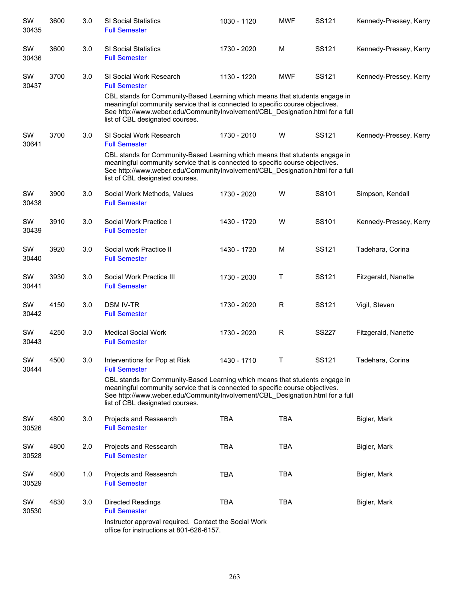| SW<br>30435 | 3600 | 3.0 | <b>SI Social Statistics</b><br><b>Full Semester</b>                                                                                                                                                                                                                              | 1030 - 1120 | <b>MWF</b>  | SS121        | Kennedy-Pressey, Kerry |
|-------------|------|-----|----------------------------------------------------------------------------------------------------------------------------------------------------------------------------------------------------------------------------------------------------------------------------------|-------------|-------------|--------------|------------------------|
| SW<br>30436 | 3600 | 3.0 | <b>SI Social Statistics</b><br><b>Full Semester</b>                                                                                                                                                                                                                              | 1730 - 2020 | M           | SS121        | Kennedy-Pressey, Kerry |
| SW<br>30437 | 3700 | 3.0 | SI Social Work Research<br><b>Full Semester</b>                                                                                                                                                                                                                                  | 1130 - 1220 | <b>MWF</b>  | SS121        | Kennedy-Pressey, Kerry |
|             |      |     | CBL stands for Community-Based Learning which means that students engage in<br>meaningful community service that is connected to specific course objectives.<br>See http://www.weber.edu/CommunityInvolvement/CBL_Designation.html for a full<br>list of CBL designated courses. |             |             |              |                        |
| SW<br>30641 | 3700 | 3.0 | SI Social Work Research<br><b>Full Semester</b>                                                                                                                                                                                                                                  | 1730 - 2010 | W           | SS121        | Kennedy-Pressey, Kerry |
|             |      |     | CBL stands for Community-Based Learning which means that students engage in<br>meaningful community service that is connected to specific course objectives.<br>See http://www.weber.edu/CommunityInvolvement/CBL_Designation.html for a full<br>list of CBL designated courses. |             |             |              |                        |
| SW<br>30438 | 3900 | 3.0 | Social Work Methods, Values<br><b>Full Semester</b>                                                                                                                                                                                                                              | 1730 - 2020 | W           | SS101        | Simpson, Kendall       |
| SW<br>30439 | 3910 | 3.0 | Social Work Practice I<br><b>Full Semester</b>                                                                                                                                                                                                                                   | 1430 - 1720 | W           | SS101        | Kennedy-Pressey, Kerry |
| SW<br>30440 | 3920 | 3.0 | Social work Practice II<br><b>Full Semester</b>                                                                                                                                                                                                                                  | 1430 - 1720 | M           | SS121        | Tadehara, Corina       |
| SW<br>30441 | 3930 | 3.0 | Social Work Practice III<br><b>Full Semester</b>                                                                                                                                                                                                                                 | 1730 - 2030 | Τ           | SS121        | Fitzgerald, Nanette    |
| SW<br>30442 | 4150 | 3.0 | <b>DSM IV-TR</b><br><b>Full Semester</b>                                                                                                                                                                                                                                         | 1730 - 2020 | R           | SS121        | Vigil, Steven          |
| SW<br>30443 | 4250 | 3.0 | <b>Medical Social Work</b><br><b>Full Semester</b>                                                                                                                                                                                                                               | 1730 - 2020 | $\mathsf R$ | <b>SS227</b> | Fitzgerald, Nanette    |
| SW<br>30444 | 4500 | 3.0 | Interventions for Pop at Risk<br><b>Full Semester</b>                                                                                                                                                                                                                            | 1430 - 1710 | Τ           | SS121        | Tadehara, Corina       |
|             |      |     | CBL stands for Community-Based Learning which means that students engage in<br>meaningful community service that is connected to specific course objectives.<br>See http://www.weber.edu/CommunityInvolvement/CBL_Designation.html for a full<br>list of CBL designated courses. |             |             |              |                        |
| SW<br>30526 | 4800 | 3.0 | Projects and Ressearch<br><b>Full Semester</b>                                                                                                                                                                                                                                   | <b>TBA</b>  | <b>TBA</b>  |              | Bigler, Mark           |
| SW<br>30528 | 4800 | 2.0 | Projects and Ressearch<br><b>Full Semester</b>                                                                                                                                                                                                                                   | <b>TBA</b>  | TBA         |              | Bigler, Mark           |
| SW<br>30529 | 4800 | 1.0 | Projects and Ressearch<br><b>Full Semester</b>                                                                                                                                                                                                                                   | <b>TBA</b>  | <b>TBA</b>  |              | Bigler, Mark           |
| SW<br>30530 | 4830 | 3.0 | Directed Readings<br><b>Full Semester</b>                                                                                                                                                                                                                                        | <b>TBA</b>  | <b>TBA</b>  |              | Bigler, Mark           |
|             |      |     | Instructor approval required. Contact the Social Work<br>office for instructions at 801-626-6157.                                                                                                                                                                                |             |             |              |                        |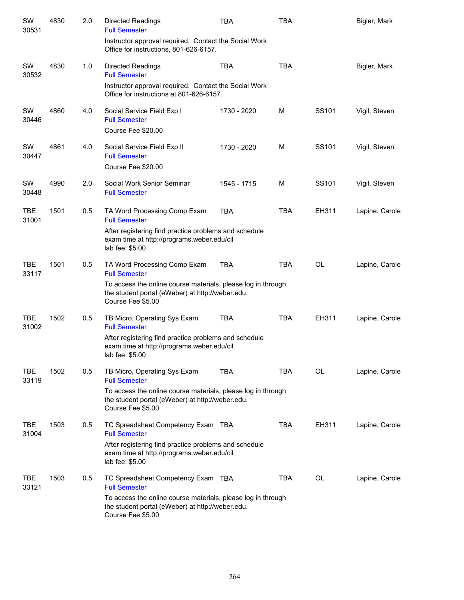| SW<br>30531         | 4830 | 2.0 | <b>Directed Readings</b><br><b>Full Semester</b>                                                                                      | <b>TBA</b>  | <b>TBA</b> |           | Bigler, Mark   |
|---------------------|------|-----|---------------------------------------------------------------------------------------------------------------------------------------|-------------|------------|-----------|----------------|
|                     |      |     | Instructor approval required. Contact the Social Work<br>Office for instructions, 801-626-6157.                                       |             |            |           |                |
| SW<br>30532         | 4830 | 1.0 | <b>Directed Readings</b><br><b>Full Semester</b>                                                                                      | <b>TBA</b>  | <b>TBA</b> |           | Bigler, Mark   |
|                     |      |     | Instructor approval required. Contact the Social Work<br>Office for instructions at 801-626-6157.                                     |             |            |           |                |
| SW<br>30446         | 4860 | 4.0 | Social Service Field Exp I<br><b>Full Semester</b><br>Course Fee \$20.00                                                              | 1730 - 2020 | M          | SS101     | Vigil, Steven  |
| SW<br>30447         | 4861 | 4.0 | Social Service Field Exp II<br><b>Full Semester</b>                                                                                   | 1730 - 2020 | M          | SS101     | Vigil, Steven  |
|                     |      |     | Course Fee \$20.00                                                                                                                    |             |            |           |                |
| SW<br>30448         | 4990 | 2.0 | Social Work Senior Seminar<br><b>Full Semester</b>                                                                                    | 1545 - 1715 | M          | SS101     | Vigil, Steven  |
| <b>TBE</b><br>31001 | 1501 | 0.5 | TA Word Processing Comp Exam<br><b>Full Semester</b>                                                                                  | <b>TBA</b>  | <b>TBA</b> | EH311     | Lapine, Carole |
|                     |      |     | After registering find practice problems and schedule<br>exam time at http://programs.weber.edu/cil<br>lab fee: \$5.00                |             |            |           |                |
| <b>TBE</b><br>33117 | 1501 | 0.5 | TA Word Processing Comp Exam<br><b>Full Semester</b>                                                                                  | <b>TBA</b>  | <b>TBA</b> | <b>OL</b> | Lapine, Carole |
|                     |      |     | To access the online course materials, please log in through<br>the student portal (eWeber) at http://weber.edu.<br>Course Fee \$5.00 |             |            |           |                |
| TBE<br>31002        | 1502 | 0.5 | TB Micro, Operating Sys Exam<br><b>Full Semester</b>                                                                                  | <b>TBA</b>  | <b>TBA</b> | EH311     | Lapine, Carole |
|                     |      |     | After registering find practice problems and schedule<br>exam time at http://programs.weber.edu/cil<br>lab fee: \$5.00                |             |            |           |                |
| TBE<br>33119        | 1502 | 0.5 | TB Micro, Operating Sys Exam<br><b>Full Semester</b>                                                                                  | <b>TBA</b>  | <b>TBA</b> | OL        | Lapine, Carole |
|                     |      |     | To access the online course materials, please log in through<br>the student portal (eWeber) at http://weber.edu.<br>Course Fee \$5.00 |             |            |           |                |
| TBE<br>31004        | 1503 | 0.5 | TC Spreadsheet Competency Exam TBA<br><b>Full Semester</b>                                                                            |             | <b>TBA</b> | EH311     | Lapine, Carole |
|                     |      |     | After registering find practice problems and schedule<br>exam time at http://programs.weber.edu/cil<br>lab fee: \$5.00                |             |            |           |                |
| TBE<br>33121        | 1503 | 0.5 | TC Spreadsheet Competency Exam TBA<br><b>Full Semester</b>                                                                            |             | TBA        | OL        | Lapine, Carole |
|                     |      |     | To access the online course materials, please log in through<br>the student portal (eWeber) at http://weber.edu.<br>Course Fee \$5.00 |             |            |           |                |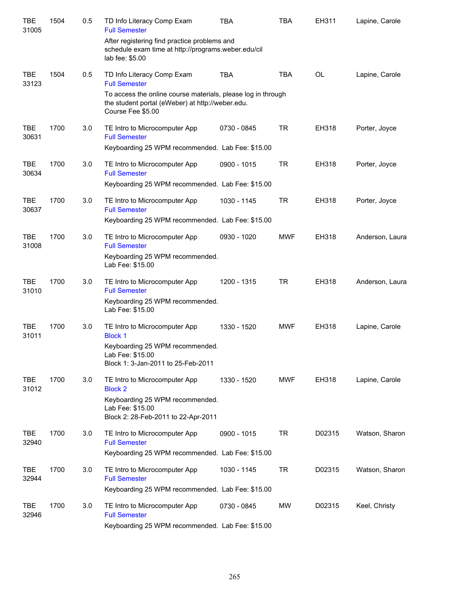| <b>TBE</b><br>31005 | 1504 | 0.5 | TD Info Literacy Comp Exam<br><b>Full Semester</b>                                                                                    | <b>TBA</b>  | <b>TBA</b> | EH311     | Lapine, Carole  |
|---------------------|------|-----|---------------------------------------------------------------------------------------------------------------------------------------|-------------|------------|-----------|-----------------|
|                     |      |     | After registering find practice problems and<br>schedule exam time at http://programs.weber.edu/cil<br>lab fee: \$5.00                |             |            |           |                 |
| <b>TBE</b><br>33123 | 1504 | 0.5 | TD Info Literacy Comp Exam<br><b>Full Semester</b>                                                                                    | <b>TBA</b>  | <b>TBA</b> | <b>OL</b> | Lapine, Carole  |
|                     |      |     | To access the online course materials, please log in through<br>the student portal (eWeber) at http://weber.edu.<br>Course Fee \$5.00 |             |            |           |                 |
| <b>TBE</b><br>30631 | 1700 | 3.0 | TE Intro to Microcomputer App<br><b>Full Semester</b>                                                                                 | 0730 - 0845 | <b>TR</b>  | EH318     | Porter, Joyce   |
|                     |      |     | Keyboarding 25 WPM recommended. Lab Fee: \$15.00                                                                                      |             |            |           |                 |
| <b>TBE</b><br>30634 | 1700 | 3.0 | TE Intro to Microcomputer App<br><b>Full Semester</b>                                                                                 | 0900 - 1015 | <b>TR</b>  | EH318     | Porter, Joyce   |
|                     |      |     | Keyboarding 25 WPM recommended. Lab Fee: \$15.00                                                                                      |             |            |           |                 |
| <b>TBE</b><br>30637 | 1700 | 3.0 | TE Intro to Microcomputer App<br><b>Full Semester</b>                                                                                 | 1030 - 1145 | <b>TR</b>  | EH318     | Porter, Joyce   |
|                     |      |     | Keyboarding 25 WPM recommended. Lab Fee: \$15.00                                                                                      |             |            |           |                 |
| <b>TBE</b><br>31008 | 1700 | 3.0 | TE Intro to Microcomputer App<br><b>Full Semester</b>                                                                                 | 0930 - 1020 | <b>MWF</b> | EH318     | Anderson, Laura |
|                     |      |     | Keyboarding 25 WPM recommended.<br>Lab Fee: \$15.00                                                                                   |             |            |           |                 |
| <b>TBE</b><br>31010 | 1700 | 3.0 | TE Intro to Microcomputer App<br><b>Full Semester</b>                                                                                 | 1200 - 1315 | <b>TR</b>  | EH318     | Anderson, Laura |
|                     |      |     | Keyboarding 25 WPM recommended.<br>Lab Fee: \$15.00                                                                                   |             |            |           |                 |
| <b>TBE</b><br>31011 | 1700 | 3.0 | TE Intro to Microcomputer App<br><b>Block 1</b>                                                                                       | 1330 - 1520 | <b>MWF</b> | EH318     | Lapine, Carole  |
|                     |      |     | Keyboarding 25 WPM recommended.<br>Lab Fee: \$15.00<br>Block 1: 3-Jan-2011 to 25-Feb-2011                                             |             |            |           |                 |
| <b>TBE</b><br>31012 | 1700 | 3.0 | TE Intro to Microcomputer App<br><b>Block 2</b>                                                                                       | 1330 - 1520 | <b>MWF</b> | EH318     | Lapine, Carole  |
|                     |      |     | Keyboarding 25 WPM recommended.<br>Lab Fee: \$15.00<br>Block 2: 28-Feb-2011 to 22-Apr-2011                                            |             |            |           |                 |
| <b>TBE</b><br>32940 | 1700 | 3.0 | TE Intro to Microcomputer App<br><b>Full Semester</b>                                                                                 | 0900 - 1015 | <b>TR</b>  | D02315    | Watson, Sharon  |
|                     |      |     | Keyboarding 25 WPM recommended. Lab Fee: \$15.00                                                                                      |             |            |           |                 |
| <b>TBE</b><br>32944 | 1700 | 3.0 | TE Intro to Microcomputer App<br><b>Full Semester</b>                                                                                 | 1030 - 1145 | <b>TR</b>  | D02315    | Watson, Sharon  |
|                     |      |     | Keyboarding 25 WPM recommended. Lab Fee: \$15.00                                                                                      |             |            |           |                 |
| <b>TBE</b><br>32946 | 1700 | 3.0 | TE Intro to Microcomputer App<br><b>Full Semester</b>                                                                                 | 0730 - 0845 | <b>MW</b>  | D02315    | Keel, Christy   |
|                     |      |     | Keyboarding 25 WPM recommended. Lab Fee: \$15.00                                                                                      |             |            |           |                 |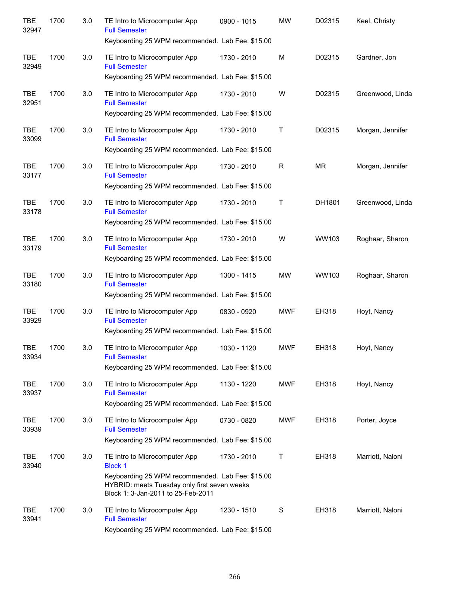| <b>TBE</b><br>32947 | 1700 | 3.0 | TE Intro to Microcomputer App<br><b>Full Semester</b><br>Keyboarding 25 WPM recommended. Lab Fee: \$15.00                              | 0900 - 1015 | <b>MW</b>  | D02315    | Keel, Christy    |
|---------------------|------|-----|----------------------------------------------------------------------------------------------------------------------------------------|-------------|------------|-----------|------------------|
| <b>TBE</b><br>32949 | 1700 | 3.0 | TE Intro to Microcomputer App<br><b>Full Semester</b>                                                                                  | 1730 - 2010 | M          | D02315    | Gardner, Jon     |
|                     |      |     | Keyboarding 25 WPM recommended. Lab Fee: \$15.00                                                                                       |             |            |           |                  |
| <b>TBE</b><br>32951 | 1700 | 3.0 | TE Intro to Microcomputer App<br><b>Full Semester</b>                                                                                  | 1730 - 2010 | W          | D02315    | Greenwood, Linda |
|                     |      |     | Keyboarding 25 WPM recommended. Lab Fee: \$15.00                                                                                       |             |            |           |                  |
| <b>TBE</b><br>33099 | 1700 | 3.0 | TE Intro to Microcomputer App<br><b>Full Semester</b>                                                                                  | 1730 - 2010 | Т          | D02315    | Morgan, Jennifer |
|                     |      |     | Keyboarding 25 WPM recommended. Lab Fee: \$15.00                                                                                       |             |            |           |                  |
| <b>TBE</b><br>33177 | 1700 | 3.0 | TE Intro to Microcomputer App<br><b>Full Semester</b>                                                                                  | 1730 - 2010 | R          | <b>MR</b> | Morgan, Jennifer |
|                     |      |     | Keyboarding 25 WPM recommended. Lab Fee: \$15.00                                                                                       |             |            |           |                  |
| <b>TBE</b><br>33178 | 1700 | 3.0 | TE Intro to Microcomputer App<br><b>Full Semester</b>                                                                                  | 1730 - 2010 | T          | DH1801    | Greenwood, Linda |
|                     |      |     | Keyboarding 25 WPM recommended. Lab Fee: \$15.00                                                                                       |             |            |           |                  |
| <b>TBE</b><br>33179 | 1700 | 3.0 | TE Intro to Microcomputer App<br><b>Full Semester</b>                                                                                  | 1730 - 2010 | W          | WW103     | Roghaar, Sharon  |
|                     |      |     | Keyboarding 25 WPM recommended. Lab Fee: \$15.00                                                                                       |             |            |           |                  |
| <b>TBE</b><br>33180 | 1700 | 3.0 | TE Intro to Microcomputer App<br><b>Full Semester</b>                                                                                  | 1300 - 1415 | <b>MW</b>  | WW103     | Roghaar, Sharon  |
|                     |      |     | Keyboarding 25 WPM recommended. Lab Fee: \$15.00                                                                                       |             |            |           |                  |
| <b>TBE</b><br>33929 | 1700 | 3.0 | TE Intro to Microcomputer App<br><b>Full Semester</b>                                                                                  | 0830 - 0920 | <b>MWF</b> | EH318     | Hoyt, Nancy      |
|                     |      |     | Keyboarding 25 WPM recommended. Lab Fee: \$15.00                                                                                       |             |            |           |                  |
| <b>TBE</b><br>33934 | 1700 | 3.0 | TE Intro to Microcomputer App<br><b>Full Semester</b>                                                                                  | 1030 - 1120 | <b>MWF</b> | EH318     | Hoyt, Nancy      |
|                     |      |     | Keyboarding 25 WPM recommended. Lab Fee: \$15.00                                                                                       |             |            |           |                  |
| <b>TBE</b><br>33937 | 1700 | 3.0 | TE Intro to Microcomputer App<br><b>Full Semester</b>                                                                                  | 1130 - 1220 | <b>MWF</b> | EH318     | Hoyt, Nancy      |
|                     |      |     | Keyboarding 25 WPM recommended. Lab Fee: \$15.00                                                                                       |             |            |           |                  |
| <b>TBE</b><br>33939 | 1700 | 3.0 | TE Intro to Microcomputer App<br><b>Full Semester</b>                                                                                  | 0730 - 0820 | <b>MWF</b> | EH318     | Porter, Joyce    |
|                     |      |     | Keyboarding 25 WPM recommended. Lab Fee: \$15.00                                                                                       |             |            |           |                  |
| <b>TBE</b><br>33940 | 1700 | 3.0 | TE Intro to Microcomputer App<br><b>Block 1</b>                                                                                        | 1730 - 2010 | Т          | EH318     | Marriott, Naloni |
|                     |      |     | Keyboarding 25 WPM recommended. Lab Fee: \$15.00<br>HYBRID: meets Tuesday only first seven weeks<br>Block 1: 3-Jan-2011 to 25-Feb-2011 |             |            |           |                  |
| TBE<br>33941        | 1700 | 3.0 | TE Intro to Microcomputer App<br><b>Full Semester</b>                                                                                  | 1230 - 1510 | S          | EH318     | Marriott, Naloni |
|                     |      |     | Keyboarding 25 WPM recommended. Lab Fee: \$15.00                                                                                       |             |            |           |                  |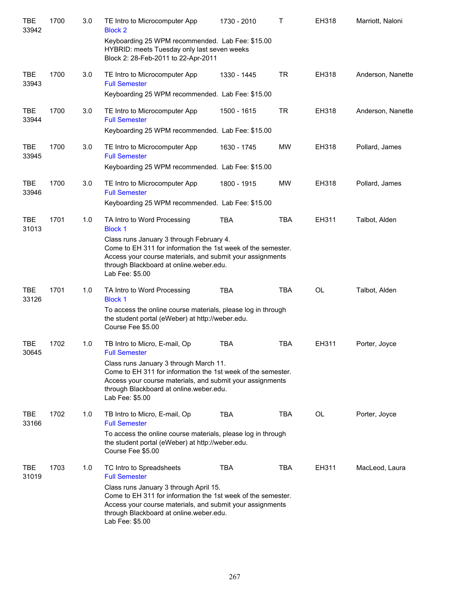| <b>TBE</b><br>33942 | 1700 | 3.0 | TE Intro to Microcomputer App<br><b>Block 2</b>                                                                                                                                                                                     | 1730 - 2010 | Τ          | EH318     | Marriott, Naloni  |
|---------------------|------|-----|-------------------------------------------------------------------------------------------------------------------------------------------------------------------------------------------------------------------------------------|-------------|------------|-----------|-------------------|
|                     |      |     | Keyboarding 25 WPM recommended. Lab Fee: \$15.00<br>HYBRID: meets Tuesday only last seven weeks<br>Block 2: 28-Feb-2011 to 22-Apr-2011                                                                                              |             |            |           |                   |
| <b>TBE</b><br>33943 | 1700 | 3.0 | TE Intro to Microcomputer App<br><b>Full Semester</b>                                                                                                                                                                               | 1330 - 1445 | <b>TR</b>  | EH318     | Anderson, Nanette |
|                     |      |     | Keyboarding 25 WPM recommended. Lab Fee: \$15.00                                                                                                                                                                                    |             |            |           |                   |
| <b>TBE</b><br>33944 | 1700 | 3.0 | TE Intro to Microcomputer App<br><b>Full Semester</b>                                                                                                                                                                               | 1500 - 1615 | <b>TR</b>  | EH318     | Anderson, Nanette |
|                     |      |     | Keyboarding 25 WPM recommended. Lab Fee: \$15.00                                                                                                                                                                                    |             |            |           |                   |
| <b>TBE</b><br>33945 | 1700 | 3.0 | TE Intro to Microcomputer App<br><b>Full Semester</b>                                                                                                                                                                               | 1630 - 1745 | <b>MW</b>  | EH318     | Pollard, James    |
|                     |      |     | Keyboarding 25 WPM recommended. Lab Fee: \$15.00                                                                                                                                                                                    |             |            |           |                   |
| <b>TBE</b><br>33946 | 1700 | 3.0 | TE Intro to Microcomputer App<br><b>Full Semester</b>                                                                                                                                                                               | 1800 - 1915 | <b>MW</b>  | EH318     | Pollard, James    |
|                     |      |     | Keyboarding 25 WPM recommended. Lab Fee: \$15.00                                                                                                                                                                                    |             |            |           |                   |
| <b>TBE</b><br>31013 | 1701 | 1.0 | TA Intro to Word Processing<br><b>Block 1</b>                                                                                                                                                                                       | <b>TBA</b>  | <b>TBA</b> | EH311     | Talbot, Alden     |
|                     |      |     | Class runs January 3 through February 4.<br>Come to EH 311 for information the 1st week of the semester.<br>Access your course materials, and submit your assignments<br>through Blackboard at online.weber.edu.<br>Lab Fee: \$5.00 |             |            |           |                   |
| <b>TBE</b><br>33126 | 1701 | 1.0 | TA Intro to Word Processing<br><b>Block 1</b>                                                                                                                                                                                       | <b>TBA</b>  | <b>TBA</b> | <b>OL</b> | Talbot, Alden     |
|                     |      |     | To access the online course materials, please log in through<br>the student portal (eWeber) at http://weber.edu.<br>Course Fee \$5.00                                                                                               |             |            |           |                   |
| <b>TBE</b><br>30645 | 1702 | 1.0 | TB Intro to Micro, E-mail, Op<br><b>Full Semester</b>                                                                                                                                                                               | <b>TBA</b>  | <b>TBA</b> | EH311     | Porter, Joyce     |
|                     |      |     | Class runs January 3 through March 11.<br>Come to EH 311 for information the 1st week of the semester.<br>Access your course materials, and submit your assignments<br>through Blackboard at online.weber.edu.<br>Lab Fee: \$5.00   |             |            |           |                   |
| <b>TBE</b><br>33166 | 1702 | 1.0 | TB Intro to Micro, E-mail, Op<br><b>Full Semester</b>                                                                                                                                                                               | <b>TBA</b>  | <b>TBA</b> | OL        | Porter, Joyce     |
|                     |      |     | To access the online course materials, please log in through<br>the student portal (eWeber) at http://weber.edu.<br>Course Fee \$5.00                                                                                               |             |            |           |                   |
| TBE<br>31019        | 1703 | 1.0 | TC Intro to Spreadsheets<br><b>Full Semester</b>                                                                                                                                                                                    | TBA         | TBA        | EH311     | MacLeod, Laura    |
|                     |      |     | Class runs January 3 through April 15.<br>Come to EH 311 for information the 1st week of the semester.<br>Access your course materials, and submit your assignments<br>through Blackboard at online.weber.edu.<br>Lab Fee: \$5.00   |             |            |           |                   |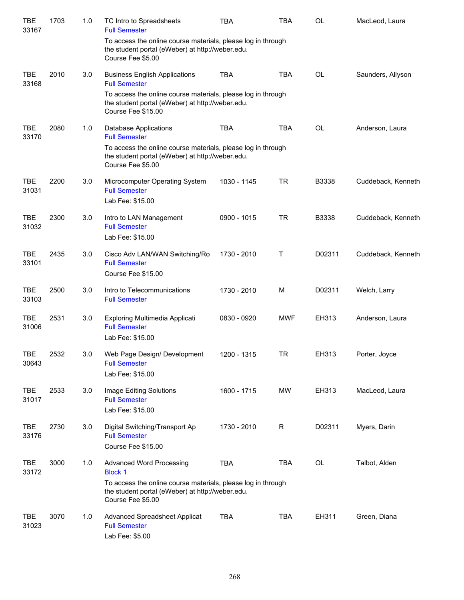| TBE<br>33167        | 1703 | 1.0 | TC Intro to Spreadsheets<br><b>Full Semester</b>                                                                                                                                           | TBA         | TBA        | <b>OL</b>    | MacLeod, Laura     |
|---------------------|------|-----|--------------------------------------------------------------------------------------------------------------------------------------------------------------------------------------------|-------------|------------|--------------|--------------------|
|                     |      |     | To access the online course materials, please log in through<br>the student portal (eWeber) at http://weber.edu.<br>Course Fee \$5.00                                                      |             |            |              |                    |
| <b>TBE</b><br>33168 | 2010 | 3.0 | <b>Business English Applications</b><br><b>Full Semester</b>                                                                                                                               | <b>TBA</b>  | <b>TBA</b> | <b>OL</b>    | Saunders, Allyson  |
|                     |      |     | To access the online course materials, please log in through<br>the student portal (eWeber) at http://weber.edu.<br>Course Fee \$15.00                                                     |             |            |              |                    |
| <b>TBE</b><br>33170 | 2080 | 1.0 | Database Applications<br><b>Full Semester</b>                                                                                                                                              | <b>TBA</b>  | <b>TBA</b> | <b>OL</b>    | Anderson, Laura    |
|                     |      |     | To access the online course materials, please log in through<br>the student portal (eWeber) at http://weber.edu.<br>Course Fee \$5.00                                                      |             |            |              |                    |
| <b>TBE</b><br>31031 | 2200 | 3.0 | Microcomputer Operating System<br><b>Full Semester</b><br>Lab Fee: \$15.00                                                                                                                 | 1030 - 1145 | <b>TR</b>  | B3338        | Cuddeback, Kenneth |
| <b>TBE</b><br>31032 | 2300 | 3.0 | Intro to LAN Management<br><b>Full Semester</b><br>Lab Fee: \$15.00                                                                                                                        | 0900 - 1015 | <b>TR</b>  | <b>B3338</b> | Cuddeback, Kenneth |
| <b>TBE</b><br>33101 | 2435 | 3.0 | Cisco Adv LAN/WAN Switching/Ro<br><b>Full Semester</b><br>Course Fee \$15.00                                                                                                               | 1730 - 2010 | Т          | D02311       | Cuddeback, Kenneth |
| <b>TBE</b><br>33103 | 2500 | 3.0 | Intro to Telecommunications<br><b>Full Semester</b>                                                                                                                                        | 1730 - 2010 | M          | D02311       | Welch, Larry       |
| <b>TBE</b><br>31006 | 2531 | 3.0 | Exploring Multimedia Applicati<br><b>Full Semester</b><br>Lab Fee: \$15.00                                                                                                                 | 0830 - 0920 | <b>MWF</b> | EH313        | Anderson, Laura    |
| TBE<br>30643        | 2532 | 3.0 | Web Page Design/ Development<br><b>Full Semester</b><br>Lab Fee: \$15.00                                                                                                                   | 1200 - 1315 | TR         | EH313        | Porter, Joyce      |
| <b>TBE</b><br>31017 | 2533 | 3.0 | Image Editing Solutions<br><b>Full Semester</b><br>Lab Fee: \$15.00                                                                                                                        | 1600 - 1715 | <b>MW</b>  | EH313        | MacLeod, Laura     |
| <b>TBE</b><br>33176 | 2730 | 3.0 | Digital Switching/Transport Ap<br><b>Full Semester</b><br>Course Fee \$15.00                                                                                                               | 1730 - 2010 | R          | D02311       | Myers, Darin       |
| <b>TBE</b><br>33172 | 3000 | 1.0 | <b>Advanced Word Processing</b><br><b>Block 1</b><br>To access the online course materials, please log in through<br>the student portal (eWeber) at http://weber.edu.<br>Course Fee \$5.00 | <b>TBA</b>  | <b>TBA</b> | OL           | Talbot, Alden      |
| <b>TBE</b><br>31023 | 3070 | 1.0 | <b>Advanced Spreadsheet Applicat</b><br><b>Full Semester</b><br>Lab Fee: \$5.00                                                                                                            | <b>TBA</b>  | <b>TBA</b> | EH311        | Green, Diana       |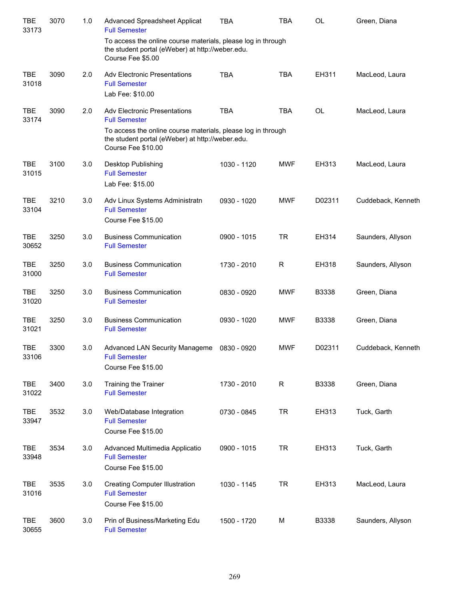| <b>TBE</b><br>33173 | 3070 | 1.0 | <b>Advanced Spreadsheet Applicat</b><br><b>Full Semester</b>                                                                                                                                          | <b>TBA</b>  | <b>TBA</b> | <b>OL</b> | Green, Diana       |
|---------------------|------|-----|-------------------------------------------------------------------------------------------------------------------------------------------------------------------------------------------------------|-------------|------------|-----------|--------------------|
|                     |      |     | To access the online course materials, please log in through<br>the student portal (eWeber) at http://weber.edu.<br>Course Fee \$5.00                                                                 |             |            |           |                    |
| <b>TBE</b><br>31018 | 3090 | 2.0 | <b>Adv Electronic Presentations</b><br><b>Full Semester</b><br>Lab Fee: \$10.00                                                                                                                       | <b>TBA</b>  | <b>TBA</b> | EH311     | MacLeod, Laura     |
| <b>TBE</b><br>33174 | 3090 | 2.0 | <b>Adv Electronic Presentations</b><br><b>Full Semester</b><br>To access the online course materials, please log in through<br>the student portal (eWeber) at http://weber.edu.<br>Course Fee \$10.00 | <b>TBA</b>  | <b>TBA</b> | <b>OL</b> | MacLeod, Laura     |
| <b>TBE</b><br>31015 | 3100 | 3.0 | Desktop Publishing<br><b>Full Semester</b><br>Lab Fee: \$15.00                                                                                                                                        | 1030 - 1120 | <b>MWF</b> | EH313     | MacLeod, Laura     |
| <b>TBE</b><br>33104 | 3210 | 3.0 | Adv Linux Systems Administratn<br><b>Full Semester</b><br>Course Fee \$15.00                                                                                                                          | 0930 - 1020 | <b>MWF</b> | D02311    | Cuddeback, Kenneth |
| <b>TBE</b><br>30652 | 3250 | 3.0 | <b>Business Communication</b><br><b>Full Semester</b>                                                                                                                                                 | 0900 - 1015 | <b>TR</b>  | EH314     | Saunders, Allyson  |
| <b>TBE</b><br>31000 | 3250 | 3.0 | <b>Business Communication</b><br><b>Full Semester</b>                                                                                                                                                 | 1730 - 2010 | R          | EH318     | Saunders, Allyson  |
| <b>TBE</b><br>31020 | 3250 | 3.0 | <b>Business Communication</b><br><b>Full Semester</b>                                                                                                                                                 | 0830 - 0920 | <b>MWF</b> | B3338     | Green, Diana       |
| <b>TBE</b><br>31021 | 3250 | 3.0 | <b>Business Communication</b><br><b>Full Semester</b>                                                                                                                                                 | 0930 - 1020 | <b>MWF</b> | B3338     | Green, Diana       |
| <b>TBE</b><br>33106 | 3300 | 3.0 | Advanced LAN Security Manageme 0830 - 0920<br><b>Full Semester</b><br>Course Fee \$15.00                                                                                                              |             | <b>MWF</b> | D02311    | Cuddeback, Kenneth |
| <b>TBE</b><br>31022 | 3400 | 3.0 | Training the Trainer<br><b>Full Semester</b>                                                                                                                                                          | 1730 - 2010 | R          | B3338     | Green, Diana       |
| <b>TBE</b><br>33947 | 3532 | 3.0 | Web/Database Integration<br><b>Full Semester</b><br>Course Fee \$15.00                                                                                                                                | 0730 - 0845 | <b>TR</b>  | EH313     | Tuck, Garth        |
| <b>TBE</b><br>33948 | 3534 | 3.0 | Advanced Multimedia Applicatio<br><b>Full Semester</b><br>Course Fee \$15.00                                                                                                                          | 0900 - 1015 | <b>TR</b>  | EH313     | Tuck, Garth        |
| <b>TBE</b><br>31016 | 3535 | 3.0 | <b>Creating Computer Illustration</b><br><b>Full Semester</b><br>Course Fee \$15.00                                                                                                                   | 1030 - 1145 | <b>TR</b>  | EH313     | MacLeod, Laura     |
| <b>TBE</b><br>30655 | 3600 | 3.0 | Prin of Business/Marketing Edu<br><b>Full Semester</b>                                                                                                                                                | 1500 - 1720 | M          | B3338     | Saunders, Allyson  |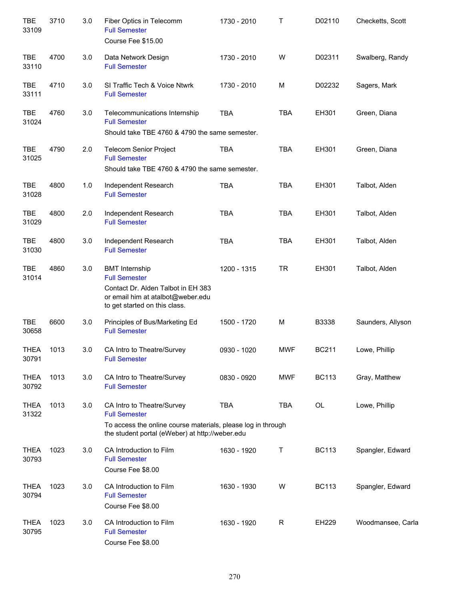| <b>TBE</b><br>33109  | 3710 | 3.0 | Fiber Optics in Telecomm<br><b>Full Semester</b><br>Course Fee \$15.00                                                                                                | 1730 - 2010 | Т          | D02110       | Checketts, Scott  |
|----------------------|------|-----|-----------------------------------------------------------------------------------------------------------------------------------------------------------------------|-------------|------------|--------------|-------------------|
| <b>TBE</b><br>33110  | 4700 | 3.0 | Data Network Design<br><b>Full Semester</b>                                                                                                                           | 1730 - 2010 | W          | D02311       | Swalberg, Randy   |
| <b>TBE</b><br>33111  | 4710 | 3.0 | SI Traffic Tech & Voice Ntwrk<br><b>Full Semester</b>                                                                                                                 | 1730 - 2010 | M          | D02232       | Sagers, Mark      |
| <b>TBE</b><br>31024  | 4760 | 3.0 | Telecommunications Internship<br><b>Full Semester</b><br>Should take TBE 4760 & 4790 the same semester.                                                               | <b>TBA</b>  | <b>TBA</b> | EH301        | Green, Diana      |
| <b>TBE</b><br>31025  | 4790 | 2.0 | <b>Telecom Senior Project</b><br><b>Full Semester</b><br>Should take TBE 4760 & 4790 the same semester.                                                               | <b>TBA</b>  | <b>TBA</b> | EH301        | Green, Diana      |
| <b>TBE</b><br>31028  | 4800 | 1.0 | Independent Research<br><b>Full Semester</b>                                                                                                                          | <b>TBA</b>  | <b>TBA</b> | EH301        | Talbot, Alden     |
| <b>TBE</b><br>31029  | 4800 | 2.0 | Independent Research<br><b>Full Semester</b>                                                                                                                          | <b>TBA</b>  | <b>TBA</b> | EH301        | Talbot, Alden     |
| <b>TBE</b><br>31030  | 4800 | 3.0 | Independent Research<br><b>Full Semester</b>                                                                                                                          | <b>TBA</b>  | <b>TBA</b> | EH301        | Talbot, Alden     |
| <b>TBE</b><br>31014  | 4860 | 3.0 | <b>BMT</b> Internship<br><b>Full Semester</b><br>Contact Dr. Alden Talbot in EH 383<br>or email him at atalbot@weber.edu<br>to get started on this class.             | 1200 - 1315 | <b>TR</b>  | EH301        | Talbot, Alden     |
| <b>TBE</b><br>30658  | 6600 | 3.0 | Principles of Bus/Marketing Ed<br><b>Full Semester</b>                                                                                                                | 1500 - 1720 | M          | B3338        | Saunders, Allyson |
| THEA<br>30791        | 1013 | 3.0 | CA Intro to Theatre/Survey<br><b>Full Semester</b>                                                                                                                    | 0930 - 1020 | <b>MWF</b> | <b>BC211</b> | Lowe, Phillip     |
| <b>THEA</b><br>30792 | 1013 | 3.0 | CA Intro to Theatre/Survey<br><b>Full Semester</b>                                                                                                                    | 0830 - 0920 | <b>MWF</b> | <b>BC113</b> | Gray, Matthew     |
| <b>THEA</b><br>31322 | 1013 | 3.0 | CA Intro to Theatre/Survey<br><b>Full Semester</b><br>To access the online course materials, please log in through<br>the student portal (eWeber) at http://weber.edu | <b>TBA</b>  | <b>TBA</b> | OL           | Lowe, Phillip     |
| <b>THEA</b><br>30793 | 1023 | 3.0 | CA Introduction to Film<br><b>Full Semester</b><br>Course Fee \$8.00                                                                                                  | 1630 - 1920 | Τ          | <b>BC113</b> | Spangler, Edward  |
| <b>THEA</b><br>30794 | 1023 | 3.0 | CA Introduction to Film<br><b>Full Semester</b><br>Course Fee \$8.00                                                                                                  | 1630 - 1930 | W          | <b>BC113</b> | Spangler, Edward  |
| <b>THEA</b><br>30795 | 1023 | 3.0 | CA Introduction to Film<br><b>Full Semester</b><br>Course Fee \$8.00                                                                                                  | 1630 - 1920 | R          | EH229        | Woodmansee, Carla |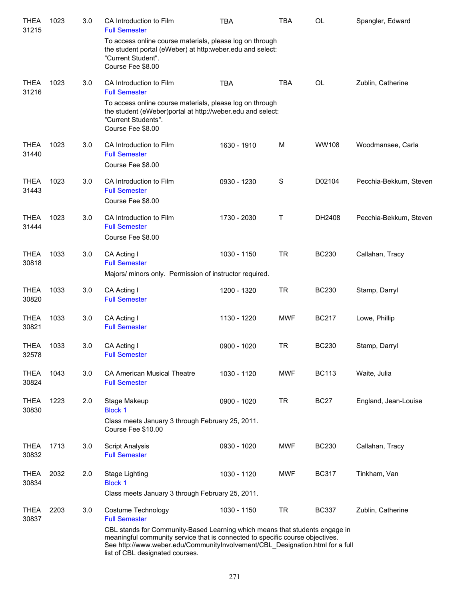| <b>THEA</b><br>31215 | 1023 | 3.0 | CA Introduction to Film<br><b>Full Semester</b>                                                                                                                                                                                                                                  | TBA         | TBA         | OL           | Spangler, Edward       |
|----------------------|------|-----|----------------------------------------------------------------------------------------------------------------------------------------------------------------------------------------------------------------------------------------------------------------------------------|-------------|-------------|--------------|------------------------|
|                      |      |     | To access online course materials, please log on through<br>the student portal (eWeber) at http:weber.edu and select:<br>"Current Student".<br>Course Fee \$8.00                                                                                                                 |             |             |              |                        |
| <b>THEA</b><br>31216 | 1023 | 3.0 | CA Introduction to Film<br><b>Full Semester</b>                                                                                                                                                                                                                                  | <b>TBA</b>  | <b>TBA</b>  | <b>OL</b>    | Zublin, Catherine      |
|                      |      |     | To access online course materials, please log on through<br>the student (eWeber)portal at http://weber.edu and select:<br>"Current Students".<br>Course Fee \$8.00                                                                                                               |             |             |              |                        |
| <b>THEA</b><br>31440 | 1023 | 3.0 | CA Introduction to Film<br><b>Full Semester</b>                                                                                                                                                                                                                                  | 1630 - 1910 | M           | <b>WW108</b> | Woodmansee, Carla      |
|                      |      |     | Course Fee \$8.00                                                                                                                                                                                                                                                                |             |             |              |                        |
| <b>THEA</b><br>31443 | 1023 | 3.0 | CA Introduction to Film<br><b>Full Semester</b><br>Course Fee \$8.00                                                                                                                                                                                                             | 0930 - 1230 | $\mathbf S$ | D02104       | Pecchia-Bekkum, Steven |
| <b>THEA</b><br>31444 | 1023 | 3.0 | CA Introduction to Film<br><b>Full Semester</b><br>Course Fee \$8.00                                                                                                                                                                                                             | 1730 - 2030 | Τ           | DH2408       | Pecchia-Bekkum, Steven |
| <b>THEA</b><br>30818 | 1033 | 3.0 | CA Acting I<br><b>Full Semester</b><br>Majors/ minors only. Permission of instructor required.                                                                                                                                                                                   | 1030 - 1150 | <b>TR</b>   | <b>BC230</b> | Callahan, Tracy        |
|                      |      |     |                                                                                                                                                                                                                                                                                  |             |             |              |                        |
| <b>THEA</b><br>30820 | 1033 | 3.0 | CA Acting I<br><b>Full Semester</b>                                                                                                                                                                                                                                              | 1200 - 1320 | <b>TR</b>   | <b>BC230</b> | Stamp, Darryl          |
| <b>THEA</b><br>30821 | 1033 | 3.0 | CA Acting I<br><b>Full Semester</b>                                                                                                                                                                                                                                              | 1130 - 1220 | <b>MWF</b>  | <b>BC217</b> | Lowe, Phillip          |
| <b>THEA</b><br>32578 | 1033 | 3.0 | CA Acting I<br><b>Full Semester</b>                                                                                                                                                                                                                                              | 0900 - 1020 | <b>TR</b>   | <b>BC230</b> | Stamp, Darryl          |
| <b>THEA</b><br>30824 | 1043 | 3.0 | <b>CA American Musical Theatre</b><br><b>Full Semester</b>                                                                                                                                                                                                                       | 1030 - 1120 | MWF         | <b>BC113</b> | Waite, Julia           |
| <b>THEA</b><br>30830 | 1223 | 2.0 | Stage Makeup<br><b>Block 1</b>                                                                                                                                                                                                                                                   | 0900 - 1020 | <b>TR</b>   | <b>BC27</b>  | England, Jean-Louise   |
|                      |      |     | Class meets January 3 through February 25, 2011.<br>Course Fee \$10.00                                                                                                                                                                                                           |             |             |              |                        |
| <b>THEA</b><br>30832 | 1713 | 3.0 | <b>Script Analysis</b><br><b>Full Semester</b>                                                                                                                                                                                                                                   | 0930 - 1020 | MWF         | <b>BC230</b> | Callahan, Tracy        |
| <b>THEA</b><br>30834 | 2032 | 2.0 | Stage Lighting<br><b>Block 1</b>                                                                                                                                                                                                                                                 | 1030 - 1120 | <b>MWF</b>  | <b>BC317</b> | Tinkham, Van           |
|                      |      |     | Class meets January 3 through February 25, 2011.                                                                                                                                                                                                                                 |             |             |              |                        |
| <b>THEA</b><br>30837 | 2203 | 3.0 | Costume Technology<br><b>Full Semester</b>                                                                                                                                                                                                                                       | 1030 - 1150 | <b>TR</b>   | <b>BC337</b> | Zublin, Catherine      |
|                      |      |     | CBL stands for Community-Based Learning which means that students engage in<br>meaningful community service that is connected to specific course objectives.<br>See http://www.weber.edu/CommunityInvolvement/CBL_Designation.html for a full<br>list of CBL designated courses. |             |             |              |                        |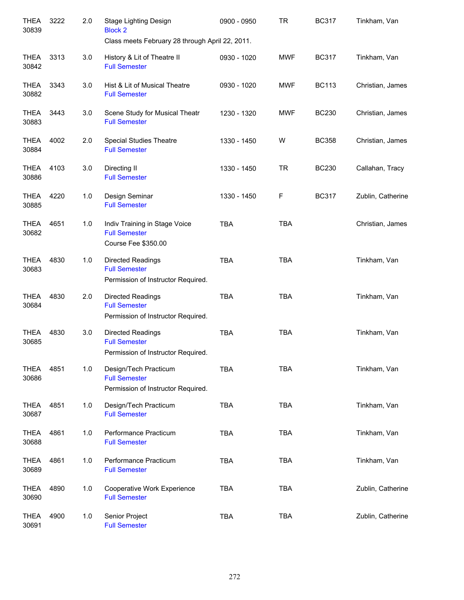| <b>THEA</b><br>30839 | 3222 | 2.0 | Stage Lighting Design<br><b>Block 2</b><br>Class meets February 28 through April 22, 2011. | 0900 - 0950 | <b>TR</b>  | <b>BC317</b> | Tinkham, Van      |
|----------------------|------|-----|--------------------------------------------------------------------------------------------|-------------|------------|--------------|-------------------|
| THEA<br>30842        | 3313 | 3.0 | History & Lit of Theatre II<br><b>Full Semester</b>                                        | 0930 - 1020 | <b>MWF</b> | <b>BC317</b> | Tinkham, Van      |
| <b>THEA</b><br>30882 | 3343 | 3.0 | Hist & Lit of Musical Theatre<br><b>Full Semester</b>                                      | 0930 - 1020 | <b>MWF</b> | <b>BC113</b> | Christian, James  |
| <b>THEA</b><br>30883 | 3443 | 3.0 | Scene Study for Musical Theatr<br><b>Full Semester</b>                                     | 1230 - 1320 | <b>MWF</b> | <b>BC230</b> | Christian, James  |
| <b>THEA</b><br>30884 | 4002 | 2.0 | <b>Special Studies Theatre</b><br><b>Full Semester</b>                                     | 1330 - 1450 | W          | <b>BC358</b> | Christian, James  |
| <b>THEA</b><br>30886 | 4103 | 3.0 | Directing II<br><b>Full Semester</b>                                                       | 1330 - 1450 | <b>TR</b>  | <b>BC230</b> | Callahan, Tracy   |
| <b>THEA</b><br>30885 | 4220 | 1.0 | Design Seminar<br><b>Full Semester</b>                                                     | 1330 - 1450 | F          | <b>BC317</b> | Zublin, Catherine |
| <b>THEA</b><br>30682 | 4651 | 1.0 | Indiv Training in Stage Voice<br><b>Full Semester</b><br>Course Fee \$350.00               | <b>TBA</b>  | <b>TBA</b> |              | Christian, James  |
| <b>THEA</b><br>30683 | 4830 | 1.0 | <b>Directed Readings</b><br><b>Full Semester</b><br>Permission of Instructor Required.     | <b>TBA</b>  | <b>TBA</b> |              | Tinkham, Van      |
| <b>THEA</b><br>30684 | 4830 | 2.0 | Directed Readings<br><b>Full Semester</b><br>Permission of Instructor Required.            | <b>TBA</b>  | <b>TBA</b> |              | Tinkham, Van      |
| <b>THEA</b><br>30685 | 4830 | 3.0 | <b>Directed Readings</b><br><b>Full Semester</b><br>Permission of Instructor Required.     | <b>TBA</b>  | <b>TBA</b> |              | Tinkham, Van      |
| <b>THEA</b><br>30686 | 4851 | 1.0 | Design/Tech Practicum<br><b>Full Semester</b><br>Permission of Instructor Required.        | <b>TBA</b>  | <b>TBA</b> |              | Tinkham, Van      |
| <b>THEA</b><br>30687 | 4851 | 1.0 | Design/Tech Practicum<br><b>Full Semester</b>                                              | <b>TBA</b>  | <b>TBA</b> |              | Tinkham, Van      |
| <b>THEA</b><br>30688 | 4861 | 1.0 | Performance Practicum<br><b>Full Semester</b>                                              | <b>TBA</b>  | <b>TBA</b> |              | Tinkham, Van      |
| <b>THEA</b><br>30689 | 4861 | 1.0 | Performance Practicum<br><b>Full Semester</b>                                              | <b>TBA</b>  | <b>TBA</b> |              | Tinkham, Van      |
| <b>THEA</b><br>30690 | 4890 | 1.0 | Cooperative Work Experience<br><b>Full Semester</b>                                        | <b>TBA</b>  | <b>TBA</b> |              | Zublin, Catherine |
| <b>THEA</b><br>30691 | 4900 | 1.0 | Senior Project<br><b>Full Semester</b>                                                     | <b>TBA</b>  | <b>TBA</b> |              | Zublin, Catherine |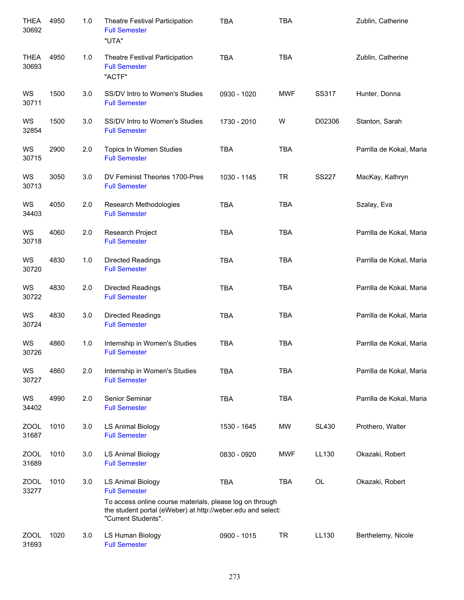| <b>THEA</b><br>30692 | 4950 | 1.0 | Theatre Festival Participation<br><b>Full Semester</b><br>"UTA"                                                                                                                                    | <b>TBA</b>  | <b>TBA</b> |              | Zublin, Catherine        |
|----------------------|------|-----|----------------------------------------------------------------------------------------------------------------------------------------------------------------------------------------------------|-------------|------------|--------------|--------------------------|
| <b>THEA</b><br>30693 | 4950 | 1.0 | Theatre Festival Participation<br><b>Full Semester</b><br>"ACTF"                                                                                                                                   | <b>TBA</b>  | <b>TBA</b> |              | Zublin, Catherine        |
| WS<br>30711          | 1500 | 3.0 | SS/DV Intro to Women's Studies<br><b>Full Semester</b>                                                                                                                                             | 0930 - 1020 | <b>MWF</b> | SS317        | Hunter, Donna            |
| WS<br>32854          | 1500 | 3.0 | SS/DV Intro to Women's Studies<br><b>Full Semester</b>                                                                                                                                             | 1730 - 2010 | W          | D02306       | Stanton, Sarah           |
| WS<br>30715          | 2900 | 2.0 | Topics In Women Studies<br><b>Full Semester</b>                                                                                                                                                    | <b>TBA</b>  | <b>TBA</b> |              | Parrilla de Kokal, Maria |
| WS<br>30713          | 3050 | 3.0 | DV Feminist Theories 1700-Pres<br><b>Full Semester</b>                                                                                                                                             | 1030 - 1145 | <b>TR</b>  | <b>SS227</b> | MacKay, Kathryn          |
| WS<br>34403          | 4050 | 2.0 | Research Methodologies<br><b>Full Semester</b>                                                                                                                                                     | <b>TBA</b>  | <b>TBA</b> |              | Szalay, Eva              |
| WS<br>30718          | 4060 | 2.0 | Research Project<br><b>Full Semester</b>                                                                                                                                                           | <b>TBA</b>  | <b>TBA</b> |              | Parrilla de Kokal, Maria |
| WS<br>30720          | 4830 | 1.0 | Directed Readings<br><b>Full Semester</b>                                                                                                                                                          | <b>TBA</b>  | <b>TBA</b> |              | Parrilla de Kokal, Maria |
| WS<br>30722          | 4830 | 2.0 | Directed Readings<br><b>Full Semester</b>                                                                                                                                                          | <b>TBA</b>  | <b>TBA</b> |              | Parrilla de Kokal, Maria |
| WS<br>30724          | 4830 | 3.0 | <b>Directed Readings</b><br><b>Full Semester</b>                                                                                                                                                   | <b>TBA</b>  | <b>TBA</b> |              | Parrilla de Kokal, Maria |
| WS<br>30726          | 4860 | 1.0 | Internship in Women's Studies<br><b>Full Semester</b>                                                                                                                                              | <b>TBA</b>  | <b>TBA</b> |              | Parrilla de Kokal, Maria |
| WS<br>30727          | 4860 | 2.0 | Internship in Women's Studies<br><b>Full Semester</b>                                                                                                                                              | <b>TBA</b>  | <b>TBA</b> |              | Parrilla de Kokal, Maria |
| WS<br>34402          | 4990 | 2.0 | Senior Seminar<br><b>Full Semester</b>                                                                                                                                                             | <b>TBA</b>  | <b>TBA</b> |              | Parrilla de Kokal, Maria |
| <b>ZOOL</b><br>31687 | 1010 | 3.0 | <b>LS Animal Biology</b><br><b>Full Semester</b>                                                                                                                                                   | 1530 - 1645 | <b>MW</b>  | <b>SL430</b> | Prothero, Walter         |
| <b>ZOOL</b><br>31689 | 1010 | 3.0 | <b>LS Animal Biology</b><br><b>Full Semester</b>                                                                                                                                                   | 0830 - 0920 | <b>MWF</b> | LL130        | Okazaki, Robert          |
| <b>ZOOL</b><br>33277 | 1010 | 3.0 | <b>LS Animal Biology</b><br><b>Full Semester</b><br>To access online course materials, please log on through<br>the student portal (eWeber) at http://weber.edu and select:<br>"Current Students". | <b>TBA</b>  | <b>TBA</b> | OL           | Okazaki, Robert          |
| ZOOL<br>31693        | 1020 | 3.0 | LS Human Biology<br><b>Full Semester</b>                                                                                                                                                           | 0900 - 1015 | <b>TR</b>  | LL130        | Berthelemy, Nicole       |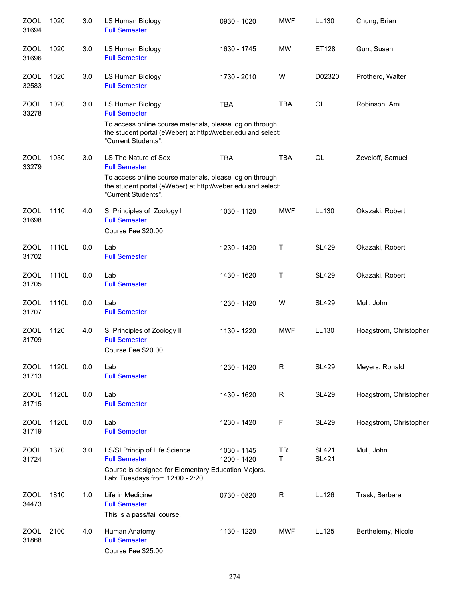| <b>ZOOL</b><br>31694 | 1020  | 3.0 | LS Human Biology<br><b>Full Semester</b>                                                                                                                                                       | 0930 - 1020                | <b>MWF</b>     | LL130                        | Chung, Brian           |
|----------------------|-------|-----|------------------------------------------------------------------------------------------------------------------------------------------------------------------------------------------------|----------------------------|----------------|------------------------------|------------------------|
| <b>ZOOL</b><br>31696 | 1020  | 3.0 | LS Human Biology<br><b>Full Semester</b>                                                                                                                                                       | 1630 - 1745                | <b>MW</b>      | ET128                        | Gurr, Susan            |
| <b>ZOOL</b><br>32583 | 1020  | 3.0 | LS Human Biology<br><b>Full Semester</b>                                                                                                                                                       | 1730 - 2010                | W              | D02320                       | Prothero, Walter       |
| <b>ZOOL</b><br>33278 | 1020  | 3.0 | LS Human Biology<br><b>Full Semester</b><br>To access online course materials, please log on through<br>the student portal (eWeber) at http://weber.edu and select:<br>"Current Students".     | <b>TBA</b>                 | <b>TBA</b>     | OL                           | Robinson, Ami          |
| <b>ZOOL</b><br>33279 | 1030  | 3.0 | LS The Nature of Sex<br><b>Full Semester</b><br>To access online course materials, please log on through<br>the student portal (eWeber) at http://weber.edu and select:<br>"Current Students". | <b>TBA</b>                 | <b>TBA</b>     | <b>OL</b>                    | Zeveloff, Samuel       |
| <b>ZOOL</b><br>31698 | 1110  | 4.0 | SI Principles of Zoology I<br><b>Full Semester</b><br>Course Fee \$20.00                                                                                                                       | 1030 - 1120                | <b>MWF</b>     | LL130                        | Okazaki, Robert        |
| ZOOL<br>31702        | 1110L | 0.0 | Lab<br><b>Full Semester</b>                                                                                                                                                                    | 1230 - 1420                | Т              | <b>SL429</b>                 | Okazaki, Robert        |
| <b>ZOOL</b><br>31705 | 1110L | 0.0 | Lab<br><b>Full Semester</b>                                                                                                                                                                    | 1430 - 1620                | $\mathsf T$    | <b>SL429</b>                 | Okazaki, Robert        |
| <b>ZOOL</b><br>31707 | 1110L | 0.0 | Lab<br><b>Full Semester</b>                                                                                                                                                                    | 1230 - 1420                | W              | <b>SL429</b>                 | Mull, John             |
| <b>ZOOL</b><br>31709 | 1120  | 4.0 | SI Principles of Zoology II<br><b>Full Semester</b><br>Course Fee \$20.00                                                                                                                      | 1130 - 1220                | <b>MWF</b>     | LL130                        | Hoagstrom, Christopher |
| <b>ZOOL</b><br>31713 | 1120L | 0.0 | Lab<br><b>Full Semester</b>                                                                                                                                                                    | 1230 - 1420                | $\mathsf{R}$   | <b>SL429</b>                 | Meyers, Ronald         |
| <b>ZOOL</b><br>31715 | 1120L | 0.0 | Lab<br><b>Full Semester</b>                                                                                                                                                                    | 1430 - 1620                | R              | <b>SL429</b>                 | Hoagstrom, Christopher |
| <b>ZOOL</b><br>31719 | 1120L | 0.0 | Lab<br><b>Full Semester</b>                                                                                                                                                                    | 1230 - 1420                | F              | <b>SL429</b>                 | Hoagstrom, Christopher |
| <b>ZOOL</b><br>31724 | 1370  | 3.0 | LS/SI Princip of Life Science<br><b>Full Semester</b><br>Course is designed for Elementary Education Majors.<br>Lab: Tuesdays from 12:00 - 2:20.                                               | 1030 - 1145<br>1200 - 1420 | <b>TR</b><br>T | <b>SL421</b><br><b>SL421</b> | Mull, John             |
| <b>ZOOL</b><br>34473 | 1810  | 1.0 | Life in Medicine<br><b>Full Semester</b><br>This is a pass/fail course.                                                                                                                        | 0730 - 0820                | $\mathsf R$    | LL126                        | Trask, Barbara         |
| <b>ZOOL</b><br>31868 | 2100  | 4.0 | Human Anatomy<br><b>Full Semester</b><br>Course Fee \$25.00                                                                                                                                    | 1130 - 1220                | <b>MWF</b>     | LL125                        | Berthelemy, Nicole     |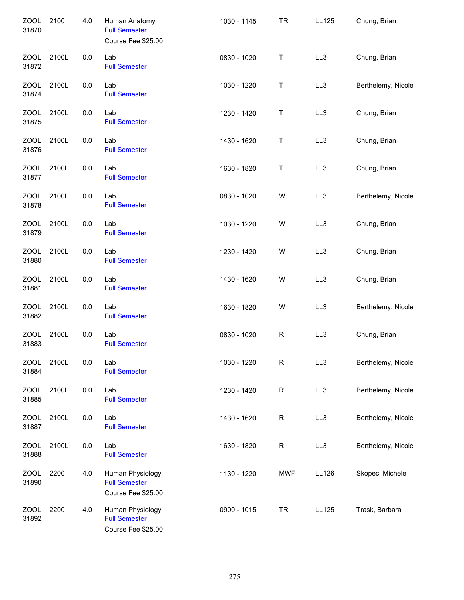| <b>ZOOL</b><br>31870 | 2100  | 4.0 | Human Anatomy<br><b>Full Semester</b><br>Course Fee \$25.00    | 1030 - 1145 | <b>TR</b>   | LL125 | Chung, Brian       |
|----------------------|-------|-----|----------------------------------------------------------------|-------------|-------------|-------|--------------------|
| ZOOL<br>31872        | 2100L | 0.0 | Lab<br><b>Full Semester</b>                                    | 0830 - 1020 | T           | LL3   | Chung, Brian       |
| <b>ZOOL</b><br>31874 | 2100L | 0.0 | Lab<br><b>Full Semester</b>                                    | 1030 - 1220 | T           | LL3   | Berthelemy, Nicole |
| <b>ZOOL</b><br>31875 | 2100L | 0.0 | Lab<br><b>Full Semester</b>                                    | 1230 - 1420 | T           | LL3   | Chung, Brian       |
| ZOOL<br>31876        | 2100L | 0.0 | Lab<br><b>Full Semester</b>                                    | 1430 - 1620 | T           | LL3   | Chung, Brian       |
| ZOOL<br>31877        | 2100L | 0.0 | Lab<br><b>Full Semester</b>                                    | 1630 - 1820 | Τ           | LL3   | Chung, Brian       |
| <b>ZOOL</b><br>31878 | 2100L | 0.0 | Lab<br><b>Full Semester</b>                                    | 0830 - 1020 | W           | LL3   | Berthelemy, Nicole |
| <b>ZOOL</b><br>31879 | 2100L | 0.0 | Lab<br><b>Full Semester</b>                                    | 1030 - 1220 | W           | LL3   | Chung, Brian       |
| <b>ZOOL</b><br>31880 | 2100L | 0.0 | Lab<br><b>Full Semester</b>                                    | 1230 - 1420 | W           | LL3   | Chung, Brian       |
| ZOOL<br>31881        | 2100L | 0.0 | Lab<br><b>Full Semester</b>                                    | 1430 - 1620 | W           | LL3   | Chung, Brian       |
| ZOOL<br>31882        | 2100L | 0.0 | Lab<br><b>Full Semester</b>                                    | 1630 - 1820 | W           | LL3   | Berthelemy, Nicole |
| <b>ZOOL</b><br>31883 | 2100L | 0.0 | Lab<br><b>Full Semester</b>                                    | 0830 - 1020 | $\mathsf R$ | LL3   | Chung, Brian       |
| <b>ZOOL</b><br>31884 | 2100L | 0.0 | Lab<br><b>Full Semester</b>                                    | 1030 - 1220 | $\mathsf R$ | LL3   | Berthelemy, Nicole |
| <b>ZOOL</b><br>31885 | 2100L | 0.0 | Lab<br><b>Full Semester</b>                                    | 1230 - 1420 | $\mathsf R$ | LL3   | Berthelemy, Nicole |
| ZOOL<br>31887        | 2100L | 0.0 | Lab<br><b>Full Semester</b>                                    | 1430 - 1620 | R           | LL3   | Berthelemy, Nicole |
| ZOOL<br>31888        | 2100L | 0.0 | Lab<br><b>Full Semester</b>                                    | 1630 - 1820 | R           | LL3   | Berthelemy, Nicole |
| <b>ZOOL</b><br>31890 | 2200  | 4.0 | Human Physiology<br><b>Full Semester</b><br>Course Fee \$25.00 | 1130 - 1220 | <b>MWF</b>  | LL126 | Skopec, Michele    |
| ZOOL<br>31892        | 2200  | 4.0 | Human Physiology<br><b>Full Semester</b><br>Course Fee \$25.00 | 0900 - 1015 | <b>TR</b>   | LL125 | Trask, Barbara     |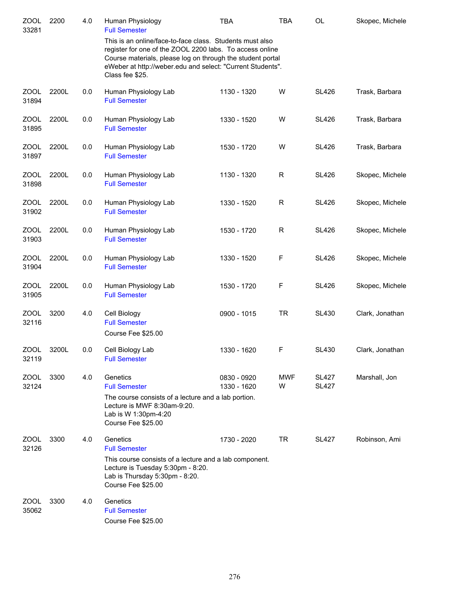| <b>ZOOL</b><br>33281 | 2200  | 4.0 | Human Physiology<br><b>Full Semester</b>                                                                                                                                                                                                                            | <b>TBA</b>                 | <b>TBA</b>      | <b>OL</b>                    | Skopec, Michele |
|----------------------|-------|-----|---------------------------------------------------------------------------------------------------------------------------------------------------------------------------------------------------------------------------------------------------------------------|----------------------------|-----------------|------------------------------|-----------------|
|                      |       |     | This is an online/face-to-face class. Students must also<br>register for one of the ZOOL 2200 labs. To access online<br>Course materials, please log on through the student portal<br>eWeber at http://weber.edu and select: "Current Students".<br>Class fee \$25. |                            |                 |                              |                 |
| <b>ZOOL</b><br>31894 | 2200L | 0.0 | Human Physiology Lab<br><b>Full Semester</b>                                                                                                                                                                                                                        | 1130 - 1320                | W               | <b>SL426</b>                 | Trask, Barbara  |
| <b>ZOOL</b><br>31895 | 2200L | 0.0 | Human Physiology Lab<br><b>Full Semester</b>                                                                                                                                                                                                                        | 1330 - 1520                | W               | <b>SL426</b>                 | Trask, Barbara  |
| <b>ZOOL</b><br>31897 | 2200L | 0.0 | Human Physiology Lab<br><b>Full Semester</b>                                                                                                                                                                                                                        | 1530 - 1720                | W               | <b>SL426</b>                 | Trask, Barbara  |
| ZOOL<br>31898        | 2200L | 0.0 | Human Physiology Lab<br><b>Full Semester</b>                                                                                                                                                                                                                        | 1130 - 1320                | R               | <b>SL426</b>                 | Skopec, Michele |
| <b>ZOOL</b><br>31902 | 2200L | 0.0 | Human Physiology Lab<br><b>Full Semester</b>                                                                                                                                                                                                                        | 1330 - 1520                | $\mathsf R$     | <b>SL426</b>                 | Skopec, Michele |
| <b>ZOOL</b><br>31903 | 2200L | 0.0 | Human Physiology Lab<br><b>Full Semester</b>                                                                                                                                                                                                                        | 1530 - 1720                | R               | <b>SL426</b>                 | Skopec, Michele |
| <b>ZOOL</b><br>31904 | 2200L | 0.0 | Human Physiology Lab<br><b>Full Semester</b>                                                                                                                                                                                                                        | 1330 - 1520                | $\mathsf F$     | <b>SL426</b>                 | Skopec, Michele |
| ZOOL<br>31905        | 2200L | 0.0 | Human Physiology Lab<br><b>Full Semester</b>                                                                                                                                                                                                                        | 1530 - 1720                | $\mathsf F$     | <b>SL426</b>                 | Skopec, Michele |
| <b>ZOOL</b><br>32116 | 3200  | 4.0 | Cell Biology<br><b>Full Semester</b><br>Course Fee \$25.00                                                                                                                                                                                                          | 0900 - 1015                | <b>TR</b>       | <b>SL430</b>                 | Clark, Jonathan |
| <b>ZOOL</b><br>32119 | 3200L | 0.0 | Cell Biology Lab<br><b>Full Semester</b>                                                                                                                                                                                                                            | 1330 - 1620                | F               | <b>SL430</b>                 | Clark, Jonathan |
| <b>ZOOL</b><br>32124 | 3300  | 4.0 | Genetics<br><b>Full Semester</b><br>The course consists of a lecture and a lab portion.<br>Lecture is MWF 8:30am-9:20.<br>Lab is W 1:30pm-4:20<br>Course Fee \$25.00                                                                                                | 0830 - 0920<br>1330 - 1620 | <b>MWF</b><br>W | <b>SL427</b><br><b>SL427</b> | Marshall, Jon   |
| <b>ZOOL</b><br>32126 | 3300  | 4.0 | Genetics<br><b>Full Semester</b><br>This course consists of a lecture and a lab component.<br>Lecture is Tuesday 5:30pm - 8:20.<br>Lab is Thursday 5:30pm - 8:20.<br>Course Fee \$25.00                                                                             | 1730 - 2020                | TR              | <b>SL427</b>                 | Robinson, Ami   |
| ZOOL<br>35062        | 3300  | 4.0 | Genetics<br><b>Full Semester</b><br>Course Fee \$25.00                                                                                                                                                                                                              |                            |                 |                              |                 |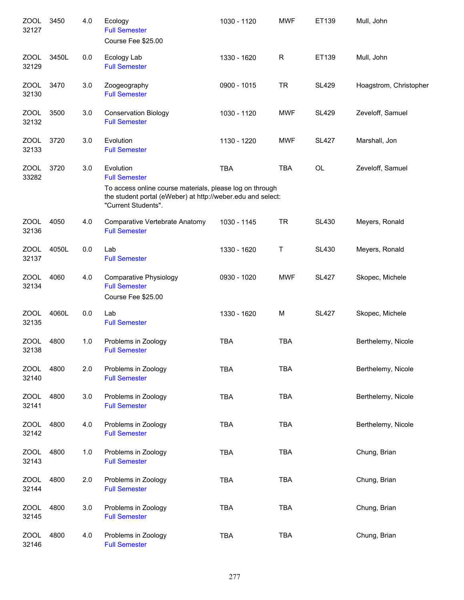| <b>ZOOL</b><br>32127 | 3450  | 4.0 | Ecology<br><b>Full Semester</b><br>Course Fee \$25.00                                                                                          | 1030 - 1120 | <b>MWF</b> | ET139        | Mull, John             |
|----------------------|-------|-----|------------------------------------------------------------------------------------------------------------------------------------------------|-------------|------------|--------------|------------------------|
| <b>ZOOL</b><br>32129 | 3450L | 0.0 | Ecology Lab<br><b>Full Semester</b>                                                                                                            | 1330 - 1620 | R          | ET139        | Mull, John             |
| <b>ZOOL</b><br>32130 | 3470  | 3.0 | Zoogeography<br><b>Full Semester</b>                                                                                                           | 0900 - 1015 | <b>TR</b>  | <b>SL429</b> | Hoagstrom, Christopher |
| <b>ZOOL</b><br>32132 | 3500  | 3.0 | <b>Conservation Biology</b><br><b>Full Semester</b>                                                                                            | 1030 - 1120 | <b>MWF</b> | <b>SL429</b> | Zeveloff, Samuel       |
| ZOOL<br>32133        | 3720  | 3.0 | Evolution<br><b>Full Semester</b>                                                                                                              | 1130 - 1220 | <b>MWF</b> | <b>SL427</b> | Marshall, Jon          |
| <b>ZOOL</b><br>33282 | 3720  | 3.0 | Evolution<br><b>Full Semester</b>                                                                                                              | <b>TBA</b>  | <b>TBA</b> | OL           | Zeveloff, Samuel       |
|                      |       |     | To access online course materials, please log on through<br>the student portal (eWeber) at http://weber.edu and select:<br>"Current Students". |             |            |              |                        |
| ZOOL<br>32136        | 4050  | 4.0 | Comparative Vertebrate Anatomy<br><b>Full Semester</b>                                                                                         | 1030 - 1145 | <b>TR</b>  | <b>SL430</b> | Meyers, Ronald         |
| <b>ZOOL</b><br>32137 | 4050L | 0.0 | Lab<br><b>Full Semester</b>                                                                                                                    | 1330 - 1620 | Τ          | <b>SL430</b> | Meyers, Ronald         |
| <b>ZOOL</b><br>32134 | 4060  | 4.0 | <b>Comparative Physiology</b><br><b>Full Semester</b><br>Course Fee \$25.00                                                                    | 0930 - 1020 | <b>MWF</b> | <b>SL427</b> | Skopec, Michele        |
| <b>ZOOL</b><br>32135 | 4060L | 0.0 | Lab<br><b>Full Semester</b>                                                                                                                    | 1330 - 1620 | M          | <b>SL427</b> | Skopec, Michele        |
| <b>ZOOL</b><br>32138 | 4800  | 1.0 | Problems in Zoology<br><b>Full Semester</b>                                                                                                    | <b>TBA</b>  | <b>TBA</b> |              | Berthelemy, Nicole     |
| ZOOL<br>32140        | 4800  | 2.0 | Problems in Zoology<br><b>Full Semester</b>                                                                                                    | <b>TBA</b>  | <b>TBA</b> |              | Berthelemy, Nicole     |
| <b>ZOOL</b><br>32141 | 4800  | 3.0 | Problems in Zoology<br><b>Full Semester</b>                                                                                                    | <b>TBA</b>  | <b>TBA</b> |              | Berthelemy, Nicole     |
| <b>ZOOL</b><br>32142 | 4800  | 4.0 | Problems in Zoology<br><b>Full Semester</b>                                                                                                    | <b>TBA</b>  | <b>TBA</b> |              | Berthelemy, Nicole     |
| <b>ZOOL</b><br>32143 | 4800  | 1.0 | Problems in Zoology<br><b>Full Semester</b>                                                                                                    | <b>TBA</b>  | <b>TBA</b> |              | Chung, Brian           |
| <b>ZOOL</b><br>32144 | 4800  | 2.0 | Problems in Zoology<br><b>Full Semester</b>                                                                                                    | <b>TBA</b>  | <b>TBA</b> |              | Chung, Brian           |
| <b>ZOOL</b><br>32145 | 4800  | 3.0 | Problems in Zoology<br><b>Full Semester</b>                                                                                                    | <b>TBA</b>  | <b>TBA</b> |              | Chung, Brian           |
| ZOOL<br>32146        | 4800  | 4.0 | Problems in Zoology<br><b>Full Semester</b>                                                                                                    | <b>TBA</b>  | <b>TBA</b> |              | Chung, Brian           |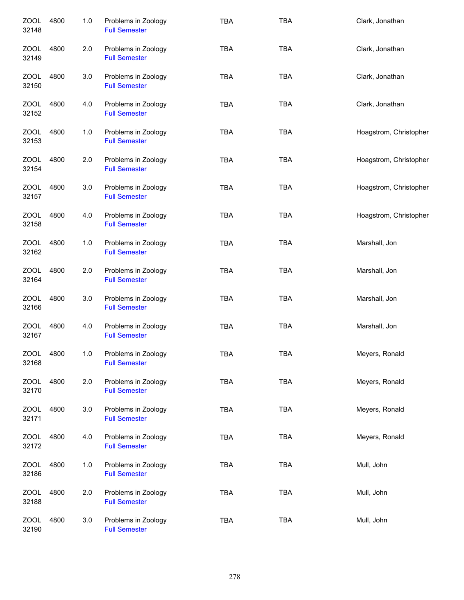| <b>ZOOL</b><br>32148 | 4800 | 1.0 | Problems in Zoology<br><b>Full Semester</b> | <b>TBA</b> | <b>TBA</b> | Clark, Jonathan        |
|----------------------|------|-----|---------------------------------------------|------------|------------|------------------------|
| ZOOL<br>32149        | 4800 | 2.0 | Problems in Zoology<br><b>Full Semester</b> | <b>TBA</b> | <b>TBA</b> | Clark, Jonathan        |
| ZOOL<br>32150        | 4800 | 3.0 | Problems in Zoology<br><b>Full Semester</b> | <b>TBA</b> | <b>TBA</b> | Clark, Jonathan        |
| <b>ZOOL</b><br>32152 | 4800 | 4.0 | Problems in Zoology<br><b>Full Semester</b> | <b>TBA</b> | <b>TBA</b> | Clark, Jonathan        |
| ZOOL<br>32153        | 4800 | 1.0 | Problems in Zoology<br><b>Full Semester</b> | <b>TBA</b> | <b>TBA</b> | Hoagstrom, Christopher |
| ZOOL<br>32154        | 4800 | 2.0 | Problems in Zoology<br><b>Full Semester</b> | <b>TBA</b> | <b>TBA</b> | Hoagstrom, Christopher |
| ZOOL<br>32157        | 4800 | 3.0 | Problems in Zoology<br><b>Full Semester</b> | <b>TBA</b> | <b>TBA</b> | Hoagstrom, Christopher |
| ZOOL<br>32158        | 4800 | 4.0 | Problems in Zoology<br><b>Full Semester</b> | <b>TBA</b> | <b>TBA</b> | Hoagstrom, Christopher |
| <b>ZOOL</b><br>32162 | 4800 | 1.0 | Problems in Zoology<br><b>Full Semester</b> | <b>TBA</b> | <b>TBA</b> | Marshall, Jon          |
| <b>ZOOL</b><br>32164 | 4800 | 2.0 | Problems in Zoology<br><b>Full Semester</b> | <b>TBA</b> | <b>TBA</b> | Marshall, Jon          |
| <b>ZOOL</b><br>32166 | 4800 | 3.0 | Problems in Zoology<br><b>Full Semester</b> | <b>TBA</b> | <b>TBA</b> | Marshall, Jon          |
| ZOOL<br>32167        | 4800 | 4.0 | Problems in Zoology<br><b>Full Semester</b> | <b>TBA</b> | <b>TBA</b> | Marshall, Jon          |
| <b>ZOOL</b><br>32168 | 4800 | 1.0 | Problems in Zoology<br><b>Full Semester</b> | <b>TBA</b> | <b>TBA</b> | Meyers, Ronald         |
| <b>ZOOL</b><br>32170 | 4800 | 2.0 | Problems in Zoology<br><b>Full Semester</b> | <b>TBA</b> | <b>TBA</b> | Meyers, Ronald         |
| <b>ZOOL</b><br>32171 | 4800 | 3.0 | Problems in Zoology<br><b>Full Semester</b> | <b>TBA</b> | TBA        | Meyers, Ronald         |
| <b>ZOOL</b><br>32172 | 4800 | 4.0 | Problems in Zoology<br><b>Full Semester</b> | <b>TBA</b> | <b>TBA</b> | Meyers, Ronald         |
| <b>ZOOL</b><br>32186 | 4800 | 1.0 | Problems in Zoology<br><b>Full Semester</b> | <b>TBA</b> | <b>TBA</b> | Mull, John             |
| <b>ZOOL</b><br>32188 | 4800 | 2.0 | Problems in Zoology<br><b>Full Semester</b> | <b>TBA</b> | <b>TBA</b> | Mull, John             |
| <b>ZOOL</b><br>32190 | 4800 | 3.0 | Problems in Zoology<br><b>Full Semester</b> | TBA        | <b>TBA</b> | Mull, John             |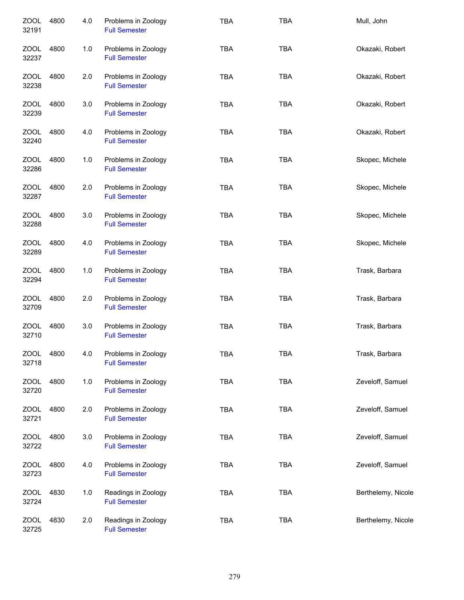| <b>ZOOL</b><br>32191 | 4800 | 4.0 | Problems in Zoology<br><b>Full Semester</b> | <b>TBA</b> | <b>TBA</b> | Mull, John         |
|----------------------|------|-----|---------------------------------------------|------------|------------|--------------------|
| ZOOL<br>32237        | 4800 | 1.0 | Problems in Zoology<br><b>Full Semester</b> | TBA        | <b>TBA</b> | Okazaki, Robert    |
| ZOOL<br>32238        | 4800 | 2.0 | Problems in Zoology<br><b>Full Semester</b> | <b>TBA</b> | <b>TBA</b> | Okazaki, Robert    |
| ZOOL<br>32239        | 4800 | 3.0 | Problems in Zoology<br><b>Full Semester</b> | <b>TBA</b> | <b>TBA</b> | Okazaki, Robert    |
| ZOOL<br>32240        | 4800 | 4.0 | Problems in Zoology<br><b>Full Semester</b> | <b>TBA</b> | <b>TBA</b> | Okazaki, Robert    |
| ZOOL<br>32286        | 4800 | 1.0 | Problems in Zoology<br><b>Full Semester</b> | <b>TBA</b> | <b>TBA</b> | Skopec, Michele    |
| ZOOL<br>32287        | 4800 | 2.0 | Problems in Zoology<br><b>Full Semester</b> | <b>TBA</b> | <b>TBA</b> | Skopec, Michele    |
| <b>ZOOL</b><br>32288 | 4800 | 3.0 | Problems in Zoology<br><b>Full Semester</b> | <b>TBA</b> | <b>TBA</b> | Skopec, Michele    |
| ZOOL<br>32289        | 4800 | 4.0 | Problems in Zoology<br><b>Full Semester</b> | <b>TBA</b> | <b>TBA</b> | Skopec, Michele    |
| <b>ZOOL</b><br>32294 | 4800 | 1.0 | Problems in Zoology<br><b>Full Semester</b> | <b>TBA</b> | <b>TBA</b> | Trask, Barbara     |
| <b>ZOOL</b><br>32709 | 4800 | 2.0 | Problems in Zoology<br><b>Full Semester</b> | <b>TBA</b> | <b>TBA</b> | Trask, Barbara     |
| <b>ZOOL</b><br>32710 | 4800 | 3.0 | Problems in Zoology<br><b>Full Semester</b> | <b>TBA</b> | <b>TBA</b> | Trask, Barbara     |
| <b>ZOOL</b><br>32718 | 4800 | 4.0 | Problems in Zoology<br><b>Full Semester</b> | <b>TBA</b> | <b>TBA</b> | Trask, Barbara     |
| <b>ZOOL</b><br>32720 | 4800 | 1.0 | Problems in Zoology<br><b>Full Semester</b> | <b>TBA</b> | <b>TBA</b> | Zeveloff, Samuel   |
| ZOOL<br>32721        | 4800 | 2.0 | Problems in Zoology<br><b>Full Semester</b> | <b>TBA</b> | <b>TBA</b> | Zeveloff, Samuel   |
| ZOOL<br>32722        | 4800 | 3.0 | Problems in Zoology<br><b>Full Semester</b> | <b>TBA</b> | <b>TBA</b> | Zeveloff, Samuel   |
| <b>ZOOL</b><br>32723 | 4800 | 4.0 | Problems in Zoology<br><b>Full Semester</b> | <b>TBA</b> | <b>TBA</b> | Zeveloff, Samuel   |
| <b>ZOOL</b><br>32724 | 4830 | 1.0 | Readings in Zoology<br><b>Full Semester</b> | <b>TBA</b> | <b>TBA</b> | Berthelemy, Nicole |
| <b>ZOOL</b><br>32725 | 4830 | 2.0 | Readings in Zoology<br><b>Full Semester</b> | <b>TBA</b> | <b>TBA</b> | Berthelemy, Nicole |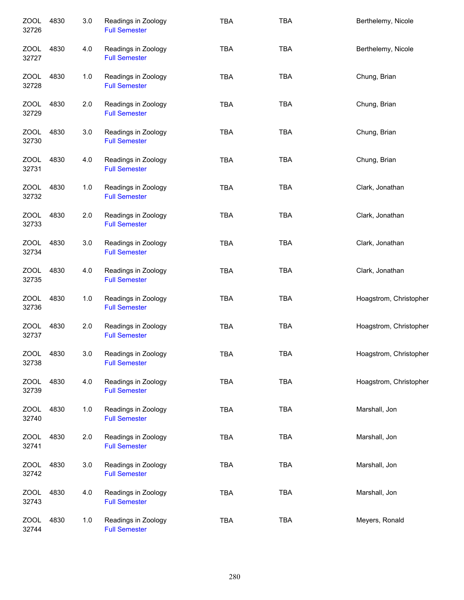| <b>ZOOL</b><br>32726 | 4830 | 3.0 | Readings in Zoology<br><b>Full Semester</b> | <b>TBA</b> | <b>TBA</b> | Berthelemy, Nicole     |
|----------------------|------|-----|---------------------------------------------|------------|------------|------------------------|
| ZOOL<br>32727        | 4830 | 4.0 | Readings in Zoology<br><b>Full Semester</b> | <b>TBA</b> | <b>TBA</b> | Berthelemy, Nicole     |
| ZOOL<br>32728        | 4830 | 1.0 | Readings in Zoology<br><b>Full Semester</b> | <b>TBA</b> | <b>TBA</b> | Chung, Brian           |
| ZOOL<br>32729        | 4830 | 2.0 | Readings in Zoology<br><b>Full Semester</b> | <b>TBA</b> | <b>TBA</b> | Chung, Brian           |
| ZOOL<br>32730        | 4830 | 3.0 | Readings in Zoology<br><b>Full Semester</b> | <b>TBA</b> | <b>TBA</b> | Chung, Brian           |
| ZOOL<br>32731        | 4830 | 4.0 | Readings in Zoology<br><b>Full Semester</b> | <b>TBA</b> | <b>TBA</b> | Chung, Brian           |
| ZOOL<br>32732        | 4830 | 1.0 | Readings in Zoology<br><b>Full Semester</b> | <b>TBA</b> | <b>TBA</b> | Clark, Jonathan        |
| <b>ZOOL</b><br>32733 | 4830 | 2.0 | Readings in Zoology<br><b>Full Semester</b> | <b>TBA</b> | <b>TBA</b> | Clark, Jonathan        |
| <b>ZOOL</b><br>32734 | 4830 | 3.0 | Readings in Zoology<br><b>Full Semester</b> | <b>TBA</b> | <b>TBA</b> | Clark, Jonathan        |
| <b>ZOOL</b><br>32735 | 4830 | 4.0 | Readings in Zoology<br><b>Full Semester</b> | <b>TBA</b> | <b>TBA</b> | Clark, Jonathan        |
| <b>ZOOL</b><br>32736 | 4830 | 1.0 | Readings in Zoology<br><b>Full Semester</b> | <b>TBA</b> | <b>TBA</b> | Hoagstrom, Christopher |
| <b>ZOOL</b><br>32737 | 4830 | 2.0 | Readings in Zoology<br><b>Full Semester</b> | <b>TBA</b> | <b>TBA</b> | Hoagstrom, Christopher |
| <b>ZOOL</b><br>32738 | 4830 | 3.0 | Readings in Zoology<br><b>Full Semester</b> | <b>TBA</b> | <b>TBA</b> | Hoagstrom, Christopher |
| <b>ZOOL</b><br>32739 | 4830 | 4.0 | Readings in Zoology<br><b>Full Semester</b> | TBA        | <b>TBA</b> | Hoagstrom, Christopher |
| ZOOL<br>32740        | 4830 | 1.0 | Readings in Zoology<br><b>Full Semester</b> | <b>TBA</b> | <b>TBA</b> | Marshall, Jon          |
| ZOOL<br>32741        | 4830 | 2.0 | Readings in Zoology<br><b>Full Semester</b> | <b>TBA</b> | <b>TBA</b> | Marshall, Jon          |
| <b>ZOOL</b><br>32742 | 4830 | 3.0 | Readings in Zoology<br><b>Full Semester</b> | TBA        | <b>TBA</b> | Marshall, Jon          |
| <b>ZOOL</b><br>32743 | 4830 | 4.0 | Readings in Zoology<br><b>Full Semester</b> | <b>TBA</b> | <b>TBA</b> | Marshall, Jon          |
| <b>ZOOL</b><br>32744 | 4830 | 1.0 | Readings in Zoology<br><b>Full Semester</b> | TBA        | <b>TBA</b> | Meyers, Ronald         |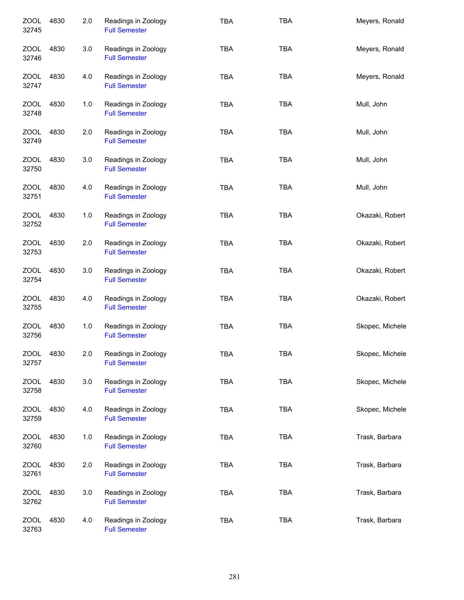| <b>ZOOL</b><br>32745 | 4830 | 2.0 | Readings in Zoology<br><b>Full Semester</b> | <b>TBA</b> | <b>TBA</b> | Meyers, Ronald  |
|----------------------|------|-----|---------------------------------------------|------------|------------|-----------------|
| <b>ZOOL</b><br>32746 | 4830 | 3.0 | Readings in Zoology<br><b>Full Semester</b> | <b>TBA</b> | <b>TBA</b> | Meyers, Ronald  |
| <b>ZOOL</b><br>32747 | 4830 | 4.0 | Readings in Zoology<br><b>Full Semester</b> | <b>TBA</b> | <b>TBA</b> | Meyers, Ronald  |
| ZOOL<br>32748        | 4830 | 1.0 | Readings in Zoology<br><b>Full Semester</b> | <b>TBA</b> | <b>TBA</b> | Mull, John      |
| ZOOL<br>32749        | 4830 | 2.0 | Readings in Zoology<br><b>Full Semester</b> | <b>TBA</b> | <b>TBA</b> | Mull, John      |
| ZOOL<br>32750        | 4830 | 3.0 | Readings in Zoology<br><b>Full Semester</b> | <b>TBA</b> | <b>TBA</b> | Mull, John      |
| ZOOL<br>32751        | 4830 | 4.0 | Readings in Zoology<br><b>Full Semester</b> | <b>TBA</b> | <b>TBA</b> | Mull, John      |
| <b>ZOOL</b><br>32752 | 4830 | 1.0 | Readings in Zoology<br><b>Full Semester</b> | <b>TBA</b> | <b>TBA</b> | Okazaki, Robert |
| <b>ZOOL</b><br>32753 | 4830 | 2.0 | Readings in Zoology<br><b>Full Semester</b> | <b>TBA</b> | <b>TBA</b> | Okazaki, Robert |
| <b>ZOOL</b><br>32754 | 4830 | 3.0 | Readings in Zoology<br><b>Full Semester</b> | <b>TBA</b> | <b>TBA</b> | Okazaki, Robert |
| <b>ZOOL</b><br>32755 | 4830 | 4.0 | Readings in Zoology<br><b>Full Semester</b> | <b>TBA</b> | <b>TBA</b> | Okazaki, Robert |
| <b>ZOOL</b><br>32756 | 4830 | 1.0 | Readings in Zoology<br><b>Full Semester</b> | <b>TBA</b> | <b>TBA</b> | Skopec, Michele |
| <b>ZOOL</b><br>32757 | 4830 | 2.0 | Readings in Zoology<br><b>Full Semester</b> | TBA        | <b>TBA</b> | Skopec, Michele |
| <b>ZOOL</b><br>32758 | 4830 | 3.0 | Readings in Zoology<br><b>Full Semester</b> | <b>TBA</b> | <b>TBA</b> | Skopec, Michele |
| ZOOL<br>32759        | 4830 | 4.0 | Readings in Zoology<br><b>Full Semester</b> | <b>TBA</b> | <b>TBA</b> | Skopec, Michele |
| ZOOL<br>32760        | 4830 | 1.0 | Readings in Zoology<br><b>Full Semester</b> | <b>TBA</b> | <b>TBA</b> | Trask, Barbara  |
| <b>ZOOL</b><br>32761 | 4830 | 2.0 | Readings in Zoology<br><b>Full Semester</b> | <b>TBA</b> | <b>TBA</b> | Trask, Barbara  |
| <b>ZOOL</b><br>32762 | 4830 | 3.0 | Readings in Zoology<br><b>Full Semester</b> | <b>TBA</b> | <b>TBA</b> | Trask, Barbara  |
| ZOOL<br>32763        | 4830 | 4.0 | Readings in Zoology<br><b>Full Semester</b> | <b>TBA</b> | <b>TBA</b> | Trask, Barbara  |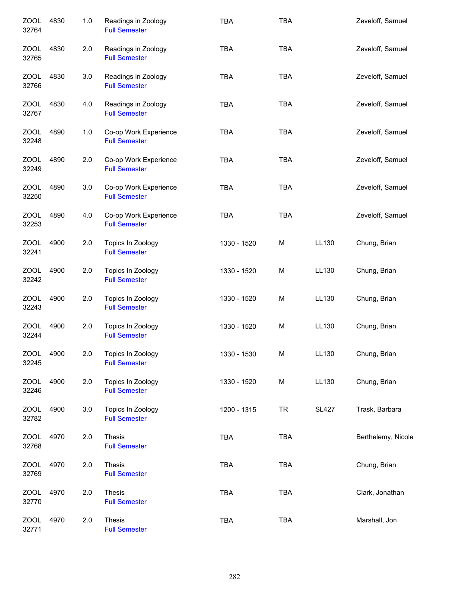| <b>ZOOL</b><br>32764 | 4830 | $1.0$ | Readings in Zoology<br><b>Full Semester</b>   | <b>TBA</b>  | TBA        |              | Zeveloff, Samuel   |
|----------------------|------|-------|-----------------------------------------------|-------------|------------|--------------|--------------------|
| ZOOL<br>32765        | 4830 | 2.0   | Readings in Zoology<br><b>Full Semester</b>   | <b>TBA</b>  | <b>TBA</b> |              | Zeveloff, Samuel   |
| ZOOL<br>32766        | 4830 | 3.0   | Readings in Zoology<br><b>Full Semester</b>   | <b>TBA</b>  | <b>TBA</b> |              | Zeveloff, Samuel   |
| ZOOL<br>32767        | 4830 | 4.0   | Readings in Zoology<br><b>Full Semester</b>   | <b>TBA</b>  | <b>TBA</b> |              | Zeveloff, Samuel   |
| ZOOL<br>32248        | 4890 | $1.0$ | Co-op Work Experience<br><b>Full Semester</b> | <b>TBA</b>  | <b>TBA</b> |              | Zeveloff, Samuel   |
| ZOOL<br>32249        | 4890 | 2.0   | Co-op Work Experience<br><b>Full Semester</b> | <b>TBA</b>  | <b>TBA</b> |              | Zeveloff, Samuel   |
| ZOOL<br>32250        | 4890 | 3.0   | Co-op Work Experience<br><b>Full Semester</b> | <b>TBA</b>  | <b>TBA</b> |              | Zeveloff, Samuel   |
| ZOOL<br>32253        | 4890 | 4.0   | Co-op Work Experience<br><b>Full Semester</b> | <b>TBA</b>  | <b>TBA</b> |              | Zeveloff, Samuel   |
| <b>ZOOL</b><br>32241 | 4900 | 2.0   | Topics In Zoology<br><b>Full Semester</b>     | 1330 - 1520 | M          | LL130        | Chung, Brian       |
| <b>ZOOL</b><br>32242 | 4900 | 2.0   | Topics In Zoology<br><b>Full Semester</b>     | 1330 - 1520 | M          | LL130        | Chung, Brian       |
| <b>ZOOL</b><br>32243 | 4900 | 2.0   | Topics In Zoology<br><b>Full Semester</b>     | 1330 - 1520 | M          | LL130        | Chung, Brian       |
| <b>ZOOL</b><br>32244 | 4900 | 2.0   | Topics In Zoology<br><b>Full Semester</b>     | 1330 - 1520 | M          | LL130        | Chung, Brian       |
| <b>ZOOL</b><br>32245 | 4900 | 2.0   | Topics In Zoology<br><b>Full Semester</b>     | 1330 - 1530 | M          | LL130        | Chung, Brian       |
| <b>ZOOL</b><br>32246 | 4900 | 2.0   | Topics In Zoology<br><b>Full Semester</b>     | 1330 - 1520 | M          | LL130        | Chung, Brian       |
| ZOOL<br>32782        | 4900 | 3.0   | Topics In Zoology<br><b>Full Semester</b>     | 1200 - 1315 | <b>TR</b>  | <b>SL427</b> | Trask, Barbara     |
| <b>ZOOL</b><br>32768 | 4970 | 2.0   | Thesis<br><b>Full Semester</b>                | <b>TBA</b>  | TBA        |              | Berthelemy, Nicole |
| <b>ZOOL</b><br>32769 | 4970 | 2.0   | Thesis<br><b>Full Semester</b>                | <b>TBA</b>  | <b>TBA</b> |              | Chung, Brian       |
| <b>ZOOL</b><br>32770 | 4970 | 2.0   | Thesis<br><b>Full Semester</b>                | <b>TBA</b>  | <b>TBA</b> |              | Clark, Jonathan    |
| <b>ZOOL</b><br>32771 | 4970 | 2.0   | Thesis<br><b>Full Semester</b>                | <b>TBA</b>  | <b>TBA</b> |              | Marshall, Jon      |